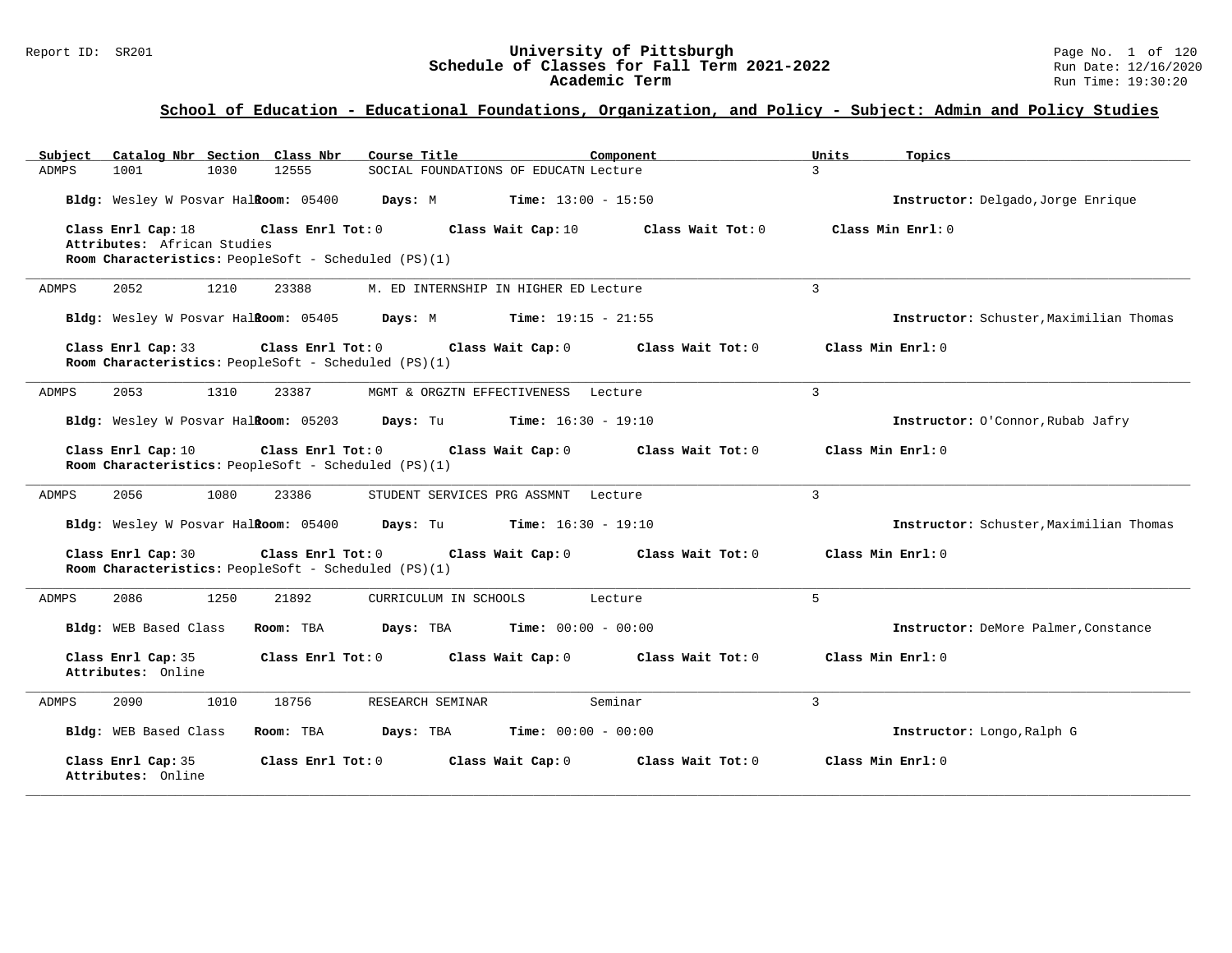# Report ID: SR201 **University of Pittsburgh University of Pittsburgh** Page No. 1 of 120<br>**Schedule of Classes for Fall Term 2021-2022** Pun Date: 12/16/2020 Schedule of Classes for Fall Term 2021-2022<br>Academic Term

| Catalog Nbr Section Class Nbr<br>Course Title<br>Subject                                                                                             | Component<br>Units<br>Topics            |
|------------------------------------------------------------------------------------------------------------------------------------------------------|-----------------------------------------|
| 1001<br>1030<br>12555<br>SOCIAL FOUNDATIONS OF EDUCATN Lecture<br>ADMPS                                                                              | $\mathcal{L}$                           |
| Bldg: Wesley W Posvar Hal <b>Room:</b> 05400 Days: M<br><b>Time:</b> $13:00 - 15:50$                                                                 | Instructor: Delgado, Jorge Enrique      |
| Class Enrl Cap: 18<br>Class Enrl Tot: 0<br>Class Wait Cap: 10<br>Attributes: African Studies<br>Room Characteristics: PeopleSoft - Scheduled (PS)(1) | Class Wait Tot: 0<br>Class Min Enrl: 0  |
| 1210<br>2052<br>23388<br>ADMPS<br>M. ED INTERNSHIP IN HIGHER ED Lecture                                                                              | 3                                       |
| Bldg: Wesley W Posvar Hal <b>Room:</b> 05405 Days: M<br><b>Time:</b> $19:15 - 21:55$                                                                 | Instructor: Schuster, Maximilian Thomas |
| Class Enrl Cap: 33<br>Class Enrl Tot: 0<br>Class Wait Cap: 0<br>Room Characteristics: PeopleSoft - Scheduled (PS)(1)                                 | Class Wait Tot: 0<br>Class Min Enrl: 0  |
| 2053<br>1310<br>23387<br>MGMT & ORGZTN EFFECTIVENESS Lecture<br>ADMPS                                                                                | $\overline{3}$                          |
| Bldg: Wesley W Posvar Halkoom: 05203 Days: Tu Time: 16:30 - 19:10                                                                                    | Instructor: O'Connor, Rubab Jafry       |
| Class Enrl Cap: 10<br>Class Enrl Tot: 0<br>Class Wait Cap: 0<br>Room Characteristics: PeopleSoft - Scheduled (PS)(1)                                 | Class Wait Tot: 0<br>Class Min Enrl: 0  |
| 2056<br>1080<br>23386<br>ADMPS<br>STUDENT SERVICES PRG ASSMNT<br>Lecture                                                                             | 3                                       |
| Bldg: Wesley W Posvar Halkoom: 05400 Days: Tu Time: 16:30 - 19:10                                                                                    | Instructor: Schuster, Maximilian Thomas |
| Class Enrl Cap: 30<br>Class Enrl Tot: 0<br>Class Wait Cap: 0 Class Wait Tot: 0<br>Room Characteristics: PeopleSoft - Scheduled (PS)(1)               | Class Min Enrl: 0                       |
| ADMPS<br>2086<br>1250<br>21892<br>CURRICULUM IN SCHOOLS<br>Lecture                                                                                   | 5                                       |
| Bldg: WEB Based Class<br>Room: TBA<br>Days: TBA<br><b>Time:</b> $00:00 - 00:00$                                                                      | Instructor: DeMore Palmer, Constance    |
| Class Enrl Cap: 35<br>Class Enrl Tot: 0<br>Class Wait Cap: 0<br>Attributes: Online                                                                   | Class Wait Tot: 0<br>Class Min Enrl: 0  |
| 1010<br>18756<br>Seminar<br>2090<br>RESEARCH SEMINAR<br>ADMPS                                                                                        | 3                                       |
| <b>Time:</b> $00:00 - 00:00$<br>Bldg: WEB Based Class<br>Room: TBA<br>Days: TBA                                                                      | Instructor: Longo, Ralph G              |
| Class Enrl Cap: 35<br>Class Enrl Tot: 0<br>Class Wait Cap: 0<br>Attributes: Online                                                                   | Class Min Enrl: 0<br>Class Wait Tot: 0  |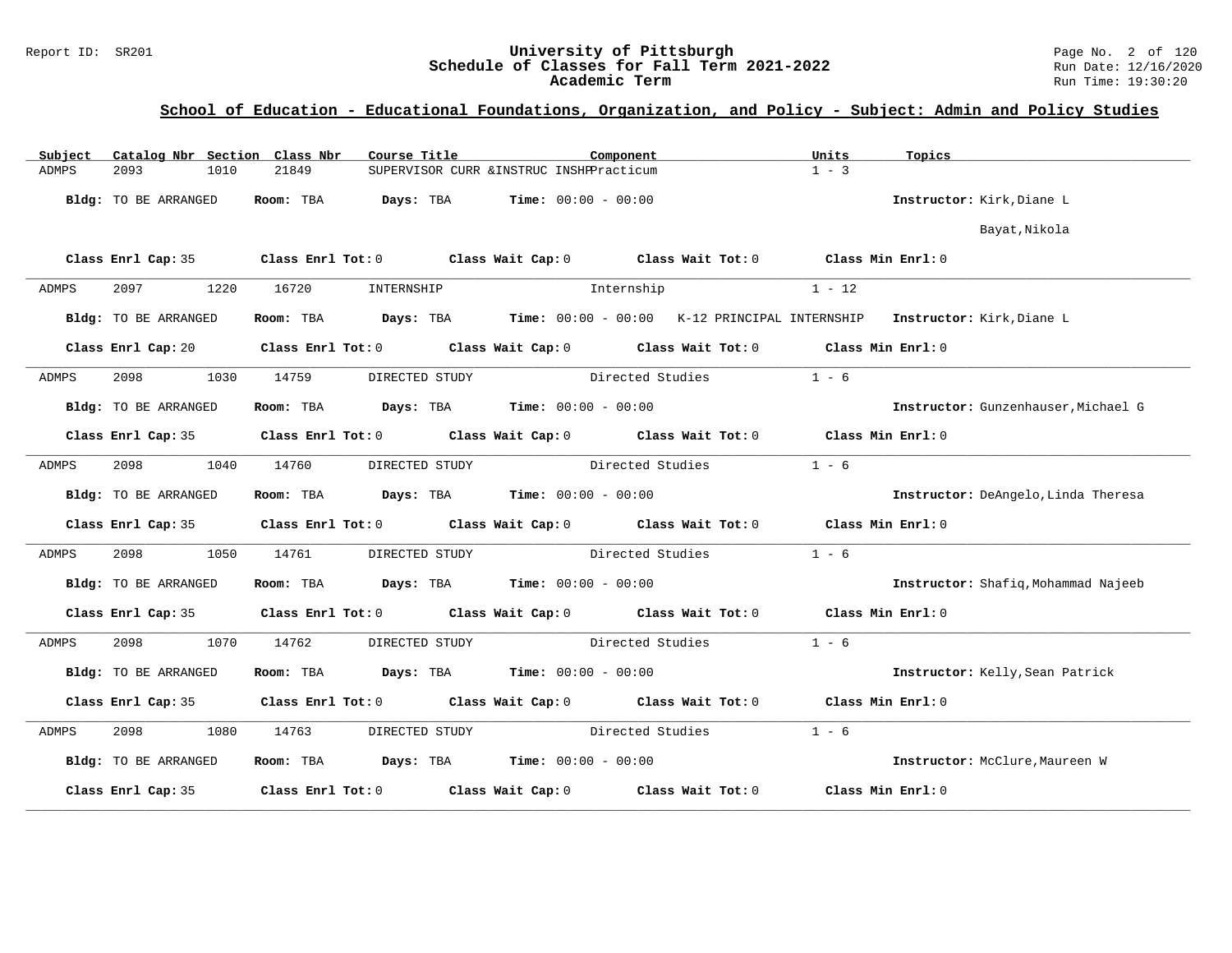# Report ID: SR201 **University of Pittsburgh University of Pittsburgh** Page No. 2 of 120<br>**Schedule of Classes for Fall Term 2021-2022** Run Date: 12/16/2020 Schedule of Classes for Fall Term 2021-2022<br>Academic Term

| Subject              |      | Catalog Nbr Section Class Nbr | Course Title   |                                                                | Component                                                                                  | Units             | Topics                              |
|----------------------|------|-------------------------------|----------------|----------------------------------------------------------------|--------------------------------------------------------------------------------------------|-------------------|-------------------------------------|
| 2093<br>ADMPS        | 1010 | 21849                         |                | SUPERVISOR CURR & INSTRUC INSHPPracticum                       |                                                                                            | $1 - 3$           |                                     |
| Bldg: TO BE ARRANGED |      | Room: TBA                     | Days: TBA      | $Time: 00:00 - 00:00$                                          |                                                                                            |                   | Instructor: Kirk, Diane L           |
|                      |      |                               |                |                                                                |                                                                                            |                   | Bayat, Nikola                       |
|                      |      |                               |                |                                                                | Class Enrl Cap: 35 Class Enrl Tot: 0 Class Wait Cap: 0 Class Wait Tot: 0 Class Min Enrl: 0 |                   |                                     |
| 2097<br>ADMPS        | 1220 | 16720                         | INTERNSHIP     |                                                                | Internship                                                                                 | $1 - 12$          |                                     |
| Bldg: TO BE ARRANGED |      | Room: TBA                     |                |                                                                | Days: TBA Time: 00:00 - 00:00 K-12 PRINCIPAL INTERNSHIP Instructor: Kirk, Diane L          |                   |                                     |
|                      |      |                               |                |                                                                | Class Enrl Cap: 20 Class Enrl Tot: 0 Class Wait Cap: 0 Class Wait Tot: 0 Class Min Enrl: 0 |                   |                                     |
| 2098<br>ADMPS        | 1030 | 14759                         | DIRECTED STUDY |                                                                | Directed Studies                                                                           | $1 - 6$           |                                     |
| Bldg: TO BE ARRANGED |      |                               |                | Room: TBA $\rule{1em}{0.15mm}$ Days: TBA Time: $00:00 - 00:00$ |                                                                                            |                   | Instructor: Gunzenhauser, Michael G |
|                      |      |                               |                |                                                                | Class Enrl Cap: 35 Class Enrl Tot: 0 Class Wait Cap: 0 Class Wait Tot: 0 Class Min Enrl: 0 |                   |                                     |
| 2098<br>ADMPS        | 1040 | 14760                         | DIRECTED STUDY |                                                                | Directed Studies                                                                           | $1 - 6$           |                                     |
| Bldg: TO BE ARRANGED |      |                               |                | Room: TBA $Days:$ TBA $Time: 00:00 - 00:00$                    |                                                                                            |                   | Instructor: DeAngelo, Linda Theresa |
|                      |      |                               |                |                                                                | Class Enrl Cap: 35 Class Enrl Tot: 0 Class Wait Cap: 0 Class Wait Tot: 0 Class Min Enrl: 0 |                   |                                     |
| 2098<br>ADMPS        | 1050 | 14761                         | DIRECTED STUDY |                                                                | Directed Studies                                                                           | $1 - 6$           |                                     |
| Bldg: TO BE ARRANGED |      |                               |                | Room: TBA $Days:$ TBA $Time: 00:00 - 00:00$                    |                                                                                            |                   | Instructor: Shafiq, Mohammad Najeeb |
|                      |      |                               |                |                                                                | Class Enrl Cap: 35 Class Enrl Tot: 0 Class Wait Cap: 0 Class Wait Tot: 0 Class Min Enrl: 0 |                   |                                     |
| 2098<br>ADMPS        | 1070 | 14762                         | DIRECTED STUDY |                                                                | Directed Studies                                                                           | $1 - 6$           |                                     |
| Bldg: TO BE ARRANGED |      |                               |                | Room: TBA $Days:$ TBA Time: $00:00 - 00:00$                    |                                                                                            |                   | Instructor: Kelly, Sean Patrick     |
|                      |      |                               |                |                                                                | Class Enrl Cap: 35 Class Enrl Tot: 0 Class Wait Cap: 0 Class Wait Tot: 0 Class Min Enrl: 0 |                   |                                     |
| 2098 70<br>ADMPS     | 1080 | 14763                         | DIRECTED STUDY |                                                                | Directed Studies                                                                           | $1 - 6$           |                                     |
| Bldg: TO BE ARRANGED |      |                               |                | Room: TBA $Days:$ TBA Time: $00:00 - 00:00$                    |                                                                                            |                   | Instructor: McClure, Maureen W      |
| Class Enrl Cap: 35   |      |                               |                |                                                                | Class Enrl Tot: $0$ Class Wait Cap: $0$ Class Wait Tot: $0$                                | Class Min Enrl: 0 |                                     |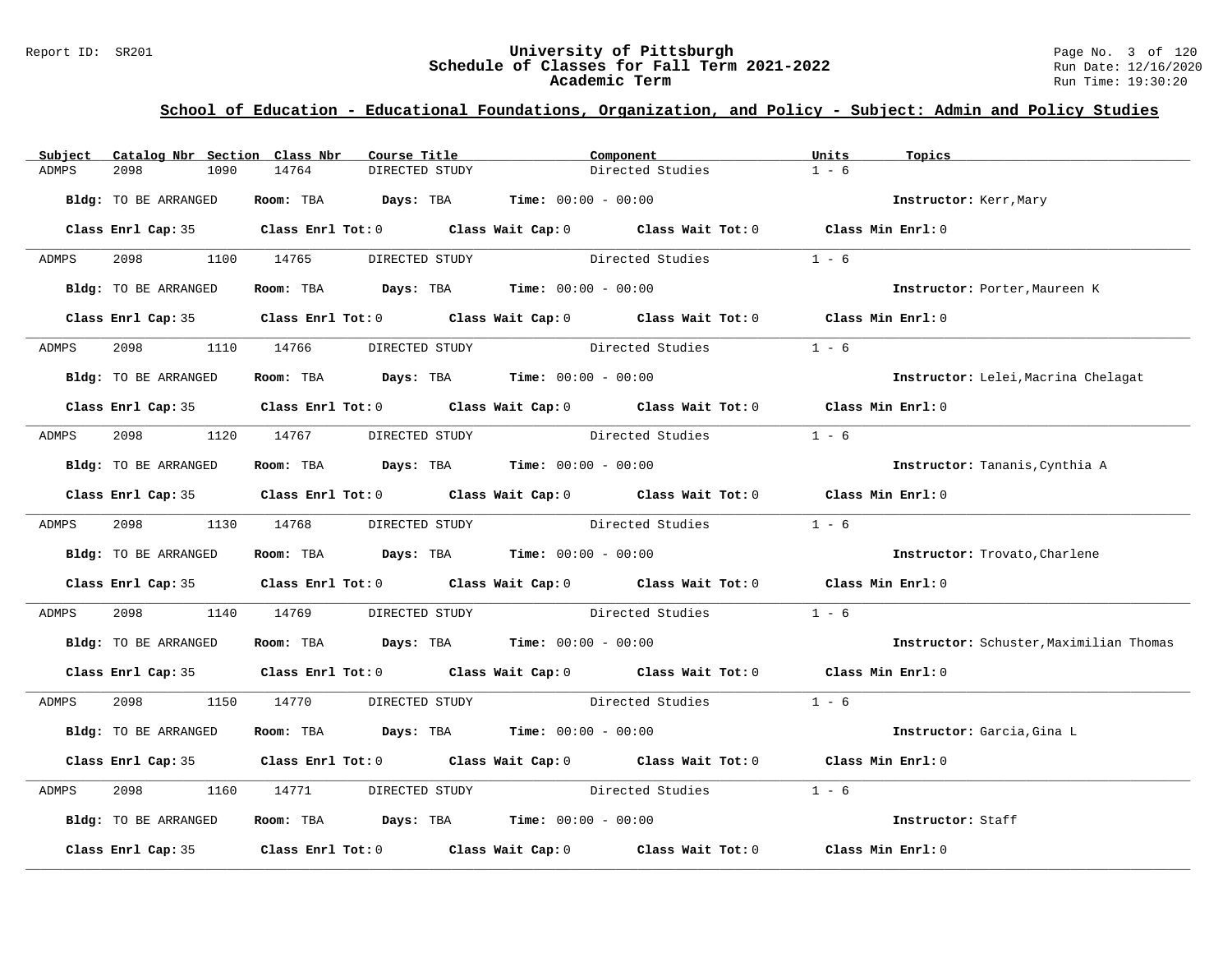#### Report ID: SR201 **University of Pittsburgh** Page No. 3 of 120 **Schedule of Classes for Fall Term 2021-2022** Run Date: 12/16/2020 **Academic Term** Run Time: 19:30:20

| Subject | Catalog Nbr Section Class Nbr | Course Title                                                                                                                                                                                                                  |                                 | Component        | Units<br>Topics                         |  |
|---------|-------------------------------|-------------------------------------------------------------------------------------------------------------------------------------------------------------------------------------------------------------------------------|---------------------------------|------------------|-----------------------------------------|--|
| ADMPS   | 2098<br>1090                  | 14764<br>DIRECTED STUDY                                                                                                                                                                                                       |                                 | Directed Studies | $1 - 6$                                 |  |
|         | Bldg: TO BE ARRANGED          | Room: TBA $Days: TBA$ Time: $00:00 - 00:00$                                                                                                                                                                                   |                                 |                  | Instructor: Kerr, Mary                  |  |
|         |                               | Class Enrl Cap: 35 Class Enrl Tot: 0 Class Wait Cap: 0 Class Wait Tot: 0 Class Min Enrl: 0                                                                                                                                    |                                 |                  |                                         |  |
| ADMPS   | 2098 1100 14765               | DIRECTED STUDY                                                                                                                                                                                                                |                                 | Directed Studies | $1 - 6$                                 |  |
|         | Bldg: TO BE ARRANGED          | Room: TBA $Days:$ TBA $Time: 00:00 - 00:00$                                                                                                                                                                                   |                                 |                  | Instructor: Porter, Maureen K           |  |
|         |                               | Class Enrl Cap: 35 Class Enrl Tot: 0 Class Wait Cap: 0 Class Wait Tot: 0 Class Min Enrl: 0                                                                                                                                    |                                 |                  |                                         |  |
| ADMPS   | 2098 — 100                    | 1110 14766<br>DIRECTED STUDY                                                                                                                                                                                                  |                                 | Directed Studies | $1 - 6$                                 |  |
|         | Bldg: TO BE ARRANGED          | Room: TBA $Days:$ TBA $Time: 00:00 - 00:00$                                                                                                                                                                                   |                                 |                  | Instructor: Lelei, Macrina Chelagat     |  |
|         |                               | Class Enrl Cap: 35 Class Enrl Tot: 0 Class Wait Cap: 0 Class Wait Tot: 0 Class Min Enrl: 0                                                                                                                                    |                                 |                  |                                         |  |
| ADMPS   |                               | 2098 1120 14767 DIRECTED STUDY                                                                                                                                                                                                |                                 | Directed Studies | $1 - 6$                                 |  |
|         | Bldg: TO BE ARRANGED          | Room: TBA $Days:$ TBA $Time: 00:00 - 00:00$                                                                                                                                                                                   |                                 |                  | Instructor: Tananis, Cynthia A          |  |
|         |                               | Class Enrl Cap: 35 Class Enrl Tot: 0 Class Wait Cap: 0 Class Wait Tot: 0 Class Min Enrl: 0                                                                                                                                    |                                 |                  |                                         |  |
| ADMPS   | 2098 1130 14768               | DIRECTED STUDY                                                                                                                                                                                                                |                                 | Directed Studies | $1 - 6$                                 |  |
|         | Bldg: TO BE ARRANGED          | Room: TBA $Days:$ TBA $Time: 00:00 - 00:00$                                                                                                                                                                                   |                                 |                  | Instructor: Trovato, Charlene           |  |
|         |                               | Class Enrl Cap: 35 Class Enrl Tot: 0 Class Wait Cap: 0 Class Wait Tot: 0 Class Min Enrl: 0                                                                                                                                    |                                 |                  |                                         |  |
| ADMPS   | 2098<br>1140                  | 14769                                                                                                                                                                                                                         | DIRECTED STUDY Directed Studies |                  | $1 - 6$                                 |  |
|         | Bldg: TO BE ARRANGED          | Room: TBA $Days:$ TBA $Time: 00:00 - 00:00$                                                                                                                                                                                   |                                 |                  | Instructor: Schuster, Maximilian Thomas |  |
|         |                               | Class Enrl Cap: 35 Class Enrl Tot: 0 Class Wait Cap: 0 Class Wait Tot: 0 Class Min Enrl: 0                                                                                                                                    |                                 |                  |                                         |  |
| ADMPS   | 2098 — 100                    | 1150 14770 DIRECTED STUDY Directed Studies 1 - 6                                                                                                                                                                              |                                 |                  |                                         |  |
|         | Bldg: TO BE ARRANGED          | Room: TBA $Days:$ TBA $Time: 00:00 - 00:00$                                                                                                                                                                                   |                                 |                  | Instructor: Garcia, Gina L              |  |
|         |                               | Class Enrl Cap: 35 Class Enrl Tot: 0 Class Wait Cap: 0 Class Wait Tot: 0 Class Min Enrl: 0                                                                                                                                    |                                 |                  |                                         |  |
| ADMPS   | 2098<br>1160                  | 14771                                                                                                                                                                                                                         | DIRECTED STUDY Directed Studies |                  | $1 - 6$                                 |  |
|         | Bldg: TO BE ARRANGED          | Room: TBA $\rule{1em}{0.15mm}$ Days: TBA Time: $00:00 - 00:00$                                                                                                                                                                |                                 |                  | Instructor: Staff                       |  |
|         |                               | Class Enrl Cap: 35 $\,$ Class Enrl Tot: 0 $\,$ Class Wait Cap: 0 $\,$ Class Wait Tot: 0 $\,$ Class Enrl Tot: 0 $\,$ Class Enrl Tot: 0 $\,$ Class Enrl Tot: 0 $\,$ Class Enrl Tot: 0 $\,$ Class Enrl Tot: 0 $\,$ Class Enrl To |                                 |                  | Class Min Enrl: 0                       |  |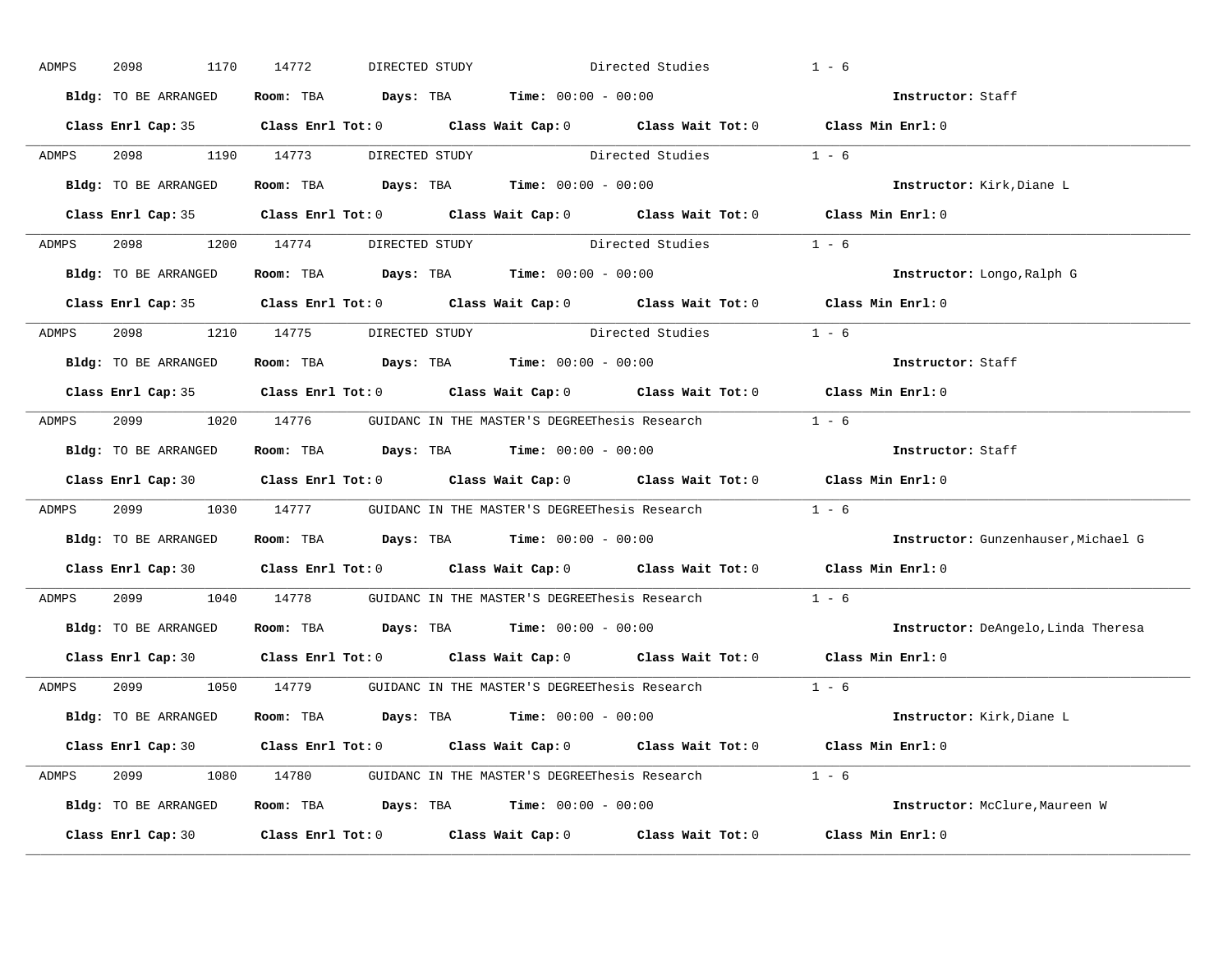| ADMPS | 2098<br>1170         | 14772                          | DIRECTED STUDY                                                                                      | Directed Studies | $1 - 6$                             |
|-------|----------------------|--------------------------------|-----------------------------------------------------------------------------------------------------|------------------|-------------------------------------|
|       | Bldg: TO BE ARRANGED |                                | Room: TBA $Days:$ TBA $Time: 00:00 - 00:00$                                                         |                  | Instructor: Staff                   |
|       |                      |                                | Class Enrl Cap: 35 Class Enrl Tot: 0 Class Wait Cap: 0 Class Wait Tot: 0 Class Min Enrl: 0          |                  |                                     |
| ADMPS |                      |                                | 2098 1190 14773 DIRECTED STUDY Directed Studies 1 - 6                                               |                  |                                     |
|       | Bldg: TO BE ARRANGED |                                | Room: TBA $Days:$ TBA Time: $00:00 - 00:00$                                                         |                  | Instructor: Kirk, Diane L           |
|       |                      |                                | Class Enrl Cap: 35 Class Enrl Tot: 0 Class Wait Cap: 0 Class Wait Tot: 0 Class Min Enrl: 0          |                  |                                     |
|       |                      |                                | ADMPS 2098 1200 14774 DIRECTED STUDY Directed Studies 1 - 6                                         |                  |                                     |
|       |                      |                                | Bldg: TO BE ARRANGED Room: TBA Days: TBA Time: 00:00 - 00:00                                        |                  | Instructor: Longo, Ralph G          |
|       |                      |                                | Class Enrl Cap: 35 Class Enrl Tot: 0 Class Wait Cap: 0 Class Wait Tot: 0 Class Min Enrl: 0          |                  |                                     |
| ADMPS |                      | 2098 1210 14775 DIRECTED STUDY | Directed Studies                                                                                    |                  | $1 - 6$                             |
|       | Bldg: TO BE ARRANGED |                                | Room: TBA $Days:$ TBA Time: $00:00 - 00:00$                                                         |                  | Instructor: Staff                   |
|       |                      |                                | Class Enrl Cap: 35 Class Enrl Tot: 0 Class Wait Cap: 0 Class Wait Tot: 0 Class Min Enrl: 0          |                  |                                     |
| ADMPS |                      |                                | 2099 1020 14776 GUIDANC IN THE MASTER'S DEGREEThesis Research 1 - 6                                 |                  |                                     |
|       | Bldg: TO BE ARRANGED |                                | Room: TBA $Days: TBA$ Time: $00:00 - 00:00$                                                         |                  | Instructor: Staff                   |
|       |                      |                                | Class Enrl Cap: 30 Class Enrl Tot: 0 Class Wait Cap: 0 Class Wait Tot: 0 Class Min Enrl: 0          |                  |                                     |
| ADMPS |                      |                                | 2099 1030 14777 GUIDANC IN THE MASTER'S DEGREEThesis Research 1 - 6                                 |                  |                                     |
|       | Bldg: TO BE ARRANGED |                                | Room: TBA $Days:$ TBA $Time: 00:00 - 00:00$                                                         |                  | Instructor: Gunzenhauser, Michael G |
|       |                      |                                | Class Enrl Cap: 30 $\qquad$ Class Enrl Tot: 0 $\qquad$ Class Wait Cap: 0 $\qquad$ Class Wait Tot: 0 |                  | Class Min Enrl: 0                   |
| ADMPS |                      |                                | 2099 1040 14778 GUIDANC IN THE MASTER'S DEGREEThesis Research                                       |                  | $1 - 6$                             |
|       |                      |                                | Bldg: TO BE ARRANGED Room: TBA Days: TBA Time: 00:00 - 00:00                                        |                  | Instructor: DeAngelo, Linda Theresa |
|       |                      |                                | Class Enrl Cap: 30 $\qquad$ Class Enrl Tot: 0 $\qquad$ Class Wait Cap: 0 $\qquad$ Class Wait Tot: 0 |                  | Class Min Enrl: 0                   |
| ADMPS |                      |                                | 2099 1050 14779 GUIDANC IN THE MASTER'S DEGREEThesis Research 1 - 6                                 |                  |                                     |
|       | Bldg: TO BE ARRANGED |                                | Room: TBA $Days:$ TBA $Time: 00:00 - 00:00$                                                         |                  | Instructor: Kirk, Diane L           |
|       |                      |                                | Class Enrl Cap: 30 Class Enrl Tot: 0 Class Wait Cap: 0 Class Wait Tot: 0 Class Min Enrl: 0          |                  |                                     |
|       |                      |                                | ADMPS 2099 1080 14780 GUIDANC IN THE MASTER'S DEGREEThesis Research 1 - 6                           |                  |                                     |
|       |                      |                                | Bldg: TO BE ARRANGED Room: TBA Days: TBA Time: 00:00 - 00:00                                        |                  | Instructor: McClure, Maureen W      |
|       | Class Enrl Cap: 30   |                                | Class Enrl Tot: $0$ Class Wait Cap: $0$ Class Wait Tot: $0$                                         |                  | Class Min Enrl: 0                   |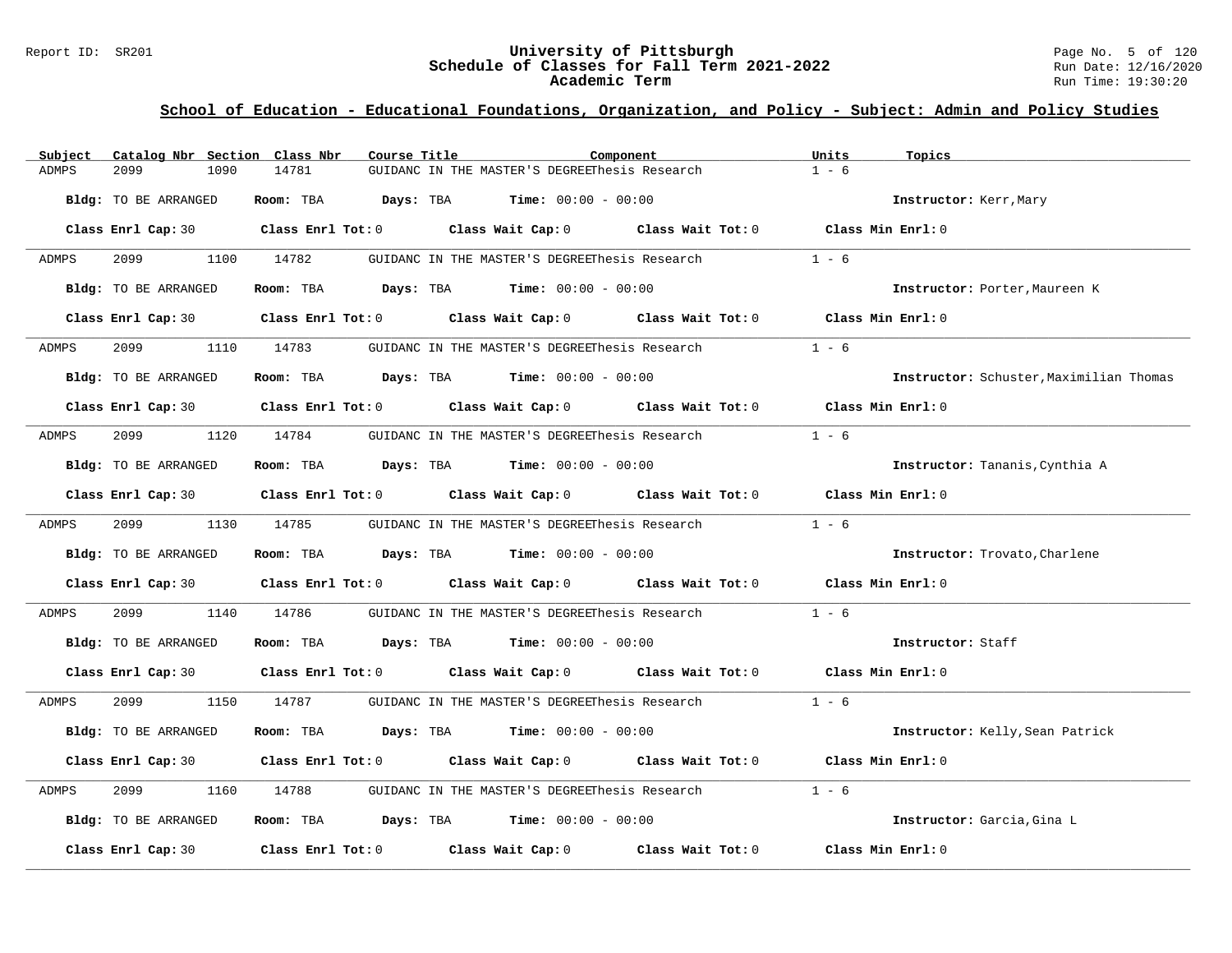#### Report ID: SR201 **University of Pittsburgh** Page No. 5 of 120 **Schedule of Classes for Fall Term 2021-2022** Run Date: 12/16/2020 **Academic Term** Run Time: 19:30:20

| Subject | Catalog Nbr Section Class Nbr | Course Title | Component                                                                                    | Units<br>Topics                         |
|---------|-------------------------------|--------------|----------------------------------------------------------------------------------------------|-----------------------------------------|
| ADMPS   | 2099<br>1090                  | 14781        | GUIDANC IN THE MASTER'S DEGREEThesis Research                                                | $1 - 6$                                 |
|         | Bldg: TO BE ARRANGED          |              | Room: TBA $Days:$ TBA $Time: 00:00 - 00:00$                                                  | Instructor: Kerr, Mary                  |
|         |                               |              | Class Enrl Cap: 30 Class Enrl Tot: 0 Class Wait Cap: 0 Class Wait Tot: 0 Class Min Enrl: 0   |                                         |
| ADMPS   | 2099 70                       | 1100 14782   | GUIDANC IN THE MASTER'S DEGREEThesis Research                                                | $1 - 6$                                 |
|         | Bldg: TO BE ARRANGED          |              | Room: TBA $Days:$ TBA $Time: 00:00 - 00:00$                                                  | Instructor: Porter, Maureen K           |
|         |                               |              | Class Enrl Cap: 30 Class Enrl Tot: 0 Class Wait Cap: 0 Class Wait Tot: 0                     | Class Min Enrl: 0                       |
| ADMPS   | 2099                          | 1110 14783   | GUIDANC IN THE MASTER'S DEGREEThesis Research                                                | $1 - 6$                                 |
|         | Bldg: TO BE ARRANGED          |              | Room: TBA $Days:$ TBA $Time: 00:00 - 00:00$                                                  | Instructor: Schuster, Maximilian Thomas |
|         |                               |              | Class Enrl Cap: 30 $\,$ Class Enrl Tot: 0 $\,$ Class Wait Cap: 0 $\,$ Class Wait Tot: 0 $\,$ | Class Min Enrl: 0                       |
| ADMPS   | 2099                          |              | 1120 14784      GUIDANC IN THE MASTER'S DEGREEThesis Research                                | $1 - 6$                                 |
|         | Bldg: TO BE ARRANGED          |              | <b>Room:</b> TBA $Days: TBA$ <b>Time:</b> $00:00 - 00:00$                                    | Instructor: Tananis, Cynthia A          |
|         |                               |              | Class Enrl Cap: 30 Class Enrl Tot: 0 Class Wait Cap: 0 Class Wait Tot: 0 Class Min Enrl: 0   |                                         |
| ADMPS   | 2099 1130 14785               |              | GUIDANC IN THE MASTER'S DEGREEThesis Research                                                | $1 - 6$                                 |
|         | Bldg: TO BE ARRANGED          |              | Room: TBA $\rule{1em}{0.15mm}$ Days: TBA Time: $00:00 - 00:00$                               | Instructor: Trovato, Charlene           |
|         |                               |              | Class Enrl Cap: 30 Class Enrl Tot: 0 Class Wait Cap: 0 Class Wait Tot: 0 Class Min Enrl: 0   |                                         |
| ADMPS   | 2099<br>1140                  | 14786        | GUIDANC IN THE MASTER'S DEGREEThesis Research                                                | $1 - 6$                                 |
|         | Bldg: TO BE ARRANGED          |              | Room: TBA $Days:$ TBA $Time: 00:00 - 00:00$                                                  | Instructor: Staff                       |
|         |                               |              | Class Enrl Cap: 30 Class Enrl Tot: 0 Class Wait Cap: 0 Class Wait Tot: 0 Class Min Enrl: 0   |                                         |
| ADMPS   | 2099 70                       | 1150 14787   | GUIDANC IN THE MASTER'S DEGREEThesis Research 1 - 6                                          |                                         |
|         | Bldg: TO BE ARRANGED          |              | Room: TBA $Days:$ TBA $Time: 00:00 - 00:00$                                                  | Instructor: Kelly, Sean Patrick         |
|         |                               |              | Class Enrl Cap: 30 Class Enrl Tot: 0 Class Wait Cap: 0 Class Wait Tot: 0 Class Min Enrl: 0   |                                         |
| ADMPS   | 2099<br>1160                  |              | 14788 GUIDANC IN THE MASTER'S DEGREEThesis Research                                          | $1 - 6$                                 |
|         | Bldg: TO BE ARRANGED          |              | <b>Room:</b> TBA $Days: TBA$ <b>Time:</b> $00:00 - 00:00$                                    | Instructor: Garcia, Gina L              |
|         | Class Enrl Cap: 30            |              | Class Enrl Tot: $0$ Class Wait Cap: $0$ Class Wait Tot: $0$                                  | Class Min Enrl: 0                       |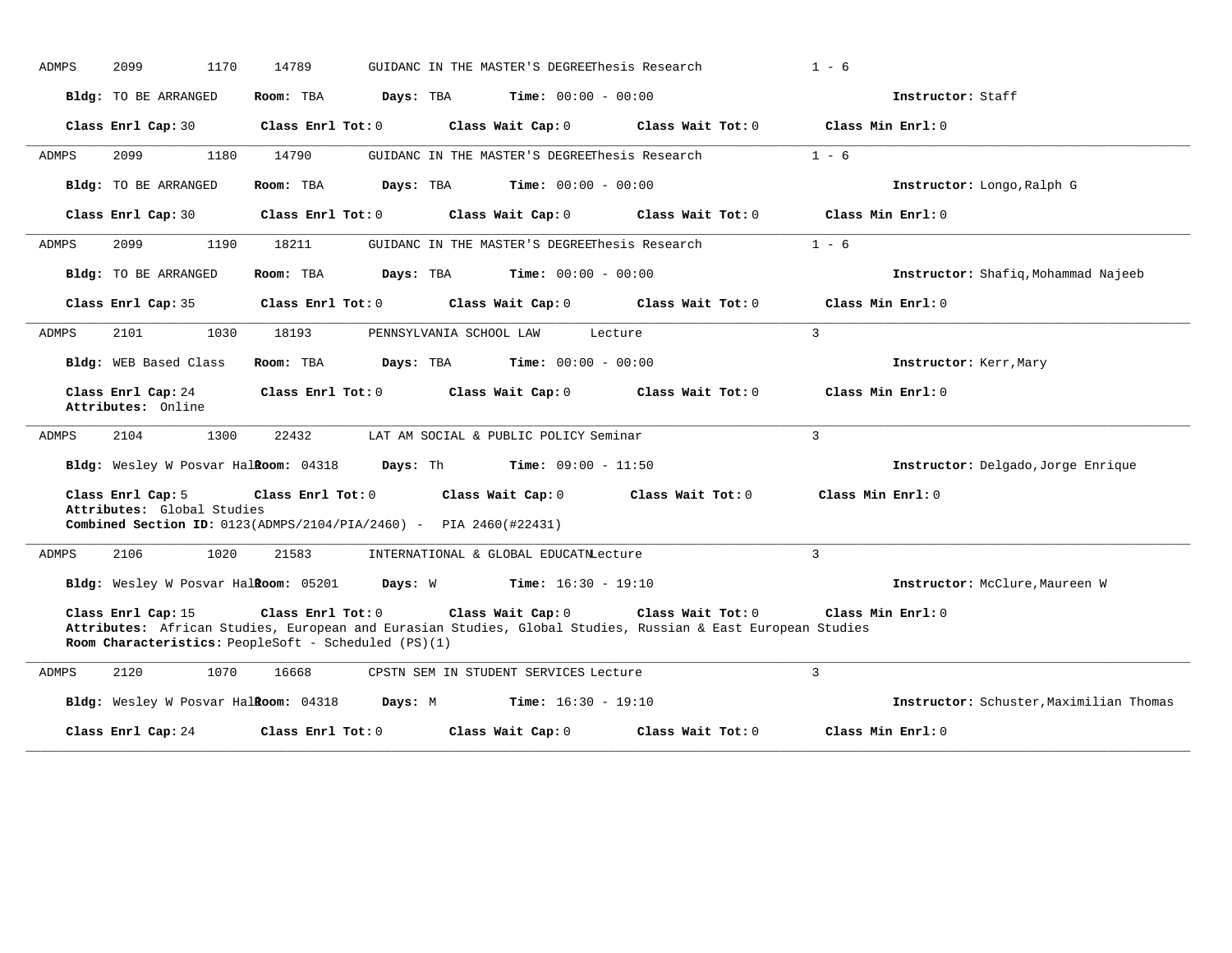|              | 2099                                                                       | 1170<br>14789     |                                                                            | GUIDANC IN THE MASTER'S DEGREEThesis Research |                                                                                                                                  | $1 - 6$                                 |
|--------------|----------------------------------------------------------------------------|-------------------|----------------------------------------------------------------------------|-----------------------------------------------|----------------------------------------------------------------------------------------------------------------------------------|-----------------------------------------|
|              | Bldg: TO BE ARRANGED                                                       | Room: TBA         | Days: TBA                                                                  | <b>Time:</b> $00:00 - 00:00$                  |                                                                                                                                  | Instructor: Staff                       |
|              | Class Enrl Cap: 30                                                         | Class Enrl Tot: 0 |                                                                            | Class Wait Cap: 0                             | Class Wait Tot: 0                                                                                                                | Class Min Enrl: 0                       |
| ADMPS        | 2099<br>1180                                                               | 14790             |                                                                            | GUIDANC IN THE MASTER'S DEGREEThesis Research |                                                                                                                                  | $1 - 6$                                 |
|              | Bldg: TO BE ARRANGED                                                       | Room: TBA         | Days: TBA                                                                  | <b>Time:</b> $00:00 - 00:00$                  |                                                                                                                                  | Instructor: Longo, Ralph G              |
|              | Class Enrl Cap: 30                                                         | Class Enrl Tot: 0 |                                                                            | Class Wait Cap: 0                             | Class Wait Tot: 0                                                                                                                | Class Min Enrl: 0                       |
| ADMPS        | 2099<br>1190                                                               | 18211             |                                                                            | GUIDANC IN THE MASTER'S DEGREEThesis Research |                                                                                                                                  | $1 - 6$                                 |
|              | Bldg: TO BE ARRANGED                                                       | Room: TBA         | Days: TBA                                                                  | <b>Time:</b> $00:00 - 00:00$                  |                                                                                                                                  | Instructor: Shafiq, Mohammad Najeeb     |
|              | Class Enrl Cap: 35                                                         | Class Enrl Tot: 0 |                                                                            | Class Wait Cap: 0                             | Class Wait Tot: 0                                                                                                                | Class Min Enrl: 0                       |
| <b>ADMPS</b> | 2101<br>1030                                                               | 18193             | PENNSYLVANIA SCHOOL LAW                                                    |                                               | Lecture                                                                                                                          | $\mathbf{3}$                            |
|              | Bldg: WEB Based Class                                                      | Room: TBA         | Days: TBA                                                                  | <b>Time:</b> $00:00 - 00:00$                  |                                                                                                                                  | Instructor: Kerr, Mary                  |
|              | Class Enrl Cap: 24                                                         | Class Enrl Tot: 0 |                                                                            | Class Wait Cap: 0                             | Class Wait Tot: 0                                                                                                                | Class Min Enrl: 0                       |
|              | Attributes: Online                                                         |                   |                                                                            |                                               |                                                                                                                                  |                                         |
| <b>ADMPS</b> | 2104<br>1300                                                               | 22432             |                                                                            | LAT AM SOCIAL & PUBLIC POLICY Seminar         |                                                                                                                                  | $\overline{3}$                          |
|              | Bldg: Wesley W Posvar Halkoom: 04318                                       |                   | Days: Th                                                                   | <b>Time:</b> $09:00 - 11:50$                  |                                                                                                                                  | Instructor: Delgado, Jorge Enrique      |
|              | Class Enrl Cap: 5<br>Attributes: Global Studies                            | Class Enrl Tot: 0 | <b>Combined Section ID:</b> $0123(ADMPS/2104/PIA/2460) - PIA 2460(#22431)$ | Class Wait Cap: 0                             | Class Wait Tot: 0                                                                                                                | Class Min Enrl: 0                       |
| ADMPS        | 1020<br>2106                                                               | 21583             |                                                                            | INTERNATIONAL & GLOBAL EDUCATNLecture         |                                                                                                                                  | $\mathbf{3}$                            |
|              | Bldg: Wesley W Posvar Halkoom: 05201                                       |                   | Days: W                                                                    | <b>Time:</b> $16:30 - 19:10$                  |                                                                                                                                  | Instructor: McClure, Maureen W          |
|              | Class Enrl Cap: 15<br>Room Characteristics: PeopleSoft - Scheduled (PS)(1) | Class Enrl Tot: 0 |                                                                            | Class Wait Cap: 0                             | Class Wait Tot: 0<br>Attributes: African Studies, European and Eurasian Studies, Global Studies, Russian & East European Studies | Class Min Enrl: 0                       |
| ADMPS        | 2120<br>1070                                                               | 16668             |                                                                            | CPSTN SEM IN STUDENT SERVICES Lecture         |                                                                                                                                  | $\overline{3}$                          |
|              | Bldg: Wesley W Posvar Halkoom: 04318                                       |                   | Days: M                                                                    | <b>Time:</b> $16:30 - 19:10$                  |                                                                                                                                  | Instructor: Schuster, Maximilian Thomas |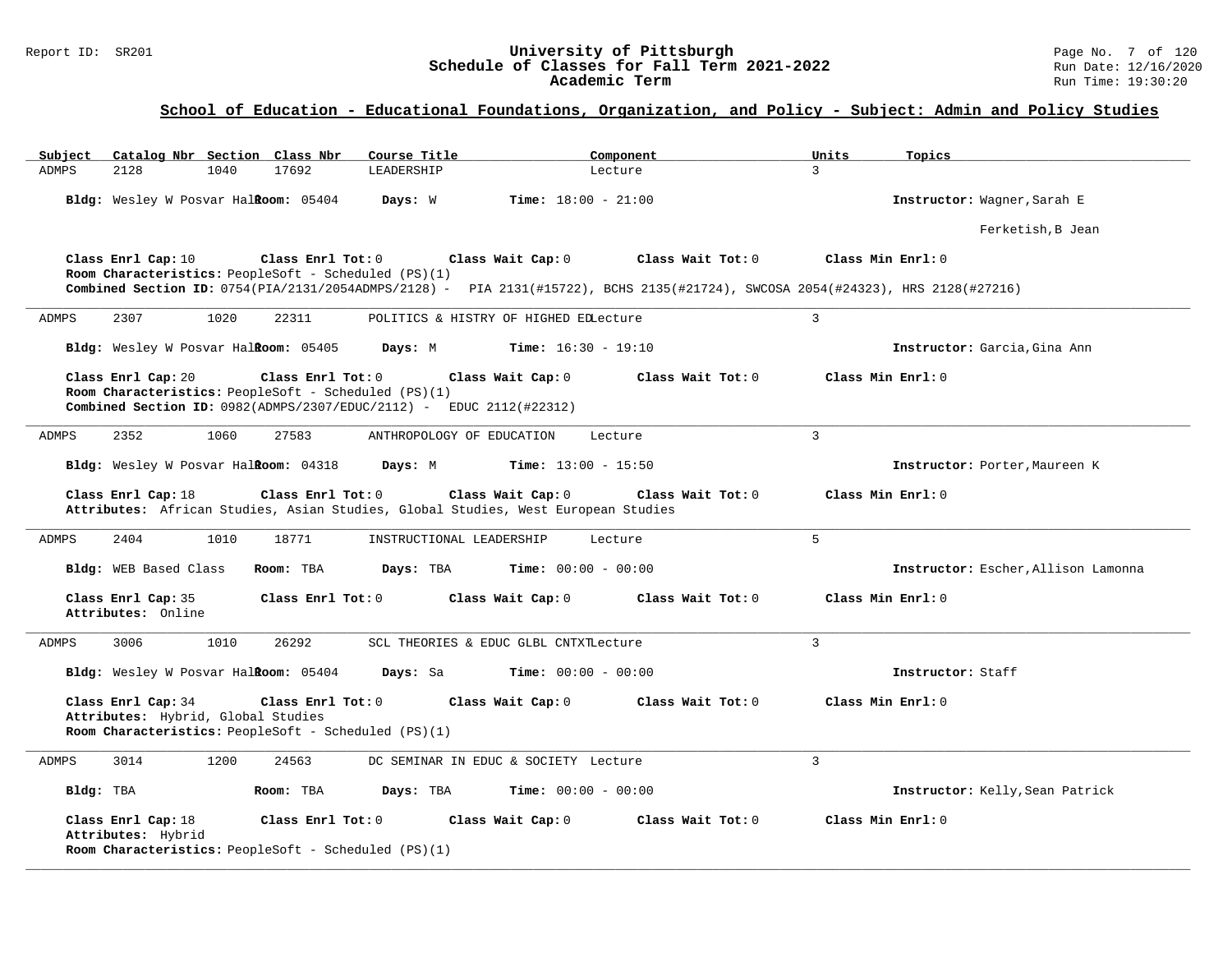#### Report ID: SR201 **University of Pittsburgh University of Pittsburgh** Page No. 7 of 120<br>**Schedule of Classes for Fall Term 2021-2022** Run Date: 12/16/2020 **Schedule of Classes for Fall Term 2021-2022** Run Date: 12/16/2020 **Academic Term** Run Time: 19:30:20

| Subject              |                                                          |      | Catalog Nbr Section Class Nbr                                             | Course Title                                                |                                                                                                        | Component                                                                                                                                            | Units          | Topics                              |
|----------------------|----------------------------------------------------------|------|---------------------------------------------------------------------------|-------------------------------------------------------------|--------------------------------------------------------------------------------------------------------|------------------------------------------------------------------------------------------------------------------------------------------------------|----------------|-------------------------------------|
| 2128<br><b>ADMPS</b> |                                                          | 1040 | 17692                                                                     | LEADERSHIP                                                  |                                                                                                        | Lecture                                                                                                                                              | $\mathcal{L}$  |                                     |
|                      |                                                          |      | Bldg: Wesley W Posvar Halkoom: 05404                                      | Days: W                                                     | <b>Time:</b> $18:00 - 21:00$                                                                           |                                                                                                                                                      |                | Instructor: Wagner, Sarah E         |
|                      |                                                          |      |                                                                           |                                                             |                                                                                                        |                                                                                                                                                      |                | Ferketish, B Jean                   |
|                      | Class Enrl Cap: 10                                       |      | Class Enrl Tot: 0<br>Room Characteristics: PeopleSoft - Scheduled (PS)(1) |                                                             | Class Wait Cap: 0                                                                                      | Class Wait Tot: 0<br>Combined Section ID: 0754(PIA/2131/2054ADMPS/2128) - PIA 2131(#15722), BCHS 2135(#21724), SWCOSA 2054(#24323), HRS 2128(#27216) |                | Class Min Enrl: 0                   |
| 2307<br>ADMPS        |                                                          | 1020 | 22311                                                                     |                                                             | POLITICS & HISTRY OF HIGHED EDLecture                                                                  |                                                                                                                                                      | $\mathbf{R}$   |                                     |
|                      |                                                          |      | Bldg: Wesley W Posvar Halkoom: 05405                                      | Days: M                                                     | <b>Time:</b> $16:30 - 19:10$                                                                           |                                                                                                                                                      |                | Instructor: Garcia, Gina Ann        |
| Class Enrl Cap: 20   |                                                          |      | Class Enrl Tot: 0                                                         | Room Characteristics: PeopleSoft - Scheduled (PS)(1)        | Class Wait Cap: 0<br>Combined Section ID: $0982(ADMPS/2307/EDUC/2112)$ - EDUC 2112(#22312)             | Class Wait Tot: 0                                                                                                                                    |                | Class Min Enrl: 0                   |
| 2352<br>ADMPS        |                                                          | 1060 | 27583                                                                     | ANTHROPOLOGY OF EDUCATION                                   |                                                                                                        | Lecture                                                                                                                                              | $\overline{3}$ |                                     |
|                      |                                                          |      | Bldg: Wesley W Posvar HalRoom: 04318                                      | Days: M                                                     | <b>Time:</b> $13:00 - 15:50$                                                                           |                                                                                                                                                      |                | Instructor: Porter, Maureen K       |
| Class Enrl Cap: 18   |                                                          |      | Class Enr1 Tot: 0                                                         |                                                             | Class Wait Cap: 0<br>Attributes: African Studies, Asian Studies, Global Studies, West European Studies | Class Wait $Tot: 0$                                                                                                                                  |                | Class Min Enrl: 0                   |
| 2404<br>ADMPS        |                                                          | 1010 | 18771                                                                     | INSTRUCTIONAL LEADERSHIP                                    |                                                                                                        | Lecture                                                                                                                                              | 5              |                                     |
|                      | Bldg: WEB Based Class                                    |      | Room: TBA                                                                 | Days: TBA                                                   | <b>Time:</b> $00:00 - 00:00$                                                                           |                                                                                                                                                      |                | Instructor: Escher, Allison Lamonna |
|                      | Class Enrl Cap: 35<br>Attributes: Online                 |      | Class Enrl Tot: 0                                                         |                                                             | Class Wait Cap: 0                                                                                      | Class Wait Tot: 0                                                                                                                                    |                | Class Min Enrl: 0                   |
| 3006<br>ADMPS        |                                                          | 1010 | 26292                                                                     |                                                             | SCL THEORIES & EDUC GLBL CNTXTLecture                                                                  |                                                                                                                                                      | 3              |                                     |
|                      |                                                          |      | Bldg: Wesley W Posvar HalRoom: 05404                                      | Days: Sa                                                    | <b>Time:</b> $00:00 - 00:00$                                                                           |                                                                                                                                                      |                | Instructor: Staff                   |
|                      | Class Enrl Cap: 34<br>Attributes: Hybrid, Global Studies |      | Class Enrl Tot: 0                                                         | Room Characteristics: PeopleSoft - Scheduled (PS)(1)        | Class Wait Cap: 0                                                                                      | Class Wait $Tot: 0$                                                                                                                                  |                | Class Min Enrl: 0                   |
| 3014<br>ADMPS        |                                                          | 1200 | 24563                                                                     |                                                             | DC SEMINAR IN EDUC & SOCIETY Lecture                                                                   |                                                                                                                                                      | 3              |                                     |
| Bldg: TBA            |                                                          |      | Room: TBA                                                                 | Days: TBA                                                   | <b>Time:</b> $00:00 - 00:00$                                                                           |                                                                                                                                                      |                | Instructor: Kelly, Sean Patrick     |
| Class Enrl Cap: 18   | Attributes: Hybrid                                       |      | Class Enrl Tot: 0                                                         | <b>Room Characteristics:</b> PeopleSoft - Scheduled (PS)(1) | Class Wait Cap: 0                                                                                      | Class Wait Tot: 0                                                                                                                                    |                | Class Min Enrl: 0                   |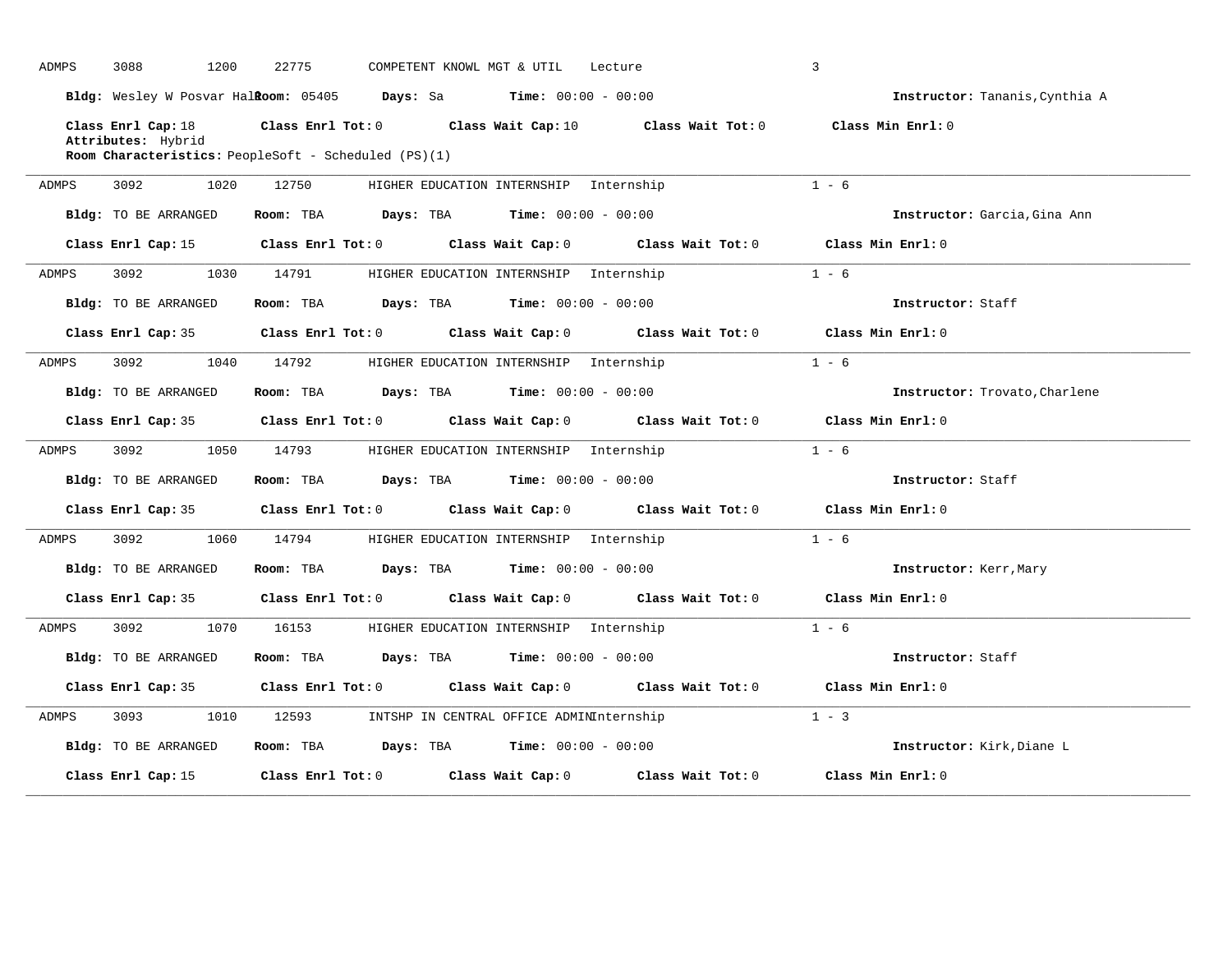| ADMPS | 3088<br>1200         | 22775                                                                                              | COMPETENT KNOWL MGT & UTIL                    | Lecture           | 3                                     |
|-------|----------------------|----------------------------------------------------------------------------------------------------|-----------------------------------------------|-------------------|---------------------------------------|
|       |                      | <b>Bldg:</b> Wesley W Posvar Hal <b>Room:</b> $05405$ <b>Days:</b> Sa <b>Time:</b> $00:00 - 00:00$ |                                               |                   | <b>Instructor:</b> Tananis, Cynthia A |
|       | Class Enrl Cap: 18   | Class Enrl Tot: $0$ Class Wait Cap: $10$ Class Wait Tot: $0$                                       |                                               |                   | Class Min Enrl: 0                     |
|       | Attributes: Hybrid   | Room Characteristics: PeopleSoft - Scheduled (PS)(1)                                               |                                               |                   |                                       |
|       |                      |                                                                                                    |                                               |                   |                                       |
| ADMPS | 3092<br>1020         | 12750                                                                                              | HIGHER EDUCATION INTERNSHIP Internship        |                   | $1 - 6$                               |
|       | Bldg: TO BE ARRANGED | Room: TBA                                                                                          | <b>Days:</b> TBA <b>Time:</b> $00:00 - 00:00$ |                   | Instructor: Garcia, Gina Ann          |
|       | Class Enrl Cap: 15   | Class Enrl Tot: $0$ Class Wait Cap: $0$ Class Wait Tot: $0$ Class Min Enrl: $0$                    |                                               |                   |                                       |
| ADMPS | 3092 200<br>1030     | 14791                                                                                              | HIGHER EDUCATION INTERNSHIP Internship        |                   | $1 - 6$                               |
|       | Bldg: TO BE ARRANGED | Room: TBA $Days:$ TBA $Time: 00:00 - 00:00$                                                        |                                               |                   | Instructor: Staff                     |
|       | Class Enrl Cap: 35   | Class Enrl Tot: 0 Class Wait Cap: 0                                                                |                                               | Class Wait Tot: 0 | Class Min Enrl: 0                     |
| ADMPS | 3092<br>1040         | 14792                                                                                              | HIGHER EDUCATION INTERNSHIP Internship        |                   | $1 - 6$                               |
|       | Bldg: TO BE ARRANGED | Room: TBA $Days:$ TBA $Time: 00:00 - 00:00$                                                        |                                               |                   | Instructor: Trovato, Charlene         |
|       | Class Enrl Cap: 35   | Class Enrl Tot: 0 Class Wait Cap: 0 Class Wait Tot: 0 Class Min Enrl: 0                            |                                               |                   |                                       |
| ADMPS | 3092<br>1050         | 14793                                                                                              | HIGHER EDUCATION INTERNSHIP Internship        |                   | $1 - 6$                               |
|       | Bldg: TO BE ARRANGED | Room: TBA                                                                                          | <b>Days:</b> TBA <b>Time:</b> $00:00 - 00:00$ |                   | Instructor: Staff                     |
|       | Class Enrl Cap: 35   | Class Enrl Tot: 0 Class Wait Cap: 0 Class Wait Tot: 0                                              |                                               |                   | Class Min Enrl: 0                     |
| ADMPS | 3092<br>1060         | 14794                                                                                              | HIGHER EDUCATION INTERNSHIP Internship        |                   | $1 - 6$                               |
|       | Bldg: TO BE ARRANGED | Room: TBA $Days:$ TBA $Time: 00:00 - 00:00$                                                        |                                               |                   | Instructor: Kerr, Mary                |
|       | Class Enrl Cap: 35   | Class Enrl Tot: 0 Class Wait Cap: 0 Class Wait Tot: 0 Class Min Enrl: 0                            |                                               |                   |                                       |
| ADMPS | 3092<br>1070         | 16153                                                                                              | HIGHER EDUCATION INTERNSHIP Internship        |                   | $1 - 6$                               |
|       | Bldg: TO BE ARRANGED | Room: TBA                                                                                          | <b>Days:</b> TBA <b>Time:</b> $00:00 - 00:00$ |                   | Instructor: Staff                     |
|       | Class Enrl Cap: 35   | Class Enrl Tot: 0 Class Wait Cap: 0 Class Wait Tot: 0                                              |                                               |                   | Class Min Enrl: 0                     |
| ADMPS | 3093<br>1010         | 12593                                                                                              | INTSHP IN CENTRAL OFFICE ADMINInternship      |                   | $1 - 3$                               |
|       | Bldg: TO BE ARRANGED | Room: TBA $Days:$ TBA $Time: 00:00 - 00:00$                                                        |                                               |                   | Instructor: Kirk, Diane L             |
|       | Class Enrl Cap: 15   | Class Enrl Tot: 0 Class Wait Cap: 0 Class Wait Tot: 0                                              |                                               |                   | Class Min Enrl: 0                     |
|       |                      |                                                                                                    |                                               |                   |                                       |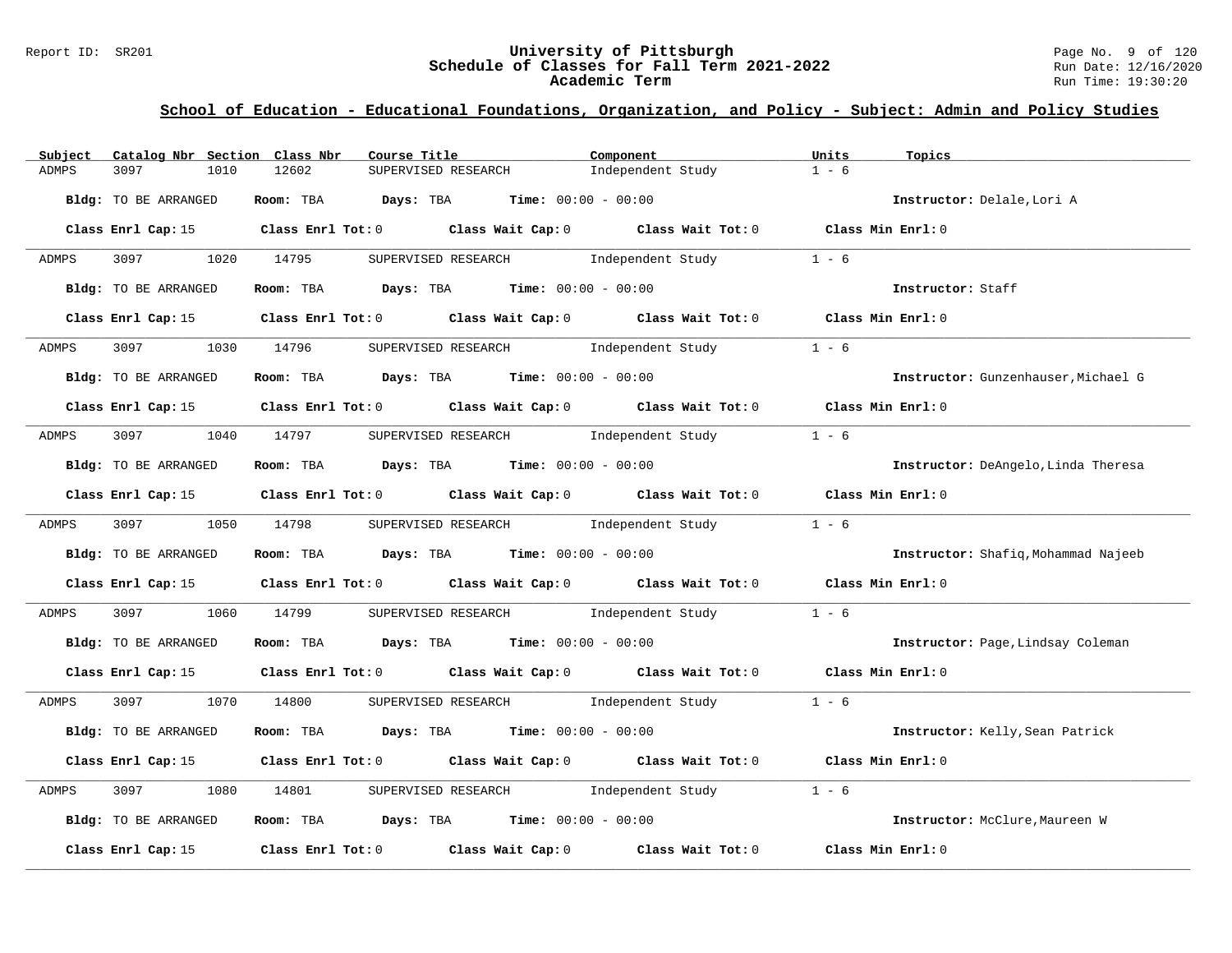#### Report ID: SR201 **University of Pittsburgh University of Pittsburgh** Page No. 9 of 120<br>**Schedule of Classes for Fall Term 2021-2022** Run Date: 12/16/2020 **Schedule of Classes for Fall Term 2021-2022** Run Date: 12/16/2020 **Academic Term** Run Time: 19:30:20

| Catalog Nbr Section Class Nbr<br>Subject | Course Title                                                                                    | Component         | Units<br>Topics                     |
|------------------------------------------|-------------------------------------------------------------------------------------------------|-------------------|-------------------------------------|
| 3097<br>1010<br>ADMPS                    | 12602<br>SUPERVISED RESEARCH                                                                    | Independent Study | $1 - 6$                             |
| Bldg: TO BE ARRANGED                     | Room: TBA Days: TBA<br><b>Time:</b> $00:00 - 00:00$                                             |                   | Instructor: Delale, Lori A          |
|                                          | Class Enrl Cap: 15 (Class Enrl Tot: 0 (Class Wait Cap: 0 (Class Wait Tot: 0 (Class Min Enrl: 0  |                   |                                     |
| 3097<br>ADMPS                            | 1020 14795<br>SUPERVISED RESEARCH 1ndependent Study                                             |                   | $1 - 6$                             |
| Bldg: TO BE ARRANGED                     | Room: TBA $Days:$ TBA $Time: 00:00 - 00:00$                                                     |                   | Instructor: Staff                   |
|                                          | Class Enrl Cap: 15 Class Enrl Tot: 0 Class Wait Cap: 0 Class Wait Tot: 0 Class Min Enrl: 0      |                   |                                     |
| 3097<br>ADMPS                            | 1030 14796<br>SUPERVISED RESEARCH 1ndependent Study                                             |                   | $1 - 6$                             |
| Bldg: TO BE ARRANGED                     | Room: TBA $Days:$ TBA $Time: 00:00 - 00:00$                                                     |                   | Instructor: Gunzenhauser, Michael G |
|                                          | Class Enrl Cap: 15 (class Enrl Tot: 0 (class Wait Cap: 0 (class Wait Tot: 0 (class Min Enrl: 0) |                   |                                     |
| 3097 300<br>ADMPS                        | SUPERVISED RESEARCH 1ndependent Study<br>1040 14797                                             |                   | $1 - 6$                             |
| Bldg: TO BE ARRANGED                     | Room: TBA $\rule{1em}{0.15mm}$ Days: TBA $\rule{1.15mm}]{0.15mm}$ Time: $0.000 - 0.0000$        |                   | Instructor: DeAngelo, Linda Theresa |
|                                          | Class Enrl Cap: 15 Class Enrl Tot: 0 Class Wait Cap: 0 Class Wait Tot: 0 Class Min Enrl: 0      |                   |                                     |
| 3097<br>ADMPS                            | SUPERVISED RESEARCH 1 - 6 Independent Study 1 - 6<br>1050 14798                                 |                   |                                     |
| Bldg: TO BE ARRANGED                     | Room: TBA $Days:$ TBA $Time: 00:00 - 00:00$                                                     |                   | Instructor: Shafiq, Mohammad Najeeb |
|                                          | Class Enrl Cap: 15 Class Enrl Tot: 0 Class Wait Cap: 0 Class Wait Tot: 0 Class Min Enrl: 0      |                   |                                     |
| ADMPS<br>3097<br>1060                    | SUPERVISED RESEARCH Manufacturer Independent Study<br>14799                                     |                   | $1 - 6$                             |
| Bldg: TO BE ARRANGED                     | Room: TBA $Days:$ TBA $Time: 00:00 - 00:00$                                                     |                   | Instructor: Page, Lindsay Coleman   |
|                                          | Class Enrl Cap: 15 Class Enrl Tot: 0 Class Wait Cap: 0 Class Wait Tot: 0 Class Min Enrl: 0      |                   |                                     |
| 3097<br>ADMPS                            | 1070 14800<br>SUPERVISED RESEARCH 1 - 6                                                         |                   |                                     |
| Bldg: TO BE ARRANGED                     | Room: TBA $Days:$ TBA $Time: 00:00 - 00:00$                                                     |                   | Instructor: Kelly, Sean Patrick     |
|                                          | Class Enrl Cap: 15 Class Enrl Tot: 0 Class Wait Cap: 0 Class Wait Tot: 0 Class Min Enrl: 0      |                   |                                     |
| ADMPS<br>3097<br>1080                    | SUPERVISED RESEARCH 1ndependent Study<br>14801                                                  |                   | $1 - 6$                             |
| Bldg: TO BE ARRANGED                     | Room: TBA $Days:$ TBA $Time: 00:00 - 00:00$                                                     |                   | Instructor: McClure, Maureen W      |
| Class Enrl Cap: 15                       | Class Enrl Tot: $0$ Class Wait Cap: $0$ Class Wait Tot: $0$                                     |                   | Class Min Enrl: 0                   |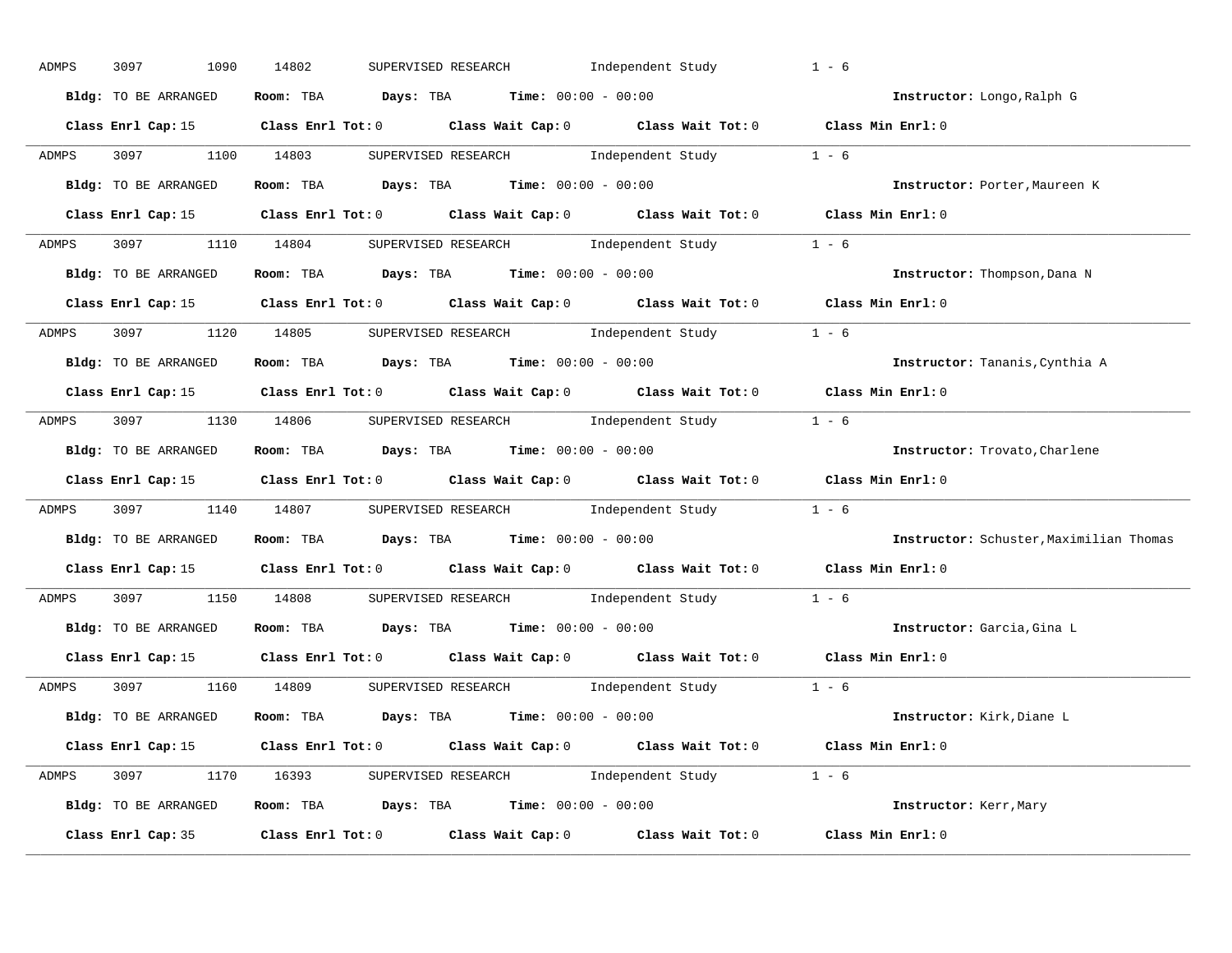| ADMPS        | 3097<br>1090         | 14802<br>SUPERVISED RESEARCH<br>Independent Study                                                   | $1 - 6$           |                                         |
|--------------|----------------------|-----------------------------------------------------------------------------------------------------|-------------------|-----------------------------------------|
|              | Bldg: TO BE ARRANGED | Room: TBA $Days:$ TBA $Time: 00:00 - 00:00$                                                         |                   | Instructor: Longo, Ralph G              |
|              |                      | Class Enrl Cap: 15 (Class Enrl Tot: 0 (Class Wait Cap: 0 (Class Wait Tot: 0 (Class Min Enrl: 0)     |                   |                                         |
| ADMPS        | 3097 1100 14803      | SUPERVISED RESEARCH Modern Independent Study 1 - 6                                                  |                   |                                         |
|              | Bldg: TO BE ARRANGED | Room: TBA $\rule{1em}{0.15mm}$ Days: TBA Time: $00:00 - 00:00$                                      |                   | Instructor: Porter, Maureen K           |
|              |                      | Class Enrl Cap: 15 Class Enrl Tot: 0 Class Wait Cap: 0 Class Wait Tot: 0 Class Min Enrl: 0          |                   |                                         |
| ADMPS        |                      | 3097 1110 14804 SUPERVISED RESEARCH Independent Study 1 - 6                                         |                   |                                         |
|              |                      | <b>Bldg:</b> TO BE ARRANGED <b>ROOM:</b> TBA <b>Days:</b> TBA <b>Time:</b> $00:00 - 00:00$          |                   | Instructor: Thompson, Dana N            |
|              |                      | Class Enrl Cap: 15 Class Enrl Tot: 0 Class Wait Cap: 0 Class Wait Tot: 0 Class Min Enrl: 0          |                   |                                         |
| <b>ADMPS</b> |                      | 3097 1120 14805 SUPERVISED RESEARCH Independent Study 1 - 6                                         |                   |                                         |
|              | Bldg: TO BE ARRANGED | Room: TBA $\rule{1em}{0.15mm}$ Days: TBA $\rule{1.5mm}{0.15mm}$ Time: $00:00 - 00:00$               |                   | Instructor: Tananis, Cynthia A          |
|              |                      | Class Enrl Cap: 15 Class Enrl Tot: 0 Class Wait Cap: 0 Class Wait Tot: 0 Class Min Enrl: 0          |                   |                                         |
|              |                      | ADMPS 3097 1130 14806 SUPERVISED RESEARCH Independent Study 1 - 6                                   |                   |                                         |
|              | Bldg: TO BE ARRANGED | Room: TBA $Days:$ TBA Time: $00:00 - 00:00$                                                         |                   | Instructor: Trovato, Charlene           |
|              |                      | Class Enrl Cap: 15 Class Enrl Tot: 0 Class Wait Cap: 0 Class Wait Tot: 0 Class Min Enrl: 0          |                   |                                         |
| ADMPS        |                      | 3097 1140 14807 SUPERVISED RESEARCH Independent Study 1 - 6                                         |                   |                                         |
|              | Bldg: TO BE ARRANGED | Room: TBA $Days:$ TBA Time: $00:00 - 00:00$                                                         |                   | Instructor: Schuster, Maximilian Thomas |
|              |                      | Class Enrl Cap: 15 $\qquad$ Class Enrl Tot: 0 $\qquad$ Class Wait Cap: 0 $\qquad$ Class Wait Tot: 0 | Class Min Enrl: 0 |                                         |
| ADMPS        |                      | 3097 1150 14808 SUPERVISED RESEARCH Independent Study 1 - 6                                         |                   |                                         |
|              | Bldg: TO BE ARRANGED | Room: TBA $\rule{1em}{0.15mm}$ Days: TBA Time: $00:00 - 00:00$                                      |                   | Instructor: Garcia, Gina L              |
|              | Class Enrl Cap: 15   | Class Enrl Tot: $0$ Class Wait Cap: $0$ Class Wait Tot: $0$                                         | Class Min Enrl: 0 |                                         |
| ADMPS        |                      | 3097 1160 14809 SUPERVISED RESEARCH Independent Study 1 - 6                                         |                   |                                         |
|              | Bldg: TO BE ARRANGED | Room: TBA $Days: TBA$ Time: $00:00 - 00:00$                                                         |                   | Instructor: Kirk, Diane L               |
|              |                      | Class Enrl Cap: 15 (Class Enrl Tot: 0 (Class Wait Cap: 0 (Class Wait Tot: 0 (Class Min Enrl: 0)     |                   |                                         |
|              |                      | ADMPS 3097 1170 16393 SUPERVISED RESEARCH Independent Study 1 - 6                                   |                   |                                         |
|              | Bldg: TO BE ARRANGED | Room: TBA $Days: TBA$ Time: $00:00 - 00:00$                                                         |                   | Instructor: Kerr, Mary                  |
|              |                      | Class Enrl Cap: 35 Class Enrl Tot: 0 Class Wait Cap: 0 Class Wait Tot: 0 Class Min Enrl: 0          |                   |                                         |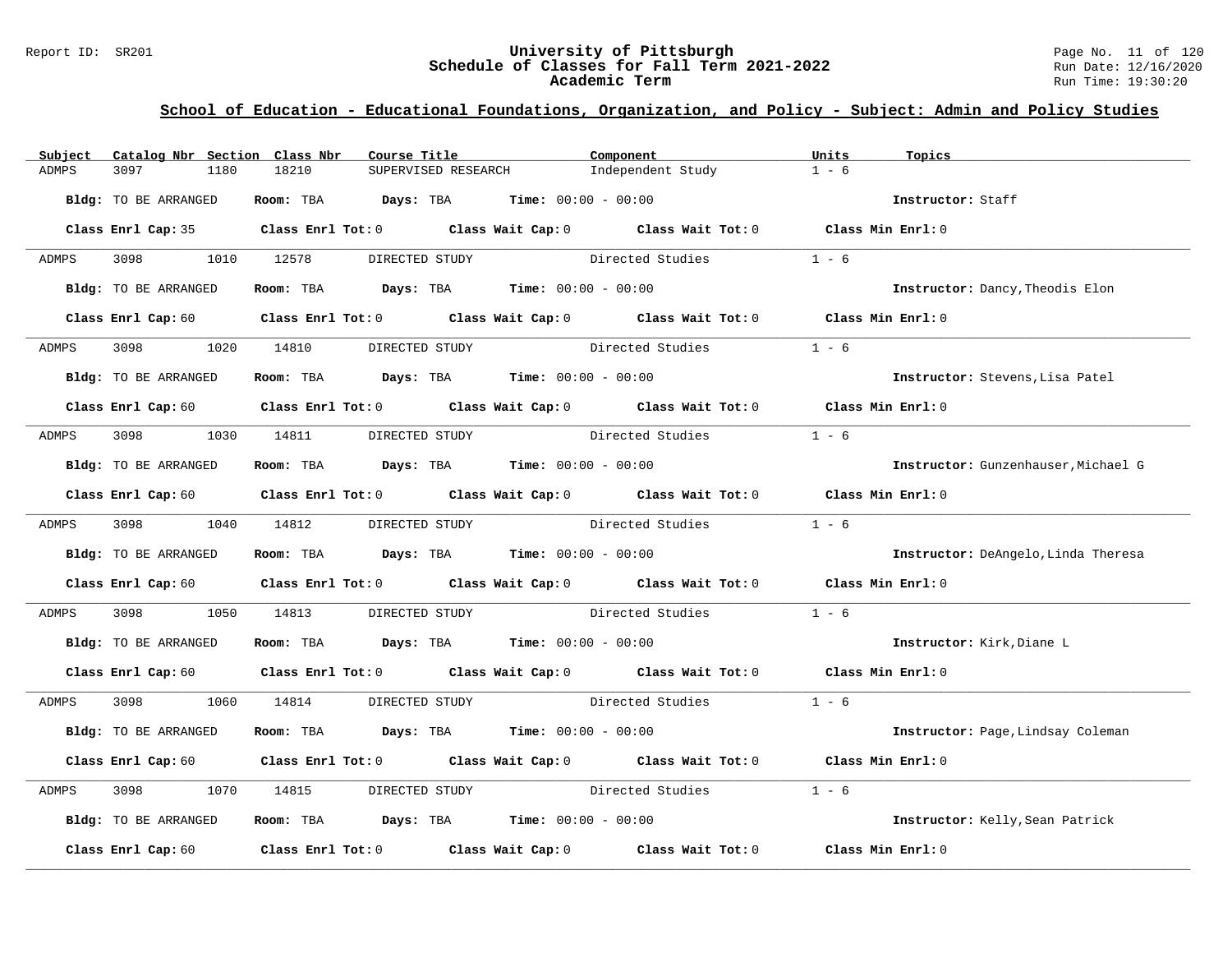#### Report ID: SR201 **University of Pittsburgh University of Pittsburgh** Page No. 11 of 120<br>**Schedule of Classes for Fall Term 2021-2022** Run Date: 12/16/2020 **Schedule of Classes for Fall Term 2021-2022** Run Date: 12/16/2020 **Academic Term** Run Time: 19:30:20

| Subject      | Catalog Nbr Section Class Nbr | Course Title                                | Component                                                                                                                      | Units<br>Topics                     |
|--------------|-------------------------------|---------------------------------------------|--------------------------------------------------------------------------------------------------------------------------------|-------------------------------------|
| <b>ADMPS</b> | 3097<br>1180                  | 18210<br>SUPERVISED RESEARCH                | Independent Study                                                                                                              | $1 - 6$                             |
|              | Bldg: TO BE ARRANGED          | Room: TBA $Days:$ TBA $Time: 00:00 - 00:00$ |                                                                                                                                | Instructor: Staff                   |
|              |                               |                                             | Class Enrl Cap: 35 Class Enrl Tot: 0 Class Wait Cap: 0 Class Wait Tot: 0 Class Min Enrl: 0                                     |                                     |
| ADMPS        | 3098                          | 1010 12578<br>DIRECTED STUDY                | Directed Studies                                                                                                               | $1 - 6$                             |
|              | Bldg: TO BE ARRANGED          | Room: TBA $Days:$ TBA $Time: 00:00 - 00:00$ |                                                                                                                                | Instructor: Dancy, Theodis Elon     |
|              |                               |                                             | Class Enrl Cap: 60 $\qquad$ Class Enrl Tot: 0 $\qquad$ Class Wait Cap: 0 $\qquad$ Class Wait Tot: 0 $\qquad$ Class Min Enrl: 0 |                                     |
| ADMPS        | 3098 300                      | 1020 14810<br>DIRECTED STUDY                | Directed Studies                                                                                                               | $1 - 6$                             |
|              | Bldg: TO BE ARRANGED          | Room: TBA $Days:$ TBA $Time: 00:00 - 00:00$ |                                                                                                                                | Instructor: Stevens, Lisa Patel     |
|              |                               |                                             | Class Enrl Cap: 60 $\qquad$ Class Enrl Tot: 0 $\qquad$ Class Wait Cap: 0 $\qquad$ Class Wait Tot: 0 $\qquad$ Class Min Enrl: 0 |                                     |
| ADMPS        |                               | 3098 1030 14811 DIRECTED STUDY              | Directed Studies                                                                                                               | $1 - 6$                             |
|              | Bldg: TO BE ARRANGED          | Room: TBA $Days:$ TBA $Time: 00:00 - 00:00$ |                                                                                                                                | Instructor: Gunzenhauser, Michael G |
|              |                               |                                             | Class Enrl Cap: 60 $\qquad$ Class Enrl Tot: 0 $\qquad$ Class Wait Cap: 0 $\qquad$ Class Wait Tot: 0 $\qquad$ Class Min Enrl: 0 |                                     |
| ADMPS        | 3098 1040 14812               | DIRECTED STUDY                              | Directed Studies                                                                                                               | $1 - 6$                             |
|              | Bldg: TO BE ARRANGED          | Room: TBA $Days:$ TBA $Time: 00:00 - 00:00$ |                                                                                                                                | Instructor: DeAngelo, Linda Theresa |
|              |                               |                                             | Class Enrl Cap: 60 $\qquad$ Class Enrl Tot: 0 $\qquad$ Class Wait Cap: 0 $\qquad$ Class Wait Tot: 0 $\qquad$ Class Min Enrl: 0 |                                     |
| ADMPS        | 3098<br>1050                  | 14813                                       | DIRECTED STUDY Directed Studies                                                                                                | $1 - 6$                             |
|              | Bldg: TO BE ARRANGED          | Room: TBA $Days:$ TBA $Time: 00:00 - 00:00$ |                                                                                                                                | Instructor: Kirk, Diane L           |
|              |                               |                                             | Class Enrl Cap: 60 $\qquad$ Class Enrl Tot: 0 $\qquad$ Class Wait Cap: 0 $\qquad$ Class Wait Tot: 0 $\qquad$ Class Min Enrl: 0 |                                     |
| ADMPS        | 3098 300                      |                                             | 1060 14814 DIRECTED STUDY Directed Studies 1 - 6                                                                               |                                     |
|              | Bldg: TO BE ARRANGED          | Room: TBA $Days:$ TBA $Time: 00:00 - 00:00$ |                                                                                                                                | Instructor: Page, Lindsay Coleman   |
|              |                               |                                             | Class Enrl Cap: 60 $\qquad$ Class Enrl Tot: 0 $\qquad$ Class Wait Cap: 0 $\qquad$ Class Wait Tot: 0 $\qquad$ Class Min Enrl: 0 |                                     |
| ADMPS        | 3098<br>1070                  | 14815                                       | DIRECTED STUDY Directed Studies                                                                                                | $1 - 6$                             |
|              | Bldg: TO BE ARRANGED          | Room: TBA $Days:$ TBA $Time: 00:00 - 00:00$ |                                                                                                                                | Instructor: Kelly, Sean Patrick     |
|              |                               |                                             | Class Enrl Cap: 60 Class Enrl Tot: 0 Class Wait Cap: 0 Class Wait Tot: 0 Class Min Enrl: 0                                     |                                     |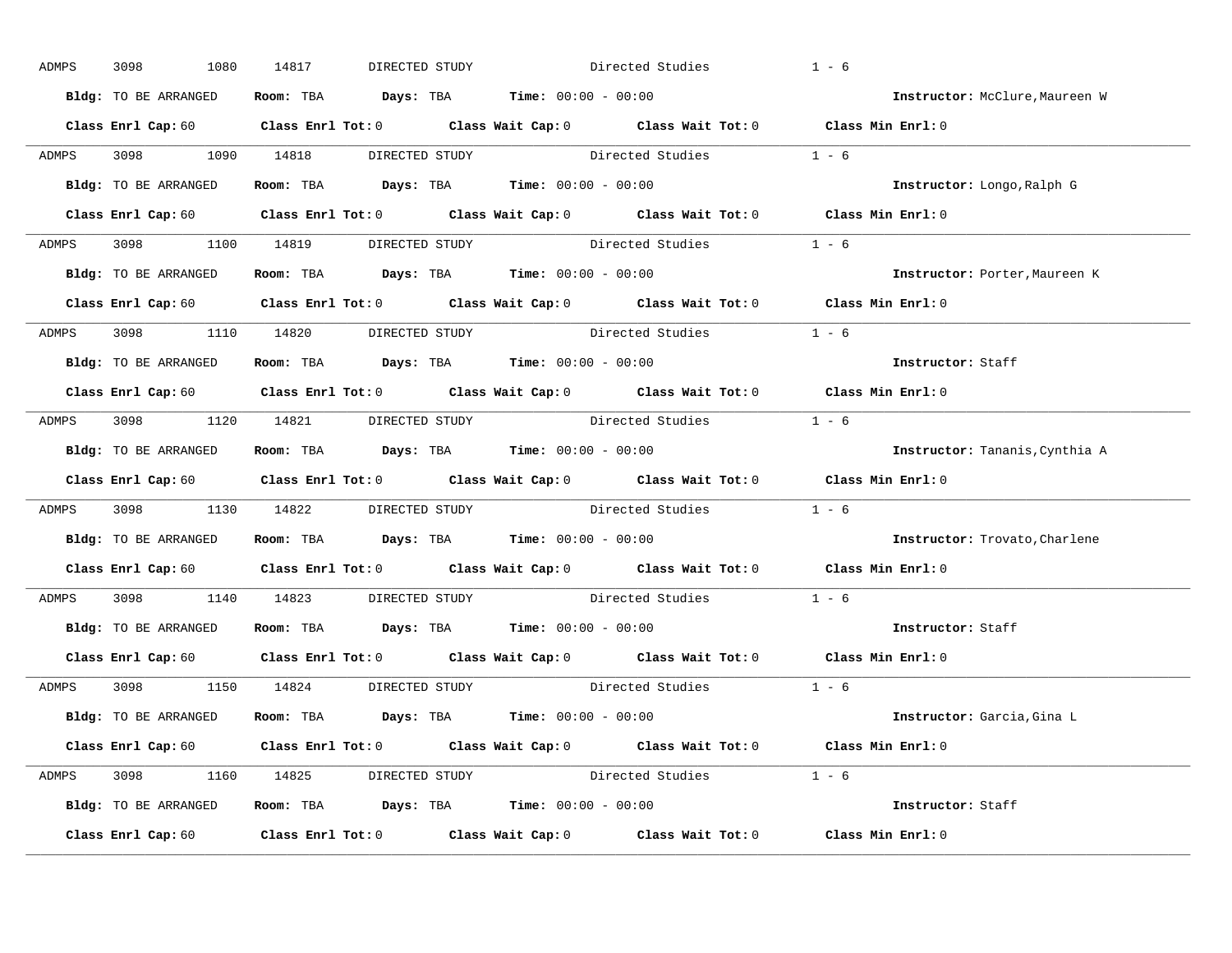| ADMPS | 3098<br>1080         | 14817<br>DIRECTED STUDY              |                                                                                                                                | Directed Studies       | $1 - 6$                              |
|-------|----------------------|--------------------------------------|--------------------------------------------------------------------------------------------------------------------------------|------------------------|--------------------------------------|
|       | Bldg: TO BE ARRANGED |                                      | Room: TBA $Days:$ TBA $Time: 00:00 - 00:00$                                                                                    |                        | Instructor: McClure, Maureen W       |
|       |                      |                                      | Class Enrl Cap: 60 $\qquad$ Class Enrl Tot: 0 $\qquad$ Class Wait Cap: 0 $\qquad$ Class Wait Tot: 0 $\qquad$ Class Min Enrl: 0 |                        |                                      |
|       |                      |                                      | ADMPS 3098 1090 14818 DIRECTED STUDY Directed Studies 1 - 6                                                                    |                        |                                      |
|       | Bldg: TO BE ARRANGED |                                      | Room: TBA $Days:$ TBA Time: $00:00 - 00:00$                                                                                    |                        | Instructor: Longo, Ralph G           |
|       |                      |                                      | Class Enrl Cap: 60 Class Enrl Tot: 0 Class Wait Cap: 0 Class Wait Tot: 0 Class Min Enrl: 0                                     |                        |                                      |
|       |                      |                                      | ADMPS 3098 1100 14819 DIRECTED STUDY Directed Studies 1 - 6                                                                    |                        |                                      |
|       |                      |                                      | Bldg: TO BE ARRANGED Room: TBA Days: TBA Time: 00:00 - 00:00                                                                   |                        | Instructor: Porter, Maureen K        |
|       |                      |                                      | Class Enrl Cap: 60 Class Enrl Tot: 0 Class Wait Cap: 0 Class Wait Tot: 0 Class Min Enrl: 0                                     |                        |                                      |
|       |                      | ADMPS 3098 1110 14820 DIRECTED STUDY |                                                                                                                                | Directed Studies 1 - 6 |                                      |
|       | Bldg: TO BE ARRANGED |                                      | Room: TBA $\rule{1em}{0.15mm}$ Days: TBA $\rule{1.5mm}{0.15mm}$ Time: $00:00 - 00:00$                                          |                        | Instructor: Staff                    |
|       |                      |                                      | Class Enrl Cap: 60 Class Enrl Tot: 0 Class Wait Cap: 0 Class Wait Tot: 0 Class Min Enrl: 0                                     |                        |                                      |
|       |                      |                                      | ADMPS 3098 1120 14821 DIRECTED STUDY Directed Studies 1 - 6                                                                    |                        |                                      |
|       | Bldg: TO BE ARRANGED |                                      | Room: TBA $\rule{1em}{0.15mm}$ Days: TBA $\rule{1.5mm}{0.15mm}$ Time: $00:00 - 00:00$                                          |                        | Instructor: Tananis, Cynthia A       |
|       |                      |                                      | Class Enrl Cap: 60 $\qquad$ Class Enrl Tot: 0 $\qquad$ Class Wait Cap: 0 $\qquad$ Class Wait Tot: 0 $\qquad$ Class Min Enrl: 0 |                        |                                      |
| ADMPS |                      |                                      | 3098 1130 14822 DIRECTED STUDY Directed Studies 1 - 6                                                                          |                        |                                      |
|       |                      |                                      | Bldg: TO BE ARRANGED ROOM: TBA Days: TBA Time: 00:00 - 00:00                                                                   |                        | <b>Instructor:</b> Trovato, Charlene |
|       |                      |                                      | Class Enrl Cap: 60 $\qquad$ Class Enrl Tot: 0 $\qquad$ Class Wait Cap: 0 $\qquad$ Class Wait Tot: 0                            |                        | Class Min Enrl: 0                    |
| ADMPS |                      |                                      | 3098 1140 14823 DIRECTED STUDY Directed Studies 1 - 6                                                                          |                        |                                      |
|       |                      |                                      |                                                                                                                                |                        |                                      |
|       |                      |                                      | Bldg: TO BE ARRANGED Room: TBA Days: TBA Time: 00:00 - 00:00                                                                   |                        | Instructor: Staff                    |
|       |                      |                                      | Class Enrl Cap: 60 $\qquad$ Class Enrl Tot: 0 $\qquad$ Class Wait Cap: 0 $\qquad$ Class Wait Tot: 0 $\qquad$ Class Min Enrl: 0 |                        |                                      |
|       |                      | ADMPS 3098 1150 14824 DIRECTED STUDY |                                                                                                                                | Directed Studies 1 - 6 |                                      |
|       |                      |                                      | Bldg: TO BE ARRANGED Room: TBA Days: TBA Time: 00:00 - 00:00                                                                   |                        | Instructor: Garcia, Gina L           |
|       |                      |                                      | Class Enrl Cap: 60 $\qquad$ Class Enrl Tot: 0 $\qquad$ Class Wait Cap: 0 $\qquad$ Class Wait Tot: 0 $\qquad$ Class Min Enrl: 0 |                        |                                      |
|       |                      |                                      | ADMPS 3098 1160 14825 DIRECTED STUDY Directed Studies 1 - 6                                                                    |                        |                                      |
|       |                      |                                      | Bldg: TO BE ARRANGED Room: TBA Days: TBA Time: 00:00 - 00:00                                                                   |                        | Instructor: Staff                    |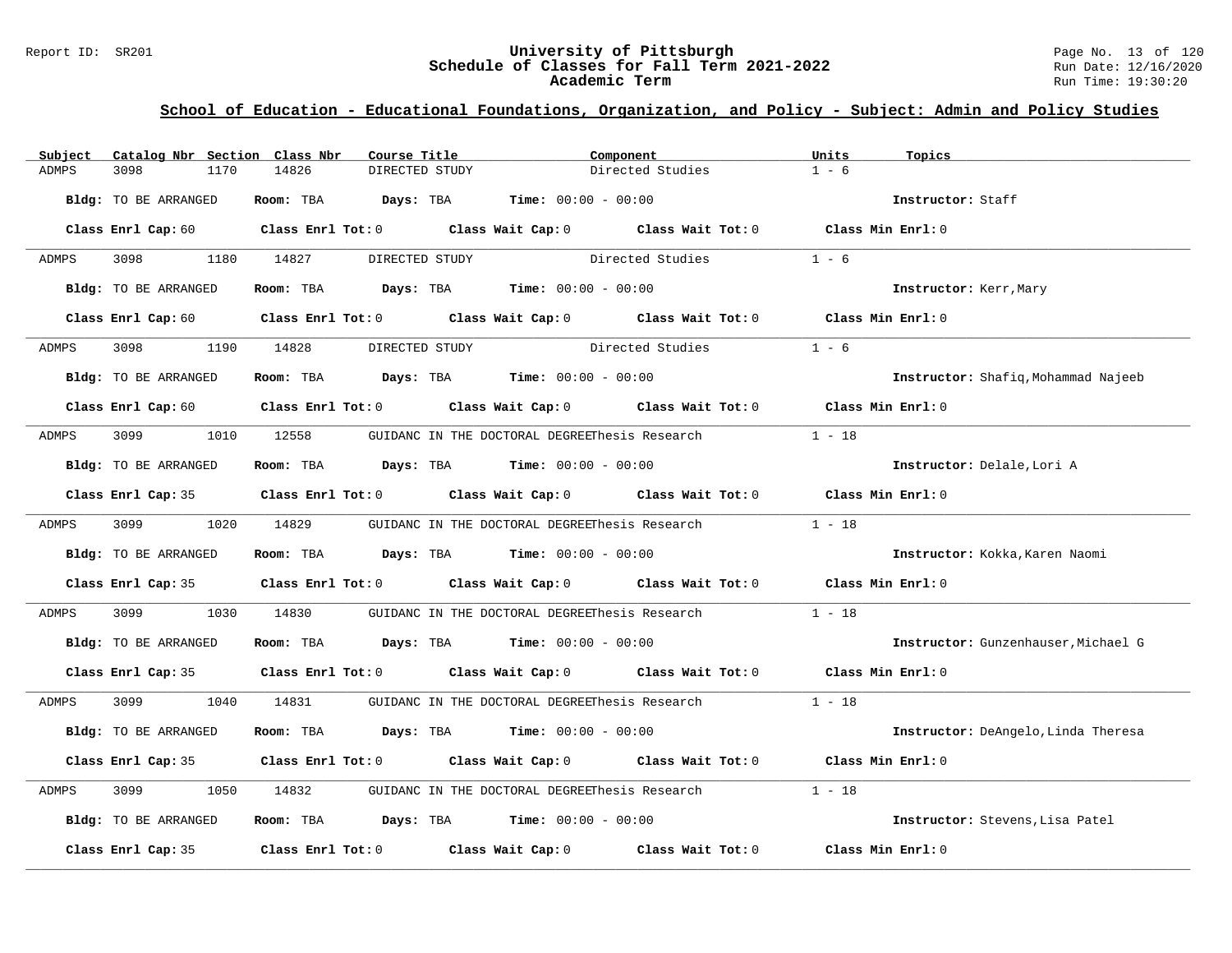#### Report ID: SR201 **University of Pittsburgh University of Pittsburgh** Page No. 13 of 120<br>**Schedule of Classes for Fall Term 2021-2022** Run Date: 12/16/2020 **Schedule of Classes for Fall Term 2021-2022** Run Date: 12/16/2020 **Academic Term** Run Time: 19:30:20

| Subject | Catalog Nbr Section Class Nbr | Course Title                                             |                | Component                                                                                                                      | Units<br>Topics   |                                     |
|---------|-------------------------------|----------------------------------------------------------|----------------|--------------------------------------------------------------------------------------------------------------------------------|-------------------|-------------------------------------|
| ADMPS   | 3098<br>1170                  | 14826                                                    | DIRECTED STUDY | Directed Studies                                                                                                               | $1 - 6$           |                                     |
|         | Bldg: TO BE ARRANGED          | Room: TBA $Days:$ TBA $Time: 00:00 - 00:00$              |                |                                                                                                                                |                   | Instructor: Staff                   |
|         |                               |                                                          |                | Class Enrl Cap: 60 Class Enrl Tot: 0 Class Wait Cap: 0 Class Wait Tot: 0 Class Min Enrl: 0                                     |                   |                                     |
| ADMPS   | 3098 300                      | 1180 14827                                               | DIRECTED STUDY | Directed Studies                                                                                                               | $1 - 6$           |                                     |
|         | Bldg: TO BE ARRANGED          | Room: TBA $Days: TBA$ Time: $00:00 - 00:00$              |                |                                                                                                                                |                   | Instructor: Kerr, Mary              |
|         |                               |                                                          |                | Class Enrl Cap: 60 Class Enrl Tot: 0 Class Wait Cap: 0 Class Wait Tot: 0 Class Min Enrl: 0                                     |                   |                                     |
| ADMPS   | 3098                          | 1190 14828                                               | DIRECTED STUDY | Directed Studies                                                                                                               | $1 - 6$           |                                     |
|         | Bldg: TO BE ARRANGED          | Room: TBA $Days:$ TBA $Time: 00:00 - 00:00$              |                |                                                                                                                                |                   | Instructor: Shafiq, Mohammad Najeeb |
|         |                               |                                                          |                | Class Enrl Cap: 60 $\qquad$ Class Enrl Tot: 0 $\qquad$ Class Wait Cap: 0 $\qquad$ Class Wait Tot: 0 $\qquad$ Class Min Enrl: 0 |                   |                                     |
| ADMPS   | 3099 700                      | 1010 12558 GUIDANC IN THE DOCTORAL DEGREEThesis Research |                |                                                                                                                                | $1 - 18$          |                                     |
|         | Bldg: TO BE ARRANGED          | Room: TBA $Days:$ TBA $Time: 00:00 - 00:00$              |                |                                                                                                                                |                   | Instructor: Delale, Lori A          |
|         |                               |                                                          |                | Class Enrl Cap: 35 Class Enrl Tot: 0 Class Wait Cap: 0 Class Wait Tot: 0 Class Min Enrl: 0                                     |                   |                                     |
| ADMPS   | 3099 700                      | 1020 14829                                               |                | GUIDANC IN THE DOCTORAL DEGREEThesis Research                                                                                  | $1 - 18$          |                                     |
|         | Bldg: TO BE ARRANGED          | Room: TBA $Days:$ TBA $Time: 00:00 - 00:00$              |                |                                                                                                                                |                   | Instructor: Kokka, Karen Naomi      |
|         |                               |                                                          |                | Class Enrl Cap: 35 Class Enrl Tot: 0 Class Wait Cap: 0 Class Wait Tot: 0 Class Min Enrl: 0                                     |                   |                                     |
| ADMPS   | 3099<br>1030                  | 14830                                                    |                | GUIDANC IN THE DOCTORAL DEGREEThesis Research                                                                                  | $1 - 18$          |                                     |
|         | Bldg: TO BE ARRANGED          | Room: TBA $Days:$ TBA $Time:$ $00:00 - 00:00$            |                |                                                                                                                                |                   | Instructor: Gunzenhauser, Michael G |
|         |                               |                                                          |                | Class Enrl Cap: 35 Class Enrl Tot: 0 Class Wait Cap: 0 Class Wait Tot: 0 Class Min Enrl: 0                                     |                   |                                     |
| ADMPS   | 3099 700                      | 1040 14831                                               |                | GUIDANC IN THE DOCTORAL DEGREEThesis Research $1 - 18$                                                                         |                   |                                     |
|         | Bldg: TO BE ARRANGED          | Room: TBA $Days:$ TBA $Time: 00:00 - 00:00$              |                |                                                                                                                                |                   | Instructor: DeAngelo, Linda Theresa |
|         |                               |                                                          |                | Class Enrl Cap: 35 Class Enrl Tot: 0 Class Wait Cap: 0 Class Wait Tot: 0 Class Min Enrl: 0                                     |                   |                                     |
| ADMPS   | 3099<br>1050                  | 14832                                                    |                | GUIDANC IN THE DOCTORAL DEGREEThesis Research                                                                                  | $1 - 18$          |                                     |
|         | Bldg: TO BE ARRANGED          | Room: TBA $Days:$ TBA $Time: 00:00 - 00:00$              |                |                                                                                                                                |                   | Instructor: Stevens, Lisa Patel     |
|         | Class Enrl Cap: 35            |                                                          |                | Class Enrl Tot: $0$ Class Wait Cap: $0$ Class Wait Tot: $0$                                                                    | Class Min Enrl: 0 |                                     |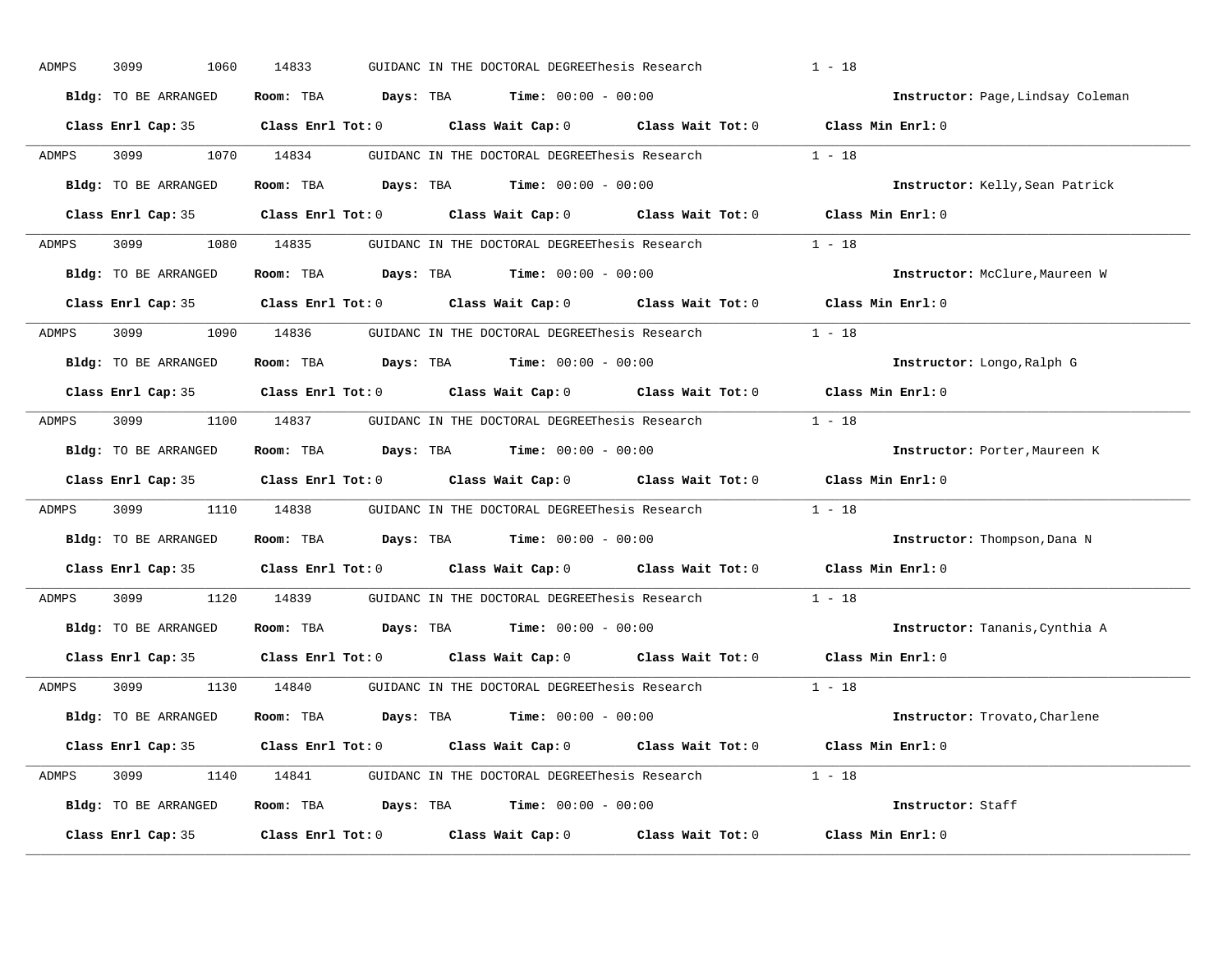| ADMPS | 3099<br>1060         | 14833      | GUIDANC IN THE DOCTORAL DEGREEThesis Research                                                       | $1 - 18$                          |
|-------|----------------------|------------|-----------------------------------------------------------------------------------------------------|-----------------------------------|
|       | Bldg: TO BE ARRANGED |            | Room: TBA $Days: TBA$ Time: $00:00 - 00:00$                                                         | Instructor: Page, Lindsay Coleman |
|       |                      |            | Class Enrl Cap: 35 Class Enrl Tot: 0 Class Wait Cap: 0 Class Wait Tot: 0 Class Min Enrl: 0          |                                   |
| ADMPS | 3099 700             | 1070 14834 | GUIDANC IN THE DOCTORAL DEGREEThesis Research 1 - 18                                                |                                   |
|       | Bldg: TO BE ARRANGED |            | Room: TBA $Days: TBA$ Time: $00:00 - 00:00$                                                         | Instructor: Kelly, Sean Patrick   |
|       |                      |            | Class Enrl Cap: 35 Class Enrl Tot: 0 Class Wait Cap: 0 Class Wait Tot: 0 Class Min Enrl: 0          |                                   |
| ADMPS |                      |            | 3099 1080 14835 GUIDANC IN THE DOCTORAL DEGREEThesis Research 1 - 18                                |                                   |
|       | Bldg: TO BE ARRANGED |            | Room: TBA Days: TBA Time: $00:00 - 00:00$                                                           | Instructor: McClure, Maureen W    |
|       |                      |            | Class Enrl Cap: 35 $\qquad$ Class Enrl Tot: 0 $\qquad$ Class Wait Cap: 0 $\qquad$ Class Wait Tot: 0 | Class Min Enrl: 0                 |
| ADMPS |                      |            | 3099 1090 14836 GUIDANC IN THE DOCTORAL DEGREEThesis Research                                       | $1 - 18$                          |
|       | Bldg: TO BE ARRANGED |            | Room: TBA $Days:$ TBA $Time: 00:00 - 00:00$                                                         | Instructor: Longo, Ralph G        |
|       |                      |            | Class Enrl Cap: 35 Class Enrl Tot: 0 Class Wait Cap: 0 Class Wait Tot: 0                            | Class Min Enrl: 0                 |
| ADMPS |                      |            | 3099 1100 14837 GUIDANC IN THE DOCTORAL DEGREEThesis Research 1 - 18                                |                                   |
|       | Bldg: TO BE ARRANGED |            | Room: TBA Days: TBA Time: $00:00 - 00:00$                                                           | Instructor: Porter, Maureen K     |
|       |                      |            | Class Enrl Cap: 35 Class Enrl Tot: 0 Class Wait Cap: 0 Class Wait Tot: 0                            | Class Min Enrl: 0                 |
| ADMPS |                      |            | 3099 1110 14838 GUIDANC IN THE DOCTORAL DEGREEThesis Research                                       | $1 - 18$                          |
|       | Bldg: TO BE ARRANGED |            | Room: TBA $Days:$ TBA $Time:$ $00:00 - 00:00$                                                       | Instructor: Thompson, Dana N      |
|       |                      |            | Class Enrl Cap: 35 $\qquad$ Class Enrl Tot: 0 $\qquad$ Class Wait Cap: 0 $\qquad$ Class Wait Tot: 0 | Class Min Enrl: 0                 |
| ADMPS | 3099 700             | 1120 14839 | GUIDANC IN THE DOCTORAL DEGREEThesis Research                                                       | $1 - 18$                          |
|       | Bldg: TO BE ARRANGED |            | Room: TBA $\rule{1em}{0.15mm}$ Days: TBA $\rule{1.15mm}]{0.15mm}$ Time: $0.000 - 0.0000$            | Instructor: Tananis, Cynthia A    |
|       |                      |            | Class Enrl Cap: 35 $\qquad$ Class Enrl Tot: 0 $\qquad$ Class Wait Cap: 0 $\qquad$ Class Wait Tot: 0 | Class Min Enrl: 0                 |
| ADMPS | 3099                 |            | 1130 14840 GUIDANC IN THE DOCTORAL DEGREEThesis Research                                            | $1 - 18$                          |
|       |                      |            |                                                                                                     |                                   |
|       | Bldg: TO BE ARRANGED |            | Room: TBA $Days:$ TBA $Time: 00:00 - 00:00$                                                         | Instructor: Trovato, Charlene     |
|       |                      |            | Class Enrl Cap: 35 Class Enrl Tot: 0 Class Wait Cap: 0 Class Wait Tot: 0 Class Min Enrl: 0          |                                   |
| ADMPS |                      |            | 3099 1140 14841 GUIDANC IN THE DOCTORAL DEGREEThesis Research 1 - 18                                |                                   |
|       | Bldg: TO BE ARRANGED |            | Room: TBA $Days:$ TBA $Time: 00:00 - 00:00$                                                         | Instructor: Staff                 |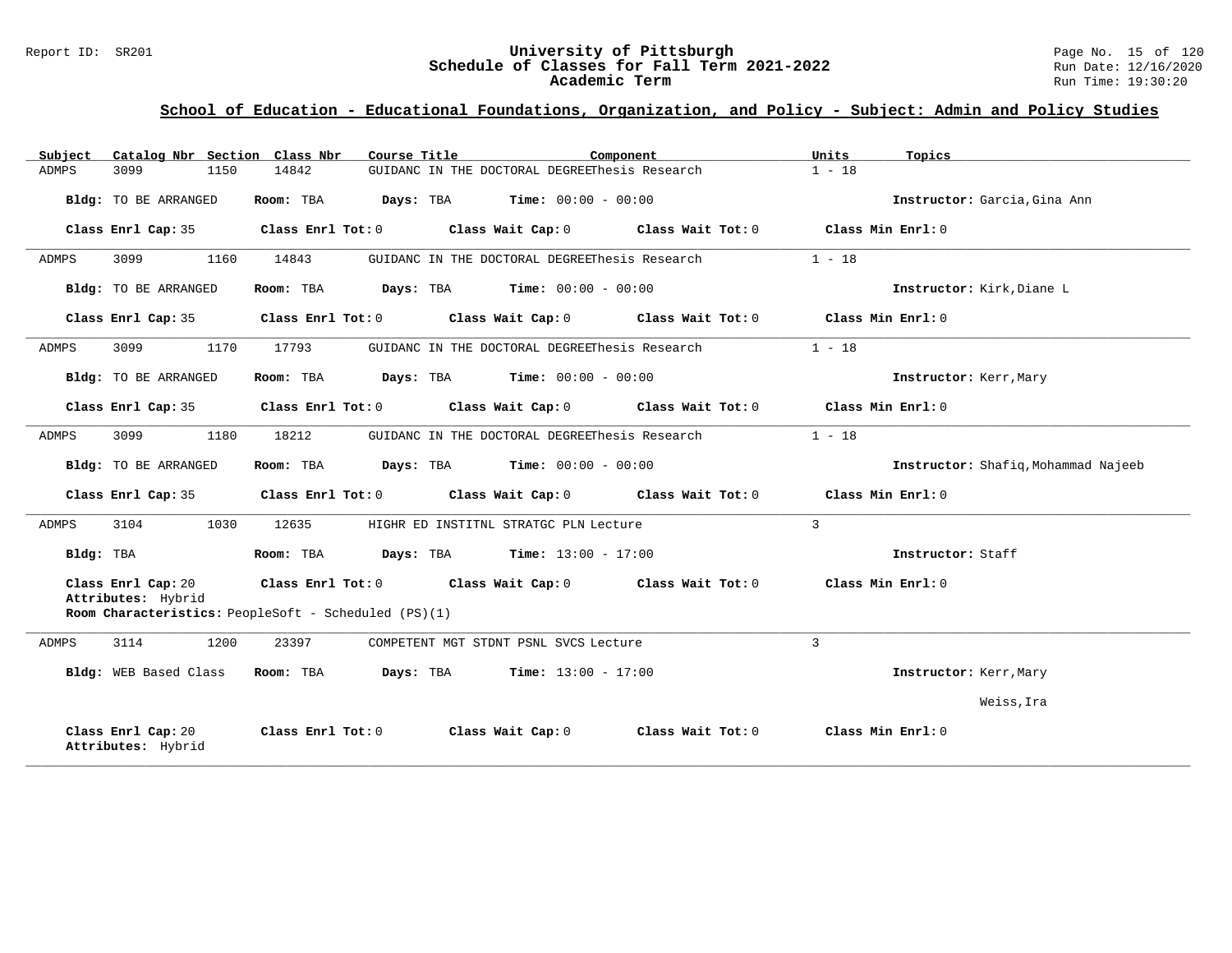#### Report ID: SR201 **University of Pittsburgh University of Pittsburgh** Page No. 15 of 120<br>**Schedule of Classes for Fall Term 2021-2022** Run Date: 12/16/2020 **Schedule of Classes for Fall Term 2021-2022** Run Date: 12/16/2020 **Academic Term** Run Time: 19:30:20

| Catalog Nbr Section Class Nbr<br>Subject | Course Title                                                                                | Component         | Units<br>Topics                     |
|------------------------------------------|---------------------------------------------------------------------------------------------|-------------------|-------------------------------------|
| <b>ADMPS</b><br>3099<br>1150             | GUIDANC IN THE DOCTORAL DEGREEThesis Research<br>14842                                      |                   | $1 - 18$                            |
| Bldg: TO BE ARRANGED                     | Room: TBA<br><b>Days:</b> TBA <b>Time:</b> $00:00 - 00:00$                                  |                   | Instructor: Garcia, Gina Ann        |
| Class Enrl Cap: 35                       | Class Enrl Tot: 0<br>Class Wait Cap: 0                                                      | Class Wait Tot: 0 | Class Min Enrl: 0                   |
| <b>ADMPS</b><br>3099<br>1160             | GUIDANC IN THE DOCTORAL DEGREEThesis Research<br>14843                                      |                   | $1 - 18$                            |
| Bldg: TO BE ARRANGED                     | <b>Time:</b> $00:00 - 00:00$<br>Room: TBA<br>Days: TBA                                      |                   | Instructor: Kirk, Diane L           |
| Class Enrl Cap: 35                       | Class Wait Cap: 0 Class Wait Tot: 0<br>Class Enrl Tot: 0                                    |                   | Class Min Enrl: 0                   |
| 3099<br>1170<br>ADMPS                    | 17793<br>GUIDANC IN THE DOCTORAL DEGREEThesis Research                                      |                   | $1 - 18$                            |
| Bldg: TO BE ARRANGED                     | <b>Time:</b> $00:00 - 00:00$<br>Room: TBA<br>Days: TBA                                      |                   | Instructor: Kerr, Mary              |
| Class Enrl Cap: 35                       | Class Enrl Tot: 0<br>Class Wait Cap: 0 Class Wait Tot: 0                                    |                   | Class Min Enrl: 0                   |
| 3099<br>1180<br>ADMPS                    | 18212<br>GUIDANC IN THE DOCTORAL DEGREEThesis Research                                      |                   | $1 - 18$                            |
| Bldg: TO BE ARRANGED                     | <b>Time:</b> $00:00 - 00:00$<br>Room: TBA<br>Days: TBA                                      |                   | Instructor: Shafiq, Mohammad Najeeb |
| Class Enrl Cap: 35                       | Class Wait Cap: 0<br>Class Enrl Tot: 0                                                      | Class Wait Tot: 0 | Class Min Enrl: 0                   |
| 3104<br>1030<br>ADMPS                    | 12635<br>HIGHR ED INSTITNL STRATGC PLN Lecture                                              |                   | 3                                   |
| Bldg: TBA                                | <b>Days:</b> TBA <b>Time:</b> $13:00 - 17:00$<br>Room: TBA                                  |                   | Instructor: Staff                   |
| Class Enrl Cap: 20<br>Attributes: Hybrid | Class Enrl Tot: 0 Class Wait Cap: 0<br>Room Characteristics: PeopleSoft - Scheduled (PS)(1) | Class Wait Tot: 0 | Class Min Enrl: 0                   |
|                                          |                                                                                             |                   |                                     |
| ADMPS<br>3114<br>1200                    | 23397<br>COMPETENT MGT STDNT PSNL SVCS Lecture                                              |                   | 3                                   |
| <b>Bldg:</b> WEB Based Class             | Room: TBA<br>Days: TBA<br><b>Time:</b> $13:00 - 17:00$                                      |                   | Instructor: Kerr, Mary              |
|                                          |                                                                                             |                   | Weiss, Ira                          |
| Class Enrl Cap: 20<br>Attributes: Hybrid | Class Enrl Tot: 0<br>Class Wait Cap: 0                                                      | Class Wait Tot: 0 | Class Min Enrl: 0                   |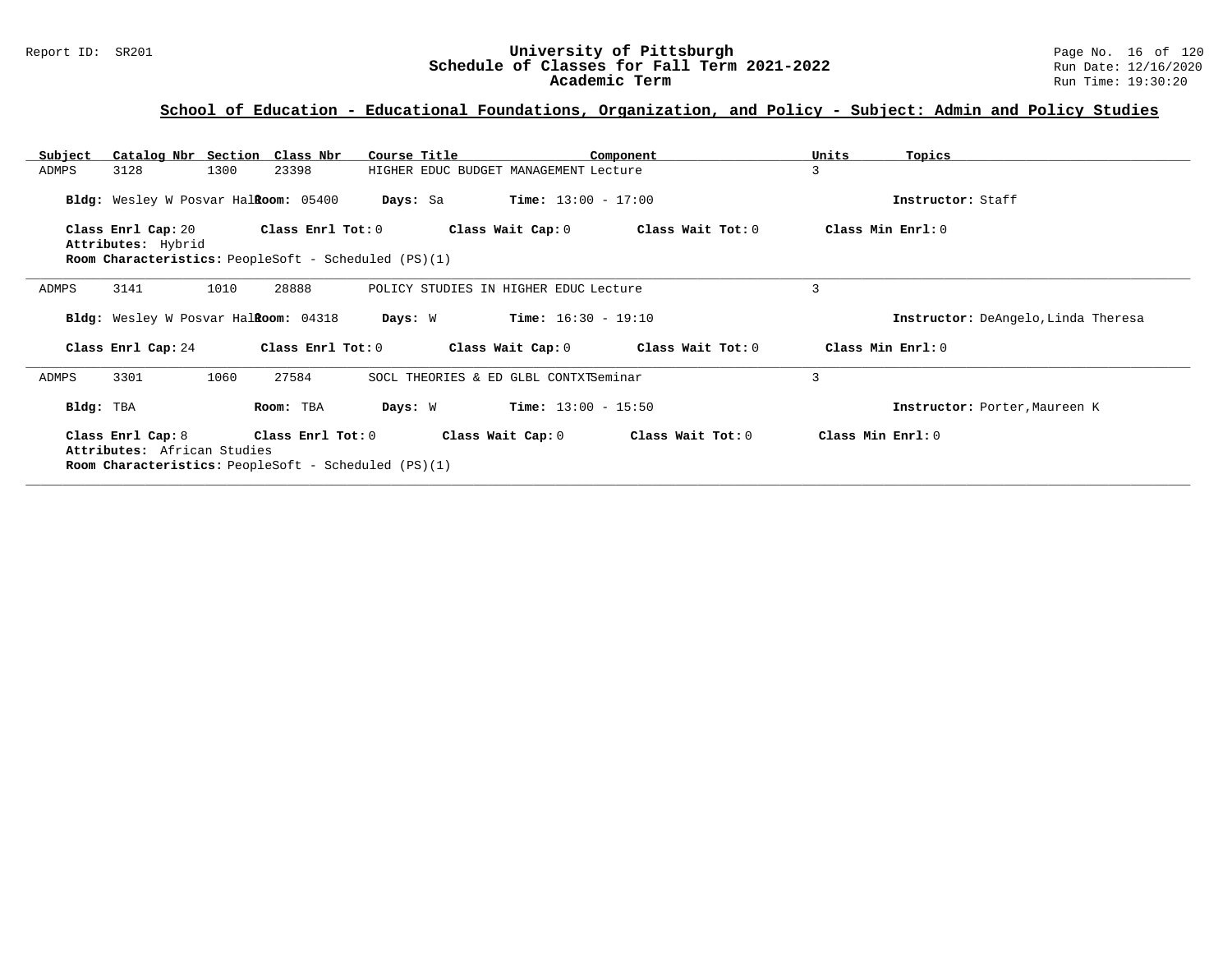| Catalog Nbr Section Class Nbr<br>Subject                           | Course Title                                                | Component                               | Units<br>Topics                     |
|--------------------------------------------------------------------|-------------------------------------------------------------|-----------------------------------------|-------------------------------------|
| ADMPS<br>3128<br>1300                                              | 23398                                                       | HIGHER EDUC BUDGET MANAGEMENT Lecture   | 3                                   |
| Bldg: Wesley W Posvar HalRoom: 05400                               | Days: Sa                                                    | $Time: 13:00 - 17:00$                   | Instructor: Staff                   |
| Class Enrl Cap: 20                                                 | Class Enrl Tot: 0                                           | Class Wait Cap: 0 Class Wait Tot: 0     | Class Min Enrl: 0                   |
| Attributes: Hybrid                                                 |                                                             |                                         |                                     |
|                                                                    | Room Characteristics: PeopleSoft - Scheduled (PS)(1)        |                                         |                                     |
| 3141<br>1010<br>ADMPS                                              | 28888                                                       | POLICY STUDIES IN HIGHER EDUC Lecture   | 3                                   |
| Bldg: Wesley W Posvar HalRoom: 04318                               | Days: W                                                     | $Time: 16:30 - 19:10$                   | Instructor: DeAngelo, Linda Theresa |
| Class Enrl Cap: 24                                                 | Class Enrl Tot: 0                                           | Class Wait Cap: $0$ Class Wait Tot: $0$ | Class Min $Err1:0$                  |
| 3301<br>1060<br>ADMPS                                              | 27584                                                       | SOCL THEORIES & ED GLBL CONTXTSeminar   | 3                                   |
| Bldg: TBA                                                          | Days: W<br>Room: TBA                                        | $Time: 13:00 - 15:50$                   | Instructor: Porter, Maureen K       |
| Class Enrl Cap: 8 Class Enrl Tot: 0<br>Attributes: African Studies |                                                             | Class Wait Cap: 0<br>Class Wait Tot: 0  | Class Min Enrl: 0                   |
|                                                                    | <b>Room Characteristics:</b> PeopleSoft - Scheduled (PS)(1) |                                         |                                     |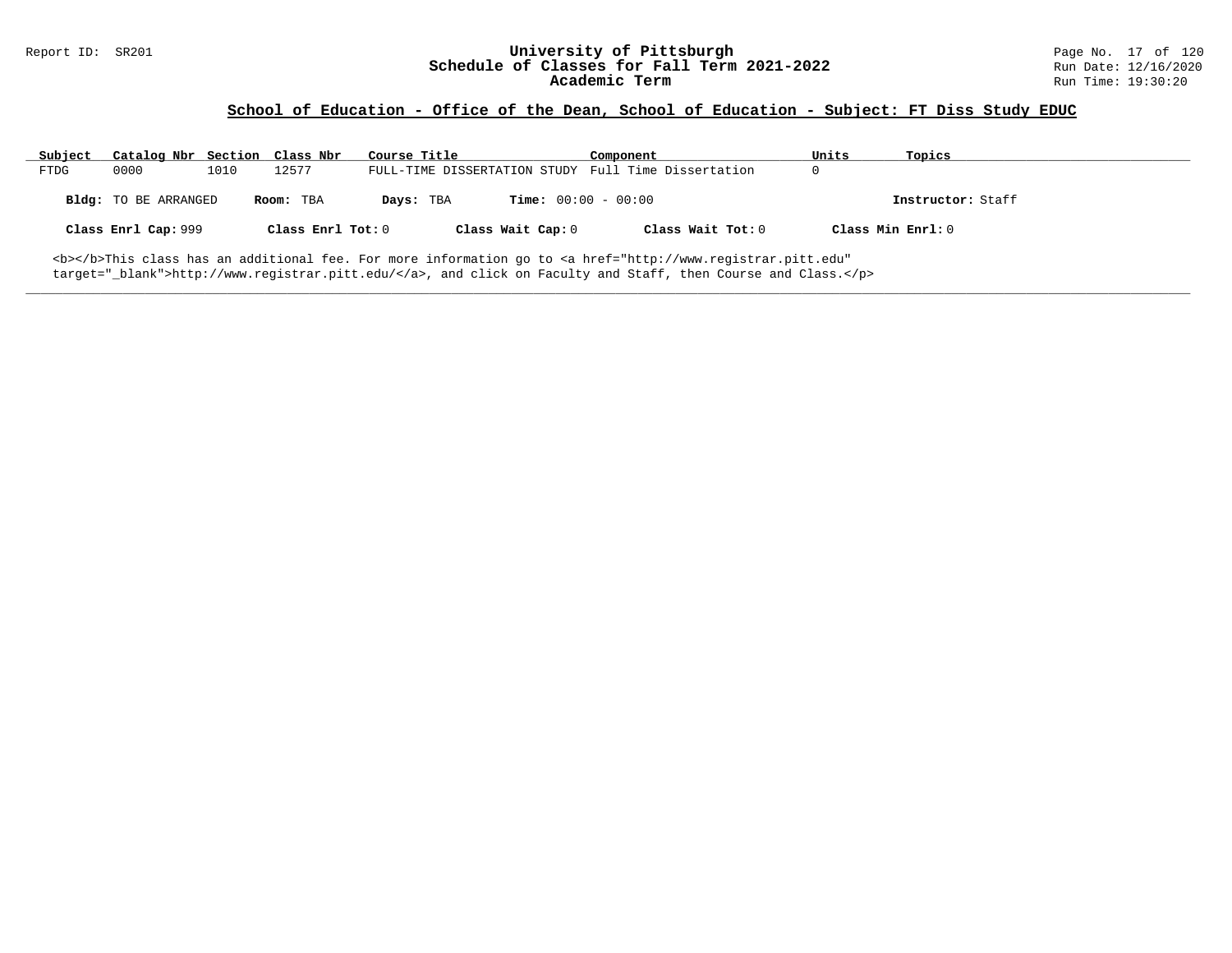## **School of Education - Office of the Dean, School of Education - Subject: FT Diss Study EDUC**

| Subject | Catalog Nbr Section Class Nbr |      |                   | Course Title |                              | Component                                                                                                                                      | Units             | Topics            |
|---------|-------------------------------|------|-------------------|--------------|------------------------------|------------------------------------------------------------------------------------------------------------------------------------------------|-------------------|-------------------|
| FTDG    | 0000                          | 1010 | 12577             |              |                              | FULL-TIME DISSERTATION STUDY Full Time Dissertation                                                                                            | 0                 |                   |
|         | <b>Bldg:</b> TO BE ARRANGED   |      | Room: TBA         | Days: TBA    | <b>Time:</b> $00:00 - 00:00$ |                                                                                                                                                |                   | Instructor: Staff |
|         | Class Enrl Cap: 999           |      | Class Enrl Tot: 0 |              | Class Wait Cap: 0            | Class Wait Tot: 0                                                                                                                              | Class Min Enrl: 0 |                   |
|         |                               |      |                   |              |                              | <b></b> This class has an additional fee. For more information go to <a <="" href="http://www.registrar.pitt.edu" td=""><td></td><td></td></a> |                   |                   |

**\_\_\_\_\_\_\_\_\_\_\_\_\_\_\_\_\_\_\_\_\_\_\_\_\_\_\_\_\_\_\_\_\_\_\_\_\_\_\_\_\_\_\_\_\_\_\_\_\_\_\_\_\_\_\_\_\_\_\_\_\_\_\_\_\_\_\_\_\_\_\_\_\_\_\_\_\_\_\_\_\_\_\_\_\_\_\_\_\_\_\_\_\_\_\_\_\_\_\_\_\_\_\_\_\_\_\_\_\_\_\_\_\_\_\_\_\_\_\_\_\_\_\_\_\_\_\_\_\_\_\_\_\_\_\_\_\_\_\_\_\_\_\_\_\_\_\_\_\_\_\_\_\_\_\_\_**

target="\_blank">http://www.registrar.pitt.edu/</a>, and click on Faculty and Staff, then Course and Class.</p>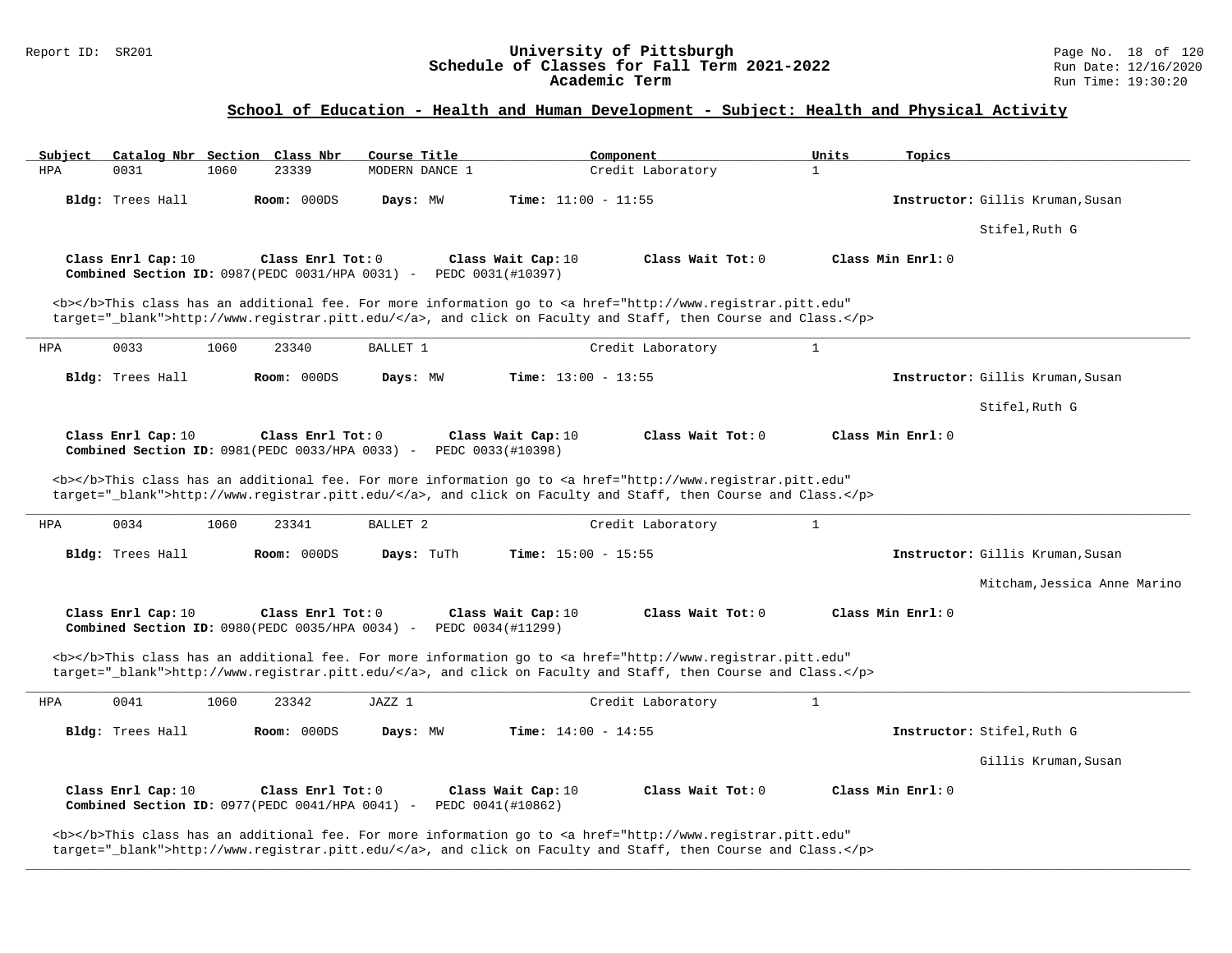# Report ID: SR201 **University of Pittsburgh University of Pittsburgh** Page No. 18 of 120<br>**Schedule of Classes for Fall Term 2021-2022** Run Date: 12/16/2020 Schedule of Classes for Fall Term 2021-2022<br>Academic Term

## **School of Education - Health and Human Development - Subject: Health and Physical Activity**

| Subject    |                    |      | Catalog Nbr Section Class Nbr                                         | Course Title        |                   |                              | Component                                                                                                                                                                                                                           | Units        | Topics            |                                  |
|------------|--------------------|------|-----------------------------------------------------------------------|---------------------|-------------------|------------------------------|-------------------------------------------------------------------------------------------------------------------------------------------------------------------------------------------------------------------------------------|--------------|-------------------|----------------------------------|
| <b>HPA</b> | 0031               | 1060 | 23339                                                                 | MODERN DANCE 1      |                   |                              | Credit Laboratory                                                                                                                                                                                                                   | $\mathbf{1}$ |                   |                                  |
|            | Bldg: Trees Hall   |      | Room: 000DS                                                           | Days: MW            |                   | <b>Time:</b> $11:00 - 11:55$ |                                                                                                                                                                                                                                     |              |                   | Instructor: Gillis Kruman, Susan |
|            |                    |      |                                                                       |                     |                   |                              |                                                                                                                                                                                                                                     |              |                   | Stifel, Ruth G                   |
|            | Class Enrl Cap: 10 |      | Class Enrl Tot: 0<br>Combined Section ID: 0987 (PEDC 0031/HPA 0031) - |                     | PEDC 0031(#10397) | Class Wait Cap: 10           | Class Wait Tot: 0                                                                                                                                                                                                                   |              | Class Min Enrl: 0 |                                  |
|            |                    |      |                                                                       |                     |                   |                              | <b></b> This class has an additional fee. For more information go to <a <br="" href="http://www.registrar.pitt.edu">target="_blank"&gt;http://www.registrar.pitt.edu/</a> , and click on Faculty and Staff, then Course and Class.  |              |                   |                                  |
| <b>HPA</b> | 0033               | 1060 | 23340                                                                 | BALLET 1            |                   |                              | Credit Laboratory                                                                                                                                                                                                                   | $\mathbf{1}$ |                   |                                  |
|            | Bldg: Trees Hall   |      | Room: 000DS                                                           | Days: MW            |                   | <b>Time:</b> $13:00 - 13:55$ |                                                                                                                                                                                                                                     |              |                   | Instructor: Gillis Kruman, Susan |
|            |                    |      |                                                                       |                     |                   |                              |                                                                                                                                                                                                                                     |              |                   | Stifel, Ruth G                   |
|            | Class Enrl Cap: 10 |      | Class Enrl Tot: 0<br>Combined Section ID: 0981 (PEDC 0033/HPA 0033) - |                     | PEDC 0033(#10398) | Class Wait Cap: 10           | Class Wait Tot: 0                                                                                                                                                                                                                   |              | Class Min Enrl: 0 |                                  |
|            |                    |      |                                                                       |                     |                   |                              | <b></b> >This class has an additional fee. For more information go to <a <br="" href="http://www.registrar.pitt.edu">target="_blank"&gt;http://www.registrar.pitt.edu/</a> , and click on Faculty and Staff, then Course and Class. |              |                   |                                  |
| HPA        | 0034               | 1060 | 23341                                                                 | BALLET <sub>2</sub> |                   |                              | Credit Laboratory                                                                                                                                                                                                                   | $\mathbf{1}$ |                   |                                  |
|            | Bldg: Trees Hall   |      | Room: 000DS                                                           | Days: TuTh          |                   | <b>Time:</b> $15:00 - 15:55$ |                                                                                                                                                                                                                                     |              |                   | Instructor: Gillis Kruman, Susan |
|            |                    |      |                                                                       |                     |                   |                              |                                                                                                                                                                                                                                     |              |                   | Mitcham, Jessica Anne Marino     |
|            | Class Enrl Cap: 10 |      | Class Enrl Tot: 0<br>Combined Section ID: 0980 (PEDC 0035/HPA 0034) - |                     | PEDC 0034(#11299) | Class Wait Cap: 10           | Class Wait Tot: 0                                                                                                                                                                                                                   |              | Class Min Enrl: 0 |                                  |
|            |                    |      |                                                                       |                     |                   |                              | <b></b> This class has an additional fee. For more information go to <a <br="" href="http://www.registrar.pitt.edu">target="_blank"&gt;http://www.registrar.pitt.edu/</a> , and click on Faculty and Staff, then Course and Class.  |              |                   |                                  |
| HPA        | 0041               | 1060 | 23342                                                                 | JAZZ 1              |                   |                              | Credit Laboratory                                                                                                                                                                                                                   | $\mathbf{1}$ |                   |                                  |
|            | Bldg: Trees Hall   |      | Room: 000DS                                                           | Days: MW            |                   | Time: $14:00 - 14:55$        |                                                                                                                                                                                                                                     |              |                   | Instructor: Stifel, Ruth G       |
|            |                    |      |                                                                       |                     |                   |                              |                                                                                                                                                                                                                                     |              |                   | Gillis Kruman, Susan             |
|            | Class Enrl Cap: 10 |      | Class Enrl Tot: 0<br>Combined Section ID: 0977(PEDC 0041/HPA 0041) -  |                     | PEDC 0041(#10862) | Class Wait Cap: 10           | Class Wait Tot: 0                                                                                                                                                                                                                   |              | Class Min Enrl: 0 |                                  |
|            |                    |      |                                                                       |                     |                   |                              | <b></b> This class has an additional fee. For more information go to <a <="" href="http://www.registrar.pitt.edu" td=""><td></td><td></td><td></td></a>                                                                             |              |                   |                                  |

**\_\_\_\_\_\_\_\_\_\_\_\_\_\_\_\_\_\_\_\_\_\_\_\_\_\_\_\_\_\_\_\_\_\_\_\_\_\_\_\_\_\_\_\_\_\_\_\_\_\_\_\_\_\_\_\_\_\_\_\_\_\_\_\_\_\_\_\_\_\_\_\_\_\_\_\_\_\_\_\_\_\_\_\_\_\_\_\_\_\_\_\_\_\_\_\_\_\_\_\_\_\_\_\_\_\_\_\_\_\_\_\_\_\_\_\_\_\_\_\_\_\_\_\_\_\_\_\_\_\_\_\_\_\_\_\_\_\_\_\_\_\_\_\_\_\_\_\_\_\_\_\_\_\_\_\_**

target="\_blank">http://www.registrar.pitt.edu/</a>, and click on Faculty and Staff, then Course and Class.</p>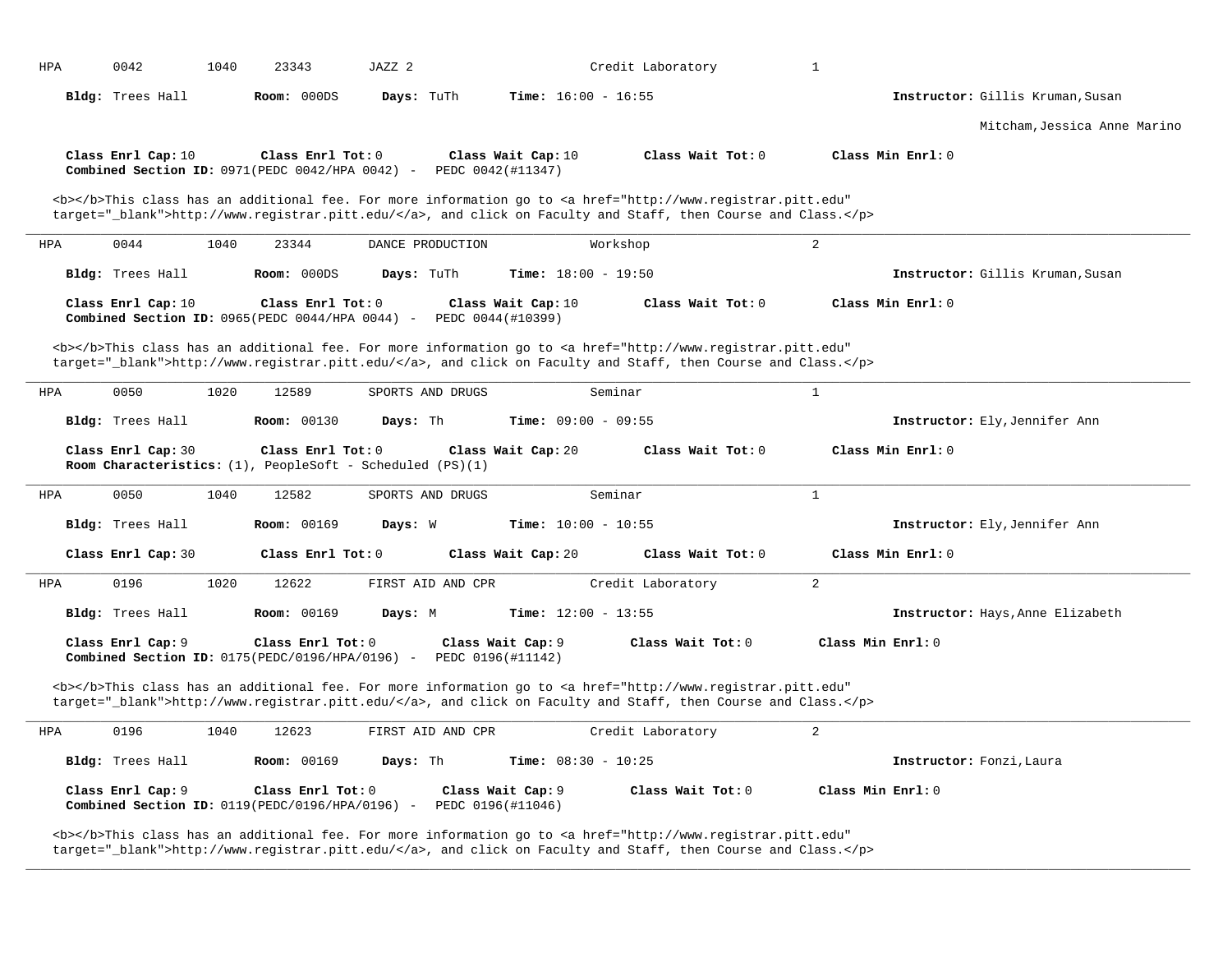| HPA        | 0042               | 1040 | 23343                                                                                               | JAZZ 2     |                   |                                         | Credit Laboratory                                                                                                                                                                                                                  | $\mathbf{1}$        |                                  |
|------------|--------------------|------|-----------------------------------------------------------------------------------------------------|------------|-------------------|-----------------------------------------|------------------------------------------------------------------------------------------------------------------------------------------------------------------------------------------------------------------------------------|---------------------|----------------------------------|
|            | Bldg: Trees Hall   |      | Room: 000DS                                                                                         | Days: TuTh |                   | <b>Time:</b> $16:00 - 16:55$            |                                                                                                                                                                                                                                    |                     | Instructor: Gillis Kruman, Susan |
|            |                    |      |                                                                                                     |            |                   |                                         |                                                                                                                                                                                                                                    |                     | Mitcham, Jessica Anne Marino     |
|            | Class Enrl Cap: 10 |      | Class Enrl Tot: 0<br>Combined Section ID: $0971$ (PEDC $0042$ /HPA $0042$ ) -                       |            |                   | Class Wait Cap: 10<br>PEDC 0042(#11347) | Class Wait Tot: 0                                                                                                                                                                                                                  | Class Min Enrl: 0   |                                  |
|            |                    |      |                                                                                                     |            |                   |                                         | <b></b> This class has an additional fee. For more information go to <a <br="" href="http://www.registrar.pitt.edu">target="_blank"&gt;http://www.registrar.pitt.edu/</a> , and click on Faculty and Staff, then Course and Class. |                     |                                  |
| <b>HPA</b> | 0044               | 1040 | 23344                                                                                               |            | DANCE PRODUCTION  |                                         | Workshop                                                                                                                                                                                                                           | $\overline{a}$      |                                  |
|            | Bldg: Trees Hall   |      | Room: 000DS                                                                                         | Days: TuTh |                   | <b>Time:</b> $18:00 - 19:50$            |                                                                                                                                                                                                                                    |                     | Instructor: Gillis Kruman, Susan |
|            | Class Enrl Cap: 10 |      | Class Enrl Tot: 0<br>Combined Section ID: 0965(PEDC 0044/HPA 0044) -                                |            |                   | Class Wait Cap: 10<br>PEDC 0044(#10399) | Class Wait Tot: 0                                                                                                                                                                                                                  | Class Min Enrl: 0   |                                  |
|            |                    |      |                                                                                                     |            |                   |                                         | <b></b> This class has an additional fee. For more information go to <a <br="" href="http://www.registrar.pitt.edu">target="_blank"&gt;http://www.registrar.pitt.edu/</a> , and click on Faculty and Staff, then Course and Class. |                     |                                  |
| HPA        | 0050               | 1020 | 12589                                                                                               |            | SPORTS AND DRUGS  |                                         | Seminar                                                                                                                                                                                                                            | $\mathbf{1}$        |                                  |
|            | Bldg: Trees Hall   |      | <b>Room: 00130</b>                                                                                  | Days: Th   |                   | <b>Time:</b> $09:00 - 09:55$            |                                                                                                                                                                                                                                    |                     | Instructor: Ely, Jennifer Ann    |
|            | Class Enrl Cap: 30 |      | Class Enrl Tot: 0<br>Room Characteristics: (1), PeopleSoft - Scheduled (PS)(1)                      |            |                   | Class Wait Cap: 20                      | Class Wait Tot: 0                                                                                                                                                                                                                  | Class Min Enrl: 0   |                                  |
| HPA        | 0050               | 1040 | 12582                                                                                               |            | SPORTS AND DRUGS  |                                         | Seminar                                                                                                                                                                                                                            | $\mathbf{1}$        |                                  |
|            | Bldg: Trees Hall   |      | <b>Room: 00169</b>                                                                                  | Days: W    |                   | <b>Time:</b> $10:00 - 10:55$            |                                                                                                                                                                                                                                    |                     | Instructor: Ely, Jennifer Ann    |
|            | Class Enrl Cap: 30 |      | Class Enrl Tot: 0                                                                                   |            |                   | Class Wait Cap: 20                      | Class Wait Tot: $0$                                                                                                                                                                                                                | Class Min $Enr1: 0$ |                                  |
| <b>HPA</b> | 0196               | 1020 | 12622                                                                                               |            | FIRST AID AND CPR |                                         | Credit Laboratory                                                                                                                                                                                                                  | 2                   |                                  |
|            | Bldg: Trees Hall   |      | <b>Room: 00169</b>                                                                                  | Days: M    |                   | <b>Time:</b> $12:00 - 13:55$            |                                                                                                                                                                                                                                    |                     | Instructor: Hays, Anne Elizabeth |
|            | Class Enrl Cap: 9  |      | Class Enrl Tot: 0<br>Combined Section ID: $0175(PEDC/0196/HPA/0196)$ -                              |            |                   | Class Wait Cap: 9<br>PEDC 0196(#11142)  | Class Wait Tot: 0                                                                                                                                                                                                                  | Class Min Enrl: 0   |                                  |
|            |                    |      |                                                                                                     |            |                   |                                         | <b></b> This class has an additional fee. For more information go to <a <br="" href="http://www.registrar.pitt.edu">target="_blank"&gt;http://www.registrar.pitt.edu/</a> , and click on Faculty and Staff, then Course and Class. |                     |                                  |
| HPA        | 0196               | 1040 | 12623                                                                                               |            | FIRST AID AND CPR |                                         | Credit Laboratory                                                                                                                                                                                                                  | 2                   |                                  |
|            | Bldg: Trees Hall   |      | <b>Room: 00169</b>                                                                                  | Days: Th   |                   | <b>Time:</b> $08:30 - 10:25$            |                                                                                                                                                                                                                                    |                     | Instructor: Fonzi, Laura         |
|            |                    |      |                                                                                                     |            |                   |                                         |                                                                                                                                                                                                                                    |                     |                                  |
|            | Class Enrl Cap: 9  |      | Class Enrl Tot: 0<br><b>Combined Section ID:</b> $0119 (PEDC/0196/HPA/0196)$ - PEDC $0196 (#11046)$ |            |                   | Class Wait Cap: 9                       | Class Wait Tot: 0                                                                                                                                                                                                                  | Class Min Enrl: 0   |                                  |

**\_\_\_\_\_\_\_\_\_\_\_\_\_\_\_\_\_\_\_\_\_\_\_\_\_\_\_\_\_\_\_\_\_\_\_\_\_\_\_\_\_\_\_\_\_\_\_\_\_\_\_\_\_\_\_\_\_\_\_\_\_\_\_\_\_\_\_\_\_\_\_\_\_\_\_\_\_\_\_\_\_\_\_\_\_\_\_\_\_\_\_\_\_\_\_\_\_\_\_\_\_\_\_\_\_\_\_\_\_\_\_\_\_\_\_\_\_\_\_\_\_\_\_\_\_\_\_\_\_\_\_\_\_\_\_\_\_\_\_\_\_\_\_\_\_\_\_\_\_\_\_\_\_\_\_\_**

<b></b>This class has an additional fee. For more information go to <a href="http://www.registrar.pitt.edu" target="\_blank">http://www.registrar.pitt.edu/</a>, and click on Faculty and Staff, then Course and Class.</p>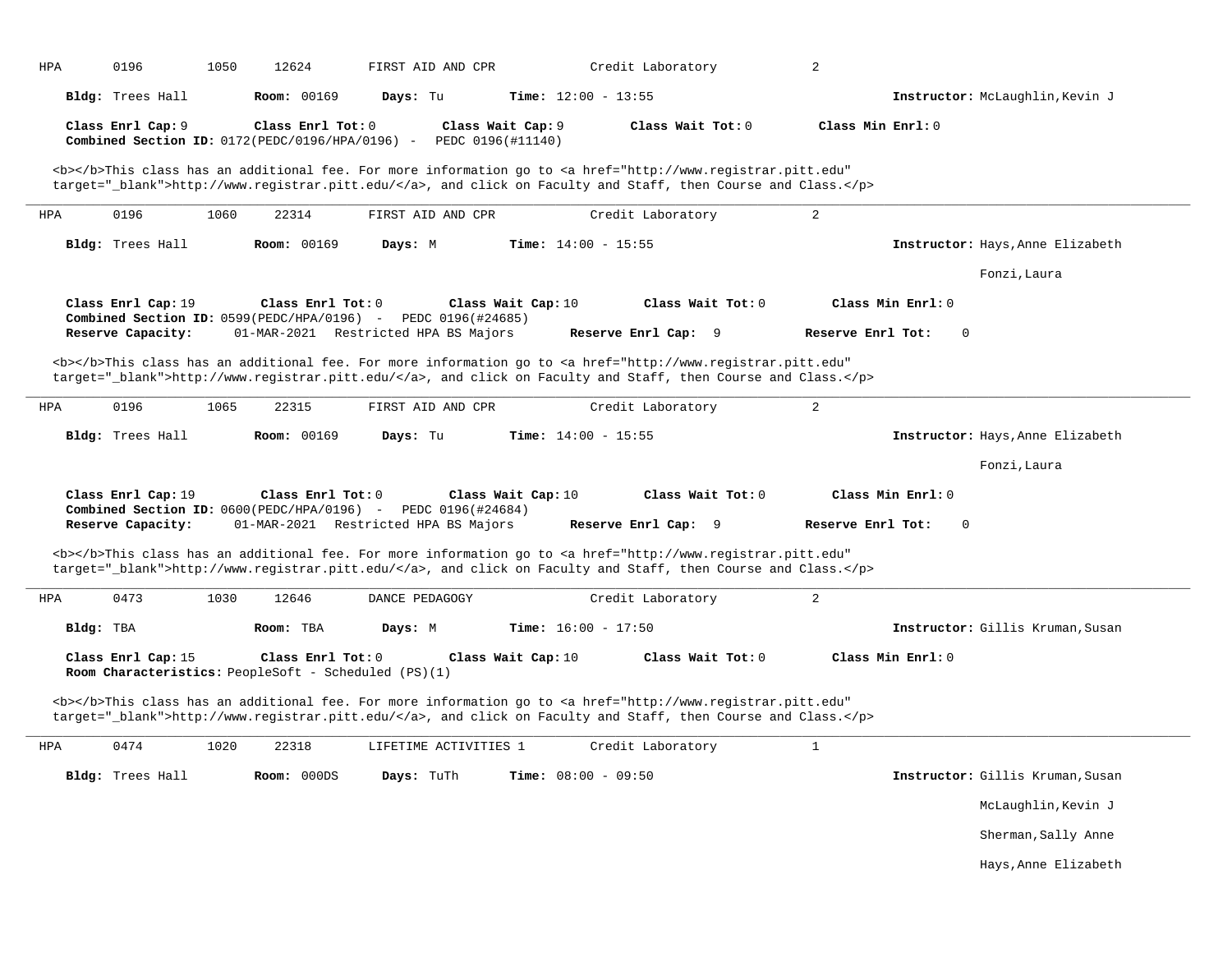| HPA       | 0196                                                                                          | 1050 | 12624                                | FIRST AID AND CPR                    |                                        | Credit Laboratory                                                                                                                                                                                                                  | 2                 |                                  |
|-----------|-----------------------------------------------------------------------------------------------|------|--------------------------------------|--------------------------------------|----------------------------------------|------------------------------------------------------------------------------------------------------------------------------------------------------------------------------------------------------------------------------------|-------------------|----------------------------------|
|           | Bldg: Trees Hall                                                                              |      | <b>Room: 00169</b>                   | Days: Tu                             |                                        | <b>Time:</b> $12:00 - 13:55$                                                                                                                                                                                                       |                   | Instructor: McLaughlin, Kevin J  |
|           | Class Enrl Cap: 9<br>Combined Section ID: 0172(PEDC/0196/HPA/0196) -                          |      | Class Enrl Tot: 0                    |                                      | Class Wait Cap: 9<br>PEDC 0196(#11140) | Class Wait Tot: 0                                                                                                                                                                                                                  | Class Min Enrl: 0 |                                  |
|           |                                                                                               |      |                                      |                                      |                                        | <b></b> This class has an additional fee. For more information go to <a <br="" href="http://www.registrar.pitt.edu">target="_blank"&gt;http://www.registrar.pitt.edu/</a> , and click on Faculty and Staff, then Course and Class. |                   |                                  |
| HPA       | 0196                                                                                          | 1060 | 22314                                | FIRST AID AND CPR                    |                                        | Credit Laboratory                                                                                                                                                                                                                  | $\overline{a}$    |                                  |
|           | Bldg: Trees Hall                                                                              |      | Room: 00169                          | Days: M                              |                                        | <b>Time:</b> $14:00 - 15:55$                                                                                                                                                                                                       |                   | Instructor: Hays, Anne Elizabeth |
|           |                                                                                               |      |                                      |                                      |                                        |                                                                                                                                                                                                                                    |                   | Fonzi, Laura                     |
|           | Class Enrl Cap: 19<br><b>Combined Section ID:</b> $0599(PEDC/HPA/0196)$ - PEDC $0196(#24685)$ |      | Class Enrl Tot: 0                    |                                      | Class Wait Cap: 10                     | Class Wait Tot: 0                                                                                                                                                                                                                  | Class Min Enrl: 0 |                                  |
|           | Reserve Capacity:                                                                             |      |                                      | 01-MAR-2021 Restricted HPA BS Majors |                                        | Reserve Enrl Cap: 9                                                                                                                                                                                                                | Reserve Enrl Tot: | 0                                |
|           |                                                                                               |      |                                      |                                      |                                        | <b></b> This class has an additional fee. For more information go to <a <br="" href="http://www.registrar.pitt.edu">target="_blank"&gt;http://www.registrar.pitt.edu/</a> , and click on Faculty and Staff, then Course and Class. |                   |                                  |
| HPA       | 0196                                                                                          | 1065 | 22315                                | FIRST AID AND CPR                    |                                        | Credit Laboratory                                                                                                                                                                                                                  | 2                 |                                  |
|           | Bldg: Trees Hall                                                                              |      | <b>Room: 00169</b>                   | Days: Tu                             |                                        | <b>Time:</b> $14:00 - 15:55$                                                                                                                                                                                                       |                   | Instructor: Hays, Anne Elizabeth |
|           |                                                                                               |      |                                      |                                      |                                        |                                                                                                                                                                                                                                    |                   | Fonzi, Laura                     |
|           | Class Enrl Cap: 19                                                                            |      | Class Enrl Tot: 0                    |                                      | Class Wait Cap: 10                     | Class Wait Tot: 0                                                                                                                                                                                                                  | Class Min Enrl: 0 |                                  |
|           | <b>Combined Section ID:</b> $0600(PEDC/HPA/0196)$ - PEDC 0196(#24684)<br>Reserve Capacity:    |      | 01-MAR-2021 Restricted HPA BS Majors |                                      |                                        | Reserve Enrl Cap: 9                                                                                                                                                                                                                | Reserve Enrl Tot: | 0                                |
|           |                                                                                               |      |                                      |                                      |                                        |                                                                                                                                                                                                                                    |                   |                                  |
|           |                                                                                               |      |                                      |                                      |                                        | <b></b> This class has an additional fee. For more information go to <a <br="" href="http://www.registrar.pitt.edu">target="_blank"&gt;http://www.registrar.pitt.edu/</a> , and click on Faculty and Staff, then Course and Class. |                   |                                  |
|           | 0473                                                                                          | 1030 | 12646                                | DANCE PEDAGOGY                       |                                        | Credit Laboratory                                                                                                                                                                                                                  | $\overline{a}$    |                                  |
| Bldg: TBA |                                                                                               |      | Room: TBA                            | Days: M                              |                                        | Time: $16:00 - 17:50$                                                                                                                                                                                                              |                   | Instructor: Gillis Kruman, Susan |
| HPA       | Class Enrl Cap: 15<br>Room Characteristics: PeopleSoft - Scheduled (PS)(1)                    |      | Class Enrl Tot: 0                    |                                      | Class Wait Cap: 10                     | Class Wait Tot: 0                                                                                                                                                                                                                  | Class Min Enrl: 0 |                                  |
|           |                                                                                               |      |                                      |                                      |                                        | <b></b> This class has an additional fee. For more information go to <a <br="" href="http://www.registrar.pitt.edu">target="_blank"&gt;http://www.registrar.pitt.edu/</a> , and click on Faculty and Staff, then Course and Class. |                   |                                  |
|           | 0474                                                                                          | 1020 | 22318                                | LIFETIME ACTIVITIES 1                |                                        | Credit Laboratory                                                                                                                                                                                                                  | $\mathbf{1}$      |                                  |
| HPA       | Bldg: Trees Hall                                                                              |      | Room: 000DS                          | Days: TuTh                           |                                        | <b>Time:</b> $08:00 - 09:50$                                                                                                                                                                                                       |                   | Instructor: Gillis Kruman, Susan |
|           |                                                                                               |      |                                      |                                      |                                        |                                                                                                                                                                                                                                    |                   | McLaughlin, Kevin J              |
|           |                                                                                               |      |                                      |                                      |                                        |                                                                                                                                                                                                                                    |                   | Sherman, Sally Anne              |
|           |                                                                                               |      |                                      |                                      |                                        |                                                                                                                                                                                                                                    |                   | Hays, Anne Elizabeth             |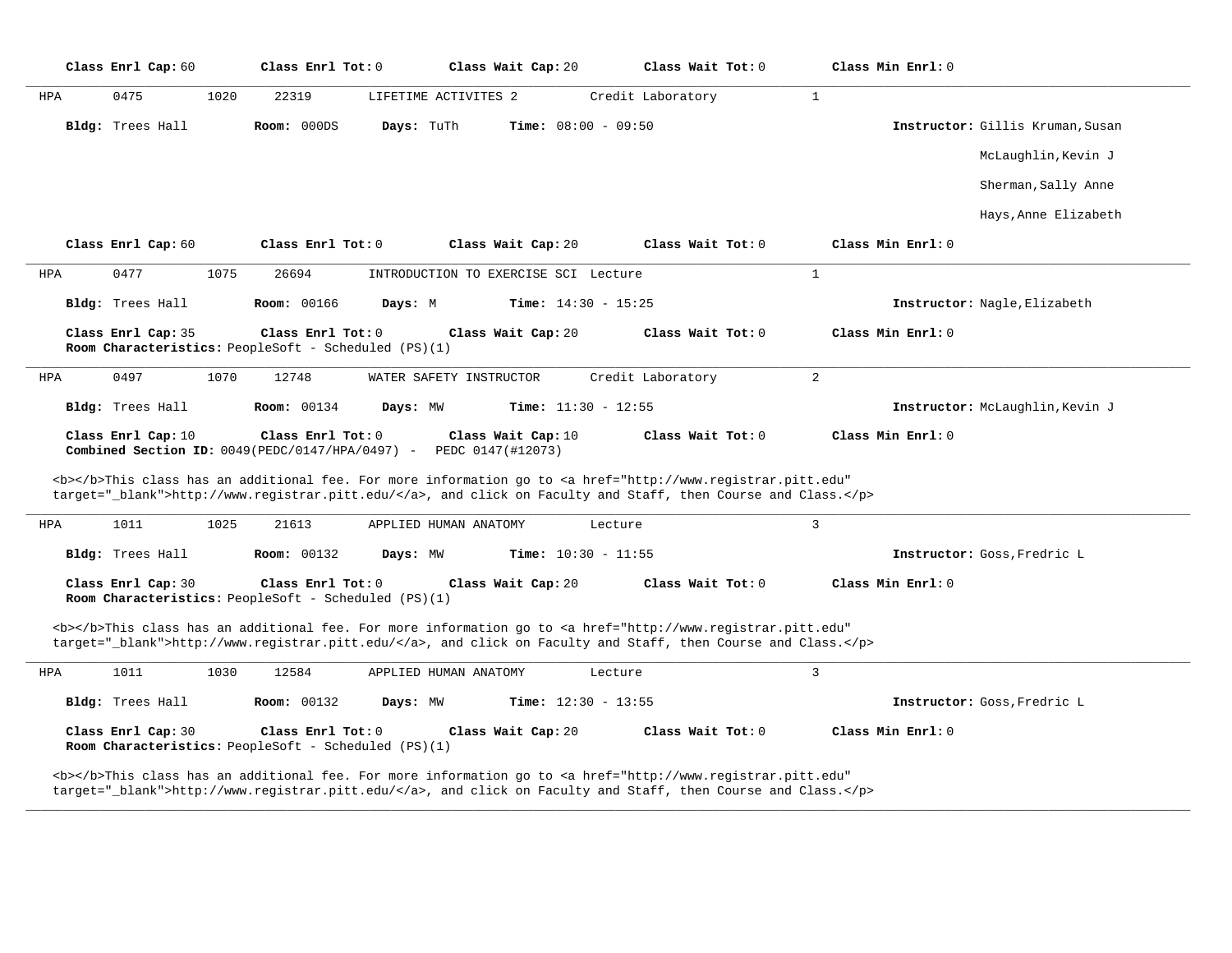|            | Class Enrl Cap: 60                                                                |      | Class Enrl Tot: 0  |            | Class Wait Cap: 20                      | Class Wait Tot: 0                                                                                                                                                                                                                  |                | Class Min Enrl: 0   |                                  |
|------------|-----------------------------------------------------------------------------------|------|--------------------|------------|-----------------------------------------|------------------------------------------------------------------------------------------------------------------------------------------------------------------------------------------------------------------------------------|----------------|---------------------|----------------------------------|
| HPA        | 0475                                                                              | 1020 | 22319              |            | LIFETIME ACTIVITES 2                    | Credit Laboratory                                                                                                                                                                                                                  | $\mathbf{1}$   |                     |                                  |
|            | Bldg: Trees Hall                                                                  |      | Room: 000DS        | Days: TuTh |                                         | <b>Time:</b> $08:00 - 09:50$                                                                                                                                                                                                       |                |                     | Instructor: Gillis Kruman, Susan |
|            |                                                                                   |      |                    |            |                                         |                                                                                                                                                                                                                                    |                |                     | McLaughlin, Kevin J              |
|            |                                                                                   |      |                    |            |                                         |                                                                                                                                                                                                                                    |                |                     | Sherman, Sally Anne              |
|            |                                                                                   |      |                    |            |                                         |                                                                                                                                                                                                                                    |                |                     | Hays, Anne Elizabeth             |
|            | Class Enrl Cap: 60                                                                |      | Class Enrl Tot: 0  |            | Class Wait Cap: 20                      | Class Wait Tot: 0                                                                                                                                                                                                                  |                | Class Min Enrl: 0   |                                  |
| HPA        | 0477                                                                              | 1075 | 26694              |            | INTRODUCTION TO EXERCISE SCI Lecture    |                                                                                                                                                                                                                                    | $\mathbf{1}$   |                     |                                  |
|            | Bldg: Trees Hall                                                                  |      | Room: 00166        | Days: M    |                                         | <b>Time:</b> $14:30 - 15:25$                                                                                                                                                                                                       |                |                     | Instructor: Nagle, Elizabeth     |
|            | Class Enrl Cap: 35<br><b>Room Characteristics:</b> PeopleSoft - Scheduled (PS)(1) |      | Class Enrl Tot: 0  |            | Class Wait Cap: 20                      | Class Wait Tot: 0                                                                                                                                                                                                                  |                | $Class Min Enrl: 0$ |                                  |
| <b>HPA</b> | 0497                                                                              | 1070 | 12748              |            | WATER SAFETY INSTRUCTOR                 | Credit Laboratory                                                                                                                                                                                                                  | $\overline{2}$ |                     |                                  |
|            | Bldg: Trees Hall                                                                  |      | <b>Room: 00134</b> | Days: MW   |                                         | <b>Time:</b> $11:30 - 12:55$                                                                                                                                                                                                       |                |                     | Instructor: McLaughlin, Kevin J  |
|            | Class Enrl Cap: 10<br>Combined Section ID: 0049(PEDC/0147/HPA/0497) -             |      | Class Enrl Tot: 0  |            | Class Wait Cap: 10<br>PEDC 0147(#12073) | Class Wait Tot: 0<br><b></b> This class has an additional fee. For more information go to <a <="" href="http://www.registrar.pitt.edu" td=""><td></td><td>Class Min Enrl: 0</td><td></td></a>                                      |                | Class Min Enrl: 0   |                                  |
|            |                                                                                   |      |                    |            |                                         | target="_blank">http://www.registrar.pitt.edu/, and click on Faculty and Staff, then Course and Class.                                                                                                                             |                |                     |                                  |
| HPA        | 1011                                                                              | 1025 | 21613              |            | APPLIED HUMAN ANATOMY                   | Lecture                                                                                                                                                                                                                            | $\overline{3}$ |                     |                                  |
|            | Bldg: Trees Hall                                                                  |      | <b>Room: 00132</b> | Days: MW   |                                         | <b>Time:</b> $10:30 - 11:55$                                                                                                                                                                                                       |                |                     | Instructor: Goss, Fredric L      |
|            | Class Enrl Cap: 30<br>Room Characteristics: PeopleSoft - Scheduled (PS)(1)        |      | Class Enrl Tot: 0  |            | Class Wait Cap: 20                      | Class Wait Tot: 0                                                                                                                                                                                                                  |                | Class Min Enrl: 0   |                                  |
|            |                                                                                   |      |                    |            |                                         | <b></b> This class has an additional fee. For more information go to <a <br="" href="http://www.registrar.pitt.edu">target="_blank"&gt;http://www.registrar.pitt.edu/</a> , and click on Faculty and Staff, then Course and Class. |                |                     |                                  |
| HPA        | 1011                                                                              | 1030 | 12584              |            | APPLIED HUMAN ANATOMY                   | Lecture                                                                                                                                                                                                                            | $\overline{3}$ |                     |                                  |
|            | Bldg: Trees Hall                                                                  |      | <b>Room: 00132</b> | Days: MW   |                                         | <b>Time:</b> $12:30 - 13:55$                                                                                                                                                                                                       |                |                     | Instructor: Goss, Fredric L      |
|            | Class Enrl Cap: 30<br>Room Characteristics: PeopleSoft - Scheduled (PS)(1)        |      | Class Enrl Tot: 0  |            | Class Wait Cap: 20                      | Class Wait Tot: 0                                                                                                                                                                                                                  |                | Class Min Enrl: 0   |                                  |
|            |                                                                                   |      |                    |            |                                         | <b></b> This class has an additional fee. For more information go to <a <="" href="http://www.registrar.pitt.edu" td=""><td></td><td></td><td></td></a>                                                                            |                |                     |                                  |

**\_\_\_\_\_\_\_\_\_\_\_\_\_\_\_\_\_\_\_\_\_\_\_\_\_\_\_\_\_\_\_\_\_\_\_\_\_\_\_\_\_\_\_\_\_\_\_\_\_\_\_\_\_\_\_\_\_\_\_\_\_\_\_\_\_\_\_\_\_\_\_\_\_\_\_\_\_\_\_\_\_\_\_\_\_\_\_\_\_\_\_\_\_\_\_\_\_\_\_\_\_\_\_\_\_\_\_\_\_\_\_\_\_\_\_\_\_\_\_\_\_\_\_\_\_\_\_\_\_\_\_\_\_\_\_\_\_\_\_\_\_\_\_\_\_\_\_\_\_\_\_\_\_\_\_\_**

target="\_blank">http://www.registrar.pitt.edu/</a>, and click on Faculty and Staff, then Course and Class.</p>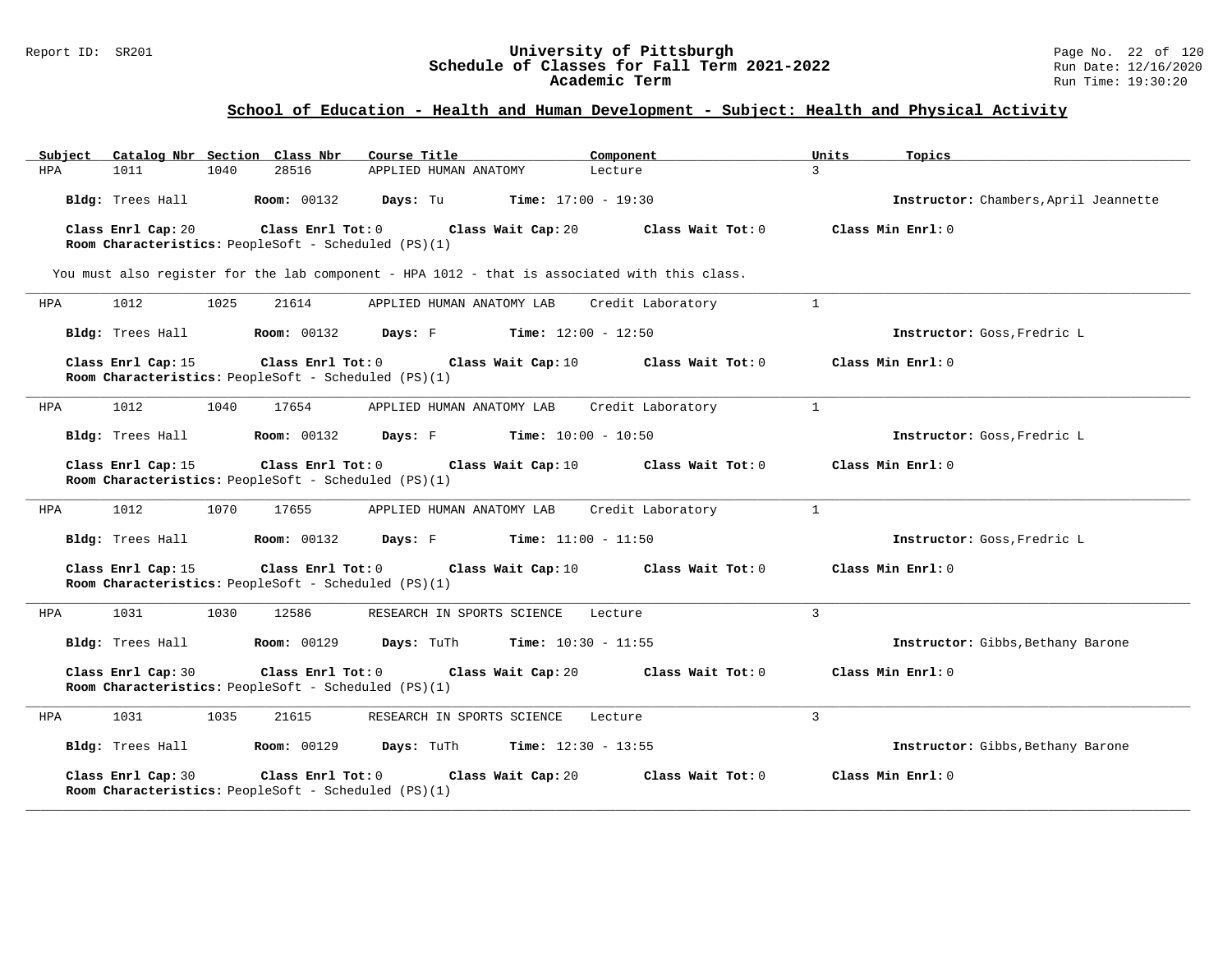| Catalog Nbr Section Class Nbr<br>Subject                                                        | Course Title                                | Component                    | Units<br>Topics   |                                       |
|-------------------------------------------------------------------------------------------------|---------------------------------------------|------------------------------|-------------------|---------------------------------------|
| 1011<br>1040<br>28516<br>HPA                                                                    | APPLIED HUMAN ANATOMY                       | Lecture                      | $\mathbf{R}$      |                                       |
| Bldg: Trees Hall<br><b>Room:</b> 00132                                                          | Days: Tu                                    | <b>Time:</b> $17:00 - 19:30$ |                   | Instructor: Chambers, April Jeannette |
| Class Enrl Cap: 20<br>Class Enrl Tot: 0<br>Room Characteristics: PeopleSoft - Scheduled (PS)(1) | Class Wait Cap: 20                          | Class Wait Tot: 0            | Class Min Enrl: 0 |                                       |
| You must also register for the lab component - HPA 1012 - that is associated with this class.   |                                             |                              |                   |                                       |
| 1012<br>1025<br>21614<br>HPA                                                                    | APPLIED HUMAN ANATOMY LAB                   | Credit Laboratory            | $\mathbf{1}$      |                                       |
| Bldg: Trees Hall<br><b>Room:</b> 00132                                                          | <b>Days:</b> F <b>Time:</b> $12:00 - 12:50$ |                              |                   | Instructor: Goss, Fredric L           |
| Class Enrl Tot: 0<br>Class Enrl Cap: 15<br>Room Characteristics: PeopleSoft - Scheduled (PS)(1) | Class Wait Cap: 10                          | Class Wait Tot: 0            | Class Min Enrl: 0 |                                       |
| 1012<br>1040<br>HPA<br>17654                                                                    | APPLIED HUMAN ANATOMY LAB                   | Credit Laboratory            | 1                 |                                       |
| Bldg: Trees Hall<br><b>Room:</b> 00132                                                          | <b>Days:</b> F <b>Time:</b> $10:00 - 10:50$ |                              |                   | Instructor: Goss, Fredric L           |
| Class Enrl Tot: 0<br>Class Enrl Cap: 15<br>Room Characteristics: PeopleSoft - Scheduled (PS)(1) | Class Wait Cap: 10                          | Class Wait Tot: 0            | Class Min Enrl: 0 |                                       |
| 1012<br>1070<br>17655<br>HPA                                                                    | APPLIED HUMAN ANATOMY LAB                   | Credit Laboratory            | $\mathbf{1}$      |                                       |
| Bldg: Trees Hall<br><b>Room:</b> 00132                                                          | Days: F                                     | <b>Time:</b> $11:00 - 11:50$ |                   | Instructor: Goss, Fredric L           |
| Class Enrl Cap: 15<br>Class Enrl Tot: 0<br>Room Characteristics: PeopleSoft - Scheduled (PS)(1) | Class Wait Cap: 10                          | Class Wait Tot: 0            | Class Min Enrl: 0 |                                       |
| 1031<br>1030<br>12586<br>HPA                                                                    | RESEARCH IN SPORTS SCIENCE                  | Lecture                      | $\overline{3}$    |                                       |
| Bldg: Trees Hall<br><b>Room: 00129</b>                                                          | Days: TuTh                                  | <b>Time:</b> $10:30 - 11:55$ |                   | Instructor: Gibbs, Bethany Barone     |
| Class Enrl Cap: 30<br>Class Enrl Tot: 0<br>Room Characteristics: PeopleSoft - Scheduled (PS)(1) | Class Wait Cap: 20                          | Class Wait Tot: 0            | Class Min Enrl: 0 |                                       |
| 1031<br>1035<br>21615<br>HPA                                                                    | RESEARCH IN SPORTS SCIENCE                  | Lecture                      | 3                 |                                       |
| Bldg: Trees Hall<br><b>Room: 00129</b>                                                          | Days: TuTh                                  | <b>Time:</b> $12:30 - 13:55$ |                   | Instructor: Gibbs, Bethany Barone     |
| Class Enrl Cap: 30<br>Class Enrl Tot: 0<br>Room Characteristics: PeopleSoft - Scheduled (PS)(1) | Class Wait Cap: 20                          | Class Wait Tot: 0            | Class Min Enrl: 0 |                                       |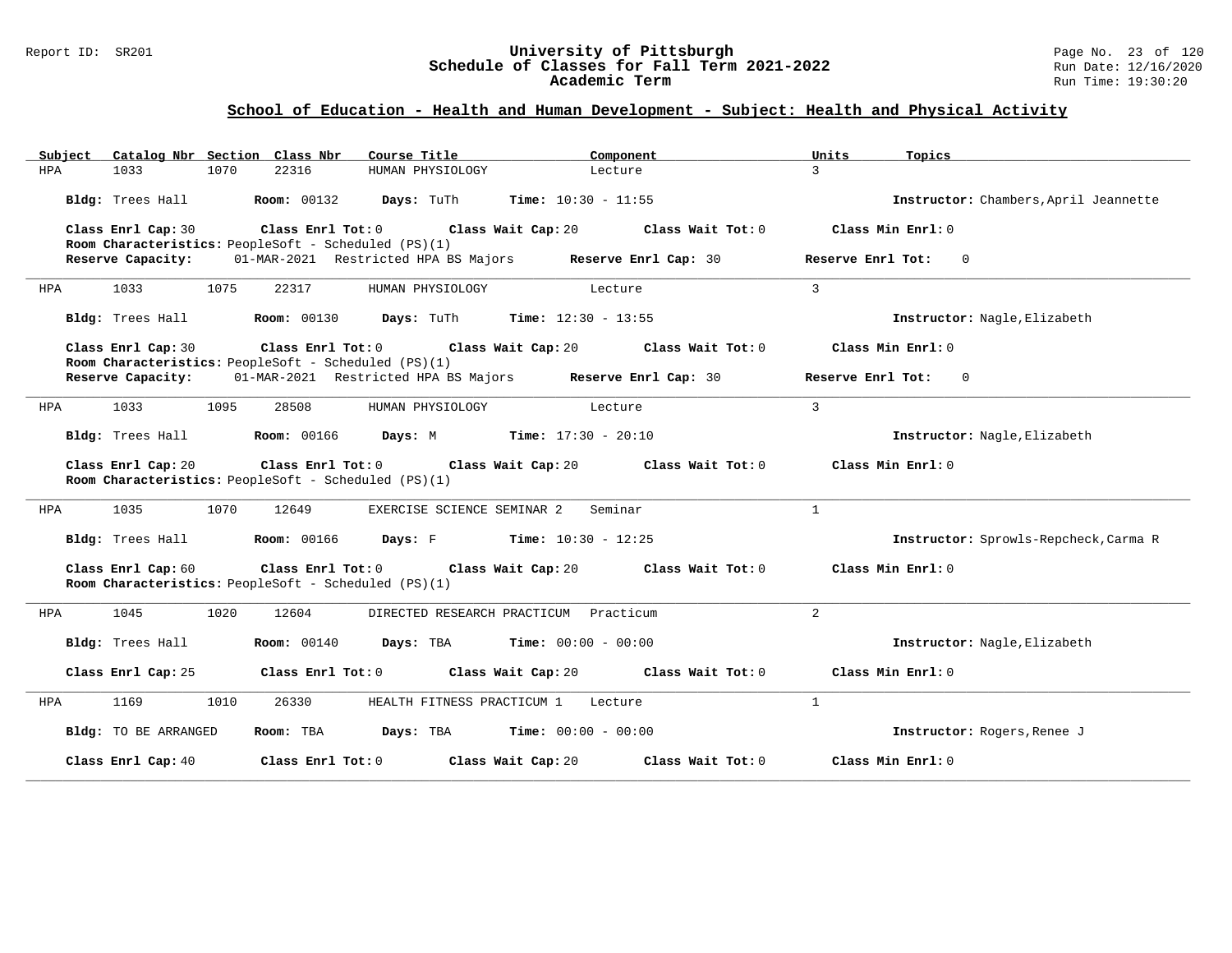#### Report ID: SR201 **University of Pittsburgh** Page No. 23 of 120 **Schedule of Classes for Fall Term 2021-2022** Run Date: 12/16/2020 **Academic Term** Run Time: 19:30:20

| Catalog Nbr Section Class Nbr<br>Subject | Course Title                                                                                 | Component                                     | Units<br>Topics                       |
|------------------------------------------|----------------------------------------------------------------------------------------------|-----------------------------------------------|---------------------------------------|
| <b>HPA</b><br>1033<br>1070               | 22316<br>HUMAN PHYSIOLOGY                                                                    | Lecture                                       | $\mathcal{L}$                         |
| Bldg: Trees Hall                         | <b>Room: 00132</b><br>Days: TuTh                                                             | Time: $10:30 - 11:55$                         | Instructor: Chambers, April Jeannette |
| Class Enrl Cap: 30                       | Class Enrl Tot: 0<br>Room Characteristics: PeopleSoft - Scheduled (PS)(1)                    | Class Wait Cap: 20<br>Class Wait Tot: 0       | Class Min Enrl: 0                     |
| Reserve Capacity:                        | 01-MAR-2021 Restricted HPA BS Majors Reserve Enrl Cap: 30                                    |                                               | Reserve Enrl Tot: 0                   |
| 1033<br>1075<br>HPA                      | 22317<br>HUMAN PHYSIOLOGY                                                                    | Lecture                                       | $\overline{3}$                        |
| Bldg: Trees Hall                         | <b>Room:</b> 00130 <b>Days:</b> TuTh <b>Time:</b> $12:30 - 13:55$                            |                                               | Instructor: Nagle, Elizabeth          |
| Class Enrl Cap: 30                       | $Class$ $Enrl$ $Tot: 0$<br>Room Characteristics: PeopleSoft - Scheduled (PS)(1)              | Class Wait Cap: 20 Class Wait Tot: 0          | Class Min Enrl: 0                     |
| Reserve Capacity:                        | 01-MAR-2021 Restricted HPA BS Majors Reserve Enrl Cap: 30                                    |                                               | Reserve Enrl Tot: 0                   |
| 1033<br>1095<br>HPA                      | 28508<br>HUMAN PHYSIOLOGY                                                                    | Lecture                                       | $\mathbf{3}$                          |
| Bldg: Trees Hall                         | <b>Room:</b> 00166 <b>Days:</b> M <b>Time:</b> $17:30 - 20:10$                               |                                               | Instructor: Nagle, Elizabeth          |
| Class Enrl Cap: 20                       | Class Enrl Tot: 0 Class Wait Cap: 20<br>Room Characteristics: PeopleSoft - Scheduled (PS)(1) | Class Wait Tot: 0                             | Class Min Enrl: 0                     |
| 1035<br>1070<br>HPA                      | 12649<br>EXERCISE SCIENCE SEMINAR 2                                                          | Seminar                                       | $\mathbf{1}$                          |
| Bldg: Trees Hall                         | <b>Room:</b> 00166 <b>Days:</b> F <b>Time:</b> 10:30 - 12:25                                 |                                               | Instructor: Sprowls-Repcheck, Carma R |
| Class Enrl Cap: 60                       | Class Enrl Tot: 0 Class Wait Cap: 20<br>Room Characteristics: PeopleSoft - Scheduled (PS)(1) | Class Wait Tot: 0                             | Class Min Enrl: 0                     |
| 1045<br>1020<br>HPA                      | 12604                                                                                        | DIRECTED RESEARCH PRACTICUM Practicum         | 2                                     |
| Bldg: Trees Hall                         | <b>Room:</b> 00140                                                                           | <b>Days:</b> TBA <b>Time:</b> $00:00 - 00:00$ | Instructor: Nagle, Elizabeth          |
| Class Enrl Cap: 25                       | Class Enrl Tot: 0                                                                            | Class Wait Cap: 20<br>Class Wait Tot: 0       | Class Min Enrl: 0                     |
| HPA<br>1169<br>1010                      | 26330<br>HEALTH FITNESS PRACTICUM 1                                                          | Lecture                                       | 1                                     |
| Bldg: TO BE ARRANGED                     | Room: TBA                                                                                    | <b>Days:</b> TBA <b>Time:</b> $00:00 - 00:00$ | Instructor: Rogers, Renee J           |
| Class Enrl Cap: 40                       | Class Enrl Tot: 0<br>Class Wait Cap: 20                                                      | Class Wait Tot: 0                             | Class Min Enrl: 0                     |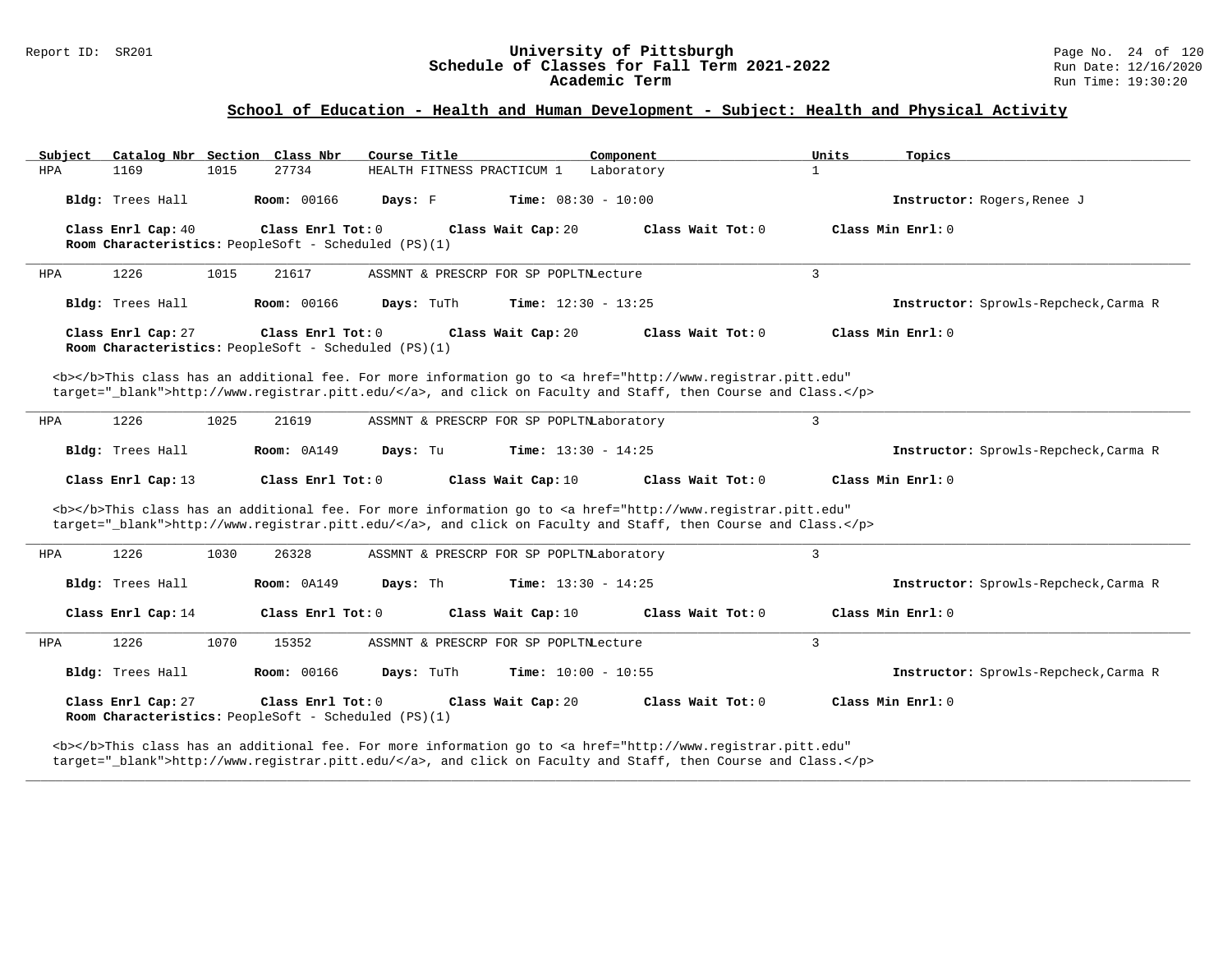# Report ID: SR201 **University of Pittsburgh University of Pittsburgh** Page No. 24 of 120<br>**Schedule of Classes for Fall Term 2021-2022** Run Date: 12/16/2020 Schedule of Classes for Fall Term 2021-2022<br>Academic Term

## **School of Education - Health and Human Development - Subject: Health and Physical Activity**

| Subject<br>Catalog Nbr Section Class Nbr | Course Title                                                                                                                                                                                                                       | Component<br>Units           | Topics                                |
|------------------------------------------|------------------------------------------------------------------------------------------------------------------------------------------------------------------------------------------------------------------------------------|------------------------------|---------------------------------------|
| 1169<br><b>HPA</b><br>1015               | HEALTH FITNESS PRACTICUM 1<br>27734                                                                                                                                                                                                | $\mathbf{1}$<br>Laboratory   |                                       |
| Bldg: Trees Hall                         | <b>Room: 00166</b><br>Days: F                                                                                                                                                                                                      | <b>Time:</b> $08:30 - 10:00$ | Instructor: Rogers, Renee J           |
| Class Enrl Cap: 40                       | Class Enrl Tot: 0<br>Class Wait Cap: 20<br>Room Characteristics: PeopleSoft - Scheduled (PS)(1)                                                                                                                                    | Class Wait Tot: 0            | Class Min Enrl: 0                     |
| 1226<br>1015<br>HPA                      | 21617<br>ASSMNT & PRESCRP FOR SP POPLTNLecture                                                                                                                                                                                     | 3                            |                                       |
| Bldg: Trees Hall                         | <b>Room: 00166</b><br>Days: TuTh                                                                                                                                                                                                   | <b>Time:</b> $12:30 - 13:25$ | Instructor: Sprowls-Repcheck, Carma R |
| Class Enrl Cap: 27                       | Class Enrl Tot: 0<br>Class Wait Cap: 20<br>Room Characteristics: PeopleSoft - Scheduled (PS)(1)                                                                                                                                    | Class Wait Tot: 0            | Class Min Enrl: 0                     |
|                                          | <b></b> This class has an additional fee. For more information go to <a <br="" href="http://www.registrar.pitt.edu">target=" blank"&gt;http://www.registrar.pitt.edu/</a> , and click on Faculty and Staff, then Course and Class. |                              |                                       |
| 1226<br>1025<br>HPA                      | 21619<br>ASSMNT & PRESCRP FOR SP POPLTNLaboratory                                                                                                                                                                                  | 3                            |                                       |
| Bldg: Trees Hall                         | <b>Room: 0A149</b><br>Days: Tu                                                                                                                                                                                                     | <b>Time:</b> $13:30 - 14:25$ | Instructor: Sprowls-Repcheck, Carma R |
| Class Enrl Cap: 13                       | Class Enrl Tot: 0<br>Class Wait Cap: 10                                                                                                                                                                                            | Class Wait Tot: 0            | Class Min Enrl: 0                     |
|                                          | <b></b> This class has an additional fee. For more information go to <a <br="" href="http://www.registrar.pitt.edu">target="_blank"&gt;http://www.registrar.pitt.edu/</a> , and click on Faculty and Staff, then Course and Class. |                              |                                       |
| 1226<br>1030<br>HPA                      | 26328<br>ASSMNT & PRESCRP FOR SP POPLTNLaboratory                                                                                                                                                                                  | 3                            |                                       |
| Bldg: Trees Hall                         | Room: 0A149<br>Days: Th                                                                                                                                                                                                            | <b>Time:</b> $13:30 - 14:25$ | Instructor: Sprowls-Repcheck, Carma R |
| Class Enrl Cap: 14                       | Class Enrl Tot: 0<br>Class Wait Cap: 10                                                                                                                                                                                            | Class Wait Tot: 0            | Class Min Enrl: 0                     |
| 1226<br>1070<br>HPA                      | 15352<br>ASSMNT & PRESCRP FOR SP POPLTNLecture                                                                                                                                                                                     | 3                            |                                       |
| Bldg: Trees Hall                         | <b>Room: 00166</b><br>Days: TuTh                                                                                                                                                                                                   | Time: $10:00 - 10:55$        | Instructor: Sprowls-Repcheck, Carma R |
|                                          |                                                                                                                                                                                                                                    |                              |                                       |
| Class Enrl Cap: 27                       | Class Enrl Tot: 0<br>Class Wait Cap: 20<br>Room Characteristics: PeopleSoft - Scheduled (PS)(1)                                                                                                                                    | Class Wait Tot: 0            | Class Min Enrl: 0                     |

**\_\_\_\_\_\_\_\_\_\_\_\_\_\_\_\_\_\_\_\_\_\_\_\_\_\_\_\_\_\_\_\_\_\_\_\_\_\_\_\_\_\_\_\_\_\_\_\_\_\_\_\_\_\_\_\_\_\_\_\_\_\_\_\_\_\_\_\_\_\_\_\_\_\_\_\_\_\_\_\_\_\_\_\_\_\_\_\_\_\_\_\_\_\_\_\_\_\_\_\_\_\_\_\_\_\_\_\_\_\_\_\_\_\_\_\_\_\_\_\_\_\_\_\_\_\_\_\_\_\_\_\_\_\_\_\_\_\_\_\_\_\_\_\_\_\_\_\_\_\_\_\_\_\_\_\_**

target="\_blank">http://www.registrar.pitt.edu/</a>, and click on Faculty and Staff, then Course and Class.</p>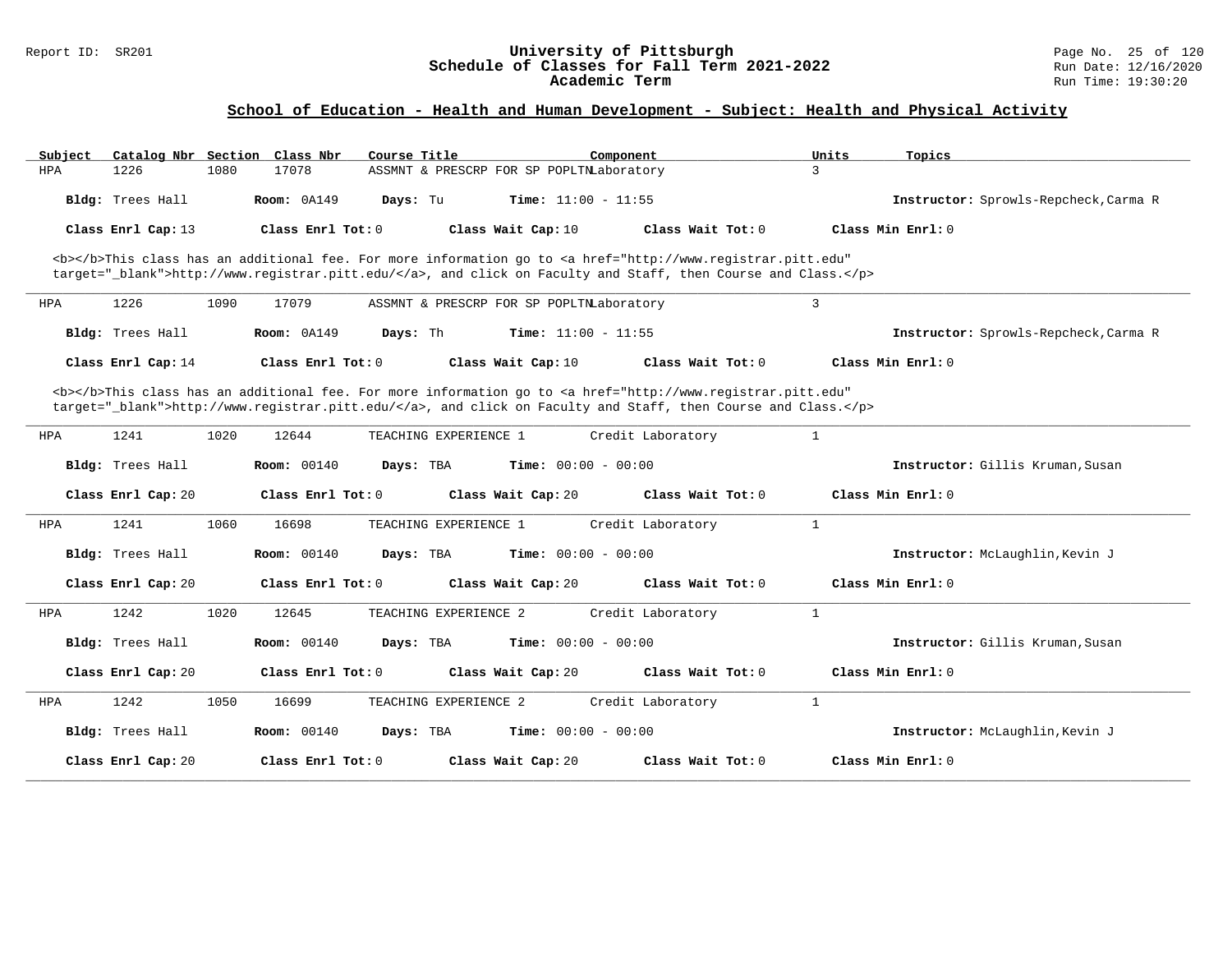#### Report ID: SR201 **University of Pittsburgh University of Pittsburgh** Page No. 25 of 120<br>**Schedule of Classes for Fall Term 2021-2022** Run Date: 12/16/2020 **Schedule of Classes for Fall Term 2021-2022** Run Date: 12/16/2020 **Academic Term** Run Time: 19:30:20

| Subject |                    |      | Catalog Nbr Section Class Nbr | Course Title          | Component                                |                                                                                                                                                                                                                                    | Units        | Topics                                |
|---------|--------------------|------|-------------------------------|-----------------------|------------------------------------------|------------------------------------------------------------------------------------------------------------------------------------------------------------------------------------------------------------------------------------|--------------|---------------------------------------|
| HPA     | 1226               | 1080 | 17078                         |                       | ASSMNT & PRESCRP FOR SP POPLTNLaboratory |                                                                                                                                                                                                                                    | 3            |                                       |
|         | Bldg: Trees Hall   |      | Room: 0A149                   | Days: Tu              | Time: $11:00 - 11:55$                    |                                                                                                                                                                                                                                    |              | Instructor: Sprowls-Repcheck, Carma R |
|         | Class Enrl Cap: 13 |      | Class Enrl Tot: 0             |                       | Class Wait Cap: 10                       | Class Wait Tot: 0                                                                                                                                                                                                                  |              | Class Min $Enr1: 0$                   |
|         |                    |      |                               |                       |                                          | <b></b> This class has an additional fee. For more information go to <a <br="" href="http://www.registrar.pitt.edu">target="_blank"&gt;http://www.registrar.pitt.edu/</a> , and click on Faculty and Staff, then Course and Class. |              |                                       |
| HPA     | 1226               | 1090 | 17079                         |                       | ASSMNT & PRESCRP FOR SP POPLTNLaboratory |                                                                                                                                                                                                                                    | 3            |                                       |
|         | Bldg: Trees Hall   |      | Room: 0A149                   | Days: Th              | <b>Time:</b> $11:00 - 11:55$             |                                                                                                                                                                                                                                    |              | Instructor: Sprowls-Repcheck, Carma R |
|         | Class Enrl Cap: 14 |      | Class Enrl Tot: 0             |                       | Class Wait Cap: 10                       | Class Wait Tot: 0                                                                                                                                                                                                                  |              | Class Min Enrl: 0                     |
|         |                    |      |                               |                       |                                          | <b></b> This class has an additional fee. For more information go to <a <br="" href="http://www.registrar.pitt.edu">target="_blank"&gt;http://www.registrar.pitt.edu/</a> , and click on Faculty and Staff, then Course and Class. |              |                                       |
| HPA     | 1241               | 1020 | 12644                         | TEACHING EXPERIENCE 1 |                                          | Credit Laboratory                                                                                                                                                                                                                  | $\mathbf{1}$ |                                       |
|         | Bldg: Trees Hall   |      | <b>Room:</b> 00140            | Days: TBA             | <b>Time:</b> $00:00 - 00:00$             |                                                                                                                                                                                                                                    |              | Instructor: Gillis Kruman, Susan      |
|         | Class Enrl Cap: 20 |      | Class Enrl Tot: 0             |                       | Class Wait Cap: 20                       | Class Wait Tot: 0                                                                                                                                                                                                                  |              | Class Min Enrl: 0                     |
| HPA     | 1241               | 1060 | 16698                         | TEACHING EXPERIENCE 1 |                                          | Credit Laboratory                                                                                                                                                                                                                  | 1            |                                       |
|         | Bldg: Trees Hall   |      | <b>Room:</b> 00140            | Days: TBA             | <b>Time:</b> $00:00 - 00:00$             |                                                                                                                                                                                                                                    |              | Instructor: McLaughlin, Kevin J       |
|         | Class Enrl Cap: 20 |      | Class Enrl Tot: 0             |                       | Class Wait Cap: 20                       | Class Wait Tot: 0                                                                                                                                                                                                                  |              | Class Min Enrl: 0                     |
| HPA     | 1242               | 1020 | 12645                         | TEACHING EXPERIENCE 2 |                                          | Credit Laboratory                                                                                                                                                                                                                  | 1            |                                       |
|         | Bldg: Trees Hall   |      | Room: 00140                   | Days: TBA             | <b>Time:</b> $00:00 - 00:00$             |                                                                                                                                                                                                                                    |              | Instructor: Gillis Kruman, Susan      |
|         | Class Enrl Cap: 20 |      | Class Enrl Tot: 0             |                       | Class Wait Cap: 20                       | Class Wait Tot: $0$                                                                                                                                                                                                                |              | Class Min $Enr1: 0$                   |
| HPA     | 1242               | 1050 | 16699                         | TEACHING EXPERIENCE 2 |                                          | Credit Laboratory                                                                                                                                                                                                                  | $\mathbf{1}$ |                                       |
|         | Bldg: Trees Hall   |      | <b>Room:</b> 00140            | Days: TBA             | Time: $00:00 - 00:00$                    |                                                                                                                                                                                                                                    |              | Instructor: McLaughlin, Kevin J       |
|         | Class Enrl Cap: 20 |      | Class Enrl Tot: 0             |                       | Class Wait Cap: 20                       | Class Wait Tot: $0$                                                                                                                                                                                                                |              | Class Min Enrl: 0                     |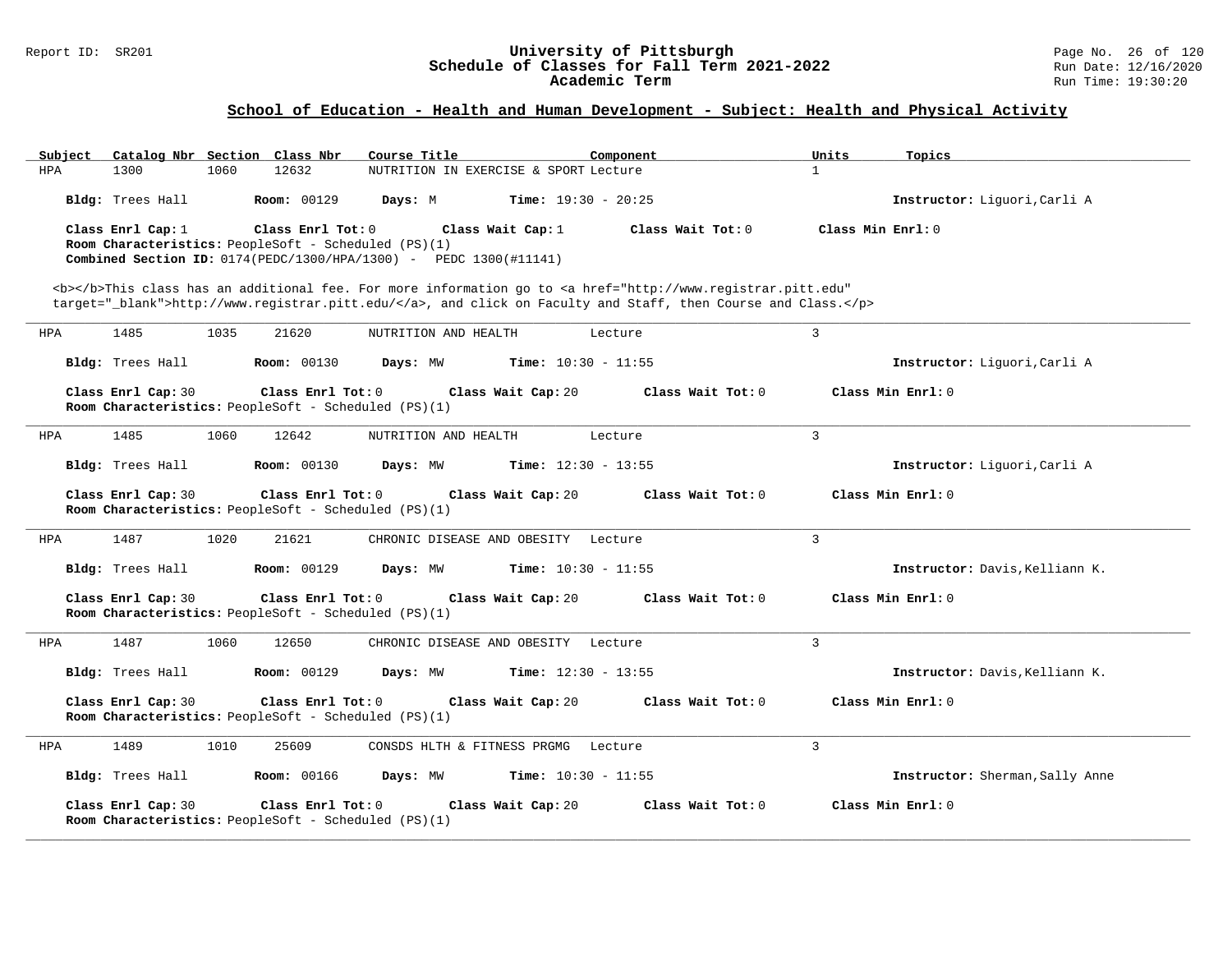#### Report ID: SR201 **University of Pittsburgh** Page No. 26 of 120 **Schedule of Classes for Fall Term 2021-2022** Run Date: 12/16/2020 **Academic Term** Run Time: 19:30:20

| Subject |                    |      | Catalog Nbr Section Class Nbr                                             | Course Title                                                                                                                                                                                                                       |                              | Component |                   | Units          | Topics                          |
|---------|--------------------|------|---------------------------------------------------------------------------|------------------------------------------------------------------------------------------------------------------------------------------------------------------------------------------------------------------------------------|------------------------------|-----------|-------------------|----------------|---------------------------------|
| HPA     | 1300               | 1060 | 12632                                                                     | NUTRITION IN EXERCISE & SPORT Lecture                                                                                                                                                                                              |                              |           |                   | $\mathbf{1}$   |                                 |
|         | Bldg: Trees Hall   |      | <b>Room: 00129</b>                                                        | Days: M                                                                                                                                                                                                                            | <b>Time:</b> $19:30 - 20:25$ |           |                   |                | Instructor: Liguori, Carli A    |
|         | Class Enrl Cap: 1  |      | Class Enrl Tot: 0                                                         |                                                                                                                                                                                                                                    | Class Wait Cap: 1            |           | Class Wait Tot: 0 |                | Class Min Enrl: 0               |
|         |                    |      | Room Characteristics: PeopleSoft - Scheduled (PS)(1)                      | <b>Combined Section ID:</b> $0174 (PEDC/1300/HPA/1300) - PEDC 1300(#11141)$                                                                                                                                                        |                              |           |                   |                |                                 |
|         |                    |      |                                                                           |                                                                                                                                                                                                                                    |                              |           |                   |                |                                 |
|         |                    |      |                                                                           | <b></b> This class has an additional fee. For more information go to <a <br="" href="http://www.registrar.pitt.edu">target="_blank"&gt;http://www.registrar.pitt.edu/</a> , and click on Faculty and Staff, then Course and Class. |                              |           |                   |                |                                 |
|         |                    |      |                                                                           |                                                                                                                                                                                                                                    |                              |           |                   |                |                                 |
| HPA     | 1485               | 1035 | 21620                                                                     | NUTRITION AND HEALTH                                                                                                                                                                                                               |                              | Lecture   |                   | 3              |                                 |
|         | Bldg: Trees Hall   |      | <b>Room: 00130</b>                                                        | Days: MW                                                                                                                                                                                                                           | Time: $10:30 - 11:55$        |           |                   |                | Instructor: Liquori, Carli A    |
|         | Class Enrl Cap: 30 |      | Class Enrl Tot: 0<br>Room Characteristics: PeopleSoft - Scheduled (PS)(1) |                                                                                                                                                                                                                                    | Class Wait Cap: 20           |           | Class Wait Tot: 0 |                | Class Min Enrl: 0               |
| HPA     | 1485               | 1060 | 12642                                                                     | NUTRITION AND HEALTH                                                                                                                                                                                                               |                              | Lecture   |                   | $\overline{3}$ |                                 |
|         | Bldg: Trees Hall   |      | <b>Room: 00130</b>                                                        | Days: MW                                                                                                                                                                                                                           | <b>Time:</b> $12:30 - 13:55$ |           |                   |                | Instructor: Liguori, Carli A    |
|         | Class Enrl Cap: 30 |      | Class Enrl Tot: 0<br>Room Characteristics: PeopleSoft - Scheduled (PS)(1) |                                                                                                                                                                                                                                    | Class Wait Cap: 20           |           | Class Wait Tot: 0 |                | Class Min Enrl: 0               |
| HPA     | 1487               | 1020 | 21621                                                                     | CHRONIC DISEASE AND OBESITY Lecture                                                                                                                                                                                                |                              |           |                   | $\overline{3}$ |                                 |
|         | Bldg: Trees Hall   |      | <b>Room: 00129</b>                                                        | Days: MW                                                                                                                                                                                                                           | <b>Time:</b> $10:30 - 11:55$ |           |                   |                | Instructor: Davis, Kelliann K.  |
|         | Class Enrl Cap: 30 |      | Class Enrl Tot: 0<br>Room Characteristics: PeopleSoft - Scheduled (PS)(1) |                                                                                                                                                                                                                                    | Class Wait Cap: 20           |           | Class Wait Tot: 0 |                | Class Min Enrl: 0               |
| HPA     | 1487               | 1060 | 12650                                                                     | CHRONIC DISEASE AND OBESITY Lecture                                                                                                                                                                                                |                              |           |                   | $\overline{3}$ |                                 |
|         | Bldg: Trees Hall   |      | <b>Room: 00129</b>                                                        | Days: MW                                                                                                                                                                                                                           | <b>Time:</b> $12:30 - 13:55$ |           |                   |                | Instructor: Davis, Kelliann K.  |
|         | Class Enrl Cap: 30 |      | Class Enrl Tot: 0<br>Room Characteristics: PeopleSoft - Scheduled (PS)(1) |                                                                                                                                                                                                                                    | Class Wait Cap: 20           |           | Class Wait Tot: 0 |                | Class Min Enrl: 0               |
| HPA     | 1489               | 1010 | 25609                                                                     | CONSDS HLTH & FITNESS PRGMG                                                                                                                                                                                                        |                              | Lecture   |                   | 3              |                                 |
|         | Bldg: Trees Hall   |      | <b>Room: 00166</b>                                                        | Days: MW                                                                                                                                                                                                                           | Time: $10:30 - 11:55$        |           |                   |                | Instructor: Sherman, Sally Anne |
|         | Class Enrl Cap: 30 |      | Class Enrl Tot: 0<br>Room Characteristics: PeopleSoft - Scheduled (PS)(1) |                                                                                                                                                                                                                                    | Class Wait Cap: 20           |           | Class Wait Tot: 0 |                | Class Min Enrl: 0               |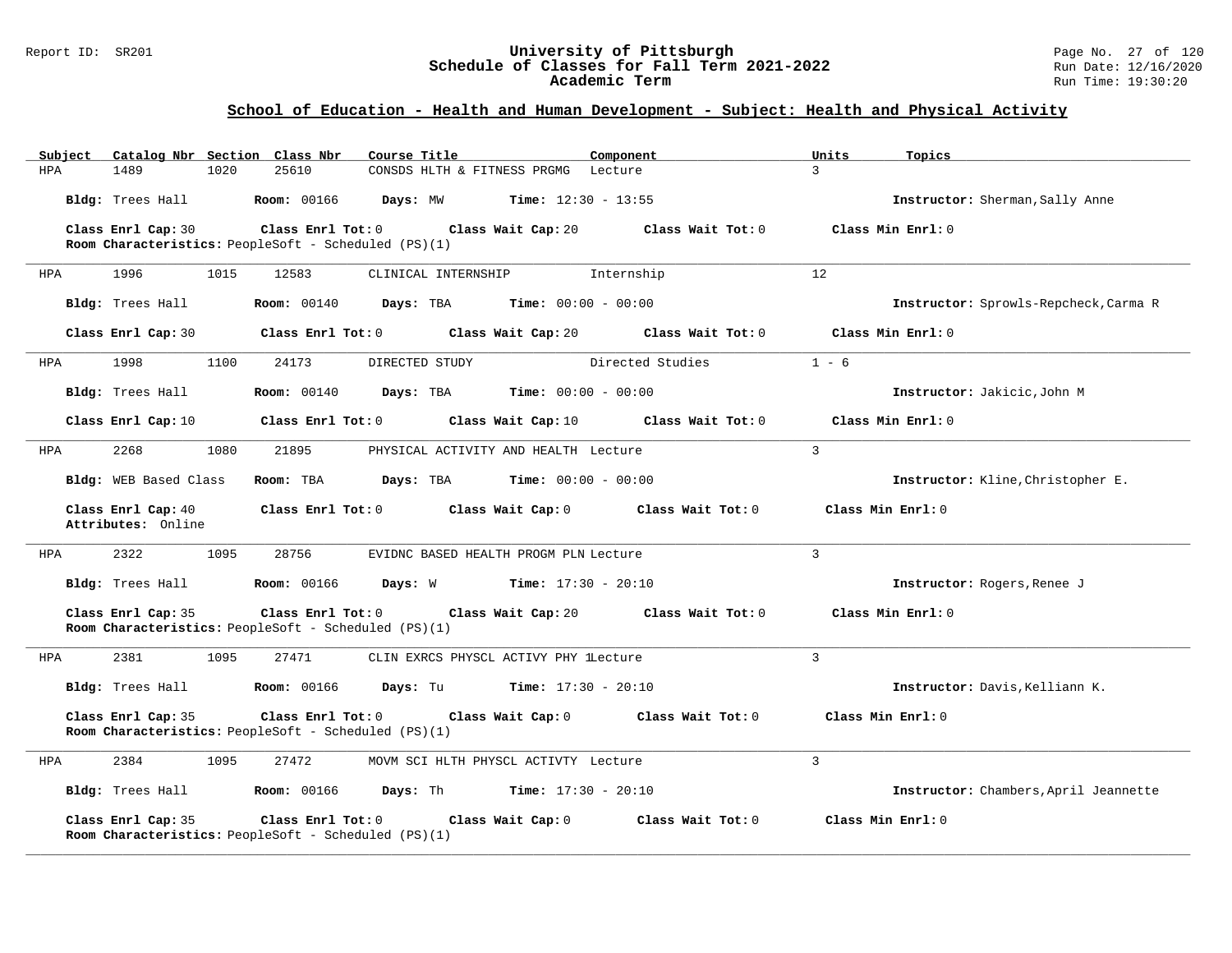#### Report ID: SR201 **University of Pittsburgh** Page No. 27 of 120 **Schedule of Classes for Fall Term 2021-2022** Run Date: 12/16/2020 **Academic Term** Run Time: 19:30:20

| Catalog Nbr Section Class Nbr<br>Subject | Course Title                                                                                         | Component                           | Units<br>Topics                       |
|------------------------------------------|------------------------------------------------------------------------------------------------------|-------------------------------------|---------------------------------------|
| 1489<br><b>HPA</b><br>1020               | 25610<br>CONSDS HLTH & FITNESS PRGMG Lecture                                                         | $\overline{3}$                      |                                       |
| Bldg: Trees Hall                         | <b>Room: 00166</b><br>Days: MW<br>$Time: 12:30 - 13:55$                                              |                                     | Instructor: Sherman, Sally Anne       |
| Class Enrl Cap: 30                       | Class Enrl Tot: 0<br>Class Wait Cap: 20                                                              | Class Wait Tot: 0                   | Class Min Enrl: 0                     |
|                                          | Room Characteristics: PeopleSoft - Scheduled (PS)(1)                                                 |                                     |                                       |
| 1996<br>1015<br>HPA                      | 12583<br>CLINICAL INTERNSHIP                                                                         | 12<br>Internship                    |                                       |
| Bldg: Trees Hall                         | <b>Room:</b> 00140<br><b>Days:</b> TBA <b>Time:</b> $00:00 - 00:00$                                  |                                     | Instructor: Sprowls-Repcheck, Carma R |
| Class Enrl Cap: 30                       | Class Enrl Tot: 0<br>Class Wait Cap: 20                                                              | Class Wait Tot: 0                   | Class Min Enrl: 0                     |
| 1998<br>1100<br>HPA                      | 24173<br>DIRECTED STUDY                                                                              | Directed Studies                    | $1 - 6$                               |
| Bldg: Trees Hall                         | <b>Room:</b> 00140<br>Days: TBA<br>$Time: 00:00 - 00:00$                                             |                                     | Instructor: Jakicic, John M           |
| Class Enrl Cap: 10                       | Class Enrl Tot: 0<br>Class Wait Cap: 10                                                              | Class Wait Tot: 0                   | Class Min Enrl: 0                     |
| 2268<br>1080<br>HPA                      | 21895<br>PHYSICAL ACTIVITY AND HEALTH Lecture                                                        | $\overline{3}$                      |                                       |
| Bldg: WEB Based Class                    | Room: TBA<br><b>Days:</b> TBA <b>Time:</b> $00:00 - 00:00$                                           |                                     | Instructor: Kline, Christopher E.     |
|                                          | $Class$ $Enrl$ $Tot: 0$                                                                              |                                     | Class Min Enrl: 0                     |
| Class Enrl Cap: 40<br>Attributes: Online |                                                                                                      | Class Wait Cap: 0 Class Wait Tot: 0 |                                       |
| 2322<br>1095<br>HPA                      | 28756<br>EVIDNC BASED HEALTH PROGM PLN Lecture                                                       | 3                                   |                                       |
| Bldg: Trees Hall                         | <b>Room: 00166</b><br>$Time: 17:30 - 20:10$<br>Days: W                                               |                                     | Instructor: Rogers, Renee J           |
| Class Enrl Cap: 35                       | Class Enrl Tot: 0<br>Class Wait Cap: 20<br>Room Characteristics: PeopleSoft - Scheduled (PS)(1)      | Class Wait Tot: 0                   | Class Min Enrl: 0                     |
| 2381<br>1095<br>HPA                      | 27471<br>CLIN EXRCS PHYSCL ACTIVY PHY LLecture                                                       | 3                                   |                                       |
| Bldg: Trees Hall                         | <b>Room: 00166</b><br><b>Days:</b> Tu <b>Time:</b> $17:30 - 20:10$                                   |                                     | Instructor: Davis, Kelliann K.        |
| Class Enrl Cap: 35                       | $Class$ $Enr1$ $Tot: 0$<br>Class Wait Cap: 0<br>Room Characteristics: PeopleSoft - Scheduled (PS)(1) | Class Wait Tot: 0                   | Class Min Enrl: 0                     |
| 2384<br>1095<br>HPA                      | 27472<br>MOVM SCI HLTH PHYSCL ACTIVTY Lecture                                                        | 3                                   |                                       |
| Bldg: Trees Hall                         | <b>Room: 00166</b><br><b>Days:</b> Th <b>Time:</b> $17:30 - 20:10$                                   |                                     | Instructor: Chambers, April Jeannette |
| Class Enrl Cap: 35                       | Class Enrl Tot: 0<br>Class Wait Cap: 0<br>Room Characteristics: PeopleSoft - Scheduled (PS)(1)       | Class Wait Tot: 0                   | Class Min Enrl: 0                     |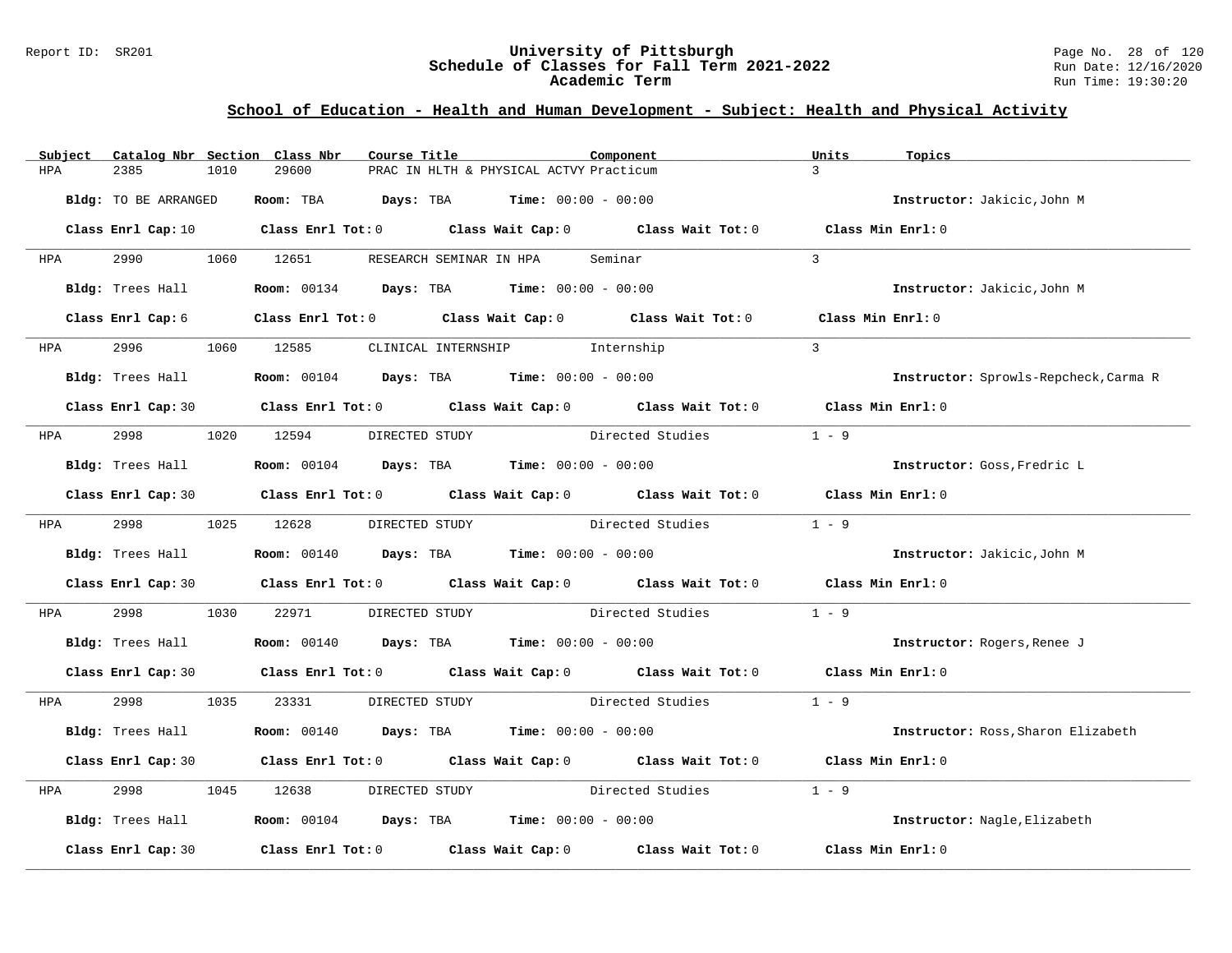#### Report ID: SR201 **University of Pittsburgh** Page No. 28 of 120 **Schedule of Classes for Fall Term 2021-2022** Run Date: 12/16/2020 **Academic Term** Run Time: 19:30:20

| Subject    |                      |      | Catalog Nbr Section Class Nbr                                      | Course Title |                                         | Component                                                                                           | Units         | Topics                                |
|------------|----------------------|------|--------------------------------------------------------------------|--------------|-----------------------------------------|-----------------------------------------------------------------------------------------------------|---------------|---------------------------------------|
| HPA        | 2385                 | 1010 | 29600                                                              |              | PRAC IN HLTH & PHYSICAL ACTVY Practicum |                                                                                                     | $\mathcal{L}$ |                                       |
|            | Bldg: TO BE ARRANGED |      | Room: TBA $Days:$ TBA $Time: 00:00 - 00:00$                        |              |                                         |                                                                                                     |               | Instructor: Jakicic, John M           |
|            |                      |      |                                                                    |              |                                         | Class Enrl Cap: 10 $\qquad$ Class Enrl Tot: 0 $\qquad$ Class Wait Cap: 0 $\qquad$ Class Wait Tot: 0 |               | Class Min Enrl: 0                     |
| <b>HPA</b> |                      |      | 2990 1060 12651                                                    |              | RESEARCH SEMINAR IN HPA                 | Seminar                                                                                             | $\mathcal{L}$ |                                       |
|            | Bldg: Trees Hall     |      | <b>Room:</b> $00134$ <b>Days:</b> TBA <b>Time:</b> $00:00 - 00:00$ |              |                                         |                                                                                                     |               | Instructor: Jakicic, John M           |
|            | Class Enrl Cap: 6    |      |                                                                    |              |                                         | Class Enrl Tot: 0 Class Wait Cap: 0 Class Wait Tot: 0                                               |               | Class Min Enrl: 0                     |
|            | HPA 2996             |      | 1060 12585 CLINICAL INTERNSHIP Internship                          |              |                                         |                                                                                                     | $\mathcal{L}$ |                                       |
|            | Bldg: Trees Hall     |      | <b>Room:</b> $00104$ <b>Days:</b> TBA <b>Time:</b> $00:00 - 00:00$ |              |                                         |                                                                                                     |               | Instructor: Sprowls-Repcheck, Carma R |
|            |                      |      |                                                                    |              |                                         | Class Enrl Cap: 30 $\qquad$ Class Enrl Tot: 0 $\qquad$ Class Wait Cap: 0 $\qquad$ Class Wait Tot: 0 |               | Class Min Enrl: 0                     |
| <b>HPA</b> | 2998                 |      | 1020 12594                                                         |              |                                         | DIRECTED STUDY Directed Studies                                                                     | $1 - 9$       |                                       |
|            | Bldg: Trees Hall     |      | <b>Room:</b> $00104$ <b>Days:</b> TBA <b>Time:</b> $00:00 - 00:00$ |              |                                         |                                                                                                     |               | Instructor: Goss, Fredric L           |
|            |                      |      |                                                                    |              |                                         | Class Enrl Cap: 30 Class Enrl Tot: 0 Class Wait Cap: 0 Class Wait Tot: 0 Class Min Enrl: 0          |               |                                       |
|            |                      |      | HPA 2998 1025 12628                                                |              |                                         | DIRECTED STUDY Directed Studies                                                                     | $1 - 9$       |                                       |
|            | Bldg: Trees Hall     |      | <b>Room:</b> $00140$ <b>Days:</b> TBA <b>Time:</b> $00:00 - 00:00$ |              |                                         |                                                                                                     |               | Instructor: Jakicic, John M           |
|            |                      |      |                                                                    |              |                                         | Class Enrl Cap: 30 Class Enrl Tot: 0 Class Wait Cap: 0 Class Wait Tot: 0 Class Min Enrl: 0          |               |                                       |
| HPA        | 2998                 | 1030 | 22971                                                              |              |                                         | DIRECTED STUDY Directed Studies                                                                     | $1 - 9$       |                                       |
|            | Bldg: Trees Hall     |      | <b>Room:</b> 00140 <b>Days:</b> TBA <b>Time:</b> $00:00 - 00:00$   |              |                                         |                                                                                                     |               | Instructor: Rogers, Renee J           |
|            |                      |      |                                                                    |              |                                         | Class Enrl Cap: 30 Class Enrl Tot: 0 Class Wait Cap: 0 Class Wait Tot: 0 Class Min Enrl: 0          |               |                                       |
| HPA        |                      |      |                                                                    |              |                                         | 2998 1035 23331 DIRECTED STUDY Directed Studies                                                     | $1 - 9$       |                                       |
|            | Bldg: Trees Hall     |      | <b>Room:</b> 00140 <b>Days:</b> TBA <b>Time:</b> $00:00 - 00:00$   |              |                                         |                                                                                                     |               | Instructor: Ross, Sharon Elizabeth    |
|            |                      |      |                                                                    |              |                                         | Class Enrl Cap: 30 Class Enrl Tot: 0 Class Wait Cap: 0 Class Wait Tot: 0                            |               | Class Min Enrl: 0                     |
| HPA        | 2998                 | 1045 | 12638                                                              |              |                                         | DIRECTED STUDY Directed Studies                                                                     | $1 - 9$       |                                       |
|            | Bldg: Trees Hall     |      | <b>Room:</b> $00104$ <b>Days:</b> TBA <b>Time:</b> $00:00 - 00:00$ |              |                                         |                                                                                                     |               | Instructor: Nagle, Elizabeth          |
|            | Class Enrl Cap: 30   |      |                                                                    |              |                                         | Class Enrl Tot: $0$ Class Wait Cap: $0$ Class Wait Tot: $0$                                         |               | Class Min Enrl: 0                     |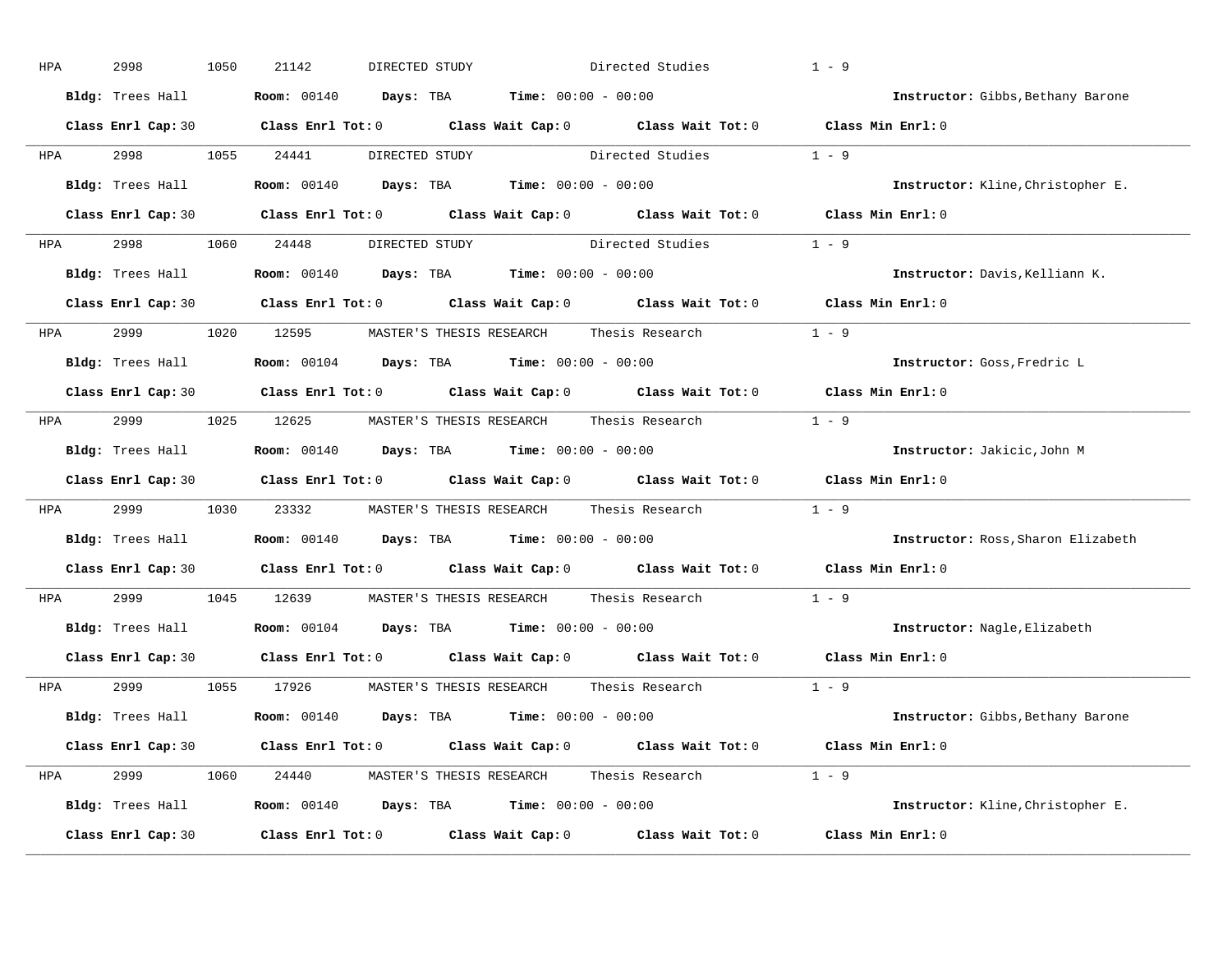| HPA        | 2998               | 1050 | 21142                                                                                                 | DIRECTED STUDY                                                     | Directed Studies                                                                                    | $1 - 9$                                                                                    |
|------------|--------------------|------|-------------------------------------------------------------------------------------------------------|--------------------------------------------------------------------|-----------------------------------------------------------------------------------------------------|--------------------------------------------------------------------------------------------|
|            | Bldg: Trees Hall   |      |                                                                                                       | <b>Room:</b> $00140$ <b>Days:</b> TBA <b>Time:</b> $00:00 - 00:00$ |                                                                                                     | Instructor: Gibbs, Bethany Barone                                                          |
|            |                    |      |                                                                                                       |                                                                    |                                                                                                     | Class Enrl Cap: 30 Class Enrl Tot: 0 Class Wait Cap: 0 Class Wait Tot: 0 Class Min Enrl: 0 |
|            |                    |      | HPA 2998 1055 24441                                                                                   |                                                                    | DIRECTED STUDY Directed Studies 1 - 9                                                               |                                                                                            |
|            |                    |      | <b>Bldg:</b> Trees Hall <b>Room:</b> 00140 <b>Days:</b> TBA <b>Time:</b> $00:00 - 00:00$              |                                                                    |                                                                                                     | Instructor: Kline, Christopher E.                                                          |
|            |                    |      |                                                                                                       |                                                                    |                                                                                                     | Class Enrl Cap: 30 Class Enrl Tot: 0 Class Wait Cap: 0 Class Wait Tot: 0 Class Min Enrl: 0 |
|            |                    |      |                                                                                                       |                                                                    | HPA 2998 1060 24448 DIRECTED STUDY Directed Studies 1 - 9                                           |                                                                                            |
|            |                    |      | Bldg: Trees Hall <b>Room:</b> 00140 <b>Days: TBA Time:</b> 00:00 - 00:00                              |                                                                    |                                                                                                     | Instructor: Davis, Kelliann K.                                                             |
|            |                    |      |                                                                                                       |                                                                    |                                                                                                     | Class Enrl Cap: 30 Class Enrl Tot: 0 Class Wait Cap: 0 Class Wait Tot: 0 Class Min Enrl: 0 |
|            |                    |      |                                                                                                       |                                                                    | HPA 2999 1020 12595 MASTER'S THESIS RESEARCH Thesis Research 1 - 9                                  |                                                                                            |
|            |                    |      | Bldg: Trees Hall <b>Room:</b> 00104 <b>Days: TBA Time:</b> 00:00 - 00:00                              |                                                                    |                                                                                                     | Instructor: Goss, Fredric L                                                                |
|            |                    |      |                                                                                                       |                                                                    |                                                                                                     | Class Enrl Cap: 30 Class Enrl Tot: 0 Class Wait Cap: 0 Class Wait Tot: 0 Class Min Enrl: 0 |
|            |                    |      |                                                                                                       |                                                                    | HPA 2999 1025 12625 MASTER'S THESIS RESEARCH Thesis Research                                        | $1 - 9$                                                                                    |
|            |                    |      | <b>Bldg:</b> Trees Hall $\blacksquare$ <b>Room:</b> 00140 <b>Days:</b> TBA <b>Time:</b> 00:00 - 00:00 |                                                                    |                                                                                                     | Instructor: Jakicic, John M                                                                |
|            |                    |      |                                                                                                       |                                                                    |                                                                                                     | Class Enrl Cap: 30 Class Enrl Tot: 0 Class Wait Cap: 0 Class Wait Tot: 0 Class Min Enrl: 0 |
| HPA        |                    |      |                                                                                                       |                                                                    | 2999 1030 23332 MASTER'S THESIS RESEARCH Thesis Research                                            | $1 - 9$                                                                                    |
|            |                    |      | Bldg: Trees Hall <b>Room:</b> 00140 <b>Days: TBA Time:</b> 00:00 - 00:00                              |                                                                    |                                                                                                     | Instructor: Ross, Sharon Elizabeth                                                         |
|            |                    |      |                                                                                                       |                                                                    | Class Enrl Cap: 30 $\qquad$ Class Enrl Tot: 0 $\qquad$ Class Wait Cap: 0 $\qquad$ Class Wait Tot: 0 | Class Min Enrl: 0                                                                          |
| <b>HPA</b> | 2999 — 200         |      | 1045 12639 MASTER'S THESIS RESEARCH                                                                   |                                                                    | Thesis Research                                                                                     | $1 - 9$                                                                                    |
|            |                    |      | Bldg: Trees Hall <b>Room:</b> 00104 <b>Days: TBA Time:</b> 00:00 - 00:00                              |                                                                    |                                                                                                     | Instructor: Nagle, Elizabeth                                                               |
|            |                    |      |                                                                                                       |                                                                    | Class Enrl Cap: 30 Class Enrl Tot: 0 Class Wait Cap: 0 Class Wait Tot: 0                            | Class Min $Enr1:0$                                                                         |
|            |                    |      |                                                                                                       |                                                                    | HPA 2999 1055 17926 MASTER'S THESIS RESEARCH Thesis Research 1 - 9                                  |                                                                                            |
|            |                    |      | Bldg: Trees Hall <b>Room:</b> 00140 <b>Days: TBA Time:</b> 00:00 - 00:00                              |                                                                    |                                                                                                     | Instructor: Gibbs, Bethany Barone                                                          |
|            |                    |      |                                                                                                       |                                                                    |                                                                                                     | Class Enrl Cap: 30 Class Enrl Tot: 0 Class Wait Cap: 0 Class Wait Tot: 0 Class Min Enrl: 0 |
|            |                    |      |                                                                                                       |                                                                    | HPA 2999 1060 24440 MASTER'S THESIS RESEARCH Thesis Research 1 - 9                                  |                                                                                            |
|            |                    |      | <b>Bldg:</b> Trees Hall $\blacksquare$ <b>Room:</b> 00140 <b>Days:</b> TBA <b>Time:</b> 00:00 - 00:00 |                                                                    |                                                                                                     | Instructor: Kline, Christopher E.                                                          |
|            | Class Enrl Cap: 30 |      |                                                                                                       |                                                                    | Class Enrl Tot: $0$ Class Wait Cap: $0$ Class Wait Tot: $0$                                         | Class Min Enrl: 0                                                                          |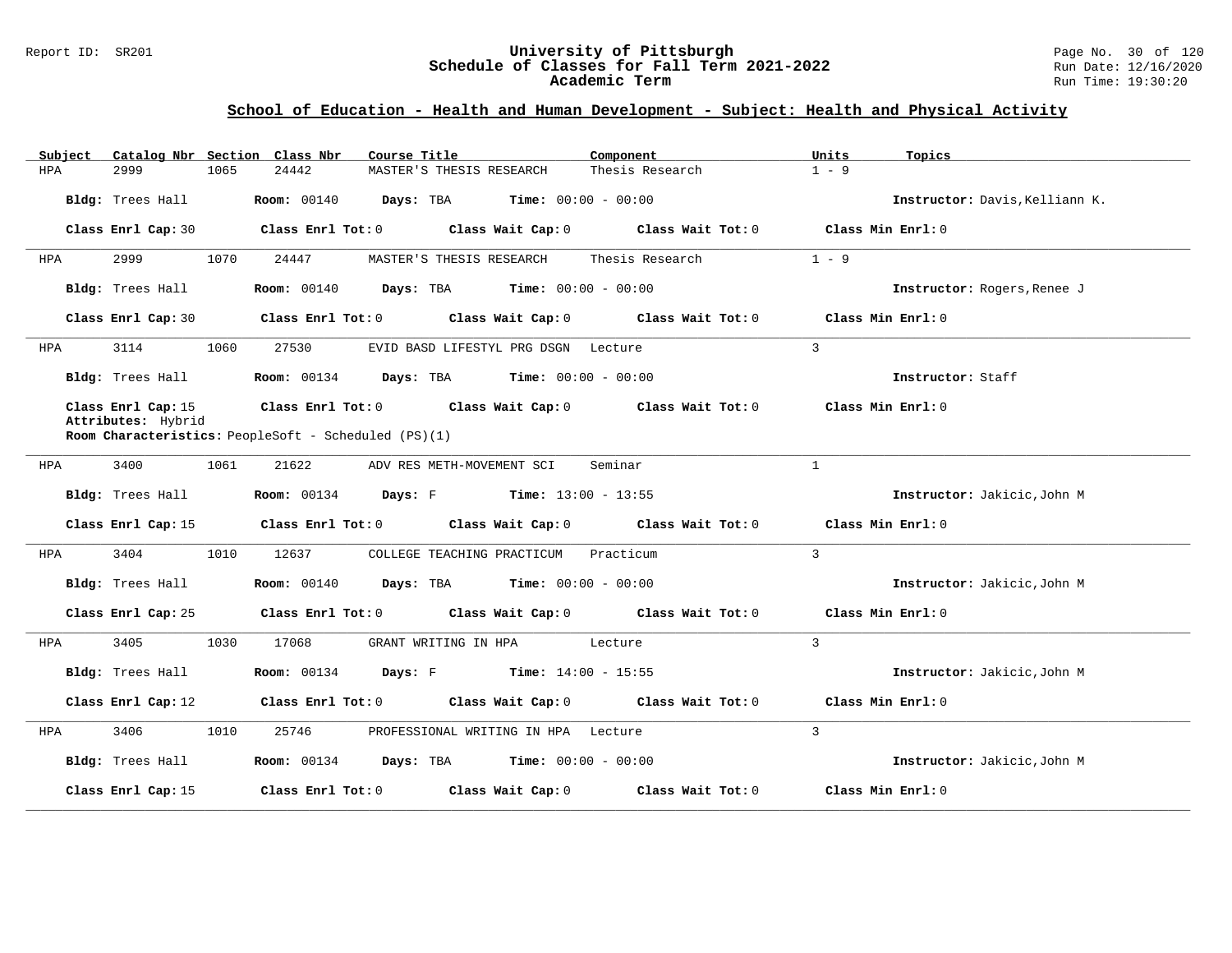#### Report ID: SR201 **1988 Mage 10: SR201 University of Pittsburgh** Page No. 30 of 120<br>**Schedule of Classes for Fall Term 2021-2022** 1988 Magnetic 12/16/2020 **Schedule of Classes for Fall Term 2021-2022** Run Date: 12/16/2020 **Academic Term** Run Time: 19:30:20

| Subject | Catalog Nbr Section Class Nbr            |      |                                                      | Course Title                                                                  | Component                    | Units<br>Topics                |
|---------|------------------------------------------|------|------------------------------------------------------|-------------------------------------------------------------------------------|------------------------------|--------------------------------|
| HPA     | 2999                                     | 1065 | 24442                                                | MASTER'S THESIS RESEARCH                                                      | Thesis Research              | $1 - 9$                        |
|         | Bldg: Trees Hall                         |      |                                                      | Room: 00140 Days: TBA                                                         | <b>Time:</b> $00:00 - 00:00$ | Instructor: Davis, Kelliann K. |
|         | Class Enrl Cap: 30                       |      |                                                      | Class Enrl Tot: 0 Class Wait Cap: 0 Class Wait Tot: 0                         |                              | Class Min Enrl: 0              |
| HPA     | 2999                                     | 1070 | 24447                                                | MASTER'S THESIS RESEARCH                                                      | Thesis Research              | $1 - 9$                        |
|         | Bldg: Trees Hall                         |      |                                                      | <b>Room:</b> 00140 <b>Days:</b> TBA <b>Time:</b> 00:00 - 00:00                |                              | Instructor: Rogers, Renee J    |
|         | Class Enrl Cap: 30                       |      |                                                      | Class Enrl Tot: 0 Class Wait Cap: 0 Class Wait Tot: 0                         |                              | Class Min Enrl: 0              |
| HPA     | 3114                                     | 1060 | 27530                                                | EVID BASD LIFESTYL PRG DSGN Lecture                                           |                              | 3                              |
|         | Bldg: Trees Hall                         |      |                                                      | <b>Room:</b> $00134$ <b>Days:</b> TBA <b>Time:</b> $00:00 - 00:00$            |                              | Instructor: Staff              |
|         | Class Enrl Cap: 15<br>Attributes: Hybrid |      | Room Characteristics: PeopleSoft - Scheduled (PS)(1) | Class Enrl Tot: $0$ Class Wait Cap: $0$ Class Wait Tot: $0$                   |                              | Class Min Enrl: 0              |
|         |                                          |      |                                                      |                                                                               |                              |                                |
| HPA     | 3400                                     | 1061 | 21622                                                | ADV RES METH-MOVEMENT SCI                                                     | Seminar                      | $\mathbf{1}$                   |
|         | Bldg: Trees Hall                         |      |                                                      | <b>Room:</b> 00134 <b>Days:</b> F <b>Time:</b> $13:00 - 13:55$                |                              | Instructor: Jakicic, John M    |
|         | Class Enrl Cap: 15                       |      |                                                      | Class Enrl Tot: $0$ Class Wait Cap: $0$ Class Wait Tot: $0$                   |                              | Class Min Enrl: 0              |
| HPA     | 3404                                     | 1010 | 12637                                                | COLLEGE TEACHING PRACTICUM Practicum                                          |                              | $\mathbf{3}$                   |
|         | Bldg: Trees Hall                         |      |                                                      | <b>Room:</b> 00140 <b>Days:</b> TBA <b>Time:</b> $00:00 - 00:00$              |                              | Instructor: Jakicic, John M    |
|         | Class Enrl Cap: 25                       |      |                                                      | Class Enrl Tot: $0$ Class Wait Cap: $0$ Class Wait Tot: $0$                   |                              | Class Min Enrl: 0              |
| HPA     | 3405                                     | 1030 | 17068                                                | GRANT WRITING IN HPA Lecture                                                  |                              | $\overline{3}$                 |
|         | Bldg: Trees Hall                         |      |                                                      | <b>Room:</b> 00134 <b>Days:</b> F <b>Time:</b> 14:00 - 15:55                  |                              | Instructor: Jakicic, John M    |
|         | Class Enrl Cap: 12                       |      |                                                      | Class Enrl Tot: $0$ Class Wait Cap: $0$ Class Wait Tot: $0$                   |                              | Class Min Enrl: 0              |
| HPA     | 3406                                     | 1010 | 25746                                                | PROFESSIONAL WRITING IN HPA Lecture                                           |                              | 3                              |
|         | Bldg: Trees Hall                         |      |                                                      | <b>Room:</b> $00134$ <b>Days:</b> TBA <b>Time:</b> $00:00 - 00:00$            |                              | Instructor: Jakicic, John M    |
|         | Class Enrl Cap: 15                       |      |                                                      | Class Enrl Tot: $0$ $\qquad$ Class Wait Cap: $0$ $\qquad$ Class Wait Tot: $0$ |                              | Class Min Enrl: 0              |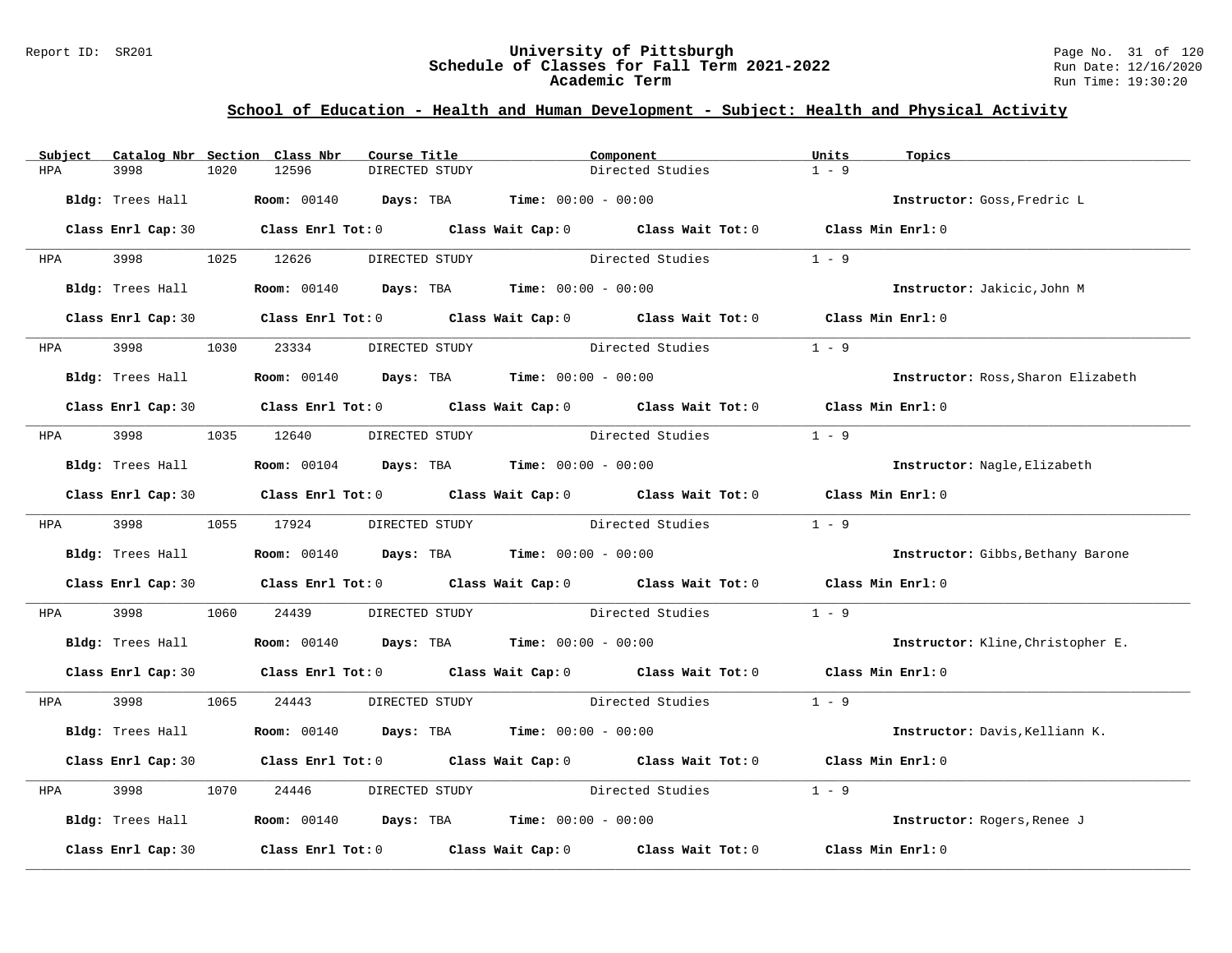#### Report ID: SR201 **University of Pittsburgh** Page No. 31 of 120 **Schedule of Classes for Fall Term 2021-2022** Run Date: 12/16/2020 **Academic Term** Run Time: 19:30:20

| Subject      |                    |      | Catalog Nbr Section Class Nbr | Course Title   |                                                                                 | Component                                                                                  | Units             | Topics                             |
|--------------|--------------------|------|-------------------------------|----------------|---------------------------------------------------------------------------------|--------------------------------------------------------------------------------------------|-------------------|------------------------------------|
| HPA          | 3998               | 1020 | 12596                         | DIRECTED STUDY |                                                                                 | Directed Studies                                                                           | $1 - 9$           |                                    |
|              | Bldg: Trees Hall   |      |                               |                | <b>Room:</b> $00140$ <b>Days:</b> TBA <b>Time:</b> $00:00 - 00:00$              |                                                                                            |                   | Instructor: Goss, Fredric L        |
|              |                    |      |                               |                |                                                                                 | Class Enrl Cap: 30 Class Enrl Tot: 0 Class Wait Cap: 0 Class Wait Tot: 0 Class Min Enrl: 0 |                   |                                    |
| HPA <b>H</b> | 3998 399           |      | 1025 12626                    | DIRECTED STUDY |                                                                                 | Directed Studies                                                                           | $1 - 9$           |                                    |
|              | Bldg: Trees Hall   |      |                               |                | <b>Room:</b> $00140$ <b>Days:</b> TBA <b>Time:</b> $00:00 - 00:00$              |                                                                                            |                   | Instructor: Jakicic, John M        |
|              |                    |      |                               |                |                                                                                 | Class Enrl Cap: 30 Class Enrl Tot: 0 Class Wait Cap: 0 Class Wait Tot: 0 Class Min Enrl: 0 |                   |                                    |
| <b>HPA</b>   | 3998               | 1030 | 23334                         | DIRECTED STUDY |                                                                                 | Directed Studies                                                                           | $1 - 9$           |                                    |
|              | Bldg: Trees Hall   |      |                               |                | <b>Room:</b> $00140$ <b>Days:</b> TBA <b>Time:</b> $00:00 - 00:00$              |                                                                                            |                   | Instructor: Ross, Sharon Elizabeth |
|              |                    |      |                               |                |                                                                                 | Class Enrl Cap: 30 Class Enrl Tot: 0 Class Wait Cap: 0 Class Wait Tot: 0 Class Min Enrl: 0 |                   |                                    |
| HPA          | 3998 399           |      | 1035 12640 DIRECTED STUDY     |                |                                                                                 | Directed Studies                                                                           | $1 - 9$           |                                    |
|              | Bldg: Trees Hall   |      |                               |                | <b>Room:</b> $00104$ <b>Days:</b> TBA <b>Time:</b> $00:00 - 00:00$              |                                                                                            |                   | Instructor: Nagle, Elizabeth       |
|              |                    |      |                               |                |                                                                                 | Class Enrl Cap: 30 Class Enrl Tot: 0 Class Wait Cap: 0 Class Wait Tot: 0 Class Min Enrl: 0 |                   |                                    |
|              | HPA 3998           |      | 1055 17924                    | DIRECTED STUDY |                                                                                 | Directed Studies                                                                           | $1 - 9$           |                                    |
|              |                    |      |                               |                | Bldg: Trees Hall <b>Room:</b> 00140 <b>Days:</b> TBA <b>Time:</b> 00:00 - 00:00 |                                                                                            |                   | Instructor: Gibbs, Bethany Barone  |
|              |                    |      |                               |                |                                                                                 | Class Enrl Cap: 30 Class Enrl Tot: 0 Class Wait Cap: 0 Class Wait Tot: 0 Class Min Enrl: 0 |                   |                                    |
| HPA          | 3998               | 1060 | 24439                         |                |                                                                                 | DIRECTED STUDY Directed Studies                                                            | $1 - 9$           |                                    |
|              |                    |      |                               |                | Bldg: Trees Hall <b>Room:</b> 00140 <b>Days: TBA Time:</b> 00:00 - 00:00        |                                                                                            |                   | Instructor: Kline, Christopher E.  |
|              |                    |      |                               |                |                                                                                 | Class Enrl Cap: 30 Class Enrl Tot: 0 Class Wait Cap: 0 Class Wait Tot: 0 Class Min Enrl: 0 |                   |                                    |
| HPA          | 3998 3998          |      | 1065 24443                    |                |                                                                                 | DIRECTED STUDY Directed Studies 1 - 9                                                      |                   |                                    |
|              | Bldg: Trees Hall   |      |                               |                | <b>Room:</b> 00140 <b>Days:</b> TBA <b>Time:</b> $00:00 - 00:00$                |                                                                                            |                   | Instructor: Davis, Kelliann K.     |
|              |                    |      |                               |                |                                                                                 | Class Enrl Cap: 30 Class Enrl Tot: 0 Class Wait Cap: 0 Class Wait Tot: 0                   | Class Min Enrl: 0 |                                    |
| HPA          | 3998               | 1070 | 24446                         | DIRECTED STUDY |                                                                                 | Directed Studies                                                                           | $1 - 9$           |                                    |
|              |                    |      |                               |                | Bldg: Trees Hall <b>Room:</b> 00140 <b>Days: TBA Time:</b> 00:00 - 00:00        |                                                                                            |                   | Instructor: Rogers, Renee J        |
|              | Class Enrl Cap: 30 |      |                               |                |                                                                                 | Class Enrl Tot: $0$ Class Wait Cap: $0$ Class Wait Tot: $0$                                |                   | Class Min Enrl: 0                  |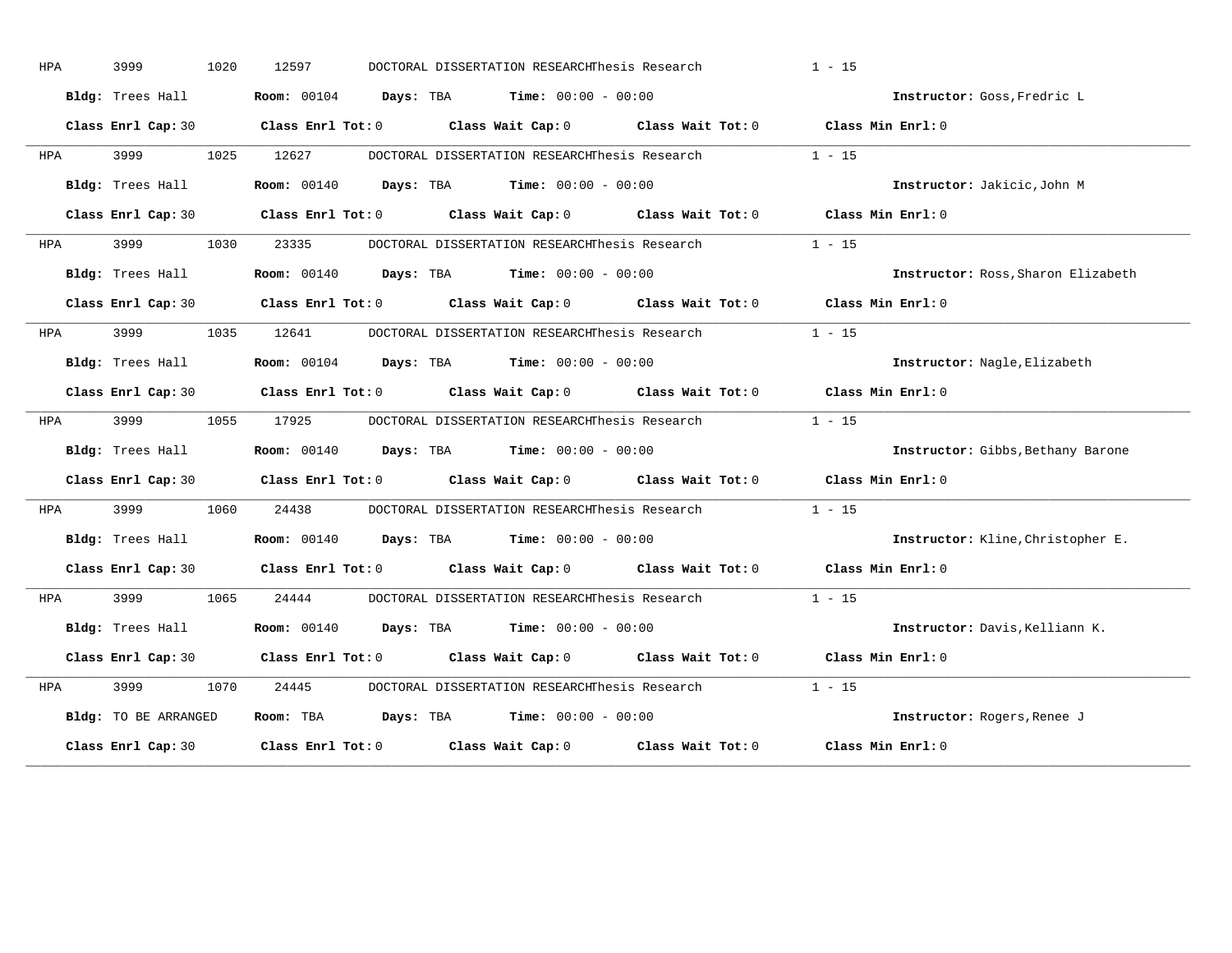| HPA        | 3999                 | 1020 | 12597      |  | DOCTORAL DISSERTATION RESEARCHThesis Research                      |                                                                      | $1 - 15$                                                                                   |
|------------|----------------------|------|------------|--|--------------------------------------------------------------------|----------------------------------------------------------------------|--------------------------------------------------------------------------------------------|
|            | Bldg: Trees Hall     |      |            |  | <b>Room:</b> $00104$ <b>Days:</b> TBA <b>Time:</b> $00:00 - 00:00$ |                                                                      | Instructor: Goss, Fredric L                                                                |
|            |                      |      |            |  |                                                                    |                                                                      | Class Enrl Cap: 30 Class Enrl Tot: 0 Class Wait Cap: 0 Class Wait Tot: 0 Class Min Enrl: 0 |
| HPA        | 3999                 |      | 1025 12627 |  | DOCTORAL DISSERTATION RESEARCHThesis Research                      |                                                                      | $1 - 15$                                                                                   |
|            | Bldg: Trees Hall     |      |            |  | <b>Room:</b> $00140$ <b>Days:</b> TBA <b>Time:</b> $00:00 - 00:00$ |                                                                      | Instructor: Jakicic, John M                                                                |
|            |                      |      |            |  |                                                                    |                                                                      | Class Enrl Cap: 30 Class Enrl Tot: 0 Class Wait Cap: 0 Class Wait Tot: 0 Class Min Enrl: 0 |
| <b>HPA</b> | 3999 (1989)          |      | 1030 23335 |  |                                                                    | DOCTORAL DISSERTATION RESEARCHThesis Research 1 - 15                 |                                                                                            |
|            | Bldg: Trees Hall     |      |            |  | <b>Room:</b> $00140$ <b>Days:</b> TBA <b>Time:</b> $00:00 - 00:00$ |                                                                      | Instructor: Ross, Sharon Elizabeth                                                         |
|            |                      |      |            |  |                                                                    |                                                                      | Class Enrl Cap: 30 Class Enrl Tot: 0 Class Wait Cap: 0 Class Wait Tot: 0 Class Min Enrl: 0 |
| <b>HPA</b> | 3999                 |      | 1035 12641 |  | DOCTORAL DISSERTATION RESEARCHThesis Research                      |                                                                      | $1 - 15$                                                                                   |
|            | Bldg: Trees Hall     |      |            |  | <b>Room:</b> $00104$ <b>Days:</b> TBA <b>Time:</b> $00:00 - 00:00$ |                                                                      | Instructor: Nagle, Elizabeth                                                               |
|            |                      |      |            |  |                                                                    |                                                                      | Class Enrl Cap: 30 Class Enrl Tot: 0 Class Wait Cap: 0 Class Wait Tot: 0 Class Min Enrl: 0 |
| HPA        | 3999                 |      | 1055 17925 |  |                                                                    | DOCTORAL DISSERTATION RESEARCHThesis Research                        | $1 - 15$                                                                                   |
|            | Bldg: Trees Hall     |      |            |  | <b>Room:</b> 00140 <b>Days:</b> TBA <b>Time:</b> $00:00 - 00:00$   |                                                                      | Instructor: Gibbs, Bethany Barone                                                          |
|            |                      |      |            |  |                                                                    |                                                                      | Class Enrl Cap: 30 Class Enrl Tot: 0 Class Wait Cap: 0 Class Wait Tot: 0 Class Min Enrl: 0 |
| <b>HPA</b> |                      |      |            |  |                                                                    | 3999 1060 24438 DOCTORAL DISSERTATION RESEARCHThesis Research 1 - 15 |                                                                                            |
|            | Bldg: Trees Hall     |      |            |  | <b>Room:</b> $00140$ <b>Days:</b> TBA <b>Time:</b> $00:00 - 00:00$ |                                                                      | Instructor: Kline, Christopher E.                                                          |
|            |                      |      |            |  |                                                                    |                                                                      | Class Enrl Cap: 30 Class Enrl Tot: 0 Class Wait Cap: 0 Class Wait Tot: 0 Class Min Enrl: 0 |
| <b>HPA</b> | 3999                 |      | 1065 24444 |  | DOCTORAL DISSERTATION RESEARCHThesis Research                      |                                                                      | $1 - 15$                                                                                   |
|            | Bldg: Trees Hall     |      |            |  | <b>Room:</b> $00140$ <b>Days:</b> TBA <b>Time:</b> $00:00 - 00:00$ |                                                                      | Instructor: Davis, Kelliann K.                                                             |
|            |                      |      |            |  |                                                                    |                                                                      | Class Enrl Cap: 30 Class Enrl Tot: 0 Class Wait Cap: 0 Class Wait Tot: 0 Class Min Enrl: 0 |
| HPA        | 3999                 | 1070 | 24445      |  |                                                                    | DOCTORAL DISSERTATION RESEARCHThesis Research                        | $1 - 15$                                                                                   |
|            | Bldg: TO BE ARRANGED |      |            |  | Room: TBA $Days:$ TBA Time: $00:00 - 00:00$                        |                                                                      | Instructor: Rogers, Renee J                                                                |
|            | Class Enrl Cap: 30   |      |            |  |                                                                    | Class Enrl Tot: $0$ Class Wait Cap: $0$ Class Wait Tot: $0$          | Class Min Enrl: 0                                                                          |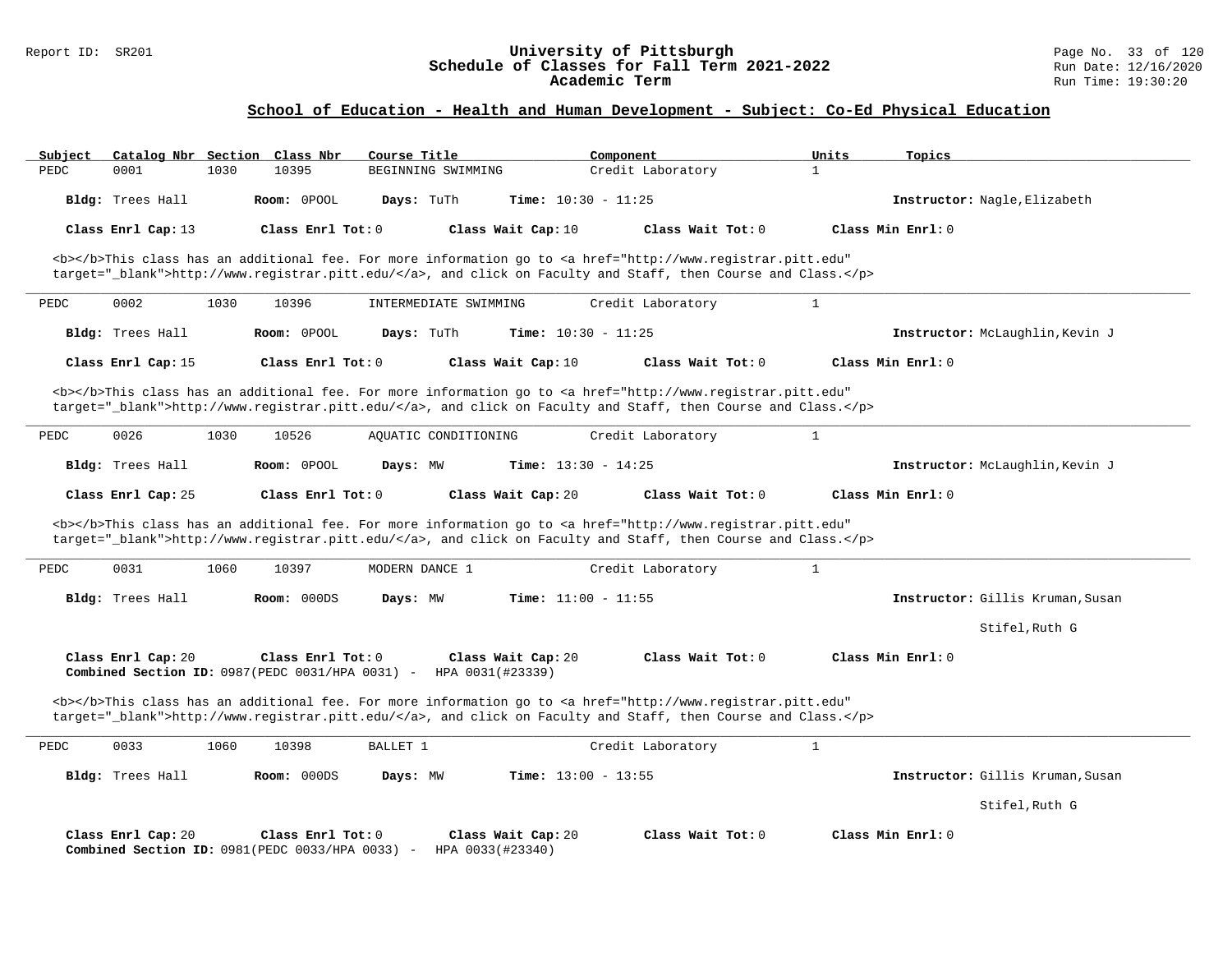## **School of Education - Health and Human Development - Subject: Co-Ed Physical Education**

| Subject |                    |      | Catalog Nbr Section Class Nbr                                         | Course Title          |                                        | Component                                                                                                                                                                                                                          | Units        | Topics                           |
|---------|--------------------|------|-----------------------------------------------------------------------|-----------------------|----------------------------------------|------------------------------------------------------------------------------------------------------------------------------------------------------------------------------------------------------------------------------------|--------------|----------------------------------|
| PEDC    | 0001               | 1030 | 10395                                                                 | BEGINNING SWIMMING    |                                        | Credit Laboratory                                                                                                                                                                                                                  | $\mathbf{1}$ |                                  |
|         | Bldg: Trees Hall   |      | Room: 0POOL                                                           | Days: TuTh            | Time: $10:30 - 11:25$                  |                                                                                                                                                                                                                                    |              | Instructor: Nagle, Elizabeth     |
|         | Class Enrl Cap: 13 |      | Class Enrl Tot: 0                                                     |                       | Class Wait Cap: 10                     | Class Wait Tot: 0                                                                                                                                                                                                                  |              | Class Min $Rnr!: 0$              |
|         |                    |      |                                                                       |                       |                                        | <b></b> This class has an additional fee. For more information go to <a <br="" href="http://www.registrar.pitt.edu">target="_blank"&gt;http://www.registrar.pitt.edu/</a> , and click on Faculty and Staff, then Course and Class. |              |                                  |
| PEDC    | 0002               | 1030 | 10396                                                                 | INTERMEDIATE SWIMMING |                                        | Credit Laboratory                                                                                                                                                                                                                  | $\mathbf{1}$ |                                  |
|         | Bldg: Trees Hall   |      | Room: 0POOL                                                           | Days: TuTh            | <b>Time:</b> $10:30 - 11:25$           |                                                                                                                                                                                                                                    |              | Instructor: McLaughlin, Kevin J  |
|         | Class Enrl Cap: 15 |      | Class Enrl Tot: 0                                                     |                       | Class Wait Cap: 10                     | Class Wait Tot: 0                                                                                                                                                                                                                  |              | Class Min Enrl: 0                |
|         |                    |      |                                                                       |                       |                                        | <b></b> This class has an additional fee. For more information go to <a <br="" href="http://www.registrar.pitt.edu">target="_blank"&gt;http://www.registrar.pitt.edu/</a> , and click on Faculty and Staff, then Course and Class. |              |                                  |
| PEDC    | 0026               | 1030 | 10526                                                                 | AOUATIC CONDITIONING  |                                        | Credit Laboratory                                                                                                                                                                                                                  | $\mathbf{1}$ |                                  |
|         | Bldg: Trees Hall   |      | Room: OPOOL                                                           | Days: MW              | Time: $13:30 - 14:25$                  |                                                                                                                                                                                                                                    |              | Instructor: McLaughlin, Kevin J  |
|         | Class Enrl Cap: 25 |      | Class Enrl Tot: $0$                                                   |                       | Class Wait Cap: 20                     | Class Wait Tot: $0$                                                                                                                                                                                                                |              | Class Min Enrl: 0                |
|         |                    |      |                                                                       |                       |                                        | <b></b> This class has an additional fee. For more information go to <a <br="" href="http://www.registrar.pitt.edu">target="_blank"&gt;http://www.registrar.pitt.edu/</a> , and click on Faculty and Staff, then Course and Class. |              |                                  |
| PEDC    | 0031               | 1060 | 10397                                                                 | MODERN DANCE 1        |                                        | Credit Laboratory                                                                                                                                                                                                                  | $\mathbf{1}$ |                                  |
|         | Bldg: Trees Hall   |      | Room: 000DS                                                           | Days: MW              | Time: $11:00 - 11:55$                  |                                                                                                                                                                                                                                    |              | Instructor: Gillis Kruman, Susan |
|         |                    |      |                                                                       |                       |                                        |                                                                                                                                                                                                                                    |              | Stifel, Ruth G                   |
|         | Class Enrl Cap: 20 |      | Class Enrl Tot: 0<br>Combined Section ID: 0987(PEDC 0031/HPA 0031) -  |                       | Class Wait Cap: 20<br>HPA 0031(#23339) | Class Wait Tot: 0                                                                                                                                                                                                                  |              | Class Min Enrl: 0                |
|         |                    |      |                                                                       |                       |                                        | <b></b> This class has an additional fee. For more information go to <a <br="" href="http://www.registrar.pitt.edu">target="_blank"&gt;http://www.registrar.pitt.edu/</a> , and click on Faculty and Staff, then Course and Class. |              |                                  |
| PEDC    | 0033               | 1060 | 10398                                                                 | BALLET 1              |                                        | Credit Laboratory                                                                                                                                                                                                                  | $\mathbf{1}$ |                                  |
|         | Bldg: Trees Hall   |      | Room: 000DS                                                           | Days: MW              | Time: $13:00 - 13:55$                  |                                                                                                                                                                                                                                    |              | Instructor: Gillis Kruman, Susan |
|         |                    |      |                                                                       |                       |                                        |                                                                                                                                                                                                                                    |              | Stifel, Ruth G                   |
|         | Class Enrl Cap: 20 |      | Class Enrl Tot: 0<br>Combined Section ID: 0981 (PEDC 0033/HPA 0033) - |                       | Class Wait Cap: 20<br>HPA 0033(#23340) | Class Wait Tot: 0                                                                                                                                                                                                                  |              | Class Min Enrl: 0                |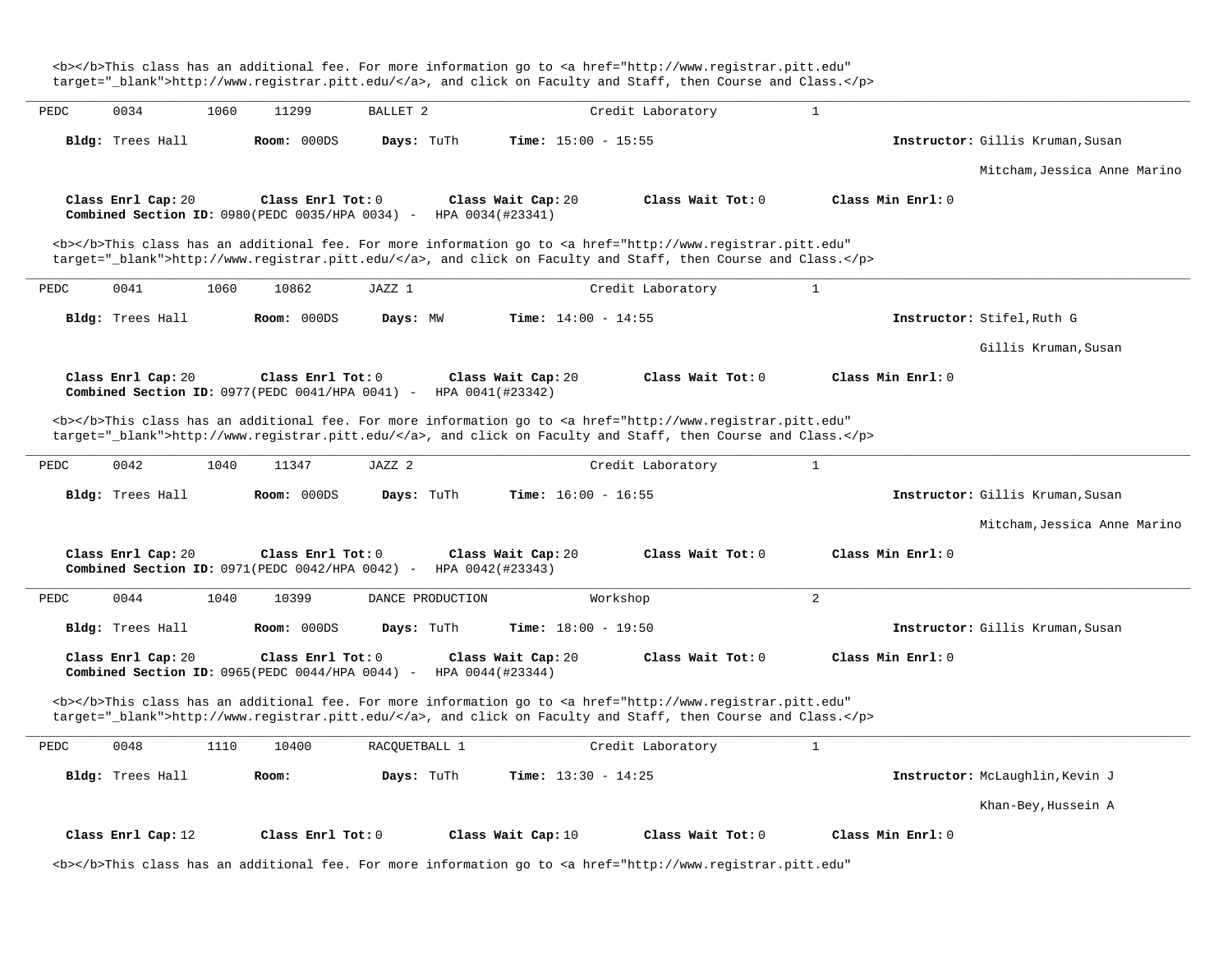target=" blank">http://www.registrar.pitt.edu/</a>, and click on Faculty and Staff, then Course and Class.</p> **\_\_\_\_\_\_\_\_\_\_\_\_\_\_\_\_\_\_\_\_\_\_\_\_\_\_\_\_\_\_\_\_\_\_\_\_\_\_\_\_\_\_\_\_\_\_\_\_\_\_\_\_\_\_\_\_\_\_\_\_\_\_\_\_\_\_\_\_\_\_\_\_\_\_\_\_\_\_\_\_\_\_\_\_\_\_\_\_\_\_\_\_\_\_\_\_\_\_\_\_\_\_\_\_\_\_\_\_\_\_\_\_\_\_\_\_\_\_\_\_\_\_\_\_\_\_\_\_\_\_\_\_\_\_\_\_\_\_\_\_\_\_\_\_\_\_\_\_\_\_\_\_\_\_\_\_** PEDC 0034 1060 11299 BALLET 2 Credit Laboratory 1 **Bldg:** Trees Hall **Room:** 000DS **Days:** TuTh **Time:** 15:00 - 15:55 **Instructor:** Gillis Kruman,Susan Mitcham,Jessica Anne Marino **Class Enrl Cap:** 20 **Class Enrl Tot:** 0 **Class Wait Cap:** 20 **Class Wait Tot:** 0 **Class Min Enrl:** 0 **Combined Section ID: 0980(PEDC 0035/HPA 0034) -**<b></b>This class has an additional fee. For more information go to <a href="http://www.registrar.pitt.edu" target=" blank">http://www.registrar.pitt.edu/</a>, and click on Faculty and Staff, then Course and Class.</p> **\_\_\_\_\_\_\_\_\_\_\_\_\_\_\_\_\_\_\_\_\_\_\_\_\_\_\_\_\_\_\_\_\_\_\_\_\_\_\_\_\_\_\_\_\_\_\_\_\_\_\_\_\_\_\_\_\_\_\_\_\_\_\_\_\_\_\_\_\_\_\_\_\_\_\_\_\_\_\_\_\_\_\_\_\_\_\_\_\_\_\_\_\_\_\_\_\_\_\_\_\_\_\_\_\_\_\_\_\_\_\_\_\_\_\_\_\_\_\_\_\_\_\_\_\_\_\_\_\_\_\_\_\_\_\_\_\_\_\_\_\_\_\_\_\_\_\_\_\_\_\_\_\_\_\_\_** PEDC 0041 1060 10862 JAZZ 1 Credit Laboratory 1 **Bldg:** Trees Hall **Room:** 000DS **Days:** MW **Time:** 14:00 - 14:55 **Instructor:** Stifel,Ruth G Gillis Kruman,Susan **Class Enrl Cap:** 20 **Class Enrl Tot:** 0 **Class Wait Cap:** 20 **Class Wait Tot:** 0 **Class Min Enrl:** 0 **Combined Section ID:** 0977(PEDC 0041/HPA 0041) - HPA 0041(#23342) <b></b>This class has an additional fee. For more information go to <a href="http://www.registrar.pitt.edu" target=" blank">http://www.registrar.pitt.edu/</a>, and click on Faculty and Staff, then Course and Class.</p> **\_\_\_\_\_\_\_\_\_\_\_\_\_\_\_\_\_\_\_\_\_\_\_\_\_\_\_\_\_\_\_\_\_\_\_\_\_\_\_\_\_\_\_\_\_\_\_\_\_\_\_\_\_\_\_\_\_\_\_\_\_\_\_\_\_\_\_\_\_\_\_\_\_\_\_\_\_\_\_\_\_\_\_\_\_\_\_\_\_\_\_\_\_\_\_\_\_\_\_\_\_\_\_\_\_\_\_\_\_\_\_\_\_\_\_\_\_\_\_\_\_\_\_\_\_\_\_\_\_\_\_\_\_\_\_\_\_\_\_\_\_\_\_\_\_\_\_\_\_\_\_\_\_\_\_\_** PEDC 0042 1040 11347 JAZZ 2 Credit Laboratory 1 **Bldg:** Trees Hall **Room:** 000DS **Days:** TuTh **Time:** 16:00 - 16:55 **Instructor:** Gillis Kruman,Susan Mitcham,Jessica Anne Marino **Class Enrl Cap:** 20 **Class Enrl Tot:** 0 **Class Wait Cap:** 20 **Class Wait Tot:** 0 **Class Min Enrl:** 0 **Combined Section ID:** 0971(PEDC 0042/HPA 0042) -**\_\_\_\_\_\_\_\_\_\_\_\_\_\_\_\_\_\_\_\_\_\_\_\_\_\_\_\_\_\_\_\_\_\_\_\_\_\_\_\_\_\_\_\_\_\_\_\_\_\_\_\_\_\_\_\_\_\_\_\_\_\_\_\_\_\_\_\_\_\_\_\_\_\_\_\_\_\_\_\_\_\_\_\_\_\_\_\_\_\_\_\_\_\_\_\_\_\_\_\_\_\_\_\_\_\_\_\_\_\_\_\_\_\_\_\_\_\_\_\_\_\_\_\_\_\_\_\_\_\_\_\_\_\_\_\_\_\_\_\_\_\_\_\_\_\_\_\_\_\_\_\_\_\_\_\_** PEDC 0044 1040 10399 DANCE PRODUCTION Workshop 2 **Bldg:** Trees Hall **Room:** 000DS **Days:** TuTh **Time:** 18:00 - 19:50 **Instructor:** Gillis Kruman,Susan **Class Enrl Cap:** 20 **Class Enrl Tot:** 0 **Class Wait Cap:** 20 **Class Wait Tot:** 0 **Class Min Enrl:** 0 **Combined Section ID:** 0965(PEDC 0044/HPA 0044) -<b></b>This class has an additional fee. For more information go to <a href="http://www.registrar.pitt.edu" target="\_blank">http://www.registrar.pitt.edu/</a>, and click on Faculty and Staff, then Course and Class.</p> **\_\_\_\_\_\_\_\_\_\_\_\_\_\_\_\_\_\_\_\_\_\_\_\_\_\_\_\_\_\_\_\_\_\_\_\_\_\_\_\_\_\_\_\_\_\_\_\_\_\_\_\_\_\_\_\_\_\_\_\_\_\_\_\_\_\_\_\_\_\_\_\_\_\_\_\_\_\_\_\_\_\_\_\_\_\_\_\_\_\_\_\_\_\_\_\_\_\_\_\_\_\_\_\_\_\_\_\_\_\_\_\_\_\_\_\_\_\_\_\_\_\_\_\_\_\_\_\_\_\_\_\_\_\_\_\_\_\_\_\_\_\_\_\_\_\_\_\_\_\_\_\_\_\_\_\_** PEDC 0048 1110 10400 RACQUETBALL 1 Credit Laboratory 1 **Bldg:** Trees Hall **Room: Days:** TuTh **Time:** 13:30 - 14:25 **Instructor:** McLaughlin,Kevin J Khan-Bey,Hussein A **Class Enrl Cap:** 12 **Class Enrl Tot:** 0 **Class Wait Cap:** 10 **Class Wait Tot:** 0 **Class Min Enrl:** 0

<b></b>This class has an additional fee. For more information go to <a href="http://www.registrar.pitt.edu"

<b></b>This class has an additional fee. For more information go to <a href="http://www.registrar.pitt.edu"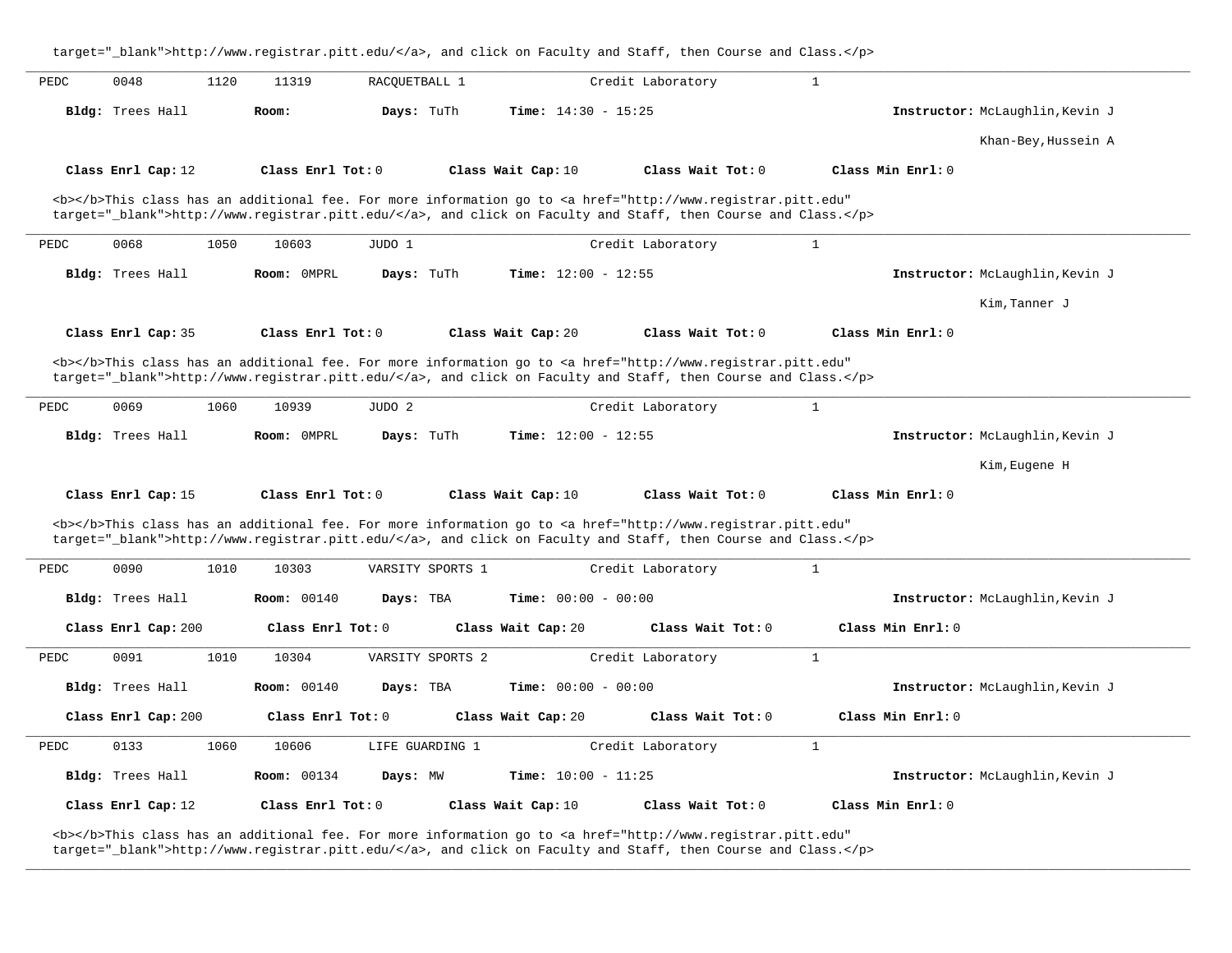target="\_blank">http://www.registrar.pitt.edu/</a>, and click on Faculty and Staff, then Course and Class.</p> **\_\_\_\_\_\_\_\_\_\_\_\_\_\_\_\_\_\_\_\_\_\_\_\_\_\_\_\_\_\_\_\_\_\_\_\_\_\_\_\_\_\_\_\_\_\_\_\_\_\_\_\_\_\_\_\_\_\_\_\_\_\_\_\_\_\_\_\_\_\_\_\_\_\_\_\_\_\_\_\_\_\_\_\_\_\_\_\_\_\_\_\_\_\_\_\_\_\_\_\_\_\_\_\_\_\_\_\_\_\_\_\_\_\_\_\_\_\_\_\_\_\_\_\_\_\_\_\_\_\_\_\_\_\_\_\_\_\_\_\_\_\_\_\_\_\_\_\_\_\_\_\_\_\_\_\_** PEDC 0048 1120 11319 RACOUETBALL 1 Credit Laboratory 1 **Bldg:** Trees Hall **Room: Days:** TuTh **Time:** 14:30 - 15:25 **Instructor:** McLaughlin,Kevin J Khan-Bey,Hussein A **Class Enrl Cap:** 12 **Class Enrl Tot:** 0 **Class Wait Cap:** 10 **Class Wait Tot:** 0 **Class Min Enrl:** 0 <b></b>This class has an additional fee. For more information go to <a href="http://www.registrar.pitt.edu" target=" blank">http://www.registrar.pitt.edu/</a>, and click on Faculty and Staff, then Course and Class.</p> **\_\_\_\_\_\_\_\_\_\_\_\_\_\_\_\_\_\_\_\_\_\_\_\_\_\_\_\_\_\_\_\_\_\_\_\_\_\_\_\_\_\_\_\_\_\_\_\_\_\_\_\_\_\_\_\_\_\_\_\_\_\_\_\_\_\_\_\_\_\_\_\_\_\_\_\_\_\_\_\_\_\_\_\_\_\_\_\_\_\_\_\_\_\_\_\_\_\_\_\_\_\_\_\_\_\_\_\_\_\_\_\_\_\_\_\_\_\_\_\_\_\_\_\_\_\_\_\_\_\_\_\_\_\_\_\_\_\_\_\_\_\_\_\_\_\_\_\_\_\_\_\_\_\_\_\_** PEDC 0068 1050 10603 JUDO 1 Credit Laboratory 1 **Bldg:** Trees Hall **Room:** 0MPRL **Days:** TuTh **Time:** 12:00 - 12:55 **Instructor:** McLaughlin,Kevin J Kim,Tanner J **Class Enrl Cap:** 35 **Class Enrl Tot:** 0 **Class Wait Cap:** 20 **Class Wait Tot:** 0 **Class Min Enrl:** 0 <b></b>This class has an additional fee. For more information go to <a href="http://www.registrar.pitt.edu" target="\_blank">http://www.registrar.pitt.edu/</a>, and click on Faculty and Staff, then Course and Class.</p> **\_\_\_\_\_\_\_\_\_\_\_\_\_\_\_\_\_\_\_\_\_\_\_\_\_\_\_\_\_\_\_\_\_\_\_\_\_\_\_\_\_\_\_\_\_\_\_\_\_\_\_\_\_\_\_\_\_\_\_\_\_\_\_\_\_\_\_\_\_\_\_\_\_\_\_\_\_\_\_\_\_\_\_\_\_\_\_\_\_\_\_\_\_\_\_\_\_\_\_\_\_\_\_\_\_\_\_\_\_\_\_\_\_\_\_\_\_\_\_\_\_\_\_\_\_\_\_\_\_\_\_\_\_\_\_\_\_\_\_\_\_\_\_\_\_\_\_\_\_\_\_\_\_\_\_\_** PEDC 0069 1060 10939 JUDO 2 Credit Laboratory 1 **Bldg:** Trees Hall **Room:** 0MPRL **Days:** TuTh **Time:** 12:00 - 12:55 **Instructor:** McLaughlin,Kevin J Kim,Eugene H **Class Enrl Cap:** 15 **Class Enrl Tot:** 0 **Class Wait Cap:** 10 **Class Wait Tot:** 0 **Class Min Enrl:** 0 <b></b>This class has an additional fee. For more information go to <a href="http://www.registrar.pitt.edu" target="\_blank">http://www.registrar.pitt.edu/</a>, and click on Faculty and Staff, then Course and Class.</p> **\_\_\_\_\_\_\_\_\_\_\_\_\_\_\_\_\_\_\_\_\_\_\_\_\_\_\_\_\_\_\_\_\_\_\_\_\_\_\_\_\_\_\_\_\_\_\_\_\_\_\_\_\_\_\_\_\_\_\_\_\_\_\_\_\_\_\_\_\_\_\_\_\_\_\_\_\_\_\_\_\_\_\_\_\_\_\_\_\_\_\_\_\_\_\_\_\_\_\_\_\_\_\_\_\_\_\_\_\_\_\_\_\_\_\_\_\_\_\_\_\_\_\_\_\_\_\_\_\_\_\_\_\_\_\_\_\_\_\_\_\_\_\_\_\_\_\_\_\_\_\_\_\_\_\_\_** PEDC 0090 1010 10303 VARSITY SPORTS 1 Credit Laboratory 1 **Bldg:** Trees Hall **Room:** 00140 **Days:** TBA **Time:** 00:00 - 00:00 **Instructor:** McLaughlin,Kevin J **Class Enrl Cap:** 200 **Class Enrl Tot:** 0 **Class Wait Cap:** 20 **Class Wait Tot:** 0 **Class Min Enrl:** 0 **\_\_\_\_\_\_\_\_\_\_\_\_\_\_\_\_\_\_\_\_\_\_\_\_\_\_\_\_\_\_\_\_\_\_\_\_\_\_\_\_\_\_\_\_\_\_\_\_\_\_\_\_\_\_\_\_\_\_\_\_\_\_\_\_\_\_\_\_\_\_\_\_\_\_\_\_\_\_\_\_\_\_\_\_\_\_\_\_\_\_\_\_\_\_\_\_\_\_\_\_\_\_\_\_\_\_\_\_\_\_\_\_\_\_\_\_\_\_\_\_\_\_\_\_\_\_\_\_\_\_\_\_\_\_\_\_\_\_\_\_\_\_\_\_\_\_\_\_\_\_\_\_\_\_\_\_** PEDC 0091 1010 10304 VARSITY SPORTS 2 Credit Laboratory 1 **Bldg:** Trees Hall **Room:** 00140 **Days:** TBA **Time:** 00:00 - 00:00 **Instructor:** McLaughlin,Kevin J **Class Enrl Cap:** 200 **Class Enrl Tot:** 0 **Class Wait Cap:** 20 **Class Wait Tot:** 0 **Class Min Enrl:** 0 **\_\_\_\_\_\_\_\_\_\_\_\_\_\_\_\_\_\_\_\_\_\_\_\_\_\_\_\_\_\_\_\_\_\_\_\_\_\_\_\_\_\_\_\_\_\_\_\_\_\_\_\_\_\_\_\_\_\_\_\_\_\_\_\_\_\_\_\_\_\_\_\_\_\_\_\_\_\_\_\_\_\_\_\_\_\_\_\_\_\_\_\_\_\_\_\_\_\_\_\_\_\_\_\_\_\_\_\_\_\_\_\_\_\_\_\_\_\_\_\_\_\_\_\_\_\_\_\_\_\_\_\_\_\_\_\_\_\_\_\_\_\_\_\_\_\_\_\_\_\_\_\_\_\_\_\_** PEDC 0133 1060 10606 LIFE GUARDING 1 Credit Laboratory 1 **Bldg:** Trees Hall **Room:** 00134 **Days:** MW **Time:** 10:00 - 11:25 **Instructor:** McLaughlin,Kevin J **Class Enrl Cap:** 12 **Class Enrl Tot:** 0 **Class Wait Cap:** 10 **Class Wait Tot:** 0 **Class Min Enrl:** 0

**\_\_\_\_\_\_\_\_\_\_\_\_\_\_\_\_\_\_\_\_\_\_\_\_\_\_\_\_\_\_\_\_\_\_\_\_\_\_\_\_\_\_\_\_\_\_\_\_\_\_\_\_\_\_\_\_\_\_\_\_\_\_\_\_\_\_\_\_\_\_\_\_\_\_\_\_\_\_\_\_\_\_\_\_\_\_\_\_\_\_\_\_\_\_\_\_\_\_\_\_\_\_\_\_\_\_\_\_\_\_\_\_\_\_\_\_\_\_\_\_\_\_\_\_\_\_\_\_\_\_\_\_\_\_\_\_\_\_\_\_\_\_\_\_\_\_\_\_\_\_\_\_\_\_\_\_**

<b></b>This class has an additional fee. For more information go to <a href="http://www.registrar.pitt.edu" target="\_blank">http://www.registrar.pitt.edu/</a>, and click on Faculty and Staff, then Course and Class.</p>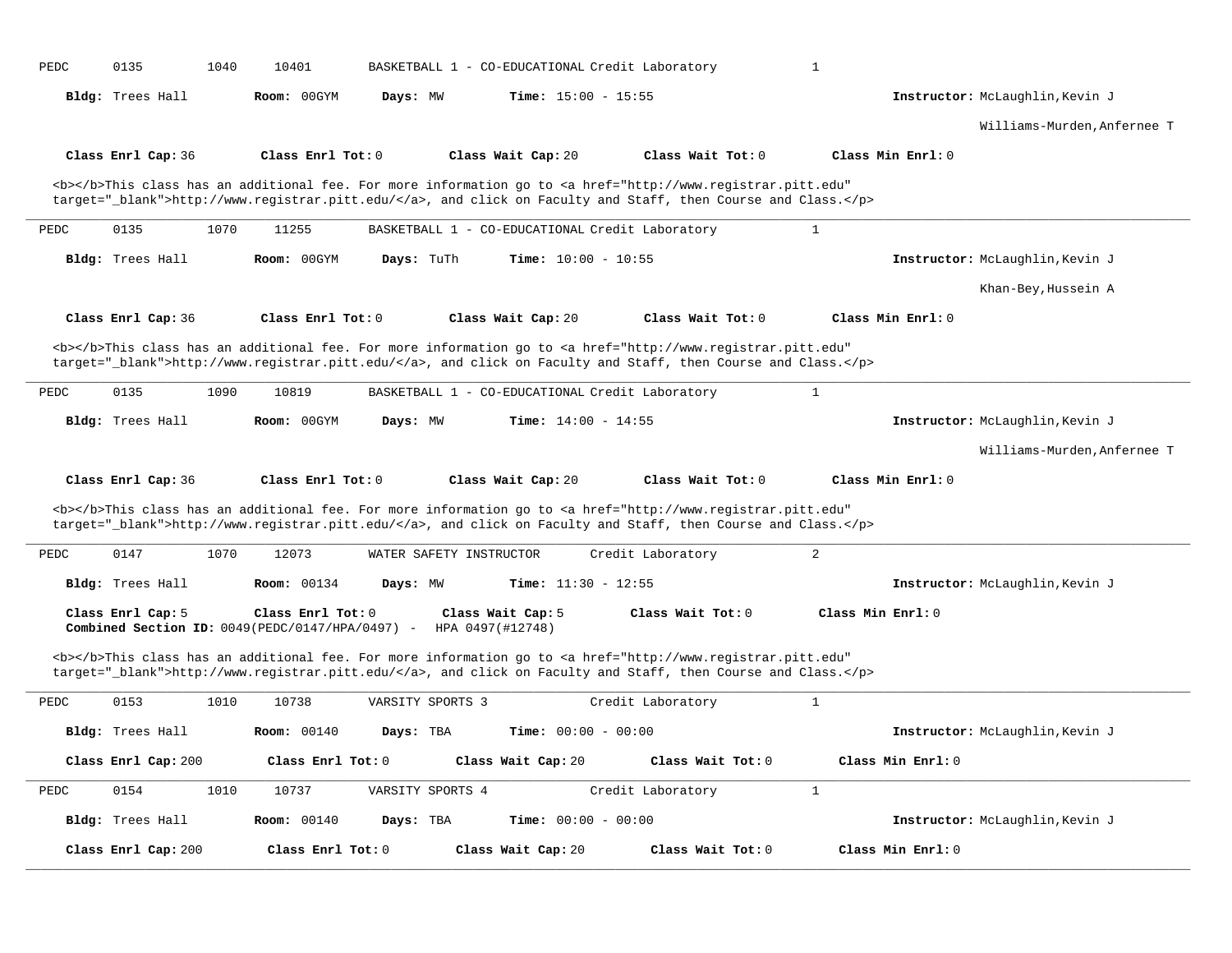| PEDC | 0135<br>1040        | 10401                                                                | BASKETBALL 1 - CO-EDUCATIONAL Credit Laboratory |                                                 |                                                                                                                                                                                                                                    | $\mathbf{1}$                    |
|------|---------------------|----------------------------------------------------------------------|-------------------------------------------------|-------------------------------------------------|------------------------------------------------------------------------------------------------------------------------------------------------------------------------------------------------------------------------------------|---------------------------------|
|      | Bldg: Trees Hall    | Room: 00GYM                                                          | Days: MW                                        | <b>Time:</b> $15:00 - 15:55$                    |                                                                                                                                                                                                                                    | Instructor: McLaughlin, Kevin J |
|      |                     |                                                                      |                                                 |                                                 |                                                                                                                                                                                                                                    | Williams-Murden, Anfernee T     |
|      | Class Enrl Cap: 36  | Class Enrl Tot: 0                                                    |                                                 | Class Wait Cap: 20                              | Class Wait Tot: 0                                                                                                                                                                                                                  | Class Min Enrl: 0               |
|      |                     |                                                                      |                                                 |                                                 | <b></b> This class has an additional fee. For more information go to <a <br="" href="http://www.registrar.pitt.edu">target="_blank"&gt;http://www.registrar.pitt.edu/</a> , and click on Faculty and Staff, then Course and Class. |                                 |
| PEDC | 1070<br>0135        | 11255                                                                |                                                 | BASKETBALL 1 - CO-EDUCATIONAL Credit Laboratory |                                                                                                                                                                                                                                    | $\mathbf{1}$                    |
|      | Bldg: Trees Hall    | Room: 00GYM                                                          | Days: TuTh                                      | Time: $10:00 - 10:55$                           |                                                                                                                                                                                                                                    | Instructor: McLaughlin, Kevin J |
|      |                     |                                                                      |                                                 |                                                 |                                                                                                                                                                                                                                    | Khan-Bey, Hussein A             |
|      | Class Enrl Cap: 36  | Class Enrl Tot: 0                                                    |                                                 | Class Wait Cap: 20                              | Class Wait Tot: 0                                                                                                                                                                                                                  | Class Min Enrl: 0               |
|      |                     |                                                                      |                                                 |                                                 | <b></b> This class has an additional fee. For more information go to <a <br="" href="http://www.registrar.pitt.edu">target="_blank"&gt;http://www.registrar.pitt.edu/</a> , and click on Faculty and Staff, then Course and Class. |                                 |
| PEDC | 0135<br>1090        | 10819                                                                |                                                 | BASKETBALL 1 - CO-EDUCATIONAL Credit Laboratory |                                                                                                                                                                                                                                    | $\mathbf{1}$                    |
|      |                     |                                                                      |                                                 |                                                 |                                                                                                                                                                                                                                    | Instructor: McLaughlin, Kevin J |
|      | Bldg: Trees Hall    | Room: 00GYM                                                          | Days: MW                                        | Time: $14:00 - 14:55$                           |                                                                                                                                                                                                                                    |                                 |
|      |                     |                                                                      |                                                 |                                                 |                                                                                                                                                                                                                                    | Williams-Murden, Anfernee T     |
|      | Class Enrl Cap: 36  | Class Enrl Tot: 0                                                    |                                                 | Class Wait Cap: 20                              | Class Wait Tot: 0                                                                                                                                                                                                                  | Class Min Enrl: 0               |
|      |                     |                                                                      |                                                 |                                                 | <b></b> This class has an additional fee. For more information go to <a <br="" href="http://www.registrar.pitt.edu">target="_blank"&gt;http://www.registrar.pitt.edu/</a> , and click on Faculty and Staff, then Course and Class. |                                 |
| PEDC | 0147<br>1070        | 12073                                                                | WATER SAFETY INSTRUCTOR                         |                                                 | Credit Laboratory                                                                                                                                                                                                                  | 2                               |
|      | Bldg: Trees Hall    | <b>Room: 00134</b>                                                   | Days: MW                                        | Time: $11:30 - 12:55$                           |                                                                                                                                                                                                                                    | Instructor: McLaughlin, Kevin J |
|      | Class Enrl Cap: 5   | Class Enrl Tot: 0<br>Combined Section ID: 0049(PEDC/0147/HPA/0497) - |                                                 | Class Wait Cap: 5<br>HPA 0497(#12748)           | Class Wait Tot: 0                                                                                                                                                                                                                  | Class Min Enrl: 0               |
|      |                     |                                                                      |                                                 |                                                 | <b></b> This class has an additional fee. For more information go to <a <br="" href="http://www.registrar.pitt.edu">target="_blank"&gt;http://www.registrar.pitt.edu/</a> , and click on Faculty and Staff, then Course and Class. |                                 |
| PEDC | 0153<br>1010        | 10738                                                                | VARSITY SPORTS 3                                |                                                 | Credit Laboratory                                                                                                                                                                                                                  | $\mathbf{1}$                    |
|      | Bldg: Trees Hall    | <b>Room: 00140</b>                                                   | Days: TBA                                       | <b>Time:</b> $00:00 - 00:00$                    |                                                                                                                                                                                                                                    | Instructor: McLaughlin, Kevin J |
|      | Class Enrl Cap: 200 | Class Enrl Tot: 0                                                    |                                                 | Class Wait Cap: 20                              | Class Wait Tot: 0                                                                                                                                                                                                                  | Class Min Enrl: 0               |
| PEDC | 0154<br>1010        | 10737                                                                | VARSITY SPORTS 4                                |                                                 | Credit Laboratory                                                                                                                                                                                                                  | $\mathbf{1}$                    |
|      | Bldg: Trees Hall    | <b>Room:</b> 00140                                                   | Days: TBA                                       | <b>Time:</b> $00:00 - 00:00$                    |                                                                                                                                                                                                                                    | Instructor: McLaughlin, Kevin J |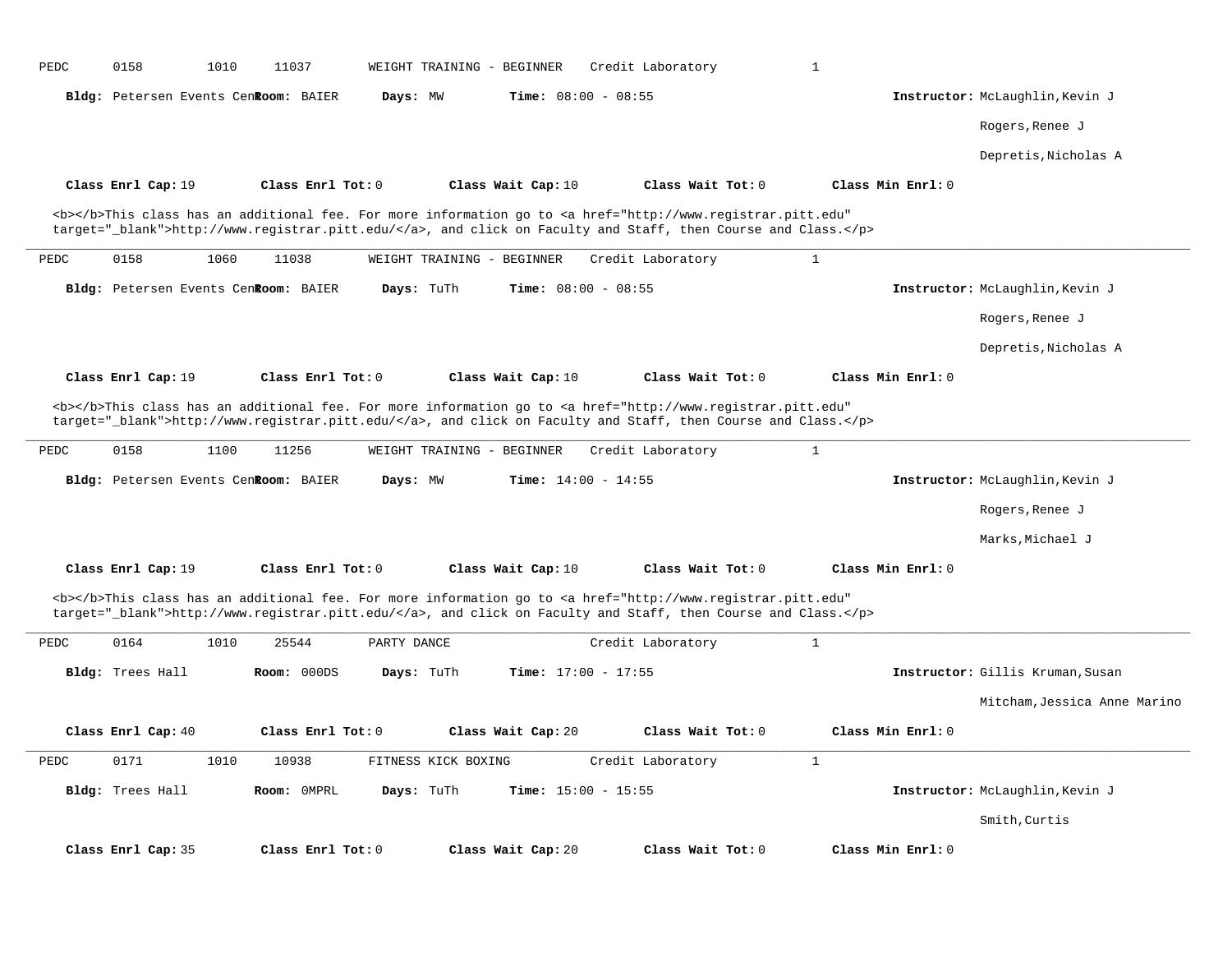| <b>Time:</b> $08:00 - 08:55$<br>Instructor: McLaughlin, Kevin J<br>Bldg: Petersen Events CenRoom: BAIER<br>Days: MW<br>Rogers, Renee J                                                                                                                                                                                                        |                              |
|-----------------------------------------------------------------------------------------------------------------------------------------------------------------------------------------------------------------------------------------------------------------------------------------------------------------------------------------------|------------------------------|
|                                                                                                                                                                                                                                                                                                                                               |                              |
|                                                                                                                                                                                                                                                                                                                                               |                              |
| Depretis, Nicholas A                                                                                                                                                                                                                                                                                                                          |                              |
| Class Enrl Tot: 0<br>Class Wait Tot: 0<br>Class Min Enrl: 0<br>Class Enrl Cap: 19<br>Class Wait Cap: 10                                                                                                                                                                                                                                       |                              |
| <b></b> This class has an additional fee. For more information go to <a <br="" href="http://www.registrar.pitt.edu">target="_blank"&gt;http://www.registrar.pitt.edu/</a> , and click on Faculty and Staff, then Course and Class.                                                                                                            |                              |
| 0158<br>$\mathbf{1}$<br>PEDC<br>1060<br>11038<br>WEIGHT TRAINING - BEGINNER<br>Credit Laboratory                                                                                                                                                                                                                                              |                              |
| Bldg: Petersen Events CenRoom: BAIER<br>Days: TuTh<br>Time: $08:00 - 08:55$<br>Instructor: McLaughlin, Kevin J                                                                                                                                                                                                                                |                              |
| Rogers, Renee J                                                                                                                                                                                                                                                                                                                               |                              |
| Depretis, Nicholas A                                                                                                                                                                                                                                                                                                                          |                              |
| Class Min Enrl: 0<br>Class Enrl Cap: 19<br>Class Enrl Tot: 0<br>Class Wait Cap: 10<br>Class Wait Tot: 0                                                                                                                                                                                                                                       |                              |
| target="_blank">http://www.registrar.pitt.edu/, and click on Faculty and Staff, then Course and Class.<br>$\mathbf{1}$<br>0158<br>1100<br>11256<br>PEDC<br>WEIGHT TRAINING - BEGINNER<br>Credit Laboratory<br>Bldg: Petersen Events CenRoom: BAIER<br>Time: $14:00 - 14:55$<br>Instructor: McLaughlin, Kevin J<br>Days: MW                    |                              |
| Rogers, Renee J                                                                                                                                                                                                                                                                                                                               |                              |
| Marks, Michael J                                                                                                                                                                                                                                                                                                                              |                              |
|                                                                                                                                                                                                                                                                                                                                               |                              |
|                                                                                                                                                                                                                                                                                                                                               |                              |
| Class Min Enrl: 0<br>Class Enrl Cap: 19<br>Class Enrl Tot: 0<br>Class Wait Cap: 10<br>Class Wait Tot: 0<br><b></b> This class has an additional fee. For more information go to <a <br="" href="http://www.registrar.pitt.edu">target="_blank"&gt;http://www.registrar.pitt.edu/</a> , and click on Faculty and Staff, then Course and Class. |                              |
| $\mathbf{1}$<br>PEDC<br>0164<br>1010<br>25544<br>PARTY DANCE<br>Credit Laboratory                                                                                                                                                                                                                                                             |                              |
| Bldg: Trees Hall<br>Room: 000DS<br>Time: $17:00 - 17:55$<br>Instructor: Gillis Kruman, Susan<br>Days: TuTh                                                                                                                                                                                                                                    |                              |
|                                                                                                                                                                                                                                                                                                                                               |                              |
| Class Wait Tot: 0<br>Class Min Enrl: 0<br>Class Enrl Cap: 40<br>Class Enrl Tot: 0<br>Class Wait Cap: 20                                                                                                                                                                                                                                       |                              |
| PEDC<br>0171<br>1010<br>10938<br>FITNESS KICK BOXING<br>Credit Laboratory<br>$\mathbf{1}$                                                                                                                                                                                                                                                     |                              |
| Bldg: Trees Hall<br>Room: OMPRL<br>Days: TuTh<br>Time: $15:00 - 15:55$<br>Instructor: McLaughlin, Kevin J                                                                                                                                                                                                                                     |                              |
| Smith, Curtis                                                                                                                                                                                                                                                                                                                                 | Mitcham, Jessica Anne Marino |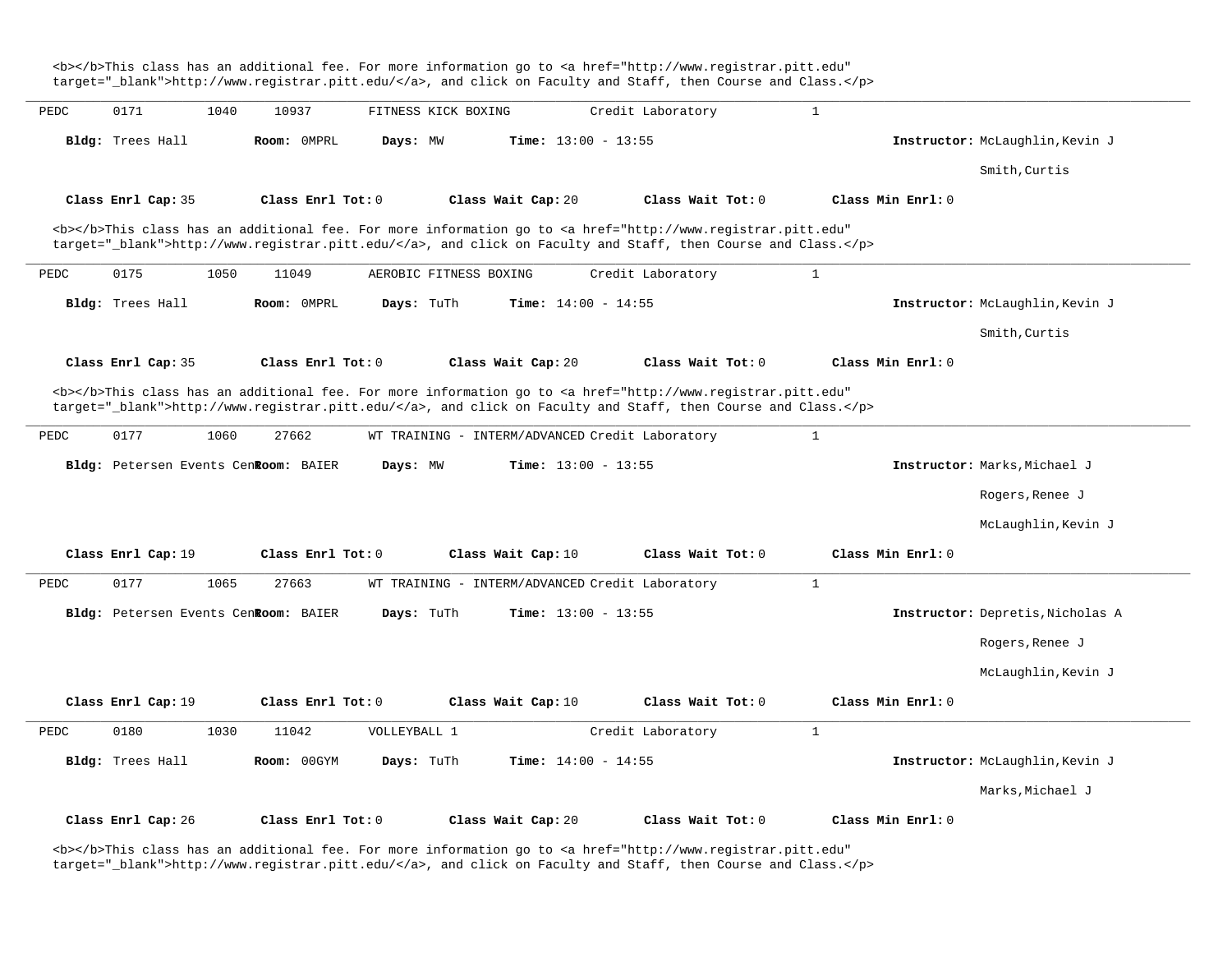<b></b>This class has an additional fee. For more information go to <a href="http://www.registrar.pitt.edu" target=" blank">http://www.registrar.pitt.edu/</a>, and click on Faculty and Staff, then Course and Class.</p> **\_\_\_\_\_\_\_\_\_\_\_\_\_\_\_\_\_\_\_\_\_\_\_\_\_\_\_\_\_\_\_\_\_\_\_\_\_\_\_\_\_\_\_\_\_\_\_\_\_\_\_\_\_\_\_\_\_\_\_\_\_\_\_\_\_\_\_\_\_\_\_\_\_\_\_\_\_\_\_\_\_\_\_\_\_\_\_\_\_\_\_\_\_\_\_\_\_\_\_\_\_\_\_\_\_\_\_\_\_\_\_\_\_\_\_\_\_\_\_\_\_\_\_\_\_\_\_\_\_\_\_\_\_\_\_\_\_\_\_\_\_\_\_\_\_\_\_\_\_\_\_\_\_\_\_\_** PEDC 0171 1040 10937 FITNESS KICK BOXING Credit Laboratory 1 **Bldg:** Trees Hall **Room:** 0MPRL **Days:** MW **Time:** 13:00 - 13:55 **Instructor:** McLaughlin,Kevin J Smith,Curtis **Class Enrl Cap:** 35 **Class Enrl Tot:** 0 **Class Wait Cap:** 20 **Class Wait Tot:** 0 **Class Min Enrl:** 0 <b></b>This class has an additional fee. For more information go to <a href="http://www.registrar.pitt.edu" target="\_blank">http://www.registrar.pitt.edu/</a>, and click on Faculty and Staff, then Course and Class.</p> **\_\_\_\_\_\_\_\_\_\_\_\_\_\_\_\_\_\_\_\_\_\_\_\_\_\_\_\_\_\_\_\_\_\_\_\_\_\_\_\_\_\_\_\_\_\_\_\_\_\_\_\_\_\_\_\_\_\_\_\_\_\_\_\_\_\_\_\_\_\_\_\_\_\_\_\_\_\_\_\_\_\_\_\_\_\_\_\_\_\_\_\_\_\_\_\_\_\_\_\_\_\_\_\_\_\_\_\_\_\_\_\_\_\_\_\_\_\_\_\_\_\_\_\_\_\_\_\_\_\_\_\_\_\_\_\_\_\_\_\_\_\_\_\_\_\_\_\_\_\_\_\_\_\_\_\_** PEDC 0175 1050 11049 AEROBIC FITNESS BOXING Credit Laboratory 1 **Bldg:** Trees Hall **Room:** 0MPRL **Days:** TuTh **Time:** 14:00 - 14:55 **Instructor:** McLaughlin,Kevin J Smith,Curtis **Class Enrl Cap:** 35 **Class Enrl Tot:** 0 **Class Wait Cap:** 20 **Class Wait Tot:** 0 **Class Min Enrl:** 0 <b></b>This class has an additional fee. For more information go to <a href="http://www.registrar.pitt.edu" target="\_blank">http://www.registrar.pitt.edu/</a>, and click on Faculty and Staff, then Course and Class.</p> **\_\_\_\_\_\_\_\_\_\_\_\_\_\_\_\_\_\_\_\_\_\_\_\_\_\_\_\_\_\_\_\_\_\_\_\_\_\_\_\_\_\_\_\_\_\_\_\_\_\_\_\_\_\_\_\_\_\_\_\_\_\_\_\_\_\_\_\_\_\_\_\_\_\_\_\_\_\_\_\_\_\_\_\_\_\_\_\_\_\_\_\_\_\_\_\_\_\_\_\_\_\_\_\_\_\_\_\_\_\_\_\_\_\_\_\_\_\_\_\_\_\_\_\_\_\_\_\_\_\_\_\_\_\_\_\_\_\_\_\_\_\_\_\_\_\_\_\_\_\_\_\_\_\_\_\_** PEDC 0177 1060 27662 WT TRAINING - INTERM/ADVANCED Credit Laboratory 1 **Bldg:** Petersen Events Cent**Room:** BAIER **Days:** MW **Time:** 13:00 - 13:55 **Instructor:** Marks,Michael J Rogers,Renee J McLaughlin,Kevin J **Class Enrl Cap:** 19 **Class Enrl Tot:** 0 **Class Wait Cap:** 10 **Class Wait Tot:** 0 **Class Min Enrl:** 0 **\_\_\_\_\_\_\_\_\_\_\_\_\_\_\_\_\_\_\_\_\_\_\_\_\_\_\_\_\_\_\_\_\_\_\_\_\_\_\_\_\_\_\_\_\_\_\_\_\_\_\_\_\_\_\_\_\_\_\_\_\_\_\_\_\_\_\_\_\_\_\_\_\_\_\_\_\_\_\_\_\_\_\_\_\_\_\_\_\_\_\_\_\_\_\_\_\_\_\_\_\_\_\_\_\_\_\_\_\_\_\_\_\_\_\_\_\_\_\_\_\_\_\_\_\_\_\_\_\_\_\_\_\_\_\_\_\_\_\_\_\_\_\_\_\_\_\_\_\_\_\_\_\_\_\_\_** PEDC 0177 1065 27663 WT TRAINING - INTERM/ADVANCED Credit Laboratory 1 **Bldg:** Petersen Events Cent**Room:** BAIER **Days:** TuTh **Time:** 13:00 - 13:55 **Instructor:** Depretis,Nicholas A Rogers,Renee J McLaughlin,Kevin J **Class Enrl Cap:** 19 **Class Enrl Tot:** 0 **Class Wait Cap:** 10 **Class Wait Tot:** 0 **Class Min Enrl:** 0 **\_\_\_\_\_\_\_\_\_\_\_\_\_\_\_\_\_\_\_\_\_\_\_\_\_\_\_\_\_\_\_\_\_\_\_\_\_\_\_\_\_\_\_\_\_\_\_\_\_\_\_\_\_\_\_\_\_\_\_\_\_\_\_\_\_\_\_\_\_\_\_\_\_\_\_\_\_\_\_\_\_\_\_\_\_\_\_\_\_\_\_\_\_\_\_\_\_\_\_\_\_\_\_\_\_\_\_\_\_\_\_\_\_\_\_\_\_\_\_\_\_\_\_\_\_\_\_\_\_\_\_\_\_\_\_\_\_\_\_\_\_\_\_\_\_\_\_\_\_\_\_\_\_\_\_\_** PEDC 0180 1030 11042 VOLLEYBALL 1 Credit Laboratory 1 **Bldg:** Trees Hall **Room:** 00GYM **Days:** TuTh **Time:** 14:00 - 14:55 **Instructor:** McLaughlin,Kevin J Marks,Michael J **Class Enrl Cap:** 26 **Class Enrl Tot:** 0 **Class Wait Cap:** 20 **Class Wait Tot:** 0 **Class Min Enrl:** 0

<b></b>This class has an additional fee. For more information go to <a href="http://www.registrar.pitt.edu" target="\_blank">http://www.registrar.pitt.edu/</a>, and click on Faculty and Staff, then Course and Class.</p>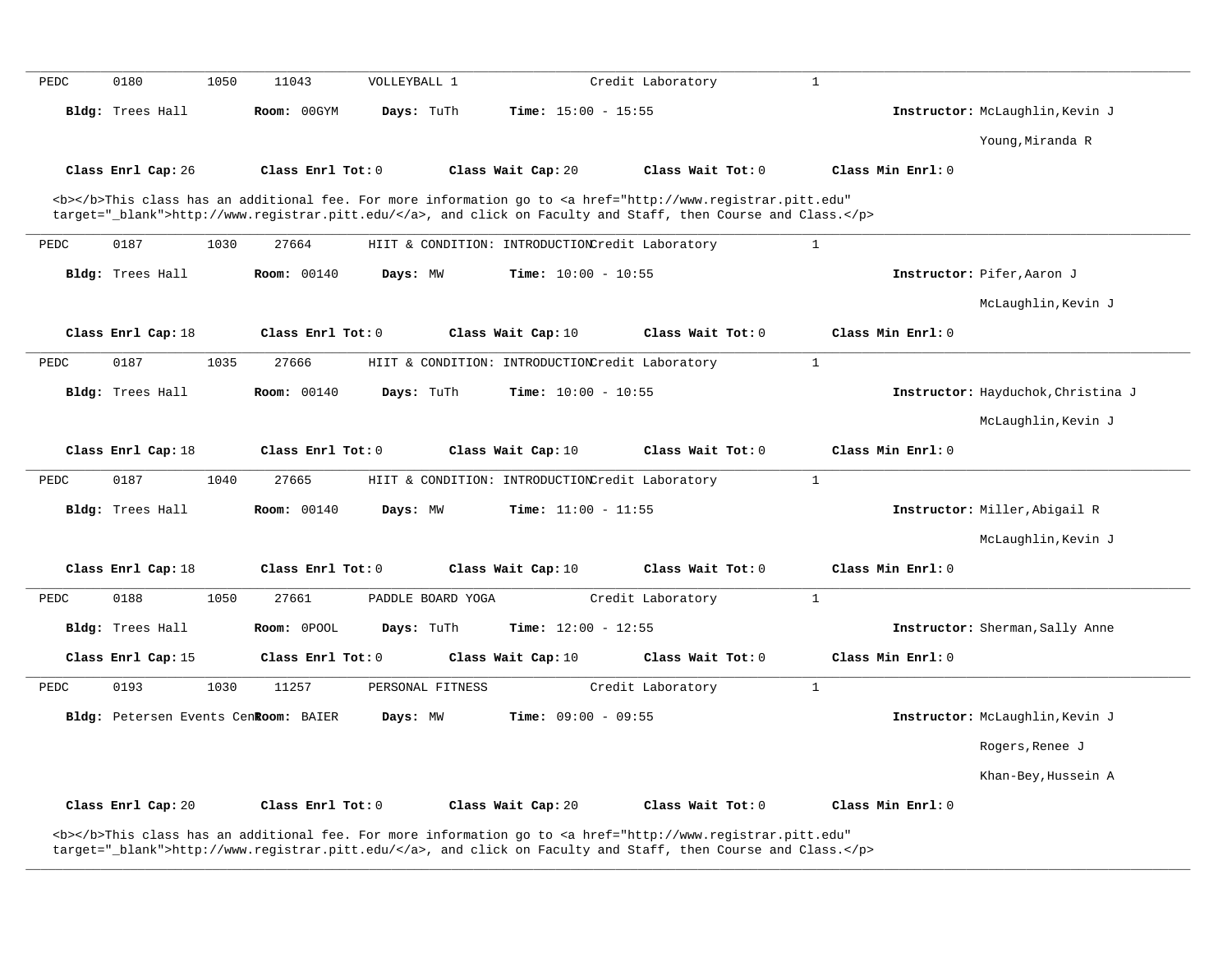| PEDC | 0180               | 1050 | 11043                                | VOLLEYBALL 1      |                                                 | Credit Laboratory                                                                                                                                                                                                                  | $\mathbf{1}$      |                                    |
|------|--------------------|------|--------------------------------------|-------------------|-------------------------------------------------|------------------------------------------------------------------------------------------------------------------------------------------------------------------------------------------------------------------------------------|-------------------|------------------------------------|
|      | Bldg: Trees Hall   |      | Room: 00GYM                          | Days: TuTh        | Time: $15:00 - 15:55$                           |                                                                                                                                                                                                                                    |                   | Instructor: McLaughlin, Kevin J    |
|      |                    |      |                                      |                   |                                                 |                                                                                                                                                                                                                                    |                   | Young, Miranda R                   |
|      | Class Enrl Cap: 26 |      | Class Enrl Tot: 0                    |                   | Class Wait Cap: 20                              | Class Wait Tot: 0                                                                                                                                                                                                                  | Class Min Enrl: 0 |                                    |
|      |                    |      |                                      |                   |                                                 | <b></b> This class has an additional fee. For more information go to <a <br="" href="http://www.registrar.pitt.edu">target="_blank"&gt;http://www.registrar.pitt.edu/</a> , and click on Faculty and Staff, then Course and Class. |                   |                                    |
| PEDC | 0187               | 1030 | 27664                                |                   | HIIT & CONDITION: INTRODUCTIONCredit Laboratory |                                                                                                                                                                                                                                    | $\mathbf{1}$      |                                    |
|      | Bldg: Trees Hall   |      | Room: 00140                          | Days: MW          | Time: $10:00 - 10:55$                           |                                                                                                                                                                                                                                    |                   | Instructor: Pifer, Aaron J         |
|      |                    |      |                                      |                   |                                                 |                                                                                                                                                                                                                                    |                   | McLaughlin, Kevin J                |
|      | Class Enrl Cap: 18 |      | Class Enrl Tot: 0                    |                   | Class Wait Cap: 10                              | Class Wait Tot: 0                                                                                                                                                                                                                  | Class Min Enrl: 0 |                                    |
| PEDC | 0187               | 1035 | 27666                                |                   | HIIT & CONDITION: INTRODUCTIONCredit Laboratory |                                                                                                                                                                                                                                    | $\mathbf{1}$      |                                    |
|      | Bldg: Trees Hall   |      | <b>Room: 00140</b>                   | Days: TuTh        | Time: $10:00 - 10:55$                           |                                                                                                                                                                                                                                    |                   | Instructor: Hayduchok, Christina J |
|      |                    |      |                                      |                   |                                                 |                                                                                                                                                                                                                                    |                   | McLaughlin, Kevin J                |
|      | Class Enrl Cap: 18 |      | Class Enrl Tot: 0                    |                   | Class Wait Cap: 10                              | Class Wait Tot: 0                                                                                                                                                                                                                  | Class Min Enrl: 0 |                                    |
| PEDC | 0187               | 1040 | 27665                                |                   | HIIT & CONDITION: INTRODUCTIONCredit Laboratory |                                                                                                                                                                                                                                    | $\mathbf{1}$      |                                    |
|      | Bldg: Trees Hall   |      | <b>Room: 00140</b>                   | Days: MW          | Time: $11:00 - 11:55$                           |                                                                                                                                                                                                                                    |                   | Instructor: Miller, Abigail R      |
|      |                    |      |                                      |                   |                                                 |                                                                                                                                                                                                                                    |                   | McLaughlin, Kevin J                |
|      | Class Enrl Cap: 18 |      | Class Enrl Tot: 0                    |                   | Class Wait Cap: 10                              | Class Wait Tot: 0                                                                                                                                                                                                                  | Class Min Enrl: 0 |                                    |
| PEDC | 0188               | 1050 | 27661                                | PADDLE BOARD YOGA |                                                 | Credit Laboratory                                                                                                                                                                                                                  | $\mathbf{1}$      |                                    |
|      | Bldg: Trees Hall   |      | Room: 0POOL                          | Days: TuTh        | <b>Time:</b> $12:00 - 12:55$                    |                                                                                                                                                                                                                                    |                   | Instructor: Sherman, Sally Anne    |
|      | Class Enrl Cap: 15 |      | Class Enrl Tot: 0                    |                   | Class Wait Cap: 10                              | Class Wait Tot: $0$                                                                                                                                                                                                                | Class Min Enrl: 0 |                                    |
| PEDC | 0193               | 1030 | 11257                                | PERSONAL FITNESS  |                                                 | Credit Laboratory                                                                                                                                                                                                                  | $\mathbf{1}$      |                                    |
|      |                    |      | Bldg: Petersen Events CenRoom: BAIER | Days: MW          | Time: $09:00 - 09:55$                           |                                                                                                                                                                                                                                    |                   | Instructor: McLaughlin, Kevin J    |
|      |                    |      |                                      |                   |                                                 |                                                                                                                                                                                                                                    |                   | Rogers, Renee J                    |
|      |                    |      |                                      |                   |                                                 |                                                                                                                                                                                                                                    |                   | Khan-Bey, Hussein A                |
|      |                    |      |                                      |                   |                                                 |                                                                                                                                                                                                                                    |                   |                                    |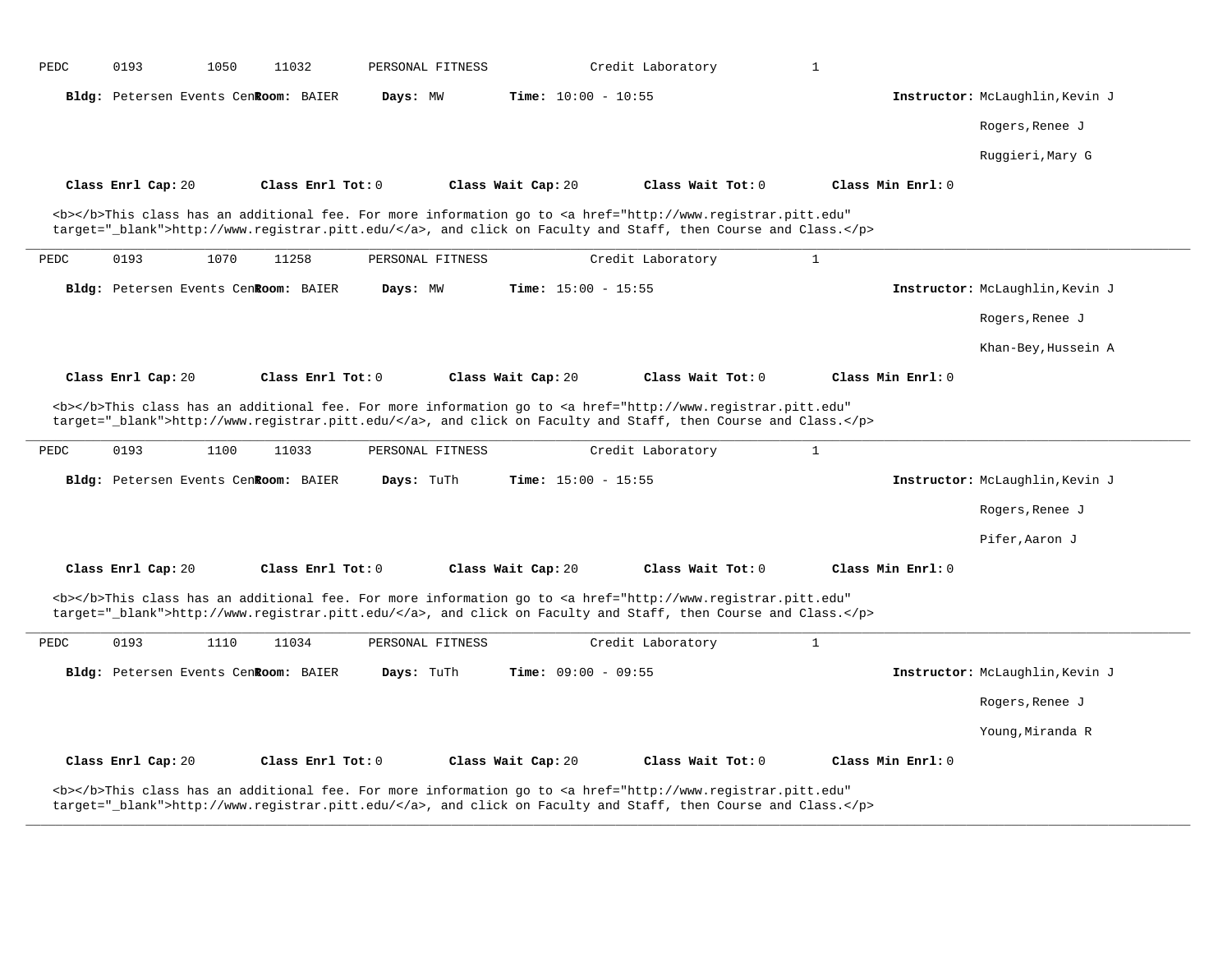| PEDC | 0193               | 1050 | 11032                                | PERSONAL FITNESS |                              | Credit Laboratory                                                                                                                                                                                                                  | $\mathbf{1}$      |                                 |
|------|--------------------|------|--------------------------------------|------------------|------------------------------|------------------------------------------------------------------------------------------------------------------------------------------------------------------------------------------------------------------------------------|-------------------|---------------------------------|
|      |                    |      | Bldg: Petersen Events CenRoom: BAIER | Days: MW         | <b>Time:</b> $10:00 - 10:55$ |                                                                                                                                                                                                                                    |                   | Instructor: McLaughlin, Kevin J |
|      |                    |      |                                      |                  |                              |                                                                                                                                                                                                                                    |                   | Rogers, Renee J                 |
|      |                    |      |                                      |                  |                              |                                                                                                                                                                                                                                    |                   | Ruggieri, Mary G                |
|      | Class Enrl Cap: 20 |      | Class Enrl Tot: 0                    |                  | Class Wait Cap: 20           | Class Wait Tot: 0                                                                                                                                                                                                                  | Class Min Enrl: 0 |                                 |
|      |                    |      |                                      |                  |                              | <b></b> This class has an additional fee. For more information go to <a <br="" href="http://www.registrar.pitt.edu">target="_blank"&gt;http://www.registrar.pitt.edu/</a> , and click on Faculty and Staff, then Course and Class. |                   |                                 |
| PEDC | 0193               | 1070 | 11258                                | PERSONAL FITNESS |                              | Credit Laboratory                                                                                                                                                                                                                  | $\mathbf{1}$      |                                 |
|      |                    |      | Bldg: Petersen Events Cenkoom: BAIER | Days: MW         | Time: $15:00 - 15:55$        |                                                                                                                                                                                                                                    |                   | Instructor: McLaughlin, Kevin J |
|      |                    |      |                                      |                  |                              |                                                                                                                                                                                                                                    |                   | Rogers, Renee J                 |
|      |                    |      |                                      |                  |                              |                                                                                                                                                                                                                                    |                   | Khan-Bey, Hussein A             |
|      | Class Enrl Cap: 20 |      | Class Enrl Tot: 0                    |                  | Class Wait Cap: 20           | Class Wait Tot: 0                                                                                                                                                                                                                  | Class Min Enrl: 0 |                                 |
|      |                    |      |                                      |                  |                              | <b></b> This class has an additional fee. For more information go to <a <br="" href="http://www.registrar.pitt.edu">target="_blank"&gt;http://www.registrar.pitt.edu/</a> , and click on Faculty and Staff, then Course and Class. |                   |                                 |
| PEDC | 0193               | 1100 | 11033                                | PERSONAL FITNESS |                              | Credit Laboratory                                                                                                                                                                                                                  | $\mathbf{1}$      |                                 |
|      |                    |      | Bldg: Petersen Events CenRoom: BAIER | Days: TuTh       | <b>Time:</b> $15:00 - 15:55$ |                                                                                                                                                                                                                                    |                   | Instructor: McLaughlin, Kevin J |
|      |                    |      |                                      |                  |                              |                                                                                                                                                                                                                                    |                   | Rogers, Renee J                 |
|      |                    |      |                                      |                  |                              |                                                                                                                                                                                                                                    |                   | Pifer, Aaron J                  |
|      | Class Enrl Cap: 20 |      | Class Enrl Tot: 0                    |                  | Class Wait Cap: 20           | Class Wait Tot: 0                                                                                                                                                                                                                  | Class Min Enrl: 0 |                                 |
|      |                    |      |                                      |                  |                              | <b></b> This class has an additional fee. For more information go to <a <br="" href="http://www.registrar.pitt.edu">target="_blank"&gt;http://www.registrar.pitt.edu/</a> , and click on Faculty and Staff, then Course and Class. |                   |                                 |
| PEDC | 0193               | 1110 | 11034                                | PERSONAL FITNESS |                              | Credit Laboratory                                                                                                                                                                                                                  | $\mathbf{1}$      |                                 |
|      |                    |      | Bldg: Petersen Events CenRoom: BAIER | Days: TuTh       | Time: $09:00 - 09:55$        |                                                                                                                                                                                                                                    |                   | Instructor: McLaughlin, Kevin J |
|      |                    |      |                                      |                  |                              |                                                                                                                                                                                                                                    |                   | Rogers, Renee J                 |
|      |                    |      |                                      |                  |                              |                                                                                                                                                                                                                                    |                   | Young, Miranda R                |
|      | Class Enrl Cap: 20 |      | Class Enrl Tot: 0                    |                  | Class Wait Cap: 20           | Class Wait Tot: 0                                                                                                                                                                                                                  | Class Min Enrl: 0 |                                 |
|      |                    |      |                                      |                  |                              | <b></b> This class has an additional fee. For more information go to <a <br="" href="http://www.registrar.pitt.edu">target="_blank"&gt;http://www.registrar.pitt.edu/</a> , and click on Faculty and Staff, then Course and Class. |                   |                                 |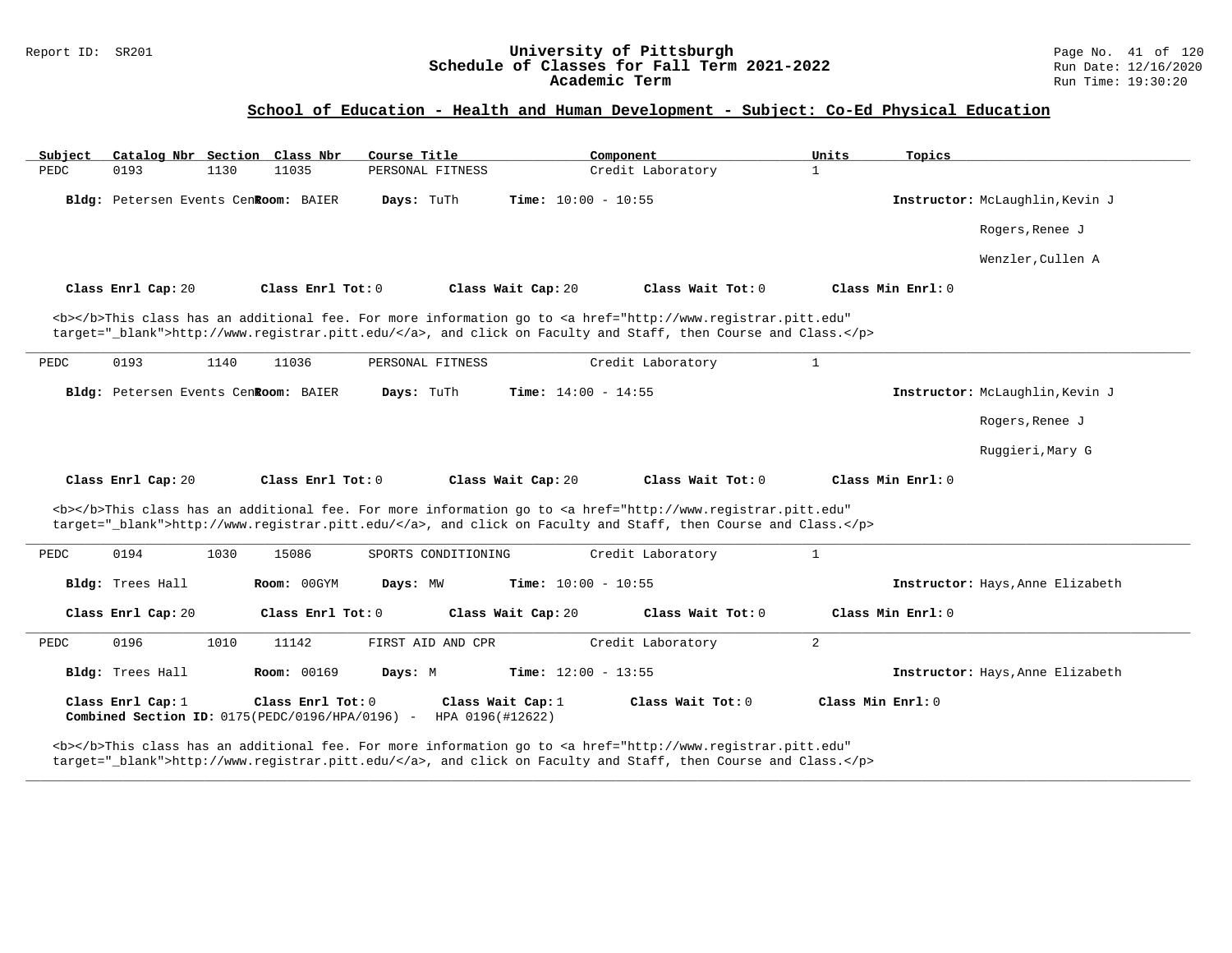### Report ID: SR201 **University of Pittsburgh University of Pittsburgh** Page No. 41 of 120<br>**Schedule of Classes for Fall Term 2021-2022** Run Date: 12/16/2020 **Schedule of Classes for Fall Term 2021-2022** Run Date: 12/16/2020 **Academic Term** Run Time: 19:30:20

### **School of Education - Health and Human Development - Subject: Co-Ed Physical Education**

| Subject | Catalog Nbr Section Class Nbr                                        |      |                    | Course Title        |                              | Component                                                                                                                                                                                                                          | Units             | Topics                           |
|---------|----------------------------------------------------------------------|------|--------------------|---------------------|------------------------------|------------------------------------------------------------------------------------------------------------------------------------------------------------------------------------------------------------------------------------|-------------------|----------------------------------|
| PEDC    | 0193                                                                 | 1130 | 11035              | PERSONAL FITNESS    |                              | Credit Laboratory                                                                                                                                                                                                                  | $\mathbf{1}$      |                                  |
|         | Bldg: Petersen Events CenRoom: BAIER                                 |      |                    | Days: TuTh          | Time: $10:00 - 10:55$        |                                                                                                                                                                                                                                    |                   | Instructor: McLaughlin, Kevin J  |
|         |                                                                      |      |                    |                     |                              |                                                                                                                                                                                                                                    |                   | Rogers, Renee J                  |
|         |                                                                      |      |                    |                     |                              |                                                                                                                                                                                                                                    |                   | Wenzler, Cullen A                |
|         | Class Enrl Cap: 20                                                   |      | Class Enrl Tot: 0  |                     | Class Wait Cap: 20           | Class Wait Tot: 0                                                                                                                                                                                                                  |                   | Class Min Enrl: 0                |
|         |                                                                      |      |                    |                     |                              | <b></b> This class has an additional fee. For more information go to <a <br="" href="http://www.registrar.pitt.edu">target="_blank"&gt;http://www.registrar.pitt.edu/</a> , and click on Faculty and Staff, then Course and Class. |                   |                                  |
| PEDC    | 0193                                                                 | 1140 | 11036              | PERSONAL FITNESS    |                              | Credit Laboratory                                                                                                                                                                                                                  | $\mathbf{1}$      |                                  |
|         | Bldg: Petersen Events CenRoom: BAIER                                 |      |                    | Days: TuTh          | <b>Time:</b> $14:00 - 14:55$ |                                                                                                                                                                                                                                    |                   | Instructor: McLaughlin, Kevin J  |
|         |                                                                      |      |                    |                     |                              |                                                                                                                                                                                                                                    |                   | Rogers, Renee J                  |
|         |                                                                      |      |                    |                     |                              |                                                                                                                                                                                                                                    |                   | Ruggieri, Mary G                 |
|         | Class Enrl Cap: 20                                                   |      | Class Enrl Tot: 0  |                     | Class Wait Cap: 20           | Class Wait Tot: 0                                                                                                                                                                                                                  |                   | Class Min Enrl: 0                |
|         |                                                                      |      |                    |                     |                              | <b></b> This class has an additional fee. For more information go to <a <br="" href="http://www.registrar.pitt.edu">target="_blank"&gt;http://www.registrar.pitt.edu/</a> , and click on Faculty and Staff, then Course and Class. |                   |                                  |
| PEDC    | 0194                                                                 | 1030 | 15086              | SPORTS CONDITIONING |                              | Credit Laboratory                                                                                                                                                                                                                  | $\mathbf{1}$      |                                  |
|         | Bldg: Trees Hall                                                     |      | Room: 00GYM        | Days: MW            | <b>Time:</b> $10:00 - 10:55$ |                                                                                                                                                                                                                                    |                   | Instructor: Hays, Anne Elizabeth |
|         | Class Enrl Cap: 20                                                   |      | Class Enrl Tot: 0  |                     | Class Wait Cap: 20           | Class Wait Tot: 0                                                                                                                                                                                                                  |                   | Class Min Enrl: 0                |
| PEDC    | 0196                                                                 | 1010 | 11142              | FIRST AID AND CPR   |                              | Credit Laboratory                                                                                                                                                                                                                  | 2                 |                                  |
|         | Bldg: Trees Hall                                                     |      | <b>Room: 00169</b> | Days: M             | Time: $12:00 - 13:55$        |                                                                                                                                                                                                                                    |                   | Instructor: Hays, Anne Elizabeth |
|         | Class Enrl Cap: 1<br>Combined Section ID: 0175(PEDC/0196/HPA/0196) - |      | Class Enrl Tot: 0  | HPA 0196(#12622)    | Class Wait Cap: 1            | Class Wait Tot: 0                                                                                                                                                                                                                  | Class Min Enrl: 0 |                                  |
|         |                                                                      |      |                    |                     |                              | <b></b> This class has an additional fee. For more information go to <a <="" href="http://www.registrar.pitt.edu" td=""><td></td><td></td></a>                                                                                     |                   |                                  |

**\_\_\_\_\_\_\_\_\_\_\_\_\_\_\_\_\_\_\_\_\_\_\_\_\_\_\_\_\_\_\_\_\_\_\_\_\_\_\_\_\_\_\_\_\_\_\_\_\_\_\_\_\_\_\_\_\_\_\_\_\_\_\_\_\_\_\_\_\_\_\_\_\_\_\_\_\_\_\_\_\_\_\_\_\_\_\_\_\_\_\_\_\_\_\_\_\_\_\_\_\_\_\_\_\_\_\_\_\_\_\_\_\_\_\_\_\_\_\_\_\_\_\_\_\_\_\_\_\_\_\_\_\_\_\_\_\_\_\_\_\_\_\_\_\_\_\_\_\_\_\_\_\_\_\_\_**

target="\_blank">http://www.registrar.pitt.edu/</a>, and click on Faculty and Staff, then Course and Class.</p>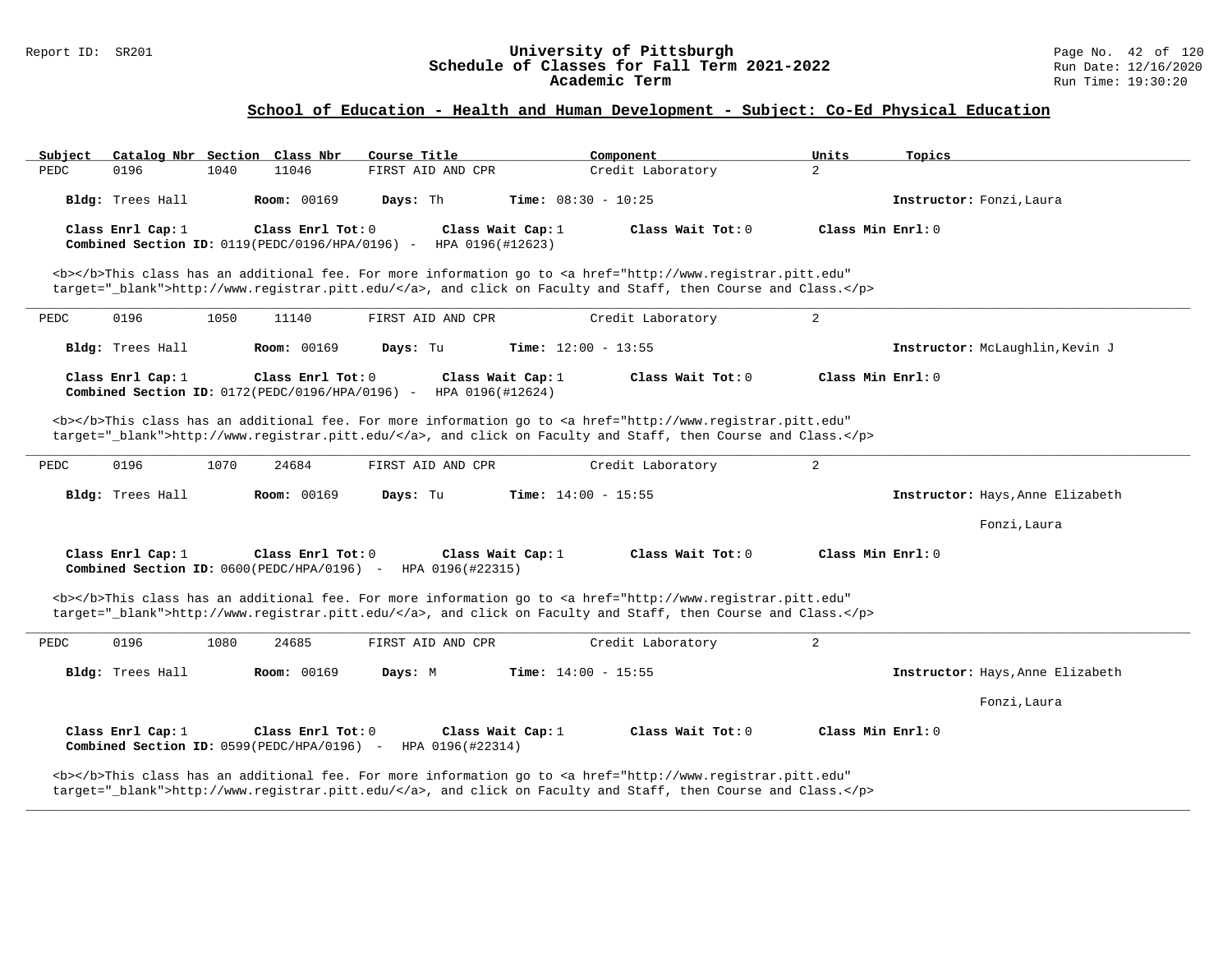### Report ID: SR201 **University of Pittsburgh** Page No. 42 of 120 **Schedule of Classes for Fall Term 2021-2022** Run Date: 12/16/2020 **Academic Term** Run Time: 19:30:20

### **School of Education - Health and Human Development - Subject: Co-Ed Physical Education**

| Subject<br>Catalog Nbr Section Class Nbr                                                                                                                                                                                           | Course Title                          | Component                    | Units               | Topics                           |
|------------------------------------------------------------------------------------------------------------------------------------------------------------------------------------------------------------------------------------|---------------------------------------|------------------------------|---------------------|----------------------------------|
| PEDC<br>0196<br>1040<br>11046                                                                                                                                                                                                      | FIRST AID AND CPR                     | Credit Laboratory            | $\overline{2}$      |                                  |
| <b>Room: 00169</b><br>Bldg: Trees Hall                                                                                                                                                                                             | Days: Th                              | <b>Time:</b> $08:30 - 10:25$ |                     | Instructor: Fonzi, Laura         |
| Class Enrl Cap: 1<br>Class Enrl Tot: 0<br>Combined Section ID: 0119 (PEDC/0196/HPA/0196) -                                                                                                                                         | Class Wait Cap: 1<br>HPA 0196(#12623) | Class Wait Tot: 0            | Class Min Enrl: 0   |                                  |
| <b></b> This class has an additional fee. For more information go to <a <br="" href="http://www.registrar.pitt.edu">target="_blank"&gt;http://www.registrar.pitt.edu/</a> , and click on Faculty and Staff, then Course and Class. |                                       |                              |                     |                                  |
| 0196<br>1050<br>PEDC<br>11140                                                                                                                                                                                                      | FIRST AID AND CPR                     | Credit Laboratory            | 2                   |                                  |
| Bldg: Trees Hall<br><b>Room: 00169</b>                                                                                                                                                                                             | Days: Tu                              | Time: $12:00 - 13:55$        |                     | Instructor: McLaughlin, Kevin J  |
| Class Enrl Cap: 1<br>Class Enrl Tot: 0<br>Combined Section ID: $0172(PEDC/0196/HPA/0196) -$                                                                                                                                        | Class Wait Cap: 1<br>HPA 0196(#12624) | Class Wait Tot: 0            | Class Min Enrl: 0   |                                  |
| <b></b> This class has an additional fee. For more information go to <a <br="" href="http://www.registrar.pitt.edu">target="_blank"&gt;http://www.registrar.pitt.edu/</a> , and click on Faculty and Staff, then Course and Class. |                                       |                              |                     |                                  |
| 0196<br>1070<br>24684<br>PEDC                                                                                                                                                                                                      | FIRST AID AND CPR                     | Credit Laboratory            | 2                   |                                  |
| Bldg: Trees Hall<br><b>Room: 00169</b>                                                                                                                                                                                             | Days: Tu                              | Time: $14:00 - 15:55$        |                     | Instructor: Hays, Anne Elizabeth |
|                                                                                                                                                                                                                                    |                                       |                              |                     | Fonzi, Laura                     |
| Class Enrl Cap: $1$<br>Class Enrl Tot: $0$<br><b>Combined Section ID:</b> $0600(PEDC/HPA/0196)$ - HPA $0196(#22315)$                                                                                                               | Class Wait Cap: $1$                   | Class Wait $Tot: 0$          | Class Min $Enr1: 0$ |                                  |
| <b></b> This class has an additional fee. For more information go to <a <br="" href="http://www.registrar.pitt.edu">target="_blank"&gt;http://www.registrar.pitt.edu/</a> , and click on Faculty and Staff, then Course and Class. |                                       |                              |                     |                                  |
| 0196<br>1080<br>24685<br>PEDC                                                                                                                                                                                                      | FIRST AID AND CPR                     | Credit Laboratory            | 2                   |                                  |
| <b>Room: 00169</b><br>Bldg: Trees Hall                                                                                                                                                                                             | Days: M                               | Time: $14:00 - 15:55$        |                     | Instructor: Hays, Anne Elizabeth |
|                                                                                                                                                                                                                                    |                                       |                              |                     | Fonzi, Laura                     |
| Class Enrl Cap: $1$<br>Class Enrl Tot: 0<br>Combined Section ID: 0599(PEDC/HPA/0196) -                                                                                                                                             | Class Wait Cap: 1<br>HPA 0196(#22314) | Class Wait Tot: 0            | Class Min Enrl: 0   |                                  |
| <b></b> This class has an additional fee. For more information go to <a <="" href="http://www.registrar.pitt.edu" td=""><td></td><td></td><td></td><td></td></a>                                                                   |                                       |                              |                     |                                  |

**\_\_\_\_\_\_\_\_\_\_\_\_\_\_\_\_\_\_\_\_\_\_\_\_\_\_\_\_\_\_\_\_\_\_\_\_\_\_\_\_\_\_\_\_\_\_\_\_\_\_\_\_\_\_\_\_\_\_\_\_\_\_\_\_\_\_\_\_\_\_\_\_\_\_\_\_\_\_\_\_\_\_\_\_\_\_\_\_\_\_\_\_\_\_\_\_\_\_\_\_\_\_\_\_\_\_\_\_\_\_\_\_\_\_\_\_\_\_\_\_\_\_\_\_\_\_\_\_\_\_\_\_\_\_\_\_\_\_\_\_\_\_\_\_\_\_\_\_\_\_\_\_\_\_\_\_**

target="\_blank">http://www.registrar.pitt.edu/</a>, and click on Faculty and Staff, then Course and Class.</p>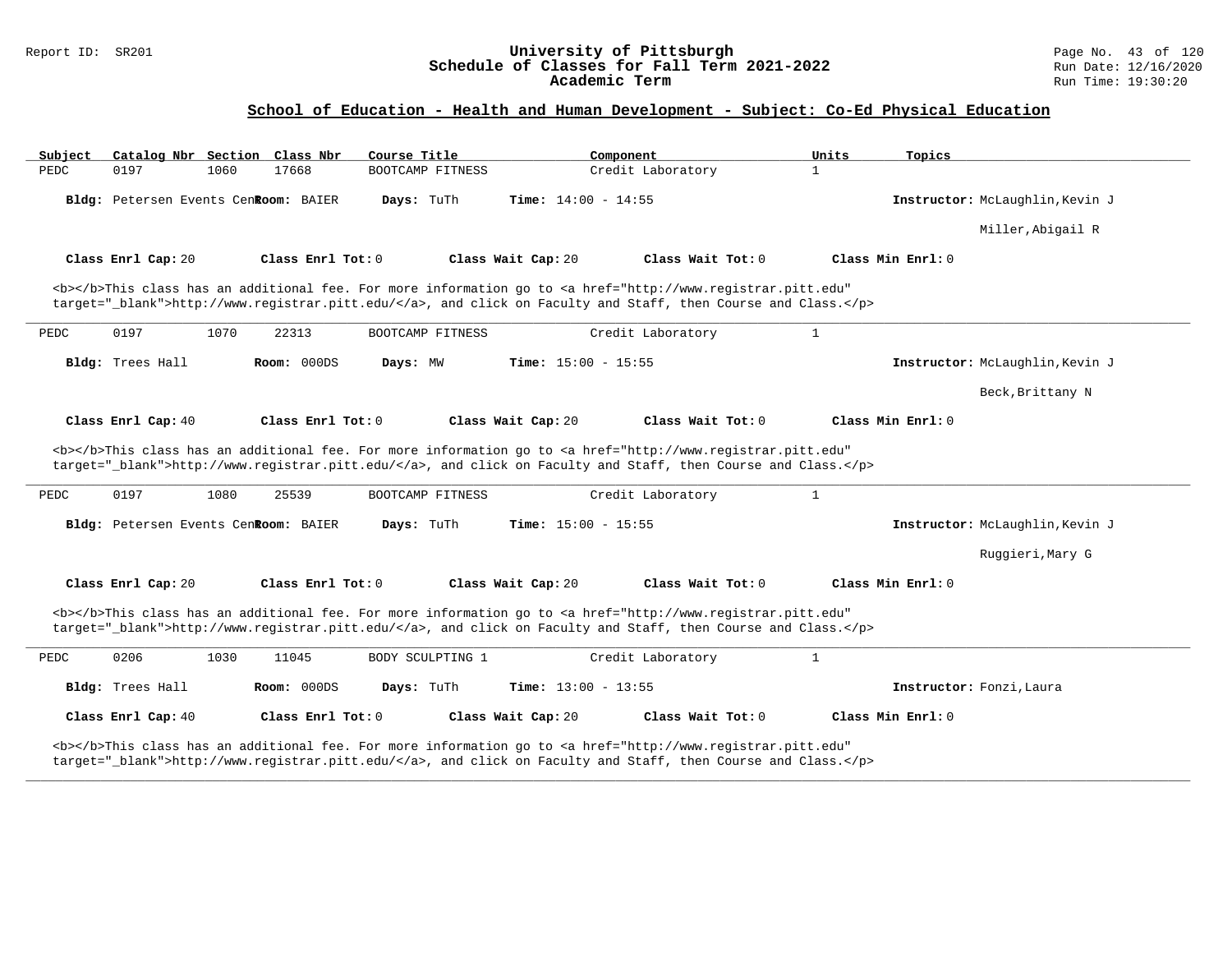### Report ID: SR201 **University of Pittsburgh** Page No. 43 of 120 **Schedule of Classes for Fall Term 2021-2022** Run Date: 12/16/2020 **Academic Term** Run Time: 19:30:20

# **School of Education - Health and Human Development - Subject: Co-Ed Physical Education**

| Catalog Nbr Section Class Nbr<br>Subject | Course Title                                                                                                                                                                                                                       | Component                    | Units<br>Topics                 |  |
|------------------------------------------|------------------------------------------------------------------------------------------------------------------------------------------------------------------------------------------------------------------------------------|------------------------------|---------------------------------|--|
| 0197<br>1060<br>PEDC                     | 17668<br>BOOTCAMP FITNESS                                                                                                                                                                                                          | Credit Laboratory            | $\mathbf{1}$                    |  |
| Bldg: Petersen Events CenRoom: BAIER     | Days: TuTh                                                                                                                                                                                                                         | Time: $14:00 - 14:55$        | Instructor: McLaughlin, Kevin J |  |
|                                          |                                                                                                                                                                                                                                    |                              | Miller, Abigail R               |  |
| Class Enrl Cap: 20                       | Class Enrl Tot: 0<br>Class Wait Cap: 20                                                                                                                                                                                            | Class Wait Tot: 0            | Class Min Enrl: 0               |  |
|                                          | <b></b> This class has an additional fee. For more information go to <a <br="" href="http://www.registrar.pitt.edu">target=" blank"&gt;http://www.registrar.pitt.edu/</a> , and click on Faculty and Staff, then Course and Class. |                              |                                 |  |
| PEDC<br>0197<br>1070                     | 22313<br>BOOTCAMP FITNESS                                                                                                                                                                                                          | Credit Laboratory            | $\mathbf{1}$                    |  |
| Bldg: Trees Hall                         | Room: 000DS<br>Days: MW                                                                                                                                                                                                            | Time: $15:00 - 15:55$        | Instructor: McLaughlin, Kevin J |  |
|                                          |                                                                                                                                                                                                                                    |                              | Beck, Brittany N                |  |
| Class Enrl Cap: 40                       | Class Enrl Tot: 0<br>Class Wait Cap: 20                                                                                                                                                                                            | Class Wait Tot: 0            | Class Min Enrl: 0               |  |
|                                          | <b></b> This class has an additional fee. For more information go to <a <br="" href="http://www.registrar.pitt.edu">target="_blank"&gt;http://www.registrar.pitt.edu/</a> , and click on Faculty and Staff, then Course and Class. |                              |                                 |  |
| 0197<br>1080<br>PEDC                     | 25539<br>BOOTCAMP FITNESS                                                                                                                                                                                                          | Credit Laboratory            | $\mathbf{1}$                    |  |
| Bldg: Petersen Events CenRoom: BAIER     | Days: TuTh                                                                                                                                                                                                                         | <b>Time:</b> $15:00 - 15:55$ | Instructor: McLaughlin, Kevin J |  |
|                                          |                                                                                                                                                                                                                                    |                              | Ruggieri, Mary G                |  |
| Class Enrl Cap: 20                       | Class Enrl Tot: 0<br>Class Wait Cap: 20                                                                                                                                                                                            | Class Wait Tot: 0            | Class Min Enrl: 0               |  |
|                                          | <b></b> This class has an additional fee. For more information go to <a <br="" href="http://www.registrar.pitt.edu">target="_blank"&gt;http://www.registrar.pitt.edu/</a> , and click on Faculty and Staff, then Course and Class. |                              |                                 |  |
| 0206<br>1030<br>PEDC                     | 11045<br>BODY SCULPTING 1                                                                                                                                                                                                          | Credit Laboratory            | $\mathbf{1}$                    |  |
| Bldg: Trees Hall                         | Room: 000DS<br>Days: TuTh                                                                                                                                                                                                          | Time: $13:00 - 13:55$        | Instructor: Fonzi, Laura        |  |
| Class Enrl Cap: 40                       | Class Enrl Tot: 0<br>Class Wait Cap: 20                                                                                                                                                                                            | Class Wait Tot: 0            | Class Min Enrl: 0               |  |
|                                          |                                                                                                                                                                                                                                    |                              |                                 |  |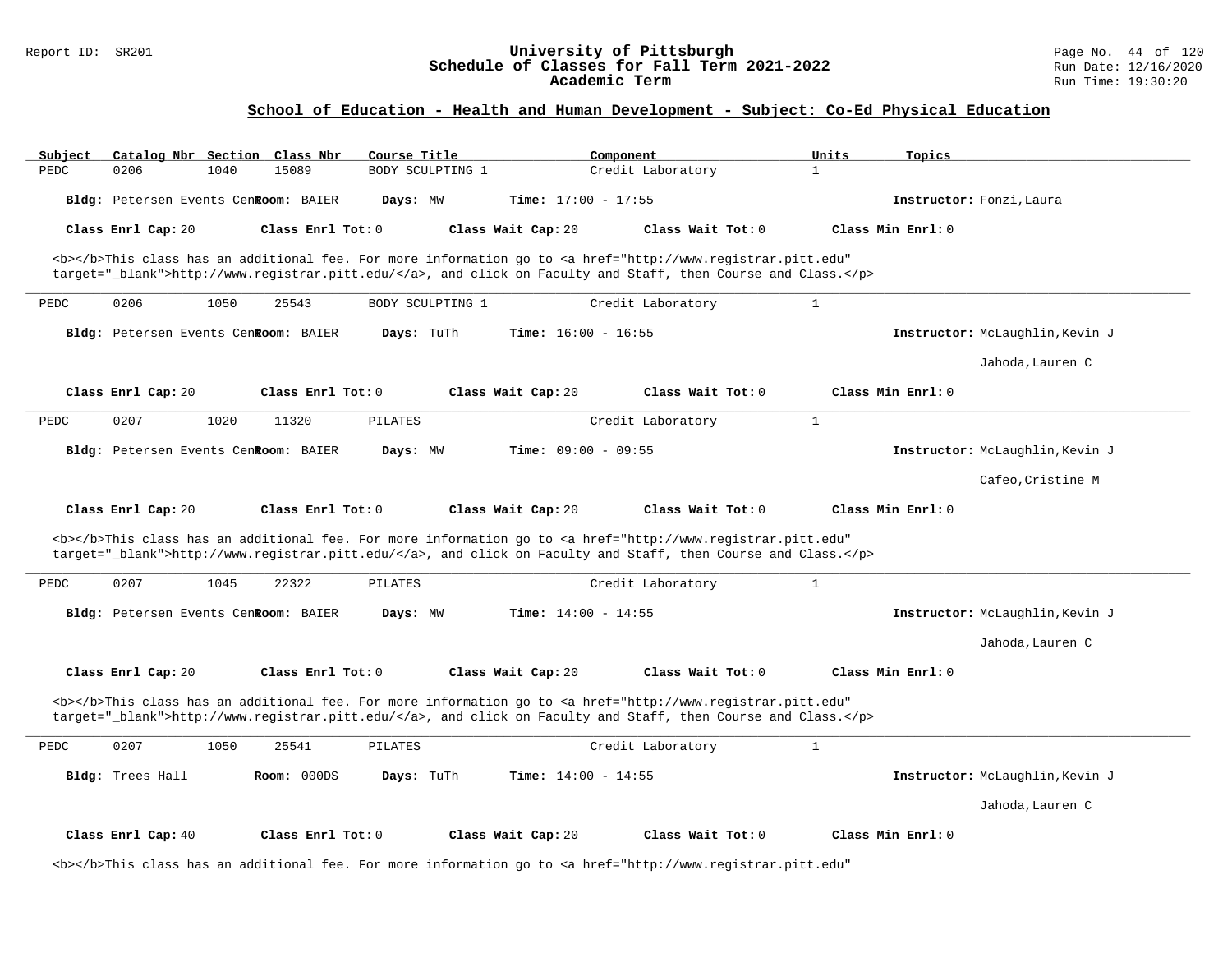### **School of Education - Health and Human Development - Subject: Co-Ed Physical Education**

| Subject | Catalog Nbr Section Class Nbr        |      |                   | Course Title     |                              | Component                                                                                                                                                                                                                          | Units        | Topics                          |
|---------|--------------------------------------|------|-------------------|------------------|------------------------------|------------------------------------------------------------------------------------------------------------------------------------------------------------------------------------------------------------------------------------|--------------|---------------------------------|
| PEDC    | 0206                                 | 1040 | 15089             | BODY SCULPTING 1 |                              | Credit Laboratory                                                                                                                                                                                                                  | $\mathbf{1}$ |                                 |
|         | Bldg: Petersen Events CenRoom: BAIER |      |                   | Days: MW         | Time: $17:00 - 17:55$        |                                                                                                                                                                                                                                    |              | Instructor: Fonzi, Laura        |
|         | Class Enrl Cap: 20                   |      | Class Enrl Tot: 0 |                  | Class Wait Cap: 20           | Class Wait Tot: 0                                                                                                                                                                                                                  |              | Class Min Enrl: 0               |
|         |                                      |      |                   |                  |                              | <b></b> This class has an additional fee. For more information go to <a <br="" href="http://www.registrar.pitt.edu">target="_blank"&gt;http://www.registrar.pitt.edu/</a> , and click on Faculty and Staff, then Course and Class. |              |                                 |
| PEDC    | 0206                                 | 1050 | 25543             | BODY SCULPTING 1 |                              | Credit Laboratory                                                                                                                                                                                                                  | $\mathbf{1}$ |                                 |
|         | Bldg: Petersen Events CenRoom: BAIER |      |                   | Days: TuTh       | <b>Time:</b> $16:00 - 16:55$ |                                                                                                                                                                                                                                    |              | Instructor: McLaughlin, Kevin J |
|         |                                      |      |                   |                  |                              |                                                                                                                                                                                                                                    |              | Jahoda, Lauren C                |
|         | Class Enrl Cap: 20                   |      | Class Enrl Tot: 0 |                  | Class Wait Cap: 20           | Class Wait Tot: 0                                                                                                                                                                                                                  |              | $Class Min Ernst: 0$            |
| PEDC    | 0207                                 | 1020 | 11320             | PILATES          |                              | Credit Laboratory                                                                                                                                                                                                                  | $\mathbf{1}$ |                                 |
|         | Bldg: Petersen Events CenRoom: BAIER |      |                   | Days: MW         | <b>Time:</b> $09:00 - 09:55$ |                                                                                                                                                                                                                                    |              | Instructor: McLaughlin, Kevin J |
|         |                                      |      |                   |                  |                              |                                                                                                                                                                                                                                    |              | Cafeo, Cristine M               |
|         |                                      |      |                   |                  |                              |                                                                                                                                                                                                                                    |              |                                 |
|         | Class Enrl Cap: 20                   |      | Class Enrl Tot: 0 |                  | Class Wait Cap: 20           | Class Wait Tot: 0                                                                                                                                                                                                                  |              | Class Min Enrl: 0               |
|         |                                      |      |                   |                  |                              | <b></b> This class has an additional fee. For more information go to <a <br="" href="http://www.registrar.pitt.edu">target="_blank"&gt;http://www.registrar.pitt.edu/</a> , and click on Faculty and Staff, then Course and Class. |              |                                 |
| PEDC    | 0207                                 | 1045 | 22322             | PILATES          |                              | Credit Laboratory                                                                                                                                                                                                                  | $\mathbf{1}$ |                                 |
|         | Bldg: Petersen Events CenRoom: BAIER |      |                   | Days: MW         | Time: $14:00 - 14:55$        |                                                                                                                                                                                                                                    |              | Instructor: McLaughlin, Kevin J |
|         |                                      |      |                   |                  |                              |                                                                                                                                                                                                                                    |              | Jahoda, Lauren C                |
|         | Class Enrl Cap: 20                   |      | Class Enrl Tot: 0 |                  | Class Wait Cap: 20           | Class Wait Tot: 0                                                                                                                                                                                                                  |              | Class Min Enrl: 0               |
|         |                                      |      |                   |                  |                              | <b></b> This class has an additional fee. For more information go to <a <br="" href="http://www.registrar.pitt.edu">target="_blank"&gt;http://www.registrar.pitt.edu/</a> , and click on Faculty and Staff, then Course and Class. |              |                                 |
| PEDC    | 0207                                 | 1050 | 25541             | PILATES          |                              | Credit Laboratory                                                                                                                                                                                                                  | $\mathbf{1}$ |                                 |
|         | Bldg: Trees Hall                     |      | Room: 000DS       | Days: TuTh       | <b>Time:</b> $14:00 - 14:55$ |                                                                                                                                                                                                                                    |              | Instructor: McLaughlin, Kevin J |
|         |                                      |      |                   |                  |                              |                                                                                                                                                                                                                                    |              | Jahoda, Lauren C                |
|         | Class Enrl Cap: 40                   |      | Class Enrl Tot: 0 |                  | Class Wait Cap: 20           | Class Wait Tot: 0                                                                                                                                                                                                                  |              | Class Min Enrl: 0               |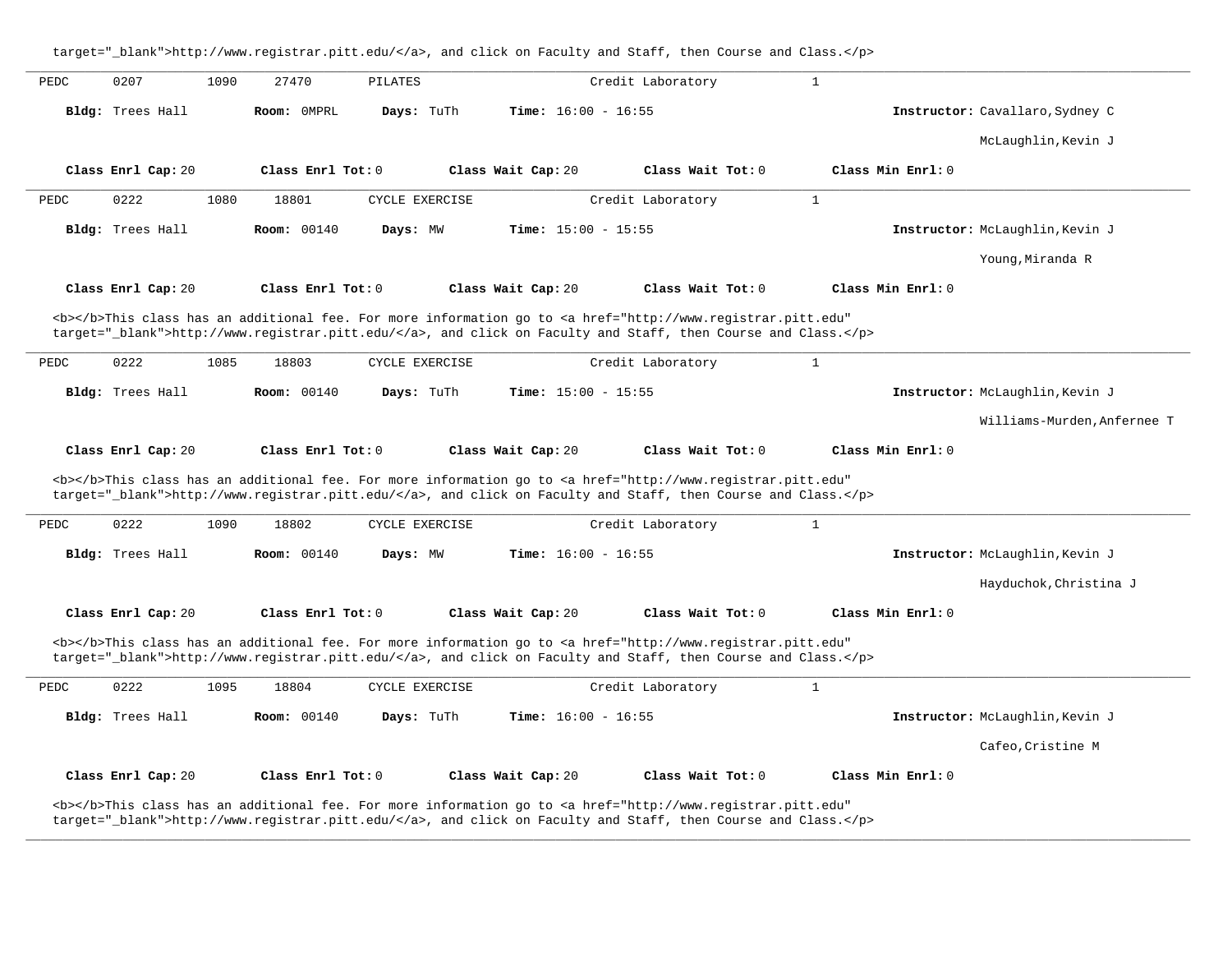target="\_blank">http://www.registrar.pitt.edu/</a>, and click on Faculty and Staff, then Course and Class.</p> **\_\_\_\_\_\_\_\_\_\_\_\_\_\_\_\_\_\_\_\_\_\_\_\_\_\_\_\_\_\_\_\_\_\_\_\_\_\_\_\_\_\_\_\_\_\_\_\_\_\_\_\_\_\_\_\_\_\_\_\_\_\_\_\_\_\_\_\_\_\_\_\_\_\_\_\_\_\_\_\_\_\_\_\_\_\_\_\_\_\_\_\_\_\_\_\_\_\_\_\_\_\_\_\_\_\_\_\_\_\_\_\_\_\_\_\_\_\_\_\_\_\_\_\_\_\_\_\_\_\_\_\_\_\_\_\_\_\_\_\_\_\_\_\_\_\_\_\_\_\_\_\_\_\_\_\_** PEDC 0207 1090 27470 PILATES Credit Laboratory 1 **Bldg:** Trees Hall **Room:** 0MPRL **Days:** TuTh **Time:** 16:00 - 16:55 **Instructor:** Cavallaro,Sydney C McLaughlin,Kevin J **Class Enrl Cap:** 20 **Class Enrl Tot:** 0 **Class Wait Cap:** 20 **Class Wait Tot:** 0 **Class Min Enrl:** 0 **\_\_\_\_\_\_\_\_\_\_\_\_\_\_\_\_\_\_\_\_\_\_\_\_\_\_\_\_\_\_\_\_\_\_\_\_\_\_\_\_\_\_\_\_\_\_\_\_\_\_\_\_\_\_\_\_\_\_\_\_\_\_\_\_\_\_\_\_\_\_\_\_\_\_\_\_\_\_\_\_\_\_\_\_\_\_\_\_\_\_\_\_\_\_\_\_\_\_\_\_\_\_\_\_\_\_\_\_\_\_\_\_\_\_\_\_\_\_\_\_\_\_\_\_\_\_\_\_\_\_\_\_\_\_\_\_\_\_\_\_\_\_\_\_\_\_\_\_\_\_\_\_\_\_\_\_** PEDC 0222 1080 18801 CYCLE EXERCISE Credit Laboratory 1 **Bldg:** Trees Hall **Room:** 00140 **Days:** MW **Time:** 15:00 - 15:55 **Instructor:** McLaughlin,Kevin J Young,Miranda R **Class Enrl Cap:** 20 **Class Enrl Tot:** 0 **Class Wait Cap:** 20 **Class Wait Tot:** 0 **Class Min Enrl:** 0 <b></b>This class has an additional fee. For more information go to <a href="http://www.registrar.pitt.edu" target="\_blank">http://www.registrar.pitt.edu/</a>, and click on Faculty and Staff, then Course and Class.</p> **\_\_\_\_\_\_\_\_\_\_\_\_\_\_\_\_\_\_\_\_\_\_\_\_\_\_\_\_\_\_\_\_\_\_\_\_\_\_\_\_\_\_\_\_\_\_\_\_\_\_\_\_\_\_\_\_\_\_\_\_\_\_\_\_\_\_\_\_\_\_\_\_\_\_\_\_\_\_\_\_\_\_\_\_\_\_\_\_\_\_\_\_\_\_\_\_\_\_\_\_\_\_\_\_\_\_\_\_\_\_\_\_\_\_\_\_\_\_\_\_\_\_\_\_\_\_\_\_\_\_\_\_\_\_\_\_\_\_\_\_\_\_\_\_\_\_\_\_\_\_\_\_\_\_\_\_** PEDC 0222 1085 18803 CYCLE EXERCISE Credit Laboratory 1 **Bldg:** Trees Hall **Room:** 00140 **Days:** TuTh **Time:** 15:00 - 15:55 **Instructor:** McLaughlin,Kevin J Williams-Murden,Anfernee T **Class Enrl Cap:** 20 **Class Enrl Tot:** 0 **Class Wait Cap:** 20 **Class Wait Tot:** 0 **Class Min Enrl:** 0 <b></b>This class has an additional fee. For more information go to <a href="http://www.registrar.pitt.edu" target="\_blank">http://www.registrar.pitt.edu/</a>, and click on Faculty and Staff, then Course and Class.</p> **\_\_\_\_\_\_\_\_\_\_\_\_\_\_\_\_\_\_\_\_\_\_\_\_\_\_\_\_\_\_\_\_\_\_\_\_\_\_\_\_\_\_\_\_\_\_\_\_\_\_\_\_\_\_\_\_\_\_\_\_\_\_\_\_\_\_\_\_\_\_\_\_\_\_\_\_\_\_\_\_\_\_\_\_\_\_\_\_\_\_\_\_\_\_\_\_\_\_\_\_\_\_\_\_\_\_\_\_\_\_\_\_\_\_\_\_\_\_\_\_\_\_\_\_\_\_\_\_\_\_\_\_\_\_\_\_\_\_\_\_\_\_\_\_\_\_\_\_\_\_\_\_\_\_\_\_** PEDC 0222 1090 18802 CYCLE EXERCISE Credit Laboratory 1 **Bldg:** Trees Hall **Room:** 00140 **Days:** MW **Time:** 16:00 - 16:55 **Instructor:** McLaughlin,Kevin J Hayduchok,Christina J **Class Enrl Cap:** 20 **Class Enrl Tot:** 0 **Class Wait Cap:** 20 **Class Wait Tot:** 0 **Class Min Enrl:** 0 <b></b>This class has an additional fee. For more information go to <a href="http://www.registrar.pitt.edu" target=" blank">http://www.registrar.pitt.edu/</a>, and click on Faculty and Staff, then Course and Class.</p> **\_\_\_\_\_\_\_\_\_\_\_\_\_\_\_\_\_\_\_\_\_\_\_\_\_\_\_\_\_\_\_\_\_\_\_\_\_\_\_\_\_\_\_\_\_\_\_\_\_\_\_\_\_\_\_\_\_\_\_\_\_\_\_\_\_\_\_\_\_\_\_\_\_\_\_\_\_\_\_\_\_\_\_\_\_\_\_\_\_\_\_\_\_\_\_\_\_\_\_\_\_\_\_\_\_\_\_\_\_\_\_\_\_\_\_\_\_\_\_\_\_\_\_\_\_\_\_\_\_\_\_\_\_\_\_\_\_\_\_\_\_\_\_\_\_\_\_\_\_\_\_\_\_\_\_\_** PEDC 0222 1095 18804 CYCLE EXERCISE Credit Laboratory 1 **Bldg:** Trees Hall **Room:** 00140 **Days:** TuTh **Time:** 16:00 - 16:55 **Instructor:** McLaughlin,Kevin J Cafeo,Cristine M **Class Enrl Cap:** 20 **Class Enrl Tot:** 0 **Class Wait Cap:** 20 **Class Wait Tot:** 0 **Class Min Enrl:** 0 <b></b>This class has an additional fee. For more information go to <a href="http://www.registrar.pitt.edu" target="\_blank">http://www.registrar.pitt.edu/</a>, and click on Faculty and Staff, then Course and Class.</p>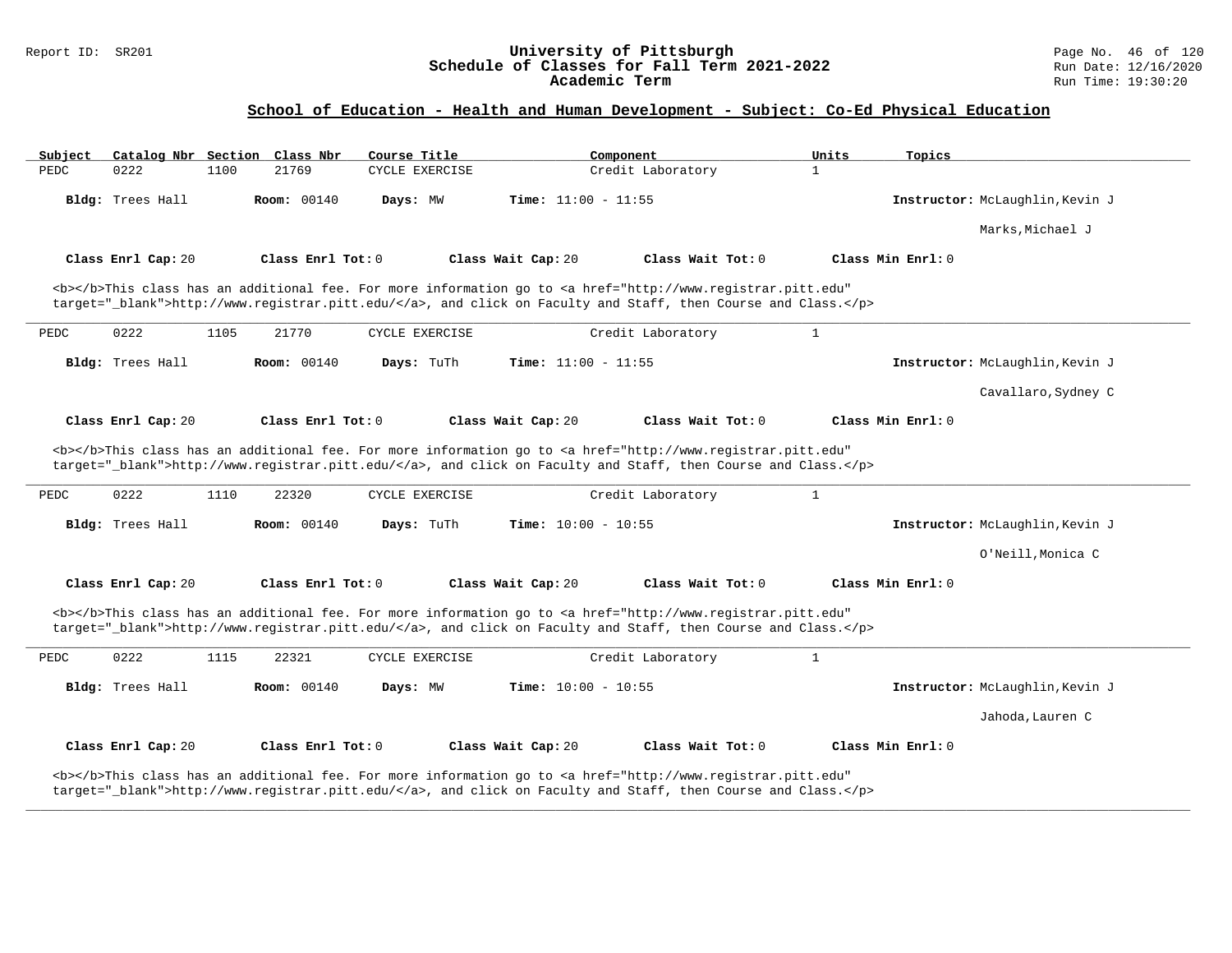### Report ID: SR201 **University of Pittsburgh** Page No. 46 of 120 **Schedule of Classes for Fall Term 2021-2022** Run Date: 12/16/2020 **Academic Term** Run Time: 19:30:20

# **School of Education - Health and Human Development - Subject: Co-Ed Physical Education**

| Subject                                                                                                                                                                                              |                    |      | Catalog Nbr Section Class Nbr | Course Title   |                              | Component                                                                                                                                                                                                                                               | Units        | Topics                          |
|------------------------------------------------------------------------------------------------------------------------------------------------------------------------------------------------------|--------------------|------|-------------------------------|----------------|------------------------------|---------------------------------------------------------------------------------------------------------------------------------------------------------------------------------------------------------------------------------------------------------|--------------|---------------------------------|
| PEDC                                                                                                                                                                                                 | 0222               | 1100 | 21769                         | CYCLE EXERCISE |                              | Credit Laboratory                                                                                                                                                                                                                                       | 1            |                                 |
|                                                                                                                                                                                                      | Bldg: Trees Hall   |      | <b>Room: 00140</b>            | Days: MW       | Time: $11:00 - 11:55$        |                                                                                                                                                                                                                                                         |              | Instructor: McLaughlin, Kevin J |
|                                                                                                                                                                                                      |                    |      |                               |                |                              |                                                                                                                                                                                                                                                         |              | Marks, Michael J                |
|                                                                                                                                                                                                      | Class Enrl Cap: 20 |      | Class Enrl Tot: 0             |                | Class Wait Cap: 20           | Class Wait Tot: 0                                                                                                                                                                                                                                       |              | Class Min Enrl: 0               |
|                                                                                                                                                                                                      |                    |      |                               |                |                              | <b></b> This class has an additional fee. For more information go to <a <br="" href="http://www.registrar.pitt.edu">target="_blank"&gt;http://www.registrar.pitt.edu/</a> , and click on Faculty and Staff, then Course and Class.                      |              |                                 |
| PEDC                                                                                                                                                                                                 | 0222               | 1105 | 21770                         | CYCLE EXERCISE |                              | Credit Laboratory                                                                                                                                                                                                                                       | $\mathbf{1}$ |                                 |
|                                                                                                                                                                                                      | Bldg: Trees Hall   |      | <b>Room:</b> 00140            | Days: TuTh     | <b>Time:</b> $11:00 - 11:55$ |                                                                                                                                                                                                                                                         |              | Instructor: McLaughlin, Kevin J |
|                                                                                                                                                                                                      |                    |      |                               |                |                              |                                                                                                                                                                                                                                                         |              | Cavallaro, Sydney C             |
|                                                                                                                                                                                                      | Class Enrl Cap: 20 |      | Class Enrl Tot: 0             |                | Class Wait Cap: 20           | Class Wait Tot: 0                                                                                                                                                                                                                                       |              | Class Min Enrl: 0               |
| PEDC                                                                                                                                                                                                 | 0222               | 1110 | 22320                         | CYCLE EXERCISE |                              | <b></b> This class has an additional fee. For more information go to <a <br="" href="http://www.registrar.pitt.edu">target="_blank"&gt;http://www.registrar.pitt.edu/</a> , and click on Faculty and Staff, then Course and Class.<br>Credit Laboratory | $\mathbf{1}$ |                                 |
|                                                                                                                                                                                                      | Bldg: Trees Hall   |      | <b>Room:</b> 00140            | Days: TuTh     | <b>Time:</b> $10:00 - 10:55$ |                                                                                                                                                                                                                                                         |              | Instructor: McLaughlin, Kevin J |
|                                                                                                                                                                                                      |                    |      |                               |                |                              |                                                                                                                                                                                                                                                         |              | O'Neill, Monica C               |
|                                                                                                                                                                                                      | Class Enrl Cap: 20 |      | Class Enrl Tot: 0             |                | Class Wait Cap: 20           | Class Wait Tot: 0                                                                                                                                                                                                                                       |              | Class Min Enrl: 0               |
|                                                                                                                                                                                                      |                    |      |                               |                |                              | <b></b> This class has an additional fee. For more information go to <a <br="" href="http://www.registrar.pitt.edu">target="_blank"&gt;http://www.registrar.pitt.edu/</a> , and click on Faculty and Staff, then Course and Class.                      |              |                                 |
| PEDC                                                                                                                                                                                                 | 0222               | 1115 | 22321                         | CYCLE EXERCISE |                              | Credit Laboratory                                                                                                                                                                                                                                       | $\mathbf{1}$ |                                 |
|                                                                                                                                                                                                      | Bldg: Trees Hall   |      | <b>Room:</b> 00140            | Days: MW       | <b>Time:</b> $10:00 - 10:55$ |                                                                                                                                                                                                                                                         |              | Instructor: McLaughlin, Kevin J |
|                                                                                                                                                                                                      |                    |      |                               |                |                              |                                                                                                                                                                                                                                                         |              | Jahoda, Lauren C                |
|                                                                                                                                                                                                      | Class Enrl Cap: 20 |      | Class Enrl Tot: 0             |                | Class Wait Cap: 20           | Class Wait Tot: 0                                                                                                                                                                                                                                       |              | Class Min Enrl: 0               |
| <b></b> This class has an additional fee. For more information go to <a <="" href="http://www.registrar.pitt.edu" td=""><td></td><td></td><td></td><td></td><td></td><td></td><td></td><td></td></a> |                    |      |                               |                |                              |                                                                                                                                                                                                                                                         |              |                                 |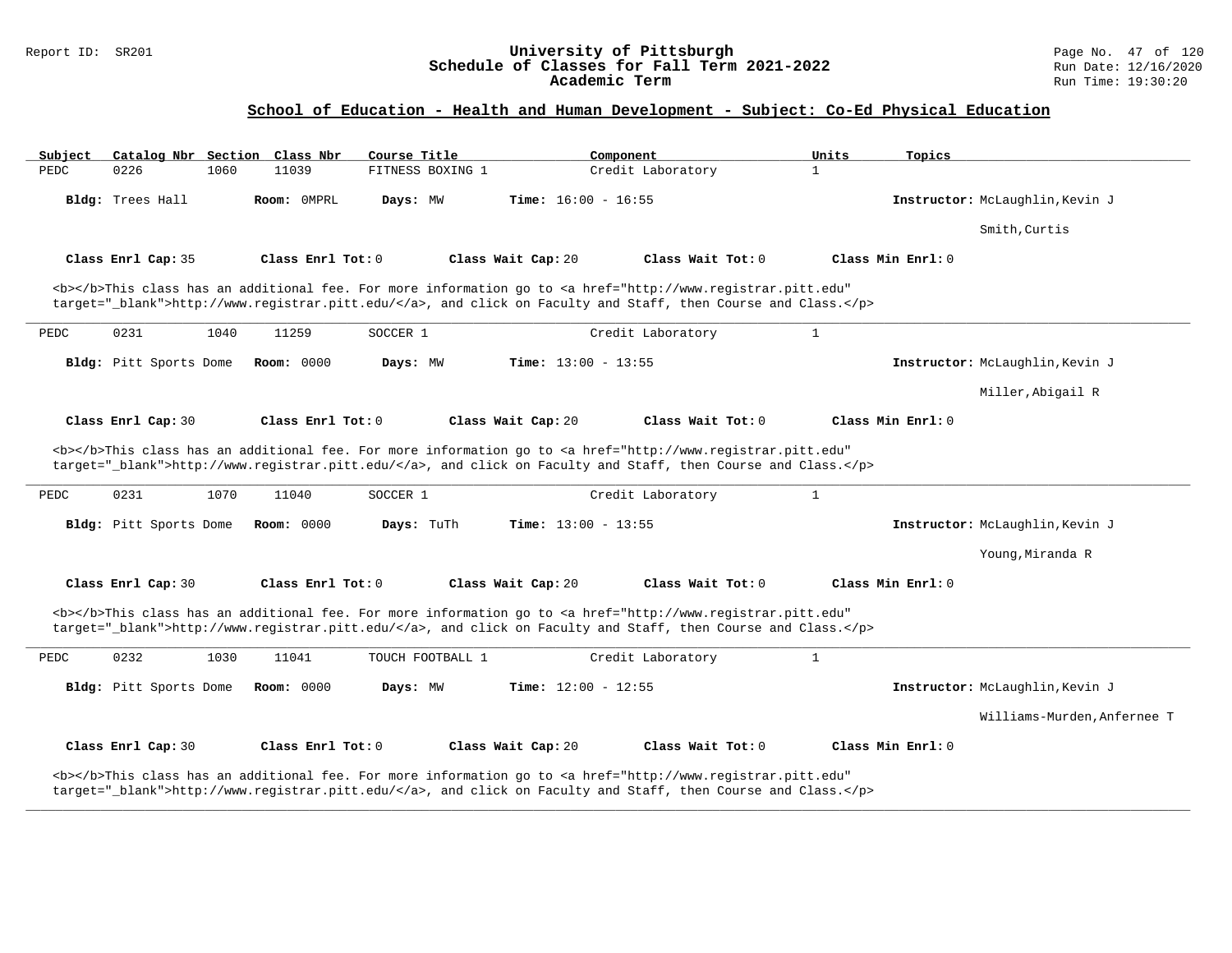### Report ID: SR201 **University of Pittsburgh** Page No. 47 of 120 **Schedule of Classes for Fall Term 2021-2022** Run Date: 12/16/2020 **Academic Term** Run Time: 19:30:20

### **School of Education - Health and Human Development - Subject: Co-Ed Physical Education**

| Subject |                        |      | Catalog Nbr Section Class Nbr | Course Title     |                              | Component                                                                                                                                                                                                                                               | Units        | Topics            |                                 |
|---------|------------------------|------|-------------------------------|------------------|------------------------------|---------------------------------------------------------------------------------------------------------------------------------------------------------------------------------------------------------------------------------------------------------|--------------|-------------------|---------------------------------|
| PEDC    | 0226                   | 1060 | 11039                         | FITNESS BOXING 1 |                              | Credit Laboratory                                                                                                                                                                                                                                       | $\mathbf{1}$ |                   |                                 |
|         | Bldg: Trees Hall       |      | Room: OMPRL                   | Days: MW         | <b>Time:</b> $16:00 - 16:55$ |                                                                                                                                                                                                                                                         |              |                   | Instructor: McLaughlin, Kevin J |
|         |                        |      |                               |                  |                              |                                                                                                                                                                                                                                                         |              |                   | Smith, Curtis                   |
|         | Class Enrl Cap: 35     |      | Class Enrl Tot: 0             |                  | Class Wait Cap: 20           | Class Wait Tot: 0                                                                                                                                                                                                                                       |              | Class Min Enrl: 0 |                                 |
|         |                        |      |                               |                  |                              | <b></b> This class has an additional fee. For more information go to <a <br="" href="http://www.registrar.pitt.edu">target="_blank"&gt;http://www.registrar.pitt.edu/</a> , and click on Faculty and Staff, then Course and Class.                      |              |                   |                                 |
| PEDC    | 0231                   | 1040 | 11259                         | SOCCER 1         |                              | Credit Laboratory                                                                                                                                                                                                                                       | $\mathbf{1}$ |                   |                                 |
|         | Bldg: Pitt Sports Dome |      | <b>Room: 0000</b>             | Days: MW         | <b>Time:</b> $13:00 - 13:55$ |                                                                                                                                                                                                                                                         |              |                   | Instructor: McLaughlin, Kevin J |
|         |                        |      |                               |                  |                              |                                                                                                                                                                                                                                                         |              |                   | Miller, Abigail R               |
|         | Class Enrl Cap: 30     |      | Class Enrl Tot: 0             |                  | Class Wait Cap: 20           | Class Wait Tot: 0                                                                                                                                                                                                                                       |              | Class Min Enrl: 0 |                                 |
| PEDC    | 0231                   | 1070 | 11040                         | SOCCER 1         |                              | <b></b> This class has an additional fee. For more information go to <a <br="" href="http://www.registrar.pitt.edu">target="_blank"&gt;http://www.registrar.pitt.edu/</a> , and click on Faculty and Staff, then Course and Class.<br>Credit Laboratory | $\mathbf{1}$ |                   |                                 |
|         | Bldg: Pitt Sports Dome |      | <b>Room: 0000</b>             | Days: TuTh       | <b>Time:</b> $13:00 - 13:55$ |                                                                                                                                                                                                                                                         |              |                   | Instructor: McLaughlin, Kevin J |
|         |                        |      |                               |                  |                              |                                                                                                                                                                                                                                                         |              |                   | Young, Miranda R                |
|         | Class Enrl Cap: 30     |      | Class Enrl Tot: 0             |                  | Class Wait Cap: 20           | Class Wait Tot: 0                                                                                                                                                                                                                                       |              | Class Min Enrl: 0 |                                 |
|         |                        |      |                               |                  |                              | <b></b> This class has an additional fee. For more information go to <a <br="" href="http://www.registrar.pitt.edu">target="_blank"&gt;http://www.registrar.pitt.edu/</a> , and click on Faculty and Staff, then Course and Class.                      |              |                   |                                 |
| PEDC    | 0232                   | 1030 | 11041                         | TOUCH FOOTBALL 1 |                              | Credit Laboratory                                                                                                                                                                                                                                       | $\mathbf{1}$ |                   |                                 |
|         | Bldg: Pitt Sports Dome |      | <b>Room: 0000</b>             | Days: MW         | Time: $12:00 - 12:55$        |                                                                                                                                                                                                                                                         |              |                   | Instructor: McLaughlin, Kevin J |
|         |                        |      |                               |                  |                              |                                                                                                                                                                                                                                                         |              |                   | Williams-Murden, Anfernee T     |
|         | Class Enrl Cap: 30     |      | Class Enrl Tot: 0             |                  | Class Wait Cap: 20           | Class Wait Tot: 0                                                                                                                                                                                                                                       |              | Class Min Enrl: 0 |                                 |
|         |                        |      |                               |                  |                              | <b></b> This class has an additional fee. For more information go to <a <br="" href="http://www.registrar.pitt.edu">target="_blank"&gt;http://www.registrar.pitt.edu/</a> , and click on Faculty and Staff, then Course and Class.                      |              |                   |                                 |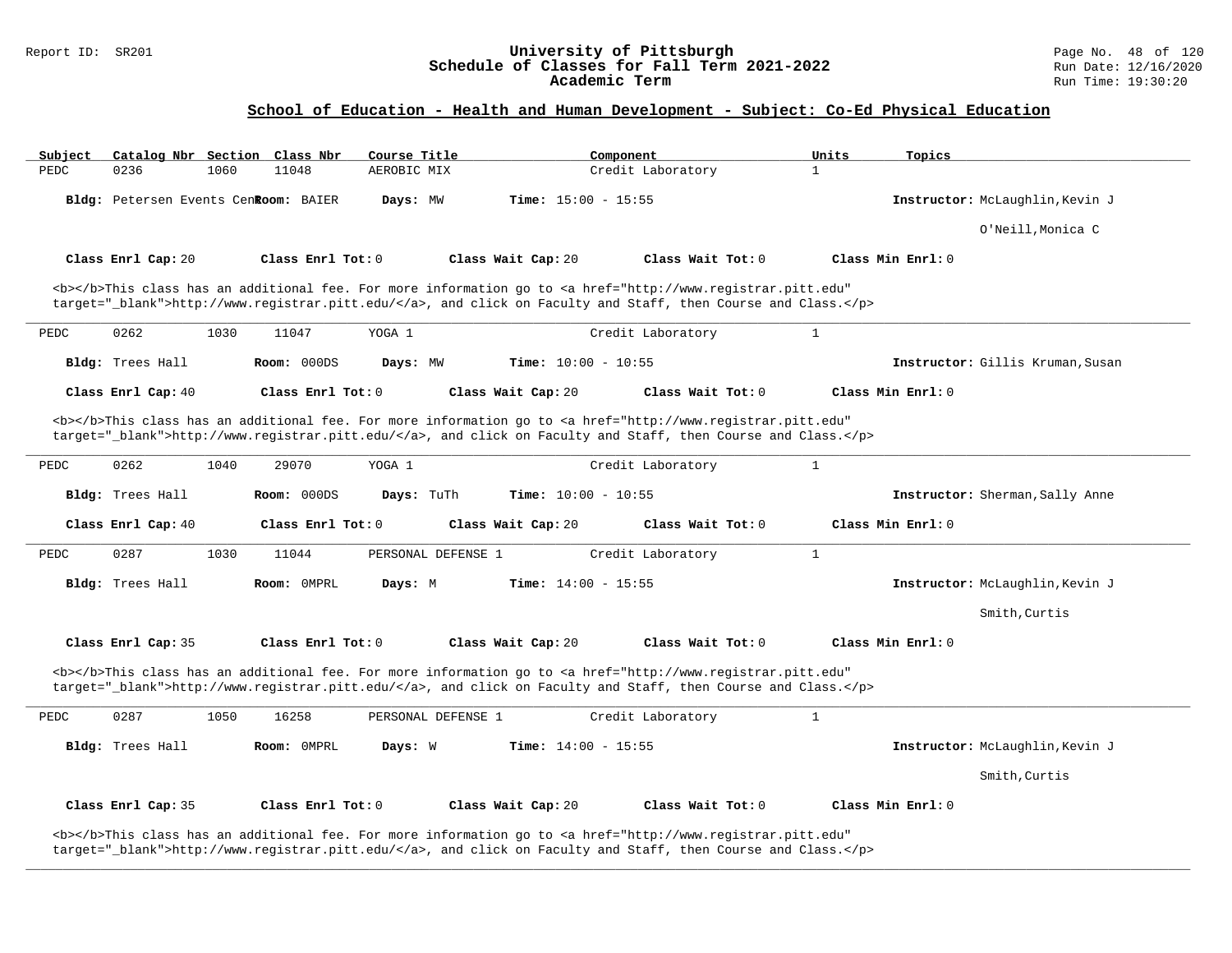#### Report ID: SR201 **University of Pittsburgh** Page No. 48 of 120 **Schedule of Classes for Fall Term 2021-2022** Run Date: 12/16/2020 **Academic Term** Run Time: 19:30:20

### **School of Education - Health and Human Development - Subject: Co-Ed Physical Education**

| Subject |                                      |      | Catalog Nbr Section Class Nbr | Course Title       |                              | Component                                                                                                                                                                                                                          | Units        | Topics                           |
|---------|--------------------------------------|------|-------------------------------|--------------------|------------------------------|------------------------------------------------------------------------------------------------------------------------------------------------------------------------------------------------------------------------------------|--------------|----------------------------------|
| PEDC    | 0236                                 | 1060 | 11048                         | AEROBIC MIX        |                              | Credit Laboratory                                                                                                                                                                                                                  | $\mathbf{1}$ |                                  |
|         | Bldg: Petersen Events Cenkoom: BAIER |      |                               | Days: MW           | Time: $15:00 - 15:55$        |                                                                                                                                                                                                                                    |              | Instructor: McLaughlin, Kevin J  |
|         |                                      |      |                               |                    |                              |                                                                                                                                                                                                                                    |              | O'Neill, Monica C                |
|         | Class Enrl Cap: 20                   |      | Class Enrl Tot: 0             |                    | Class Wait Cap: 20           | Class Wait Tot: 0                                                                                                                                                                                                                  |              | Class Min Enrl: 0                |
|         |                                      |      |                               |                    |                              | <b></b> This class has an additional fee. For more information go to <a <="" href="http://www.registrar.pitt.edu" td=""><td></td><td></td></a>                                                                                     |              |                                  |
|         |                                      |      |                               |                    |                              | target="_blank">http://www.registrar.pitt.edu/, and click on Faculty and Staff, then Course and Class.                                                                                                                             |              |                                  |
| PEDC    | 0262                                 | 1030 | 11047                         | YOGA 1             |                              | Credit Laboratory                                                                                                                                                                                                                  | $\mathbf{1}$ |                                  |
|         | Bldg: Trees Hall                     |      | Room: 000DS                   | Days: MW           | Time: $10:00 - 10:55$        |                                                                                                                                                                                                                                    |              | Instructor: Gillis Kruman, Susan |
|         | Class Enrl Cap: 40                   |      | Class Enrl Tot: 0             |                    | Class Wait Cap: 20           | Class Wait Tot: 0                                                                                                                                                                                                                  |              | Class Min Enrl: 0                |
|         |                                      |      |                               |                    |                              | <b></b> This class has an additional fee. For more information go to <a <="" href="http://www.registrar.pitt.edu" td=""><td></td><td></td></a>                                                                                     |              |                                  |
|         |                                      |      |                               |                    |                              | target="_blank">http://www.registrar.pitt.edu/, and click on Faculty and Staff, then Course and Class.                                                                                                                             |              |                                  |
| PEDC    | 0262                                 | 1040 | 29070                         | YOGA 1             |                              | Credit Laboratory                                                                                                                                                                                                                  | $\mathbf{1}$ |                                  |
|         | Bldg: Trees Hall                     |      | Room: 000DS                   | Days: TuTh         | Time: $10:00 - 10:55$        |                                                                                                                                                                                                                                    |              | Instructor: Sherman, Sally Anne  |
|         | Class Enrl Cap: 40                   |      | Class Enrl Tot: 0             |                    | Class Wait Cap: 20           | Class Wait Tot: $0$                                                                                                                                                                                                                |              | Class Min Enrl: 0                |
| PEDC    | 0287                                 | 1030 | 11044                         | PERSONAL DEFENSE 1 |                              | Credit Laboratory                                                                                                                                                                                                                  | $\mathbf{1}$ |                                  |
|         | Bldg: Trees Hall                     |      | Room: OMPRL                   | Days: M            | Time: $14:00 - 15:55$        |                                                                                                                                                                                                                                    |              | Instructor: McLaughlin, Kevin J  |
|         |                                      |      |                               |                    |                              |                                                                                                                                                                                                                                    |              | Smith, Curtis                    |
|         | Class Enrl Cap: 35                   |      | Class Enrl Tot: 0             |                    | Class Wait Cap: 20           | Class Wait Tot: 0                                                                                                                                                                                                                  |              | Class Min Enrl: 0                |
|         |                                      |      |                               |                    |                              | <b></b> This class has an additional fee. For more information go to <a <="" href="http://www.registrar.pitt.edu" td=""><td></td><td></td></a>                                                                                     |              |                                  |
|         |                                      |      |                               |                    |                              | target="_blank">http://www.registrar.pitt.edu/, and click on Faculty and Staff, then Course and Class.                                                                                                                             |              |                                  |
| PEDC    | 0287                                 | 1050 | 16258                         | PERSONAL DEFENSE 1 |                              | Credit Laboratory                                                                                                                                                                                                                  | $\mathbf{1}$ |                                  |
|         | Bldg: Trees Hall                     |      | Room: OMPRL                   | Days: W            | <b>Time:</b> $14:00 - 15:55$ |                                                                                                                                                                                                                                    |              | Instructor: McLaughlin, Kevin J  |
|         |                                      |      |                               |                    |                              |                                                                                                                                                                                                                                    |              | Smith, Curtis                    |
|         | Class Enrl Cap: 35                   |      | Class Enrl Tot: 0             |                    | Class Wait Cap: 20           | Class Wait Tot: 0                                                                                                                                                                                                                  |              | Class Min Enrl: 0                |
|         |                                      |      |                               |                    |                              | <b></b> This class has an additional fee. For more information go to <a <br="" href="http://www.registrar.pitt.edu">target="_blank"&gt;http://www.registrar.pitt.edu/</a> , and click on Faculty and Staff, then Course and Class. |              |                                  |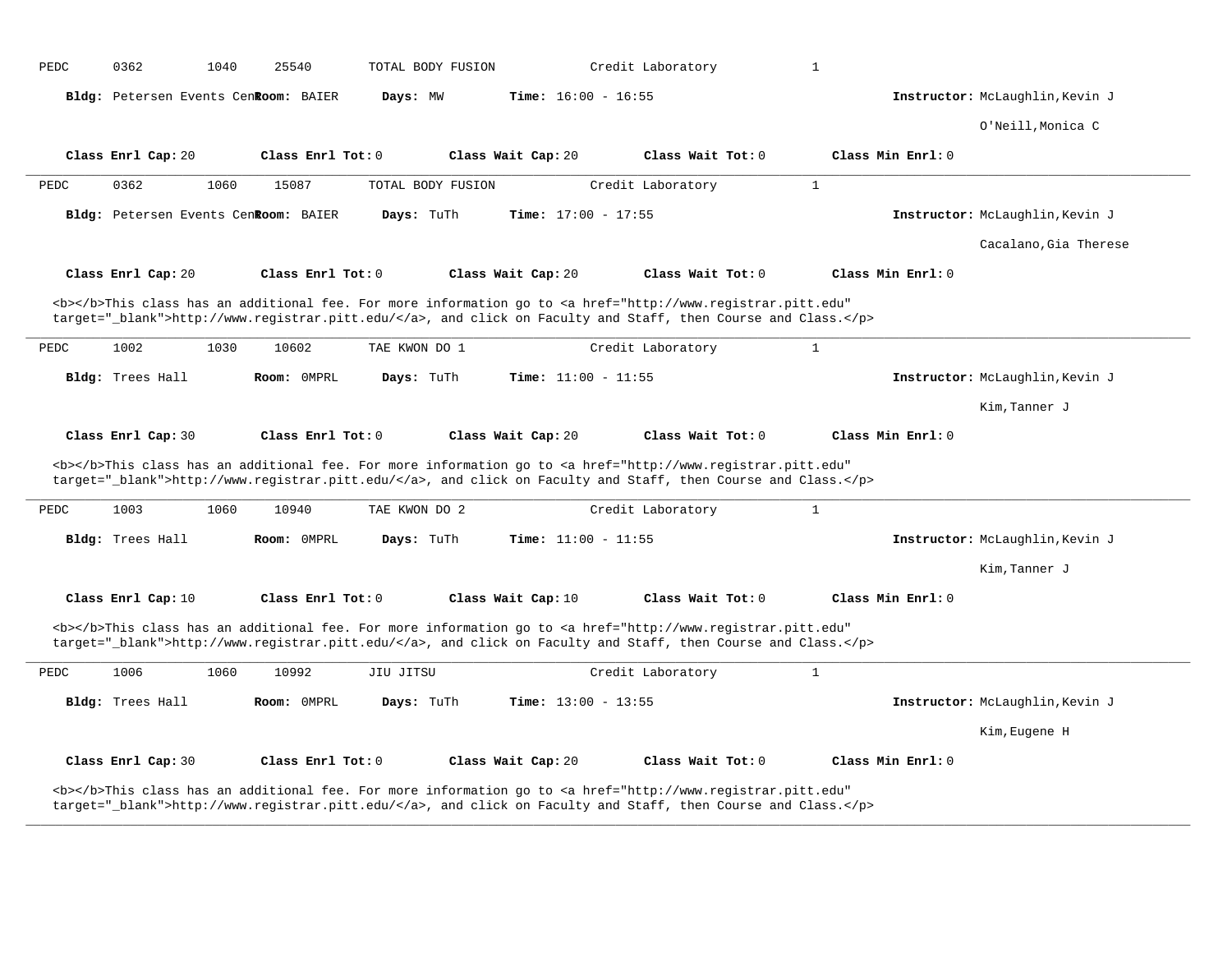| PEDC | 0362                                 | 1040<br>25540 |                   | TOTAL BODY FUSION |                              | Credit Laboratory                                                                                                                                                                                                                  | $\mathbf{1}$ |                   |                                 |
|------|--------------------------------------|---------------|-------------------|-------------------|------------------------------|------------------------------------------------------------------------------------------------------------------------------------------------------------------------------------------------------------------------------------|--------------|-------------------|---------------------------------|
|      | Bldg: Petersen Events CenRoom: BAIER |               |                   | Days: MW          | <b>Time:</b> $16:00 - 16:55$ |                                                                                                                                                                                                                                    |              |                   | Instructor: McLaughlin, Kevin J |
|      |                                      |               |                   |                   |                              |                                                                                                                                                                                                                                    |              |                   | O'Neill, Monica C               |
|      | Class Enrl Cap: 20                   |               | Class Enrl Tot: 0 |                   | Class Wait Cap: 20           | Class Wait Tot: 0                                                                                                                                                                                                                  |              | Class Min Enrl: 0 |                                 |
| PEDC | 0362                                 | 1060<br>15087 |                   | TOTAL BODY FUSION |                              | Credit Laboratory                                                                                                                                                                                                                  | $\mathbf{1}$ |                   |                                 |
|      | Bldg: Petersen Events CenRoom: BAIER |               |                   | Days: TuTh        | Time: $17:00 - 17:55$        |                                                                                                                                                                                                                                    |              |                   | Instructor: McLaughlin, Kevin J |
|      |                                      |               |                   |                   |                              |                                                                                                                                                                                                                                    |              |                   | Cacalano, Gia Therese           |
|      | Class Enrl Cap: 20                   |               | Class Enrl Tot: 0 |                   | Class Wait Cap: 20           | Class Wait Tot: 0                                                                                                                                                                                                                  |              | Class Min Enrl: 0 |                                 |
|      |                                      |               |                   |                   |                              | <b></b> This class has an additional fee. For more information go to <a <br="" href="http://www.registrar.pitt.edu">target="_blank"&gt;http://www.registrar.pitt.edu/</a> , and click on Faculty and Staff, then Course and Class. |              |                   |                                 |
| PEDC | 1002                                 | 1030<br>10602 |                   | TAE KWON DO 1     |                              | Credit Laboratory                                                                                                                                                                                                                  | $\mathbf{1}$ |                   |                                 |
|      | Bldg: Trees Hall                     |               | Room: OMPRL       | Days: TuTh        | Time: $11:00 - 11:55$        |                                                                                                                                                                                                                                    |              |                   | Instructor: McLaughlin, Kevin J |
|      |                                      |               |                   |                   |                              |                                                                                                                                                                                                                                    |              |                   | Kim, Tanner J                   |
|      | Class Enrl Cap: 30                   |               | Class Enrl Tot: 0 |                   | Class Wait Cap: 20           | Class Wait Tot: 0                                                                                                                                                                                                                  |              | Class Min Enrl: 0 |                                 |
|      |                                      |               |                   |                   |                              | <b></b> This class has an additional fee. For more information go to <a <br="" href="http://www.registrar.pitt.edu">target="_blank"&gt;http://www.registrar.pitt.edu/</a> , and click on Faculty and Staff, then Course and Class. |              |                   |                                 |
| PEDC | 1003                                 | 1060<br>10940 |                   | TAE KWON DO 2     |                              | Credit Laboratory                                                                                                                                                                                                                  | $\mathbf{1}$ |                   |                                 |
|      | Bldg: Trees Hall                     |               | Room: OMPRL       | Days: TuTh        | <b>Time:</b> $11:00 - 11:55$ |                                                                                                                                                                                                                                    |              |                   | Instructor: McLaughlin, Kevin J |
|      |                                      |               |                   |                   |                              |                                                                                                                                                                                                                                    |              |                   | Kim, Tanner J                   |
|      | Class Enrl Cap: 10                   |               | Class Enrl Tot: 0 |                   | Class Wait Cap: 10           | Class Wait Tot: 0                                                                                                                                                                                                                  |              | Class Min Enrl: 0 |                                 |
|      |                                      |               |                   |                   |                              | <b></b> This class has an additional fee. For more information go to <a <br="" href="http://www.registrar.pitt.edu">target="_blank"&gt;http://www.registrar.pitt.edu/</a> , and click on Faculty and Staff, then Course and Class. |              |                   |                                 |
| PEDC | 1006                                 | 1060<br>10992 | JIU JITSU         |                   |                              | Credit Laboratory                                                                                                                                                                                                                  | $\mathbf{1}$ |                   |                                 |
|      | Bldg: Trees Hall                     |               | Room: OMPRL       | Days: TuTh        | <b>Time:</b> $13:00 - 13:55$ |                                                                                                                                                                                                                                    |              |                   | Instructor: McLaughlin, Kevin J |
|      |                                      |               |                   |                   |                              |                                                                                                                                                                                                                                    |              |                   | Kim, Eugene H                   |
|      |                                      |               |                   |                   |                              |                                                                                                                                                                                                                                    |              |                   |                                 |
|      | Class Enrl Cap: 30                   |               | Class Enrl Tot: 0 |                   | Class Wait Cap: 20           | Class Wait Tot: 0                                                                                                                                                                                                                  |              | Class Min Enrl: 0 |                                 |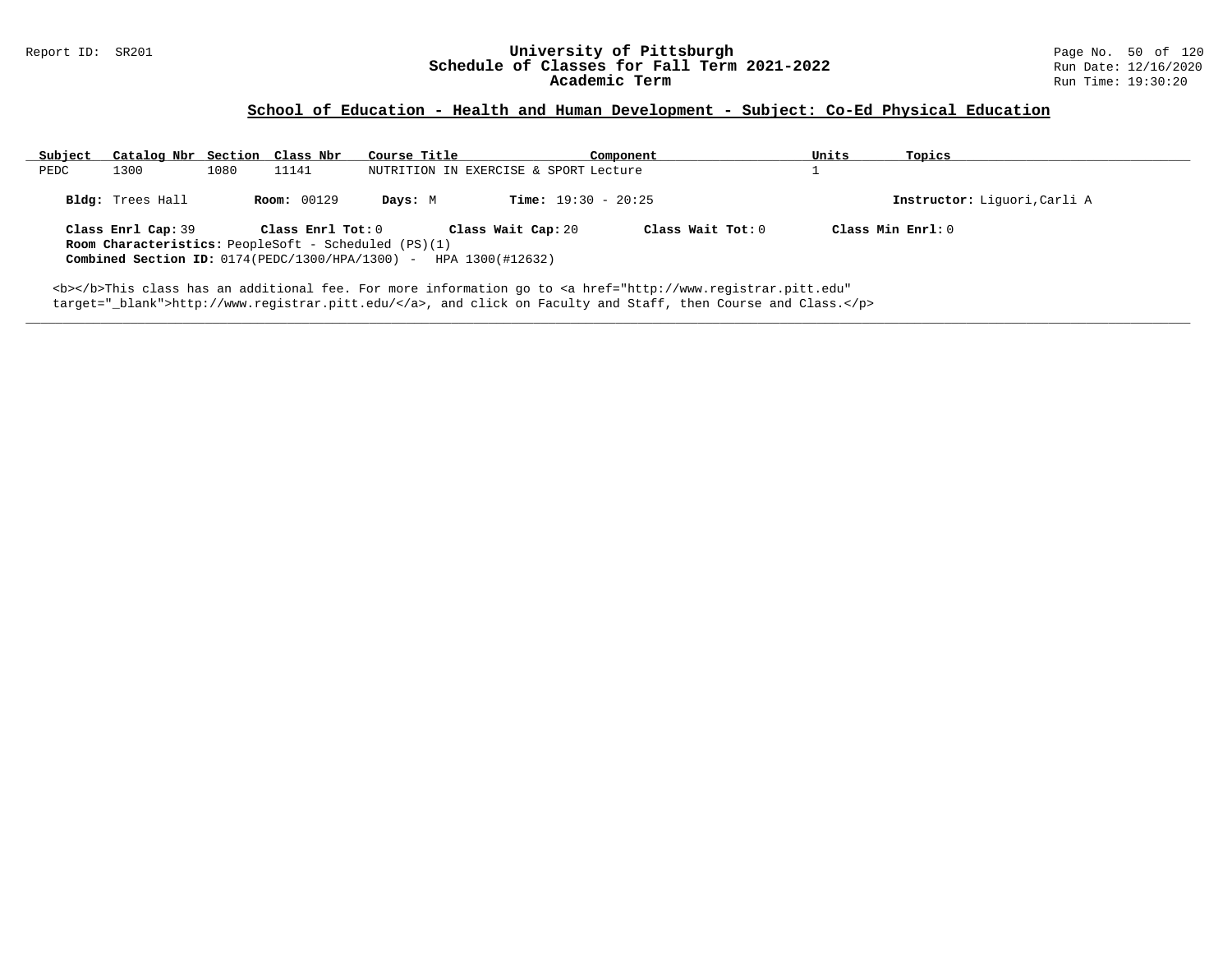### **School of Education - Health and Human Development - Subject: Co-Ed Physical Education**

| Subject<br>Catalog Nbr Section Class Nbr                                          |                    | Course Title                          | Component                    | Units | Topics                       |
|-----------------------------------------------------------------------------------|--------------------|---------------------------------------|------------------------------|-------|------------------------------|
| 1300<br>1080<br>PEDC                                                              | 11141              | NUTRITION IN EXERCISE & SPORT Lecture |                              |       |                              |
| Bldg: Trees Hall                                                                  | <b>Room: 00129</b> | Davs: M                               | <b>Time:</b> $19:30 - 20:25$ |       | Instructor: Liquori, Carli A |
| Class Enrl Cap: 39<br><b>Room Characteristics:</b> PeopleSoft - Scheduled (PS)(1) | Class Enrl Tot: 0  | Class Wait Cap: 20                    | Class Wait Tot: 0            |       | Class Min Enrl: 0            |
| Combined Section ID: $0174(PEDC/1300/HPA/1300)$ -                                 |                    | HPA 1300(#12632)                      |                              |       |                              |

**\_\_\_\_\_\_\_\_\_\_\_\_\_\_\_\_\_\_\_\_\_\_\_\_\_\_\_\_\_\_\_\_\_\_\_\_\_\_\_\_\_\_\_\_\_\_\_\_\_\_\_\_\_\_\_\_\_\_\_\_\_\_\_\_\_\_\_\_\_\_\_\_\_\_\_\_\_\_\_\_\_\_\_\_\_\_\_\_\_\_\_\_\_\_\_\_\_\_\_\_\_\_\_\_\_\_\_\_\_\_\_\_\_\_\_\_\_\_\_\_\_\_\_\_\_\_\_\_\_\_\_\_\_\_\_\_\_\_\_\_\_\_\_\_\_\_\_\_\_\_\_\_\_\_\_\_**

<b></b>This class has an additional fee. For more information go to <a href="http://www.registrar.pitt.edu" target="\_blank">http://www.registrar.pitt.edu/</a>, and click on Faculty and Staff, then Course and Class.</p>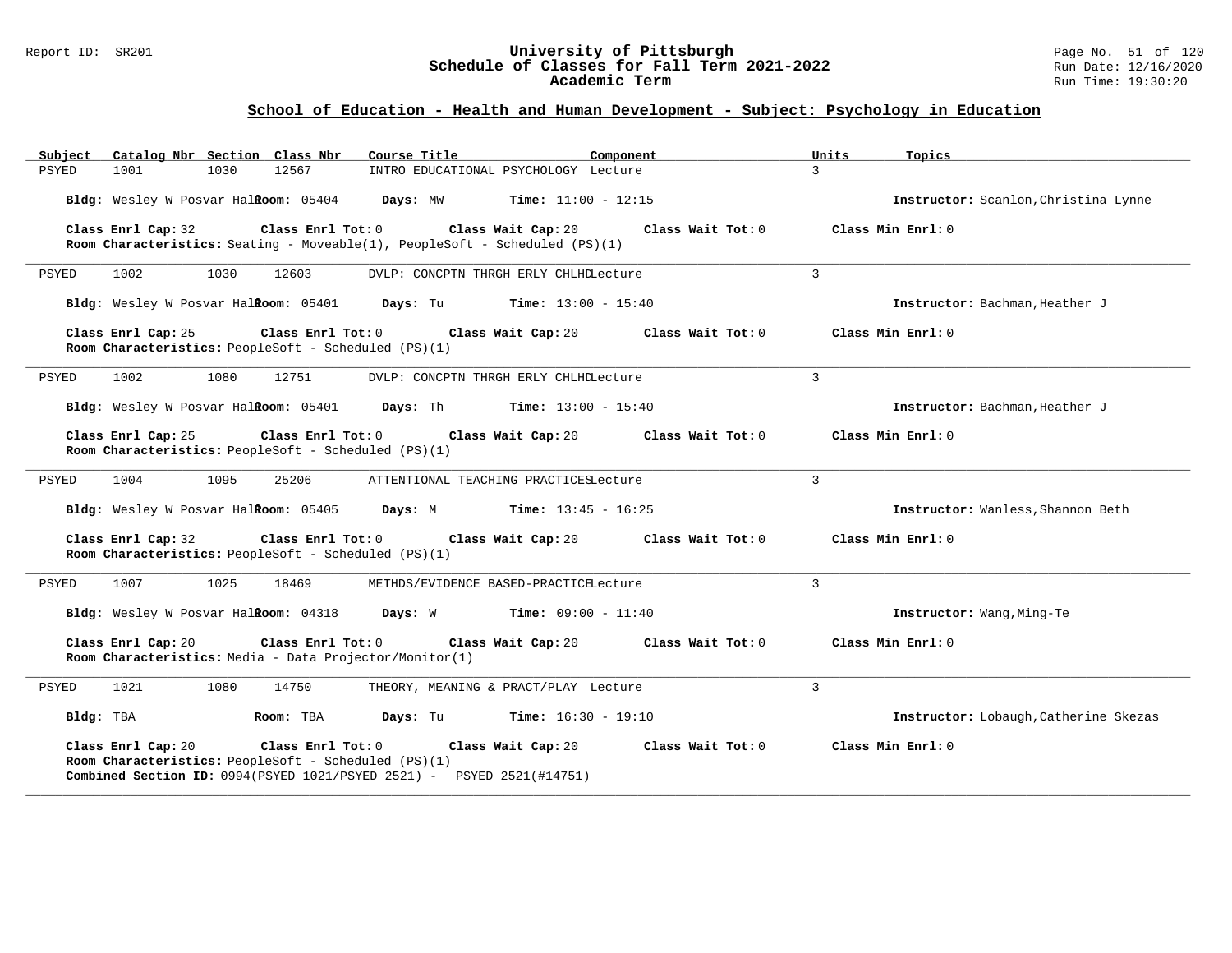### Report ID: SR201 **University of Pittsburgh** Page No. 51 of 120 **Schedule of Classes for Fall Term 2021-2022** Run Date: 12/16/2020 **Academic Term** Run Time: 19:30:20

| Catalog Nbr Section Class Nbr<br>Subject                                                                                                                                                                             | Course Title<br>Component                    | Units<br>Topics                       |
|----------------------------------------------------------------------------------------------------------------------------------------------------------------------------------------------------------------------|----------------------------------------------|---------------------------------------|
| PSYED<br>1001<br>1030<br>12567                                                                                                                                                                                       | INTRO EDUCATIONAL PSYCHOLOGY Lecture         | $\mathcal{L}$                         |
| Bldg: Wesley W Posvar Halkoom: 05404                                                                                                                                                                                 | Days: MW<br><b>Time:</b> $11:00 - 12:15$     | Instructor: Scanlon, Christina Lynne  |
| Class Enrl Tot: 0<br>Class Enrl Cap: 32<br><b>Room Characteristics:</b> Seating - Moveable(1), PeopleSoft - Scheduled $(PS)(1)$                                                                                      | Class Wait Cap: 20<br>Class Wait $Tot: 0$    | Class Min Enrl: 0                     |
| 1002<br>1030<br>12603<br>PSYED                                                                                                                                                                                       | DVLP: CONCPTN THRGH ERLY CHLHDLecture        | $\mathbf{3}$                          |
| Bldg: Wesley W Posvar Halkoom: 05401                                                                                                                                                                                 | Days: Tu<br><b>Time:</b> $13:00 - 15:40$     | Instructor: Bachman, Heather J        |
| Class Enrl Tot: 0<br>Class Enrl Cap: 25<br>Room Characteristics: PeopleSoft - Scheduled (PS)(1)                                                                                                                      | Class Wait Cap: 20<br>Class Wait Tot: 0      | Class Min Enrl: 0                     |
| 1002<br>1080<br>12751<br>PSYED                                                                                                                                                                                       | DVLP: CONCPTN THRGH ERLY CHLHDLecture        | 3                                     |
| Bldg: Wesley W Posvar Halkoom: 05401                                                                                                                                                                                 | Days: Th<br><b>Time:</b> $13:00 - 15:40$     | Instructor: Bachman, Heather J        |
| Class Enrl Cap: 25<br>Class Enrl Tot: 0<br>Room Characteristics: PeopleSoft - Scheduled (PS)(1)                                                                                                                      | Class Wait Cap: 20<br>Class Wait Tot: 0      | Class Min Enrl: 0                     |
| 1004<br>1095<br>25206<br>PSYED                                                                                                                                                                                       | ATTENTIONAL TEACHING PRACTICESLecture        | $\mathbf{3}$                          |
| Bldg: Wesley W Posvar Halkoom: 05405                                                                                                                                                                                 | Days: M<br><b>Time:</b> $13:45 - 16:25$      | Instructor: Wanless, Shannon Beth     |
| Class Enrl Cap: 32<br>Class Enrl Tot: 0<br>Room Characteristics: PeopleSoft - Scheduled (PS)(1)                                                                                                                      | Class Wait Tot: 0<br>Class Wait Cap: 20      | Class Min Enrl: 0                     |
| 1025<br>PSYED<br>1007<br>18469                                                                                                                                                                                       | METHDS/EVIDENCE BASED-PRACTICELecture        | 3                                     |
| Bldg: Wesley W Posvar Halkoom: 04318                                                                                                                                                                                 | <b>Days:</b> W <b>Time:</b> $09:00 - 11:40$  | Instructor: Wang, Ming-Te             |
| Class Enrl Tot: 0<br>Class Enrl Cap: 20<br><b>Room Characteristics:</b> Media - Data Projector/Monitor(1)                                                                                                            | Class Wait Cap: 20<br>Class Wait Tot: 0      | Class Min Enrl: 0                     |
| 1021<br>1080<br>14750<br>PSYED                                                                                                                                                                                       | THEORY, MEANING & PRACT/PLAY Lecture         | 3                                     |
| Bldg: TBA<br>Room: TBA                                                                                                                                                                                               | <b>Days:</b> Tu <b>Time:</b> $16:30 - 19:10$ | Instructor: Lobaugh, Catherine Skezas |
| Class Enrl Cap: 20<br>$\texttt{Class}$ $\texttt{Enrl}$ $\texttt{Tot:}$ $0$<br>Room Characteristics: PeopleSoft - Scheduled (PS)(1)<br><b>Combined Section ID:</b> $0994(PSYED 1021/PSYED 2521) - PSYED 2521(H14751)$ | Class Wait Cap: 20<br>Class Wait Tot: 0      | Class Min Enrl: 0                     |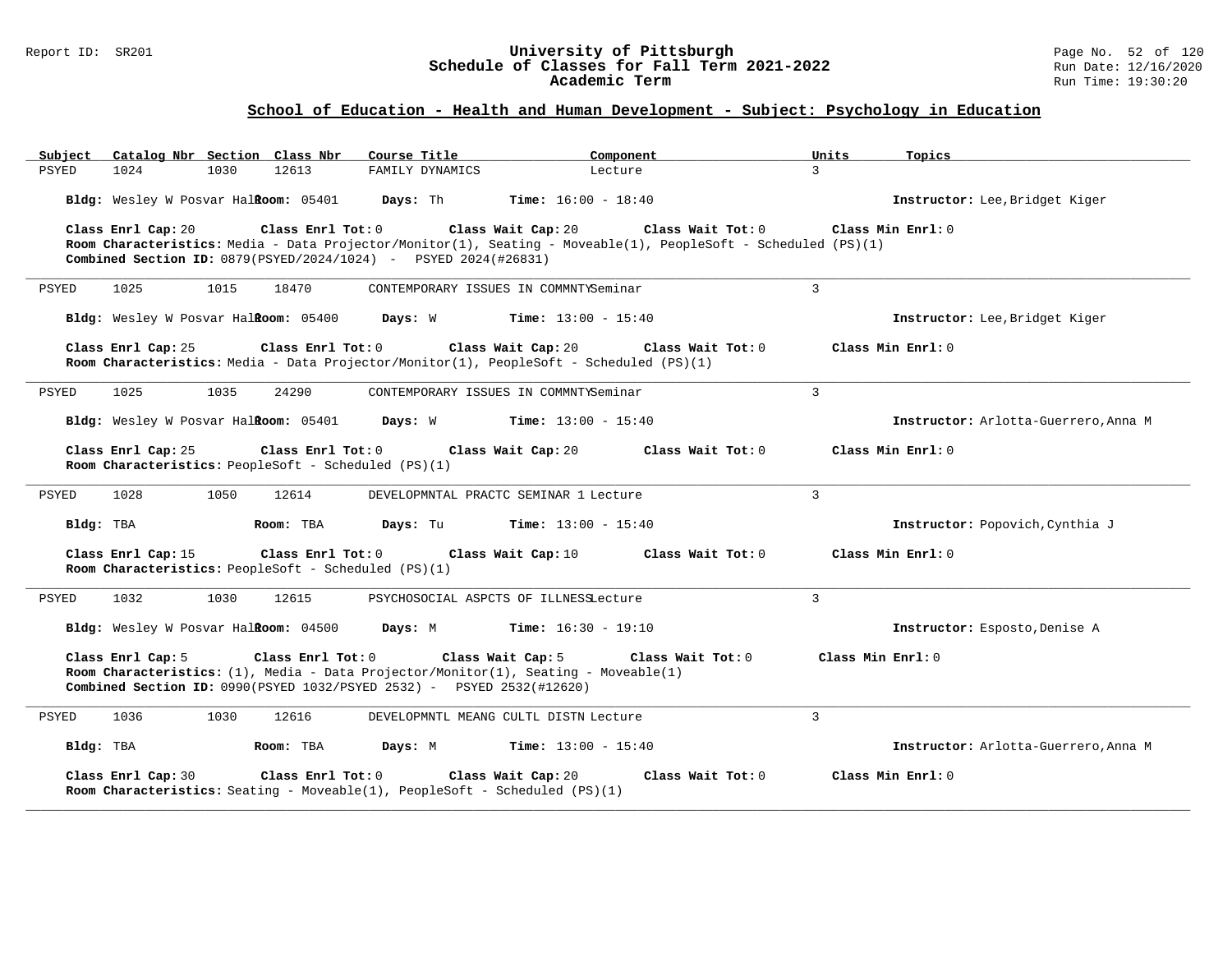### Report ID: SR201 **University of Pittsburgh** Page No. 52 of 120 **Schedule of Classes for Fall Term 2021-2022** Run Date: 12/16/2020 **Academic Term** Run Time: 19:30:20

| Catalog Nbr Section Class Nbr<br>Subject                                                                                                                                                                                                  | Course Title                          | Component                    | Units<br>Topics                      |
|-------------------------------------------------------------------------------------------------------------------------------------------------------------------------------------------------------------------------------------------|---------------------------------------|------------------------------|--------------------------------------|
| <b>PSYED</b><br>1024<br>1030<br>12613                                                                                                                                                                                                     | FAMILY DYNAMICS                       | Lecture                      | $\mathcal{L}$                        |
| Bldg: Wesley W Posvar HalRoom: 05401                                                                                                                                                                                                      | Days: Th                              | <b>Time:</b> $16:00 - 18:40$ | Instructor: Lee, Bridget Kiger       |
| Class Enrl Cap: 20<br>Class Enrl Tot: 0<br>Room Characteristics: Media - Data Projector/Monitor(1), Seating - Moveable(1), PeopleSoft - Scheduled (PS)(1)<br><b>Combined Section ID:</b> $0879 (PSYED/2024/1024)$ - PSYED $2024 (#26831)$ | Class Wait Cap: 20                    | Class Wait Tot: 0            | Class Min Enrl: 0                    |
| 1025<br>1015<br>18470<br>PSYED                                                                                                                                                                                                            | CONTEMPORARY ISSUES IN COMMNTYSeminar |                              | $\overline{3}$                       |
| Bldg: Wesley W Posvar Halkoom: 05400                                                                                                                                                                                                      | Days: W                               | <b>Time:</b> $13:00 - 15:40$ | Instructor: Lee, Bridget Kiger       |
| Class Enrl Cap: 25<br>Class Enrl Tot: 0<br>Room Characteristics: Media - Data Projector/Monitor(1), PeopleSoft - Scheduled (PS)(1)                                                                                                        | Class Wait Cap: 20                    | Class Wait Tot: 0            | Class Min Enrl: 0                    |
| PSYED<br>1025<br>1035<br>24290                                                                                                                                                                                                            | CONTEMPORARY ISSUES IN COMMNTYSeminar |                              | $\mathbf{3}$                         |
| Bldg: Wesley W Posvar Halkoom: 05401                                                                                                                                                                                                      | Days: W                               | <b>Time:</b> $13:00 - 15:40$ | Instructor: Arlotta-Guerrero, Anna M |
| Class Enrl Cap: 25<br>Class Enrl Tot: 0<br>Room Characteristics: PeopleSoft - Scheduled (PS)(1)                                                                                                                                           | Class Wait Cap: 20                    | Class Wait Tot: 0            | Class Min Enrl: 0                    |
| 1028<br>1050<br>PSYED<br>12614                                                                                                                                                                                                            | DEVELOPMNTAL PRACTC SEMINAR 1 Lecture |                              | 3                                    |
| Bldg: TBA<br>Room: TBA                                                                                                                                                                                                                    | Days: Tu                              | <b>Time:</b> $13:00 - 15:40$ | Instructor: Popovich, Cynthia J      |
| Class Enrl Cap: 15<br>Class Enrl Tot: 0<br>Room Characteristics: PeopleSoft - Scheduled (PS)(1)                                                                                                                                           | Class Wait Cap: 10                    | Class Wait Tot: 0            | Class Min Enrl: 0                    |
| 1032<br>PSYED<br>1030<br>12615                                                                                                                                                                                                            | PSYCHOSOCIAL ASPCTS OF ILLNESSLecture |                              | $\overline{3}$                       |
| Bldg: Wesley W Posvar Halftoom: 04500 Days: M                                                                                                                                                                                             |                                       | <b>Time:</b> $16:30 - 19:10$ | Instructor: Esposto, Denise A        |
| Class Enrl Cap: 5<br>Class Enrl Tot: 0<br>Room Characteristics: $(1)$ , Media - Data Projector/Monitor(1), Seating - Moveable(1)<br>Combined Section ID: 0990(PSYED 1032/PSYED 2532) - PSYED 2532(#12620)                                 | Class Wait Cap: 5                     | Class Wait Tot: 0            | Class Min $Enr1: 0$                  |
| 1036<br>1030<br>12616<br>PSYED                                                                                                                                                                                                            | DEVELOPMNTL MEANG CULTL DISTN Lecture |                              | $\overline{3}$                       |
| Bldg: TBA<br>Room: TBA                                                                                                                                                                                                                    | Days: M                               | <b>Time:</b> $13:00 - 15:40$ | Instructor: Arlotta-Guerrero. Anna M |
| Class Enrl Cap: 30<br>Class Enrl Tot: 0<br><b>Room Characteristics:</b> Seating - Moveable(1), PeopleSoft - Scheduled (PS)(1)                                                                                                             | Class Wait Cap: 20                    | Class Wait $Tot: 0$          | Class Min Enrl: 0                    |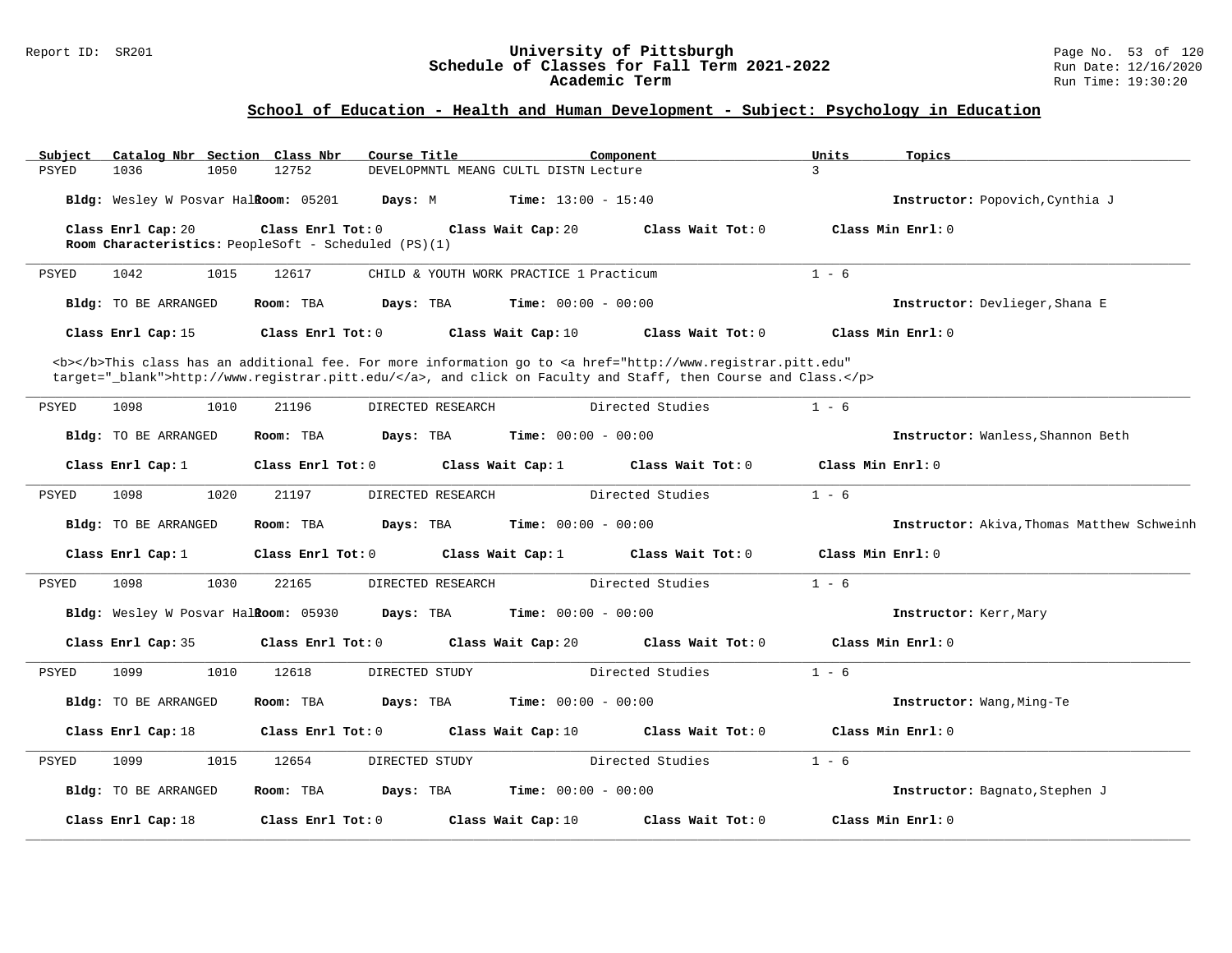### Report ID: SR201 **University of Pittsburgh** Page No. 53 of 120 **Schedule of Classes for Fall Term 2021-2022** Run Date: 12/16/2020 **Academic Term** Run Time: 19:30:20

| Subject      | Catalog Nbr Section Class Nbr                                              |      |                     | Course Title   |                   |                                         | Component                                                                                                                                                                                                                          |                     | Units   | Topics                                     |
|--------------|----------------------------------------------------------------------------|------|---------------------|----------------|-------------------|-----------------------------------------|------------------------------------------------------------------------------------------------------------------------------------------------------------------------------------------------------------------------------------|---------------------|---------|--------------------------------------------|
| PSYED        | 1036                                                                       | 1050 | 12752               |                |                   | DEVELOPMNTL MEANG CULTL DISTN Lecture   |                                                                                                                                                                                                                                    |                     | 3       |                                            |
|              | Bldg: Wesley W Posvar HalRoom: 05201                                       |      |                     | Days: M        |                   | <b>Time:</b> $13:00 - 15:40$            |                                                                                                                                                                                                                                    |                     |         | Instructor: Popovich, Cynthia J            |
|              | Class Enrl Cap: 20<br>Room Characteristics: PeopleSoft - Scheduled (PS)(1) |      | Class Enrl Tot: 0   |                |                   | Class Wait Cap: 20                      |                                                                                                                                                                                                                                    | Class Wait Tot: 0   |         | Class Min Enrl: 0                          |
|              |                                                                            |      |                     |                |                   |                                         |                                                                                                                                                                                                                                    |                     |         |                                            |
| PSYED        | 1042                                                                       | 1015 | 12617               |                |                   | CHILD & YOUTH WORK PRACTICE 1 Practicum |                                                                                                                                                                                                                                    |                     | $1 - 6$ |                                            |
|              | Bldg: TO BE ARRANGED                                                       |      | Room: TBA           | Days: TBA      |                   | <b>Time:</b> $00:00 - 00:00$            |                                                                                                                                                                                                                                    |                     |         | Instructor: Devlieger, Shana E             |
|              | Class Enrl Cap: 15                                                         |      | Class Enrl Tot: 0   |                |                   | Class Wait Cap: 10                      |                                                                                                                                                                                                                                    | Class Wait Tot: 0   |         | Class Min $Enr1: 0$                        |
|              |                                                                            |      |                     |                |                   |                                         | <b></b> This class has an additional fee. For more information go to <a <br="" href="http://www.registrar.pitt.edu">target="_blank"&gt;http://www.registrar.pitt.edu/</a> , and click on Faculty and Staff, then Course and Class. |                     |         |                                            |
| PSYED        | 1098                                                                       | 1010 | 21196               |                | DIRECTED RESEARCH |                                         | Directed Studies                                                                                                                                                                                                                   |                     | $1 - 6$ |                                            |
|              | Bldg: TO BE ARRANGED                                                       |      | Room: TBA           | Days: TBA      |                   | <b>Time:</b> $00:00 - 00:00$            |                                                                                                                                                                                                                                    |                     |         | Instructor: Wanless, Shannon Beth          |
|              | Class Enrl Cap: 1                                                          |      | Class Enrl Tot: 0   |                |                   | Class Wait Cap: 1                       |                                                                                                                                                                                                                                    | Class Wait Tot: 0   |         | Class Min Enrl: 0                          |
| PSYED        | 1098                                                                       | 1020 | 21197               |                | DIRECTED RESEARCH |                                         | Directed Studies                                                                                                                                                                                                                   |                     | $1 - 6$ |                                            |
|              | Bldg: TO BE ARRANGED                                                       |      | Room: TBA           | Days: TBA      |                   | Time: $00:00 - 00:00$                   |                                                                                                                                                                                                                                    |                     |         | Instructor: Akiva, Thomas Matthew Schweinh |
|              | Class Enrl Cap: $1$                                                        |      | Class Enrl Tot: 0   |                |                   | Class Wait Cap: 1                       |                                                                                                                                                                                                                                    | Class Wait Tot: 0   |         | Class Min Enrl: 0                          |
| <b>PSYED</b> | 1098                                                                       | 1030 | 22165               |                | DIRECTED RESEARCH |                                         | Directed Studies                                                                                                                                                                                                                   |                     | $1 - 6$ |                                            |
|              | Bldg: Wesley W Posvar Halkoom: 05930                                       |      |                     | Days: TBA      |                   | Time: $00:00 - 00:00$                   |                                                                                                                                                                                                                                    |                     |         | Instructor: Kerr, Mary                     |
|              | Class Enrl Cap: 35                                                         |      | Class Enrl Tot: 0   |                |                   | Class Wait Cap: 20                      |                                                                                                                                                                                                                                    | Class Wait Tot: $0$ |         | Class Min Enrl: 0                          |
| <b>PSYED</b> | 1099                                                                       | 1010 | 12618               | DIRECTED STUDY |                   |                                         | Directed Studies                                                                                                                                                                                                                   |                     | $1 - 6$ |                                            |
|              | Bldg: TO BE ARRANGED                                                       |      | Room: TBA           | Days: TBA      |                   | <b>Time:</b> $00:00 - 00:00$            |                                                                                                                                                                                                                                    |                     |         | Instructor: Wang, Ming-Te                  |
|              | Class Enrl Cap: 18                                                         |      | Class Enrl Tot: 0   |                |                   | Class Wait Cap: 10                      |                                                                                                                                                                                                                                    | Class Wait $Tot: 0$ |         | Class Min $Enr1: 0$                        |
| PSYED        | 1099                                                                       | 1015 | 12654               | DIRECTED STUDY |                   |                                         | Directed Studies                                                                                                                                                                                                                   |                     | $1 - 6$ |                                            |
|              | Bldg: TO BE ARRANGED                                                       |      | Room: TBA           | Days: TBA      |                   | <b>Time:</b> $00:00 - 00:00$            |                                                                                                                                                                                                                                    |                     |         | Instructor: Bagnato, Stephen J             |
|              | Class Enrl Cap: 18                                                         |      | Class Enrl Tot: $0$ |                |                   | Class Wait Cap: 10                      |                                                                                                                                                                                                                                    | Class Wait Tot: 0   |         | Class Min Enrl: 0                          |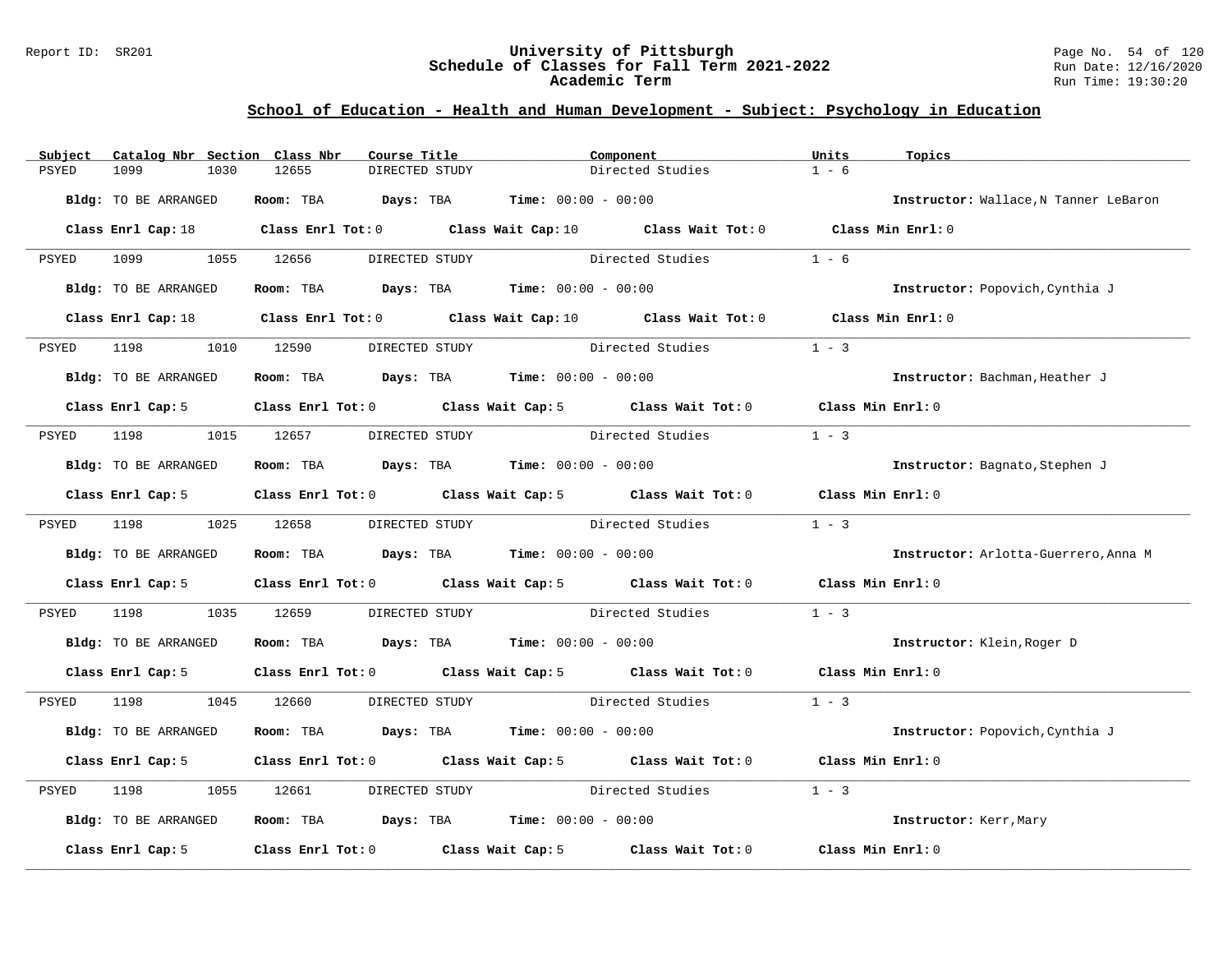### Report ID: SR201 **University of Pittsburgh** Page No. 54 of 120 **Schedule of Classes for Fall Term 2021-2022** Run Date: 12/16/2020 **Academic Term** Run Time: 19:30:20

| Subject | Catalog Nbr Section Class Nbr | Course Title                                                 | Component                                                                                   | Units             | Topics                                |
|---------|-------------------------------|--------------------------------------------------------------|---------------------------------------------------------------------------------------------|-------------------|---------------------------------------|
| PSYED   | 1099<br>1030                  | 12655<br>DIRECTED STUDY                                      | Directed Studies                                                                            | $1 - 6$           |                                       |
|         | Bldg: TO BE ARRANGED          | Room: TBA $Days:$ TBA $Time: 00:00 - 00:00$                  |                                                                                             |                   | Instructor: Wallace, N Tanner LeBaron |
|         |                               |                                                              | Class Enrl Cap: 18 Class Enrl Tot: 0 Class Wait Cap: 10 Class Wait Tot: 0 Class Min Enrl: 0 |                   |                                       |
| PSYED   | 1099 700                      | 1055 12656<br>DIRECTED STUDY                                 | Directed Studies                                                                            | $1 - 6$           |                                       |
|         | Bldg: TO BE ARRANGED          | Room: TBA $Days:$ TBA $Time: 00:00 - 00:00$                  |                                                                                             |                   | Instructor: Popovich, Cynthia J       |
|         |                               |                                                              | Class Enrl Cap: 18 Class Enrl Tot: 0 Class Wait Cap: 10 Class Wait Tot: 0 Class Min Enrl: 0 |                   |                                       |
| PSYED   | 1198                          | 1010 12590<br>DIRECTED STUDY                                 | Directed Studies                                                                            | $1 - 3$           |                                       |
|         | <b>Bldg:</b> TO BE ARRANGED   | <b>Room:</b> TBA <b>Days:</b> TBA <b>Time:</b> 00:00 - 00:00 |                                                                                             |                   | Instructor: Bachman, Heather J        |
|         | Class Enrl Cap: 5             |                                                              | Class Enrl Tot: 0 Class Wait Cap: 5 Class Wait Tot: 0 Class Min Enrl: 0                     |                   |                                       |
| PSYED   | 1198                          | 1015 12657<br>DIRECTED STUDY                                 | Directed Studies                                                                            | $1 - 3$           |                                       |
|         | Bldg: TO BE ARRANGED          | Room: TBA $Days:$ TBA $Time: 00:00 - 00:00$                  |                                                                                             |                   | Instructor: Bagnato, Stephen J        |
|         | Class Enrl Cap: 5             |                                                              | Class Enrl Tot: 0 Class Wait Cap: 5 Class Wait Tot: 0 Class Min Enrl: 0                     |                   |                                       |
| PSYED   | 1198 1025 12658               | DIRECTED STUDY                                               | Directed Studies                                                                            | $1 - 3$           |                                       |
|         | Bldg: TO BE ARRANGED          | Room: TBA $Days:$ TBA $Time: 00:00 - 00:00$                  |                                                                                             |                   | Instructor: Arlotta-Guerrero, Anna M  |
|         | Class Enrl Cap: 5             | Class Enrl Tot: 0 Class Wait Cap: 5 Class Wait Tot: 0        |                                                                                             | Class Min Enrl: 0 |                                       |
| PSYED   | 1198<br>1035                  | 12659                                                        | DIRECTED STUDY Directed Studies                                                             | $1 - 3$           |                                       |
|         | Bldg: TO BE ARRANGED          | Room: TBA $Days:$ TBA $Time: 00:00 - 00:00$                  |                                                                                             |                   | Instructor: Klein, Roger D            |
|         | Class Enrl Cap: 5             |                                                              | Class Enrl Tot: 0 Class Wait Cap: 5 Class Wait Tot: 0 Class Min Enrl: 0                     |                   |                                       |
| PSYED   | 1198 7                        | 1045 12660                                                   | DIRECTED STUDY Directed Studies                                                             | $1 - 3$           |                                       |
|         | Bldg: TO BE ARRANGED          | Room: TBA $Days:$ TBA $Time: 00:00 - 00:00$                  |                                                                                             |                   | Instructor: Popovich, Cynthia J       |
|         | Class Enrl Cap: 5             | Class Enrl Tot: 0 Class Wait Cap: 5 Class Wait Tot: 0        |                                                                                             | Class Min Enrl: 0 |                                       |
| PSYED   | 1198<br>1055                  | 12661<br>DIRECTED STUDY                                      | Directed Studies                                                                            | $1 - 3$           |                                       |
|         | Bldg: TO BE ARRANGED          | <b>Room:</b> TBA <b>Days:</b> TBA <b>Time:</b> 00:00 - 00:00 |                                                                                             |                   | Instructor: Kerr, Mary                |
|         | Class Enrl Cap: 5             | Class Enrl Tot: 0 Class Wait Cap: 5 Class Wait Tot: 0        |                                                                                             | Class Min Enrl: 0 |                                       |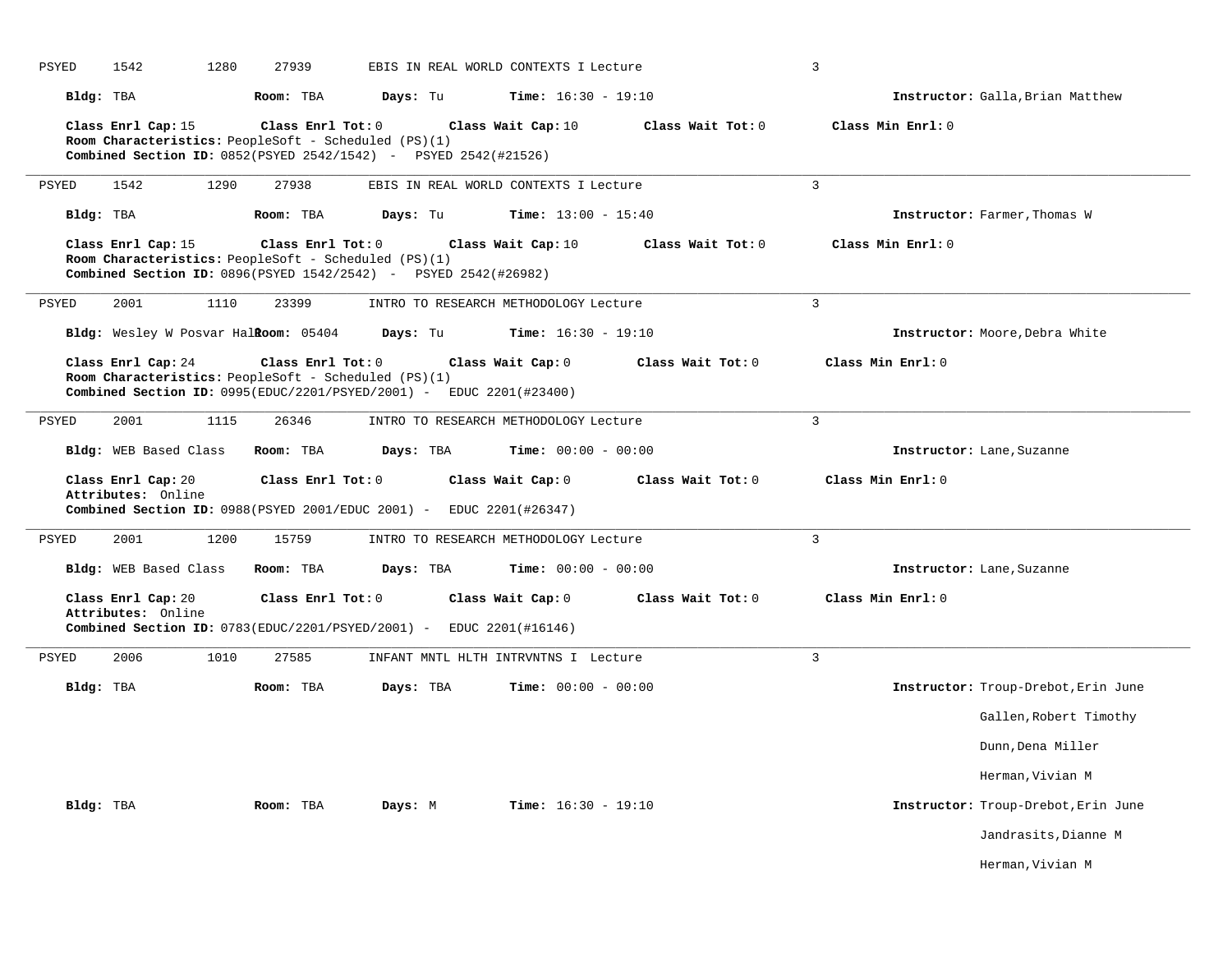| PSYED     | 1542                                     | 1280<br>27939                                                             |                                                                               | EBIS IN REAL WORLD CONTEXTS I Lecture |                   | 3                                   |
|-----------|------------------------------------------|---------------------------------------------------------------------------|-------------------------------------------------------------------------------|---------------------------------------|-------------------|-------------------------------------|
| Bldg: TBA |                                          | Room: TBA                                                                 | Days: Tu                                                                      | <b>Time:</b> $16:30 - 19:10$          |                   | Instructor: Galla, Brian Matthew    |
|           | Class Enrl Cap: 15                       | Class Enrl Tot: 0<br>Room Characteristics: PeopleSoft - Scheduled (PS)(1) | Combined Section ID: 0852(PSYED 2542/1542) - PSYED 2542(#21526)               | Class Wait Cap: 10                    | Class Wait Tot: 0 | Class Min Enrl: 0                   |
| PSYED     | 1542                                     | 1290<br>27938                                                             |                                                                               | EBIS IN REAL WORLD CONTEXTS I Lecture |                   | $\overline{3}$                      |
| Bldg: TBA |                                          | Room: TBA                                                                 | Days: Tu                                                                      | <b>Time:</b> $13:00 - 15:40$          |                   | Instructor: Farmer, Thomas W        |
|           | Class Enrl Cap: 15                       | Class Enrl Tot: 0<br>Room Characteristics: PeopleSoft - Scheduled (PS)(1) | Combined Section ID: 0896(PSYED 1542/2542) - PSYED 2542(#26982)               | Class Wait Cap: 10                    | Class Wait Tot: 0 | Class Min Enrl: 0                   |
| PSYED     | 2001                                     | 1110<br>23399                                                             |                                                                               | INTRO TO RESEARCH METHODOLOGY Lecture |                   | 3                                   |
|           |                                          | Bldg: Wesley W Posvar Halkoom: 05404                                      | Days: Tu                                                                      | <b>Time:</b> $16:30 - 19:10$          |                   | Instructor: Moore, Debra White      |
|           | Class Enrl Cap: 24                       | Class Enrl Tot: 0<br>Room Characteristics: PeopleSoft - Scheduled (PS)(1) | <b>Combined Section ID:</b> $0995(EDUC/2201/PSYED/2001)$ - EDUC 2201(#23400)  | Class Wait Cap: 0                     | Class Wait Tot: 0 | Class Min Enrl: 0                   |
| PSYED     | 2001                                     | 1115<br>26346                                                             |                                                                               | INTRO TO RESEARCH METHODOLOGY Lecture |                   | 3                                   |
|           | Bldg: WEB Based Class                    | Room: TBA                                                                 | Days: TBA                                                                     | <b>Time:</b> $00:00 - 00:00$          |                   | Instructor: Lane, Suzanne           |
|           |                                          |                                                                           |                                                                               |                                       |                   |                                     |
|           | Class Enrl Cap: 20<br>Attributes: Online | Class Enrl Tot: 0                                                         | Combined Section ID: 0988 (PSYED 2001/EDUC 2001) - EDUC 2201 (#26347)         | Class Wait Cap: 0                     | Class Wait Tot: 0 | Class Min Enrl: 0                   |
| PSYED     | 2001                                     | 1200<br>15759                                                             |                                                                               | INTRO TO RESEARCH METHODOLOGY Lecture |                   | $\overline{3}$                      |
|           | Bldg: WEB Based Class                    | Room: TBA                                                                 | Days: TBA                                                                     | <b>Time:</b> $00:00 - 00:00$          |                   | Instructor: Lane, Suzanne           |
|           | Class Enrl Cap: 20                       | Class Enrl Tot: 0                                                         |                                                                               | Class Wait Cap: 0                     | Class Wait Tot: 0 | Class Min Enrl: 0                   |
|           | Attributes: Online                       |                                                                           | <b>Combined Section ID:</b> $0783$ (EDUC/2201/PSYED/2001) - EDUC 2201(#16146) |                                       |                   |                                     |
| PSYED     | 2006                                     | 1010<br>27585                                                             |                                                                               | INFANT MNTL HLTH INTRVNTNS I Lecture  |                   | 3                                   |
| Bldg: TBA |                                          | Room: TBA                                                                 | Days: TBA                                                                     | <b>Time:</b> $00:00 - 00:00$          |                   | Instructor: Troup-Drebot, Erin June |
|           |                                          |                                                                           |                                                                               |                                       |                   | Gallen, Robert Timothy              |
|           |                                          |                                                                           |                                                                               |                                       |                   | Dunn, Dena Miller                   |
|           |                                          |                                                                           |                                                                               |                                       |                   | Herman, Vivian M                    |
| Bldg: TBA |                                          | Room: TBA                                                                 | Days: M                                                                       | <b>Time:</b> $16:30 - 19:10$          |                   | Instructor: Troup-Drebot, Erin June |
|           |                                          |                                                                           |                                                                               |                                       |                   | Jandrasits, Dianne M                |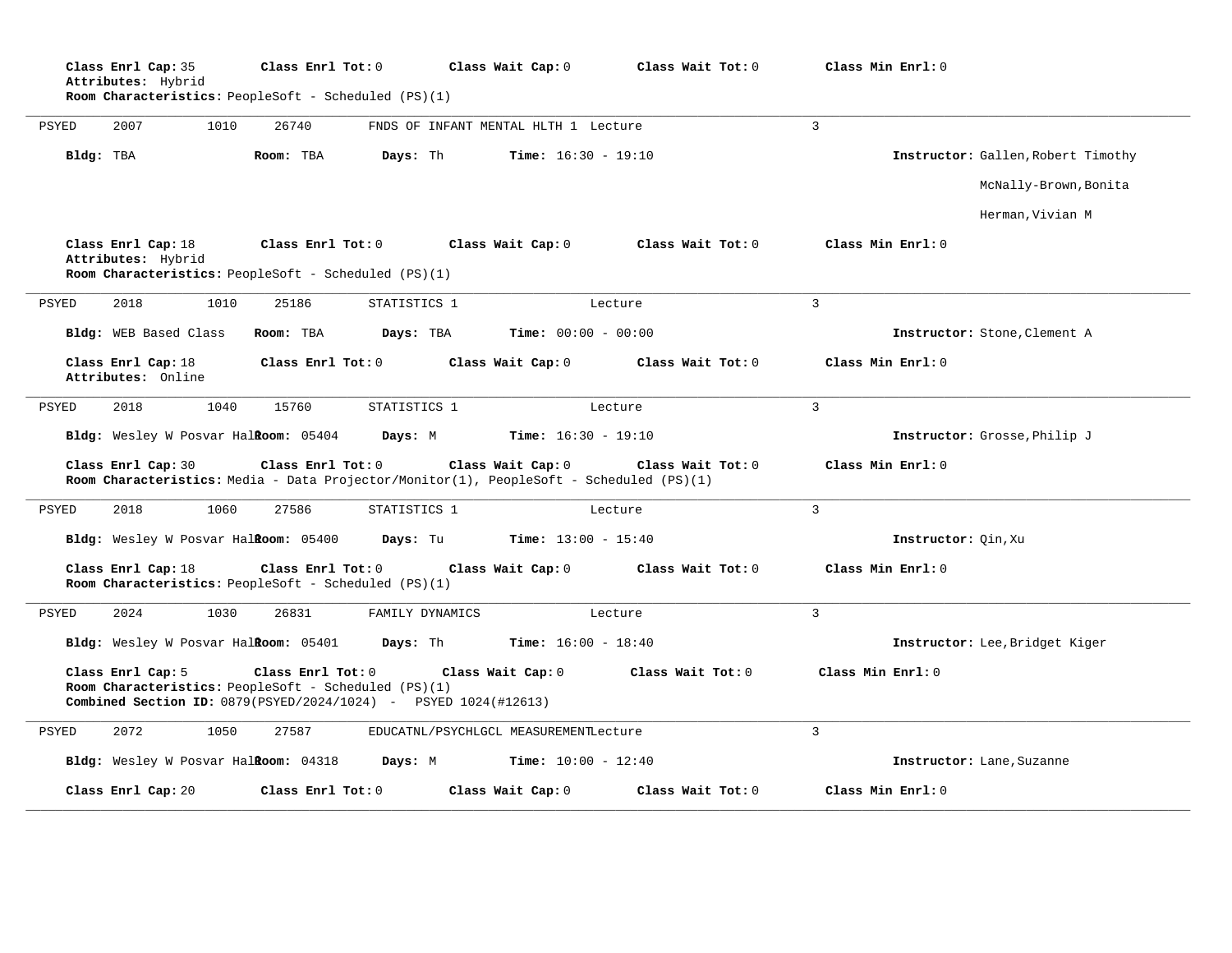|              | Class Enrl Cap: 35<br>Attributes: Hybrid<br>Room Characteristics: PeopleSoft - Scheduled (PS)(1)                                             | Class Enrl Tot: 0 |                                       | Class Wait Cap: 0            | Class Wait Tot: 0 | Class Min Enrl: 0   |                                    |
|--------------|----------------------------------------------------------------------------------------------------------------------------------------------|-------------------|---------------------------------------|------------------------------|-------------------|---------------------|------------------------------------|
| <b>PSYED</b> | 2007<br>1010                                                                                                                                 | 26740             | FNDS OF INFANT MENTAL HLTH 1 Lecture  |                              |                   | 3                   |                                    |
|              | Bldg: TBA                                                                                                                                    | Room: TBA         | Days: Th                              | <b>Time:</b> $16:30 - 19:10$ |                   |                     | Instructor: Gallen, Robert Timothy |
|              |                                                                                                                                              |                   |                                       |                              |                   |                     | McNally-Brown, Bonita              |
|              |                                                                                                                                              |                   |                                       |                              |                   |                     | Herman, Vivian M                   |
|              | Class Enrl Cap: 18<br>Attributes: Hybrid<br>Room Characteristics: PeopleSoft - Scheduled (PS)(1)                                             | Class Enrl Tot: 0 |                                       | Class Wait Cap: 0            | Class Wait Tot: 0 | Class Min Enrl: 0   |                                    |
| PSYED        | 2018<br>1010                                                                                                                                 | 25186             | STATISTICS 1                          |                              | Lecture           | $\overline{3}$      |                                    |
|              | Bldg: WEB Based Class                                                                                                                        | Room: TBA         | Days: TBA                             | Time: $00:00 - 00:00$        |                   |                     | Instructor: Stone, Clement A       |
|              | Class Enrl Cap: 18<br>Attributes: Online                                                                                                     | Class Enrl Tot: 0 |                                       | Class Wait Cap: 0            | Class Wait Tot: 0 | Class Min Enrl: 0   |                                    |
| <b>PSYED</b> | 2018<br>1040                                                                                                                                 | 15760             | STATISTICS 1                          |                              | Lecture           | 3                   |                                    |
|              | Bldg: Wesley W Posvar Halkoom: 05404                                                                                                         |                   | Days: M                               | <b>Time:</b> $16:30 - 19:10$ |                   |                     | Instructor: Grosse, Philip J       |
|              | Class Enrl Cap: 30<br>Room Characteristics: Media - Data Projector/Monitor(1), PeopleSoft - Scheduled (PS)(1)                                | Class Enrl Tot: 0 |                                       | Class Wait Cap: 0            | Class Wait Tot: 0 | Class Min Enrl: 0   |                                    |
| PSYED        | 2018<br>1060                                                                                                                                 | 27586             | STATISTICS 1                          |                              | Lecture           | 3                   |                                    |
|              | Bldg: Wesley W Posvar Halkoom: 05400                                                                                                         |                   | Days: Tu                              | <b>Time:</b> $13:00 - 15:40$ |                   | Instructor: Qin, Xu |                                    |
|              | Class Enrl Cap: 18<br>Room Characteristics: PeopleSoft - Scheduled (PS)(1)                                                                   | Class Enrl Tot: 0 |                                       | Class Wait Cap: 0            | Class Wait Tot: 0 | Class Min Enrl: 0   |                                    |
| PSYED        | 2024<br>1030                                                                                                                                 | 26831             | FAMILY DYNAMICS                       |                              | Lecture           | $\mathbf{3}$        |                                    |
|              | Bldg: Wesley W Posvar Halkoom: 05401                                                                                                         |                   | Days: Th                              | <b>Time:</b> $16:00 - 18:40$ |                   |                     | Instructor: Lee, Bridget Kiger     |
|              | Class Enrl Cap: 5<br>Room Characteristics: PeopleSoft - Scheduled (PS)(1)<br>Combined Section ID: 0879(PSYED/2024/1024) - PSYED 1024(#12613) | Class Enrl Tot: 0 |                                       | Class Wait Cap: 0            | Class Wait Tot: 0 | Class Min Enrl: 0   |                                    |
| PSYED        | 2072<br>1050                                                                                                                                 | 27587             | EDUCATNL/PSYCHLGCL MEASUREMENTLecture |                              |                   | 3                   |                                    |
|              | Bldg: Wesley W Posvar HalRoom: 04318                                                                                                         |                   | Days: M                               | <b>Time:</b> $10:00 - 12:40$ |                   |                     | Instructor: Lane, Suzanne          |
|              | Class Enrl Cap: 20                                                                                                                           | Class Enrl Tot: 0 |                                       | Class Wait Cap: 0            | Class Wait Tot: 0 | Class Min Enrl: 0   |                                    |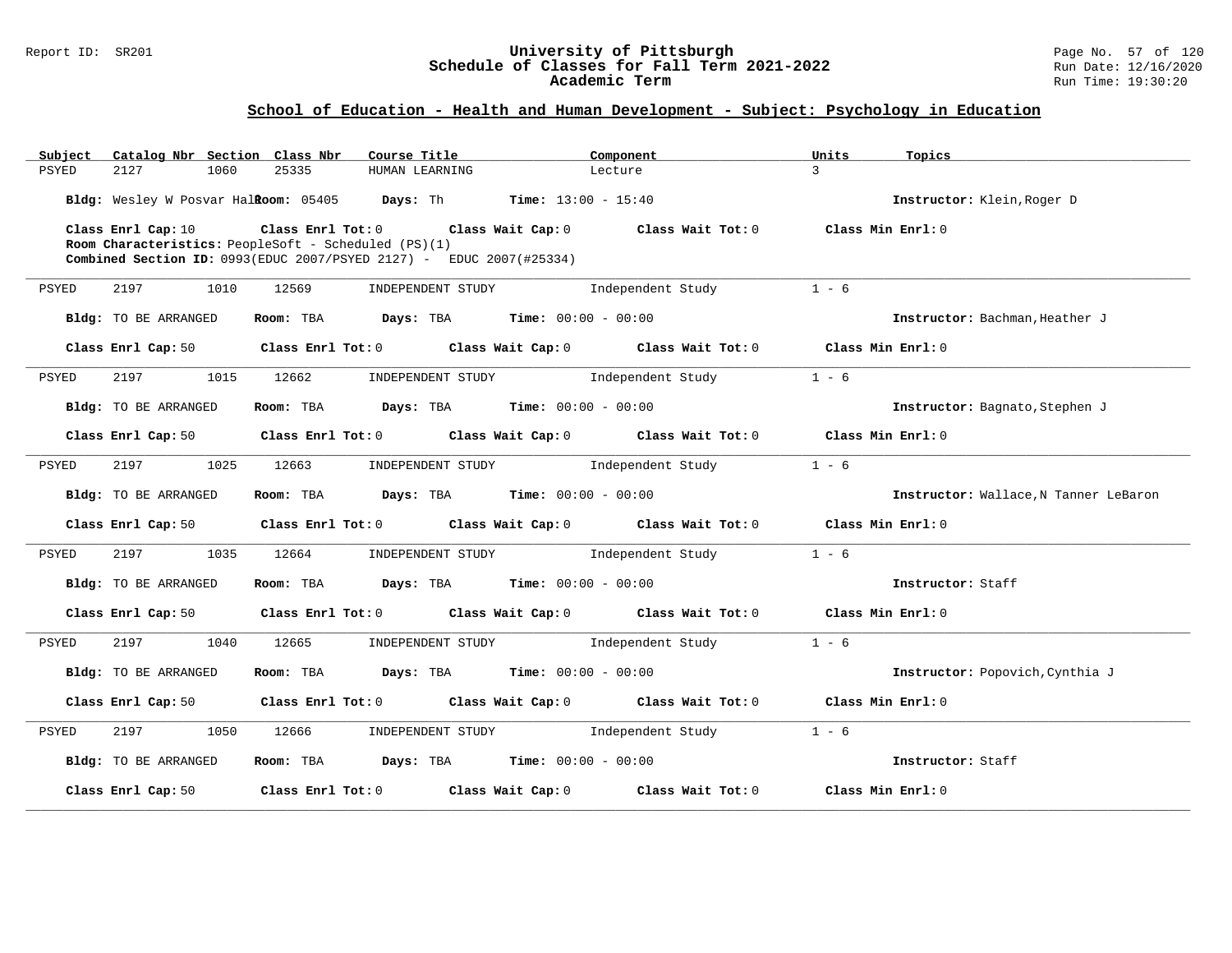### Report ID: SR201 **University of Pittsburgh** Page No. 57 of 120 **Schedule of Classes for Fall Term 2021-2022** Run Date: 12/16/2020 **Academic Term** Run Time: 19:30:20

| Subject<br>Catalog Nbr Section Class Nbr | Course Title                                                                    | Component         | Units<br>Topics                       |
|------------------------------------------|---------------------------------------------------------------------------------|-------------------|---------------------------------------|
| <b>PSYED</b><br>2127<br>1060             | 25335<br>HUMAN LEARNING                                                         | Lecture           | $\mathcal{L}$                         |
|                                          | Bldg: Wesley W Posvar Halkoom: 05405 Days: Th Time: 13:00 - 15:40               |                   | Instructor: Klein, Roger D            |
| Class Enrl Cap: 10                       | Class Enrl Tot: 0 Class Wait Cap: 0 Class Wait Tot: 0                           |                   | Class Min Enrl: 0                     |
|                                          | Room Characteristics: PeopleSoft - Scheduled (PS)(1)                            |                   |                                       |
|                                          | Combined Section ID: 0993(EDUC 2007/PSYED 2127) - EDUC 2007(#25334)             |                   |                                       |
| 2197<br>PSYED<br>1010                    | 12569<br>INDEPENDENT STUDY                                                      | Independent Study | $1 - 6$                               |
| Bldg: TO BE ARRANGED                     | Room: TBA $Days:$ TBA $Time: 00:00 - 00:00$                                     |                   | Instructor: Bachman, Heather J        |
| Class Enrl Cap: 50                       | Class Enrl Tot: $0$ Class Wait Cap: $0$ Class Wait Tot: $0$ Class Min Enrl: $0$ |                   |                                       |
|                                          |                                                                                 |                   |                                       |
| 2197<br>1015<br>PSYED                    | 12662<br>INDEPENDENT STUDY                                                      | Independent Study | $1 - 6$                               |
| Bldg: TO BE ARRANGED                     | Room: TBA $Days:$ TBA $Time: 00:00 - 00:00$                                     |                   | Instructor: Bagnato, Stephen J        |
| Class Enrl Cap: 50                       | Class Enrl Tot: $0$ Class Wait Cap: $0$ Class Wait Tot: $0$ Class Min Enrl: $0$ |                   |                                       |
| 2197<br>1025<br>PSYED                    | 12663<br>INDEPENDENT STUDY                                                      | Independent Study | $1 - 6$                               |
| Bldg: TO BE ARRANGED                     | Room: TBA $Days:$ TBA $Time: 00:00 - 00:00$                                     |                   | Instructor: Wallace, N Tanner LeBaron |
| Class Enrl Cap: 50                       | Class Enrl Tot: $0$ Class Wait Cap: $0$ Class Wait Tot: $0$ Class Min Enrl: $0$ |                   |                                       |
| 2197<br>1035<br>PSYED                    | 12664<br>INDEPENDENT STUDY                                                      | Independent Study | $1 - 6$                               |
| Bldg: TO BE ARRANGED                     | Room: TBA $Days:$ TBA $Time: 00:00 - 00:00$                                     |                   | Instructor: Staff                     |
| Class Enrl Cap: 50                       | Class Enrl Tot: 0 Class Wait Cap: 0                                             | Class Wait Tot: 0 | Class Min Enrl: 0                     |
| 2197<br>PSYED<br>1040                    | 12665<br>INDEPENDENT STUDY 1ndependent Study                                    |                   | $1 - 6$                               |
| Bldg: TO BE ARRANGED                     | Room: TBA $Days:$ TBA $Time: 00:00 - 00:00$                                     |                   | Instructor: Popovich, Cynthia J       |
| Class Enrl Cap: 50                       | Class Enrl Tot: 0 Class Wait Cap: 0 Class Wait Tot: 0                           |                   | Class Min Enrl: 0                     |
| 2197<br>1050<br>PSYED                    | 12666<br>INDEPENDENT STUDY 1ndependent Study                                    |                   | $1 - 6$                               |
| Bldg: TO BE ARRANGED                     | Room: TBA $Days:$ TBA $Time: 00:00 - 00:00$                                     |                   | Instructor: Staff                     |
| Class Enrl Cap: 50                       | $Class$ $Enr1$ $Tot: 0$<br>Class Wait Cap: 0                                    | Class Wait Tot: 0 | Class Min Enrl: 0                     |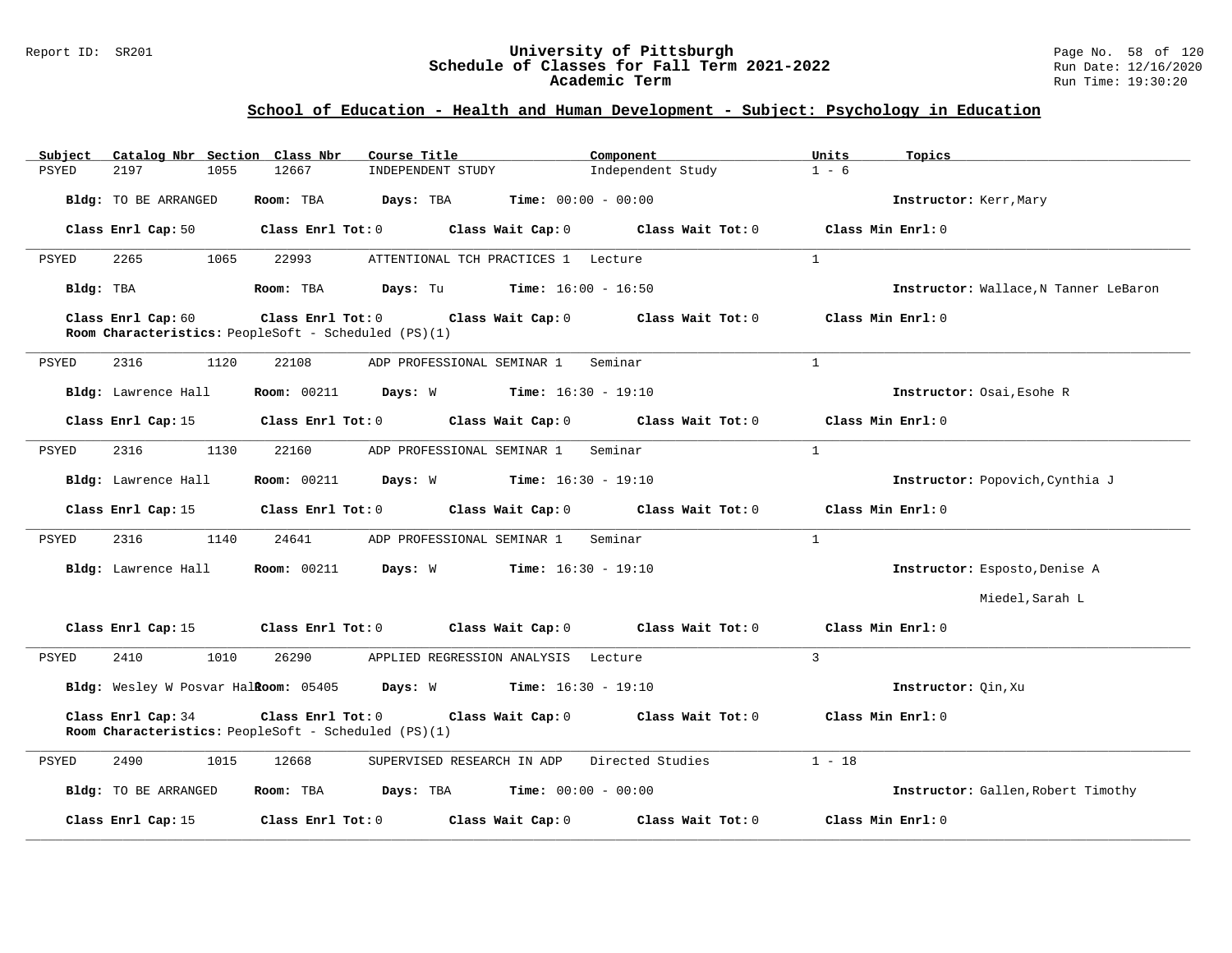### Report ID: SR201 **University of Pittsburgh** Page No. 58 of 120 **Schedule of Classes for Fall Term 2021-2022** Run Date: 12/16/2020 **Academic Term** Run Time: 19:30:20

| Catalog Nbr Section Class Nbr<br>Subject | Course Title                                                                                   | Component                    | Units<br>Topics                       |
|------------------------------------------|------------------------------------------------------------------------------------------------|------------------------------|---------------------------------------|
| <b>PSYED</b><br>2197<br>1055             | 12667<br>INDEPENDENT STUDY                                                                     | Independent Study            | $1 - 6$                               |
| Bldg: TO BE ARRANGED                     | Days: TBA<br>Room: TBA                                                                         | $Time: 00:00 - 00:00$        | Instructor: Kerr, Mary                |
| Class Enrl Cap: 50                       | Class Enrl Tot: 0<br>Class Wait Cap: 0                                                         | Class Wait Tot: 0            | Class Min Enrl: 0                     |
| PSYED<br>2265<br>1065                    | 22993<br>ATTENTIONAL TCH PRACTICES 1 Lecture                                                   |                              | $\mathbf{1}$                          |
| Bldg: TBA                                | <b>Days:</b> Tu <b>Time:</b> $16:00 - 16:50$<br>Room: TBA                                      |                              | Instructor: Wallace, N Tanner LeBaron |
| Class Enrl Cap: 60                       | Class Enrl Tot: 0 Class Wait Cap: 0<br>Room Characteristics: PeopleSoft - Scheduled (PS)(1)    | Class Wait Tot: 0            | Class Min Enrl: 0                     |
| PSYED<br>2316<br>1120                    | 22108<br>ADP PROFESSIONAL SEMINAR 1                                                            | Seminar                      | $\overline{1}$                        |
| Bldg: Lawrence Hall                      | <b>Room:</b> 00211<br><b>Days:</b> W <b>Time:</b> 16:30 - 19:10                                |                              | Instructor: Osai, Esohe R             |
| Class Enrl Cap: 15                       | Class Enrl Tot: 0<br>Class Wait Cap: 0                                                         | Class Wait Tot: 0            | Class Min Enrl: 0                     |
| 2316<br>1130<br>PSYED                    | 22160<br>ADP PROFESSIONAL SEMINAR 1                                                            | Seminar                      | $\mathbf{1}$                          |
| Bldg: Lawrence Hall                      | <b>Room: 00211</b><br>Days: W                                                                  | <b>Time:</b> $16:30 - 19:10$ | Instructor: Popovich, Cynthia J       |
| Class Enrl Cap: 15                       | $Class$ $Enr1$ $Tot: 0$<br>Class Wait Cap: 0                                                   | Class Wait Tot: $0$          | Class Min Enrl: 0                     |
| PSYED<br>2316<br>1140                    | 24641<br>ADP PROFESSIONAL SEMINAR 1                                                            | Seminar                      | $\mathbf{1}$                          |
| Bldg: Lawrence Hall                      | Room: 00211 Days: W                                                                            | $Time: 16:30 - 19:10$        | Instructor: Esposto, Denise A         |
|                                          |                                                                                                |                              | Miedel, Sarah L                       |
| Class Enrl Cap: 15                       | Class Enrl Tot: 0<br>Class Wait Cap: 0                                                         | Class Wait Tot: 0            | Class Min Enrl: 0                     |
| 2410<br>1010<br>PSYED                    | 26290<br>APPLIED REGRESSION ANALYSIS Lecture                                                   |                              | $\overline{3}$                        |
|                                          | Bldg: Wesley W Posvar Halkoom: 05405 Days: W Time: 16:30 - 19:10                               |                              | Instructor: Oin, Xu                   |
| Class Enrl Cap: 34                       | Class Enrl Tot: 0<br>Class Wait Cap: 0<br>Room Characteristics: PeopleSoft - Scheduled (PS)(1) | Class Wait Tot: 0            | Class Min Enrl: 0                     |
| 2490<br>1015<br>PSYED                    | 12668<br>SUPERVISED RESEARCH IN ADP                                                            | Directed Studies             | $1 - 18$                              |
| Bldg: TO BE ARRANGED                     | Room: TBA<br><b>Days:</b> TBA <b>Time:</b> $00:00 - 00:00$                                     |                              | Instructor: Gallen, Robert Timothy    |
| Class Enrl Cap: 15                       | Class Enrl Tot: 0<br>Class Wait Cap: 0                                                         | Class Wait Tot: 0            | Class Min Enrl: 0                     |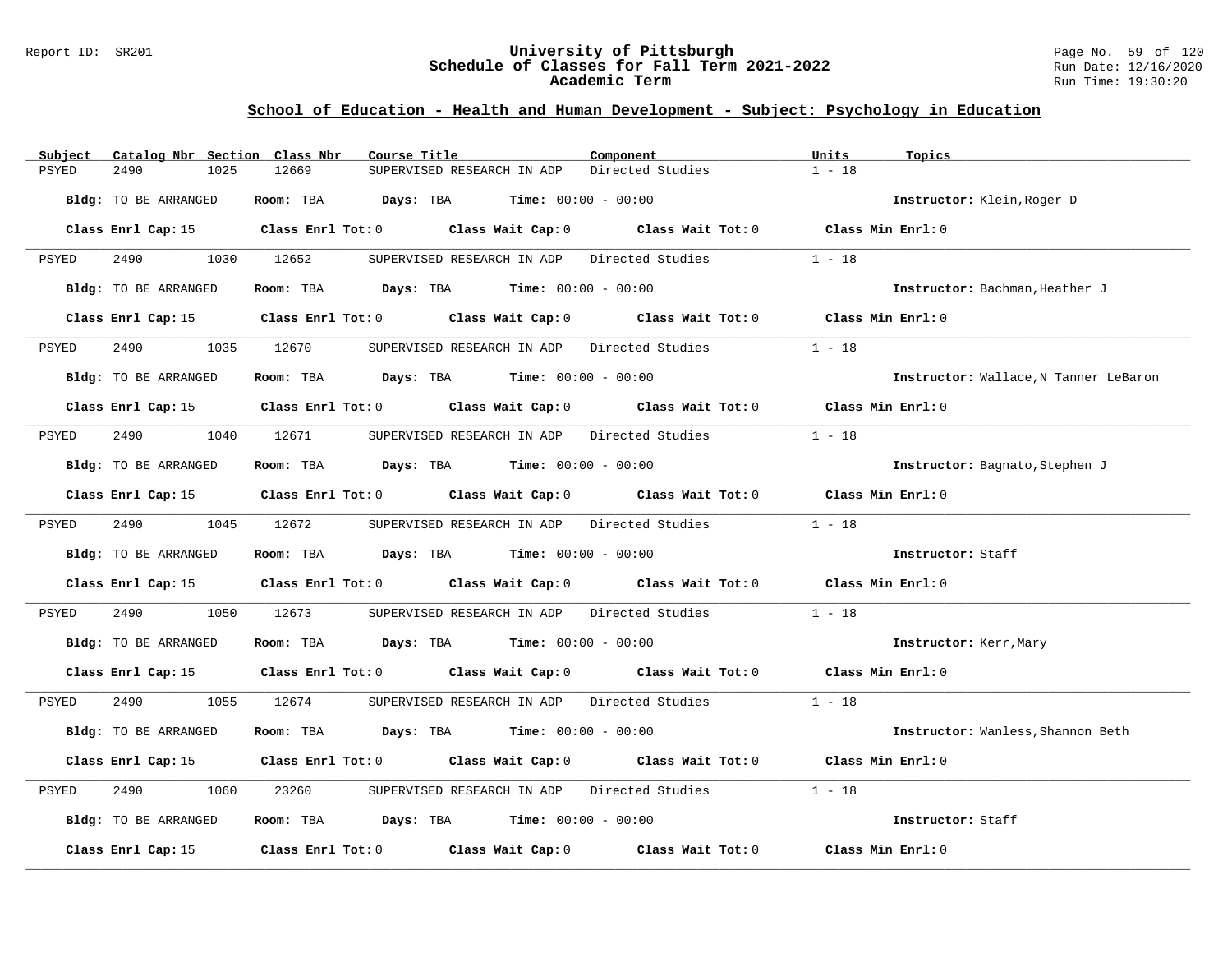### Report ID: SR201 **University of Pittsburgh** Page No. 59 of 120 **Schedule of Classes for Fall Term 2021-2022** Run Date: 12/16/2020 **Academic Term** Run Time: 19:30:20

| Catalog Nbr Section Class Nbr<br>Subject | Course Title                                                                               | Component        | Units<br>Topics                       |
|------------------------------------------|--------------------------------------------------------------------------------------------|------------------|---------------------------------------|
| <b>PSYED</b><br>2490<br>1025             | 12669<br>SUPERVISED RESEARCH IN ADP                                                        | Directed Studies | $1 - 18$                              |
| Bldg: TO BE ARRANGED                     | Room: TBA $Days:$ TBA $Time: 00:00 - 00:00$                                                |                  | Instructor: Klein, Roger D            |
|                                          | Class Enrl Cap: 15 Class Enrl Tot: 0 Class Wait Cap: 0 Class Wait Tot: 0 Class Min Enrl: 0 |                  |                                       |
| 2490 1030 12652<br>PSYED                 | SUPERVISED RESEARCH IN ADP Directed Studies                                                |                  | $1 - 18$                              |
| Bldg: TO BE ARRANGED                     | Room: TBA $Days:$ TBA $Time: 00:00 - 00:00$                                                |                  | Instructor: Bachman, Heather J        |
|                                          | Class Enrl Cap: 15 Class Enrl Tot: 0 Class Wait Cap: 0 Class Wait Tot: 0 Class Min Enrl: 0 |                  |                                       |
| 2490<br>PSYED                            | 1035 12670<br>SUPERVISED RESEARCH IN ADP Directed Studies                                  |                  | $1 - 18$                              |
| Bldg: TO BE ARRANGED                     | Room: TBA $Days:$ TBA $Time: 00:00 - 00:00$                                                |                  | Instructor: Wallace, N Tanner LeBaron |
|                                          | Class Enrl Cap: 15 Class Enrl Tot: 0 Class Wait Cap: 0 Class Wait Tot: 0 Class Min Enrl: 0 |                  |                                       |
| PSYED                                    | 2490 1040 12671 SUPERVISED RESEARCH IN ADP Directed Studies                                |                  | $1 - 18$                              |
| Bldg: TO BE ARRANGED                     | Room: TBA $Days:$ TBA $Time: 00:00 - 00:00$                                                |                  | Instructor: Bagnato, Stephen J        |
|                                          | Class Enrl Cap: 15 Class Enrl Tot: 0 Class Wait Cap: 0 Class Wait Tot: 0 Class Min Enrl: 0 |                  |                                       |
| PSYED<br>2490 1045 12672                 | SUPERVISED RESEARCH IN ADP Directed Studies                                                |                  | $1 - 18$                              |
| Bldg: TO BE ARRANGED                     | Room: TBA $Days:$ TBA $Time: 00:00 - 00:00$                                                |                  | Instructor: Staff                     |
|                                          | Class Enrl Cap: 15 Class Enrl Tot: 0 Class Wait Cap: 0 Class Wait Tot: 0 Class Min Enrl: 0 |                  |                                       |
| 2490<br>PSYED<br>1050                    | 12673<br>SUPERVISED RESEARCH IN ADP Directed Studies                                       |                  | $1 - 18$                              |
| Bldg: TO BE ARRANGED                     | Room: TBA $Days:$ TBA $Time: 00:00 - 00:00$                                                |                  | Instructor: Kerr, Mary                |
|                                          | Class Enrl Cap: 15 Class Enrl Tot: 0 Class Wait Cap: 0 Class Wait Tot: 0 Class Min Enrl: 0 |                  |                                       |
| PSYED<br>2490 1055 12674                 | SUPERVISED RESEARCH IN ADP Directed Studies 1 - 18                                         |                  |                                       |
| Bldg: TO BE ARRANGED                     | Room: TBA $Days:$ TBA $Time: 00:00 - 00:00$                                                |                  | Instructor: Wanless, Shannon Beth     |
|                                          | Class Enrl Cap: 15 Class Enrl Tot: 0 Class Wait Cap: 0 Class Wait Tot: 0 Class Min Enrl: 0 |                  |                                       |
| 2490<br>PSYED<br>1060                    | 23260<br>SUPERVISED RESEARCH IN ADP Directed Studies                                       |                  | $1 - 18$                              |
| Bldg: TO BE ARRANGED                     | Room: TBA $Days:$ TBA Time: $00:00 - 00:00$                                                |                  | Instructor: Staff                     |
| Class Enrl Cap: 15                       | Class Enrl Tot: $0$ Class Wait Cap: $0$ Class Wait Tot: $0$                                |                  | Class Min Enrl: 0                     |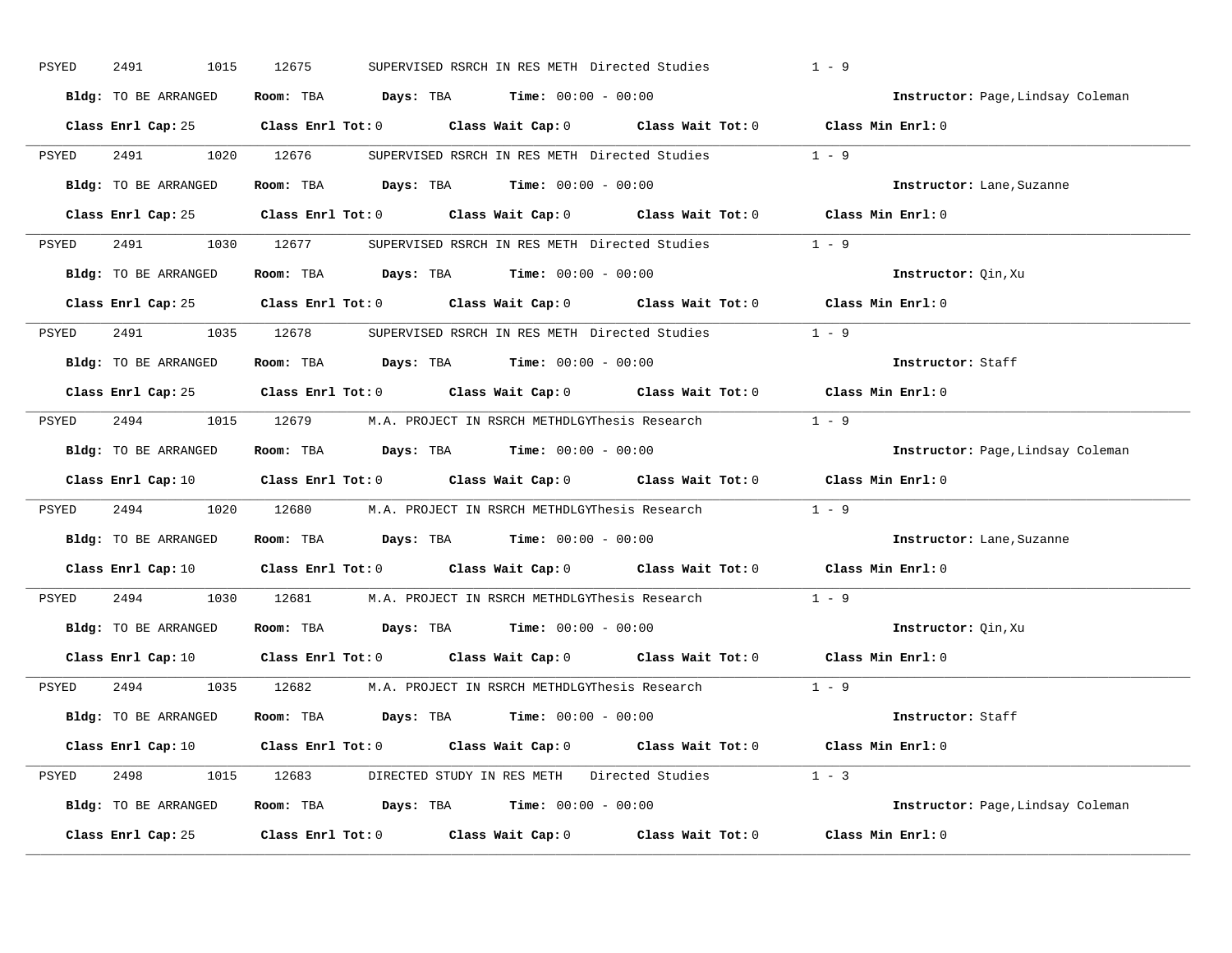| PSYED | 2491<br>1015         | 12675<br>SUPERVISED RSRCH IN RES METH Directed Studies                                                                         | $1 - 9$                           |
|-------|----------------------|--------------------------------------------------------------------------------------------------------------------------------|-----------------------------------|
|       | Bldg: TO BE ARRANGED | Room: TBA $Days:$ TBA $Time: 00:00 - 00:00$                                                                                    | Instructor: Page, Lindsay Coleman |
|       |                      | Class Enrl Cap: 25 Class Enrl Tot: 0 Class Wait Cap: 0 Class Wait Tot: 0 Class Min Enrl: 0                                     |                                   |
| PSYED | 2491 1020 12676      | SUPERVISED RSRCH IN RES METH Directed Studies 1 - 9                                                                            |                                   |
|       | Bldg: TO BE ARRANGED | Room: TBA $Days:$ TBA Time: $00:00 - 00:00$                                                                                    | Instructor: Lane, Suzanne         |
|       |                      | Class Enrl Cap: 25 Class Enrl Tot: 0 Class Wait Cap: 0 Class Wait Tot: 0 Class Min Enrl: 0                                     |                                   |
|       |                      | PSYED 2491 1030 12677 SUPERVISED RSRCH IN RES METH Directed Studies 1 - 9                                                      |                                   |
|       | Bldg: TO BE ARRANGED | Room: TBA $\rule{1em}{0.15mm}$ Days: TBA $\rule{1.5mm}{0.15mm}$ Time: $00:00 - 00:00$                                          | Instructor: Oin, Xu               |
|       |                      | Class Enrl Cap: 25 Class Enrl Tot: 0 Class Wait Cap: 0 Class Wait Tot: 0 Class Min Enrl: 0                                     |                                   |
| PSYED |                      | 2491 1035 12678 SUPERVISED RSRCH IN RES METH Directed Studies                                                                  | $1 - 9$                           |
|       | Bldg: TO BE ARRANGED | Room: TBA $Days:$ TBA Time: $00:00 - 00:00$                                                                                    | Instructor: Staff                 |
|       |                      | Class Enrl Cap: 25 Class Enrl Tot: 0 Class Wait Cap: 0 Class Wait Tot: 0 Class Min Enrl: 0                                     |                                   |
| PSYED |                      | 2494 1015 12679 M.A. PROJECT IN RSRCH METHDLGYThesis Research 1 - 9                                                            |                                   |
|       | Bldg: TO BE ARRANGED | Room: TBA $Days:$ TBA $Time: 00:00 - 00:00$                                                                                    | Instructor: Page, Lindsay Coleman |
|       |                      | Class Enrl Cap: 10 $\qquad$ Class Enrl Tot: 0 $\qquad$ Class Wait Cap: 0 $\qquad$ Class Wait Tot: 0 $\qquad$ Class Min Enrl: 0 |                                   |
| PSYED |                      | 2494 1020 12680 M.A. PROJECT IN RSRCH METHDLGYThesis Research 1 - 9                                                            |                                   |
|       | Bldg: TO BE ARRANGED | Room: TBA $Days:$ TBA $Time: 00:00 - 00:00$                                                                                    | Instructor: Lane, Suzanne         |
|       |                      | Class Enrl Cap: 10 $\qquad$ Class Enrl Tot: 0 $\qquad$ Class Wait Cap: 0 $\qquad$ Class Wait Tot: 0                            | Class Min Enrl: 0                 |
| PSYED | 2494                 | 1030 12681 M.A. PROJECT IN RSRCH METHDLGYThesis Research                                                                       | $1 - 9$                           |
|       | Bldg: TO BE ARRANGED | Room: TBA $\rule{1em}{0.15mm}$ Days: TBA Time: $00:00 - 00:00$                                                                 | Instructor: Oin, Xu               |
|       |                      | Class Enrl Cap: 10 $\qquad$ Class Enrl Tot: 0 $\qquad$ Class Wait Cap: 0 $\qquad$ Class Wait Tot: 0 $\qquad$ Class Min Enrl: 0 |                                   |
| PSYED |                      | 2494 1035 12682 M.A. PROJECT IN RSRCH METHDLGYThesis Research 1 - 9                                                            |                                   |
|       | Bldg: TO BE ARRANGED | Room: TBA $Days:$ TBA $Time: 00:00 - 00:00$                                                                                    | Instructor: Staff                 |
|       |                      | Class Enrl Cap: 10 $\qquad$ Class Enrl Tot: 0 $\qquad$ Class Wait Cap: 0 $\qquad$ Class Wait Tot: 0 $\qquad$ Class Min Enrl: 0 |                                   |
|       |                      | PSYED 2498 1015 12683 DIRECTED STUDY IN RES METH Directed Studies 1 - 3                                                        |                                   |
|       | Bldg: TO BE ARRANGED | Room: TBA $Days:$ TBA $Time: 00:00 - 00:00$                                                                                    | Instructor: Page, Lindsay Coleman |
|       | Class Enrl Cap: 25   | Class Enrl Tot: $0$ Class Wait Cap: $0$ Class Wait Tot: $0$ Class Min Enrl: $0$                                                |                                   |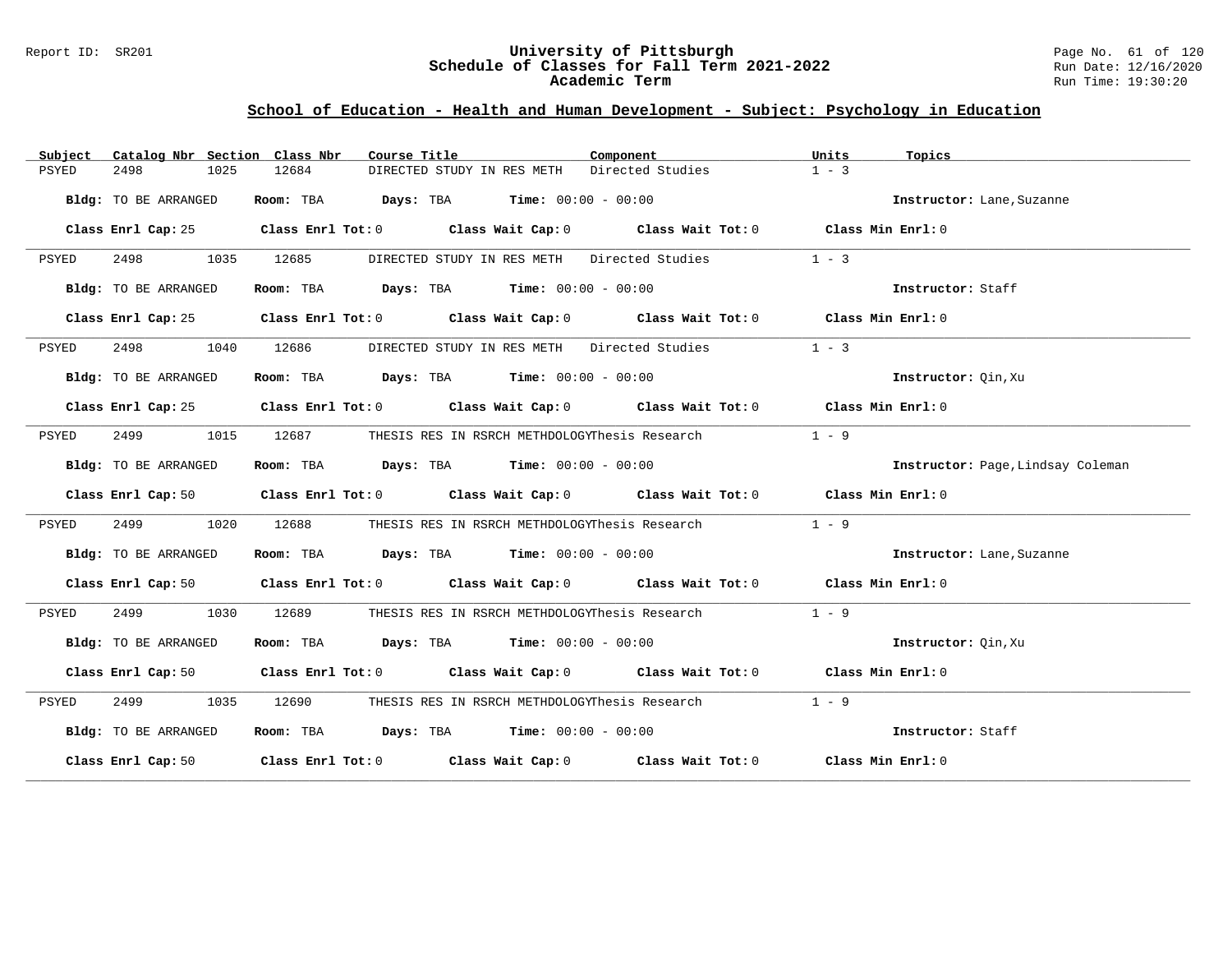### Report ID: SR201 **University of Pittsburgh** Page No. 61 of 120 **Schedule of Classes for Fall Term 2021-2022** Run Date: 12/16/2020 **Academic Term** Run Time: 19:30:20

| Subject | Catalog Nbr Section Class Nbr | Course Title <b>Source Search</b>                                                                                              | Component                                     | Units   | Topics                            |
|---------|-------------------------------|--------------------------------------------------------------------------------------------------------------------------------|-----------------------------------------------|---------|-----------------------------------|
| PSYED   | 2498<br>1025                  | 12684<br>DIRECTED STUDY IN RES METH                                                                                            | Directed Studies                              | $1 - 3$ |                                   |
|         | Bldg: TO BE ARRANGED          | Room: TBA $Days:$ TBA $Time: 00:00 - 00:00$                                                                                    |                                               |         | Instructor: Lane, Suzanne         |
|         |                               | Class Enrl Cap: 25 Class Enrl Tot: 0 Class Wait Cap: 0 Class Wait Tot: 0 Class Min Enrl: 0                                     |                                               |         |                                   |
| PSYED   | 2498 1035 12685               |                                                                                                                                | DIRECTED STUDY IN RES METH Directed Studies   | $1 - 3$ |                                   |
|         | Bldg: TO BE ARRANGED          | Room: TBA $\rule{1em}{0.15mm}$ Days: TBA $\rule{1.15mm}]{0.15mm}$ Time: $00:00 - 00:00$                                        |                                               |         | Instructor: Staff                 |
|         |                               | Class Enrl Cap: 25 Class Enrl Tot: 0 Class Wait Cap: 0 Class Wait Tot: 0 Class Min Enrl: 0                                     |                                               |         |                                   |
| PSYED   |                               | 2498 1040 12686 DIRECTED STUDY IN RES METH Directed Studies                                                                    |                                               | $1 - 3$ |                                   |
|         | Bldg: TO BE ARRANGED          | Room: TBA Days: TBA Time: $00:00 - 00:00$                                                                                      |                                               |         | Instructor: Oin, Xu               |
|         |                               | Class Enrl Cap: 25 Class Enrl Tot: 0 Class Wait Cap: 0 Class Wait Tot: 0 Class Min Enrl: 0                                     |                                               |         |                                   |
| PSYED   | 2499 1015                     | 12687 THESIS RES IN RSRCH METHDOLOGYThesis Research                                                                            |                                               | $1 - 9$ |                                   |
|         | Bldg: TO BE ARRANGED          | Room: TBA $Days:$ TBA $Time: 00:00 - 00:00$                                                                                    |                                               |         | Instructor: Page, Lindsay Coleman |
|         |                               | Class Enrl Cap: 50 $\qquad$ Class Enrl Tot: 0 $\qquad$ Class Wait Cap: 0 $\qquad$ Class Wait Tot: 0 $\qquad$ Class Min Enrl: 0 |                                               |         |                                   |
| PSYED   | 2499<br>1020                  | 12688                                                                                                                          | THESIS RES IN RSRCH METHDOLOGYThesis Research | $1 - 9$ |                                   |
|         | Bldg: TO BE ARRANGED          | Room: TBA $\rule{1em}{0.15mm}$ Days: TBA Time: $00:00 - 00:00$                                                                 |                                               |         | Instructor: Lane, Suzanne         |
|         |                               | Class Enrl Cap: 50 Class Enrl Tot: 0 Class Wait Cap: 0 Class Wait Tot: 0 Class Min Enrl: 0                                     |                                               |         |                                   |
| PSYED   | 2499 1030                     | 12689                                                                                                                          | THESIS RES IN RSRCH METHDOLOGYThesis Research | $1 - 9$ |                                   |
|         | Bldg: TO BE ARRANGED          | Room: TBA $Days$ : TBA $Time: 00:00 - 00:00$                                                                                   |                                               |         | Instructor: Oin, Xu               |
|         |                               | Class Enrl Cap: 50 Class Enrl Tot: 0 Class Wait Cap: 0 Class Wait Tot: 0 Class Min Enrl: 0                                     |                                               |         |                                   |
| PSYED   | 2499 1035                     | 12690                                                                                                                          | THESIS RES IN RSRCH METHDOLOGYThesis Research | $1 - 9$ |                                   |
|         | Bldg: TO BE ARRANGED          | Room: TBA $Days:$ TBA $Time: 00:00 - 00:00$                                                                                    |                                               |         | Instructor: Staff                 |
|         |                               | Class Enrl Cap: 50 Class Enrl Tot: 0 Class Wait Cap: 0 Class Wait Tot: 0 Class Min Enrl: 0                                     |                                               |         |                                   |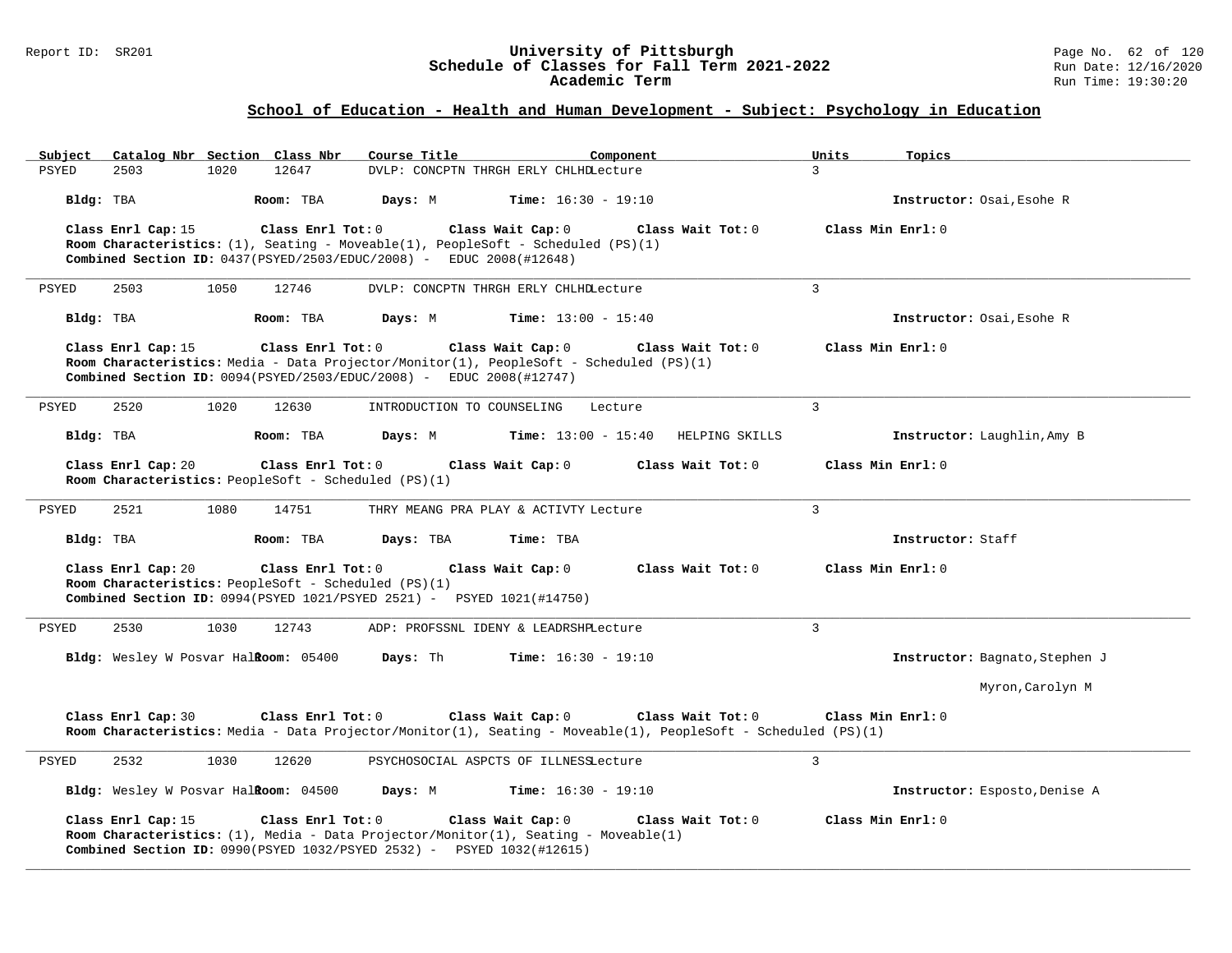### Report ID: SR201 **University of Pittsburgh** Page No. 62 of 120 **Schedule of Classes for Fall Term 2021-2022** Run Date: 12/16/2020 **Academic Term** Run Time: 19:30:20

| Catalog Nbr Section Class Nbr<br>Subject                                                                                               | Course Title<br>Component                                                                                      | Units<br>Topics                |
|----------------------------------------------------------------------------------------------------------------------------------------|----------------------------------------------------------------------------------------------------------------|--------------------------------|
| PSYED<br>2503<br>1020<br>12647                                                                                                         | DVLP: CONCPTN THRGH ERLY CHLHDLecture                                                                          | $\mathcal{L}$                  |
| Bldg: TBA<br>Room: TBA                                                                                                                 | Days: M<br><b>Time:</b> $16:30 - 19:10$                                                                        | Instructor: Osai, Esohe R      |
| Class Enrl Cap: 15<br>Class Enrl Tot:0                                                                                                 | Class Wait Cap: 0<br>Class Wait Tot: 0                                                                         | Class Min $Enrl: 0$            |
| Combined Section ID: $0437(PSYED/2503/EDUC/2008)$ - EDUC 2008(#12648)                                                                  | <b>Room Characteristics:</b> (1), Seating - Moveable(1), PeopleSoft - Scheduled (PS)(1)                        |                                |
|                                                                                                                                        |                                                                                                                |                                |
| PSYED<br>2503<br>1050<br>12746                                                                                                         | DVLP: CONCPTN THRGH ERLY CHLHDLecture                                                                          | $\mathbf{3}$                   |
| Bldg: TBA<br>Room: TBA                                                                                                                 | <b>Time:</b> $13:00 - 15:40$<br>Days: M                                                                        | Instructor: Osai, Esohe R      |
| Class Enrl Cap: 15<br>Class Enrl Tot: 0                                                                                                | Class Wait Cap: 0<br>Class Wait $Tot: 0$                                                                       | Class Min Enrl: 0              |
| Combined Section ID: $0094$ (PSYED/2503/EDUC/2008) - EDUC 2008(#12747)                                                                 | Room Characteristics: Media - Data Projector/Monitor(1), PeopleSoft - Scheduled (PS)(1)                        |                                |
|                                                                                                                                        |                                                                                                                |                                |
| 2520<br>1020<br>PSYED<br>12630                                                                                                         | INTRODUCTION TO COUNSELING<br>Lecture                                                                          | $\overline{3}$                 |
| Room: TBA<br>Bldg: TBA                                                                                                                 | $Time: 13:00 - 15:40$<br>HELPING SKILLS<br>Days: M                                                             | Instructor: Laughlin, Amy B    |
| Class Enrl Cap: 20<br>Class $Enr1$ Tot: $0$                                                                                            | Class Wait Cap: 0<br>Class Wait $Tot: 0$                                                                       | Class Min Enrl: 0              |
| <b>Room Characteristics:</b> PeopleSoft - Scheduled (PS)(1)                                                                            |                                                                                                                |                                |
| 2521<br>1080<br>14751<br>PSYED                                                                                                         | THRY MEANG PRA PLAY & ACTIVTY Lecture                                                                          | $\mathcal{L}$                  |
| Bldg: TBA<br>Room: TBA                                                                                                                 | Days: TBA<br>Time: TBA                                                                                         | Instructor: Staff              |
| Class Enrl Cap: 20<br>$\texttt{Class}$ $\texttt{Enrl}$ $\texttt{Tot:}$ $0$                                                             | Class Wait Cap: 0<br>Class Wait Tot: 0                                                                         | Class Min Enrl: 0              |
| Room Characteristics: PeopleSoft - Scheduled (PS)(1)<br><b>Combined Section ID:</b> $0994(PSYED 1021/PSYED 2521) - PSYED 1021(H14750)$ |                                                                                                                |                                |
|                                                                                                                                        |                                                                                                                |                                |
| 2530<br>1030<br>12743<br>PSYED                                                                                                         | ADP: PROFSSNL IDENY & LEADRSHPLecture                                                                          | $\mathbf{3}$                   |
| Bldg: Wesley W Posvar Halkoom: 05400                                                                                                   | Days: Th<br><b>Time:</b> $16:30 - 19:10$                                                                       | Instructor: Bagnato, Stephen J |
|                                                                                                                                        |                                                                                                                | Myron, Carolyn M               |
| Class Enrl Cap: 30<br>Class Enrl Tot: 0                                                                                                | Class Wait Cap: 0<br>Class Wait Tot: 0                                                                         | Class Min Enrl: 0              |
|                                                                                                                                        | Room Characteristics: Media - Data Projector/Monitor(1), Seating - Moveable(1), PeopleSoft - Scheduled (PS)(1) |                                |
| 2532<br>1030<br>12620<br>PSYED                                                                                                         | PSYCHOSOCIAL ASPCTS OF ILLNESSLecture                                                                          | $\mathbf{3}$                   |
|                                                                                                                                        |                                                                                                                |                                |
| Bldg: Wesley W Posvar Halkoom: 04500                                                                                                   | <b>Time:</b> $16:30 - 19:10$<br>Days: M                                                                        | Instructor: Esposto, Denise A  |
| Class Enrl Cap: 15<br>Class Enrl Tot: 0                                                                                                | Class Wait Cap: 0<br>Class Wait Tot: 0                                                                         | Class Min Enrl: 0              |
| <b>Combined Section ID:</b> 0990(PSYED 1032/PSYED 2532) - PSYED $1032(\text{\#}12615)$                                                 | Room Characteristics: (1), Media - Data Projector/Monitor(1), Seating - Moveable(1)                            |                                |
|                                                                                                                                        |                                                                                                                |                                |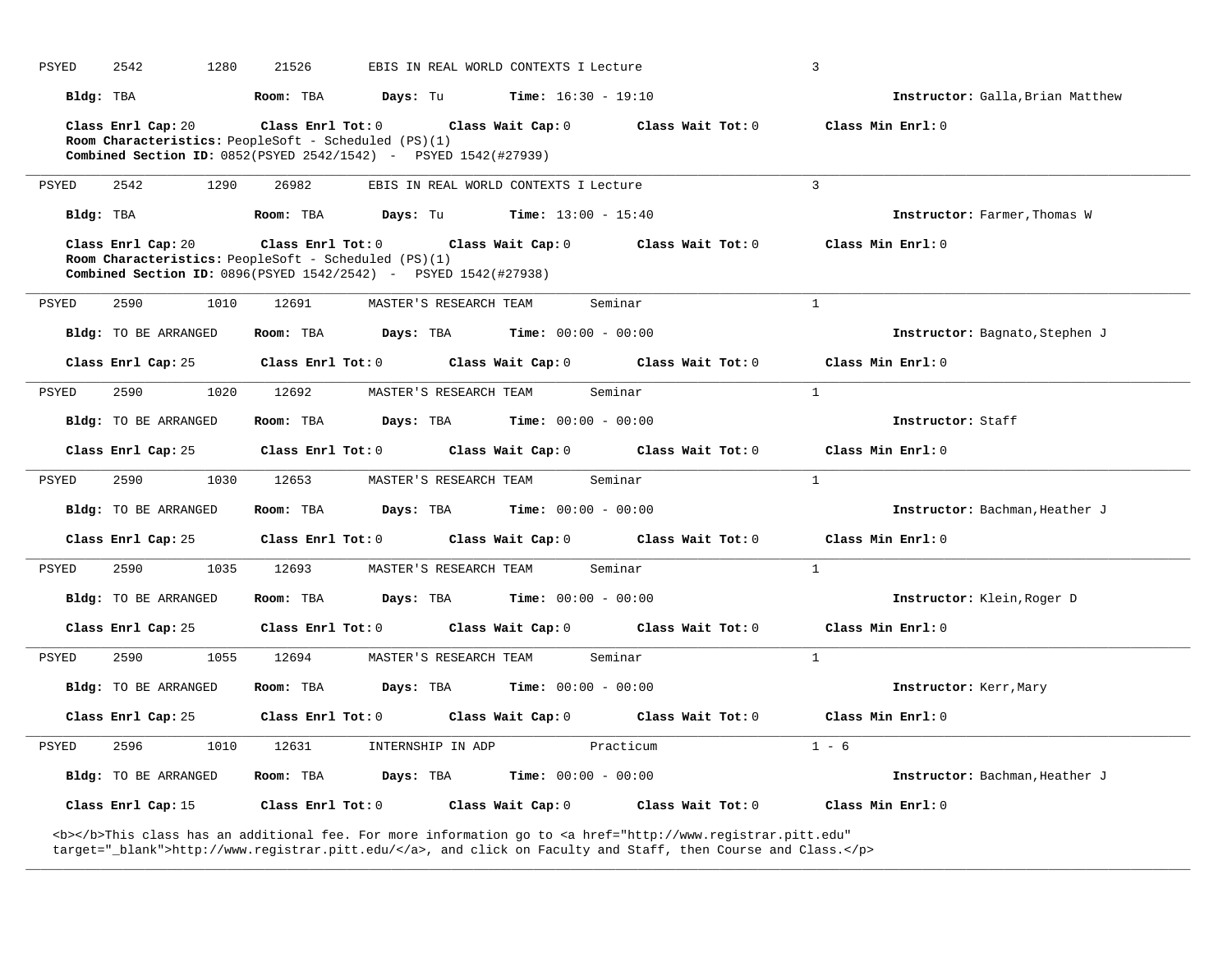| PSYED<br>2542        | 1280<br>21526                                                                                                                    | EBIS IN REAL WORLD CONTEXTS I Lecture                 |                   | $\overline{3}$                   |
|----------------------|----------------------------------------------------------------------------------------------------------------------------------|-------------------------------------------------------|-------------------|----------------------------------|
| Bldg: TBA            | Room: TBA<br>Davs: Tu                                                                                                            | $Time: 16:30 - 19:10$                                 |                   | Instructor: Galla, Brian Matthew |
| Class Enrl Cap: 20   | Class Enrl Tot: $0$ Class Wait Cap: $0$ Class Wait Tot: $0$                                                                      |                                                       |                   | Class Min Enrl: 0                |
|                      | Room Characteristics: PeopleSoft - Scheduled (PS)(1)<br><b>Combined Section ID:</b> $0852(PSYED 2542/1542) - PSYED 1542(#27939)$ |                                                       |                   |                                  |
| PSYED<br>2542        | 1290<br>26982                                                                                                                    | EBIS IN REAL WORLD CONTEXTS I Lecture                 |                   | $\overline{3}$                   |
| Bldg: TBA            | Room: TBA                                                                                                                        | <b>Days:</b> Tu <b>Time:</b> $13:00 - 15:40$          |                   | Instructor: Farmer, Thomas W     |
| Class Enrl Cap: 20   | Class Enrl Tot: $0$ Class Wait Cap: $0$ Class Wait Tot: $0$                                                                      |                                                       |                   | Class Min Enrl: 0                |
|                      | Room Characteristics: PeopleSoft - Scheduled (PS)(1)<br><b>Combined Section ID:</b> 0896(PSYED 1542/2542) - PSYED 1542(#27938)   |                                                       |                   |                                  |
| PSYED<br>2590        | 1010<br>12691                                                                                                                    | Seminar<br>MASTER'S RESEARCH TEAM                     |                   | $\mathbf{1}$                     |
|                      |                                                                                                                                  |                                                       |                   |                                  |
| Bldg: TO BE ARRANGED | Room: TBA<br>Days: TBA                                                                                                           | Time: $00:00 - 00:00$                                 |                   | Instructor: Bagnato, Stephen J   |
| Class Enrl Cap: 25   | Class Enrl Tot: $0$ Class Wait Cap: $0$ Class Wait Tot: $0$                                                                      |                                                       |                   | Class Min Enrl: 0                |
| PSYED<br>2590        | 1020<br>12692                                                                                                                    | Seminar<br>MASTER'S RESEARCH TEAM                     |                   | $\mathbf{1}$                     |
| Bldg: TO BE ARRANGED | Room: TBA                                                                                                                        | <b>Days:</b> TBA <b>Time:</b> $00:00 - 00:00$         |                   | Instructor: Staff                |
| Class Enrl Cap: 25   |                                                                                                                                  | Class Enrl Tot: 0 Class Wait Cap: 0 Class Wait Tot: 0 |                   | Class Min Enrl: $0$              |
| 2590<br>PSYED        | 1030<br>12653                                                                                                                    | Seminar<br>MASTER'S RESEARCH TEAM                     |                   | 1                                |
| Bldg: TO BE ARRANGED | Room: TBA                                                                                                                        | <b>Days:</b> TBA <b>Time:</b> $00:00 - 00:00$         |                   | Instructor: Bachman, Heather J   |
|                      | Class Enrl Cap: 25 Class Enrl Tot: 0 Class Wait Cap: 0 Class Wait Tot: 0 Class Min Enrl: 0                                       |                                                       |                   |                                  |
| 2590<br>PSYED        | 1035<br>12693                                                                                                                    | MASTER'S RESEARCH TEAM<br>Seminar                     |                   | $\mathbf{1}$                     |
| Bldg: TO BE ARRANGED | Room: TBA                                                                                                                        | <b>Days:</b> TBA <b>Time:</b> $00:00 - 00:00$         |                   | Instructor: Klein, Roger D       |
| Class Enrl Cap: 25   |                                                                                                                                  | Class Enrl Tot: 0 Class Wait Cap: 0 Class Wait Tot: 0 |                   | Class Min Enrl: 0                |
| <b>PSYED</b><br>2590 | 1055<br>12694                                                                                                                    | Seminar<br>MASTER'S RESEARCH TEAM                     |                   | $\mathbf{1}$                     |
| Bldg: TO BE ARRANGED | Room: TBA                                                                                                                        | <b>Days:</b> TBA <b>Time:</b> $00:00 - 00:00$         |                   | Instructor: Kerr, Mary           |
| Class Enrl Cap: 25   | $Class$ $Enrl$ $Tot: 0$                                                                                                          | Class Wait Cap: 0 Class Wait Tot: 0                   |                   | Class Min Enrl: 0                |
| PSYED<br>2596        | 1010<br>12631                                                                                                                    | INTERNSHIP IN ADP<br>Practicum                        |                   | $1 - 6$                          |
| Bldg: TO BE ARRANGED | Room: TBA                                                                                                                        | <b>Days:</b> TBA <b>Time:</b> $00:00 - 00:00$         |                   | Instructor: Bachman, Heather J   |
| Class Enrl Cap: 15   | Class Enrl Tot: 0                                                                                                                | Class Wait Cap: 0                                     | Class Wait Tot: 0 | Class Min Enrl: 0                |
|                      |                                                                                                                                  |                                                       |                   |                                  |

**\_\_\_\_\_\_\_\_\_\_\_\_\_\_\_\_\_\_\_\_\_\_\_\_\_\_\_\_\_\_\_\_\_\_\_\_\_\_\_\_\_\_\_\_\_\_\_\_\_\_\_\_\_\_\_\_\_\_\_\_\_\_\_\_\_\_\_\_\_\_\_\_\_\_\_\_\_\_\_\_\_\_\_\_\_\_\_\_\_\_\_\_\_\_\_\_\_\_\_\_\_\_\_\_\_\_\_\_\_\_\_\_\_\_\_\_\_\_\_\_\_\_\_\_\_\_\_\_\_\_\_\_\_\_\_\_\_\_\_\_\_\_\_\_\_\_\_\_\_\_\_\_\_\_\_\_**

<b></b>This class has an additional fee. For more information go to <a href="http://www.registrar.pitt.edu" target="\_blank">http://www.registrar.pitt.edu/</a>, and click on Faculty and Staff, then Course and Class.</p>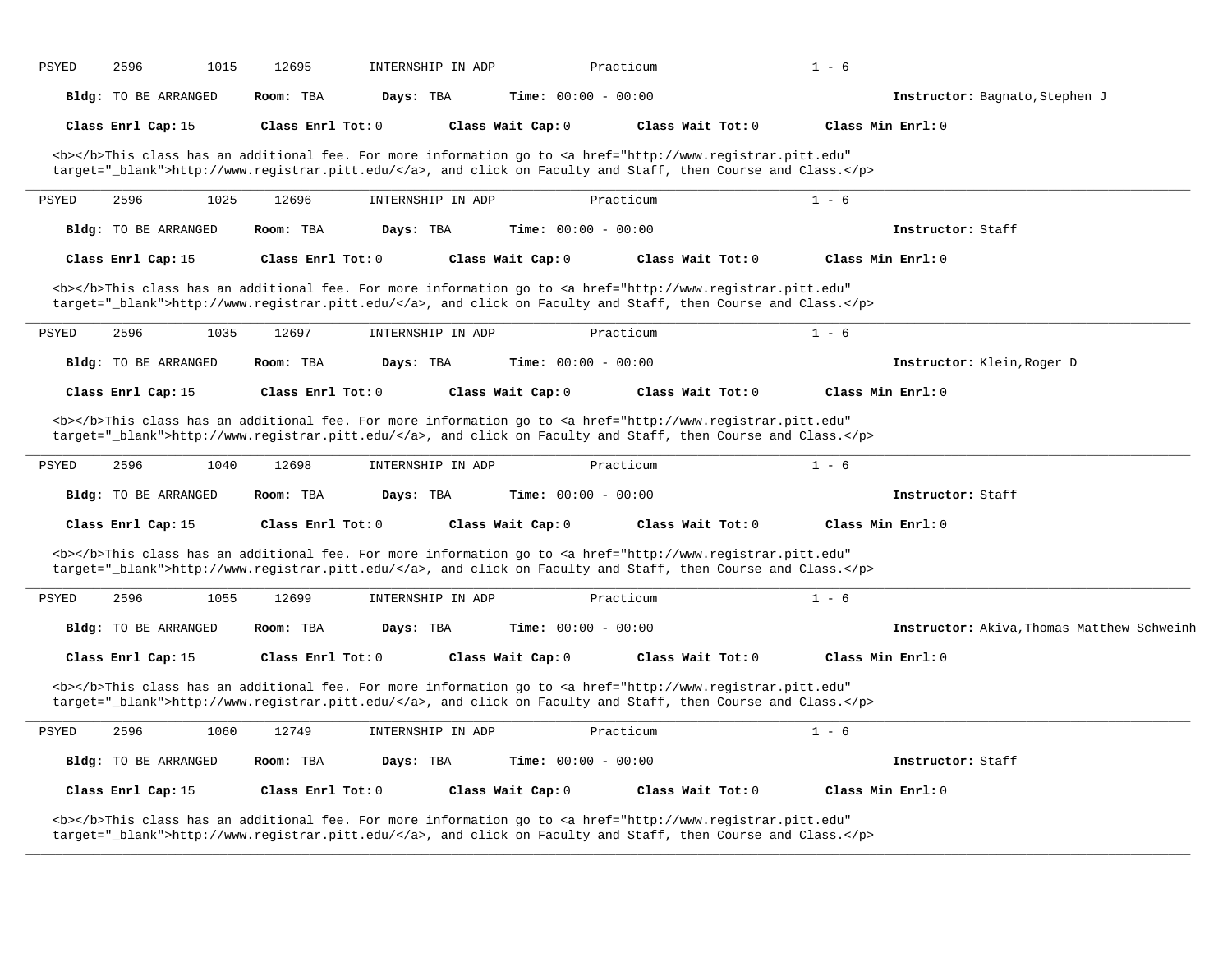| PSYED        | 2596                        | 1015 | 12695               |           | INTERNSHIP IN ADP |                              | Practicum |                                                                                                                                                                                                                                    | $1 - 6$ |                                            |
|--------------|-----------------------------|------|---------------------|-----------|-------------------|------------------------------|-----------|------------------------------------------------------------------------------------------------------------------------------------------------------------------------------------------------------------------------------------|---------|--------------------------------------------|
|              | Bldg: TO BE ARRANGED        |      | Room: TBA           | Days: TBA |                   | Time: $00:00 - 00:00$        |           |                                                                                                                                                                                                                                    |         | Instructor: Bagnato, Stephen J             |
|              | Class Enrl Cap: 15          |      | Class Enrl Tot: 0   |           |                   | Class Wait Cap: 0            |           | Class Wait Tot: 0                                                                                                                                                                                                                  |         | Class Min Enrl: 0                          |
|              |                             |      |                     |           |                   |                              |           | <b></b> This class has an additional fee. For more information go to <a <br="" href="http://www.registrar.pitt.edu">target="_blank"&gt;http://www.registrar.pitt.edu/</a> , and click on Faculty and Staff, then Course and Class. |         |                                            |
| <b>PSYED</b> | 2596                        | 1025 | 12696               |           | INTERNSHIP IN ADP |                              | Practicum |                                                                                                                                                                                                                                    | $1 - 6$ |                                            |
|              | <b>Bldg:</b> TO BE ARRANGED |      | Room: TBA           | Days: TBA |                   | Time: $00:00 - 00:00$        |           |                                                                                                                                                                                                                                    |         | Instructor: Staff                          |
|              | Class Enrl Cap: 15          |      | Class Enrl Tot: 0   |           |                   | Class Wait Cap: 0            |           | Class Wait Tot: 0                                                                                                                                                                                                                  |         | Class Min Enrl: 0                          |
|              |                             |      |                     |           |                   |                              |           | <b></b> This class has an additional fee. For more information go to <a <br="" href="http://www.registrar.pitt.edu">target="_blank"&gt;http://www.registrar.pitt.edu/</a> , and click on Faculty and Staff, then Course and Class. |         |                                            |
| PSYED        | 2596                        | 1035 | 12697               |           | INTERNSHIP IN ADP |                              | Practicum |                                                                                                                                                                                                                                    | $1 - 6$ |                                            |
|              | Bldg: TO BE ARRANGED        |      | Room: TBA           | Days: TBA |                   | Time: $00:00 - 00:00$        |           |                                                                                                                                                                                                                                    |         | Instructor: Klein, Roger D                 |
|              | Class Enrl Cap: 15          |      | Class Enrl Tot: $0$ |           |                   | Class Wait Cap: 0            |           | Class Wait Tot: $0$                                                                                                                                                                                                                |         | Class Min Enrl: 0                          |
|              |                             |      |                     |           |                   |                              |           | <b></b> This class has an additional fee. For more information go to <a <br="" href="http://www.registrar.pitt.edu">target="_blank"&gt;http://www.registrar.pitt.edu/</a> , and click on Faculty and Staff, then Course and Class. |         |                                            |
| <b>PSYED</b> | 2596                        | 1040 | 12698               |           | INTERNSHIP IN ADP |                              | Practicum |                                                                                                                                                                                                                                    | $1 - 6$ |                                            |
|              | Bldg: TO BE ARRANGED        |      | Room: TBA           | Days: TBA |                   | Time: $00:00 - 00:00$        |           |                                                                                                                                                                                                                                    |         | Instructor: Staff                          |
|              | Class Enrl Cap: 15          |      | Class Enrl Tot: 0   |           |                   | Class Wait Cap: 0            |           | Class Wait Tot: 0                                                                                                                                                                                                                  |         | Class Min Enrl: 0                          |
|              |                             |      |                     |           |                   |                              |           | <b></b> This class has an additional fee. For more information go to <a <br="" href="http://www.registrar.pitt.edu">target="_blank"&gt;http://www.registrar.pitt.edu/</a> , and click on Faculty and Staff, then Course and Class. |         |                                            |
| PSYED        | 2596                        | 1055 | 12699               |           | INTERNSHIP IN ADP |                              | Practicum |                                                                                                                                                                                                                                    | $1 - 6$ |                                            |
|              | Bldg: TO BE ARRANGED        |      | Room: TBA           | Days: TBA |                   | <b>Time:</b> $00:00 - 00:00$ |           |                                                                                                                                                                                                                                    |         | Instructor: Akiva, Thomas Matthew Schweinh |
|              | Class Enrl Cap: 15          |      | Class Enrl Tot: $0$ |           |                   | Class Wait Cap: 0            |           | Class Wait Tot: $0$                                                                                                                                                                                                                |         | Class Min Enrl: 0                          |
|              |                             |      |                     |           |                   |                              |           | <b></b> This class has an additional fee. For more information go to <a <br="" href="http://www.registrar.pitt.edu">target="_blank"&gt;http://www.registrar.pitt.edu/</a> , and click on Faculty and Staff, then Course and Class. |         |                                            |
| <b>PSYED</b> | 2596                        | 1060 | 12749               |           | INTERNSHIP IN ADP |                              | Practicum |                                                                                                                                                                                                                                    | $1 - 6$ |                                            |
|              | Bldg: TO BE ARRANGED        |      | Room: TBA           | Days: TBA |                   | <b>Time:</b> $00:00 - 00:00$ |           |                                                                                                                                                                                                                                    |         | Instructor: Staff                          |
|              | Class Enrl Cap: 15          |      | Class Enrl Tot: 0   |           |                   | Class Wait Cap: 0            |           | Class Wait Tot: 0                                                                                                                                                                                                                  |         | Class Min Enrl: 0                          |
|              |                             |      |                     |           |                   |                              |           | <b></b> This class has an additional fee. For more information go to <a <br="" href="http://www.registrar.pitt.edu">target="_blank"&gt;http://www.registrar.pitt.edu/</a> , and click on Faculty and Staff, then Course and Class. |         |                                            |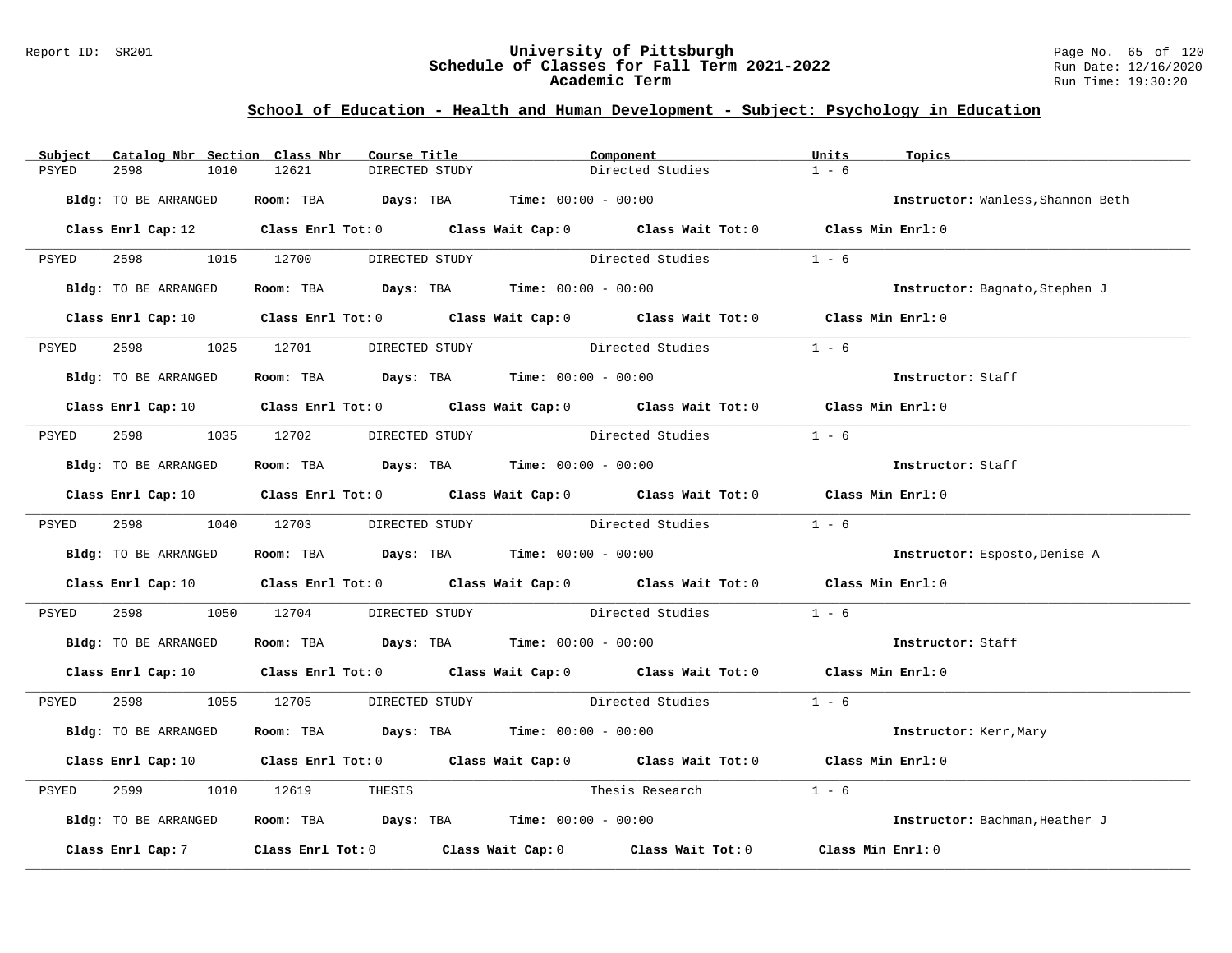### Report ID: SR201 **University of Pittsburgh** Page No. 65 of 120 **Schedule of Classes for Fall Term 2021-2022** Run Date: 12/16/2020 **Academic Term** Run Time: 19:30:20

| Subject | Catalog Nbr Section Class Nbr | Course Title                                                                              | Component                                                                                                                      | Units<br>Topics                   |  |
|---------|-------------------------------|-------------------------------------------------------------------------------------------|--------------------------------------------------------------------------------------------------------------------------------|-----------------------------------|--|
| PSYED   | 2598<br>1010                  | 12621<br>DIRECTED STUDY                                                                   | Directed Studies                                                                                                               | $1 - 6$                           |  |
|         | Bldg: TO BE ARRANGED          | Room: TBA $Days: TBA$ Time: $00:00 - 00:00$                                               |                                                                                                                                | Instructor: Wanless, Shannon Beth |  |
|         |                               |                                                                                           | Class Enrl Cap: 12 Class Enrl Tot: 0 Class Wait Cap: 0 Class Wait Tot: 0 Class Min Enrl: 0                                     |                                   |  |
| PSYED   |                               | 2598 1015 12700 DIRECTED STUDY                                                            | Directed Studies                                                                                                               | $1 - 6$                           |  |
|         | Bldg: TO BE ARRANGED          | Room: TBA $Days:$ TBA $Time: 00:00 - 00:00$                                               |                                                                                                                                | Instructor: Bagnato, Stephen J    |  |
|         |                               |                                                                                           | Class Enrl Cap: 10 Class Enrl Tot: 0 Class Wait Cap: 0 Class Wait Tot: 0 Class Min Enrl: 0                                     |                                   |  |
| PSYED   | 2598 and 2598                 | 1025 12701 DIRECTED STUDY                                                                 | Directed Studies                                                                                                               | $1 - 6$                           |  |
|         | Bldg: TO BE ARRANGED          | Room: TBA $Days:$ TBA $Time: 00:00 - 00:00$                                               |                                                                                                                                | Instructor: Staff                 |  |
|         |                               |                                                                                           | Class Enrl Cap: 10 $\qquad$ Class Enrl Tot: 0 $\qquad$ Class Wait Cap: 0 $\qquad$ Class Wait Tot: 0 $\qquad$ Class Min Enrl: 0 |                                   |  |
| PSYED   |                               | 2598 1035 12702 DIRECTED STUDY                                                            | Directed Studies                                                                                                               | $1 - 6$                           |  |
|         | Bldg: TO BE ARRANGED          | Room: TBA $\rule{1em}{0.15mm}$ Days: TBA Time: $00:00 - 00:00$                            |                                                                                                                                | Instructor: Staff                 |  |
|         |                               |                                                                                           | Class Enrl Cap: 10 $\qquad$ Class Enrl Tot: 0 $\qquad$ Class Wait Cap: 0 $\qquad$ Class Wait Tot: 0 $\qquad$ Class Min Enrl: 0 |                                   |  |
| PSYED   |                               | 2598 1040 12703 DIRECTED STUDY                                                            | Directed Studies                                                                                                               | $1 - 6$                           |  |
|         | Bldg: TO BE ARRANGED          | Room: TBA $\rule{1em}{0.15mm}$ Days: TBA Time: $00:00 - 00:00$                            |                                                                                                                                | Instructor: Esposto, Denise A     |  |
|         |                               |                                                                                           | Class Enrl Cap: 10 $\qquad$ Class Enrl Tot: 0 $\qquad$ Class Wait Cap: 0 $\qquad$ Class Wait Tot: 0 $\qquad$ Class Min Enrl: 0 |                                   |  |
| PSYED   | 2598 and 2598                 | 1050 12704                                                                                | DIRECTED STUDY Directed Studies                                                                                                | $1 - 6$                           |  |
|         | Bldg: TO BE ARRANGED          | Room: TBA $Days:$ TBA $Time: 00:00 - 00:00$                                               |                                                                                                                                | Instructor: Staff                 |  |
|         |                               |                                                                                           | Class Enrl Cap: 10 Class Enrl Tot: 0 Class Wait Cap: 0 Class Wait Tot: 0 Class Min Enrl: 0                                     |                                   |  |
| PSYED   |                               |                                                                                           | 2598 1055 12705 DIRECTED STUDY Directed Studies 1 - 6                                                                          |                                   |  |
|         | Bldg: TO BE ARRANGED          | Room: TBA $Days: TBA$ Time: $00:00 - 00:00$                                               |                                                                                                                                | Instructor: Kerr, Mary            |  |
|         |                               |                                                                                           | Class Enrl Cap: 10 $\qquad$ Class Enrl Tot: 0 $\qquad$ Class Wait Cap: 0 $\qquad$ Class Wait Tot: 0 $\qquad$ Class Min Enrl: 0 |                                   |  |
| PSYED   | 2599                          | 1010 12619<br>THESIS                                                                      | Thesis Research                                                                                                                | $1 - 6$                           |  |
|         | Bldg: TO BE ARRANGED          | Room: TBA $\rule{1em}{0.15mm}$ Days: TBA $\rule{1.15mm}]{0.15mm}$ Time: $0.0100 - 0.0100$ |                                                                                                                                | Instructor: Bachman, Heather J    |  |
|         | Class Enrl Cap: 7             |                                                                                           | Class Enrl Tot: $0$ Class Wait Cap: $0$ Class Wait Tot: $0$                                                                    | Class Min Enrl: 0                 |  |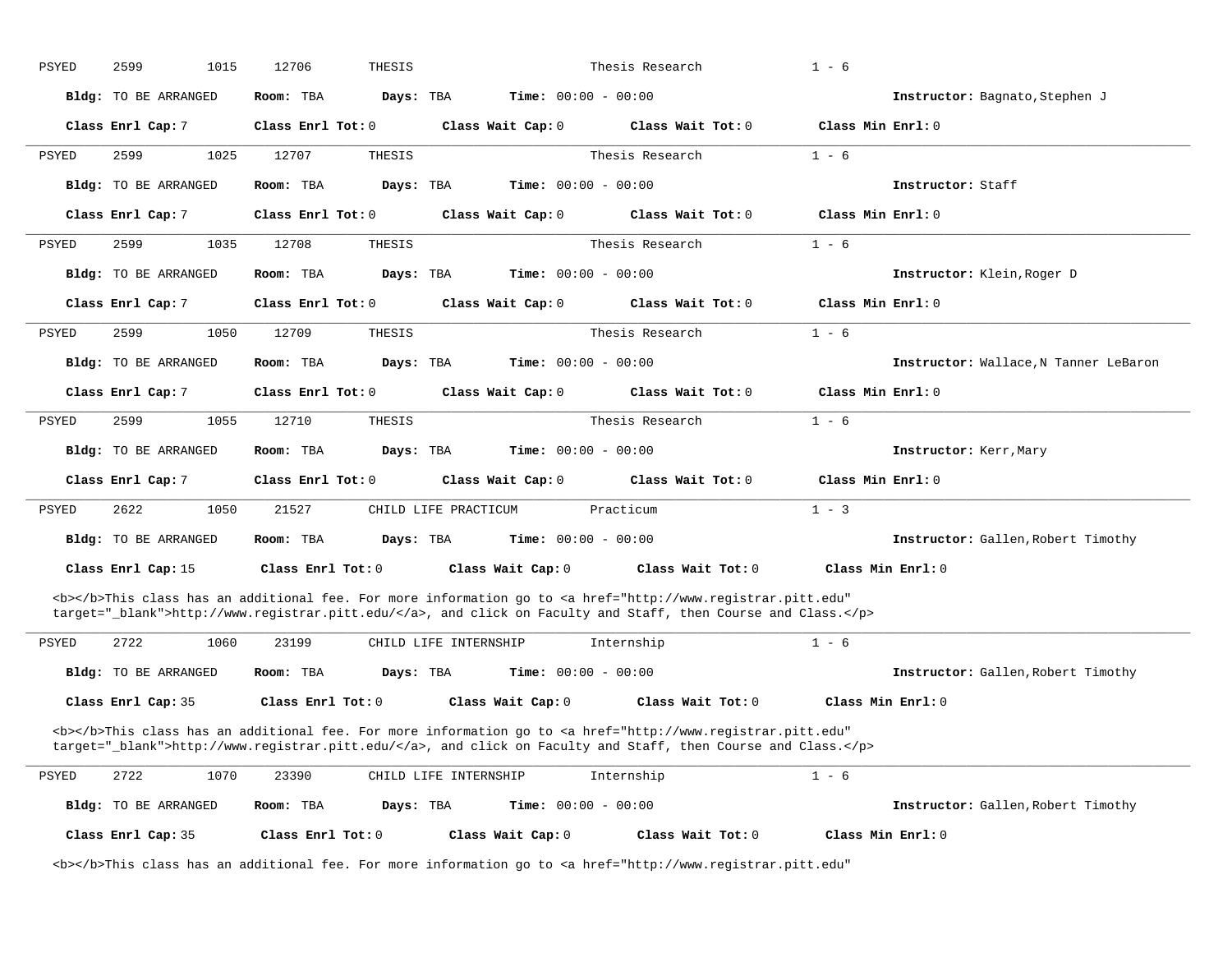| PSYED        | 2599<br>1015                | 12706<br>THESIS        |                                                                                                                                                                                                                                    | Thesis Research   | $1 - 6$                               |
|--------------|-----------------------------|------------------------|------------------------------------------------------------------------------------------------------------------------------------------------------------------------------------------------------------------------------------|-------------------|---------------------------------------|
|              | Bldg: TO BE ARRANGED        | Room: TBA<br>Days: TBA | <b>Time:</b> $00:00 - 00:00$                                                                                                                                                                                                       |                   | Instructor: Bagnato, Stephen J        |
|              | Class Enrl Cap: 7           | Class Enrl Tot: 0      | Class Wait Cap: 0                                                                                                                                                                                                                  | Class Wait Tot: 0 | Class Min Enrl: 0                     |
| <b>PSYED</b> | 2599<br>1025                | 12707<br>THESIS        |                                                                                                                                                                                                                                    | Thesis Research   | $1 - 6$                               |
|              | <b>Bldg:</b> TO BE ARRANGED | Days: TBA<br>Room: TBA | <b>Time:</b> $00:00 - 00:00$                                                                                                                                                                                                       |                   | Instructor: Staff                     |
|              | Class Enrl Cap: 7           | Class Enrl Tot: 0      | Class Wait Cap: 0                                                                                                                                                                                                                  | Class Wait Tot: 0 | Class Min Enrl: 0                     |
| PSYED        | 2599<br>1035                | 12708<br>THESIS        |                                                                                                                                                                                                                                    | Thesis Research   | $1 - 6$                               |
|              | <b>Bldg:</b> TO BE ARRANGED | Room: TBA<br>Days: TBA | Time: $00:00 - 00:00$                                                                                                                                                                                                              |                   | Instructor: Klein, Roger D            |
|              | Class Enrl Cap: 7           | Class $Enr1$ Tot: $0$  | Class Wait Cap: 0                                                                                                                                                                                                                  | Class Wait Tot: 0 | Class Min Enrl: 0                     |
| PSYED        | 2599<br>1050                | 12709<br>THESIS        |                                                                                                                                                                                                                                    | Thesis Research   | $1 - 6$                               |
|              | <b>Bldg:</b> TO BE ARRANGED | Room: TBA<br>Days: TBA | <b>Time:</b> $00:00 - 00:00$                                                                                                                                                                                                       |                   | Instructor: Wallace, N Tanner LeBaron |
|              | Class Enrl Cap: 7           | Class Enrl Tot: 0      | Class Wait Cap: 0                                                                                                                                                                                                                  | Class Wait Tot: 0 | Class Min Enrl: 0                     |
| <b>PSYED</b> | 2599<br>1055                | 12710<br>THESIS        |                                                                                                                                                                                                                                    | Thesis Research   | $1 - 6$                               |
|              | Bldg: TO BE ARRANGED        | Days: TBA<br>Room: TBA | Time: $00:00 - 00:00$                                                                                                                                                                                                              |                   | Instructor: Kerr, Mary                |
|              | Class Enrl Cap: 7           | Class Enrl Tot: 0      | Class Wait Cap: 0                                                                                                                                                                                                                  | Class Wait Tot: 0 | Class Min Enrl: 0                     |
| PSYED        | 2622<br>1050                | 21527                  | CHILD LIFE PRACTICUM                                                                                                                                                                                                               | Practicum         | $1 - 3$                               |
|              | Bldg: TO BE ARRANGED        | Room: TBA<br>Days: TBA | Time: $00:00 - 00:00$                                                                                                                                                                                                              |                   | Instructor: Gallen, Robert Timothy    |
|              | Class Enrl Cap: 15          | Class Enrl Tot: 0      | Class Wait Cap: 0                                                                                                                                                                                                                  | Class Wait Tot: 0 | Class Min Enrl: 0                     |
|              |                             |                        | <b></b> This class has an additional fee. For more information go to <a <br="" href="http://www.registrar.pitt.edu">target="_blank"&gt;http://www.registrar.pitt.edu/</a> , and click on Faculty and Staff, then Course and Class. |                   |                                       |
| PSYED        | 2722<br>1060                | 23199                  | CHILD LIFE INTERNSHIP                                                                                                                                                                                                              | Internship        | $1 - 6$                               |
|              | Bldg: TO BE ARRANGED        | Room: TBA<br>Days: TBA | Time: $00:00 - 00:00$                                                                                                                                                                                                              |                   | Instructor: Gallen, Robert Timothy    |
|              | Class Enrl Cap: 35          | Class Enrl Tot: 0      | Class Wait Cap: 0                                                                                                                                                                                                                  | Class Wait Tot: 0 | Class Min Enrl: 0                     |
|              |                             |                        | <b></b> This class has an additional fee. For more information go to <a <br="" href="http://www.registrar.pitt.edu">target="_blank"&gt;http://www.registrar.pitt.edu/</a> , and click on Faculty and Staff, then Course and Class. |                   |                                       |
| PSYED        | 2722<br>1070                | 23390                  | CHILD LIFE INTERNSHIP                                                                                                                                                                                                              | Internship        | $1 - 6$                               |
|              | <b>Bldg:</b> TO BE ARRANGED | Room: TBA<br>Days: TBA | Time: $00:00 - 00:00$                                                                                                                                                                                                              |                   | Instructor: Gallen, Robert Timothy    |
|              | Class Enrl Cap: 35          | Class Enrl Tot: $0$    | Class Wait Cap: 0                                                                                                                                                                                                                  | Class Wait Tot: 0 | Class Min Enrl: 0                     |

<b></b>This class has an additional fee. For more information go to <a href="http://www.registrar.pitt.edu"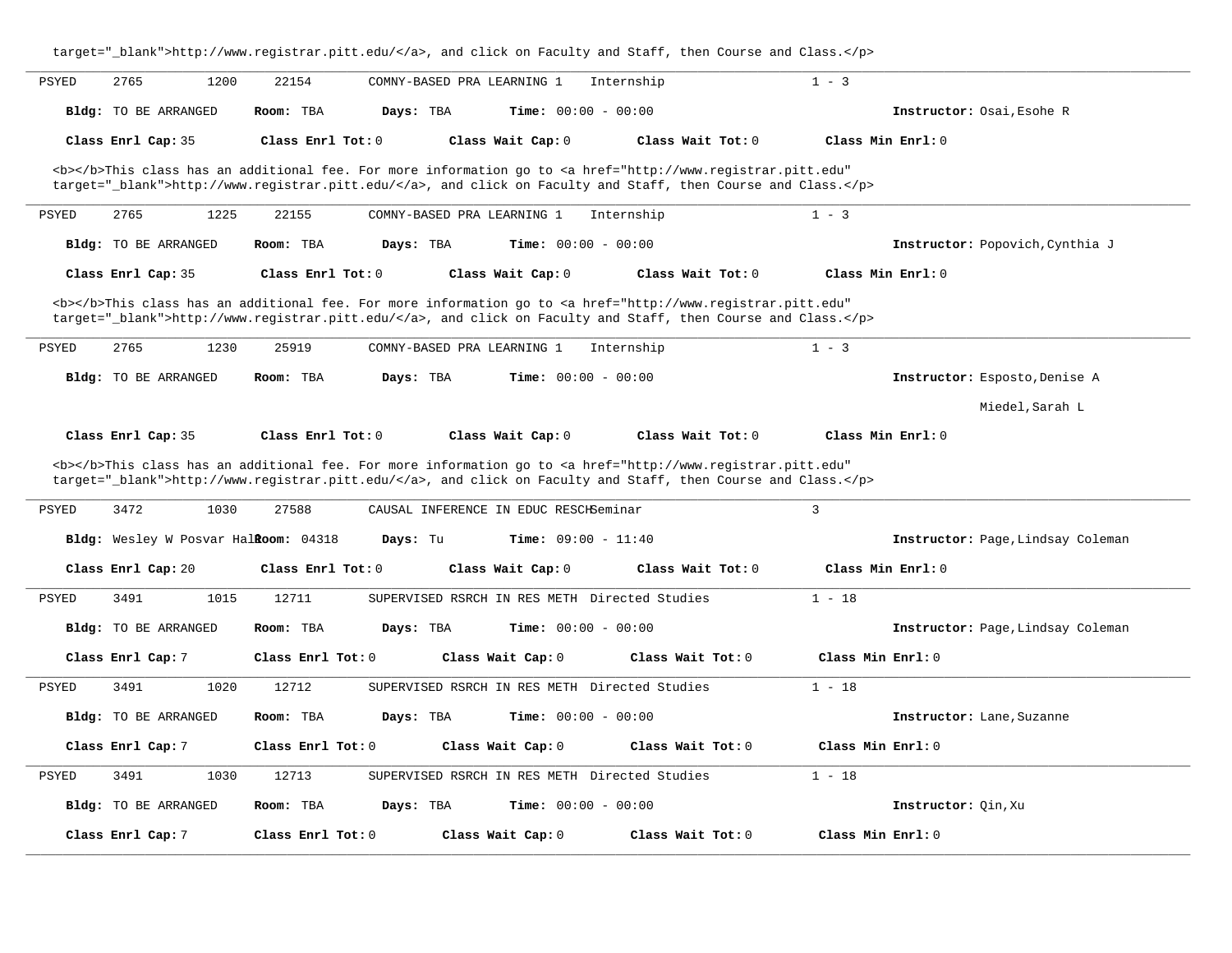| target="_blank">http://www.registrar.pitt.edu/, and click on Faculty and Staff, then Course and Class.                                                                                                                             |                                                                                                                                                                                                                                    |  |  |  |  |  |  |  |  |  |
|------------------------------------------------------------------------------------------------------------------------------------------------------------------------------------------------------------------------------------|------------------------------------------------------------------------------------------------------------------------------------------------------------------------------------------------------------------------------------|--|--|--|--|--|--|--|--|--|
| 2765<br>1200<br>PSYED<br>22154<br>COMNY-BASED PRA LEARNING 1<br>Internship                                                                                                                                                         | $1 - 3$                                                                                                                                                                                                                            |  |  |  |  |  |  |  |  |  |
| Days: TBA<br><b>Time:</b> $00:00 - 00:00$<br><b>Bldg:</b> TO BE ARRANGED<br>Room: TBA                                                                                                                                              | Instructor: Osai, Esohe R                                                                                                                                                                                                          |  |  |  |  |  |  |  |  |  |
| Class Enrl Cap: 35<br>Class Enrl Tot: 0<br>Class Wait Cap: 0<br>Class Wait Tot: 0                                                                                                                                                  | Class Min Enrl: 0                                                                                                                                                                                                                  |  |  |  |  |  |  |  |  |  |
| <b></b> This class has an additional fee. For more information go to <a <br="" href="http://www.registrar.pitt.edu">target="_blank"&gt;http://www.registrar.pitt.edu/</a> , and click on Faculty and Staff, then Course and Class. |                                                                                                                                                                                                                                    |  |  |  |  |  |  |  |  |  |
| 2765<br>1225<br>22155<br>PSYED<br>COMNY-BASED PRA LEARNING 1<br>Internship                                                                                                                                                         | $1 - 3$                                                                                                                                                                                                                            |  |  |  |  |  |  |  |  |  |
| Bldg: TO BE ARRANGED<br>Time: $00:00 - 00:00$<br>Room: TBA<br>Days: TBA                                                                                                                                                            | Instructor: Popovich, Cynthia J                                                                                                                                                                                                    |  |  |  |  |  |  |  |  |  |
| Class Enrl Cap: 35<br>Class Enrl Tot: 0<br>Class Wait Cap: 0<br>Class Wait Tot: 0                                                                                                                                                  | Class Min Enrl: 0                                                                                                                                                                                                                  |  |  |  |  |  |  |  |  |  |
| <b></b> This class has an additional fee. For more information go to <a <br="" href="http://www.registrar.pitt.edu">target="_blank"&gt;http://www.registrar.pitt.edu/</a> , and click on Faculty and Staff, then Course and Class. |                                                                                                                                                                                                                                    |  |  |  |  |  |  |  |  |  |
| 2765<br>1230<br>25919<br>COMNY-BASED PRA LEARNING 1<br>PSYED<br>Internship                                                                                                                                                         | $1 - 3$                                                                                                                                                                                                                            |  |  |  |  |  |  |  |  |  |
| Time: $00:00 - 00:00$<br><b>Bldg:</b> TO BE ARRANGED<br>Room: TBA<br>Days: TBA                                                                                                                                                     | Instructor: Esposto, Denise A                                                                                                                                                                                                      |  |  |  |  |  |  |  |  |  |
|                                                                                                                                                                                                                                    | Miedel, Sarah L                                                                                                                                                                                                                    |  |  |  |  |  |  |  |  |  |
| Class Enrl Cap: 35<br>Class Enrl Tot: 0<br>Class Wait Cap: 0<br>Class Wait Tot: 0                                                                                                                                                  | Class Min Enrl: 0                                                                                                                                                                                                                  |  |  |  |  |  |  |  |  |  |
|                                                                                                                                                                                                                                    | <b></b> This class has an additional fee. For more information go to <a <br="" href="http://www.registrar.pitt.edu">target="_blank"&gt;http://www.registrar.pitt.edu/</a> , and click on Faculty and Staff, then Course and Class. |  |  |  |  |  |  |  |  |  |
|                                                                                                                                                                                                                                    |                                                                                                                                                                                                                                    |  |  |  |  |  |  |  |  |  |
| 3472<br>1030<br>27588<br>PSYED<br>CAUSAL INFERENCE IN EDUC RESCHSeminar                                                                                                                                                            | 3                                                                                                                                                                                                                                  |  |  |  |  |  |  |  |  |  |
| Bldg: Wesley W Posvar HalRoom: 04318<br>Days: Tu<br><b>Time:</b> $09:00 - 11:40$                                                                                                                                                   | Instructor: Page, Lindsay Coleman                                                                                                                                                                                                  |  |  |  |  |  |  |  |  |  |
| Class Enrl Tot: 0<br>Class Wait Cap: 0<br>Class Wait Tot: 0<br>Class Enrl Cap: 20                                                                                                                                                  | Class Min Enrl: 0                                                                                                                                                                                                                  |  |  |  |  |  |  |  |  |  |
| 3491<br>1015<br>12711<br>SUPERVISED RSRCH IN RES METH Directed Studies<br><b>PSYED</b>                                                                                                                                             | $1 - 18$                                                                                                                                                                                                                           |  |  |  |  |  |  |  |  |  |
| <b>Bldg:</b> TO BE ARRANGED<br>Room: TBA<br>Days: TBA<br><b>Time:</b> $00:00 - 00:00$                                                                                                                                              | Instructor: Page, Lindsay Coleman                                                                                                                                                                                                  |  |  |  |  |  |  |  |  |  |
| Class Enrl Cap: 7<br>Class $Enr1$ Tot: $0$<br>Class Wait Cap: 0<br>Class Wait Tot: 0                                                                                                                                               | Class Min Enrl: 0                                                                                                                                                                                                                  |  |  |  |  |  |  |  |  |  |
| 1020<br>12712<br>3491<br>SUPERVISED RSRCH IN RES METH Directed Studies<br>PSYED                                                                                                                                                    | $1 - 18$                                                                                                                                                                                                                           |  |  |  |  |  |  |  |  |  |
| <b>Bldg:</b> TO BE ARRANGED<br>Days: TBA<br><b>Time:</b> $00:00 - 00:00$<br>Room: TBA                                                                                                                                              | Instructor: Lane, Suzanne                                                                                                                                                                                                          |  |  |  |  |  |  |  |  |  |
| Class Enrl Cap: 7<br>Class $Enr1 Tot: 0$<br>Class Wait Cap: 0<br>Class Wait Tot: 0                                                                                                                                                 | Class Min Enrl: 0                                                                                                                                                                                                                  |  |  |  |  |  |  |  |  |  |
| 3491<br>1030<br>12713<br>SUPERVISED RSRCH IN RES METH Directed Studies<br>PSYED                                                                                                                                                    | $1 - 18$                                                                                                                                                                                                                           |  |  |  |  |  |  |  |  |  |
| Time: $00:00 - 00:00$<br><b>Bldg:</b> TO BE ARRANGED<br>Room: TBA<br>Days: TBA                                                                                                                                                     | Instructor: Oin, Xu                                                                                                                                                                                                                |  |  |  |  |  |  |  |  |  |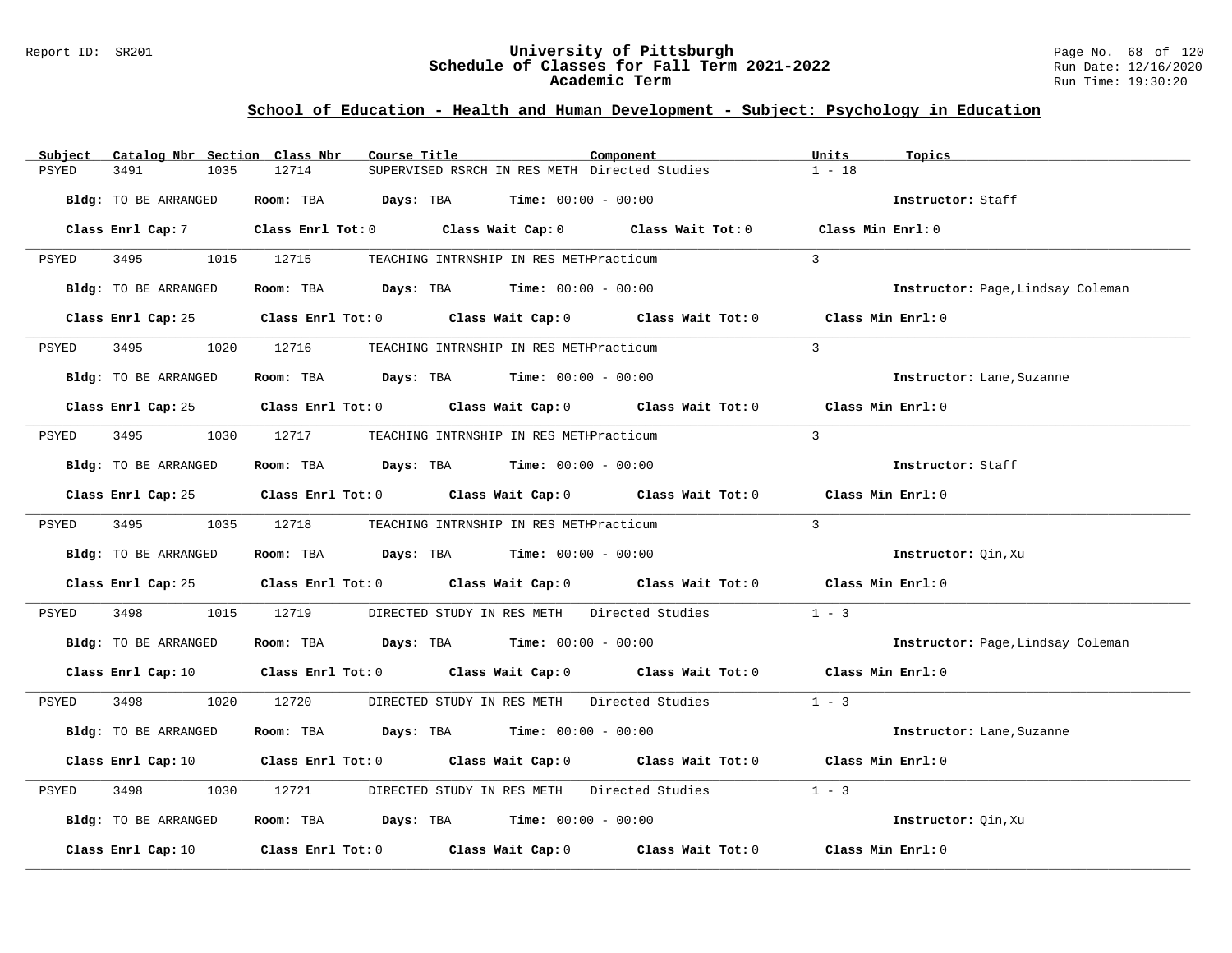### Report ID: SR201 **University of Pittsburgh** Page No. 68 of 120 **Schedule of Classes for Fall Term 2021-2022** Run Date: 12/16/2020 **Academic Term** Run Time: 19:30:20

| Subject              | Catalog Nbr Section Class Nbr | Course Title                                                                                                                   | Component |               | Units<br>Topics                   |
|----------------------|-------------------------------|--------------------------------------------------------------------------------------------------------------------------------|-----------|---------------|-----------------------------------|
| 3491<br>PSYED        | 12714<br>1035                 | SUPERVISED RSRCH IN RES METH Directed Studies                                                                                  |           |               | $1 - 18$                          |
| Bldg: TO BE ARRANGED |                               | Room: TBA $Days:$ TBA $Time: 00:00 - 00:00$                                                                                    |           |               | Instructor: Staff                 |
|                      |                               | Class Enrl Cap: 7 Class Enrl Tot: 0 Class Wait Cap: 0 Class Wait Tot: 0 Class Min Enrl: 0                                      |           |               |                                   |
| PSYED                |                               | 3495 1015 12715 TEACHING INTRNSHIP IN RES METHPracticum                                                                        |           | $\mathcal{L}$ |                                   |
| Bldg: TO BE ARRANGED |                               | Room: TBA $Days:$ TBA $Time: 00:00 - 00:00$                                                                                    |           |               | Instructor: Page, Lindsay Coleman |
|                      |                               | Class Enrl Cap: 25 Class Enrl Tot: 0 Class Wait Cap: 0 Class Wait Tot: 0 Class Min Enrl: 0                                     |           |               |                                   |
| 3495 3495<br>PSYED   |                               | 1020 12716 TEACHING INTRNSHIP IN RES METHPracticum                                                                             |           | $\mathcal{R}$ |                                   |
| Bldg: TO BE ARRANGED |                               | Room: TBA $Days:$ TBA Time: $00:00 - 00:00$                                                                                    |           |               | Instructor: Lane, Suzanne         |
|                      |                               | Class Enrl Cap: 25 Class Enrl Tot: 0 Class Wait Cap: 0 Class Wait Tot: 0 Class Min Enrl: 0                                     |           |               |                                   |
| PSYED                |                               | 3495 1030 12717 TEACHING INTRNSHIP IN RES METHPracticum                                                                        |           | $\mathcal{L}$ |                                   |
| Bldg: TO BE ARRANGED |                               | Room: TBA $Days:$ TBA $Time: 00:00 - 00:00$                                                                                    |           |               | Instructor: Staff                 |
|                      |                               | Class Enrl Cap: 25 Class Enrl Tot: 0 Class Wait Cap: 0 Class Wait Tot: 0 Class Min Enrl: 0                                     |           |               |                                   |
| PSYED                |                               | 3495 1035 12718 TEACHING INTRNSHIP IN RES METHPracticum                                                                        |           | $\mathcal{R}$ |                                   |
| Bldg: TO BE ARRANGED |                               | Room: TBA $Days: TBA$ Time: $00:00 - 00:00$                                                                                    |           |               | Instructor: Qin, Xu               |
|                      |                               | Class Enrl Cap: 25 Class Enrl Tot: 0 Class Wait Cap: 0 Class Wait Tot: 0 Class Min Enrl: 0                                     |           |               |                                   |
| 3498<br>PSYED        |                               | 1015 12719 DIRECTED STUDY IN RES METH Directed Studies                                                                         |           | $1 - 3$       |                                   |
| Bldg: TO BE ARRANGED |                               | Room: TBA $Days:$ TBA $Time: 00:00 - 00:00$                                                                                    |           |               | Instructor: Page, Lindsay Coleman |
|                      |                               | Class Enrl Cap: 10 $\qquad$ Class Enrl Tot: 0 $\qquad$ Class Wait Cap: 0 $\qquad$ Class Wait Tot: 0 $\qquad$ Class Min Enrl: 0 |           |               |                                   |
| PSYED                |                               | 3498 1020 12720 DIRECTED STUDY IN RES METH Directed Studies 1 - 3                                                              |           |               |                                   |
| Bldg: TO BE ARRANGED |                               | Room: TBA $Days:$ TBA $Time: 00:00 - 00:00$                                                                                    |           |               | Instructor: Lane, Suzanne         |
|                      |                               | Class Enrl Cap: 10 $\qquad$ Class Enrl Tot: 0 $\qquad$ Class Wait Cap: 0 $\qquad$ Class Wait Tot: 0 $\qquad$ Class Min Enrl: 0 |           |               |                                   |
| PSYED<br>3498        | 1030                          | 12721 DIRECTED STUDY IN RES METH Directed Studies                                                                              |           | $1 - 3$       |                                   |
| Bldg: TO BE ARRANGED |                               | Room: TBA $Days:$ TBA $Time: 00:00 - 00:00$                                                                                    |           |               | Instructor: Oin, Xu               |
| Class Enrl Cap: 10   |                               | Class Enrl Tot: $0$ Class Wait Cap: $0$ Class Wait Tot: $0$ Class Min Enrl: $0$                                                |           |               |                                   |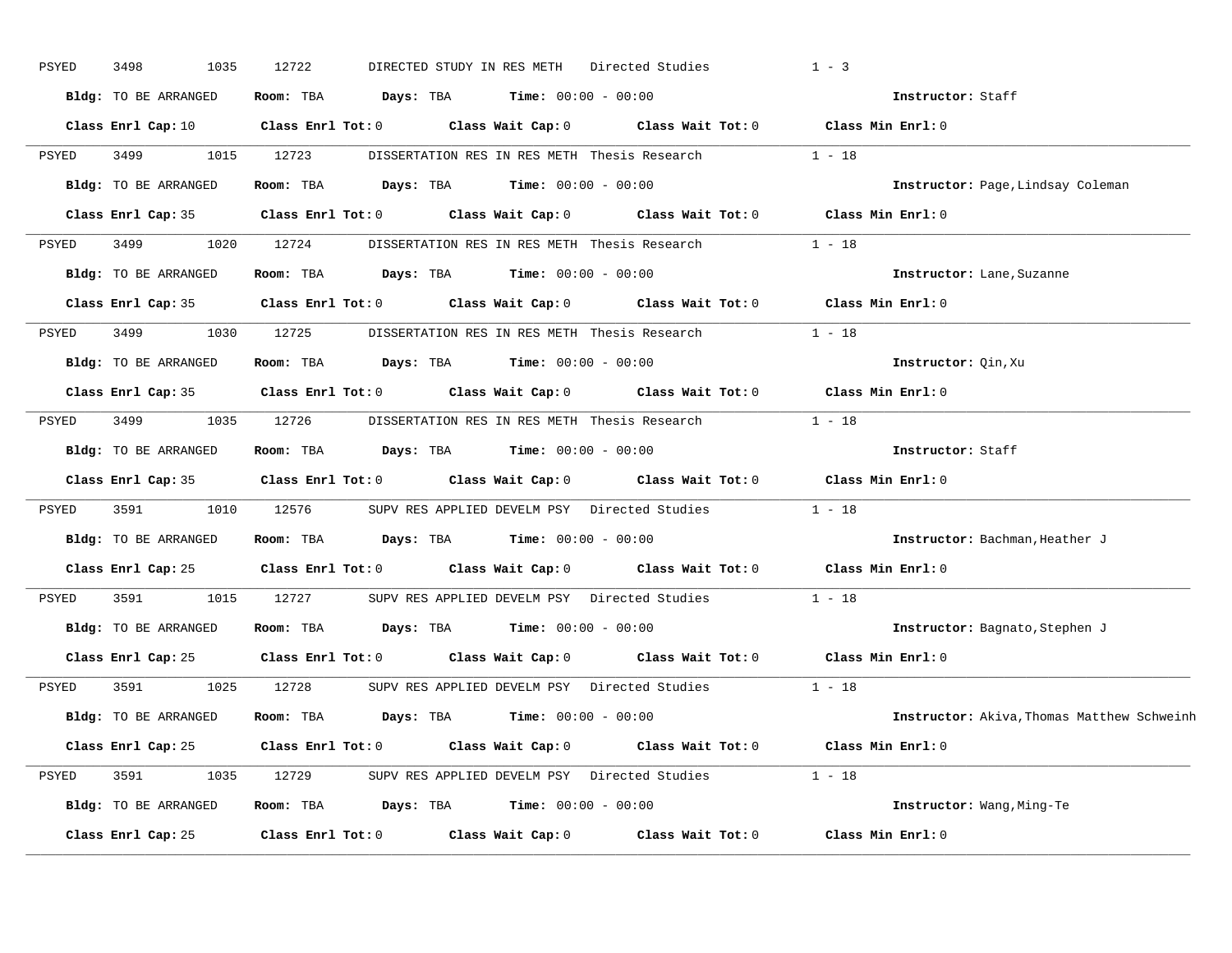| PSYED | 3498<br>1035         | 12722                                                                                               |                   | DIRECTED STUDY IN RES METH Directed Studies         | $1 - 3$                                    |
|-------|----------------------|-----------------------------------------------------------------------------------------------------|-------------------|-----------------------------------------------------|--------------------------------------------|
|       | Bldg: TO BE ARRANGED | Room: TBA $\rule{1em}{0.15mm}$ Days: TBA $\rule{1.15mm}]{0.15mm}$ Time: $0.000 - 0.0000$            |                   |                                                     | Instructor: Staff                          |
|       |                      | Class Enrl Cap: 10 Class Enrl Tot: 0 Class Wait Cap: 0 Class Wait Tot: 0 Class Min Enrl: 0          |                   |                                                     |                                            |
| PSYED | 3499 34              | 1015 12723                                                                                          |                   | DISSERTATION RES IN RES METH Thesis Research        | $1 - 18$                                   |
|       | Bldg: TO BE ARRANGED | Room: TBA $Days:$ TBA $Time: 00:00 - 00:00$                                                         |                   |                                                     | Instructor: Page, Lindsay Coleman          |
|       |                      | Class Enrl Cap: 35 Class Enrl Tot: 0 Class Wait Cap: 0 Class Wait Tot: 0 Class Min Enrl: 0          |                   |                                                     |                                            |
| PSYED | 3499 1020 12724      |                                                                                                     |                   | DISSERTATION RES IN RES METH Thesis Research 1 - 18 |                                            |
|       |                      | Bldg: TO BE ARRANGED Room: TBA Days: TBA Time: 00:00 - 00:00                                        |                   |                                                     | Instructor: Lane, Suzanne                  |
|       |                      | Class Enrl Cap: 35 Class Enrl Tot: 0 Class Wait Cap: 0 Class Wait Tot: 0 Class Min Enrl: 0          |                   |                                                     |                                            |
| PSYED | 3499 1030 12725      |                                                                                                     |                   | DISSERTATION RES IN RES METH Thesis Research        | $1 - 18$                                   |
|       | Bldg: TO BE ARRANGED | Room: TBA $Days:$ TBA $Time: 00:00 - 00:00$                                                         |                   |                                                     | Instructor: Oin, Xu                        |
|       |                      | Class Enrl Cap: 35 Class Enrl Tot: 0 Class Wait Cap: 0 Class Wait Tot: 0 Class Min Enrl: 0          |                   |                                                     |                                            |
| PSYED |                      | 3499 1035 12726 DISSERTATION RES IN RES METH Thesis Research 1 - 18                                 |                   |                                                     |                                            |
|       | Bldg: TO BE ARRANGED | Room: TBA $Days:$ TBA $Time: 00:00 - 00:00$                                                         |                   |                                                     | Instructor: Staff                          |
|       |                      | Class Enrl Cap: 35 Class Enrl Tot: 0 Class Wait Cap: 0 Class Wait Tot: 0 Class Min Enrl: 0          |                   |                                                     |                                            |
| PSYED | 3591                 | 1010 12576 SUPV RES APPLIED DEVELM PSY Directed Studies 1 - 18                                      |                   |                                                     |                                            |
|       | Bldg: TO BE ARRANGED | Room: TBA $Days: TBA$ Time: $00:00 - 00:00$                                                         |                   |                                                     | Instructor: Bachman, Heather J             |
|       |                      | Class Enrl Cap: 25 $\qquad$ Class Enrl Tot: 0 $\qquad$ Class Wait Cap: 0 $\qquad$ Class Wait Tot: 0 |                   |                                                     | Class Min Enrl: 0                          |
| PSYED | 3591<br>1015         | 12727                                                                                               |                   | SUPV RES APPLIED DEVELM PSY Directed Studies 1 - 18 |                                            |
|       | Bldg: TO BE ARRANGED | Room: TBA $Days:$ TBA $Time: 00:00 - 00:00$                                                         |                   |                                                     | Instructor: Bagnato, Stephen J             |
|       |                      | Class Enrl Cap: 25 (Class Enrl Tot: 0 ) (Class Wait Cap: 0 ) (Class Wait Tot: 0                     |                   |                                                     | Class Min Enrl: 0                          |
| PSYED | 3591                 | 1025 12728                                                                                          |                   | SUPV RES APPLIED DEVELM PSY Directed Studies        | $1 - 18$                                   |
|       | Bldg: TO BE ARRANGED | Room: TBA $Days:$ TBA $Time: 00:00 - 00:00$                                                         |                   |                                                     | Instructor: Akiva, Thomas Matthew Schweinh |
|       |                      | Class Enrl Cap: 25 Class Enrl Tot: 0 Class Wait Cap: 0 Class Wait Tot: 0 Class Min Enrl: 0          |                   |                                                     |                                            |
| PSYED |                      | 3591 1035 12729 SUPV RES APPLIED DEVELM PSY Directed Studies 1 - 18                                 |                   |                                                     |                                            |
|       | Bldg: TO BE ARRANGED | Room: TBA $Days:$ TBA $Time: 00:00 - 00:00$                                                         |                   |                                                     | Instructor: Wang, Ming-Te                  |
|       | Class Enrl Cap: 25   | Class Enrl Tot: 0                                                                                   | Class Wait Cap: 0 | Class Wait Tot: 0                                   | Class Min Enrl: 0                          |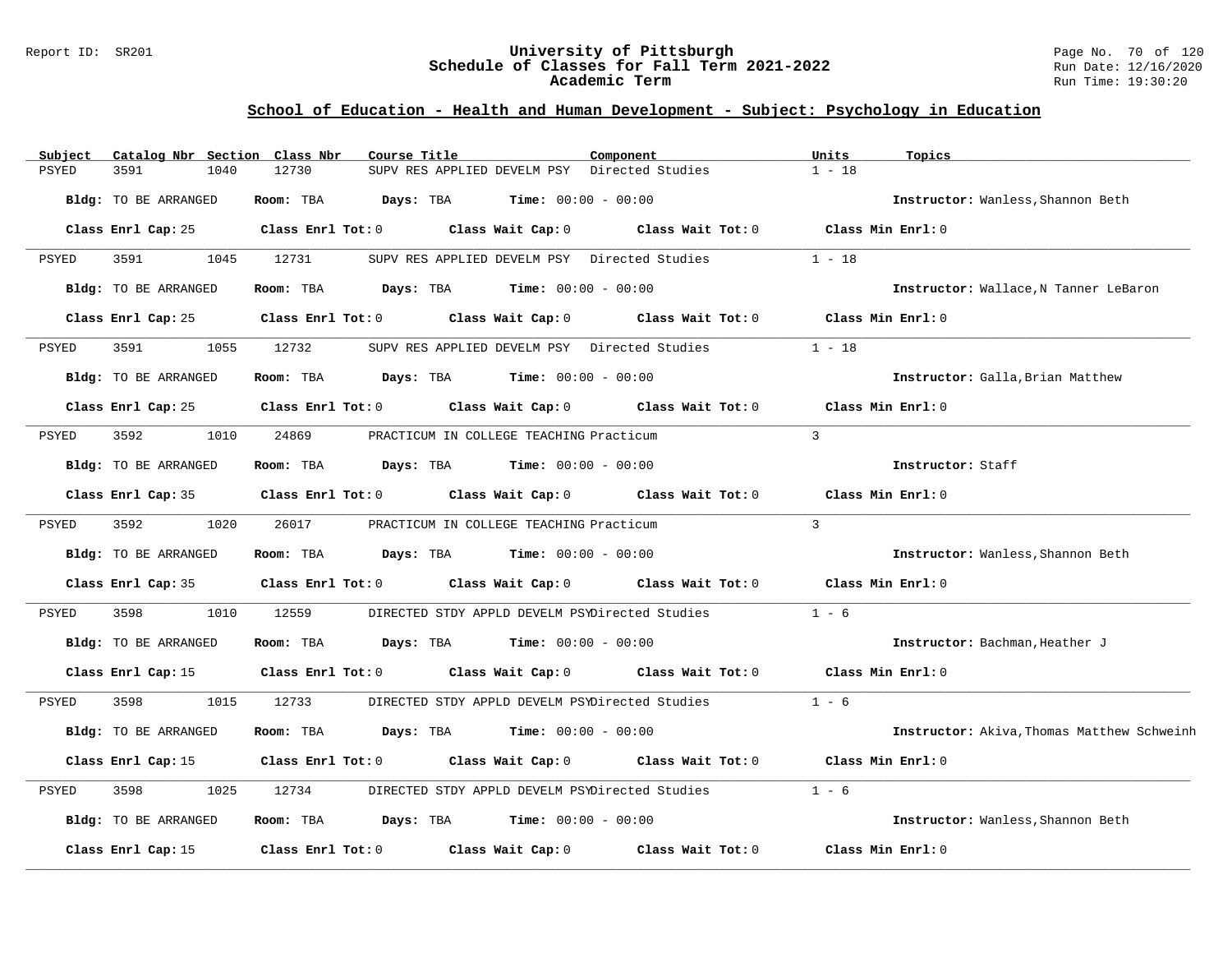### Report ID: SR201 **University of Pittsburgh** Page No. 70 of 120 **Schedule of Classes for Fall Term 2021-2022** Run Date: 12/16/2020 **Academic Term** Run Time: 19:30:20

| Subject      | Catalog Nbr Section Class Nbr | Course Title                        |                                                      | Component                                             | Units             | Topics                                     |
|--------------|-------------------------------|-------------------------------------|------------------------------------------------------|-------------------------------------------------------|-------------------|--------------------------------------------|
| <b>PSYED</b> | 3591<br>1040                  | 12730                               | SUPV RES APPLIED DEVELM PSY Directed Studies         |                                                       | $1 - 18$          |                                            |
|              | Bldg: TO BE ARRANGED          | Room: TBA<br>Days: TBA              | $Time: 00:00 - 00:00$                                |                                                       |                   | Instructor: Wanless, Shannon Beth          |
|              | Class Enrl Cap: 25            | Class Enrl Tot: 0 Class Wait Cap: 0 |                                                      | Class Wait Tot: $0$ Class Min Enrl: $0$               |                   |                                            |
| PSYED        | 3591<br>1045                  | 12731                               | SUPV RES APPLIED DEVELM PSY Directed Studies         |                                                       | $1 - 18$          |                                            |
|              | Bldg: TO BE ARRANGED          | Room: TBA                           | $\texttt{Days:}$ TBA $\texttt{Time:}$ 00:00 - 00:00  |                                                       |                   | Instructor: Wallace, N Tanner LeBaron      |
|              | Class Enrl Cap: 25            | Class Enrl Tot: 0                   | Class Wait Cap: 0                                    | Class Wait Tot: 0                                     | Class Min Enrl: 0 |                                            |
| PSYED        | 3591<br>1055                  | 12732                               | SUPV RES APPLIED DEVELM PSY Directed Studies         |                                                       | $1 - 18$          |                                            |
|              | Bldg: TO BE ARRANGED          | Room: TBA                           | $\texttt{Davis:}$ TBA $\texttt{Time:}$ 00:00 - 00:00 |                                                       |                   | Instructor: Galla, Brian Matthew           |
|              | Class Enrl Cap: 25            |                                     |                                                      | Class Enrl Tot: 0 Class Wait Cap: 0 Class Wait Tot: 0 | Class Min Enrl: 0 |                                            |
| PSYED        | 3592<br>1010                  | 24869                               | PRACTICUM IN COLLEGE TEACHING Practicum              |                                                       | $\overline{3}$    |                                            |
|              | Bldg: TO BE ARRANGED          | Room: TBA                           | <b>Days:</b> TBA <b>Time:</b> $00:00 - 00:00$        |                                                       |                   | Instructor: Staff                          |
|              | Class Enrl Cap: 35            | $Class$ $Enrl$ $Tot: 0$             |                                                      | Class Wait Cap: $0$ Class Wait Tot: $0$               | Class Min Enrl: 0 |                                            |
| PSYED        | 3592<br>1020                  | 26017                               | PRACTICUM IN COLLEGE TEACHING Practicum              |                                                       | $\overline{3}$    |                                            |
|              | Bldg: TO BE ARRANGED          | Room: TBA                           | $\texttt{Davis:}$ TBA $\texttt{Time:}$ 00:00 - 00:00 |                                                       |                   | Instructor: Wanless, Shannon Beth          |
|              | Class Enrl Cap: 35            |                                     |                                                      | Class Enrl Tot: 0 Class Wait Cap: 0 Class Wait Tot: 0 | Class Min Enrl: 0 |                                            |
| PSYED        | 3598<br>1010                  | 12559                               | DIRECTED STDY APPLD DEVELM PSYDirected Studies       |                                                       | $1 - 6$           |                                            |
|              | Bldg: TO BE ARRANGED          | Room: TBA                           | <b>Days:</b> TBA <b>Time:</b> $00:00 - 00:00$        |                                                       |                   | Instructor: Bachman, Heather J             |
|              | Class Enrl Cap: 15            | Class Enrl Tot: 0                   |                                                      | Class Wait Cap: $0$ Class Wait Tot: $0$               | Class Min Enrl: 0 |                                            |
| PSYED        | 3598<br>1015                  | 12733                               | DIRECTED STDY APPLD DEVELM PSYDirected Studies       |                                                       | $1 - 6$           |                                            |
|              | Bldg: TO BE ARRANGED          | Room: TBA<br>Days: TBA              | $Time: 00:00 - 00:00$                                |                                                       |                   | Instructor: Akiva, Thomas Matthew Schweinh |
|              | Class Enrl Cap: 15            | Class Enrl Tot: 0                   |                                                      | Class Wait Cap: $0$ Class Wait Tot: $0$               | Class Min Enrl: 0 |                                            |
| PSYED        | 3598<br>1025                  | 12734                               | DIRECTED STDY APPLD DEVELM PSYDirected Studies       |                                                       | $1 - 6$           |                                            |
|              | Bldg: TO BE ARRANGED          | Room: TBA                           | <b>Days:</b> TBA <b>Time:</b> $00:00 - 00:00$        |                                                       |                   | Instructor: Wanless, Shannon Beth          |
|              | Class Enrl Cap: 15            | Class Enrl Tot: 0                   | Class Wait Cap: 0                                    | Class Wait Tot: 0                                     | Class Min Enrl: 0 |                                            |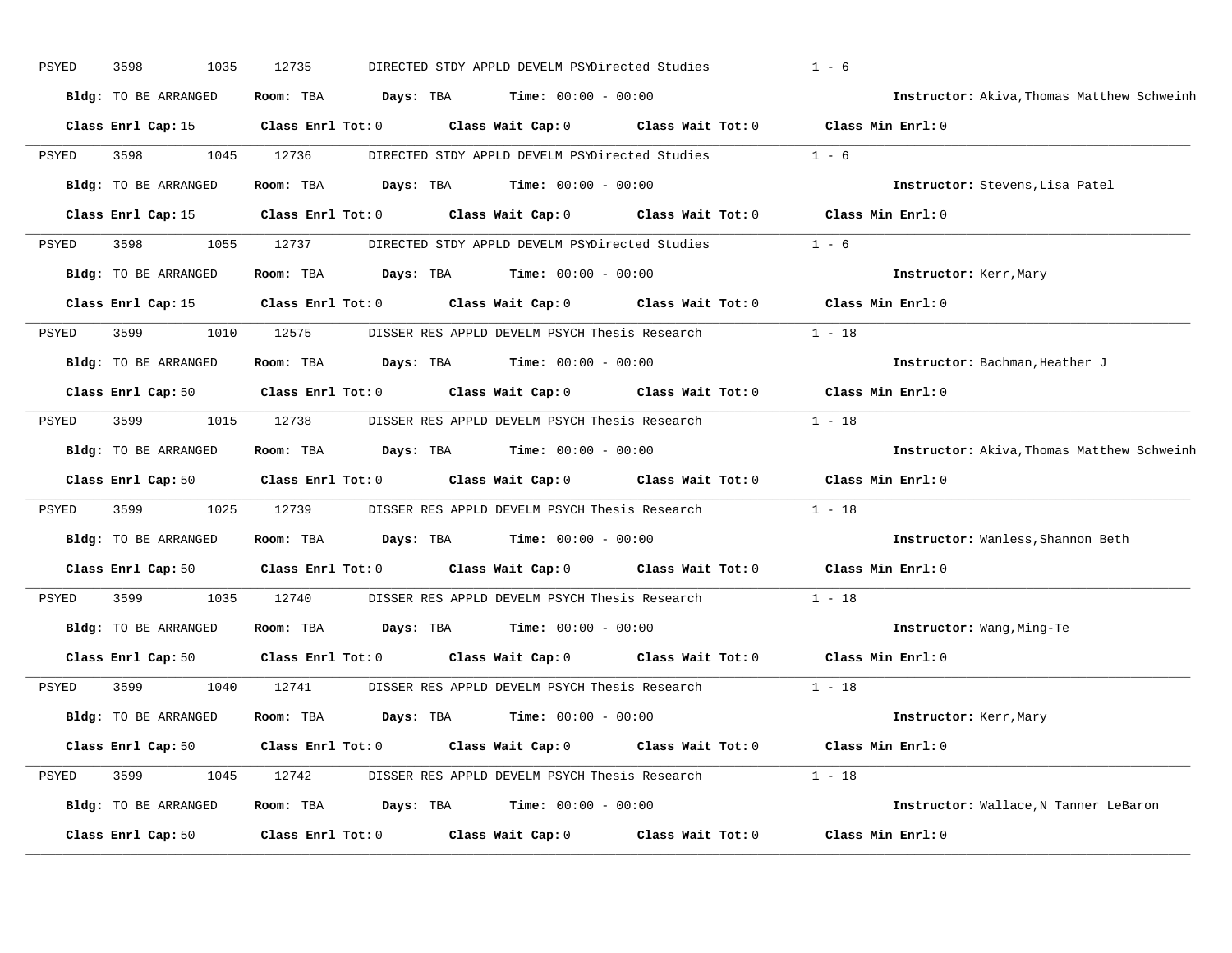| PSYED        | 3598<br>1035         | 12735                   |           | DIRECTED STDY APPLD DEVELM PSYDirected Studies       |                                                                          | $1 - 6$                                    |
|--------------|----------------------|-------------------------|-----------|------------------------------------------------------|--------------------------------------------------------------------------|--------------------------------------------|
|              | Bldg: TO BE ARRANGED | Room: TBA               | Days: TBA | <b>Time:</b> $00:00 - 00:00$                         |                                                                          | Instructor: Akiva, Thomas Matthew Schweinh |
|              | Class Enrl Cap: 15   | $Class$ $Enr1$ $Tot: 0$ |           |                                                      | Class Wait Cap: 0 Class Wait Tot: 0 Class Min Enrl: 0                    |                                            |
| PSYED        | 3598<br>1045         | 12736                   |           |                                                      | DIRECTED STDY APPLD DEVELM PSYDirected Studies                           | $1 - 6$                                    |
|              | Bldg: TO BE ARRANGED | Room: TBA               | Days: TBA | <b>Time:</b> $00:00 - 00:00$                         |                                                                          | Instructor: Stevens, Lisa Patel            |
|              | Class Enrl Cap: 15   | Class Enrl Tot: 0       |           |                                                      | Class Wait Cap: 0 Class Wait Tot: 0                                      | Class Min Enrl: 0                          |
| PSYED        | 3598<br>1055         | 12737                   |           |                                                      | DIRECTED STDY APPLD DEVELM PSYDirected Studies 1 - 6                     |                                            |
|              | Bldg: TO BE ARRANGED | Room: TBA               |           | $Days: TBA$ $Time: 00:00 - 00:00$                    |                                                                          | Instructor: Kerr, Mary                     |
|              | Class Enrl Cap: 15   | $Class$ $Enrl$ $Tot: 0$ |           |                                                      | Class Wait Cap: 0 Class Wait Tot: 0 Class Min Enrl: 0                    |                                            |
| PSYED        | 3599<br>1010         | 12575                   |           |                                                      | DISSER RES APPLD DEVELM PSYCH Thesis Research                            | $1 - 18$                                   |
|              | Bldg: TO BE ARRANGED | Room: TBA               |           | <b>Days:</b> TBA <b>Time:</b> $00:00 - 00:00$        |                                                                          | Instructor: Bachman, Heather J             |
|              | Class Enrl Cap: 50   | $Class$ $Enrl$ $Tot: 0$ |           |                                                      | Class Wait Cap: 0 Class Wait Tot: 0                                      | Class Min Enrl: 0                          |
| PSYED        | 3599<br>1015         | 12738                   |           |                                                      | DISSER RES APPLD DEVELM PSYCH Thesis Research                            | $1 - 18$                                   |
|              | Bldg: TO BE ARRANGED | Room: TBA               |           | $\texttt{Davis:}$ TBA $\texttt{Time:}$ 00:00 - 00:00 |                                                                          | Instructor: Akiva, Thomas Matthew Schweinh |
|              | Class Enrl Cap: 50   | Class Enrl Tot: 0       |           |                                                      | Class Wait Cap: 0 Class Wait Tot: 0                                      | Class Min Enrl: 0                          |
| PSYED        | 3599<br>1025         | 12739                   |           | DISSER RES APPLD DEVELM PSYCH Thesis Research        |                                                                          | $1 - 18$                                   |
|              | Bldg: TO BE ARRANGED | Room: TBA               |           | <b>Days:</b> TBA <b>Time:</b> $00:00 - 00:00$        |                                                                          | Instructor: Wanless, Shannon Beth          |
|              |                      |                         |           |                                                      | Class Enrl Cap: 50 Class Enrl Tot: 0 Class Wait Cap: 0 Class Wait Tot: 0 | Class Min Enrl: 0                          |
| PSYED        | 3599<br>1035         | 12740                   |           |                                                      | DISSER RES APPLD DEVELM PSYCH Thesis Research                            | $1 - 18$                                   |
|              | Bldg: TO BE ARRANGED | Room: TBA               |           | <b>Days:</b> TBA <b>Time:</b> $00:00 - 00:00$        |                                                                          | Instructor: Wang, Ming-Te                  |
|              | Class Enrl Cap: 50   | Class Enrl Tot: 0       |           |                                                      | Class Wait Cap: 0 Class Wait Tot: 0                                      | Class Min Enrl: 0                          |
| <b>PSYED</b> | 3599<br>1040         | 12741                   |           |                                                      | DISSER RES APPLD DEVELM PSYCH Thesis Research                            | $1 - 18$                                   |
|              | Bldg: TO BE ARRANGED | Room: TBA               |           | <b>Days:</b> TBA <b>Time:</b> $00:00 - 00:00$        |                                                                          | Instructor: Kerr, Mary                     |
|              | Class Enrl Cap: 50   | $Class$ $Enr1$ $Tot: 0$ |           |                                                      | Class Wait Cap: 0 Class Wait Tot: 0 Class Min Enrl: 0                    |                                            |
| PSYED        | 3599<br>1045         | 12742                   |           |                                                      | DISSER RES APPLD DEVELM PSYCH Thesis Research 1 - 18                     |                                            |
|              | Bldg: TO BE ARRANGED | Room: TBA               |           | <b>Days:</b> TBA <b>Time:</b> $00:00 - 00:00$        |                                                                          | Instructor: Wallace, N Tanner LeBaron      |
|              | Class Enrl Cap: 50   | Class Enrl Tot: 0       |           | Class Wait Cap: 0                                    | Class Wait Tot: 0                                                        | Class Min Enrl: 0                          |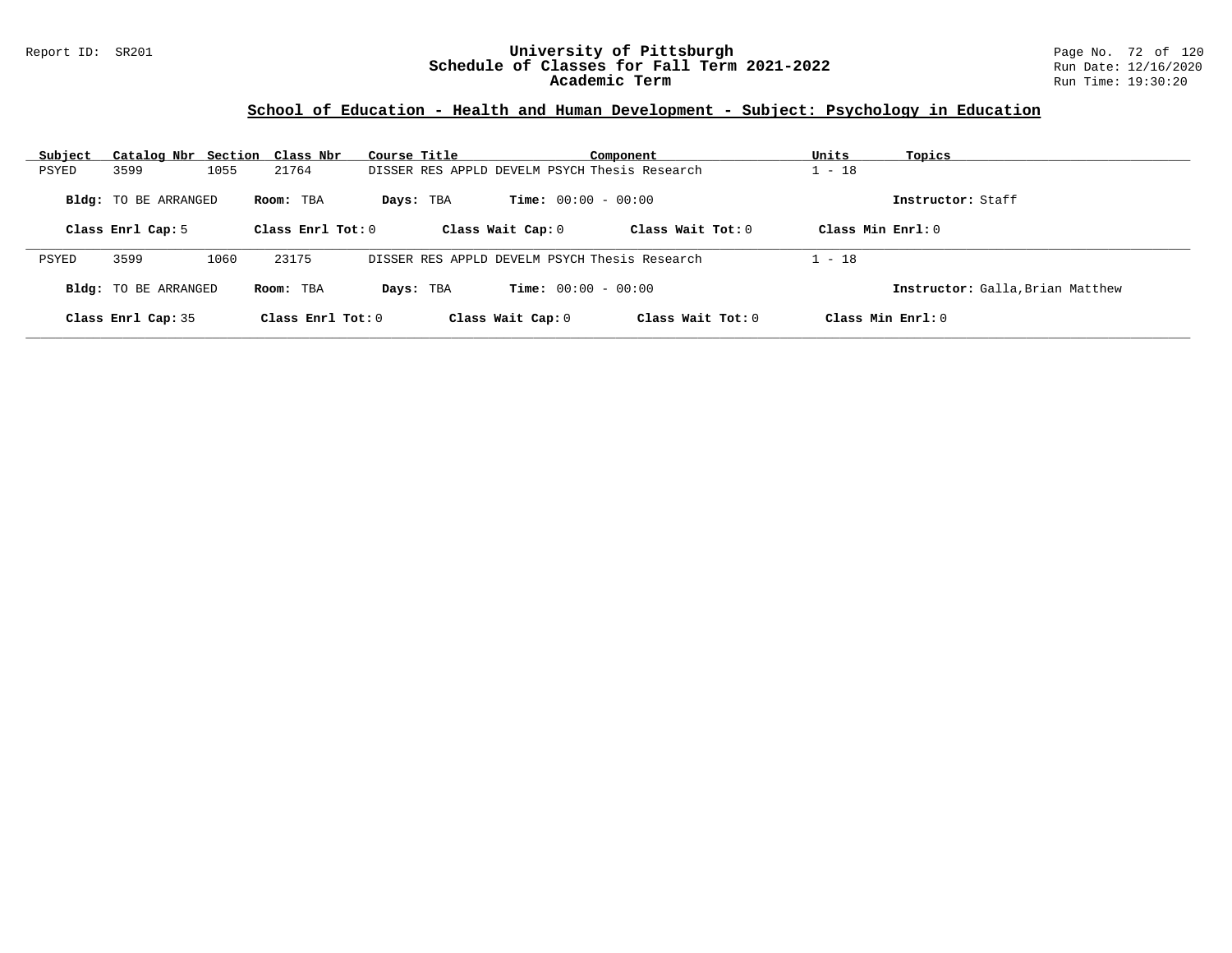### Report ID: SR201 **University of Pittsburgh** Page No. 72 of 120 **Schedule of Classes for Fall Term 2021-2022** Run Date: 12/16/2020 **Academic Term** Run Time: 19:30:20

| Subject | Catalog Nbr Section Class Nbr |      |                   | Course Title |                                               | Component           | Units                | Topics                           |
|---------|-------------------------------|------|-------------------|--------------|-----------------------------------------------|---------------------|----------------------|----------------------------------|
| PSYED   | 3599                          | 1055 | 21764             |              | DISSER RES APPLD DEVELM PSYCH Thesis Research |                     | $1 - 18$             |                                  |
|         | <b>Bldg:</b> TO BE ARRANGED   |      | Room: TBA         | Days: TBA    | <b>Time:</b> $00:00 - 00:00$                  |                     |                      | Instructor: Staff                |
|         | Class Enrl Cap: 5             |      | Class Enrl Tot: 0 |              | Class Wait Cap: 0                             | Class Wait Tot: 0   | Class Min Enrl: 0    |                                  |
| PSYED   | 3599                          | 1060 | 23175             |              | DISSER RES APPLD DEVELM PSYCH Thesis Research |                     | $1 - 18$             |                                  |
|         | <b>Bldg:</b> TO BE ARRANGED   |      | Room: TBA         | Days: TBA    | <b>Time:</b> $00:00 - 00:00$                  |                     |                      | Instructor: Galla, Brian Matthew |
|         | Class Enrl Cap: 35            |      | Class Enrl Tot: 0 |              | Class Wait Cap: 0                             | Class Wait $Tot: 0$ | $Class Min Ernst: 0$ |                                  |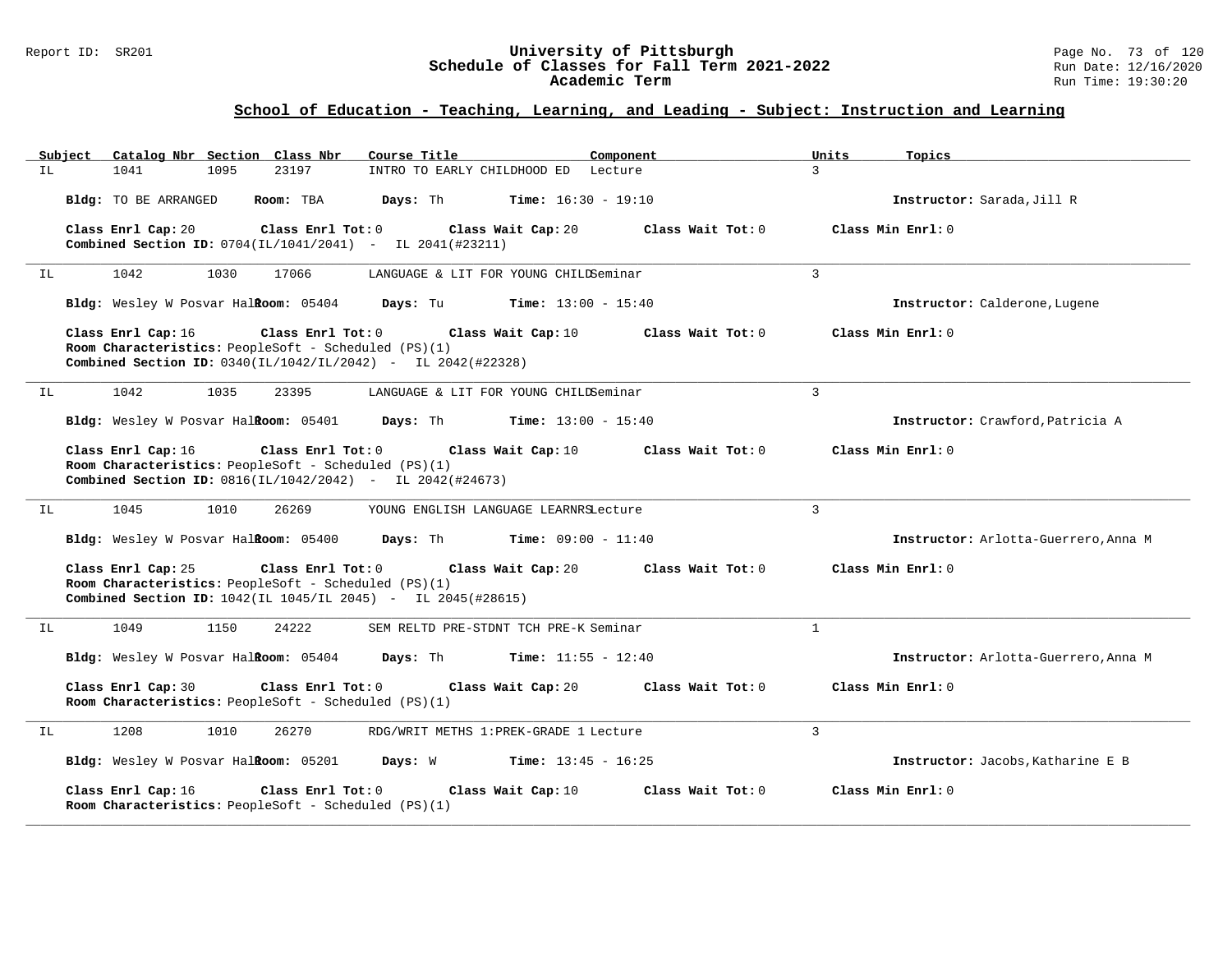### Report ID: SR201 **University of Pittsburgh** Page No. 73 of 120 **Schedule of Classes for Fall Term 2021-2022** Run Date: 12/16/2020 **Academic Term** Run Time: 19:30:20

| Subiect | Catalog Nbr Section Class Nbr                                                                                                                                                | Course Title                           | Component                    | Units          | Topics                               |
|---------|------------------------------------------------------------------------------------------------------------------------------------------------------------------------------|----------------------------------------|------------------------------|----------------|--------------------------------------|
| IL.     | 1041<br>1095<br>23197                                                                                                                                                        | INTRO TO EARLY CHILDHOOD ED Lecture    |                              | $\mathcal{L}$  |                                      |
|         | Bldg: TO BE ARRANGED<br>Room: TBA                                                                                                                                            | Days: Th                               | <b>Time:</b> $16:30 - 19:10$ |                | Instructor: Sarada, Jill R           |
|         | Class Enrl Cap: 20<br>Class Enrl Tot: 0<br>Combined Section ID: 0704(IL/1041/2041) - IL 2041(#23211)                                                                         | Class Wait Cap: 20                     | Class Wait Tot: 0            |                | Class Min $Enr1: 0$                  |
| IL      | 1042<br>1030<br>17066                                                                                                                                                        | LANGUAGE & LIT FOR YOUNG CHILDSeminar  |                              | $\overline{3}$ |                                      |
|         | Bldg: Wesley W Posvar Halkoom: 05404                                                                                                                                         | Days: Tu                               | <b>Time:</b> $13:00 - 15:40$ |                | Instructor: Calderone, Lugene        |
|         | Class Enrl Cap: 16<br>Class Enrl Tot: 0<br>Room Characteristics: PeopleSoft - Scheduled (PS)(1)<br><b>Combined Section ID:</b> $0340(L1/1042/L1/2042)$ - IL $2042(#22328)$   | Class Wait Cap: 10                     | Class Wait Tot: 0            |                | Class Min Enrl: 0                    |
| IL      | 1042<br>1035<br>23395                                                                                                                                                        | LANGUAGE & LIT FOR YOUNG CHILDSeminar  |                              | $\mathbf{3}$   |                                      |
|         | Bldg: Wesley W Posvar Halkoom: 05401                                                                                                                                         | Days: Th                               | <b>Time:</b> $13:00 - 15:40$ |                | Instructor: Crawford, Patricia A     |
|         | Class Enrl Cap: 16<br>Class Enrl Tot: 0<br>Room Characteristics: PeopleSoft - Scheduled (PS)(1)<br><b>Combined Section ID:</b> $0816(IL/1042/2042)$ - IL $2042(#24673)$      | Class Wait Cap: 10                     | Class Wait Tot: 0            |                | Class Min Enrl: 0                    |
| ΙL      | 26269<br>1045<br>1010                                                                                                                                                        | YOUNG ENGLISH LANGUAGE LEARNRSLecture  |                              | $\overline{3}$ |                                      |
|         | Bldg: Wesley W Posvar Halkoom: 05400                                                                                                                                         | Days: Th                               | $Time: 09:00 - 11:40$        |                | Instructor: Arlotta-Guerrero, Anna M |
|         | Class Enrl Cap: 25<br>Class Enrl Tot: 0<br>Room Characteristics: PeopleSoft - Scheduled (PS)(1)<br><b>Combined Section ID:</b> $1042$ (IL $1045$ /IL 2045) - IL 2045(#28615) | Class Wait Cap: 20                     | Class Wait Tot: 0            |                | Class Min Enrl: 0                    |
| IL      | 1049<br>1150<br>24222                                                                                                                                                        | SEM RELTD PRE-STDNT TCH PRE-K Seminar  |                              | $\mathbf{1}$   |                                      |
|         | Bldg: Wesley W Posvar Halkoom: 05404                                                                                                                                         | Days: Th                               | <b>Time:</b> $11:55 - 12:40$ |                | Instructor: Arlotta-Guerrero, Anna M |
|         | Class Enrl Cap: 30<br>Class Enrl Tot: 0<br>Room Characteristics: PeopleSoft - Scheduled (PS)(1)                                                                              | Class Wait Cap: 20                     | Class Wait Tot: 0            |                | Class Min Enrl: 0                    |
| IL      | 1208<br>1010<br>26270                                                                                                                                                        | RDG/WRIT METHS 1: PREK-GRADE 1 Lecture |                              | 3              |                                      |
|         | Bldg: Wesley W Posvar Halkoom: 05201                                                                                                                                         | Days: W                                | <b>Time:</b> $13:45 - 16:25$ |                | Instructor: Jacobs, Katharine E B    |
|         | Class Enrl Cap: 16<br>Class Enrl Tot: 0<br>Room Characteristics: PeopleSoft - Scheduled (PS)(1)                                                                              | Class Wait Cap: 10                     | Class Wait Tot: 0            |                | Class Min Enrl: 0                    |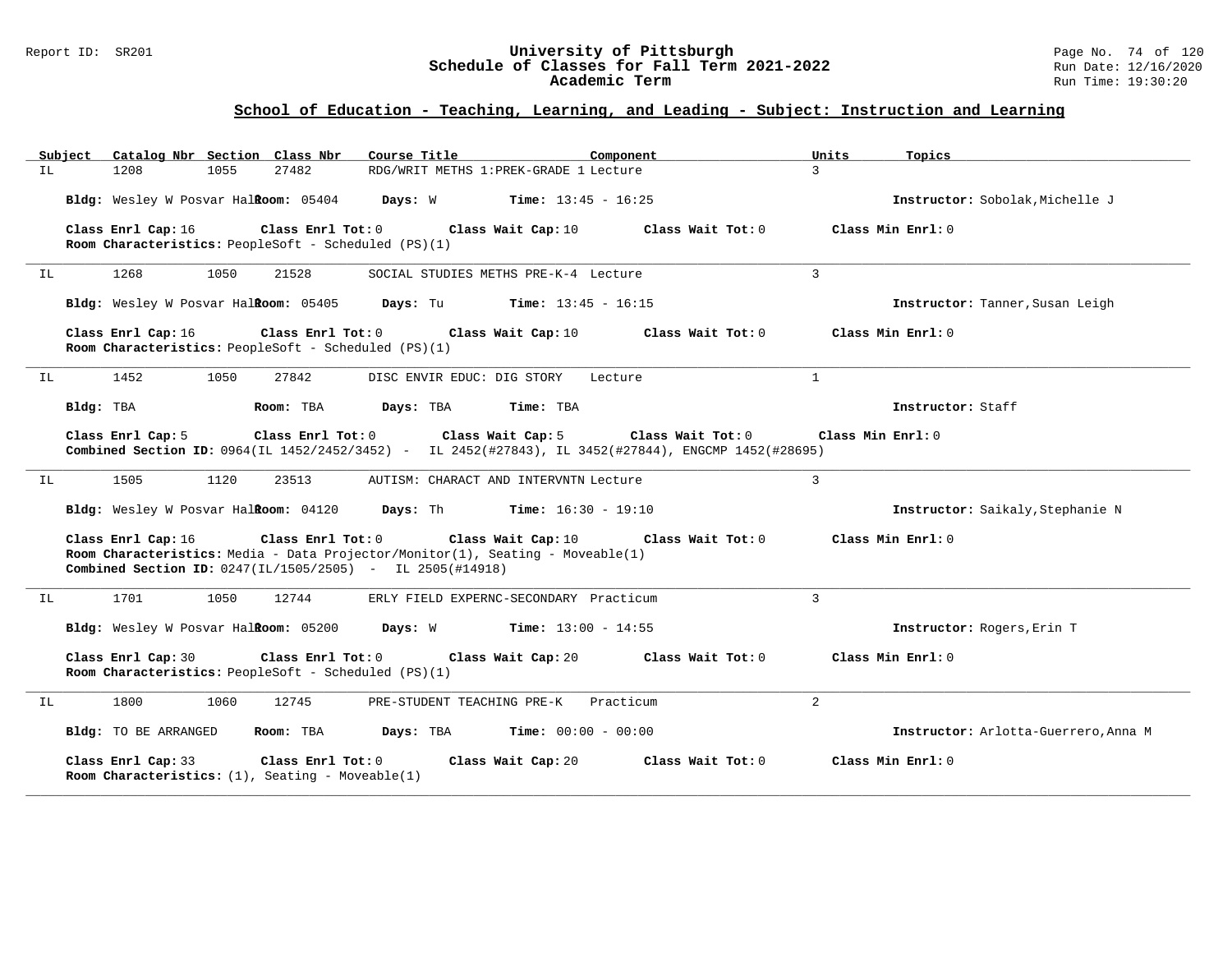### Report ID: SR201 **University of Pittsburgh** Page No. 74 of 120 **Schedule of Classes for Fall Term 2021-2022** Run Date: 12/16/2020 **Academic Term** Run Time: 19:30:20

| Subject<br>Catalog Nbr Section Class Nbr                                                                                                                                                          | Course Title                           | Component                    | Units<br>Topics                      |
|---------------------------------------------------------------------------------------------------------------------------------------------------------------------------------------------------|----------------------------------------|------------------------------|--------------------------------------|
| IL<br>1208<br>1055<br>27482                                                                                                                                                                       | RDG/WRIT METHS 1: PREK-GRADE 1 Lecture |                              | 3                                    |
| Bldg: Wesley W Posvar Halkoom: 05404                                                                                                                                                              | Days: W                                | <b>Time:</b> $13:45 - 16:25$ | Instructor: Sobolak, Michelle J      |
| Class Enrl Cap: 16<br>Class Enrl Tot: 0<br>Room Characteristics: PeopleSoft - Scheduled (PS)(1)                                                                                                   | Class Wait Cap: 10                     | Class Wait Tot: 0            | Class Min Enrl: 0                    |
| 1268<br>1050<br>21528<br>IL                                                                                                                                                                       | SOCIAL STUDIES METHS PRE-K-4 Lecture   |                              | $\overline{3}$                       |
| Bldg: Wesley W Posvar HalRoom: 05405                                                                                                                                                              | Days: Tu                               | <b>Time:</b> $13:45 - 16:15$ | Instructor: Tanner, Susan Leigh      |
| Class Enrl Cap: 16<br>Class Enrl Tot: 0<br>Room Characteristics: PeopleSoft - Scheduled (PS)(1)                                                                                                   | Class Wait Cap: 10                     | Class Wait Tot: 0            | Class Min Enrl: 0                    |
| 1452<br>1050<br>27842<br>IL                                                                                                                                                                       | DISC ENVIR EDUC: DIG STORY             | Lecture                      | $\mathbf{1}$                         |
| Bldg: TBA<br>Room: TBA                                                                                                                                                                            | Days: TBA<br>Time: TBA                 |                              | Instructor: Staff                    |
| Class Enrl Cap: 5<br>Class Enrl Tot: 0<br>Combined Section ID: 0964(IL 1452/2452/3452) - IL 2452(#27843), IL 3452(#27844), ENGCMP 1452(#28695)                                                    | Class Wait Cap: 5                      | Class Wait Tot: 0            | Class Min Enrl: 0                    |
| 1120<br>1505<br>23513<br>IL                                                                                                                                                                       | AUTISM: CHARACT AND INTERVNTN Lecture  |                              | $\overline{3}$                       |
| Bldg: Wesley W Posvar Halkoom: 04120                                                                                                                                                              | Days: Th                               | <b>Time:</b> $16:30 - 19:10$ | Instructor: Saikaly, Stephanie N     |
| Class Enrl Cap: 16<br>Class Enrl Tot: 0<br>Room Characteristics: Media - Data Projector/Monitor(1), Seating - Moveable(1)<br><b>Combined Section ID:</b> $0247(1L/1505/2505)$ - IL $2505(#14918)$ | Class Wait Cap: 10                     | Class Wait Tot: 0            | Class Min Enrl: 0                    |
| 1701<br>1050<br>12744<br>IL                                                                                                                                                                       | ERLY FIELD EXPERNC-SECONDARY Practicum |                              | $\overline{3}$                       |
| Bldg: Wesley W Posvar Halkoom: 05200                                                                                                                                                              | Days: W                                | <b>Time:</b> $13:00 - 14:55$ | Instructor: Rogers, Erin T           |
| Class Enrl Tot: 0<br>Class Enrl Cap: 30<br>Room Characteristics: PeopleSoft - Scheduled (PS)(1)                                                                                                   | Class Wait Cap: 20                     | Class Wait Tot: 0            | Class Min Enrl: 0                    |
| 1800<br>1060<br>12745<br>IL                                                                                                                                                                       | PRE-STUDENT TEACHING PRE-K             | Practicum                    | $\overline{2}$                       |
| Bldg: TO BE ARRANGED<br>Room: TBA                                                                                                                                                                 | Days: TBA                              | <b>Time:</b> $00:00 - 00:00$ | Instructor: Arlotta-Guerrero, Anna M |
| Class Enrl Cap: 33<br>$Class$ $Enr1$ $Tot: 0$<br>Room Characteristics: $(1)$ , Seating - Moveable(1)                                                                                              | Class Wait Cap: 20                     | Class Wait Tot: 0            | Class Min Enrl: 0                    |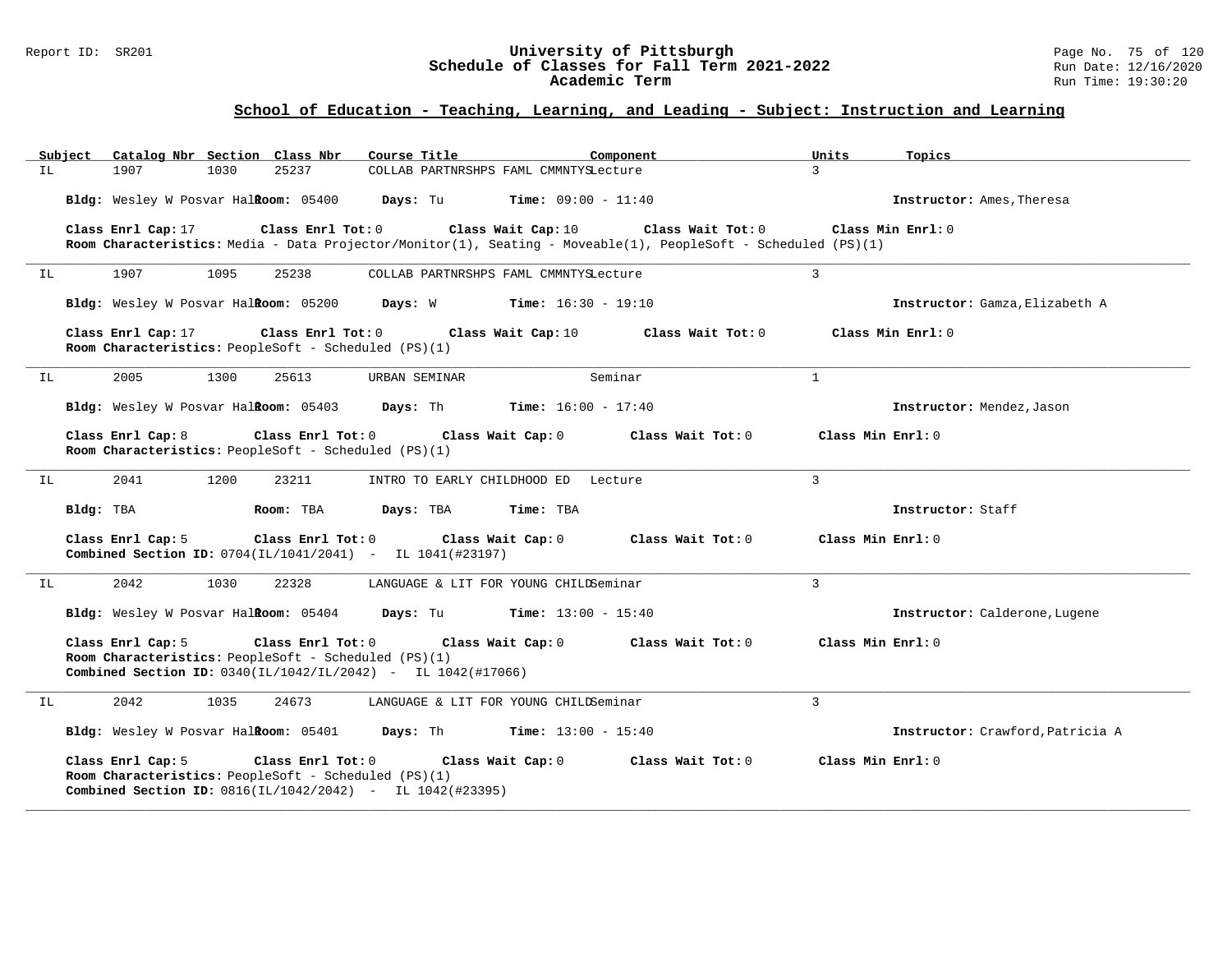### Report ID: SR201 **University of Pittsburgh** Page No. 75 of 120 **Schedule of Classes for Fall Term 2021-2022** Run Date: 12/16/2020 **Academic Term** Run Time: 19:30:20

|     | Subject   |                                      |      | Catalog Nbr Section Class Nbr                                               | Course Title                                                                                                   |                              | Component                            |                | Units               | Topics                           |
|-----|-----------|--------------------------------------|------|-----------------------------------------------------------------------------|----------------------------------------------------------------------------------------------------------------|------------------------------|--------------------------------------|----------------|---------------------|----------------------------------|
| IL. |           | 1907                                 | 1030 | 25237                                                                       | COLLAB PARTNRSHPS FAML CMMNTYSLecture                                                                          |                              |                                      |                | $\mathcal{L}$       |                                  |
|     |           | Bldg: Wesley W Posvar Halkoom: 05400 |      |                                                                             | Days: Tu                                                                                                       | <b>Time:</b> $09:00 - 11:40$ |                                      |                |                     | Instructor: Ames, Theresa        |
|     |           | Class Enrl Cap: 17                   |      | Class Enrl Tot: 0                                                           | Room Characteristics: Media - Data Projector/Monitor(1), Seating - Moveable(1), PeopleSoft - Scheduled (PS)(1) |                              | Class Wait Cap: 10 Class Wait Tot: 0 |                |                     | Class Min Enrl: 0                |
| IL  |           | 1907                                 | 1095 | 25238                                                                       | COLLAB PARTNRSHPS FAML CMMNTYSLecture                                                                          |                              |                                      | $\overline{3}$ |                     |                                  |
|     |           | Bldg: Wesley W Posvar Halkoom: 05200 |      |                                                                             | Days: W                                                                                                        | <b>Time:</b> $16:30 - 19:10$ |                                      |                |                     | Instructor: Gamza, Elizabeth A   |
|     |           | Class Enrl Cap: 17                   |      | Class Enrl Tot: 0<br>Room Characteristics: PeopleSoft - Scheduled (PS)(1)   |                                                                                                                | Class Wait Cap: 10           | Class Wait Tot: 0                    |                |                     | Class Min Enrl: 0                |
| IL  |           | 2005                                 | 1300 | 25613                                                                       | URBAN SEMINAR                                                                                                  |                              | Seminar                              | $\mathbf{1}$   |                     |                                  |
|     |           | Bldg: Wesley W Posvar Halkoom: 05403 |      |                                                                             | Days: Th                                                                                                       | $Time: 16:00 - 17:40$        |                                      |                |                     | Instructor: Mendez, Jason        |
|     |           | Class Enrl Cap: 8                    |      | Class Enrl Tot: $0$<br>Room Characteristics: PeopleSoft - Scheduled (PS)(1) |                                                                                                                | Class Wait Cap: 0            | Class Wait Tot: 0                    |                | Class Min $Err1:0$  |                                  |
| IL  |           | 2041                                 | 1200 | 23211                                                                       | INTRO TO EARLY CHILDHOOD ED Lecture                                                                            |                              |                                      | $\mathbf{3}$   |                     |                                  |
|     | Bldg: TBA |                                      |      | Room: TBA                                                                   | Days: TBA                                                                                                      | Time: TBA                    |                                      |                |                     | Instructor: Staff                |
|     |           | Class Enrl Cap: 5                    |      | Class Enrl Tot: 0                                                           | Class Wait Cap: 0<br>Combined Section ID: 0704(IL/1041/2041) - IL 1041(#23197)                                 |                              | Class Wait Tot: 0                    |                | Class Min Enrl: 0   |                                  |
| IL  |           | 2042                                 | 1030 | 22328                                                                       | LANGUAGE & LIT FOR YOUNG CHILDSeminar                                                                          |                              |                                      | $\overline{3}$ |                     |                                  |
|     |           | Bldg: Wesley W Posvar Halkoom: 05404 |      |                                                                             | Days: Tu                                                                                                       | <b>Time:</b> $13:00 - 15:40$ |                                      |                |                     | Instructor: Calderone, Lugene    |
|     |           | Class Enrl Cap: 5                    |      | Class Enrl Tot: 0<br>Room Characteristics: PeopleSoft - Scheduled (PS)(1)   | <b>Combined Section ID:</b> $0340(IL/1042/IL/2042)$ - IL $1042(H17066)$                                        | Class Wait Cap: 0            | Class Wait Tot: 0                    |                | Class Min $Enr1: 0$ |                                  |
| IL  |           | 2042                                 | 1035 | 24673                                                                       | LANGUAGE & LIT FOR YOUNG CHILDSeminar                                                                          |                              |                                      | $\mathbf{3}$   |                     |                                  |
|     |           |                                      |      | Bldg: Wesley W Posvar Halkoom: 05401                                        | Days: Th                                                                                                       | <b>Time:</b> $13:00 - 15:40$ |                                      |                |                     | Instructor: Crawford, Patricia A |
|     |           | Class Enrl Cap: 5                    |      | Class Enrl Tot: 0<br>Room Characteristics: PeopleSoft - Scheduled (PS)(1)   | Combined Section ID: 0816(IL/1042/2042) - IL 1042(#23395)                                                      | Class Wait Cap: 0            | Class Wait Tot: 0                    |                | Class Min Enrl: 0   |                                  |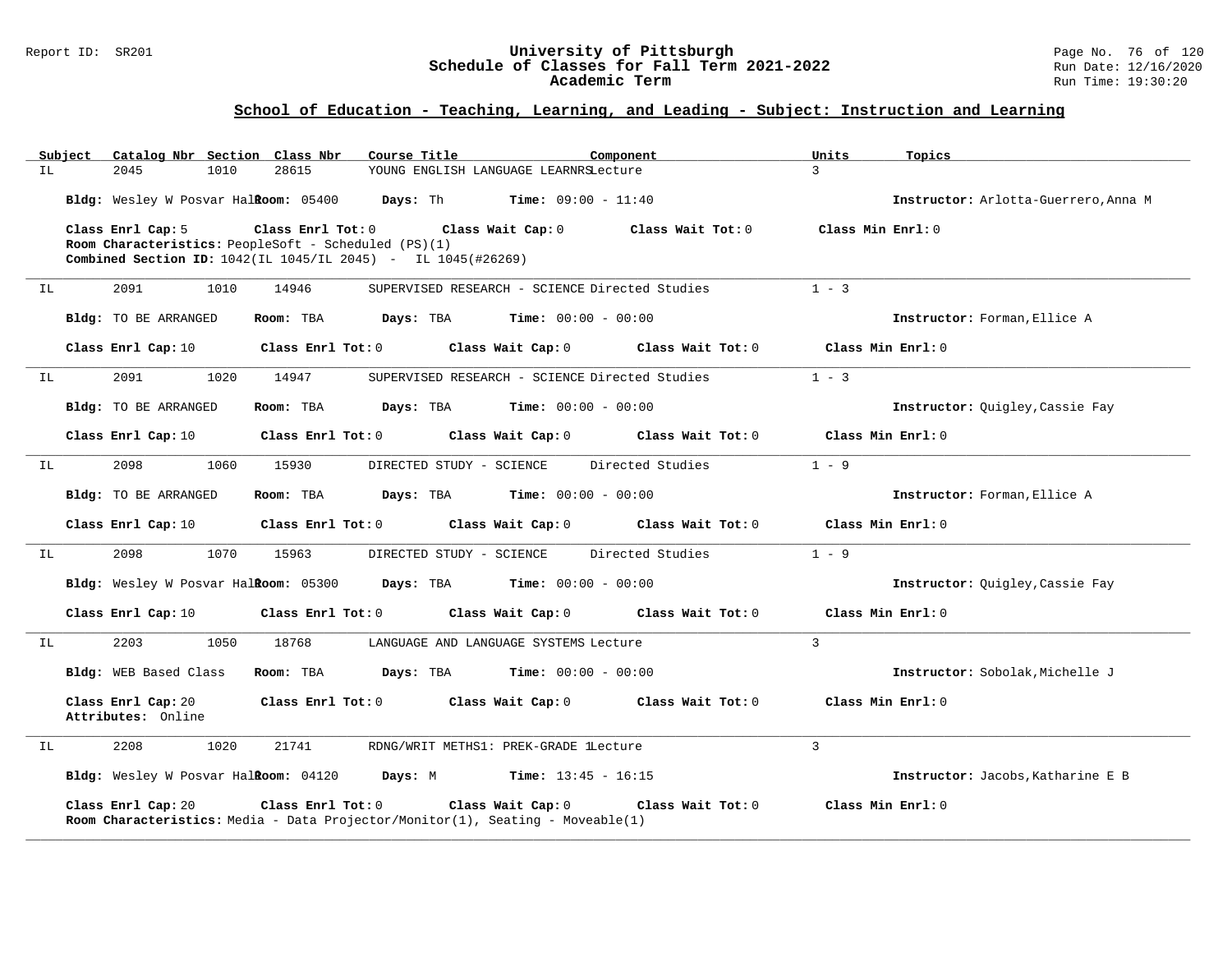### Report ID: SR201 **University of Pittsburgh** Page No. 76 of 120 **Schedule of Classes for Fall Term 2021-2022** Run Date: 12/16/2020 **Academic Term** Run Time: 19:30:20

| Subject |                                          | Catalog Nbr Section Class Nbr                                               | Course Title                                                                          |                              | Component         | Units             | Topics                               |
|---------|------------------------------------------|-----------------------------------------------------------------------------|---------------------------------------------------------------------------------------|------------------------------|-------------------|-------------------|--------------------------------------|
| IL      | 2045<br>1010                             | 28615                                                                       | YOUNG ENGLISH LANGUAGE LEARNRSLecture                                                 |                              |                   | 3                 |                                      |
|         | Bldg: Wesley W Posvar Halkoom: 05400     |                                                                             | Days: Th                                                                              | <b>Time:</b> $09:00 - 11:40$ |                   |                   | Instructor: Arlotta-Guerrero, Anna M |
|         | Class Enrl Cap: 5                        | Class Enrl Tot: $0$<br>Room Characteristics: PeopleSoft - Scheduled (PS)(1) | Combined Section ID: 1042(IL 1045/IL 2045) - IL 1045(#26269)                          | Class Wait Cap: 0            | Class Wait Tot: 0 | Class Min Enrl: 0 |                                      |
| IL      | 2091<br>1010                             | 14946                                                                       | SUPERVISED RESEARCH - SCIENCE Directed Studies                                        |                              |                   | $1 - 3$           |                                      |
|         | Bldg: TO BE ARRANGED                     | Room: TBA                                                                   | Days: TBA                                                                             | $Time: 00:00 - 00:00$        |                   |                   | Instructor: Forman, Ellice A         |
|         | Class Enrl Cap: 10                       | Class Enrl Tot: 0                                                           |                                                                                       | Class Wait Cap: 0            | Class Wait Tot: 0 |                   | Class Min Enrl: 0                    |
| IL      | 2091<br>1020                             | 14947                                                                       | SUPERVISED RESEARCH - SCIENCE Directed Studies                                        |                              |                   | $1 - 3$           |                                      |
|         | Bldg: TO BE ARRANGED                     | Room: TBA                                                                   | Days: TBA                                                                             | $Time: 00:00 - 00:00$        |                   |                   | Instructor: Quigley, Cassie Fay      |
|         | Class Enrl Cap: 10                       | Class Enrl Tot: 0                                                           |                                                                                       | Class Wait Cap: 0            | Class Wait Tot: 0 |                   | Class Min Enrl: 0                    |
| IL      | 2098<br>1060                             | 15930                                                                       | DIRECTED STUDY - SCIENCE                                                              |                              | Directed Studies  | $1 - 9$           |                                      |
|         | Bldg: TO BE ARRANGED                     | Room: TBA                                                                   | Days: TBA                                                                             | <b>Time:</b> $00:00 - 00:00$ |                   |                   | Instructor: Forman, Ellice A         |
|         | Class Enrl Cap: 10                       | Class Enrl Tot: 0                                                           |                                                                                       | Class Wait Cap: 0            | Class Wait Tot: 0 |                   | Class Min Enrl: 0                    |
| IL      | 2098<br>1070                             | 15963                                                                       | DIRECTED STUDY - SCIENCE                                                              |                              | Directed Studies  | $1 - 9$           |                                      |
|         | Bldg: Wesley W Posvar Halkoom: 05300     |                                                                             | Days: TBA                                                                             | $Time: 00:00 - 00:00$        |                   |                   | Instructor: Quigley, Cassie Fay      |
|         | Class Enrl Cap: 10                       | Class Enrl Tot: 0                                                           |                                                                                       | Class Wait Cap: 0            | Class Wait Tot: 0 |                   | Class Min Enrl: 0                    |
| IL      | 2203<br>1050                             | 18768                                                                       | LANGUAGE AND LANGUAGE SYSTEMS Lecture                                                 |                              |                   | $\mathbf{3}$      |                                      |
|         | Bldg: WEB Based Class                    | Room: TBA                                                                   | Days: TBA                                                                             | <b>Time:</b> $00:00 - 00:00$ |                   |                   | Instructor: Sobolak, Michelle J      |
|         | Class Enrl Cap: 20<br>Attributes: Online | Class Enrl Tot: 0                                                           | Class Wait Cap: 0                                                                     |                              | Class Wait Tot: 0 |                   | Class Min Enrl: 0                    |
| IL      | 2208<br>1020                             | 21741                                                                       | RDNG/WRIT METHS1: PREK-GRADE lLecture                                                 |                              |                   | $\overline{3}$    |                                      |
|         |                                          | Bldg: Wesley W Posvar Halkoom: 04120 Days: M                                |                                                                                       | <b>Time:</b> $13:45 - 16:15$ |                   |                   | Instructor: Jacobs, Katharine E B    |
|         | Class Enrl Cap: 20                       | Class Enrl Tot: 0                                                           | <b>Room Characteristics:</b> Media - Data Projector/Monitor(1), Seating - Moveable(1) | Class Wait Cap: 0            | Class Wait Tot: 0 |                   | Class Min Enrl: 0                    |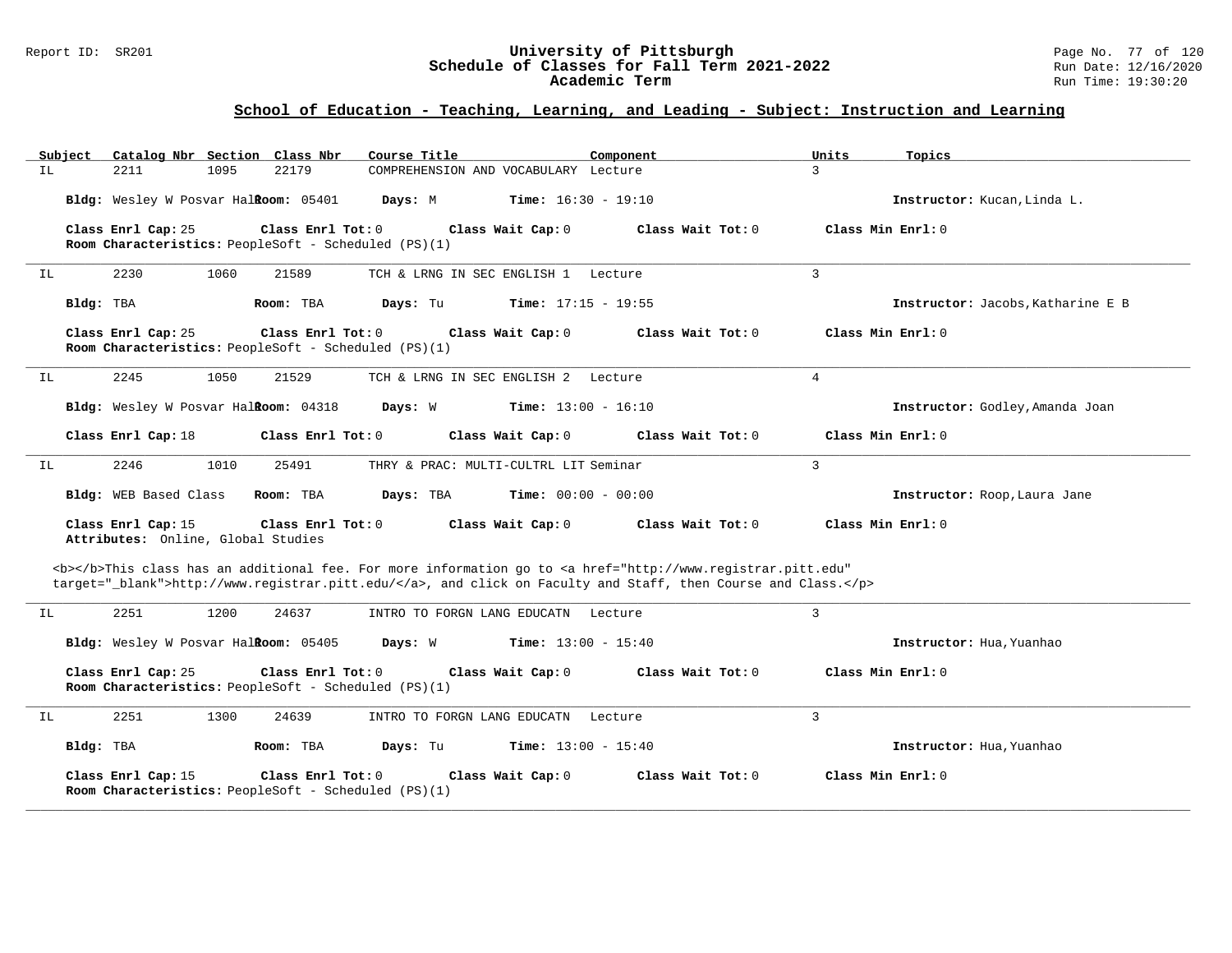### Report ID: SR201 **University of Pittsburgh** Page No. 77 of 120 **Schedule of Classes for Fall Term 2021-2022** Run Date: 12/16/2020 **Academic Term** Run Time: 19:30:20

| Subject   | Catalog Nbr Section Class Nbr                            |      |                                                                           | Course Title                                         |                              | Component                                                                                                                                                                                                                          | Units          | Topics                            |
|-----------|----------------------------------------------------------|------|---------------------------------------------------------------------------|------------------------------------------------------|------------------------------|------------------------------------------------------------------------------------------------------------------------------------------------------------------------------------------------------------------------------------|----------------|-----------------------------------|
| IL        | 2211                                                     | 1095 | 22179                                                                     | COMPREHENSION AND VOCABULARY Lecture                 |                              |                                                                                                                                                                                                                                    | 3              |                                   |
|           | Bldg: Wesley W Posvar Halkoom: 05401                     |      |                                                                           | Days: M                                              | <b>Time:</b> $16:30 - 19:10$ |                                                                                                                                                                                                                                    |                | Instructor: Kucan, Linda L.       |
|           | Class Enrl Cap: 25                                       |      | Class Enrl Tot: 0                                                         | Room Characteristics: PeopleSoft - Scheduled (PS)(1) | Class Wait Cap: 0            | Class Wait Tot: 0                                                                                                                                                                                                                  |                | Class Min Enrl: 0                 |
| ΙL        | 2230                                                     | 1060 | 21589                                                                     | TCH & LRNG IN SEC ENGLISH 1 Lecture                  |                              |                                                                                                                                                                                                                                    | 3              |                                   |
| Bldg: TBA |                                                          |      | Room: TBA                                                                 | Days: Tu                                             | <b>Time:</b> $17:15 - 19:55$ |                                                                                                                                                                                                                                    |                | Instructor: Jacobs, Katharine E B |
|           | Class Enrl Cap: 25                                       |      | Class Enrl Tot: 0                                                         | Room Characteristics: PeopleSoft - Scheduled (PS)(1) | Class Wait Cap: 0            | Class Wait Tot: 0                                                                                                                                                                                                                  |                | Class Min $Enrl: 0$               |
| IL        | 2245                                                     | 1050 | 21529                                                                     | TCH & LRNG IN SEC ENGLISH 2 Lecture                  |                              |                                                                                                                                                                                                                                    | $\overline{4}$ |                                   |
|           | Bldg: Wesley W Posvar Halkoom: 04318                     |      |                                                                           | Days: W                                              | <b>Time:</b> $13:00 - 16:10$ |                                                                                                                                                                                                                                    |                | Instructor: Godley, Amanda Joan   |
|           | Class Enrl Cap: 18                                       |      | Class Enrl Tot: 0                                                         |                                                      | Class Wait Cap: 0            | Class Wait Tot: 0                                                                                                                                                                                                                  |                | Class Min Enrl: 0                 |
| ΙL        | 2246                                                     | 1010 | 25491                                                                     | THRY & PRAC: MULTI-CULTRL LIT Seminar                |                              |                                                                                                                                                                                                                                    | $\overline{3}$ |                                   |
|           | Bldg: WEB Based Class                                    |      | Room: TBA                                                                 | Days: TBA                                            | <b>Time:</b> $00:00 - 00:00$ |                                                                                                                                                                                                                                    |                | Instructor: Roop, Laura Jane      |
|           | Class Enrl Cap: 15<br>Attributes: Online, Global Studies |      | Class Enrl Tot: 0                                                         |                                                      | Class Wait Cap: 0            | Class Wait Tot: 0                                                                                                                                                                                                                  |                | Class Min Enrl: 0                 |
|           |                                                          |      |                                                                           |                                                      |                              | <b></b> This class has an additional fee. For more information go to <a <br="" href="http://www.registrar.pitt.edu">target="_blank"&gt;http://www.registrar.pitt.edu/</a> , and click on Faculty and Staff, then Course and Class. |                |                                   |
| ΙL        | 2251                                                     | 1200 | 24637                                                                     | INTRO TO FORGN LANG EDUCATN Lecture                  |                              |                                                                                                                                                                                                                                    | 3              |                                   |
|           | Bldg: Wesley W Posvar Halkoom: 05405                     |      |                                                                           | Days: W                                              | <b>Time:</b> $13:00 - 15:40$ |                                                                                                                                                                                                                                    |                | Instructor: Hua, Yuanhao          |
|           | Class Enrl Cap: 25                                       |      | Class Enrl Tot: 0                                                         | Room Characteristics: PeopleSoft - Scheduled (PS)(1) | Class Wait Cap: 0            | Class Wait Tot: 0                                                                                                                                                                                                                  |                | Class Min Enrl: 0                 |
| ΙL        | 2251                                                     | 1300 | 24639                                                                     | INTRO TO FORGN LANG EDUCATN Lecture                  |                              |                                                                                                                                                                                                                                    | $\overline{3}$ |                                   |
| Bldg: TBA |                                                          |      | Room: TBA                                                                 | Days: Tu                                             | <b>Time:</b> $13:00 - 15:40$ |                                                                                                                                                                                                                                    |                | Instructor: Hua, Yuanhao          |
|           | Class Enrl Cap: 15                                       |      | Class Enrl Tot: 0<br>Room Characteristics: PeopleSoft - Scheduled (PS)(1) |                                                      | Class Wait Cap: 0            | Class Wait Tot: 0                                                                                                                                                                                                                  |                | Class Min Enrl: 0                 |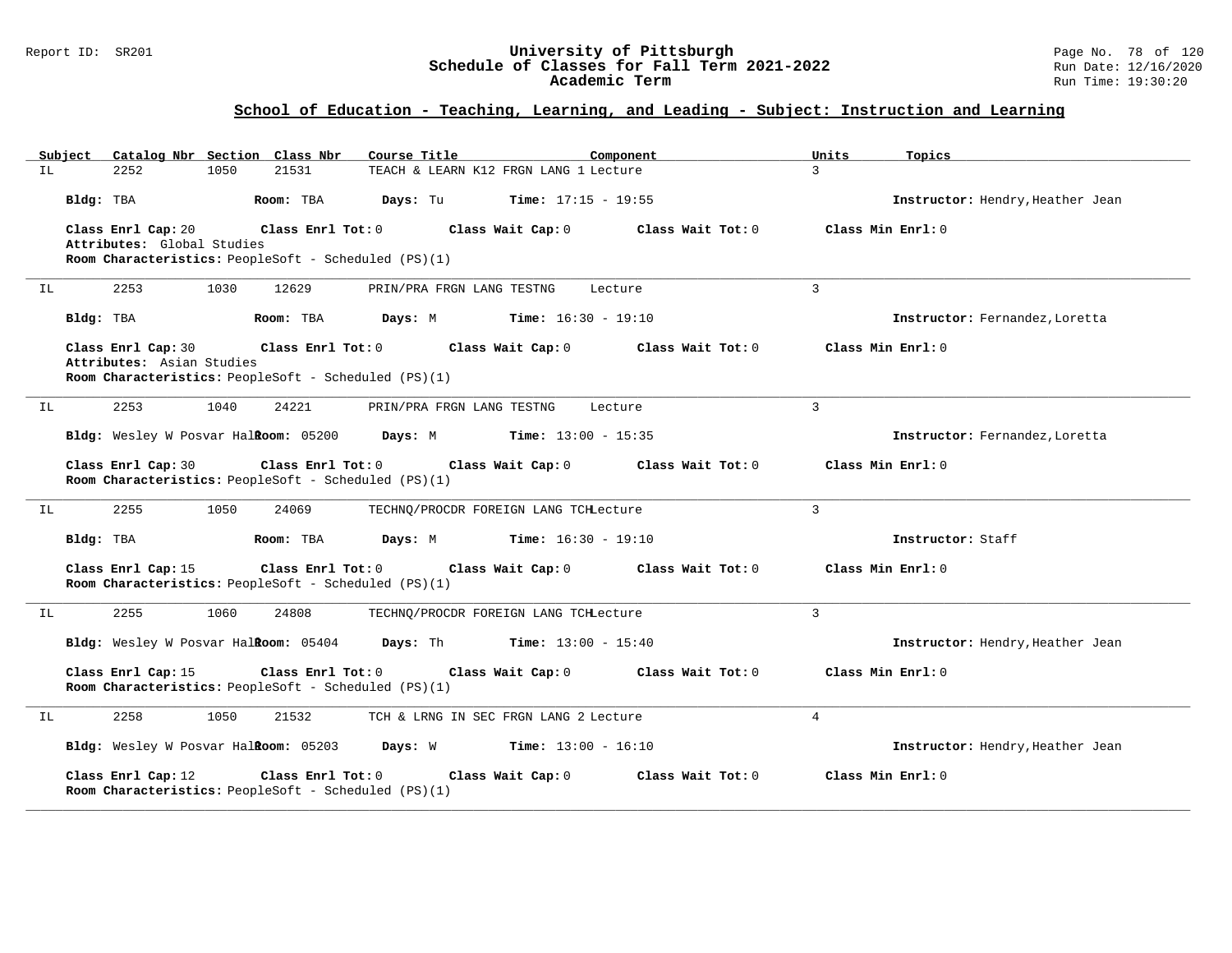### Report ID: SR201 **University of Pittsburgh** Page No. 78 of 120 **Schedule of Classes for Fall Term 2021-2022** Run Date: 12/16/2020 **Academic Term** Run Time: 19:30:20

| Subject | Catalog Nbr Section Class Nbr                                                                                  |                   | Course Title                             | Component         | Units             | Topics                           |
|---------|----------------------------------------------------------------------------------------------------------------|-------------------|------------------------------------------|-------------------|-------------------|----------------------------------|
| IL.     | 2252<br>1050                                                                                                   | 21531             | TEACH & LEARN K12 FRGN LANG 1 Lecture    |                   | 3                 |                                  |
|         | Bldg: TBA                                                                                                      | Room: TBA         | Days: Tu<br><b>Time:</b> $17:15 - 19:55$ |                   |                   | Instructor: Hendry, Heather Jean |
|         | Class Enrl Cap: 20<br>Attributes: Global Studies<br>Room Characteristics: PeopleSoft - Scheduled (PS)(1)       | Class Enrl Tot: 0 | Class Wait Cap: 0                        | Class Wait Tot: 0 | Class Min Enrl: 0 |                                  |
| IL      | 2253<br>1030                                                                                                   | 12629             | PRIN/PRA FRGN LANG TESTNG                | Lecture           | $\mathbf{3}$      |                                  |
|         | Bldg: TBA                                                                                                      | Room: TBA         | Days: M<br><b>Time:</b> $16:30 - 19:10$  |                   |                   | Instructor: Fernandez, Loretta   |
|         | Class Enrl Cap: 30<br>Attributes: Asian Studies<br><b>Room Characteristics:</b> PeopleSoft - Scheduled (PS)(1) | Class Enrl Tot: 0 | Class Wait Cap: 0                        | Class Wait Tot: 0 | Class Min Enrl: 0 |                                  |
| IL      | 2253<br>1040                                                                                                   | 24221             | PRIN/PRA FRGN LANG TESTNG                | Lecture           | $\mathbf{3}$      |                                  |
|         | Bldg: Wesley W Posvar Halkoom: 05200                                                                           |                   | Days: M<br><b>Time:</b> $13:00 - 15:35$  |                   |                   | Instructor: Fernandez, Loretta   |
|         | Class Enrl Cap: 30<br>Room Characteristics: PeopleSoft - Scheduled (PS)(1)                                     | Class Enrl Tot: 0 | Class Wait Cap: 0                        | Class Wait Tot: 0 | Class Min Enrl: 0 |                                  |
| IL      | 2255<br>1050                                                                                                   | 24069             | TECHNO/PROCDR FOREIGN LANG TCHLecture    |                   | 3                 |                                  |
|         | Bldg: TBA                                                                                                      | Room: TBA         | <b>Time:</b> $16:30 - 19:10$<br>Days: M  |                   |                   | Instructor: Staff                |
|         | Class Enrl Cap: 15<br>Room Characteristics: PeopleSoft - Scheduled (PS)(1)                                     | Class Enrl Tot: 0 | Class Wait Cap: 0                        | Class Wait Tot: 0 | Class Min Enrl: 0 |                                  |
| IL      | 2255<br>1060                                                                                                   | 24808             | TECHNQ/PROCDR FOREIGN LANG TCHLecture    |                   | $\mathbf{3}$      |                                  |
|         | Bldg: Wesley W Posvar HalRoom: 05404                                                                           |                   | Days: Th<br>$Time: 13:00 - 15:40$        |                   |                   | Instructor: Hendry, Heather Jean |
|         | Class Enrl Cap: 15<br>Room Characteristics: PeopleSoft - Scheduled (PS)(1)                                     | Class Enrl Tot: 0 | Class Wait Cap: 0                        | Class Wait Tot: 0 | Class Min Enrl: 0 |                                  |
| ΙL      | 2258<br>1050                                                                                                   | 21532             | TCH & LRNG IN SEC FRGN LANG 2 Lecture    |                   | $\overline{4}$    |                                  |
|         | Bldg: Wesley W Posvar Halkoom: 05203                                                                           |                   | Days: W<br>$Time: 13:00 - 16:10$         |                   |                   | Instructor: Hendry, Heather Jean |
|         | Class Enrl Cap: 12<br><b>Room Characteristics:</b> PeopleSoft - Scheduled (PS)(1)                              | Class Enrl Tot: 0 | Class Wait Cap: 0                        | Class Wait Tot: 0 | Class Min Enrl: 0 |                                  |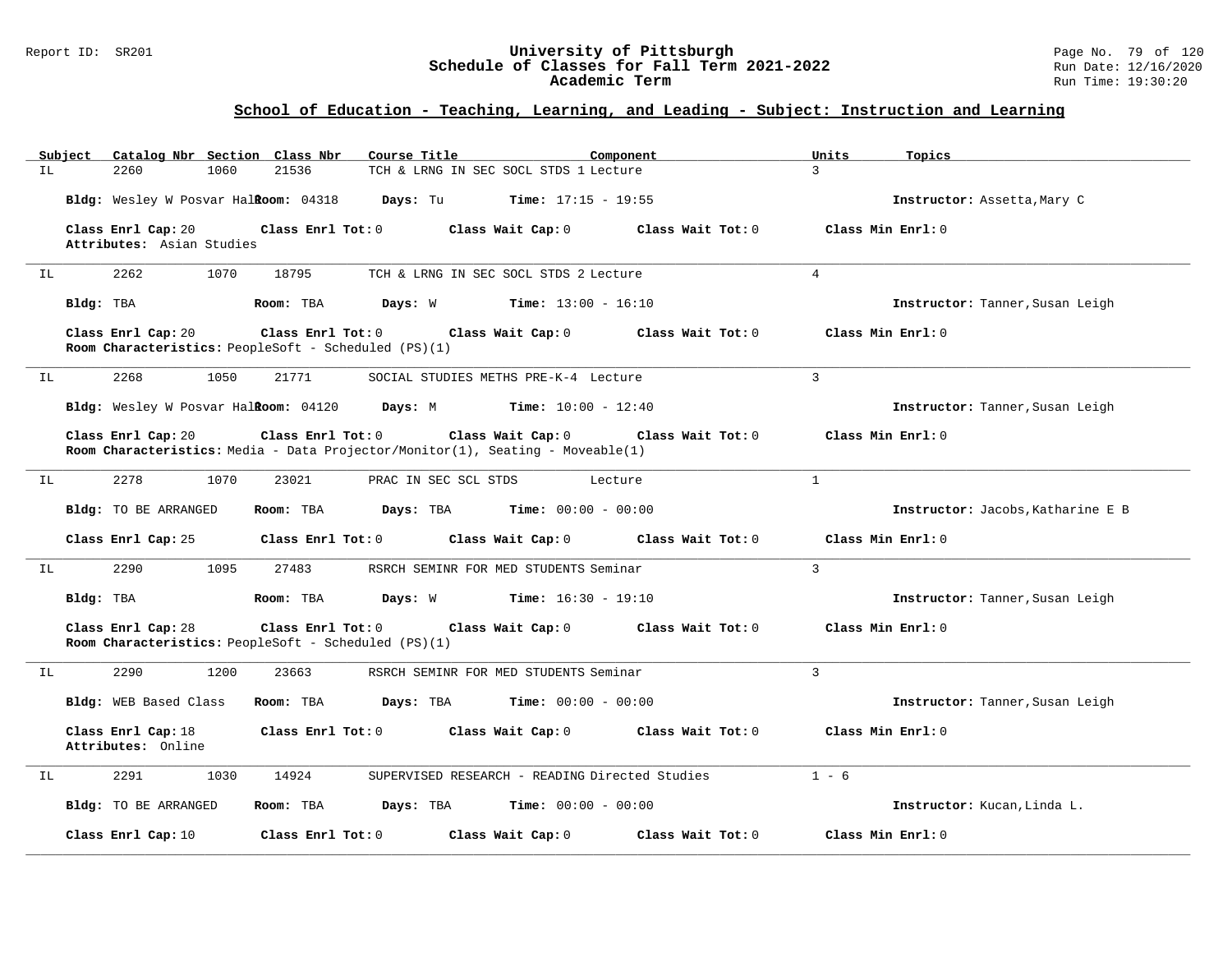### Report ID: SR201 **University of Pittsburgh** Page No. 79 of 120 **Schedule of Classes for Fall Term 2021-2022** Run Date: 12/16/2020 **Academic Term** Run Time: 19:30:20

|     | Subject   |                                                 |      | Catalog Nbr Section Class Nbr | Course Title                                         |                                                                                                            | Component                    | Units          | Topics                            |
|-----|-----------|-------------------------------------------------|------|-------------------------------|------------------------------------------------------|------------------------------------------------------------------------------------------------------------|------------------------------|----------------|-----------------------------------|
| IL. |           | 2260                                            | 1060 | 21536                         |                                                      | TCH & LRNG IN SEC SOCL STDS 1 Lecture                                                                      |                              | $\mathcal{L}$  |                                   |
|     |           | Bldg: Wesley W Posvar Halkoom: 04318            |      |                               | Days: Tu                                             | <b>Time:</b> $17:15 - 19:55$                                                                               |                              |                | Instructor: Assetta, Mary C       |
|     |           | Class Enrl Cap: 20<br>Attributes: Asian Studies |      | Class Enrl Tot: 0             |                                                      | Class Wait Cap: 0                                                                                          | Class Wait Tot: 0            |                | Class Min Enrl: 0                 |
|     |           |                                                 | 1070 |                               |                                                      |                                                                                                            |                              | $\overline{4}$ |                                   |
| IL  |           | 2262                                            |      | 18795                         |                                                      | TCH & LRNG IN SEC SOCL STDS 2 Lecture                                                                      |                              |                |                                   |
|     | Bldg: TBA |                                                 |      | Room: TBA                     |                                                      | <b>Days:</b> W <b>Time:</b> $13:00 - 16:10$                                                                |                              |                | Instructor: Tanner, Susan Leigh   |
|     |           | Class Enrl Cap: 20                              |      | Class Enrl Tot: 0             | Room Characteristics: PeopleSoft - Scheduled (PS)(1) | Class Wait Cap: 0                                                                                          | Class Wait Tot: $0$          |                | Class Min Enrl: 0                 |
| IL  |           | 2268                                            | 1050 | 21771                         |                                                      | SOCIAL STUDIES METHS PRE-K-4 Lecture                                                                       |                              | $\overline{3}$ |                                   |
|     |           |                                                 |      |                               |                                                      | Bldg: Wesley W Posvar Halkoom: 04120 Days: M Time: 10:00 - 12:40                                           |                              |                | Instructor: Tanner, Susan Leigh   |
|     |           | Class Enrl Cap: 20                              |      | Class Enrl Tot: 0             |                                                      | Class Wait Cap: 0<br><b>Room Characteristics:</b> Media - Data Projector/Monitor(1), Seating - Moveable(1) | Class Wait Tot: 0            |                | Class Min Enrl: 0                 |
| ΙL  |           | 2278                                            | 1070 | 23021                         |                                                      | PRAC IN SEC SCL STDS                                                                                       | Lecture                      | $\overline{1}$ |                                   |
|     |           | <b>Bldg:</b> TO BE ARRANGED                     |      | Room: TBA                     |                                                      | <b>Days:</b> TBA <b>Time:</b> $00:00 - 00:00$                                                              |                              |                | Instructor: Jacobs, Katharine E B |
|     |           | Class Enrl Cap: 25                              |      | Class Enrl Tot: 0             |                                                      | Class Wait Cap: 0                                                                                          | Class Wait Tot: 0            |                | Class Min Enrl: 0                 |
| IL  |           | 2290                                            | 1095 | 27483                         |                                                      | RSRCH SEMINR FOR MED STUDENTS Seminar                                                                      |                              | 3              |                                   |
|     | Bldg: TBA |                                                 |      | Room: TBA                     |                                                      | <b>Days:</b> W <b>Time:</b> $16:30 - 19:10$                                                                |                              |                | Instructor: Tanner, Susan Leigh   |
|     |           | Class Enrl Cap: 28                              |      | Class Enrl Tot: 0             | Room Characteristics: PeopleSoft - Scheduled (PS)(1) | Class Wait Cap: 0                                                                                          | Class Wait Tot: 0            |                | Class Min Enrl: 0                 |
| ΙL  |           | 2290                                            | 1200 | 23663                         |                                                      | RSRCH SEMINR FOR MED STUDENTS Seminar                                                                      |                              | 3              |                                   |
|     |           | Bldg: WEB Based Class                           |      | Room: TBA                     | Days: TBA                                            |                                                                                                            | <b>Time:</b> $00:00 - 00:00$ |                | Instructor: Tanner, Susan Leigh   |
|     |           | Class Enrl Cap: 18<br>Attributes: Online        |      | Class Enrl Tot: 0             |                                                      | Class Wait Cap: 0                                                                                          | Class Wait Tot: 0            |                | Class Min Enrl: 0                 |
| IL  |           | 2291                                            | 1030 | 14924                         |                                                      | SUPERVISED RESEARCH - READING Directed Studies                                                             |                              | $1 - 6$        |                                   |
|     |           | <b>Bldg:</b> TO BE ARRANGED                     |      | Room: TBA                     | Days: TBA                                            |                                                                                                            | <b>Time:</b> $00:00 - 00:00$ |                | Instructor: Kucan, Linda L.       |
|     |           | Class Enrl Cap: 10                              |      | Class Enrl Tot: 0             |                                                      | Class Wait Cap: 0                                                                                          | Class Wait Tot: 0            |                | Class Min Enrl: 0                 |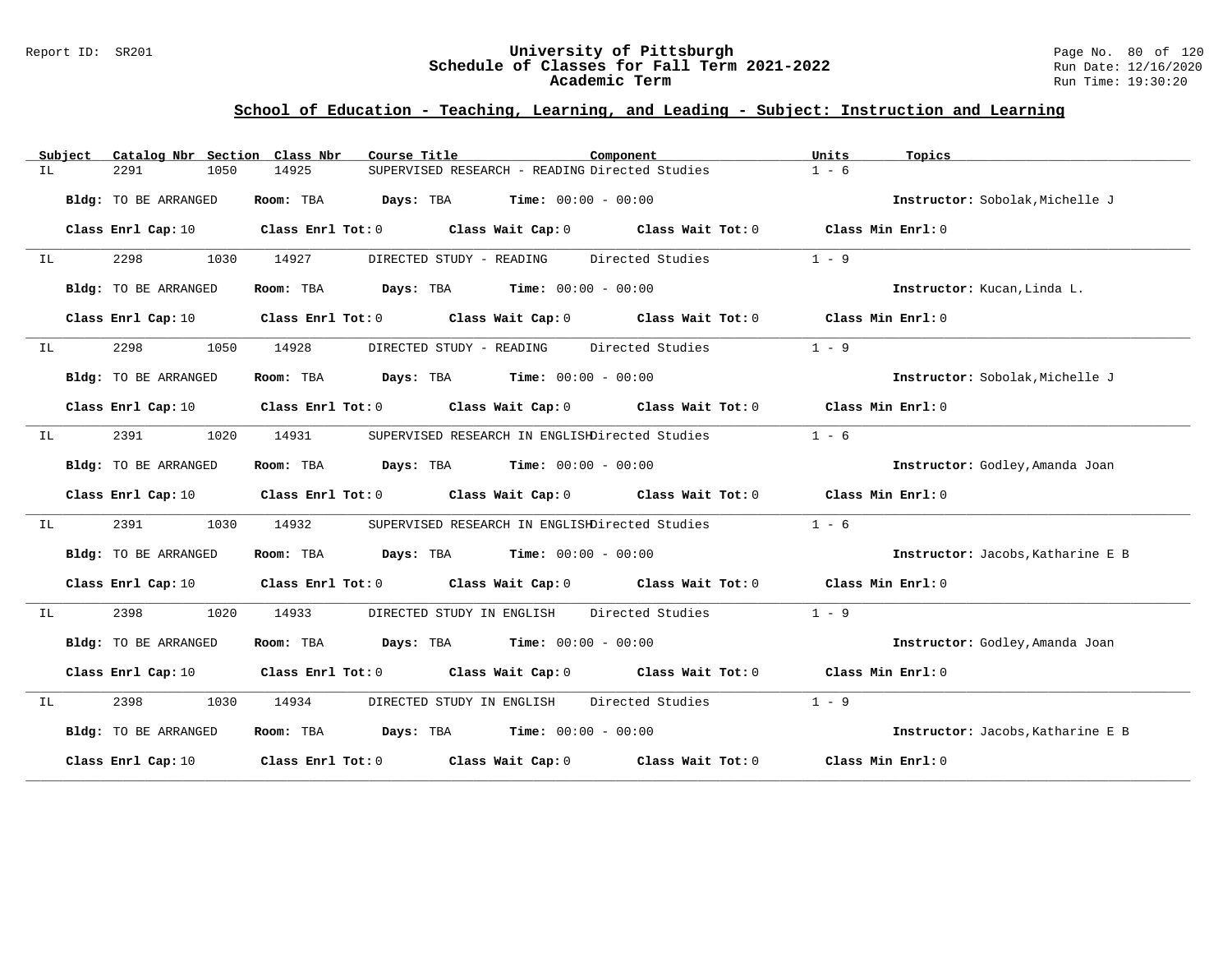### Report ID: SR201 **University of Pittsburgh** Page No. 80 of 120 **Schedule of Classes for Fall Term 2021-2022** Run Date: 12/16/2020 **Academic Term** Run Time: 19:30:20

|     | Subiect | Catalog Nbr Section Class Nbr | Course Title                                | Component                                                                                                                      | Units             | Topics                            |
|-----|---------|-------------------------------|---------------------------------------------|--------------------------------------------------------------------------------------------------------------------------------|-------------------|-----------------------------------|
| ΙL  |         | 2291<br>1050                  | 14925                                       | SUPERVISED RESEARCH - READING Directed Studies                                                                                 | $1 - 6$           |                                   |
|     |         | Bldg: TO BE ARRANGED          | Room: TBA                                   | <b>Days:</b> TBA <b>Time:</b> $00:00 - 00:00$                                                                                  |                   | Instructor: Sobolak, Michelle J   |
|     |         | Class Enrl Cap: 10            |                                             | Class Enrl Tot: $0$ Class Wait Cap: $0$ Class Wait Tot: $0$ Class Min Enrl: $0$                                                |                   |                                   |
| IL  |         | 2298<br>1030                  | 14927                                       | DIRECTED STUDY - READING Directed Studies                                                                                      | $1 - 9$           |                                   |
|     |         | Bldg: TO BE ARRANGED          | Room: TBA $Days:$ TBA $Time: 00:00 - 00:00$ |                                                                                                                                |                   | Instructor: Kucan, Linda L.       |
|     |         | Class Enrl Cap: 10            |                                             | Class Enrl Tot: 0 Class Wait Cap: 0 Class Wait Tot: 0 Class Min Enrl: 0                                                        |                   |                                   |
| IL  |         | 2298<br>1050                  | 14928                                       | DIRECTED STUDY - READING Directed Studies                                                                                      | $1 - 9$           |                                   |
|     |         | Bldg: TO BE ARRANGED          | Room: TBA $Days:$ TBA $Time: 00:00 - 00:00$ |                                                                                                                                |                   | Instructor: Sobolak, Michelle J   |
|     |         | Class Enrl Cap: 10            |                                             | Class Enrl Tot: $0$ Class Wait Cap: $0$ Class Wait Tot: $0$ Class Min Enrl: $0$                                                |                   |                                   |
| IL  |         | 2391<br>1020                  | 14931                                       | SUPERVISED RESEARCH IN ENGLISHDirected Studies                                                                                 | $1 - 6$           |                                   |
|     |         | Bldg: TO BE ARRANGED          | Room: TBA $Days:$ TBA $Time: 00:00 - 00:00$ |                                                                                                                                |                   | Instructor: Godley, Amanda Joan   |
|     |         |                               |                                             | Class Enrl Cap: 10 $\qquad$ Class Enrl Tot: 0 $\qquad$ Class Wait Cap: 0 $\qquad$ Class Wait Tot: 0 $\qquad$ Class Min Enrl: 0 |                   |                                   |
| IL. |         | 2391<br>1030                  | 14932                                       | SUPERVISED RESEARCH IN ENGLISHDirected Studies                                                                                 | $1 - 6$           |                                   |
|     |         | Bldg: TO BE ARRANGED          | Room: TBA $Days:$ TBA $Time: 00:00 - 00:00$ |                                                                                                                                |                   | Instructor: Jacobs, Katharine E B |
|     |         |                               |                                             | Class Enrl Cap: 10 $\qquad$ Class Enrl Tot: 0 $\qquad$ Class Wait Cap: 0 $\qquad$ Class Wait Tot: 0 $\qquad$ Class Min Enrl: 0 |                   |                                   |
| IL. |         | 2398<br>1020                  | 14933                                       | Directed Studies<br>DIRECTED STUDY IN ENGLISH                                                                                  | $1 - 9$           |                                   |
|     |         | Bldg: TO BE ARRANGED          | Room: TBA $Days:$ TBA $Time: 00:00 - 00:00$ |                                                                                                                                |                   | Instructor: Godley, Amanda Joan   |
|     |         |                               |                                             | Class Enrl Cap: 10 $\qquad$ Class Enrl Tot: 0 $\qquad$ Class Wait Cap: 0 $\qquad$ Class Wait Tot: 0 $\qquad$ Class Min Enrl: 0 |                   |                                   |
| IL  |         | 2398 and 2398<br>1030         | 14934                                       | DIRECTED STUDY IN ENGLISH Directed Studies                                                                                     | $1 - 9$           |                                   |
|     |         | Bldg: TO BE ARRANGED          | Room: TBA $Days:$ TBA $Time: 00:00 - 00:00$ |                                                                                                                                |                   | Instructor: Jacobs, Katharine E B |
|     |         | Class Enrl Cap: 10            |                                             | Class Enrl Tot: $0$ Class Wait Cap: $0$ Class Wait Tot: $0$                                                                    | Class Min Enrl: 0 |                                   |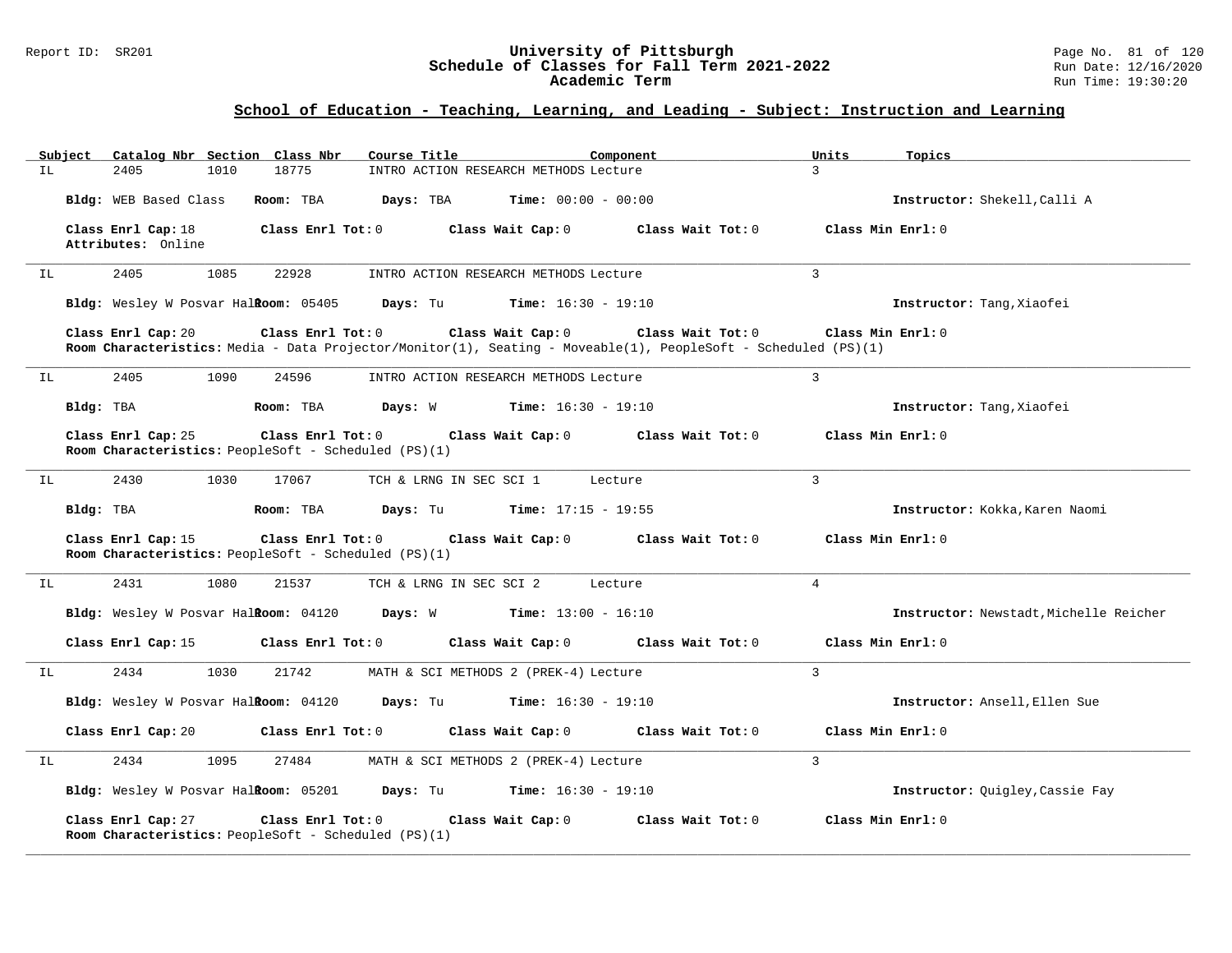### Report ID: SR201 **University of Pittsburgh** Page No. 81 of 120 **Schedule of Classes for Fall Term 2021-2022** Run Date: 12/16/2020 **Academic Term** Run Time: 19:30:20

|     |           |                                          |      | Subject Catalog Nbr Section Class Nbr                                     | Course Title            |                                                                   | Component                                                                                                                           | Units               | Topics                                 |
|-----|-----------|------------------------------------------|------|---------------------------------------------------------------------------|-------------------------|-------------------------------------------------------------------|-------------------------------------------------------------------------------------------------------------------------------------|---------------------|----------------------------------------|
| IL  |           | 2405                                     | 1010 | 18775                                                                     |                         | INTRO ACTION RESEARCH METHODS Lecture                             |                                                                                                                                     | $\mathcal{L}$       |                                        |
|     |           | Bldg: WEB Based Class                    |      | Room: TBA                                                                 | Days: TBA               | $Time: 00:00 - 00:00$                                             |                                                                                                                                     |                     | Instructor: Shekell, Calli A           |
|     |           | Class Enrl Cap: 18<br>Attributes: Online |      | Class Enrl Tot: 0                                                         |                         | Class Wait Cap: 0                                                 | Class Wait Tot: 0                                                                                                                   | Class Min $Enrl: 0$ |                                        |
| IL  |           | 2405                                     | 1085 | 22928                                                                     |                         | INTRO ACTION RESEARCH METHODS Lecture                             |                                                                                                                                     | 3                   |                                        |
|     |           |                                          |      | Bldg: Wesley W Posvar Halkoom: 05405                                      |                         | <b>Days:</b> Tu <b>Time:</b> $16:30 - 19:10$                      |                                                                                                                                     |                     | Instructor: Tang, Xiaofei              |
|     |           | Class Enrl Cap: 20                       |      | Class Enrl Tot: 0                                                         |                         | Class Wait Cap: 0                                                 | Class Wait Tot: 0<br>Room Characteristics: Media - Data Projector/Monitor(1), Seating - Moveable(1), PeopleSoft - Scheduled (PS)(1) |                     | Class Min Enrl: 0                      |
| IL  |           | 2405                                     | 1090 | 24596                                                                     |                         | INTRO ACTION RESEARCH METHODS Lecture                             |                                                                                                                                     | $\overline{3}$      |                                        |
|     | Bldg: TBA |                                          |      | Room: TBA                                                                 |                         | <b>Days:</b> W <b>Time:</b> $16:30 - 19:10$                       |                                                                                                                                     |                     | Instructor: Tang, Xiaofei              |
|     |           | Class Enrl Cap: 25                       |      | Class Enrl Tot: 0<br>Room Characteristics: PeopleSoft - Scheduled (PS)(1) |                         | Class Wait Cap: 0                                                 | Class Wait Tot: 0                                                                                                                   |                     | Class Min Enrl: 0                      |
| IL. |           | 2430                                     | 1030 | 17067                                                                     | TCH & LRNG IN SEC SCI 1 |                                                                   | Lecture                                                                                                                             | 3                   |                                        |
|     | Bldg: TBA |                                          |      | Room: TBA                                                                 |                         | <b>Days:</b> Tu <b>Time:</b> $17:15 - 19:55$                      |                                                                                                                                     |                     | Instructor: Kokka, Karen Naomi         |
|     |           | Class Enrl Cap: 15                       |      | Class Enrl Tot: 0<br>Room Characteristics: PeopleSoft - Scheduled (PS)(1) |                         | Class Wait Cap: 0                                                 | Class Wait Tot: 0                                                                                                                   |                     | Class Min Enrl: 0                      |
| IL  |           | 2431                                     | 1080 | 21537                                                                     | TCH & LRNG IN SEC SCI 2 |                                                                   | Lecture                                                                                                                             | $\overline{4}$      |                                        |
|     |           |                                          |      |                                                                           |                         | Bldg: Wesley W Posvar Halitoom: 04120 Days: W Time: 13:00 - 16:10 |                                                                                                                                     |                     | Instructor: Newstadt, Michelle Reicher |
|     |           | Class Enrl Cap: 15                       |      | Class Enrl Tot: 0                                                         |                         | Class Wait Cap: 0                                                 | Class Wait Tot: 0                                                                                                                   |                     | Class Min Enrl: 0                      |
| IL  |           | 2434                                     | 1030 | 21742                                                                     |                         | MATH & SCI METHODS 2 (PREK-4) Lecture                             |                                                                                                                                     | 3                   |                                        |
|     |           |                                          |      | Bldg: Wesley W Posvar Halkoom: 04120                                      |                         | <b>Days:</b> Tu <b>Time:</b> $16:30 - 19:10$                      |                                                                                                                                     |                     | Instructor: Ansell, Ellen Sue          |
|     |           | Class Enrl Cap: 20                       |      | Class Enrl Tot: 0                                                         |                         | Class Wait Cap: 0                                                 | Class Wait Tot: 0                                                                                                                   |                     | Class Min $Enrl: 0$                    |
| IL  |           | 2434                                     | 1095 | 27484                                                                     |                         | MATH & SCI METHODS 2 (PREK-4) Lecture                             |                                                                                                                                     | $\mathbf{R}$        |                                        |
|     |           |                                          |      |                                                                           |                         | Bldg: Wesley W Posvar Halkoom: 05201 Days: Tu Time: 16:30 - 19:10 |                                                                                                                                     |                     | Instructor: Quigley, Cassie Fay        |
|     |           | Class Enrl Cap: 27                       |      | Class Enrl Tot: 0<br>Room Characteristics: PeopleSoft - Scheduled (PS)(1) |                         | Class Wait Cap: 0                                                 | Class Wait Tot: 0                                                                                                                   |                     | Class Min Enrl: 0                      |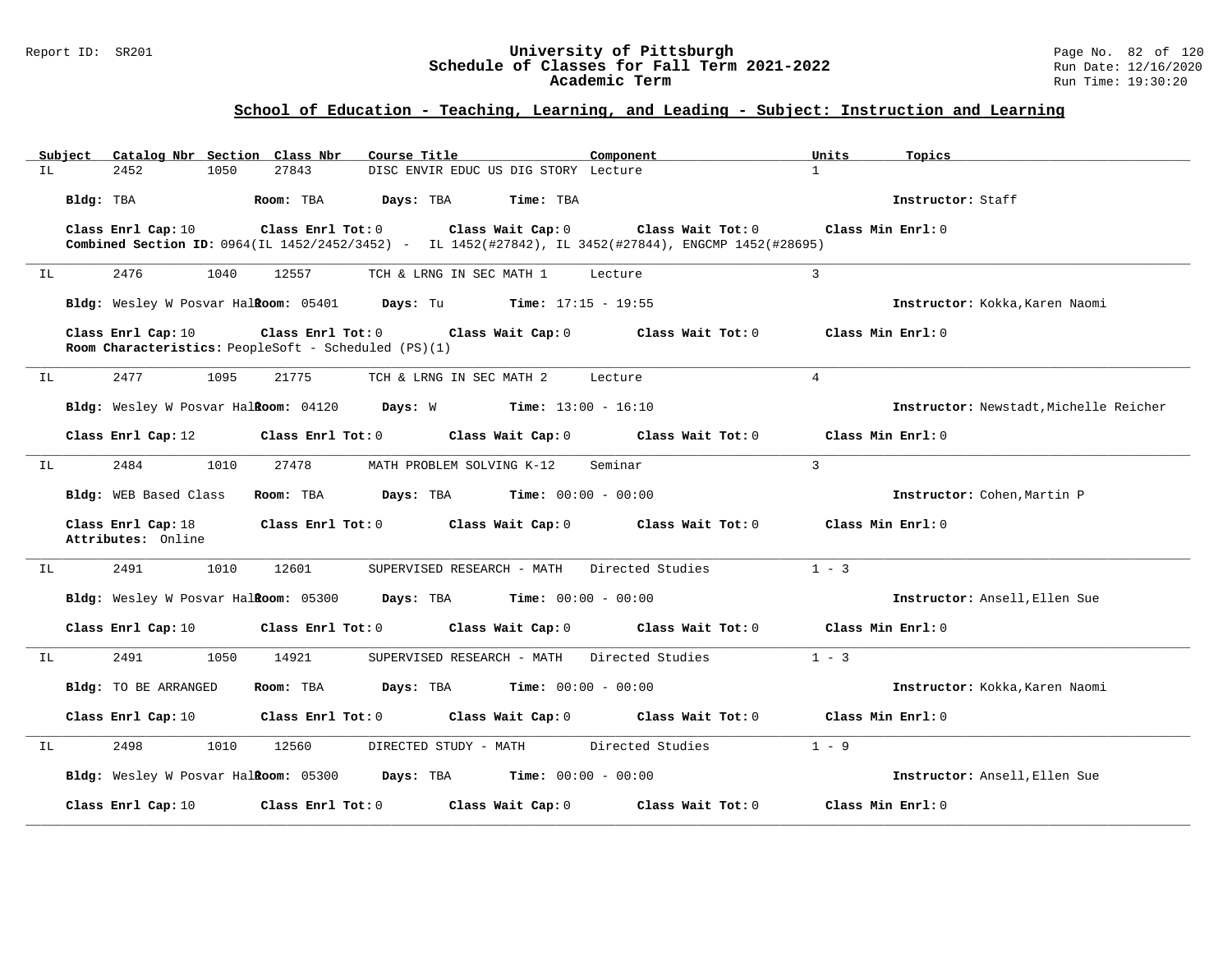### Report ID: SR201 **University of Pittsburgh** Page No. 82 of 120 **Schedule of Classes for Fall Term 2021-2022** Run Date: 12/16/2020 **Academic Term** Run Time: 19:30:20

|     | Subject   | Catalog Nbr Section Class Nbr            |      |                         | Course Title                                         |                                                                      | Component                                                                                                                 |                | Units               | Topics                                 |
|-----|-----------|------------------------------------------|------|-------------------------|------------------------------------------------------|----------------------------------------------------------------------|---------------------------------------------------------------------------------------------------------------------------|----------------|---------------------|----------------------------------------|
| IL  |           | 2452                                     | 1050 | 27843                   |                                                      | DISC ENVIR EDUC US DIG STORY Lecture                                 |                                                                                                                           | $\mathbf{1}$   |                     |                                        |
|     | Bldg: TBA |                                          |      | Room: TBA               | Days: TBA                                            | Time: TBA                                                            |                                                                                                                           |                |                     | Instructor: Staff                      |
|     |           | Class Enrl Cap: 10                       |      | Class Enrl Tot: 0       |                                                      | Class Wait Cap: 0                                                    | Class Wait Tot: 0<br>Combined Section ID: 0964(IL 1452/2452/3452) - IL 1452(#27842), IL 3452(#27844), ENGCMP 1452(#28695) |                | Class Min $Enrl: 0$ |                                        |
| IL  |           | 2476                                     | 1040 | 12557                   |                                                      | TCH & LRNG IN SEC MATH 1                                             | Lecture                                                                                                                   | 3              |                     |                                        |
|     |           |                                          |      |                         |                                                      | Bldg: Wesley W Posvar Halitoom: 05401 Days: Tu Time: 17:15 - 19:55   |                                                                                                                           |                |                     | Instructor: Kokka, Karen Naomi         |
|     |           | Class Enrl Cap: 10                       |      | $Class$ $Enr1$ $Tot: 0$ | Room Characteristics: PeopleSoft - Scheduled (PS)(1) | Class Wait Cap: 0                                                    | Class Wait Tot: 0                                                                                                         |                | Class Min Enrl: 0   |                                        |
| IL  |           | 2477                                     | 1095 | 21775                   |                                                      | TCH & LRNG IN SEC MATH 2                                             | Lecture                                                                                                                   | $\overline{4}$ |                     |                                        |
|     |           |                                          |      |                         |                                                      | Bldg: Wesley W Posvar Halkoom: $04120$ Days: W Time: $13:00 - 16:10$ |                                                                                                                           |                |                     | Instructor: Newstadt, Michelle Reicher |
|     |           | Class Enrl Cap: 12                       |      | Class Enrl Tot: 0       |                                                      | Class Wait Cap: 0                                                    | Class Wait Tot: 0                                                                                                         |                | Class Min Enrl: 0   |                                        |
| IL  |           | 2484                                     | 1010 | 27478                   |                                                      | MATH PROBLEM SOLVING K-12                                            | Seminar                                                                                                                   | $\mathbf{3}$   |                     |                                        |
|     |           | Bldg: WEB Based Class                    |      | Room: TBA               |                                                      | <b>Days:</b> TBA <b>Time:</b> $00:00 - 00:00$                        |                                                                                                                           |                |                     | Instructor: Cohen, Martin P            |
|     |           | Class Enrl Cap: 18<br>Attributes: Online |      |                         |                                                      | Class Enrl Tot: 0 Class Wait Cap: 0                                  | Class Wait Tot: $0$                                                                                                       |                | Class Min Enrl: 0   |                                        |
| IL. |           | 2491                                     | 1010 | 12601                   |                                                      | SUPERVISED RESEARCH - MATH                                           | Directed Studies                                                                                                          |                | $1 - 3$             |                                        |
|     |           |                                          |      |                         |                                                      | Bldg: Wesley W Posvar Halkoom: 05300 Days: TBA Time: 00:00 - 00:00   |                                                                                                                           |                |                     | Instructor: Ansell, Ellen Sue          |
|     |           | Class Enrl Cap: 10                       |      | Class Enrl Tot: 0       |                                                      | Class Wait Cap: 0                                                    | Class Wait Tot: 0                                                                                                         |                | Class Min Enrl: 0   |                                        |
| IL  |           | 2491                                     | 1050 | 14921                   |                                                      | SUPERVISED RESEARCH - MATH                                           | Directed Studies                                                                                                          |                | $1 - 3$             |                                        |
|     |           | Bldg: TO BE ARRANGED                     |      | Room: TBA               |                                                      | <b>Days:</b> TBA <b>Time:</b> $00:00 - 00:00$                        |                                                                                                                           |                |                     | Instructor: Kokka, Karen Naomi         |
|     |           | Class Enrl Cap: 10                       |      | Class Enrl Tot: 0       |                                                      |                                                                      | Class Wait Cap: 0 Class Wait Tot: 0                                                                                       |                | Class Min Enrl: 0   |                                        |
| IL  |           | 2498                                     | 1010 | 12560                   | DIRECTED STUDY - MATH                                |                                                                      | Directed Studies                                                                                                          |                | $1 - 9$             |                                        |
|     |           |                                          |      |                         |                                                      | Bldg: Wesley W Posvar Halkoom: 05300 Days: TBA Time: 00:00 - 00:00   |                                                                                                                           |                |                     | Instructor: Ansell, Ellen Sue          |
|     |           | Class Enrl Cap: 10                       |      | Class Enrl Tot: 0       |                                                      | Class Wait Cap: 0                                                    | Class Wait Tot: 0                                                                                                         |                | Class Min Enrl: 0   |                                        |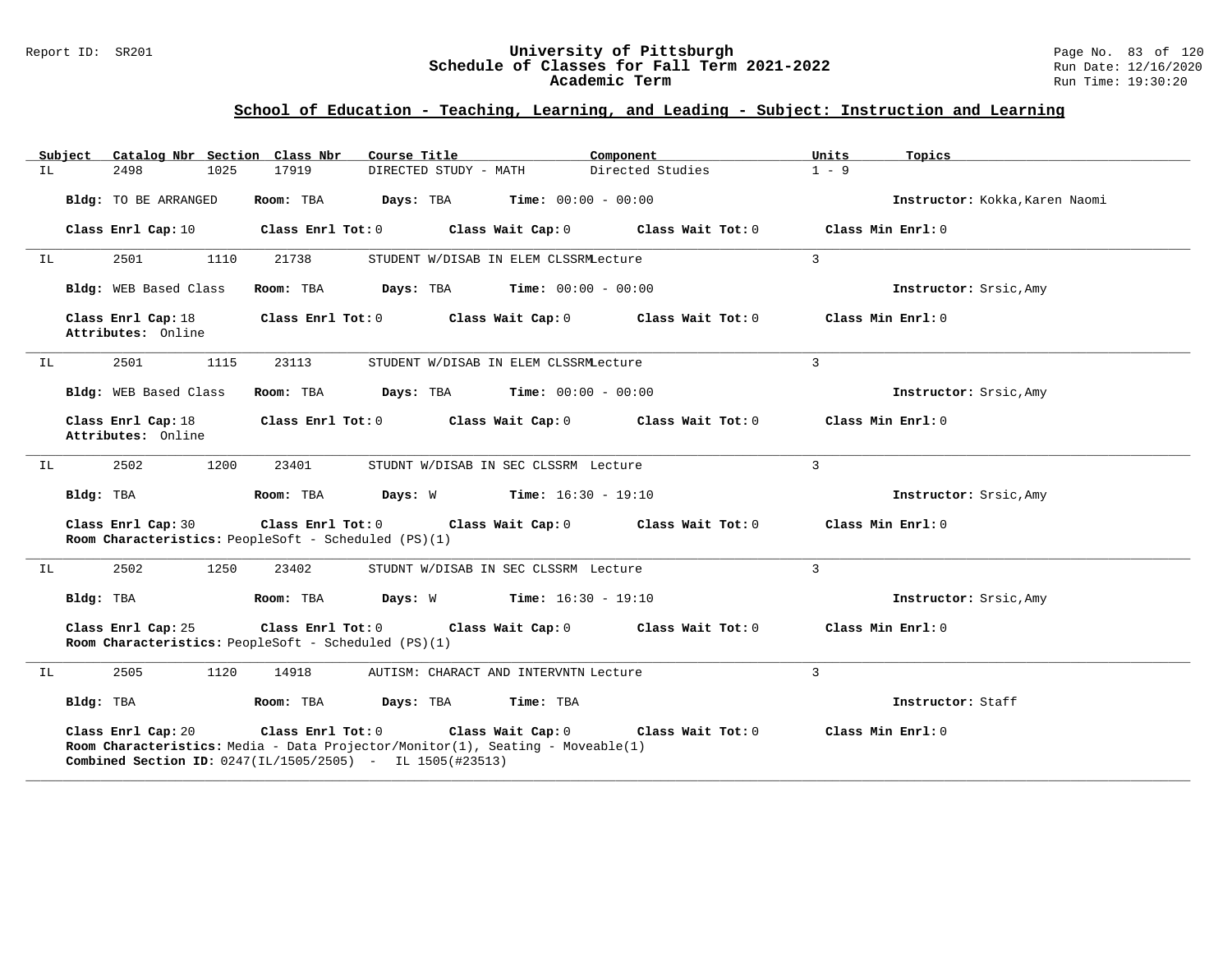### Report ID: SR201 **University of Pittsburgh** Page No. 83 of 120 **Schedule of Classes for Fall Term 2021-2022** Run Date: 12/16/2020 **Academic Term** Run Time: 19:30:20

|    | Subject Catalog Nbr Section Class Nbr    | Course Title                                                                                                                                                                                          | Component                                            | Units<br>Topics                |
|----|------------------------------------------|-------------------------------------------------------------------------------------------------------------------------------------------------------------------------------------------------------|------------------------------------------------------|--------------------------------|
| IL | 2498<br>1025                             | DIRECTED STUDY - MATH<br>17919                                                                                                                                                                        | Directed Studies                                     | $1 - 9$                        |
|    | Bldg: TO BE ARRANGED                     | Room: TBA                                                                                                                                                                                             | $\texttt{Davis:}$ TBA $\texttt{Time:}$ 00:00 - 00:00 | Instructor: Kokka, Karen Naomi |
|    | Class Enrl Cap: 10                       | Class Enrl Tot: 0                                                                                                                                                                                     | Class Wait Cap: 0<br>Class Wait Tot: 0               | Class Min Enrl: 0              |
| IL | 2501<br>1110                             | 21738                                                                                                                                                                                                 | STUDENT W/DISAB IN ELEM CLSSRMLecture                | $\mathbf{3}$                   |
|    | Bldg: WEB Based Class                    | Room: TBA                                                                                                                                                                                             | <b>Days:</b> TBA <b>Time:</b> $00:00 - 00:00$        | Instructor: Srsic, Amy         |
|    | Class Enrl Cap: 18<br>Attributes: Online | Class Enrl Tot: 0 Class Wait Cap: 0                                                                                                                                                                   | Class Wait Tot: 0                                    | Class Min Enrl: 0              |
| IL | 2501<br>1115                             | 23113                                                                                                                                                                                                 | STUDENT W/DISAB IN ELEM CLSSRMLecture                | $\mathcal{L}$                  |
|    | Bldg: WEB Based Class                    | Room: TBA                                                                                                                                                                                             | $\texttt{DayS:}$ TBA $\texttt{Time:}$ 00:00 - 00:00  | Instructor: Srsic, Amy         |
|    | Class Enrl Cap: 18<br>Attributes: Online | Class Enrl Tot: 0 Class Wait Cap: 0                                                                                                                                                                   | Class Wait Tot: 0                                    | Class Min Enrl: 0              |
| IL | 2502<br>1200                             | 23401                                                                                                                                                                                                 | STUDNT W/DISAB IN SEC CLSSRM Lecture                 | $\overline{3}$                 |
|    | Bldg: TBA                                | Room: TBA                                                                                                                                                                                             | <b>Days:</b> $W$ <b>Time:</b> $16:30 - 19:10$        | Instructor: Srsic, Amy         |
|    | Class Enrl Cap: 30                       | Class Enrl Tot: 0 Class Wait Cap: 0<br>Room Characteristics: PeopleSoft - Scheduled (PS)(1)                                                                                                           | Class Wait Tot: 0                                    | Class Min Enrl: 0              |
| IL | 2502<br>1250                             | 23402                                                                                                                                                                                                 | STUDNT W/DISAB IN SEC CLSSRM Lecture                 | 3                              |
|    | Bldg: TBA                                | Room: TBA                                                                                                                                                                                             | <b>Days:</b> $W$ <b>Time:</b> $16:30 - 19:10$        | Instructor: Srsic, Amy         |
|    | Class Enrl Cap: 25                       | Class Enrl Tot: 0<br>Class Wait Cap: 0<br>Room Characteristics: PeopleSoft - Scheduled (PS)(1)                                                                                                        | Class Wait Tot: $0$                                  | Class Min Enrl: 0              |
| IL | 2505<br>1120                             | 14918                                                                                                                                                                                                 | AUTISM: CHARACT AND INTERVNTN Lecture                | 3                              |
|    | Bldg: TBA                                | Room: TBA<br>Days: TBA                                                                                                                                                                                | Time: TBA                                            | Instructor: Staff              |
|    | Class Enrl Cap: 20                       | Class Enrl Tot: 0 Class Wait Cap: 0<br><b>Room Characteristics:</b> Media - Data Projector/Monitor(1), Seating - Moveable(1)<br><b>Combined Section ID:</b> $0247(III/1505/2505)$ - IL $1505(#23513)$ | Class Wait Tot: 0                                    | Class Min Enrl: 0              |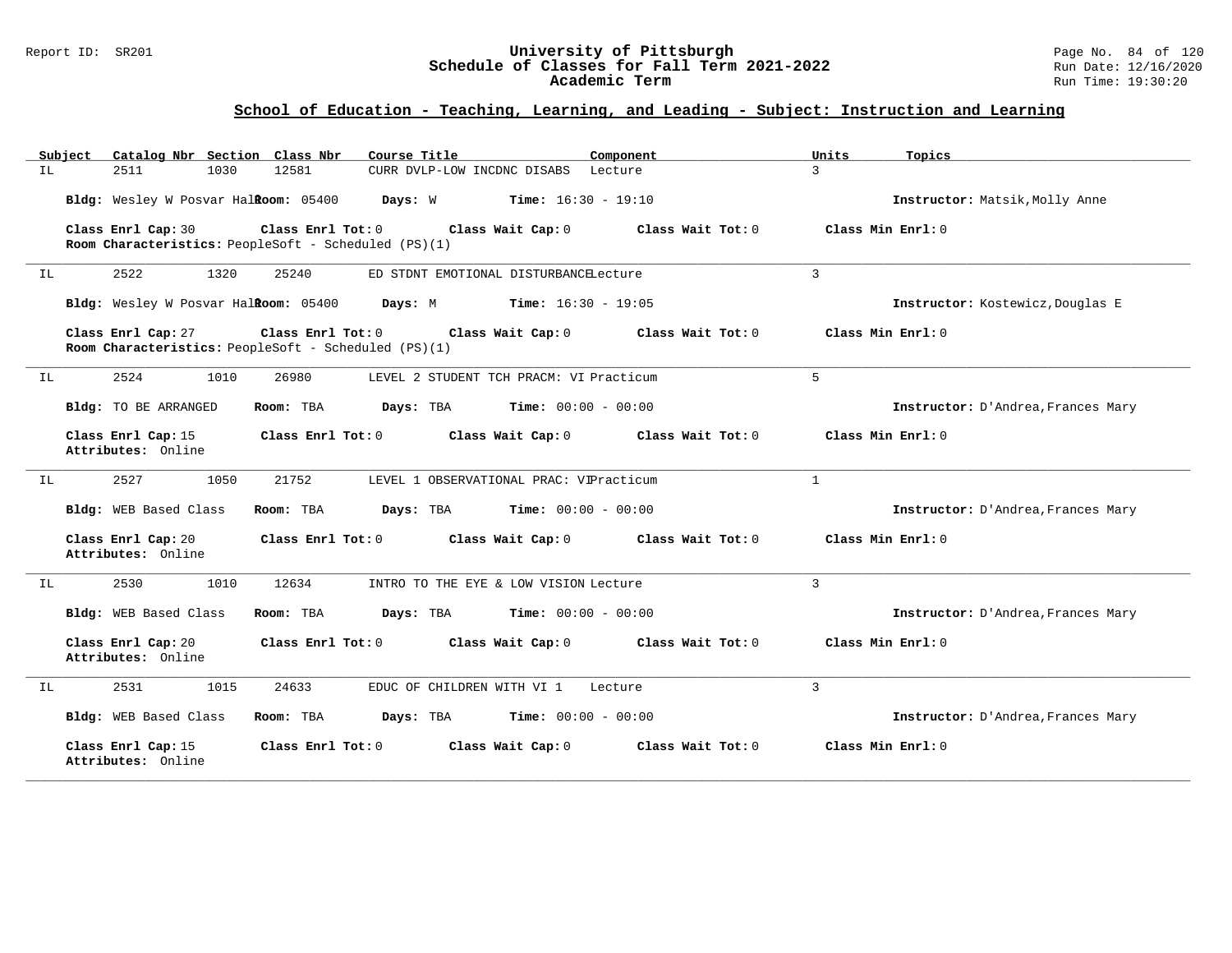## Report ID: SR201 **University of Pittsburgh** Page No. 84 of 120 **Schedule of Classes for Fall Term 2021-2022** Run Date: 12/16/2020 **Academic Term** Run Time: 19:30:20

| Subject<br>Catalog Nbr Section Class Nbr | Course Title                                                                                   | Component                 | Units<br>Topics                    |
|------------------------------------------|------------------------------------------------------------------------------------------------|---------------------------|------------------------------------|
| 2511<br>1030<br>IL.                      | 12581<br>CURR DVLP-LOW INCDNC DISABS Lecture                                                   | 3                         |                                    |
| Bldg: Wesley W Posvar Halkoom: 05400     | <b>Days:</b> W <b>Time:</b> $16:30 - 19:10$                                                    |                           | Instructor: Matsik, Molly Anne     |
| Class Enrl Cap: 30                       | Class Enrl Tot: 0<br>Class Wait Cap: 0<br>Room Characteristics: PeopleSoft - Scheduled (PS)(1) | Class Wait Tot: 0         | Class Min Enrl: 0                  |
| 2522<br>1320<br>IL                       | 25240<br>ED STDNT EMOTIONAL DISTURBANCELecture                                                 | $\mathbf{3}$              |                                    |
| Bldg: Wesley W Posvar Halkoom: 05400     | $Time: 16:30 - 19:05$<br>Days: M                                                               |                           | Instructor: Kostewicz, Douglas E   |
| Class Enrl Cap: 27                       | Class Enrl Tot: 0<br>Class Wait Cap: 0<br>Room Characteristics: PeopleSoft - Scheduled (PS)(1) | Class Wait Tot: 0         | Class Min Enrl: 0                  |
| 2524<br>1010<br>IL                       | 26980<br>LEVEL 2 STUDENT TCH PRACM: VI Practicum                                               | 5                         |                                    |
| Bldg: TO BE ARRANGED                     | Days: TBA<br><b>Time:</b> $00:00 - 00:00$<br>Room: TBA                                         |                           | Instructor: D'Andrea, Frances Mary |
| Class Enrl Cap: 15<br>Attributes: Online | Class Enrl Tot: 0<br>Class Wait Cap: 0                                                         | Class Wait $Tot: 0$       | Class Min Enrl: 0                  |
| 2527<br>1050<br>IL                       | 21752<br>LEVEL 1 OBSERVATIONAL PRAC: VIPracticum                                               | $\mathbf{1}$              |                                    |
| Bldg: WEB Based Class                    | Room: TBA<br>Days: TBA<br><b>Time:</b> $00:00 - 00:00$                                         |                           | Instructor: D'Andrea, Frances Mary |
| Class Enrl Cap: 20<br>Attributes: Online | Class Enrl Tot: 0<br>Class Wait Cap: 0                                                         | Class Wait Tot: 0         | Class Min Enrl: 0                  |
| 2530<br>1010<br>IL                       | 12634<br>INTRO TO THE EYE & LOW VISION Lecture                                                 | $\overline{3}$            |                                    |
| Bldg: WEB Based Class                    | Room: TBA<br>Days: TBA<br><b>Time:</b> $00:00 - 00:00$                                         |                           | Instructor: D'Andrea, Frances Mary |
| Class Enrl Cap: 20<br>Attributes: Online | Class Enrl Tot: 0<br>Class Wait Cap: 0                                                         | Class Wait Tot: 0         | Class Min Enrl: 0                  |
| 2531<br>1015<br>IL.                      | 24633<br>EDUC OF CHILDREN WITH VI 1                                                            | $\overline{3}$<br>Lecture |                                    |
| Bldg: WEB Based Class                    | Days: TBA<br><b>Time:</b> $00:00 - 00:00$<br>Room: TBA                                         |                           | Instructor: D'Andrea, Frances Mary |
| Class Enrl Cap: 15<br>Attributes: Online | Class Enrl Tot: 0<br>Class Wait Cap: 0                                                         | Class Wait Tot: 0         | Class Min Enrl: 0                  |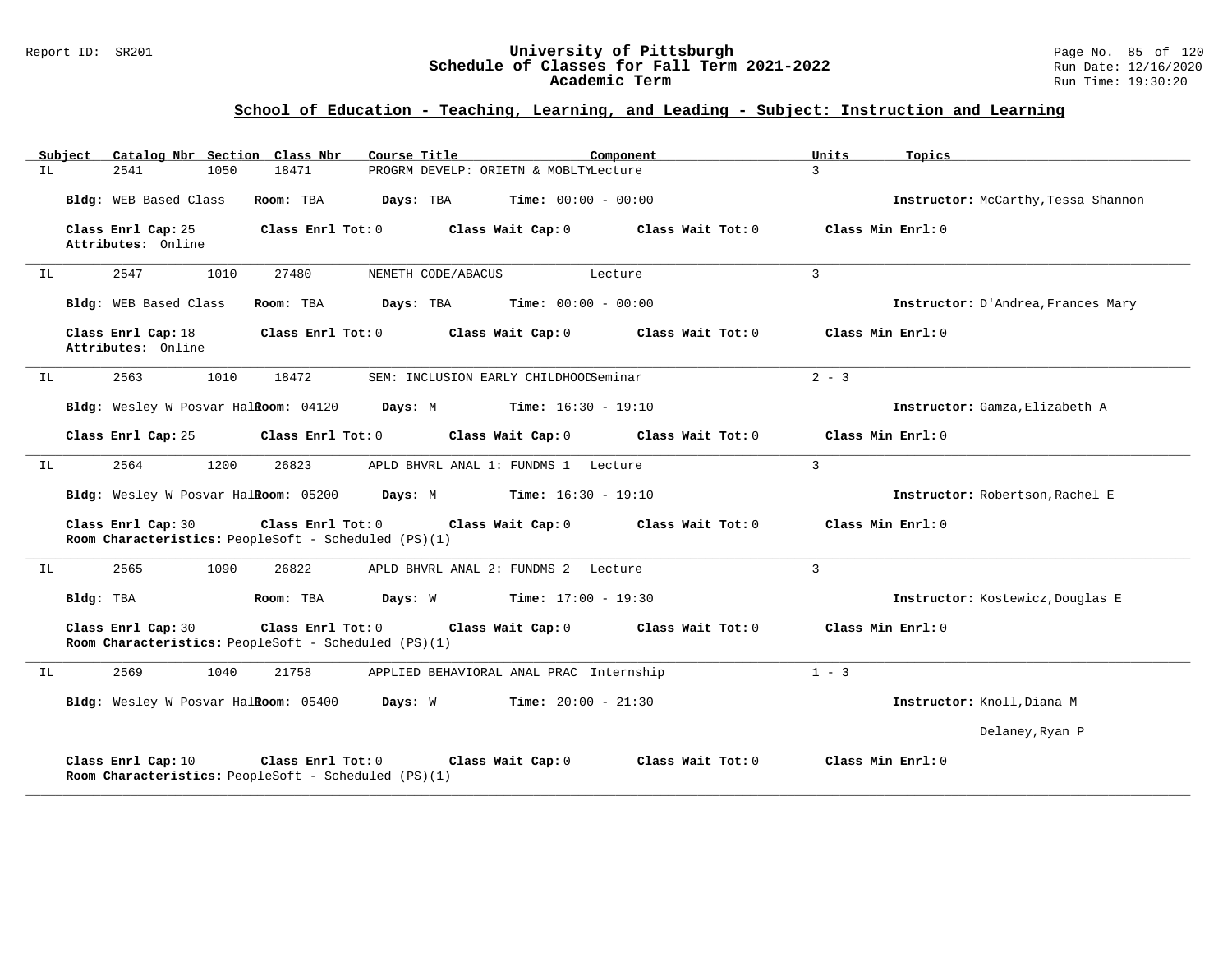### Report ID: SR201 **University of Pittsburgh** Page No. 85 of 120 **Schedule of Classes for Fall Term 2021-2022** Run Date: 12/16/2020 **Academic Term** Run Time: 19:30:20

| Subject | Catalog Nbr Section Class Nbr                                              |                   | Course Title                                                     | Component         | Units<br>Topics     |                                     |
|---------|----------------------------------------------------------------------------|-------------------|------------------------------------------------------------------|-------------------|---------------------|-------------------------------------|
| IL.     | 2541<br>1050                                                               | 18471             | PROGRM DEVELP: ORIETN & MOBLTYLecture                            |                   | $\mathbf{3}$        |                                     |
|         | Bldg: WEB Based Class                                                      | Room: TBA         | Days: TBA<br><b>Time:</b> $00:00 - 00:00$                        |                   |                     | Instructor: McCarthy, Tessa Shannon |
|         | Class Enrl Cap: 25<br>Attributes: Online                                   | Class Enrl Tot: 0 | Class Wait Cap: 0                                                | Class Wait Tot: 0 | Class Min Enrl: $0$ |                                     |
| IL      | 2547<br>1010                                                               | 27480             | NEMETH CODE/ABACUS                                               | Lecture           | 3                   |                                     |
|         | Bldg: WEB Based Class                                                      | Room: TBA         | Days: TBA<br><b>Time:</b> $00:00 - 00:00$                        |                   |                     | Instructor: D'Andrea, Frances Mary  |
|         | Class Enrl Cap: 18<br>Attributes: Online                                   | Class Enrl Tot: 0 | Class Wait Cap: 0                                                | Class Wait Tot: 0 | Class Min Enrl: 0   |                                     |
| IL      | 2563<br>1010                                                               | 18472             | SEM: INCLUSION EARLY CHILDHOODSeminar                            |                   | $2 - 3$             |                                     |
|         | Bldg: Wesley W Posvar Halkoom: 04120                                       |                   | $Time: 16:30 - 19:10$<br>Days: M                                 |                   |                     | Instructor: Gamza, Elizabeth A      |
|         | Class Enrl Cap: 25                                                         | Class Enrl Tot: 0 | Class Wait Cap: 0                                                | Class Wait Tot: 0 | Class Min Enrl: 0   |                                     |
| IL      | 2564<br>1200                                                               | 26823             | APLD BHVRL ANAL 1: FUNDMS 1 Lecture                              |                   | $\overline{3}$      |                                     |
|         | Bldg: Wesley W Posvar Hal <b>Room:</b> 05200 Days: M                       |                   | $Time: 16:30 - 19:10$                                            |                   |                     | Instructor: Robertson, Rachel E     |
|         | Class Enrl Cap: 30<br>Room Characteristics: PeopleSoft - Scheduled (PS)(1) | Class Enrl Tot: 0 | Class Wait Cap: 0                                                | Class Wait Tot: 0 | Class Min Enrl: 0   |                                     |
| IL      | 2565<br>1090                                                               | 26822             | APLD BHVRL ANAL 2: FUNDMS 2 Lecture                              |                   | $\overline{3}$      |                                     |
|         | Bldg: TBA                                                                  | Room: TBA         | <b>Days:</b> W <b>Time:</b> $17:00 - 19:30$                      |                   |                     | Instructor: Kostewicz, Douglas E    |
|         | Class Enrl Cap: 30<br>Room Characteristics: PeopleSoft - Scheduled (PS)(1) | Class Enrl Tot: 0 | Class Wait Cap: 0                                                | Class Wait Tot: 0 | Class Min Enrl: 0   |                                     |
| IL      | 2569<br>1040                                                               | 21758             | APPLIED BEHAVIORAL ANAL PRAC Internship                          |                   | $1 - 3$             |                                     |
|         |                                                                            |                   | Bldg: Wesley W Posvar Halkoom: 05400 Days: W Time: 20:00 - 21:30 |                   |                     | Instructor: Knoll, Diana M          |
|         |                                                                            |                   |                                                                  |                   |                     | Delaney, Ryan P                     |
|         | Class Enrl Cap: 10<br>Room Characteristics: PeopleSoft - Scheduled (PS)(1) | Class Enrl Tot: 0 | Class Wait Cap: 0                                                | Class Wait Tot: 0 | Class Min Enrl: 0   |                                     |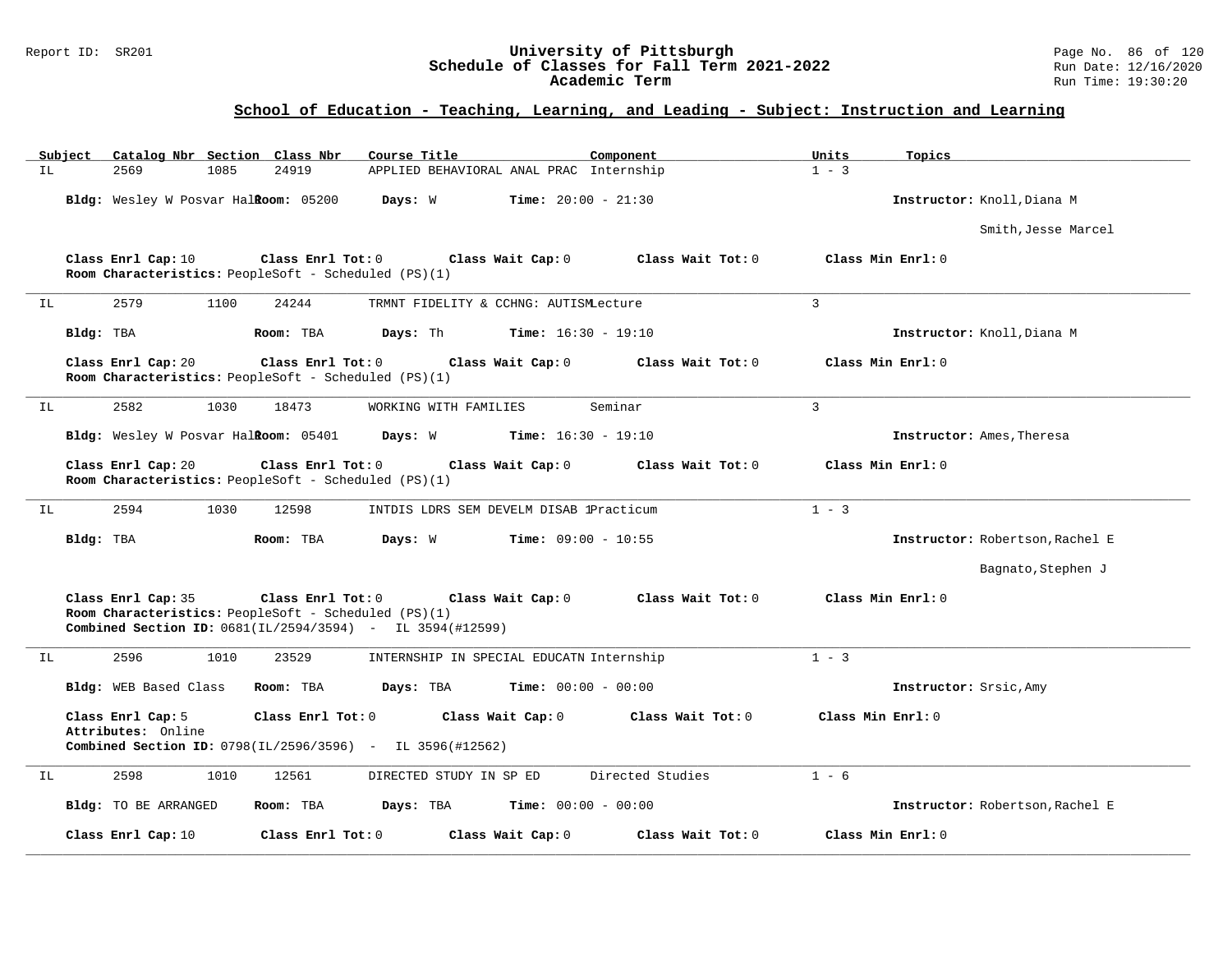## Report ID: SR201 **University of Pittsburgh** Page No. 86 of 120 **Schedule of Classes for Fall Term 2021-2022** Run Date: 12/16/2020 **Academic Term** Run Time: 19:30:20

| Catalog Nbr Section Class Nbr<br>Subject                                                                                                         | Course Title                                           | Component<br>Units          | Topics                          |
|--------------------------------------------------------------------------------------------------------------------------------------------------|--------------------------------------------------------|-----------------------------|---------------------------------|
| 2569<br>1085<br>IL                                                                                                                               | 24919<br>APPLIED BEHAVIORAL ANAL PRAC Internship       | $1 - 3$                     |                                 |
| Bldg: Wesley W Posvar Halkoom: 05200                                                                                                             | Days: W<br><b>Time:</b> $20:00 - 21:30$                |                             | Instructor: Knoll, Diana M      |
|                                                                                                                                                  |                                                        |                             | Smith, Jesse Marcel             |
| Class Enrl Cap: 10<br>Room Characteristics: PeopleSoft - Scheduled (PS)(1)                                                                       | Class Enrl Tot: 0<br>Class Wait Cap: 0                 | Class Wait Tot: 0           | Class Min Enrl: 0               |
| 2579<br>1100<br>IL                                                                                                                               | 24244<br>TRMNT FIDELITY & CCHNG: AUTISMLecture         | $\overline{3}$              |                                 |
| Bldg: TBA<br>Room: TBA                                                                                                                           | Days: Th<br><b>Time:</b> $16:30 - 19:10$               |                             | Instructor: Knoll, Diana M      |
| Class Enrl Cap: 20<br>Room Characteristics: PeopleSoft - Scheduled (PS)(1)                                                                       | Class Enrl Tot: 0<br>Class Wait Cap: 0                 | Class Wait Tot: 0           | Class Min Enrl: 0               |
| 2582<br>1030<br>ΙL                                                                                                                               | 18473<br>WORKING WITH FAMILIES                         | $\overline{3}$<br>Seminar   |                                 |
| Bldg: Wesley W Posvar Halkoom: 05401                                                                                                             | Time: $16:30 - 19:10$<br>Days: W                       |                             | Instructor: Ames, Theresa       |
| Class Enrl Cap: 20<br>Room Characteristics: PeopleSoft - Scheduled (PS)(1)                                                                       | Class Enrl Tot: 0<br>Class Wait Cap: 0                 | Class Wait Tot: 0           | Class Min Enrl: 0               |
| 2594<br>1030<br>ΙL                                                                                                                               | 12598<br>INTDIS LDRS SEM DEVELM DISAB 1Practicum       | $1 - 3$                     |                                 |
| Bldg: TBA                                                                                                                                        | Days: W<br><b>Time:</b> $09:00 - 10:55$<br>Room: TBA   |                             | Instructor: Robertson, Rachel E |
|                                                                                                                                                  |                                                        |                             | Bagnato, Stephen J              |
| Class Enrl Cap: 35<br>Room Characteristics: PeopleSoft - Scheduled (PS)(1)<br><b>Combined Section ID:</b> $0681(IL/2594/3594) - IL 3594(#12599)$ | Class Enrl Tot: 0<br>Class Wait Cap: 0                 | Class Wait Tot: 0           | Class Min Enrl: 0               |
| 2596<br>1010<br>ΙL                                                                                                                               | INTERNSHIP IN SPECIAL EDUCATN Internship<br>23529      | $1 - 3$                     |                                 |
| Bldg: WEB Based Class<br>Room: TBA                                                                                                               | Time: $00:00 - 00:00$<br>Days: TBA                     |                             | Instructor: Srsic, Amy          |
| Class Enrl Cap: 5<br>Attributes: Online<br>Combined Section ID: 0798(IL/2596/3596) - IL 3596(#12562)                                             | Class Enrl Tot: 0<br>Class Wait Cap: 0                 | Class Wait Tot: 0           | Class Min Enrl: 0               |
| 2598<br>1010<br>ΙL                                                                                                                               | 12561<br>DIRECTED STUDY IN SP ED                       | Directed Studies<br>$1 - 6$ |                                 |
| Bldg: TO BE ARRANGED                                                                                                                             | <b>Time:</b> $00:00 - 00:00$<br>Room: TBA<br>Days: TBA |                             | Instructor: Robertson, Rachel E |
| Class Enrl Cap: 10                                                                                                                               | Class Enrl Tot: 0<br>Class Wait Cap: 0                 | Class Wait Tot: 0           | Class Min Enrl: 0               |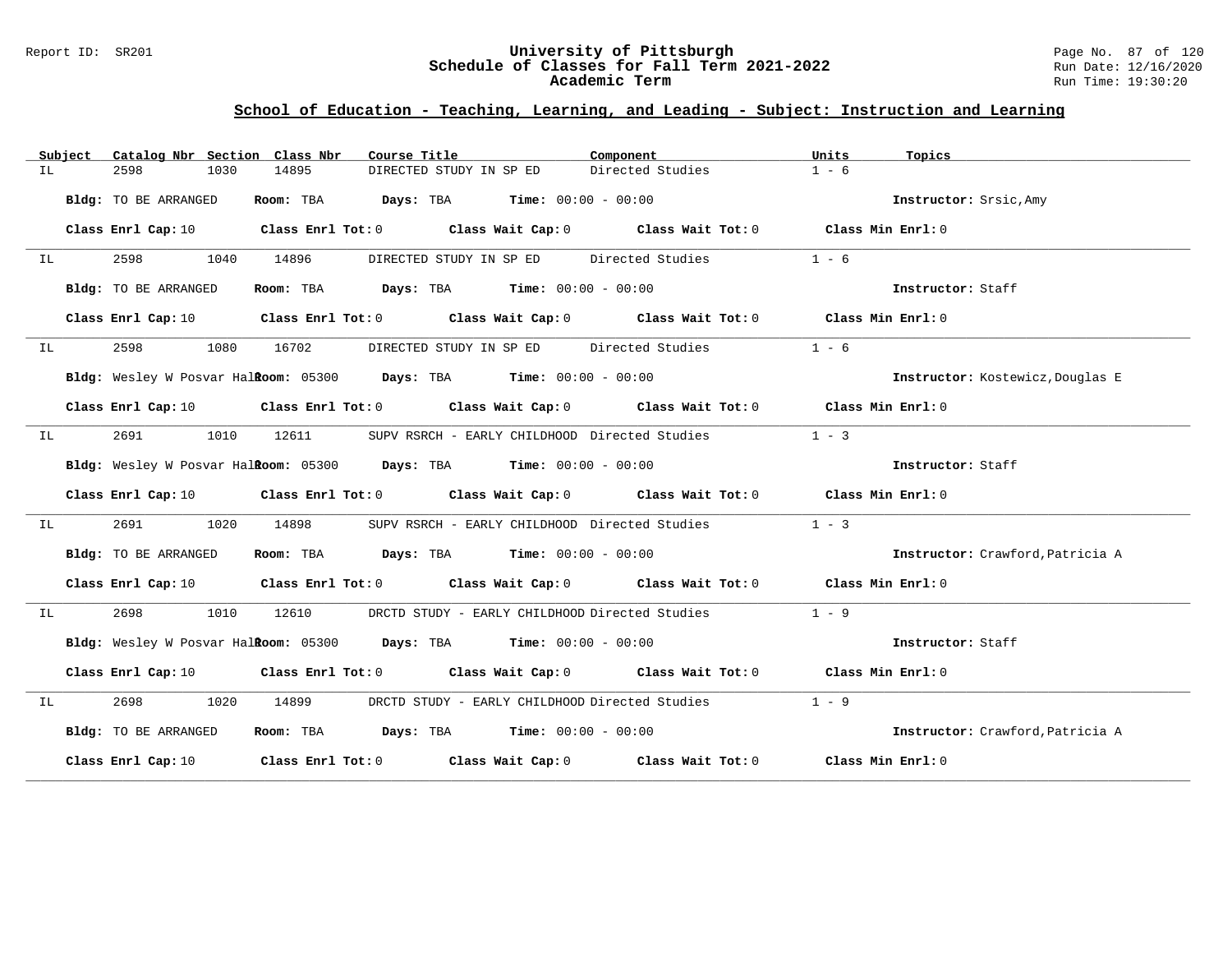### Report ID: SR201 **University of Pittsburgh** Page No. 87 of 120 **Schedule of Classes for Fall Term 2021-2022** Run Date: 12/16/2020 **Academic Term** Run Time: 19:30:20

|    | Subject | Catalog Nbr Section Class Nbr |           | Course Title                                                       | Component                                                                                                                      | Units<br>Topics                  |  |
|----|---------|-------------------------------|-----------|--------------------------------------------------------------------|--------------------------------------------------------------------------------------------------------------------------------|----------------------------------|--|
| ΙL |         | 2598<br>1030                  | 14895     | DIRECTED STUDY IN SP ED                                            | Directed Studies                                                                                                               | $1 - 6$                          |  |
|    |         | Bldg: TO BE ARRANGED          | Room: TBA | <b>Days:</b> TBA <b>Time:</b> $00:00 - 00:00$                      |                                                                                                                                | Instructor: Srsic, Amy           |  |
|    |         | Class Enrl Cap: 10            |           |                                                                    | Class Enrl Tot: $0$ Class Wait Cap: $0$ Class Wait Tot: $0$ Class Min Enrl: $0$                                                |                                  |  |
| IL |         | 2598<br>1040                  | 14896     | DIRECTED STUDY IN SP ED Directed Studies                           |                                                                                                                                | $1 - 6$                          |  |
|    |         | Bldg: TO BE ARRANGED          |           | Room: TBA $\rule{1em}{0.15mm}$ Days: TBA Time: $00:00 - 00:00$     |                                                                                                                                | Instructor: Staff                |  |
|    |         |                               |           |                                                                    | Class Enrl Cap: 10 $\qquad$ Class Enrl Tot: 0 $\qquad$ Class Wait Cap: 0 $\qquad$ Class Wait Tot: 0 $\qquad$ Class Min Enrl: 0 |                                  |  |
| IL |         | 2598<br>1080                  | 16702     | DIRECTED STUDY IN SP ED Directed Studies                           |                                                                                                                                | $1 - 6$                          |  |
|    |         |                               |           | Bldg: Wesley W Posvar Halkoom: 05300 Days: TBA Time: 00:00 - 00:00 |                                                                                                                                | Instructor: Kostewicz, Douglas E |  |
|    |         |                               |           |                                                                    | Class Enrl Cap: 10 $\qquad$ Class Enrl Tot: 0 $\qquad$ Class Wait Cap: 0 $\qquad$ Class Wait Tot: 0 $\qquad$ Class Min Enrl: 0 |                                  |  |
| IL |         | 2691<br>1010                  | 12611     | SUPV RSRCH - EARLY CHILDHOOD Directed Studies                      |                                                                                                                                | $1 - 3$                          |  |
|    |         |                               |           | Bldg: Wesley W Posvar Halkoom: 05300 Days: TBA Time: 00:00 - 00:00 |                                                                                                                                | Instructor: Staff                |  |
|    |         |                               |           |                                                                    | Class Enrl Cap: 10 $\qquad$ Class Enrl Tot: 0 $\qquad$ Class Wait Cap: 0 $\qquad$ Class Wait Tot: 0 $\qquad$ Class Min Enrl: 0 |                                  |  |
| IL |         | 2691<br>1020                  | 14898     |                                                                    | SUPV RSRCH - EARLY CHILDHOOD Directed Studies                                                                                  | $1 - 3$                          |  |
|    |         | Bldg: TO BE ARRANGED          |           | Room: TBA $Days:$ TBA $Time: 00:00 - 00:00$                        |                                                                                                                                | Instructor: Crawford, Patricia A |  |
|    |         |                               |           |                                                                    | Class Enrl Cap: 10 $\qquad$ Class Enrl Tot: 0 $\qquad$ Class Wait Cap: 0 $\qquad$ Class Wait Tot: 0 $\qquad$ Class Min Enrl: 0 |                                  |  |
| IL |         | 2698<br>1010                  | 12610     | DRCTD STUDY - EARLY CHILDHOOD Directed Studies                     |                                                                                                                                | $1 - 9$                          |  |
|    |         |                               |           | Bldg: Wesley W Posvar Halkoom: 05300 Days: TBA Time: 00:00 - 00:00 |                                                                                                                                | Instructor: Staff                |  |
|    |         |                               |           |                                                                    | Class Enrl Cap: 10 $\qquad$ Class Enrl Tot: 0 $\qquad$ Class Wait Cap: 0 $\qquad$ Class Wait Tot: 0 $\qquad$ Class Min Enrl: 0 |                                  |  |
| IL |         | 1020                          | 14899     |                                                                    | DRCTD STUDY - EARLY CHILDHOOD Directed Studies                                                                                 | $1 - 9$                          |  |
|    |         | Bldg: TO BE ARRANGED          |           | Room: TBA Days: TBA Time: $00:00 - 00:00$                          |                                                                                                                                | Instructor: Crawford, Patricia A |  |
|    |         |                               |           |                                                                    | Class Enrl Cap: 10 Class Enrl Tot: 0 Class Wait Cap: 0 Class Wait Tot: 0 Class Min Enrl: 0                                     |                                  |  |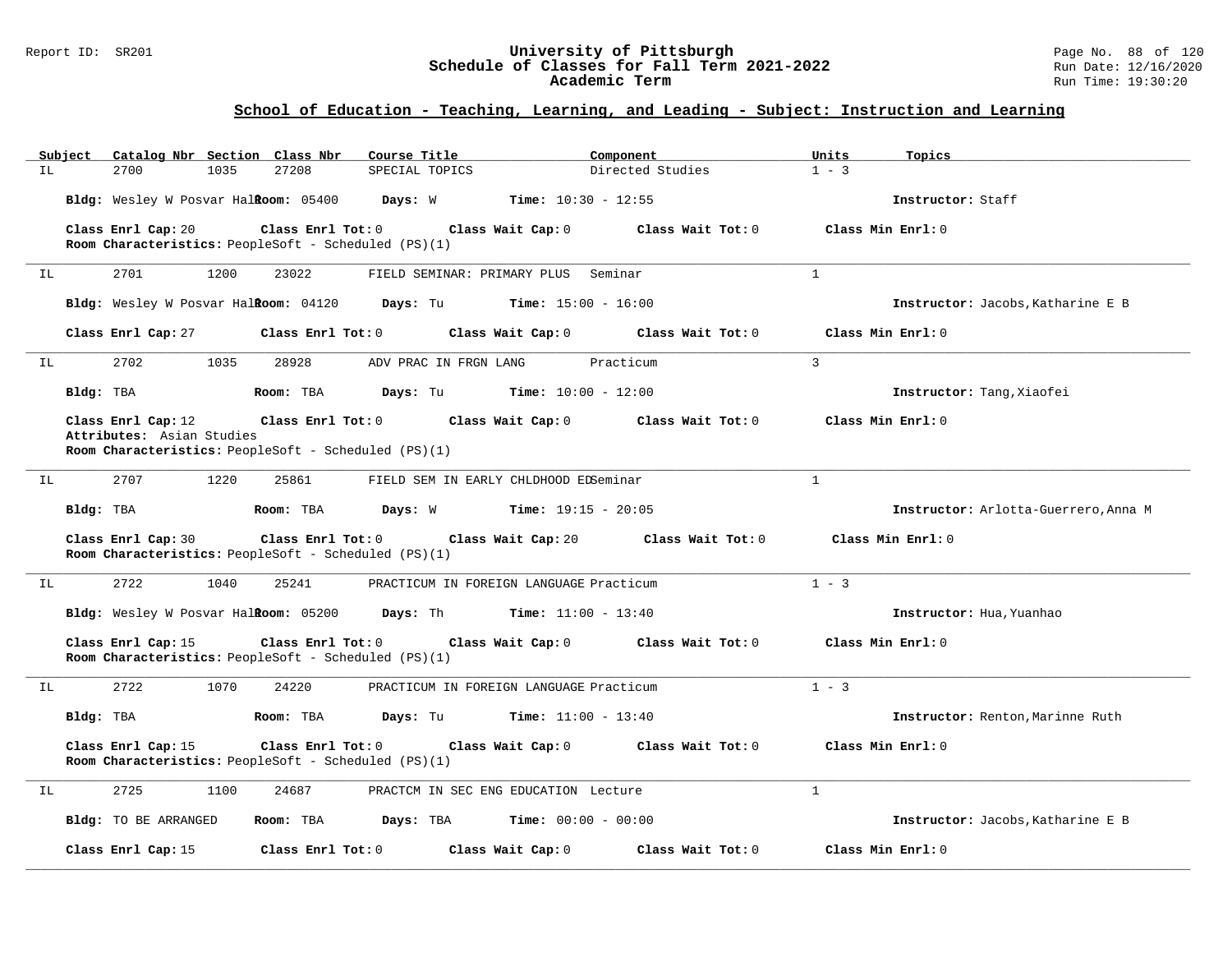## Report ID: SR201 **University of Pittsburgh** Page No. 88 of 120 **Schedule of Classes for Fall Term 2021-2022** Run Date: 12/16/2020 **Academic Term** Run Time: 19:30:20

|     | Subject   | Catalog Nbr Section Class Nbr        |      |                   | Course Title                                         |                                         | Component                    | Units          | Topics                               |
|-----|-----------|--------------------------------------|------|-------------------|------------------------------------------------------|-----------------------------------------|------------------------------|----------------|--------------------------------------|
| IL. |           | 2700                                 | 1035 | 27208             | SPECIAL TOPICS                                       |                                         | Directed Studies             | $1 - 3$        |                                      |
|     |           | Bldg: Wesley W Posvar HalRoom: 05400 |      |                   | Days: W                                              | <b>Time:</b> $10:30 - 12:55$            |                              |                | Instructor: Staff                    |
|     |           | Class Enrl Cap: 20                   |      | Class Enrl Tot: 0 |                                                      | Class Wait Cap: 0                       | Class Wait Tot: 0            |                | Class Min $Enrl: 0$                  |
|     |           |                                      |      |                   | Room Characteristics: PeopleSoft - Scheduled (PS)(1) |                                         |                              |                |                                      |
| IL  |           | 2701                                 | 1200 | 23022             |                                                      | FIELD SEMINAR: PRIMARY PLUS Seminar     |                              | $\mathbf{1}$   |                                      |
|     |           | Bldg: Wesley W Posvar HalRoom: 04120 |      |                   | Days: Tu                                             | $Time: 15:00 - 16:00$                   |                              |                | Instructor: Jacobs, Katharine E B    |
|     |           | Class Enrl Cap: 27                   |      | Class Enrl Tot: 0 |                                                      | Class Wait Cap: 0                       | Class Wait Tot: 0            |                | Class Min Enrl: 0                    |
| IL  |           | 2702                                 | 1035 | 28928             | ADV PRAC IN FRGN LANG                                |                                         | Practicum                    | $\overline{3}$ |                                      |
|     | Bldg: TBA |                                      |      | Room: TBA         | Days: Tu                                             | <b>Time:</b> $10:00 - 12:00$            |                              |                | Instructor: Tang, Xiaofei            |
|     |           | Class Enrl Cap: 12                   |      | Class Enrl Tot: 0 |                                                      | Class Wait Cap: 0                       | Class Wait Tot: 0            |                | Class Min Enrl: 0                    |
|     |           | Attributes: Asian Studies            |      |                   | Room Characteristics: PeopleSoft - Scheduled (PS)(1) |                                         |                              |                |                                      |
|     |           |                                      |      |                   |                                                      |                                         |                              |                |                                      |
| IL  |           | 2707                                 | 1220 | 25861             |                                                      | FIELD SEM IN EARLY CHLDHOOD EDSeminar   |                              | $\mathbf{1}$   |                                      |
|     | Bldg: TBA |                                      |      | Room: TBA         | Days: W                                              | <b>Time:</b> $19:15 - 20:05$            |                              |                | Instructor: Arlotta-Guerrero, Anna M |
|     |           | Class Enrl Cap: 30                   |      | Class Enrl Tot: 0 | Room Characteristics: PeopleSoft - Scheduled (PS)(1) | Class Wait Cap: 20                      | Class Wait Tot: 0            |                | Class Min Enrl: 0                    |
| ΙL  |           | 2722                                 | 1040 | 25241             |                                                      | PRACTICUM IN FOREIGN LANGUAGE Practicum |                              | $1 - 3$        |                                      |
|     |           |                                      |      |                   | Bldg: Wesley W Posvar Halkoom: 05200 Days: Th        | $Time: 11:00 - 13:40$                   |                              |                | Instructor: Hua, Yuanhao             |
|     |           | Class Enrl Cap: 15                   |      | Class Enrl Tot: 0 | Room Characteristics: PeopleSoft - Scheduled (PS)(1) | Class Wait Cap: 0                       | Class Wait Tot: 0            |                | Class Min Enrl: 0                    |
| ΙL  |           | 2722                                 | 1070 | 24220             |                                                      | PRACTICUM IN FOREIGN LANGUAGE Practicum |                              | $1 - 3$        |                                      |
|     | Bldg: TBA |                                      |      | Room: TBA         | Days: Tu                                             | <b>Time:</b> $11:00 - 13:40$            |                              |                | Instructor: Renton, Marinne Ruth     |
|     |           | Class Enrl Cap: 15                   |      | Class Enrl Tot: 0 | Room Characteristics: PeopleSoft - Scheduled (PS)(1) | Class Wait Cap: 0                       | Class Wait Tot: 0            |                | Class Min Enrl: 0                    |
| IL  |           | 2725                                 | 1100 | 24687             |                                                      | PRACTCM IN SEC ENG EDUCATION Lecture    |                              | $\mathbf{1}$   |                                      |
|     |           | Bldg: TO BE ARRANGED                 |      | Room: TBA         | Days: TBA                                            |                                         | <b>Time:</b> $00:00 - 00:00$ |                | Instructor: Jacobs, Katharine E B    |
|     |           | Class Enrl Cap: 15                   |      | Class Enrl Tot: 0 |                                                      | Class Wait Cap: 0                       | Class Wait Tot: 0            |                | Class Min Enrl: 0                    |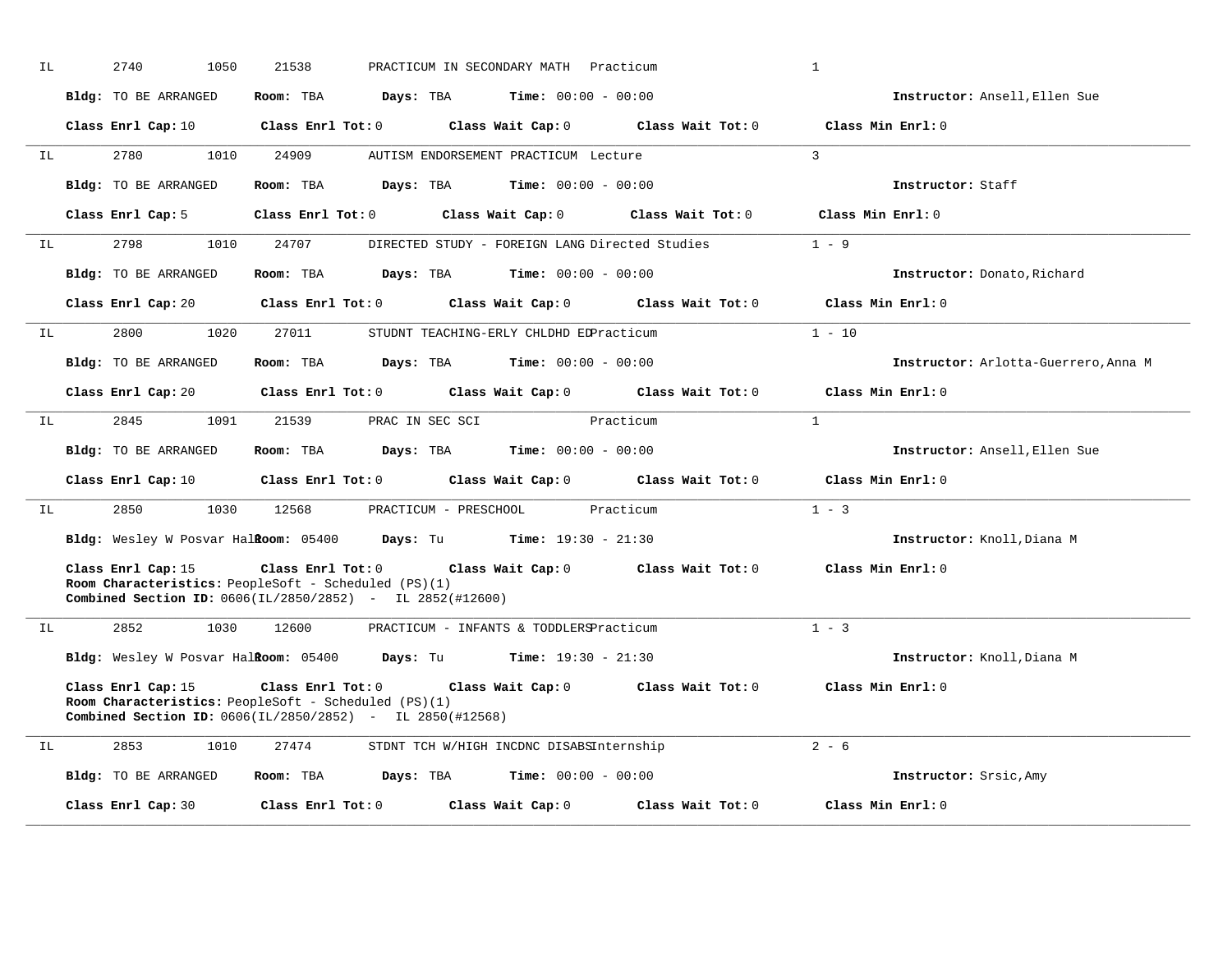| IL | 2740<br>1050                                                                                                                            | 21538                   |                       | PRACTICUM IN SECONDARY MATH Practicum          |                                     | $\mathbf{1}$                         |
|----|-----------------------------------------------------------------------------------------------------------------------------------------|-------------------------|-----------------------|------------------------------------------------|-------------------------------------|--------------------------------------|
|    | Bldg: TO BE ARRANGED                                                                                                                    | Room: TBA               | Days: TBA             | <b>Time:</b> $00:00 - 00:00$                   |                                     | Instructor: Ansell, Ellen Sue        |
|    | Class Enrl Cap: 10                                                                                                                      | Class Enrl Tot: 0       |                       | Class Wait Cap: 0                              | Class Wait Tot: 0                   | Class Min Enrl: 0                    |
| IL | 2780<br>1010                                                                                                                            | 24909                   |                       | AUTISM ENDORSEMENT PRACTICUM Lecture           |                                     | 3                                    |
|    | <b>Bldg:</b> TO BE ARRANGED                                                                                                             | Room: TBA               | Days: TBA             | <b>Time:</b> $00:00 - 00:00$                   |                                     | Instructor: Staff                    |
|    | Class Enrl Cap: 5                                                                                                                       | $Class$ $Enr1$ $Tot: 0$ |                       | Class Wait Cap: 0                              | Class Wait Tot: 0                   | Class Min Enrl: 0                    |
| IL | 2798<br>1010                                                                                                                            | 24707                   |                       | DIRECTED STUDY - FOREIGN LANG Directed Studies |                                     | $1 - 9$                              |
|    | Bldg: TO BE ARRANGED                                                                                                                    | Room: TBA               | Days: TBA             | $Time: 00:00 - 00:00$                          |                                     | Instructor: Donato, Richard          |
|    | Class Enrl Cap: 20                                                                                                                      | Class Enrl Tot: 0       |                       | Class Wait Cap: 0                              | Class Wait Tot: 0                   | Class Min $Enrl: 0$                  |
| IL | 2800<br>1020                                                                                                                            | 27011                   |                       | STUDNT TEACHING-ERLY CHLDHD EDPracticum        |                                     | $1 - 10$                             |
|    | Bldg: TO BE ARRANGED                                                                                                                    | Room: TBA               | Days: TBA             | <b>Time:</b> $00:00 - 00:00$                   |                                     | Instructor: Arlotta-Guerrero, Anna M |
|    | Class Enrl Cap: 20                                                                                                                      | Class Enrl Tot: 0       |                       |                                                | Class Wait Cap: 0 Class Wait Tot: 0 | Class Min Enrl: 0                    |
| IL | 1091<br>2845                                                                                                                            | 21539                   | PRAC IN SEC SCI       |                                                | Practicum                           | $\overline{1}$                       |
|    | Bldg: TO BE ARRANGED                                                                                                                    | Room: TBA               |                       | <b>Days:</b> TBA <b>Time:</b> $00:00 - 00:00$  |                                     | Instructor: Ansell, Ellen Sue        |
|    | Class Enrl Cap: 10                                                                                                                      | $Class$ $Enrl$ $Tot: 0$ |                       |                                                | Class Wait Cap: 0 Class Wait Tot: 0 | Class Min Enrl: 0                    |
| ΙL | 2850<br>1030                                                                                                                            | 12568                   | PRACTICUM - PRESCHOOL |                                                | Practicum                           | $1 - 3$                              |
|    | Bldg: Wesley W Posvar Halkoom: 05400                                                                                                    |                         |                       | <b>Days:</b> Tu <b>Time:</b> $19:30 - 21:30$   |                                     | Instructor: Knoll, Diana M           |
|    | Class Enrl Cap: 15<br>Room Characteristics: PeopleSoft - Scheduled (PS)(1)<br>Combined Section ID: 0606(IL/2850/2852) - IL 2852(#12600) | Class Enrl Tot: 0       |                       |                                                | Class Wait Cap: 0 Class Wait Tot: 0 | Class Min Enrl: 0                    |
| IL | 2852<br>1030                                                                                                                            | 12600                   |                       | PRACTICUM - INFANTS & TODDLERSPracticum        |                                     | $1 - 3$                              |
|    | Bldg: Wesley W Posvar Halkoom: 05400 Days: Tu                                                                                           |                         |                       | $Time: 19:30 - 21:30$                          |                                     | Instructor: Knoll, Diana M           |
|    | Class Enrl Cap: 15<br>Room Characteristics: PeopleSoft - Scheduled (PS)(1)<br>Combined Section ID: 0606(IL/2850/2852) - IL 2850(#12568) | Class Enrl Tot: 0       |                       |                                                | Class Wait Cap: 0 Class Wait Tot: 0 | Class Min Enrl: 0                    |
| IL | 2853<br>1010                                                                                                                            | 27474                   |                       | STDNT TCH W/HIGH INCDNC DISABSInternship       |                                     | $2 - 6$                              |
|    | Bldg: TO BE ARRANGED                                                                                                                    | Room: TBA               | Days: TBA             | <b>Time:</b> $00:00 - 00:00$                   |                                     | Instructor: Srsic, Amy               |
|    | Class Enrl Cap: 30                                                                                                                      | Class Enrl Tot: 0       |                       | Class Wait Cap: 0                              | Class Wait Tot: 0                   | Class Min Enrl: 0                    |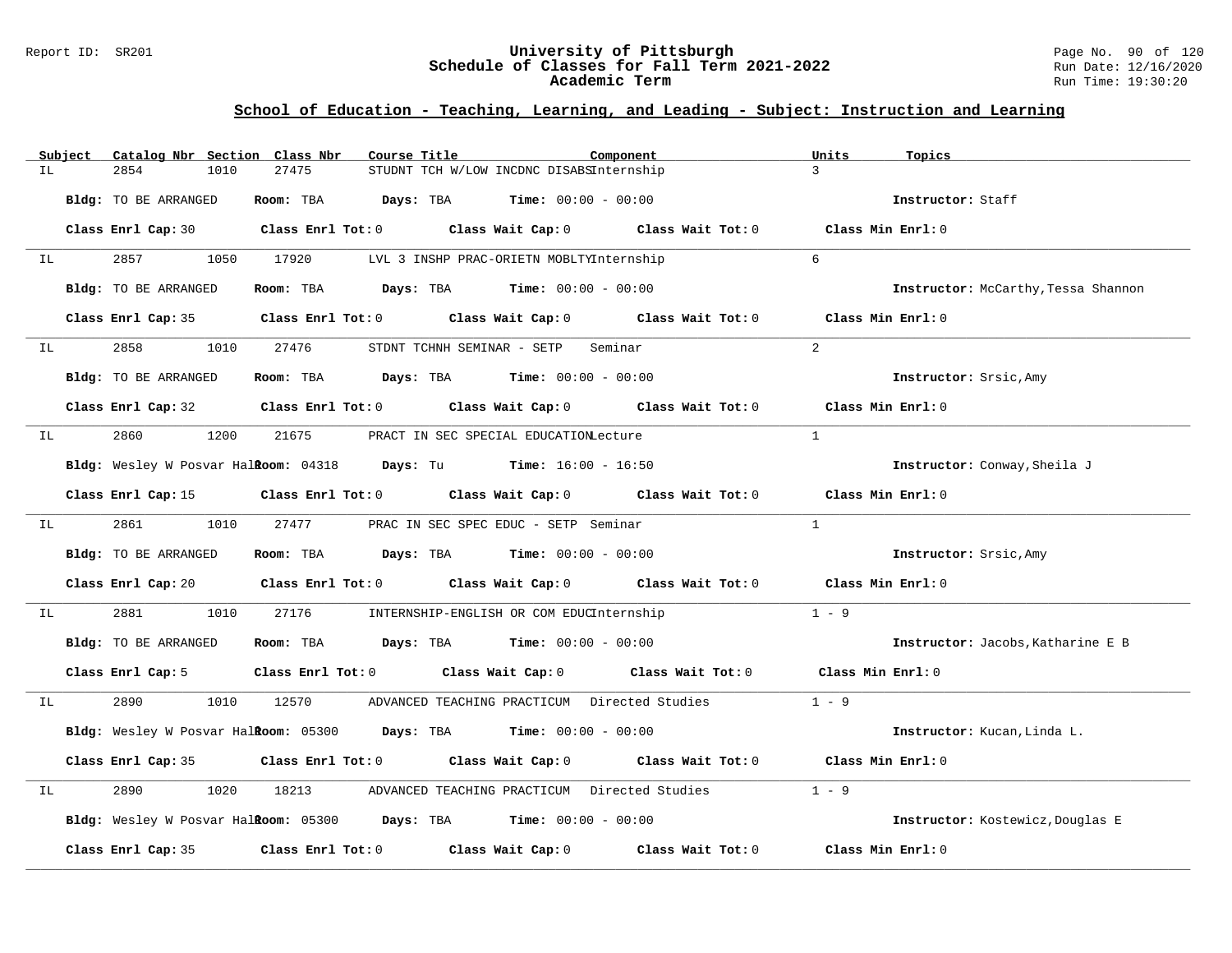### Report ID: SR201 **University of Pittsburgh** Page No. 90 of 120 **Schedule of Classes for Fall Term 2021-2022** Run Date: 12/16/2020 **Academic Term** Run Time: 19:30:20

|    | Subject | Catalog Nbr Section Class Nbr | Course Title                                                       | Component                                                                                           | Units<br>Topics                     |
|----|---------|-------------------------------|--------------------------------------------------------------------|-----------------------------------------------------------------------------------------------------|-------------------------------------|
| IL |         | 2854<br>1010                  | 27475                                                              | STUDNT TCH W/LOW INCDNC DISABSInternship                                                            | $\mathcal{L}$                       |
|    |         | Bldg: TO BE ARRANGED          | Room: TBA $Days:$ TBA $Time: 00:00 - 00:00$                        |                                                                                                     | Instructor: Staff                   |
|    |         |                               |                                                                    | Class Enrl Cap: 30 $\qquad$ Class Enrl Tot: 0 $\qquad$ Class Wait Cap: 0 $\qquad$ Class Wait Tot: 0 | Class Min Enrl: 0                   |
| IL |         | 2857<br>1050                  | 17920                                                              | LVL 3 INSHP PRAC-ORIETN MOBLTYInternship                                                            | $6^{\circ}$                         |
|    |         | Bldg: TO BE ARRANGED          | Room: TBA $Days:$ TBA $Time: 00:00 - 00:00$                        |                                                                                                     | Instructor: McCarthy, Tessa Shannon |
|    |         | Class Enrl Cap: 35            | Class Enrl Tot: 0 Class Wait Cap: 0                                | Class Wait Tot: 0                                                                                   | Class Min Enrl: 0                   |
| IL |         | 2858                          | 1010 27476<br>STDNT TCHNH SEMINAR - SETP                           | Seminar                                                                                             | 2                                   |
|    |         | Bldg: TO BE ARRANGED          | Room: TBA $Days:$ TBA $Time: 00:00 - 00:00$                        |                                                                                                     | Instructor: Srsic, Amy              |
|    |         |                               |                                                                    | Class Enrl Cap: 32 Class Enrl Tot: 0 Class Wait Cap: 0 Class Wait Tot: 0                            | Class Min Enrl: 0                   |
| IL |         | 2860<br>1200                  | 21675                                                              | PRACT IN SEC SPECIAL EDUCATIONLecture                                                               | $\mathbf{1}$                        |
|    |         |                               | Bldg: Wesley W Posvar Halkoom: 04318 Days: Tu Time: 16:00 - 16:50  |                                                                                                     | Instructor: Conway, Sheila J        |
|    |         | Class Enrl Cap: 15            |                                                                    | Class Enrl Tot: 0 Class Wait Cap: 0 Class Wait Tot: 0 Class Min Enrl: 0                             |                                     |
| IL |         | 2861 288<br>1010              | 27477                                                              | PRAC IN SEC SPEC EDUC - SETP Seminar                                                                | $\mathbf{1}$                        |
|    |         | Bldg: TO BE ARRANGED          | Room: TBA $Days:$ TBA $Time: 00:00 - 00:00$                        |                                                                                                     | Instructor: Srsic, Amy              |
|    |         |                               |                                                                    | Class Enrl Cap: 20 Class Enrl Tot: 0 Class Wait Cap: 0 Class Wait Tot: 0 Class Min Enrl: 0          |                                     |
| ΙL |         | 2881<br>1010                  | 27176                                                              | INTERNSHIP-ENGLISH OR COM EDUCInternship                                                            | $1 - 9$                             |
|    |         | Bldg: TO BE ARRANGED          | Room: TBA $Days:$ TBA $Time: 00:00 - 00:00$                        |                                                                                                     | Instructor: Jacobs, Katharine E B   |
|    |         |                               |                                                                    | Class Enrl Cap: 5 Class Enrl Tot: 0 Class Wait Cap: 0 Class Wait Tot: 0 Class Min Enrl: 0           |                                     |
| IL |         | 2890<br>1010                  | 12570                                                              | ADVANCED TEACHING PRACTICUM Directed Studies                                                        | $1 - 9$                             |
|    |         |                               | Bldg: Wesley W Posvar Halkoom: 05300 Days: TBA Time: 00:00 - 00:00 |                                                                                                     | Instructor: Kucan, Linda L.         |
|    |         |                               |                                                                    | Class Enrl Cap: 35 Class Enrl Tot: 0 Class Wait Cap: 0 Class Wait Tot: 0                            | Class Min Enrl: 0                   |
| IL |         | 2890<br>1020                  | 18213                                                              | ADVANCED TEACHING PRACTICUM Directed Studies                                                        | $1 - 9$                             |
|    |         |                               | Bldg: Wesley W Posvar Halkoom: 05300 Days: TBA Time: 00:00 - 00:00 |                                                                                                     | Instructor: Kostewicz, Douglas E    |
|    |         | Class Enrl Cap: 35            | Class Enrl Tot: 0 Class Wait Cap: 0                                | Class Wait Tot: 0                                                                                   | Class Min Enrl: 0                   |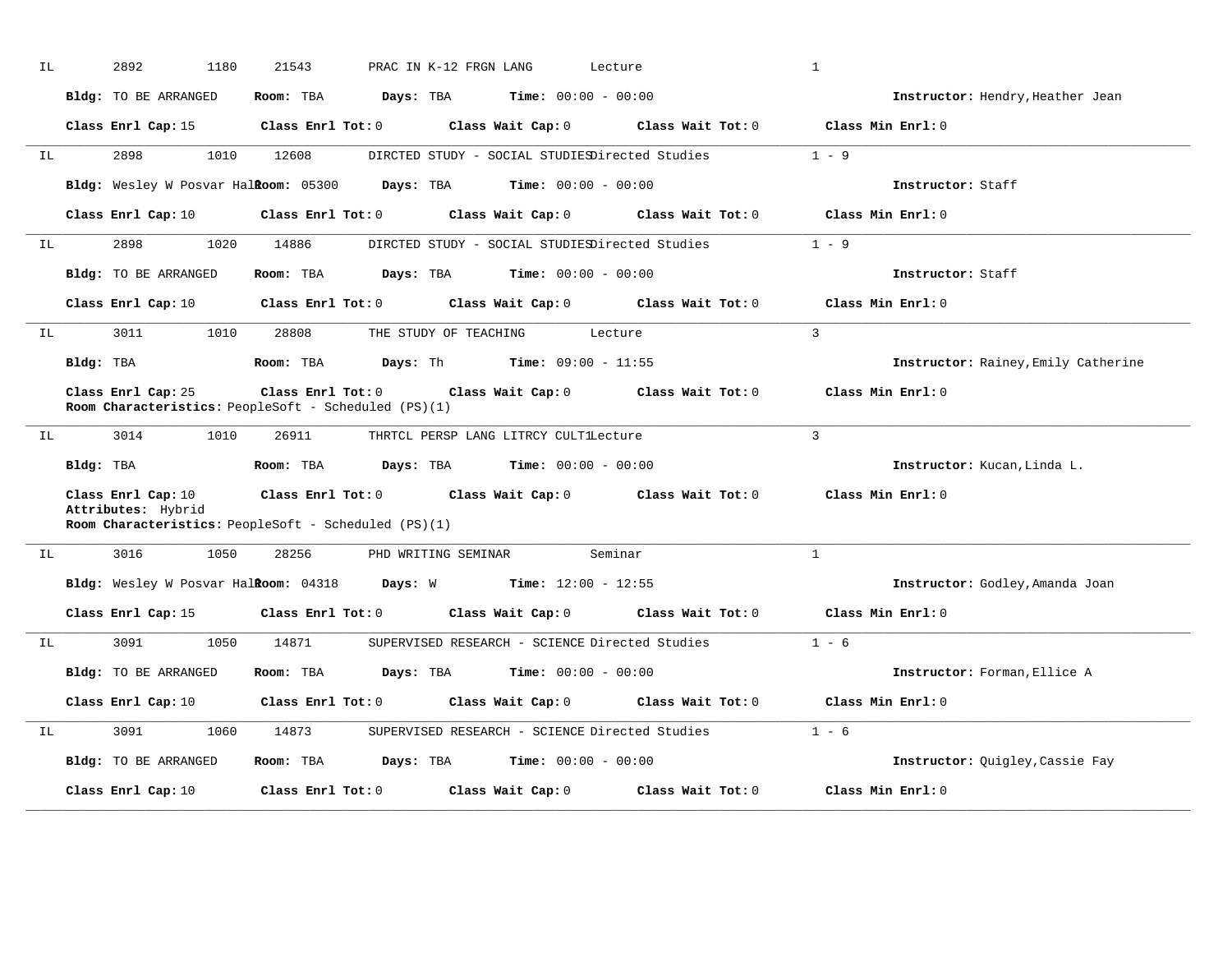|                      | Bldg: TO BE ARRANGED                                                                             | Room: TBA               | Days: TBA               | <b>Time:</b> $00:00 - 00:00$                   |                                         | Instructor: Hendry, Heather Jean    |
|----------------------|--------------------------------------------------------------------------------------------------|-------------------------|-------------------------|------------------------------------------------|-----------------------------------------|-------------------------------------|
|                      | Class Enrl Cap: 15                                                                               |                         | Class Enrl Tot: 0       |                                                | Class Wait Cap: $0$ Class Wait Tot: $0$ | Class Min Enrl: 0                   |
| IL                   | 2898<br>1010                                                                                     | 12608                   |                         | DIRCTED STUDY - SOCIAL STUDIESDirected Studies |                                         | $1 - 9$                             |
|                      | Bldg: Wesley W Posvar Halkoom: 05300                                                             |                         | Days: TBA               | $Time: 00:00 - 00:00$                          |                                         | Instructor: Staff                   |
|                      | Class Enrl Cap: 10                                                                               |                         | $Class$ $Enr1$ $Tot: 0$ | Class Wait Cap: 0                              | Class Wait Tot: 0                       | Class Min Enrl: 0                   |
| IL                   | 2898<br>1020                                                                                     | 14886                   |                         | DIRCTED STUDY - SOCIAL STUDIESDirected Studies |                                         | $1 - 9$                             |
|                      | Bldg: TO BE ARRANGED                                                                             | Room: TBA               |                         | <b>Days:</b> TBA <b>Time:</b> $00:00 - 00:00$  |                                         | Instructor: Staff                   |
|                      | Class Enrl Cap: 10 Class Enrl Tot: 0                                                             |                         |                         | Class Wait Cap: 0                              | Class Wait Tot: 0                       | Class Min Enrl: 0                   |
| IL                   | 3011<br>1010                                                                                     | 28808                   | THE STUDY OF TEACHING   |                                                | Lecture                                 | $\overline{3}$                      |
|                      | Bldg: TBA                                                                                        | Room: TBA               |                         | <b>Days:</b> Th <b>Time:</b> $09:00 - 11:55$   |                                         | Instructor: Rainey, Emily Catherine |
|                      | Class Enrl Cap: 25<br>Room Characteristics: PeopleSoft - Scheduled (PS)(1)                       | $Class$ $Enrl$ $Tot: 0$ |                         |                                                | Class Wait Cap: 0 Class Wait Tot: 0     | Class Min Enrl: 0                   |
|                      |                                                                                                  |                         |                         |                                                |                                         |                                     |
|                      | 3014<br>1010                                                                                     | 26911                   |                         | THRTCL PERSP LANG LITRCY CULTILecture          |                                         | $\mathcal{L}$                       |
|                      | Bldg: TBA                                                                                        | Room: TBA               |                         | <b>Days:</b> TBA <b>Time:</b> $00:00 - 00:00$  |                                         | Instructor: Kucan, Linda L.         |
|                      | Class Enrl Cap: 10<br>Attributes: Hybrid<br>Room Characteristics: PeopleSoft - Scheduled (PS)(1) | $Class$ $Enr1$ $Tot: 0$ |                         |                                                | Class Wait Cap: 0 Class Wait Tot: 0     | Class Min Enrl: 0                   |
|                      | 3016<br>1050                                                                                     | 28256                   | PHD WRITING SEMINAR     |                                                | Seminar                                 | $\mathbf{1}$                        |
|                      | Bldg: Wesley W Posvar Halkoom: 04318 Days: W Time: 12:00 - 12:55                                 |                         |                         |                                                |                                         | Instructor: Godley, Amanda Joan     |
|                      | Class Enrl Cap: 15 Class Enrl Tot: 0                                                             |                         |                         |                                                | Class Wait Cap: 0 Class Wait Tot: 0     | Class Min Enrl: 0                   |
|                      | 3091<br>1050                                                                                     | 14871                   |                         | SUPERVISED RESEARCH - SCIENCE Directed Studies |                                         | $1 - 6$                             |
|                      | Bldg: TO BE ARRANGED                                                                             | Room: TBA               | Days: TBA               | <b>Time:</b> $00:00 - 00:00$                   |                                         | Instructor: Forman, Ellice A        |
|                      | Class Enrl Cap: 10                                                                               |                         | $Class$ $Enrl$ $Tot: 0$ |                                                | Class Wait Cap: 0 Class Wait Tot: 0     | Class Min Enrl: 0                   |
|                      | 3091<br>1060                                                                                     | 14873                   |                         | SUPERVISED RESEARCH - SCIENCE Directed Studies |                                         | $1 - 6$                             |
| IL<br>IL<br>IL<br>IL | Bldg: TO BE ARRANGED                                                                             | Room: TBA               | Days: TBA               | $Time: 00:00 - 00:00$                          |                                         | Instructor: Quigley, Cassie Fay     |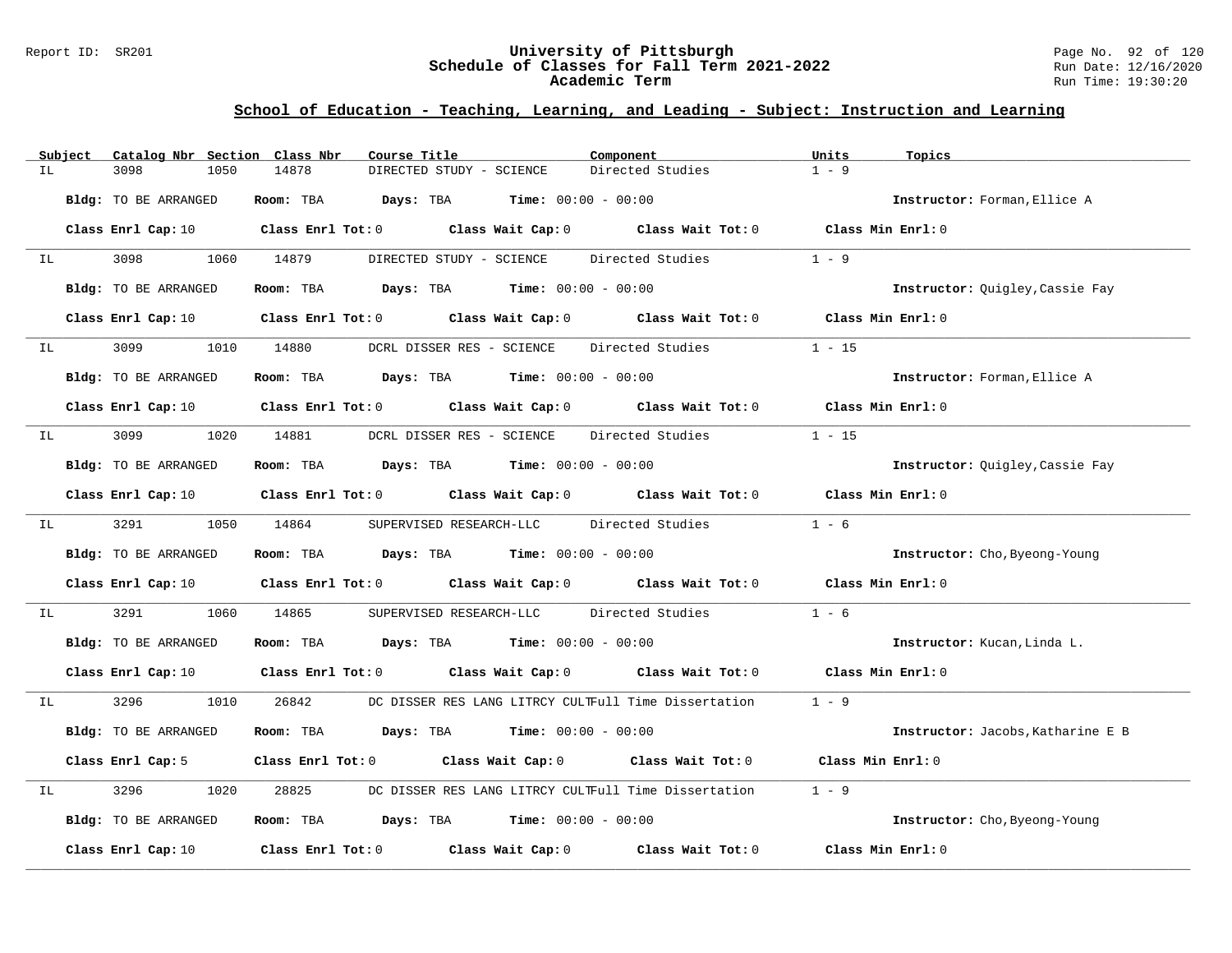### Report ID: SR201 **University of Pittsburgh** Page No. 92 of 120 **Schedule of Classes for Fall Term 2021-2022** Run Date: 12/16/2020 **Academic Term** Run Time: 19:30:20

| Subject | Catalog Nbr Section Class Nbr | Course Title                                                                                                                   | Component        | Units<br>Topics                   |
|---------|-------------------------------|--------------------------------------------------------------------------------------------------------------------------------|------------------|-----------------------------------|
| IL      | 3098<br>1050                  | 14878<br>DIRECTED STUDY - SCIENCE                                                                                              | Directed Studies | $1 - 9$                           |
|         | Bldg: TO BE ARRANGED          | $\texttt{Days:}$ TBA $\texttt{Time:}$ 00:00 - 00:00<br>Room: TBA                                                               |                  | Instructor: Forman, Ellice A      |
|         |                               | Class Enrl Cap: 10 $\qquad$ Class Enrl Tot: 0 $\qquad$ Class Wait Cap: 0 $\qquad$ Class Wait Tot: 0 $\qquad$ Class Min Enrl: 0 |                  |                                   |
| IL      | 3098 300                      | DIRECTED STUDY - SCIENCE<br>1060 14879                                                                                         | Directed Studies | $1 - 9$                           |
|         | Bldg: TO BE ARRANGED          | Room: TBA $Days:$ TBA $Time: 00:00 - 00:00$                                                                                    |                  | Instructor: Quigley, Cassie Fay   |
|         |                               | Class Enrl Cap: 10 Class Enrl Tot: 0 Class Wait Cap: 0 Class Wait Tot: 0                                                       |                  | Class Min Enrl: 0                 |
| IL      | 3099                          | 1010 14880<br>DCRL DISSER RES - SCIENCE                                                                                        | Directed Studies | $1 - 15$                          |
|         | Bldg: TO BE ARRANGED          | <b>Room:</b> TBA <b>Days:</b> TBA <b>Time:</b> 00:00 - 00:00                                                                   |                  | Instructor: Forman, Ellice A      |
|         |                               | Class Enrl Cap: 10 $\qquad$ Class Enrl Tot: 0 $\qquad$ Class Wait Cap: 0 $\qquad$ Class Wait Tot: 0 $\qquad$ Class Min Enrl: 0 |                  |                                   |
| IL      | 3099 700                      | 1020 14881<br>DCRL DISSER RES - SCIENCE Directed Studies                                                                       |                  | $1 - 15$                          |
|         | Bldg: TO BE ARRANGED          | Room: TBA $Days:$ TBA $Time: 00:00 - 00:00$                                                                                    |                  | Instructor: Quigley, Cassie Fay   |
|         | Class Enrl Cap: 10            | Class Enrl Tot: $0$ Class Wait Cap: $0$ Class Wait Tot: $0$                                                                    |                  | Class Min Enrl: 0                 |
| IL      | 3291 32.91                    | 1050 14864<br>SUPERVISED RESEARCH-LLC Directed Studies                                                                         |                  | $1 - 6$                           |
|         | Bldg: TO BE ARRANGED          | Room: TBA $\rule{1em}{0.15mm}$ Days: TBA $\rule{1.15mm}]{0.15mm}$ Time: $0.000 - 0.0000$                                       |                  | Instructor: Cho, Byeong-Young     |
|         |                               | Class Enrl Cap: 10 Class Enrl Tot: 0 Class Wait Cap: 0 Class Wait Tot: 0 Class Min Enrl: 0                                     |                  |                                   |
| IL      | 3291<br>1060                  | 14865<br>SUPERVISED RESEARCH-LLC Directed Studies                                                                              |                  | $1 - 6$                           |
|         | Bldg: TO BE ARRANGED          | Room: TBA $Days:$ TBA $Time: 00:00 - 00:00$                                                                                    |                  | Instructor: Kucan, Linda L.       |
|         | Class Enrl Cap: 10            | Class Enrl Tot: 0 $\qquad$ Class Wait Cap: 0 $\qquad$ Class Wait Tot: 0 $\qquad$ Class Min Enrl: 0                             |                  |                                   |
| IL      | 3296 32<br>1010               | DC DISSER RES LANG LITRCY CULTFull Time Dissertation 1 - 9<br>26842                                                            |                  |                                   |
|         | Bldg: TO BE ARRANGED          | Room: TBA $Days:$ TBA $Time: 00:00 - 00:00$                                                                                    |                  | Instructor: Jacobs, Katharine E B |
|         | Class Enrl Cap: 5             | Class Enrl Tot: 0 Class Wait Cap: 0 Class Wait Tot: 0                                                                          |                  | Class Min Enrl: 0                 |
| IL      | 3296<br>1020                  | 28825<br>DC DISSER RES LANG LITRCY CULTFull Time Dissertation                                                                  |                  | $1 - 9$                           |
|         | Bldg: TO BE ARRANGED          | Room: TBA $\rule{1em}{0.15mm}$ Days: TBA $\rule{1.15mm}]{0.15mm}$ Time: $0.000 - 0.0000$                                       |                  | Instructor: Cho, Byeong-Young     |
|         | Class Enrl Cap: 10            | Class Enrl Tot: $0$ Class Wait Cap: $0$ Class Wait Tot: $0$                                                                    |                  | Class Min Enrl: 0                 |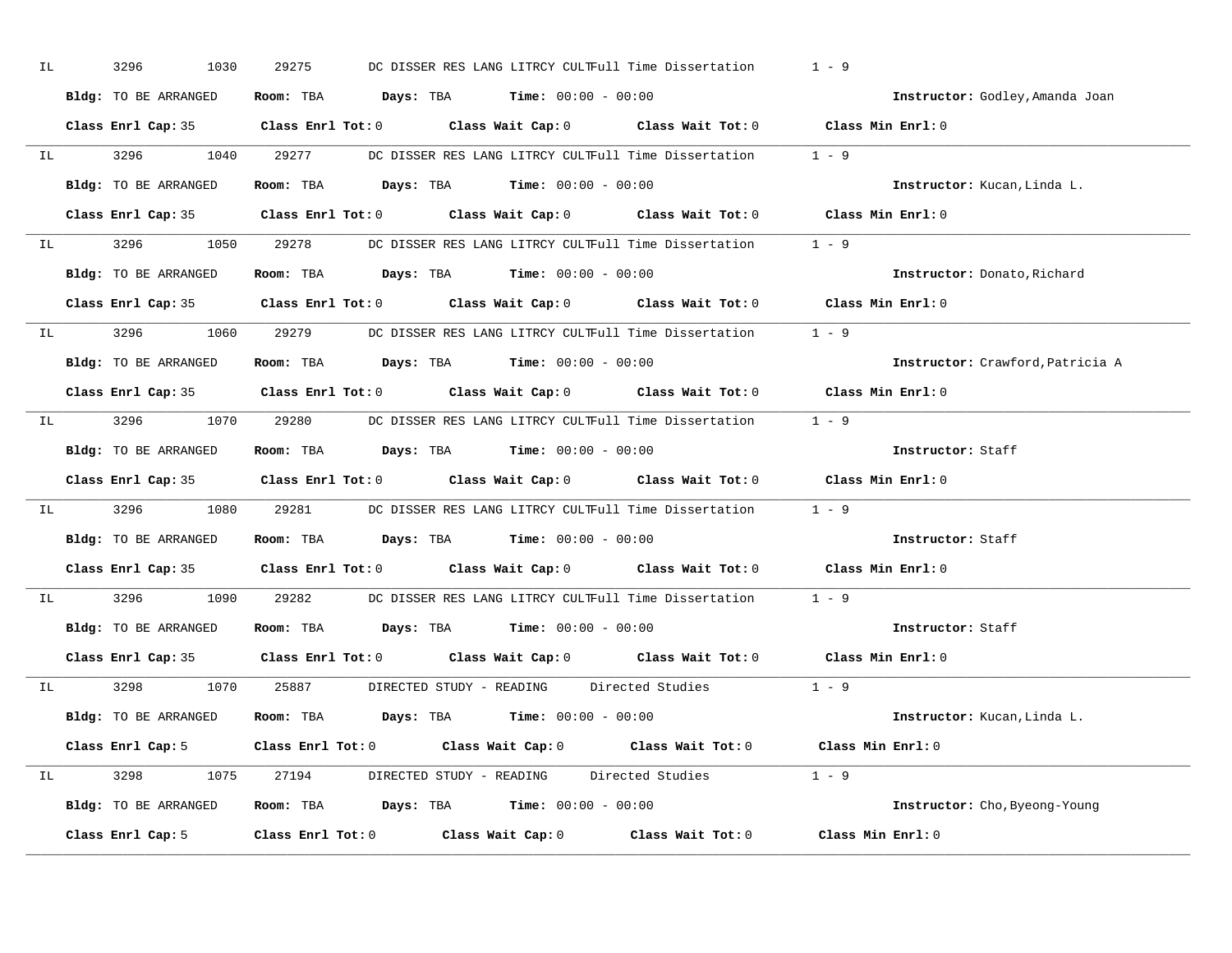| IL |                                  | 3296<br>1030                                                 | 29275                                                                                    |  | DC DISSER RES LANG LITRCY CULTFull Time Dissertation                                                | $1 - 9$                                                                                    |  |
|----|----------------------------------|--------------------------------------------------------------|------------------------------------------------------------------------------------------|--|-----------------------------------------------------------------------------------------------------|--------------------------------------------------------------------------------------------|--|
|    |                                  | Bldg: TO BE ARRANGED                                         | Room: TBA $\rule{1em}{0.15mm}$ Days: TBA $\rule{1.15mm}]{0.15mm}$ Time: $0.000 - 0.0000$ |  |                                                                                                     | Instructor: Godley, Amanda Joan                                                            |  |
|    |                                  |                                                              |                                                                                          |  |                                                                                                     | Class Enrl Cap: 35 Class Enrl Tot: 0 Class Wait Cap: 0 Class Wait Tot: 0 Class Min Enrl: 0 |  |
|    |                                  |                                                              |                                                                                          |  | IL 3296 1040 29277 DC DISSER RES LANG LITRCY CULTFull Time Dissertation 1 - 9                       |                                                                                            |  |
|    |                                  | Bldg: TO BE ARRANGED                                         | Room: TBA $Days: TBA$ Time: $00:00 - 00:00$                                              |  |                                                                                                     | Instructor: Kucan, Linda L.                                                                |  |
|    |                                  |                                                              |                                                                                          |  |                                                                                                     | Class Enrl Cap: 35 Class Enrl Tot: 0 Class Wait Cap: 0 Class Wait Tot: 0 Class Min Enrl: 0 |  |
|    |                                  |                                                              |                                                                                          |  | IL 3296 1050 29278 DC DISSER RES LANG LITRCY CULTFull Time Dissertation 1 - 9                       |                                                                                            |  |
|    |                                  | Bldg: TO BE ARRANGED Room: TBA Days: TBA Time: 00:00 - 00:00 |                                                                                          |  |                                                                                                     | Instructor: Donato, Richard                                                                |  |
|    |                                  |                                                              |                                                                                          |  | Class Enrl Cap: 35 $\qquad$ Class Enrl Tot: 0 $\qquad$ Class Wait Cap: 0 $\qquad$ Class Wait Tot: 0 | Class Min Enrl: 0                                                                          |  |
|    |                                  |                                                              |                                                                                          |  | IL 3296 1060 29279 DC DISSER RES LANG LITRCY CULTFull Time Dissertation 1 - 9                       |                                                                                            |  |
|    |                                  | Bldg: TO BE ARRANGED                                         | Room: TBA $Days:$ TBA $Time: 00:00 - 00:00$                                              |  |                                                                                                     | Instructor: Crawford, Patricia A                                                           |  |
|    |                                  |                                                              |                                                                                          |  |                                                                                                     | Class Enrl Cap: 35 Class Enrl Tot: 0 Class Wait Cap: 0 Class Wait Tot: 0 Class Min Enrl: 0 |  |
|    |                                  |                                                              |                                                                                          |  | IL 3296 1070 29280 DC DISSER RES LANG LITRCY CULTFull Time Dissertation 1 - 9                       |                                                                                            |  |
|    |                                  | Bldg: TO BE ARRANGED                                         | Room: TBA $Days:$ TBA $Time: 00:00 - 00:00$                                              |  |                                                                                                     | Instructor: Staff                                                                          |  |
|    |                                  |                                                              |                                                                                          |  |                                                                                                     |                                                                                            |  |
|    |                                  |                                                              |                                                                                          |  |                                                                                                     | Class Enrl Cap: 35 Class Enrl Tot: 0 Class Wait Cap: 0 Class Wait Tot: 0 Class Min Enrl: 0 |  |
| IL |                                  |                                                              |                                                                                          |  | 3296 1080 29281 DC DISSER RES LANG LITRCY CULTFull Time Dissertation 1 - 9                          |                                                                                            |  |
|    |                                  | Bldg: TO BE ARRANGED                                         | Room: TBA $Days:$ TBA $Time: 00:00 - 00:00$                                              |  |                                                                                                     | Instructor: Staff                                                                          |  |
|    |                                  |                                                              |                                                                                          |  | Class Enrl Cap: 35 Class Enrl Tot: 0 Class Wait Cap: 0 Class Wait Tot: 0                            | Class Min $Enrl: 0$                                                                        |  |
|    | IL DESCRIPTION OF REAL PROPERTY. |                                                              |                                                                                          |  | 3296 1090 29282 DC DISSER RES LANG LITRCY CULTFull Time Dissertation                                | $1 - 9$                                                                                    |  |
|    |                                  | Bldg: TO BE ARRANGED                                         | Room: TBA $Days:$ TBA $Time: 00:00 - 00:00$                                              |  |                                                                                                     | Instructor: Staff                                                                          |  |
|    |                                  | Class Enrl Cap: 35                                           |                                                                                          |  | Class Enrl Tot: $0$ Class Wait Cap: $0$ Class Wait Tot: $0$                                         | Class Min Enrl: 0                                                                          |  |
|    |                                  |                                                              |                                                                                          |  | IL 3298 1070 25887 DIRECTED STUDY - READING Directed Studies 1 - 9                                  |                                                                                            |  |
|    |                                  | Bldg: TO BE ARRANGED                                         | Room: TBA $\rule{1em}{0.15mm}$ Days: TBA $\rule{1.5mm}{0.15mm}$ Time: $00:00 - 00:00$    |  |                                                                                                     | Instructor: Kucan, Linda L.                                                                |  |
|    |                                  |                                                              |                                                                                          |  | Class Enrl Cap: 5 Class Enrl Tot: 0 Class Wait Cap: 0 Class Wait Tot: 0 Class Min Enrl: 0           |                                                                                            |  |
|    |                                  |                                                              |                                                                                          |  | IL 3298 1075 27194 DIRECTED STUDY - READING Directed Studies 1 - 9                                  |                                                                                            |  |
|    |                                  | Bldg: TO BE ARRANGED Room: TBA Days: TBA Time: 00:00 - 00:00 |                                                                                          |  |                                                                                                     | Instructor: Cho, Byeong-Young                                                              |  |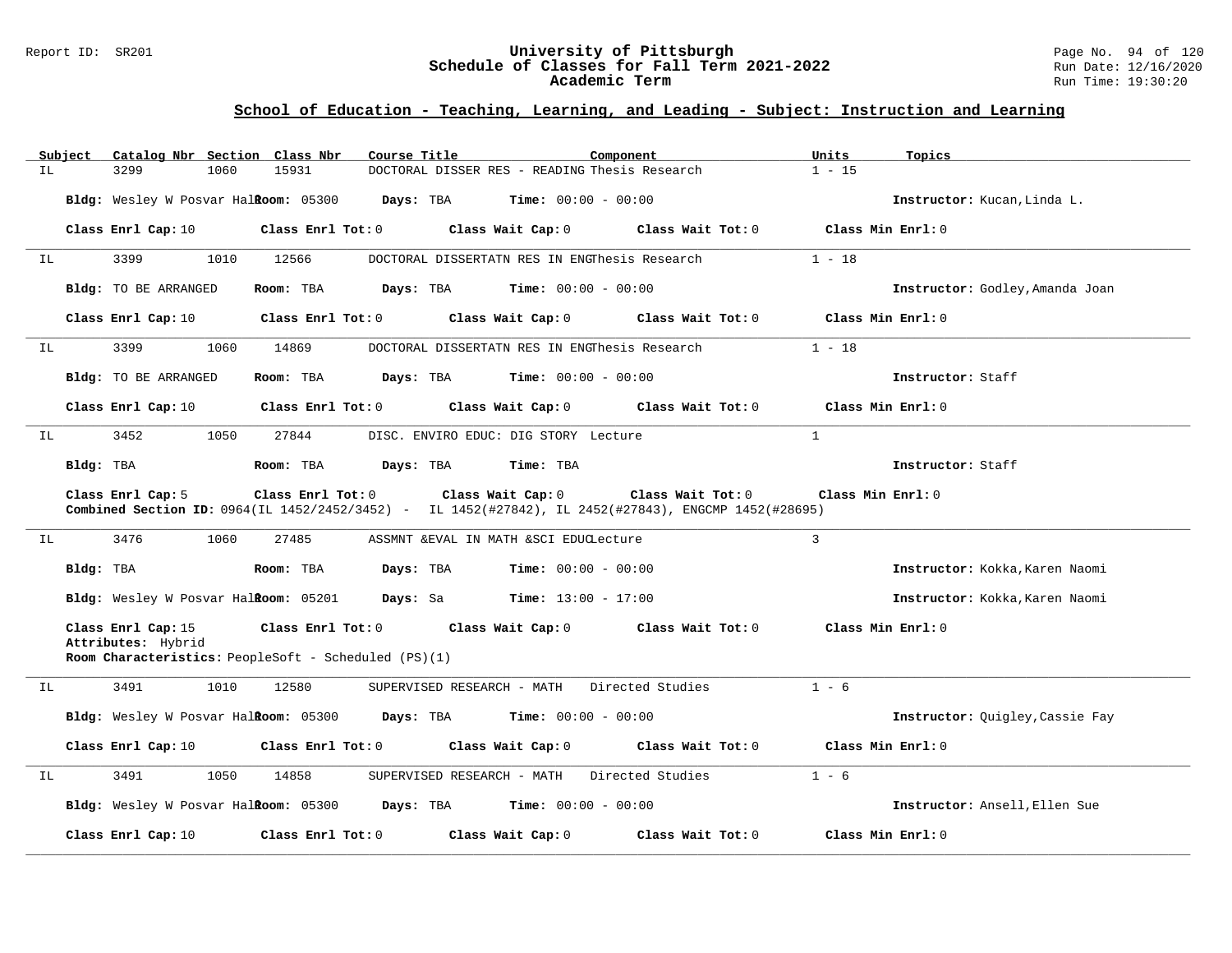### Report ID: SR201 **University of Pittsburgh** Page No. 94 of 120 **Schedule of Classes for Fall Term 2021-2022** Run Date: 12/16/2020 **Academic Term** Run Time: 19:30:20

|    | Subject   |                                          |      | Catalog Nbr Section Class Nbr        | Course Title                                         |                              | Component                                                                                            | Units    | Topics                          |
|----|-----------|------------------------------------------|------|--------------------------------------|------------------------------------------------------|------------------------------|------------------------------------------------------------------------------------------------------|----------|---------------------------------|
| IL |           | 3299                                     | 1060 | 15931                                |                                                      |                              | DOCTORAL DISSER RES - READING Thesis Research                                                        | $1 - 15$ |                                 |
|    |           |                                          |      | Bldg: Wesley W Posvar Halkoom: 05300 | Days: TBA                                            | <b>Time:</b> $00:00 - 00:00$ |                                                                                                      |          | Instructor: Kucan, Linda L.     |
|    |           | Class Enrl Cap: 10                       |      | Class Enrl Tot: 0                    |                                                      | Class Wait Cap: 0            | Class Wait Tot: 0                                                                                    |          | Class Min Enrl: 0               |
| IL |           | 3399                                     | 1010 | 12566                                |                                                      |                              | DOCTORAL DISSERTATN RES IN ENGThesis Research                                                        | $1 - 18$ |                                 |
|    |           | Bldg: TO BE ARRANGED                     |      | Room: TBA                            | Days: TBA                                            | <b>Time:</b> $00:00 - 00:00$ |                                                                                                      |          | Instructor: Godley, Amanda Joan |
|    |           | Class Enrl Cap: 10                       |      | Class Enrl Tot: 0                    |                                                      | Class Wait Cap: 0            | Class Wait Tot: 0                                                                                    |          | Class Min Enrl: 0               |
| ΙL |           | 3399                                     | 1060 | 14869                                |                                                      |                              | DOCTORAL DISSERTATN RES IN ENGThesis Research                                                        | $1 - 18$ |                                 |
|    |           | Bldg: TO BE ARRANGED                     |      | Room: TBA                            | Days: TBA                                            | <b>Time:</b> $00:00 - 00:00$ |                                                                                                      |          | Instructor: Staff               |
|    |           | Class Enrl Cap: 10                       |      | Class Enrl Tot: 0                    |                                                      | Class Wait Cap: 0            | Class Wait Tot: 0                                                                                    |          | Class Min Enrl: 0               |
| IL |           | 3452                                     | 1050 | 27844                                | DISC. ENVIRO EDUC: DIG STORY Lecture                 |                              |                                                                                                      | 1        |                                 |
|    | Bldg: TBA |                                          |      | Room: TBA                            | Days: TBA                                            | Time: TBA                    |                                                                                                      |          | Instructor: Staff               |
|    |           | Class Enrl Cap: 5                        |      | Class Enrl Tot: 0                    |                                                      | Class Wait Cap: 0            | Class Wait Tot: 0                                                                                    |          | Class Min Enrl: 0               |
|    |           |                                          |      |                                      |                                                      |                              | Combined Section ID: 0964(IL 1452/2452/3452) - IL 1452(#27842), IL 2452(#27843), ENGCMP 1452(#28695) |          |                                 |
| IL |           | 3476                                     | 1060 | 27485                                | ASSMNT & EVAL IN MATH & SCI EDUCLecture              |                              |                                                                                                      | 3        |                                 |
|    | Bldg: TBA |                                          |      | Room: TBA                            | Days: TBA                                            | <b>Time:</b> $00:00 - 00:00$ |                                                                                                      |          | Instructor: Kokka, Karen Naomi  |
|    |           |                                          |      |                                      | Bldg: Wesley W Posvar HalRoom: 05201 Days: Sa        | $Time: 13:00 - 17:00$        |                                                                                                      |          | Instructor: Kokka, Karen Naomi  |
|    |           | Class Enrl Cap: 15<br>Attributes: Hybrid |      | Class Enrl Tot: 0                    |                                                      | Class Wait Cap: 0            | Class Wait Tot: 0                                                                                    |          | Class Min Enrl: 0               |
|    |           |                                          |      |                                      | Room Characteristics: PeopleSoft - Scheduled (PS)(1) |                              |                                                                                                      |          |                                 |
| IL |           | 3491                                     | 1010 | 12580                                | SUPERVISED RESEARCH - MATH                           |                              | Directed Studies                                                                                     | $1 - 6$  |                                 |
|    |           |                                          |      |                                      | Bldg: Wesley W Posvar Halkoom: 05300 Days: TBA       | <b>Time:</b> $00:00 - 00:00$ |                                                                                                      |          | Instructor: Quigley, Cassie Fay |
|    |           | Class Enrl Cap: 10                       |      | Class Enrl Tot: 0                    |                                                      | Class Wait Cap: 0            | Class Wait Tot: 0                                                                                    |          | Class Min Enrl: 0               |
| ΙL |           | 3491                                     | 1050 | 14858                                | SUPERVISED RESEARCH - MATH                           |                              | Directed Studies                                                                                     | $1 - 6$  |                                 |
|    |           |                                          |      |                                      | Bldg: Wesley W Posvar Halkoom: 05300 Days: TBA       | <b>Time:</b> $00:00 - 00:00$ |                                                                                                      |          | Instructor: Ansell, Ellen Sue   |
|    |           | Class Enrl Cap: 10                       |      | Class Enrl Tot: 0                    |                                                      | Class Wait Cap: 0            | Class Wait Tot: 0                                                                                    |          | Class Min Enrl: 0               |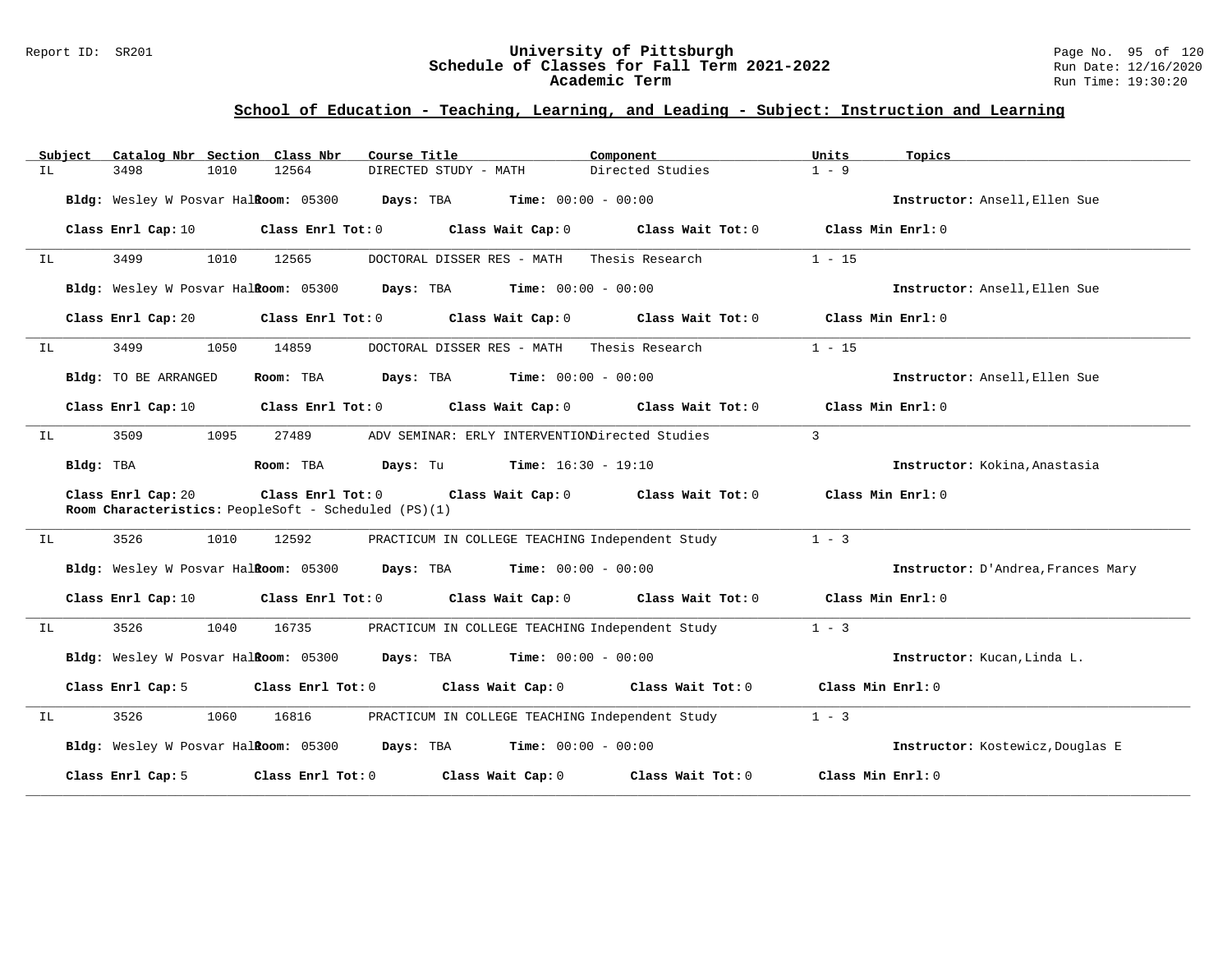## Report ID: SR201 **University of Pittsburgh** Page No. 95 of 120 **Schedule of Classes for Fall Term 2021-2022** Run Date: 12/16/2020 **Academic Term** Run Time: 19:30:20

|    | Subject   | Catalog Nbr Section Class Nbr        |      |                   | Course Title                                                                                                  | Component         | Units<br>Topics                    |
|----|-----------|--------------------------------------|------|-------------------|---------------------------------------------------------------------------------------------------------------|-------------------|------------------------------------|
| IL |           | 3498                                 | 1010 | 12564             | DIRECTED STUDY - MATH                                                                                         | Directed Studies  | $1 - 9$                            |
|    |           | Bldg: Wesley W Posvar Halkoom: 05300 |      |                   | Days: TBA<br><b>Time:</b> $00:00 - 00:00$                                                                     |                   | Instructor: Ansell, Ellen Sue      |
|    |           | Class Enrl Cap: 10                   |      | Class Enrl Tot: 0 | Class Wait Cap: 0                                                                                             | Class Wait Tot: 0 | Class Min Enrl: 0                  |
| IL |           | 3499                                 | 1010 | 12565             | DOCTORAL DISSER RES - MATH                                                                                    | Thesis Research   | $1 - 15$                           |
|    |           |                                      |      |                   | Bldg: Wesley W Posvar Halkoom: 05300 Days: TBA Time: 00:00 - 00:00                                            |                   | Instructor: Ansell, Ellen Sue      |
|    |           | Class Enrl Cap: 20                   |      | Class Enrl Tot: 0 | Class Wait Cap: 0                                                                                             | Class Wait Tot: 0 | Class Min Enrl: $0$                |
| IL |           | 3499                                 | 1050 | 14859             | DOCTORAL DISSER RES - MATH                                                                                    | Thesis Research   | $1 - 15$                           |
|    |           | Bldg: TO BE ARRANGED                 |      | Room: TBA         | $\texttt{Davis:}$ TBA $\texttt{Time:}$ 00:00 - 00:00                                                          |                   | Instructor: Ansell, Ellen Sue      |
|    |           | Class Enrl Cap: 10                   |      |                   | Class Enrl Tot: 0 Class Wait Cap: 0                                                                           | Class Wait Tot: 0 | Class Min Enrl: 0                  |
| IL |           | 3509                                 | 1095 | 27489             | ADV SEMINAR: ERLY INTERVENTIONDirected Studies                                                                |                   | 3                                  |
|    | Bldg: TBA |                                      |      | Room: TBA         | <b>Days:</b> Tu <b>Time:</b> $16:30 - 19:10$                                                                  |                   | Instructor: Kokina, Anastasia      |
|    |           | Class Enrl Cap: 20                   |      |                   | Class Enrl Tot: 0 Class Wait Cap: 0 Class Wait Tot: 0<br>Room Characteristics: PeopleSoft - Scheduled (PS)(1) |                   | Class Min Enrl: 0                  |
| IL |           | 3526                                 | 1010 | 12592             | PRACTICUM IN COLLEGE TEACHING Independent Study                                                               |                   | $1 - 3$                            |
|    |           |                                      |      |                   | Bldg: Wesley W Posvar Halkoom: 05300 Days: TBA Time: 00:00 - 00:00                                            |                   | Instructor: D'Andrea, Frances Mary |
|    |           | Class Enrl Cap: 10                   |      |                   | Class Enrl Tot: 0 Class Wait Cap: 0                                                                           | Class Wait Tot: 0 | Class Min Enrl: 0                  |
| IL |           | 3526                                 | 1040 | 16735             | PRACTICUM IN COLLEGE TEACHING Independent Study                                                               |                   | $1 - 3$                            |
|    |           | Bldg: Wesley W Posvar Halkoom: 05300 |      |                   | <b>Days:</b> TBA <b>Time:</b> $00:00 - 00:00$                                                                 |                   | Instructor: Kucan, Linda L.        |
|    |           | Class Enrl Cap: 5                    |      |                   | Class Enrl Tot: 0 Class Wait Cap: 0                                                                           | Class Wait Tot: 0 | Class Min Enrl: 0                  |
| IL |           | 3526                                 | 1060 | 16816             | PRACTICUM IN COLLEGE TEACHING Independent Study                                                               |                   | $1 - 3$                            |
|    |           |                                      |      |                   | Bldg: Wesley W Posvar Halkoom: 05300 Days: TBA Time: 00:00 - 00:00                                            |                   | Instructor: Kostewicz, Douglas E   |
|    |           | Class Enrl Cap: 5                    |      | Class Enrl Tot: 0 | Class Wait Cap: 0                                                                                             | Class Wait Tot: 0 | Class Min Enrl: 0                  |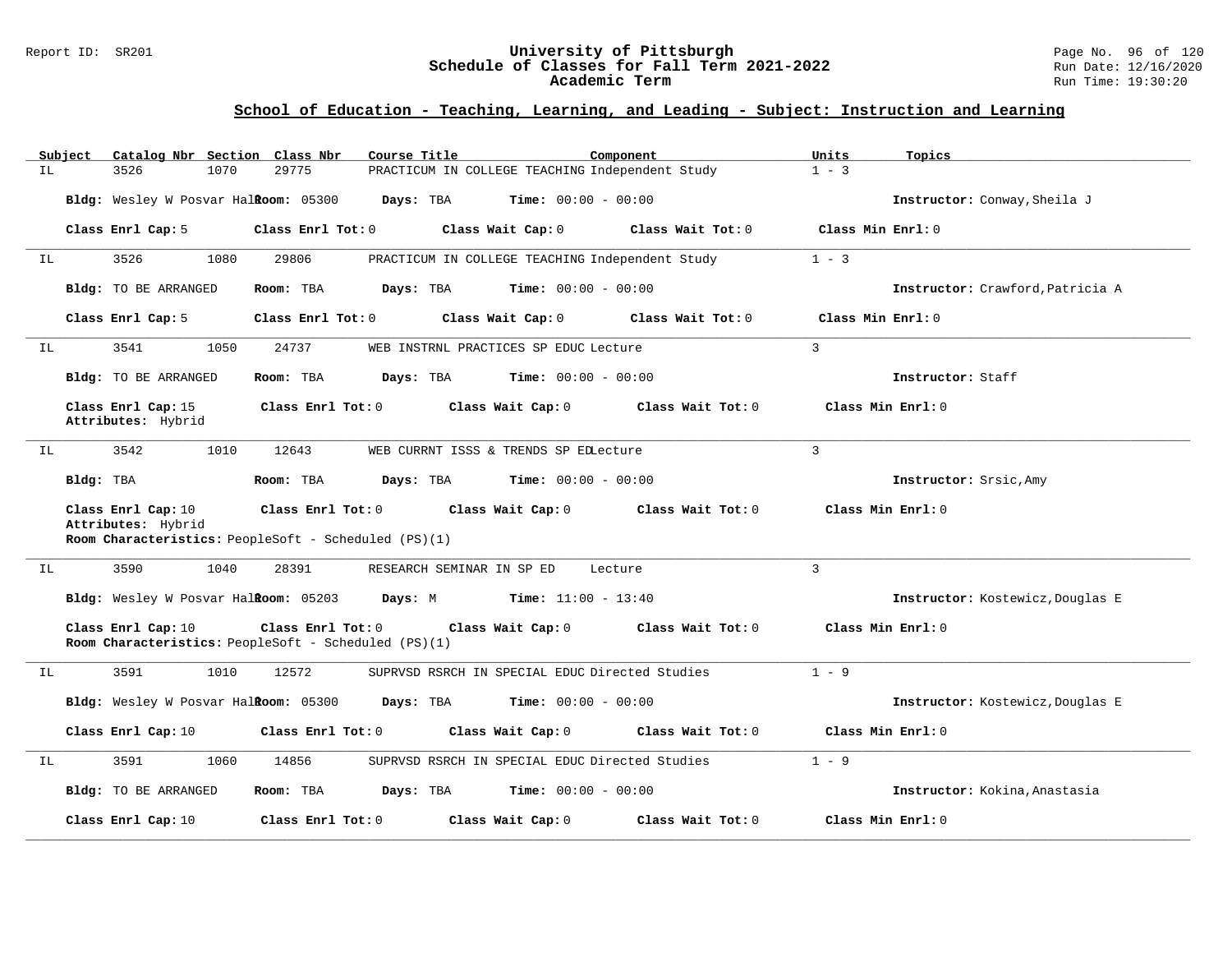### Report ID: SR201 **University of Pittsburgh** Page No. 96 of 120 **Schedule of Classes for Fall Term 2021-2022** Run Date: 12/16/2020 **Academic Term** Run Time: 19:30:20

|    | Subject   |                                          | Catalog Nbr Section Class Nbr                                             | Course Title                                                       |                                                | Component           | Units             | Topics                           |
|----|-----------|------------------------------------------|---------------------------------------------------------------------------|--------------------------------------------------------------------|------------------------------------------------|---------------------|-------------------|----------------------------------|
| ΙL |           | 3526<br>1070                             | 29775                                                                     | PRACTICUM IN COLLEGE TEACHING Independent Study                    |                                                |                     | $1 - 3$           |                                  |
|    |           |                                          | Bldg: Wesley W Posvar Halkoom: 05300                                      | Days: TBA                                                          | <b>Time:</b> $00:00 - 00:00$                   |                     |                   | Instructor: Conway, Sheila J     |
|    |           | Class Enrl Cap: 5                        | Class Enrl Tot: 0                                                         |                                                                    | Class Wait Cap: 0                              | Class Wait Tot: 0   | Class Min Enrl: 0 |                                  |
| IL |           | 3526<br>1080                             | 29806                                                                     | PRACTICUM IN COLLEGE TEACHING Independent Study                    |                                                |                     | $1 - 3$           |                                  |
|    |           | Bldg: TO BE ARRANGED                     | Room: TBA                                                                 | Days: TBA                                                          | <b>Time:</b> $00:00 - 00:00$                   |                     |                   | Instructor: Crawford, Patricia A |
|    |           | Class Enrl Cap: 5                        | Class Enrl Tot: 0                                                         |                                                                    | Class Wait Cap: 0                              | Class Wait Tot: 0   | Class Min Enrl: 0 |                                  |
| ΙL |           | 3541<br>1050                             | 24737                                                                     | WEB INSTRNL PRACTICES SP EDUC Lecture                              |                                                |                     | $\mathbf{3}$      |                                  |
|    |           | Bldg: TO BE ARRANGED                     | Room: TBA                                                                 | <b>Days:</b> TBA <b>Time:</b> $00:00 - 00:00$                      |                                                |                     |                   | Instructor: Staff                |
|    |           | Class Enrl Cap: 15<br>Attributes: Hybrid | Class Enrl Tot: 0                                                         | Class Wait Cap: 0                                                  |                                                | Class Wait Tot: 0   |                   | Class Min Enrl: 0                |
| IL |           | 3542<br>1010                             | 12643                                                                     | WEB CURRNT ISSS & TRENDS SP EDLecture                              |                                                |                     | $\mathbf{3}$      |                                  |
|    | Bldg: TBA |                                          | Room: TBA                                                                 | Days: TBA                                                          | <b>Time:</b> $00:00 - 00:00$                   |                     |                   | Instructor: Srsic, Amy           |
|    |           | Class Enrl Cap: 10<br>Attributes: Hybrid | Class Enrl Tot: 0<br>Room Characteristics: PeopleSoft - Scheduled (PS)(1) |                                                                    | Class Wait Cap: 0                              | Class Wait Tot: 0   |                   | Class Min Enrl: 0                |
| IL |           | 3590                                     | 1040<br>28391                                                             | RESEARCH SEMINAR IN SP ED                                          |                                                | Lecture             | $\mathbf{3}$      |                                  |
|    |           |                                          |                                                                           | Bldg: Wesley W Posvar Halkoom: 05203 Days: M Time: 11:00 - 13:40   |                                                |                     |                   | Instructor: Kostewicz, Douglas E |
|    |           | Class Enrl Cap: 10                       | Class Enrl Tot: 0<br>Room Characteristics: PeopleSoft - Scheduled (PS)(1) |                                                                    | Class Wait Cap: 0                              | Class Wait Tot: 0   | Class Min Enrl: 0 |                                  |
| IL |           | 3591<br>1010                             | 12572                                                                     |                                                                    | SUPRVSD RSRCH IN SPECIAL EDUC Directed Studies |                     | $1 - 9$           |                                  |
|    |           |                                          |                                                                           | Bldg: Wesley W Posvar Halkoom: 05300 Days: TBA Time: 00:00 - 00:00 |                                                |                     |                   | Instructor: Kostewicz, Douglas E |
|    |           | Class Enrl Cap: 10                       | Class Enrl Tot: 0                                                         |                                                                    | Class Wait Cap: 0                              | Class Wait Tot: 0   |                   | Class Min Enrl: 0                |
| ΙL |           | 3591                                     | 1060<br>14856                                                             | SUPRVSD RSRCH IN SPECIAL EDUC Directed Studies                     |                                                |                     | $1 - 9$           |                                  |
|    |           | Bldg: TO BE ARRANGED                     | Room: TBA                                                                 | Days: TBA                                                          | $Time: 00:00 - 00:00$                          |                     |                   | Instructor: Kokina, Anastasia    |
|    |           | Class Enrl Cap: 10                       | Class Enrl Tot: $0$                                                       |                                                                    | Class Wait Cap: 0                              | Class Wait $Tot: 0$ |                   | Class Min Enrl: 0                |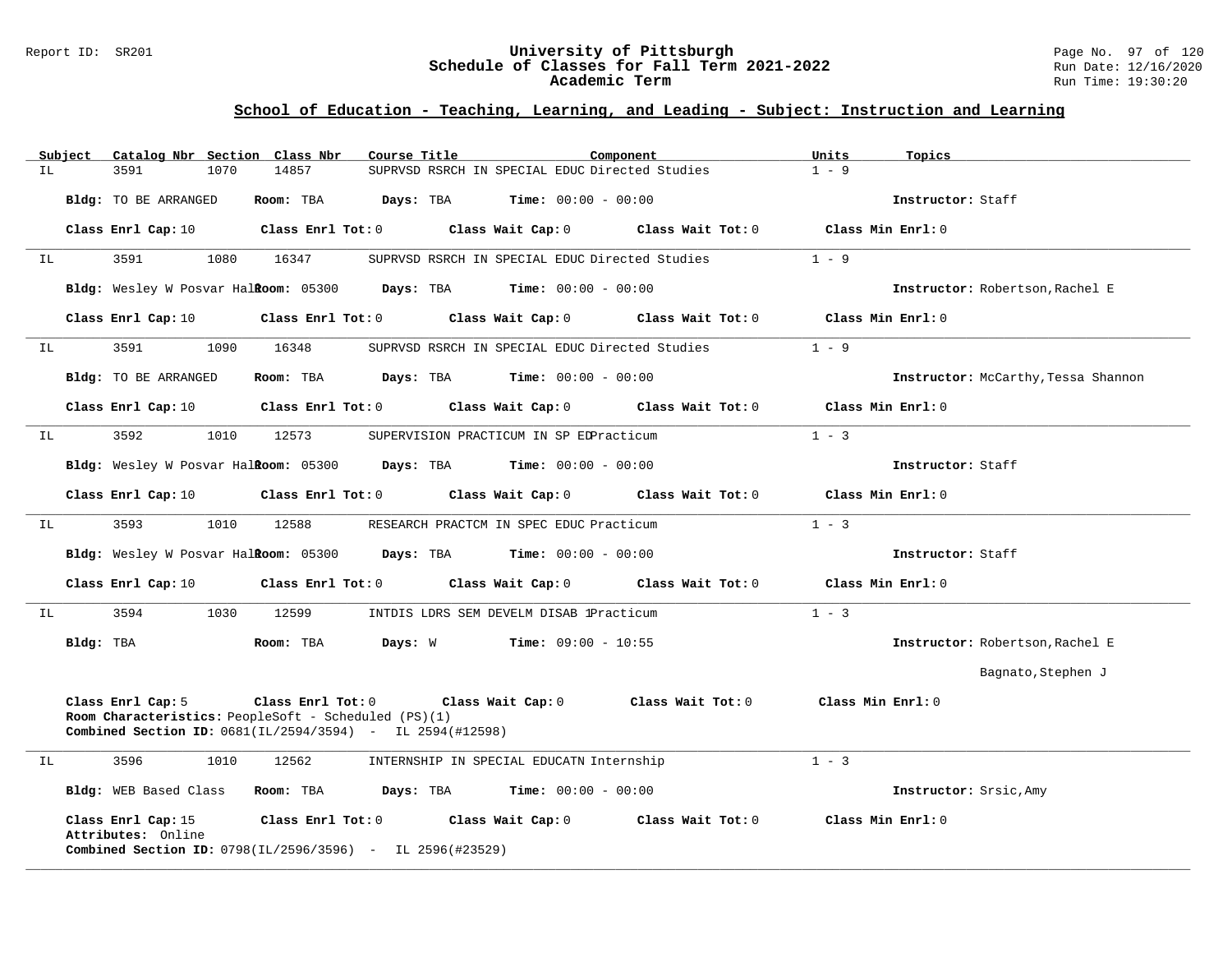### Report ID: SR201 **University of Pittsburgh** Page No. 97 of 120 **Schedule of Classes for Fall Term 2021-2022** Run Date: 12/16/2020 **Academic Term** Run Time: 19:30:20

# **School of Education - Teaching, Learning, and Leading - Subject: Instruction and Learning**

|    | Subject   |                                          |      | Catalog Nbr Section Class Nbr                                                                                                                                       | Course Title |                                                     | Component                                                                                                                      | Units   | Topics                              |
|----|-----------|------------------------------------------|------|---------------------------------------------------------------------------------------------------------------------------------------------------------------------|--------------|-----------------------------------------------------|--------------------------------------------------------------------------------------------------------------------------------|---------|-------------------------------------|
| IL |           | 3591                                     | 1070 | 14857                                                                                                                                                               |              |                                                     | SUPRVSD RSRCH IN SPECIAL EDUC Directed Studies                                                                                 | $1 - 9$ |                                     |
|    |           | Bldg: TO BE ARRANGED                     |      | Room: TBA                                                                                                                                                           |              | <b>Days:</b> TBA <b>Time:</b> $00:00 - 00:00$       |                                                                                                                                |         | Instructor: Staff                   |
|    |           |                                          |      |                                                                                                                                                                     |              |                                                     | Class Enrl Cap: 10 $\qquad$ Class Enrl Tot: 0 $\qquad$ Class Wait Cap: 0 $\qquad$ Class Wait Tot: 0                            |         | Class Min Enrl: 0                   |
| IL |           | 3591                                     | 1080 | 16347                                                                                                                                                               |              |                                                     | SUPRVSD RSRCH IN SPECIAL EDUC Directed Studies                                                                                 | $1 - 9$ |                                     |
|    |           |                                          |      | Bldg: Wesley W Posvar Halkoom: 05300 Days: TBA Time: 00:00 - 00:00                                                                                                  |              |                                                     |                                                                                                                                |         | Instructor: Robertson, Rachel E     |
|    |           | Class Enrl Cap: 10                       |      |                                                                                                                                                                     |              |                                                     | Class Enrl Tot: $0$ Class Wait Cap: $0$ Class Wait Tot: $0$                                                                    |         | Class Min Enrl: 0                   |
| IL |           | 3591                                     | 1090 | 16348                                                                                                                                                               |              |                                                     | SUPRVSD RSRCH IN SPECIAL EDUC Directed Studies                                                                                 | $1 - 9$ |                                     |
|    |           | Bldg: TO BE ARRANGED                     |      | Room: TBA                                                                                                                                                           |              | $\texttt{DayS:}$ TBA $\texttt{Time:}$ 00:00 - 00:00 |                                                                                                                                |         | Instructor: McCarthy, Tessa Shannon |
|    |           | Class Enrl Cap: 10                       |      |                                                                                                                                                                     |              |                                                     | Class Enrl Tot: 0 Class Wait Cap: 0 Class Wait Tot: 0                                                                          |         | Class Min Enrl: 0                   |
| IL |           | 3592                                     | 1010 | 12573                                                                                                                                                               |              | SUPERVISION PRACTICUM IN SP EDPracticum             |                                                                                                                                | $1 - 3$ |                                     |
|    |           |                                          |      | Bldg: Wesley W Posvar Halkoom: 05300 Days: TBA Time: 00:00 - 00:00                                                                                                  |              |                                                     |                                                                                                                                |         | Instructor: Staff                   |
|    |           |                                          |      |                                                                                                                                                                     |              |                                                     | Class Enrl Cap: 10 $\qquad$ Class Enrl Tot: 0 $\qquad$ Class Wait Cap: 0 $\qquad$ Class Wait Tot: 0 $\qquad$ Class Min Enrl: 0 |         |                                     |
| IL |           | 3593                                     | 1010 | 12588                                                                                                                                                               |              | RESEARCH PRACTCM IN SPEC EDUC Practicum             |                                                                                                                                | $1 - 3$ |                                     |
|    |           |                                          |      | <b>Bldg:</b> Wesley W Posvar Halkoom: $05300$ Days: TBA Time: $00:00 - 00:00$                                                                                       |              |                                                     |                                                                                                                                |         | Instructor: Staff                   |
|    |           | Class Enrl Cap: 10                       |      | Class Enrl Tot: 0                                                                                                                                                   |              |                                                     | Class Wait Cap: 0 Class Wait Tot: 0                                                                                            |         | Class Min Enrl: 0                   |
| IL |           | 3594                                     |      | 1030 12599                                                                                                                                                          |              | INTDIS LDRS SEM DEVELM DISAB 1Practicum             |                                                                                                                                | $1 - 3$ |                                     |
|    | Bldg: TBA |                                          |      | Room: TBA                                                                                                                                                           | Days: W      | $Time: 09:00 - 10:55$                               |                                                                                                                                |         | Instructor: Robertson, Rachel E     |
|    |           |                                          |      |                                                                                                                                                                     |              |                                                     |                                                                                                                                |         | Bagnato, Stephen J                  |
|    |           | Class Enrl Cap: 5                        |      | Class Enrl Tot: 0 Class Wait Cap: 0<br>Room Characteristics: PeopleSoft - Scheduled (PS)(1)<br><b>Combined Section ID:</b> $0681(IL/2594/3594)$ - IL $2594(H12598)$ |              |                                                     | Class Wait Tot: 0                                                                                                              |         | Class Min Enrl: 0                   |
| ΙL |           | 3596                                     | 1010 | 12562                                                                                                                                                               |              | INTERNSHIP IN SPECIAL EDUCATN Internship            |                                                                                                                                | $1 - 3$ |                                     |
|    |           |                                          |      | Bldg: WEB Based Class Room: TBA Days: TBA Time: 00:00 - 00:00                                                                                                       |              |                                                     |                                                                                                                                |         | Instructor: Srsic, Amy              |
|    |           | Class Enrl Cap: 15<br>Attributes: Online |      | <b>Combined Section ID:</b> $0798(IL/2596/3596)$ - IL $2596(#23529)$                                                                                                |              |                                                     | Class Enrl Tot: $0$ Class Wait Cap: $0$ Class Wait Tot: $0$                                                                    |         | Class Min Enrl: 0                   |

**\_\_\_\_\_\_\_\_\_\_\_\_\_\_\_\_\_\_\_\_\_\_\_\_\_\_\_\_\_\_\_\_\_\_\_\_\_\_\_\_\_\_\_\_\_\_\_\_\_\_\_\_\_\_\_\_\_\_\_\_\_\_\_\_\_\_\_\_\_\_\_\_\_\_\_\_\_\_\_\_\_\_\_\_\_\_\_\_\_\_\_\_\_\_\_\_\_\_\_\_\_\_\_\_\_\_\_\_\_\_\_\_\_\_\_\_\_\_\_\_\_\_\_\_\_\_\_\_\_\_\_\_\_\_\_\_\_\_\_\_\_\_\_\_\_\_\_\_\_\_\_\_\_\_\_\_**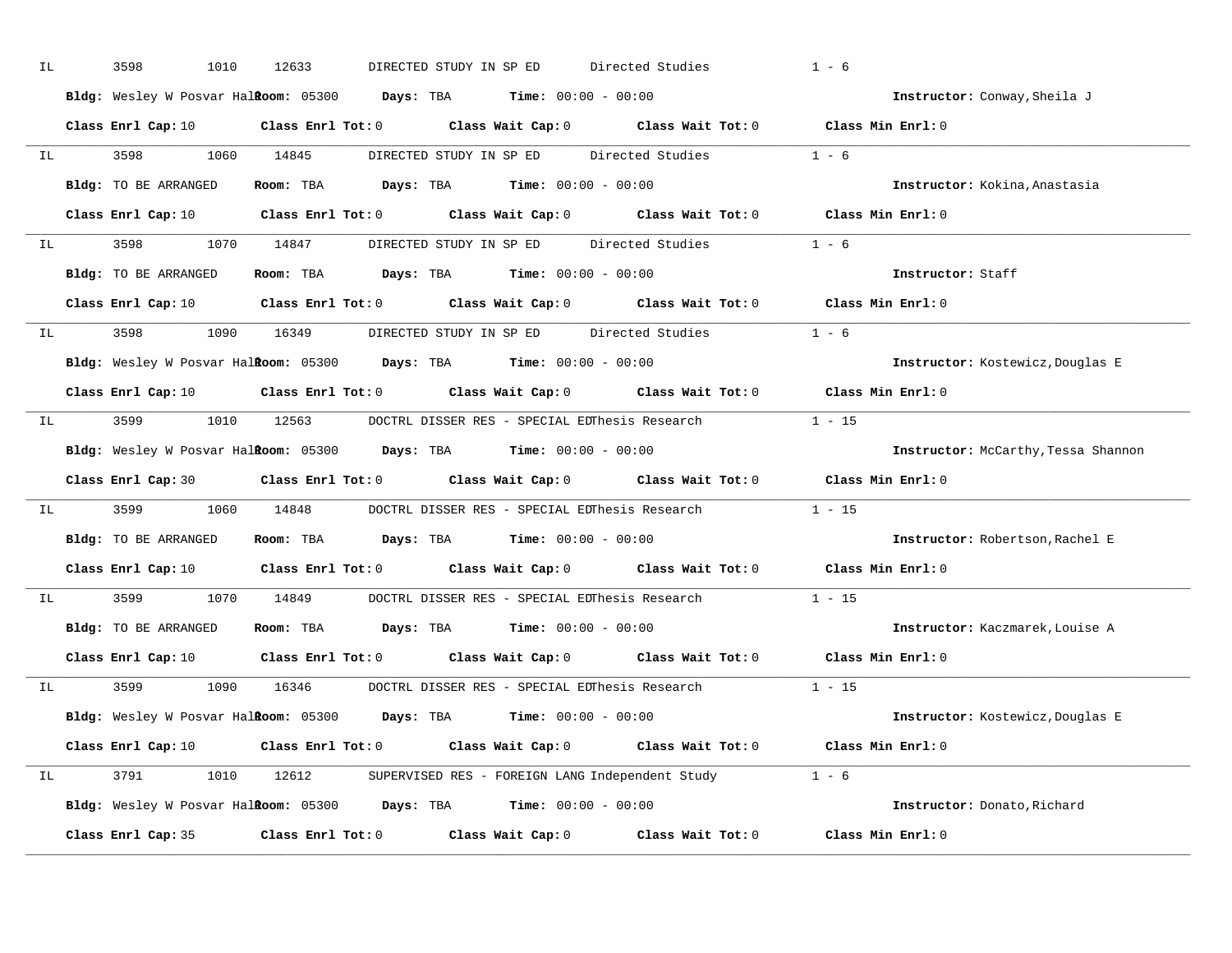| IL | 3598<br>1010         | 12633      | DIRECTED STUDY IN SP ED                                                                                                        | Directed Studies | $1 - 6$                             |
|----|----------------------|------------|--------------------------------------------------------------------------------------------------------------------------------|------------------|-------------------------------------|
|    |                      |            | Bldg: Wesley W Posvar Halkoom: 05300 Days: TBA Time: 00:00 - 00:00                                                             |                  | Instructor: Conway, Sheila J        |
|    |                      |            | Class Enrl Cap: 10 Class Enrl Tot: 0 Class Wait Cap: 0 Class Wait Tot: 0 Class Min Enrl: 0                                     |                  |                                     |
| IL | 3598 3598            | 1060 14845 | DIRECTED STUDY IN SP ED Directed Studies 1 - 6                                                                                 |                  |                                     |
|    | Bldg: TO BE ARRANGED |            | Room: TBA $Days: TBA$ Time: $00:00 - 00:00$                                                                                    |                  | Instructor: Kokina, Anastasia       |
|    |                      |            | Class Enrl Cap: 10 $\qquad$ Class Enrl Tot: 0 $\qquad$ Class Wait Cap: 0 $\qquad$ Class Wait Tot: 0 $\qquad$ Class Min Enrl: 0 |                  |                                     |
| IL |                      |            | 3598 1070 14847 DIRECTED STUDY IN SP ED Directed Studies 1 - 6                                                                 |                  |                                     |
|    | Bldg: TO BE ARRANGED |            | Room: TBA Days: TBA Time: $00:00 - 00:00$                                                                                      |                  | Instructor: Staff                   |
|    |                      |            | Class Enrl Cap: 10 Class Enrl Tot: 0 Class Wait Cap: 0 Class Wait Tot: 0 Class Min Enrl: 0                                     |                  |                                     |
| IL | 3598 3598            |            | 1090 16349 DIRECTED STUDY IN SP ED Directed Studies 1 - 6                                                                      |                  |                                     |
|    |                      |            | Bldg: Wesley W Posvar Halkoom: 05300 Days: TBA Time: 00:00 - 00:00                                                             |                  | Instructor: Kostewicz, Douglas E    |
|    |                      |            | Class Enrl Cap: 10 $\qquad$ Class Enrl Tot: 0 $\qquad$ Class Wait Cap: 0 $\qquad$ Class Wait Tot: 0 $\qquad$ Class Min Enrl: 0 |                  |                                     |
| IL |                      |            | 3599 1010 12563 DOCTRL DISSER RES - SPECIAL EDThesis Research 1 - 15                                                           |                  |                                     |
|    |                      |            | Bldg: Wesley W Posvar Halkoom: 05300 Days: TBA Time: 00:00 - 00:00                                                             |                  | Instructor: McCarthy, Tessa Shannon |
|    |                      |            | Class Enrl Cap: 30 Class Enrl Tot: 0 Class Wait Cap: 0 Class Wait Tot: 0 Class Min Enrl: 0                                     |                  |                                     |
| IL | 3599 35              |            | 1060 14848 DOCTRL DISSER RES - SPECIAL EDThesis Research                                                                       |                  | $1 - 15$                            |
|    | Bldg: TO BE ARRANGED |            | Room: TBA $Days:$ TBA $Time: 00:00 - 00:00$                                                                                    |                  | Instructor: Robertson, Rachel E     |
|    |                      |            | Class Enrl Cap: 10 $\qquad$ Class Enrl Tot: 0 $\qquad$ Class Wait Cap: 0 $\qquad$ Class Wait Tot: 0                            |                  | Class Min Enrl: 0                   |
| IL | 3599 35              | 1070 14849 | DOCTRL DISSER RES - SPECIAL EDThesis Research                                                                                  |                  | $1 - 15$                            |
|    | Bldg: TO BE ARRANGED |            | Room: TBA $\rule{1em}{0.15mm}$ Days: TBA $\rule{1.15mm}]{0.15mm}$ Time: $0.000 - 0.0000$                                       |                  | Instructor: Kaczmarek, Louise A     |
|    |                      |            | Class Enrl Cap: 10 $\qquad$ Class Enrl Tot: 0 $\qquad$ Class Wait Cap: 0 $\qquad$ Class Wait Tot: 0                            |                  | Class Min Enrl: 0                   |
| IL | 3599                 |            | 1090 16346 DOCTRL DISSER RES - SPECIAL EDThesis Research                                                                       |                  | $1 - 15$                            |
|    |                      |            | Bldg: Wesley W Posvar Halkoom: 05300 Days: TBA Time: 00:00 - 00:00                                                             |                  | Instructor: Kostewicz, Douglas E    |
|    |                      |            | Class Enrl Cap: 10 $\qquad$ Class Enrl Tot: 0 $\qquad$ Class Wait Cap: 0 $\qquad$ Class Wait Tot: 0 $\qquad$ Class Min Enrl: 0 |                  |                                     |
| IL |                      |            | 3791 1010 12612 SUPERVISED RES - FOREIGN LANG Independent Study 1 - 6                                                          |                  |                                     |
|    |                      |            | Bldg: Wesley W Posvar Halkoom: 05300 Days: TBA Time: 00:00 - 00:00                                                             |                  | Instructor: Donato, Richard         |
|    | Class Enrl Cap: 35   |            | Class Enrl Tot: $0$ Class Wait Cap: $0$ Class Wait Tot: $0$                                                                    |                  | Class Min Enrl: 0                   |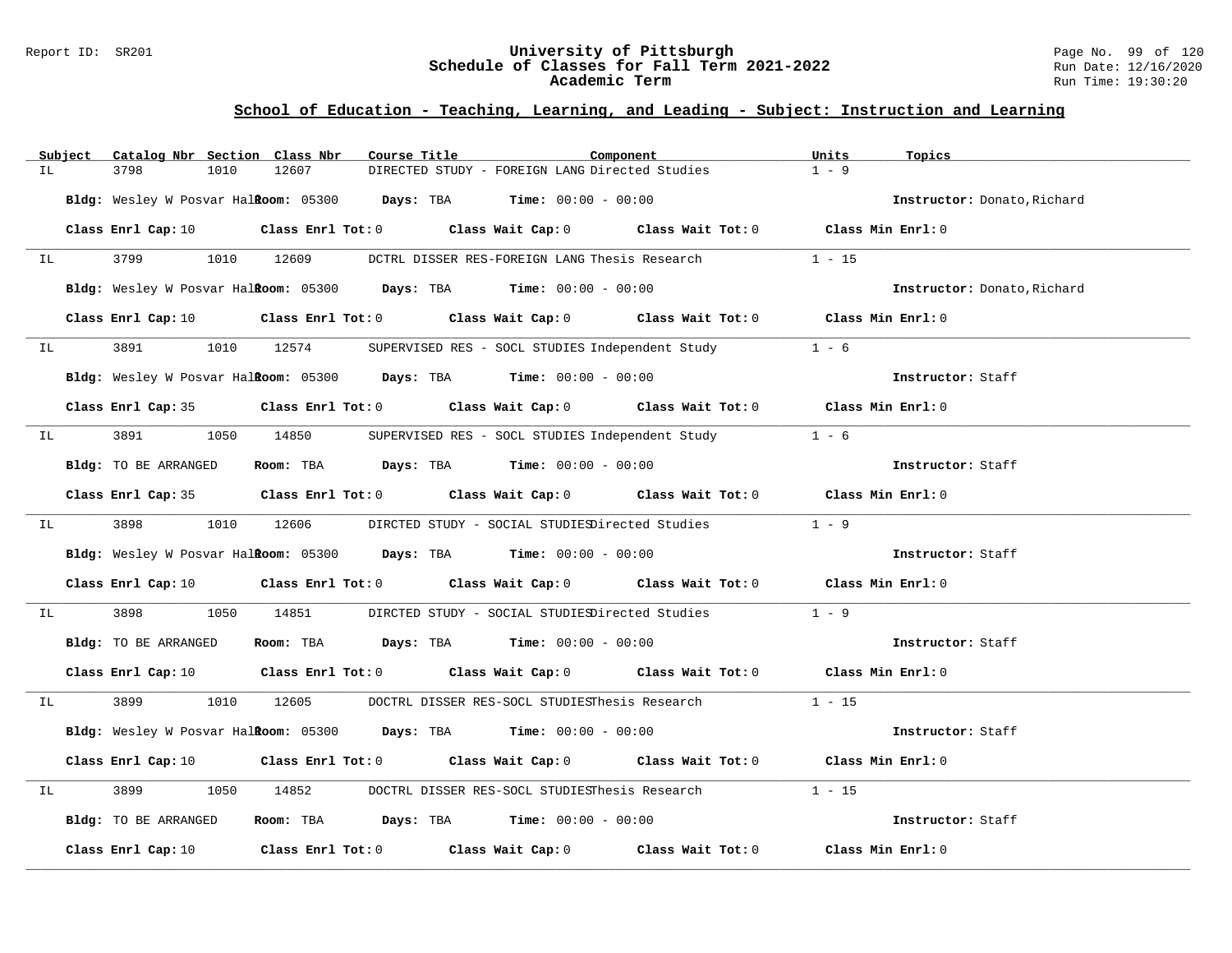### Report ID: SR201 **University of Pittsburgh** Page No. 99 of 120 **Schedule of Classes for Fall Term 2021-2022** Run Date: 12/16/2020 **Academic Term** Run Time: 19:30:20

|    | Subject                                                                                                        | Catalog Nbr Section Class Nbr |      |            | Course Title |                                                                    | Component                                                                                                                      | Units    | Topics                      |
|----|----------------------------------------------------------------------------------------------------------------|-------------------------------|------|------------|--------------|--------------------------------------------------------------------|--------------------------------------------------------------------------------------------------------------------------------|----------|-----------------------------|
| IL |                                                                                                                | 3798                          | 1010 | 12607      |              | DIRECTED STUDY - FOREIGN LANG Directed Studies                     |                                                                                                                                | $1 - 9$  |                             |
|    |                                                                                                                |                               |      |            |              | Bldg: Wesley W Posvar Halkoom: 05300 Days: TBA Time: 00:00 - 00:00 |                                                                                                                                |          | Instructor: Donato, Richard |
|    |                                                                                                                |                               |      |            |              |                                                                    | Class Enrl Cap: 10 $\qquad$ Class Enrl Tot: 0 $\qquad$ Class Wait Cap: 0 $\qquad$ Class Wait Tot: 0 $\qquad$ Class Min Enrl: 0 |          |                             |
| IL |                                                                                                                |                               |      | 1010 12609 |              | DCTRL DISSER RES-FOREIGN LANG Thesis Research                      |                                                                                                                                | $1 - 15$ |                             |
|    |                                                                                                                |                               |      |            |              | Bldg: Wesley W Posvar Halkoom: 05300 Days: TBA Time: 00:00 - 00:00 |                                                                                                                                |          | Instructor: Donato, Richard |
|    |                                                                                                                |                               |      |            |              |                                                                    | Class Enrl Cap: 10 $\qquad$ Class Enrl Tot: 0 $\qquad$ Class Wait Cap: 0 $\qquad$ Class Wait Tot: 0 $\qquad$ Class Min Enrl: 0 |          |                             |
|    | IL DESCRIPTION OF REAL PROPERTY.                                                                               |                               |      |            |              |                                                                    | 3891 1010 12574 SUPERVISED RES - SOCL STUDIES Independent Study 1 - 6                                                          |          |                             |
|    |                                                                                                                |                               |      |            |              | Bldg: Wesley W Posvar Halkoom: 05300 Days: TBA Time: 00:00 - 00:00 |                                                                                                                                |          | Instructor: Staff           |
|    |                                                                                                                |                               |      |            |              |                                                                    | Class Enrl Cap: 35 Class Enrl Tot: 0 Class Wait Cap: 0 Class Wait Tot: 0 Class Min Enrl: 0                                     |          |                             |
| IL |                                                                                                                | 3891 389                      |      | 1050 14850 |              |                                                                    | SUPERVISED RES - SOCL STUDIES Independent Study 1 - 6                                                                          |          |                             |
|    |                                                                                                                |                               |      |            |              | Bldg: TO BE ARRANGED Room: TBA Days: TBA Time: 00:00 - 00:00       |                                                                                                                                |          | Instructor: Staff           |
|    |                                                                                                                |                               |      |            |              |                                                                    | Class Enrl Cap: 35 Class Enrl Tot: 0 Class Wait Cap: 0 Class Wait Tot: 0 Class Min Enrl: 0                                     |          |                             |
|    | IL DESCRIPTION OF THE STATE OF THE STATE OF THE STATE OF THE STATE OF THE STATE OF THE STATE OF THE STATE OF T |                               |      |            |              |                                                                    | 3898 1010 12606 DIRCTED STUDY - SOCIAL STUDIESDirected Studies 1 - 9                                                           |          |                             |
|    |                                                                                                                |                               |      |            |              | Bldg: Wesley W Posvar Halkoom: 05300 Days: TBA Time: 00:00 - 00:00 |                                                                                                                                |          | Instructor: Staff           |
|    |                                                                                                                |                               |      |            |              |                                                                    | Class Enrl Cap: 10 $\qquad$ Class Enrl Tot: 0 $\qquad$ Class Wait Cap: 0 $\qquad$ Class Wait Tot: 0 $\qquad$ Class Min Enrl: 0 |          |                             |
| IL |                                                                                                                | 3898                          |      |            |              |                                                                    | 1050 14851 DIRCTED STUDY - SOCIAL STUDIESDirected Studies                                                                      | $1 - 9$  |                             |
|    |                                                                                                                | Bldg: TO BE ARRANGED          |      |            |              | Room: TBA $\rule{1em}{0.15mm}$ Days: TBA Time: $00:00 - 00:00$     |                                                                                                                                |          | Instructor: Staff           |
|    |                                                                                                                |                               |      |            |              |                                                                    | Class Enrl Cap: 10 $\qquad$ Class Enrl Tot: 0 $\qquad$ Class Wait Cap: 0 $\qquad$ Class Wait Tot: 0 $\qquad$ Class Min Enrl: 0 |          |                             |
| IL |                                                                                                                |                               |      |            |              |                                                                    | 3899 1010 12605 DOCTRL DISSER RES-SOCL STUDIESThesis Research 1 - 15                                                           |          |                             |
|    |                                                                                                                |                               |      |            |              | Bldg: Wesley W Posvar Halkoom: 05300 Days: TBA Time: 00:00 - 00:00 |                                                                                                                                |          | Instructor: Staff           |
|    |                                                                                                                |                               |      |            |              |                                                                    | Class Enrl Cap: 10 $\qquad$ Class Enrl Tot: 0 $\qquad$ Class Wait Cap: 0 $\qquad$ Class Wait Tot: 0 $\qquad$ Class Min Enrl: 0 |          |                             |
| IL |                                                                                                                | 3899                          |      |            |              |                                                                    | 1050 14852 DOCTRL DISSER RES-SOCL STUDIESThesis Research                                                                       | $1 - 15$ |                             |
|    |                                                                                                                | Bldg: TO BE ARRANGED          |      |            |              |                                                                    | <b>ROOM: TBA Days: TBA Time:</b> 00:00 - 00:00                                                                                 |          | Instructor: Staff           |
|    |                                                                                                                |                               |      |            |              |                                                                    | Class Enrl Cap: 10 $\qquad$ Class Enrl Tot: 0 $\qquad$ Class Wait Cap: 0 $\qquad$ Class Wait Tot: 0 $\qquad$ Class Min Enrl: 0 |          |                             |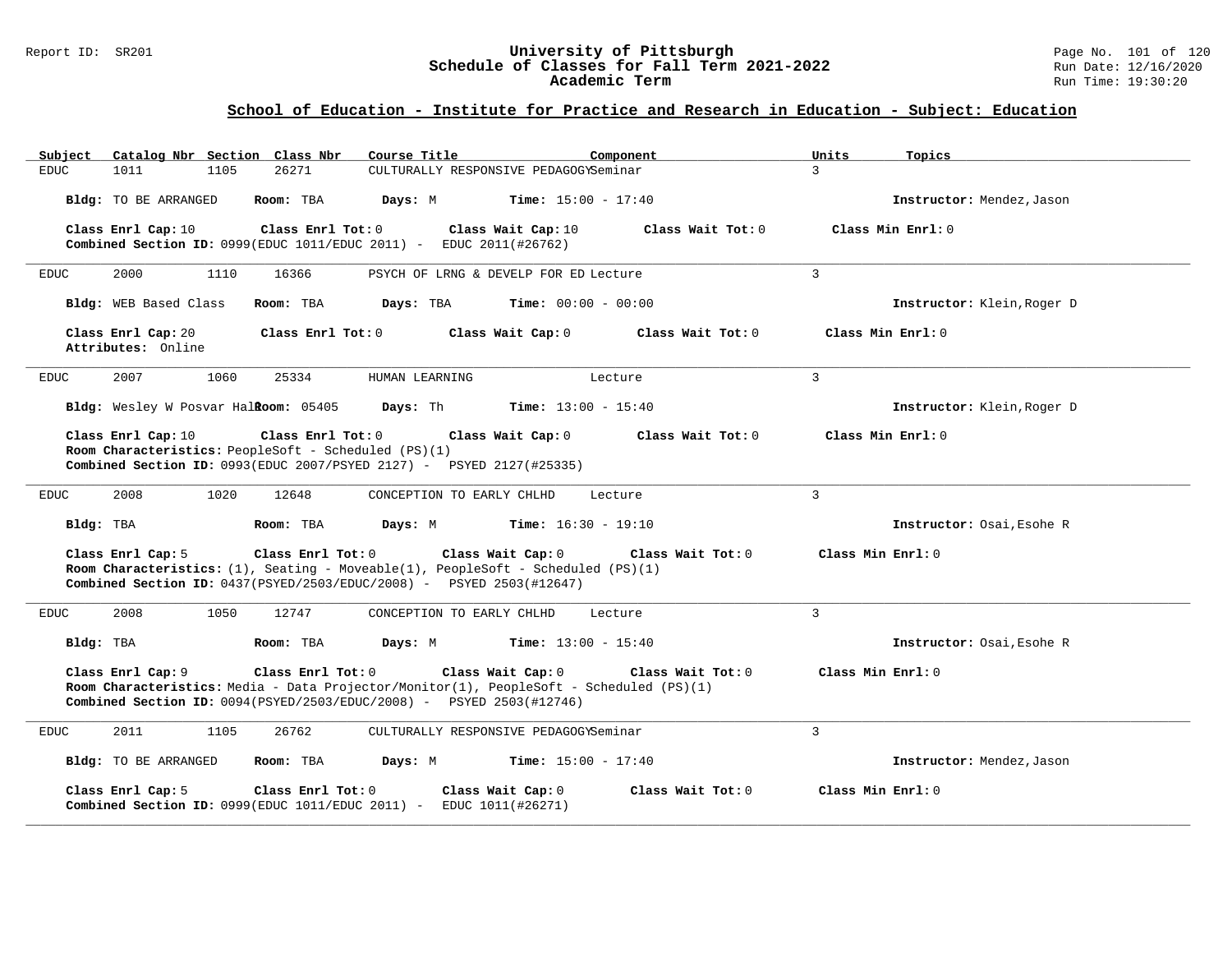## Report ID: SR201 **University of Pittsburgh** Page No. 101 of 120 **Schedule of Classes for Fall Term 2021-2022** Run Date: 12/16/2020 **Academic Term** Run Time: 19:30:20

| Catalog Nbr Section Class Nbr<br>Subject                                                                                                                                       | Course Title<br>Component                                                                                                         | Units<br>Topics            |
|--------------------------------------------------------------------------------------------------------------------------------------------------------------------------------|-----------------------------------------------------------------------------------------------------------------------------------|----------------------------|
| EDUC.<br>1011<br>1105<br>26271                                                                                                                                                 | CULTURALLY RESPONSIVE PEDAGOGYSeminar                                                                                             | $\mathcal{L}$              |
| Bldg: TO BE ARRANGED<br>Room: TBA                                                                                                                                              | Days: M<br><b>Time:</b> $15:00 - 17:40$                                                                                           | Instructor: Mendez, Jason  |
| Class Enrl Cap: 10<br>Class Enrl Tot: 0<br><b>Combined Section ID:</b> 0999(EDUC 1011/EDUC 2011) - EDUC 2011(#26762)                                                           | Class Wait Cap: 10<br>Class Wait Tot: $0$                                                                                         | Class Min Enrl: 0          |
| 2000<br>16366<br>EDUC<br>1110                                                                                                                                                  | PSYCH OF LRNG & DEVELP FOR ED Lecture                                                                                             | $\overline{3}$             |
| Bldg: WEB Based Class<br>Room: TBA                                                                                                                                             | Days: TBA<br><b>Time:</b> $00:00 - 00:00$                                                                                         | Instructor: Klein, Roger D |
| Class Enrl Cap: 20<br>Class Enr1 Tot: 0<br>Attributes: Online                                                                                                                  | Class Wait Cap: 0<br>Class Wait Tot: 0                                                                                            | Class Min Enrl: 0          |
| 1060<br>2007<br>25334<br>EDUC                                                                                                                                                  | HUMAN LEARNING<br>Lecture                                                                                                         | 3                          |
| Bldg: Wesley W Posvar Halkoom: 05405                                                                                                                                           | <b>Days:</b> Th <b>Time:</b> $13:00 - 15:40$                                                                                      | Instructor: Klein, Roger D |
| Class Enrl Cap: 10<br>Class Enrl Tot: 0<br>Room Characteristics: PeopleSoft - Scheduled (PS)(1)<br><b>Combined Section ID:</b> 0993(EDUC 2007/PSYED 2127) - PSYED 2127(#25335) | Class Wait Tot: 0<br>Class Wait Cap: 0                                                                                            | Class Min Enrl: 0          |
| 2008<br>1020<br>12648<br>EDUC                                                                                                                                                  | CONCEPTION TO EARLY CHLHD<br>Lecture                                                                                              | $\overline{3}$             |
| Bldg: TBA<br>Room: TBA                                                                                                                                                         | Days: M<br><b>Time:</b> $16:30 - 19:10$                                                                                           | Instructor: Osai, Esohe R  |
| Class Enrl Tot: 0<br>Class Enrl Cap: 5<br><b>Combined Section ID:</b> $0437(PSYED/2503/EDUC/2008)$ - PSYED 2503(#12647)                                                        | Class Wait Cap: 0<br>Class Wait Tot: 0<br>Room Characteristics: $(1)$ , Seating - Moveable(1), PeopleSoft - Scheduled (PS)(1)     | Class Min Enrl: 0          |
| 2008<br>1050<br>12747<br>EDUC                                                                                                                                                  | CONCEPTION TO EARLY CHLHD<br>Lecture                                                                                              | $\mathbf{3}$               |
| Bldg: TBA<br>Room: TBA                                                                                                                                                         | <b>Days:</b> M <b>Time:</b> $13:00 - 15:40$                                                                                       | Instructor: Osai, Esohe R  |
| Class Enrl Cap: 9<br>Class Enrl Tot: 0<br><b>Combined Section ID:</b> $0094$ (PSYED/2503/EDUC/2008) - PSYED 2503(#12746)                                                       | Class Wait Cap: 0<br>Class Wait Tot: 0<br>Room Characteristics: Media - Data Projector/Monitor(1), PeopleSoft - Scheduled (PS)(1) | Class Min Enrl: 0          |
| 2011<br>1105<br>26762<br>EDUC                                                                                                                                                  | CULTURALLY RESPONSIVE PEDAGOGYSeminar                                                                                             | $\overline{3}$             |
| Bldg: TO BE ARRANGED<br>Room: TBA                                                                                                                                              | Days: M<br><b>Time:</b> $15:00 - 17:40$                                                                                           | Instructor: Mendez, Jason  |
| Class Enrl Cap: 5<br>Class Enrl Tot: 0<br><b>Combined Section ID:</b> $0999$ (EDUC $1011$ /EDUC 2011) - EDUC $1011$ (#26271)                                                   | Class Wait Cap: 0<br>Class Wait Tot: 0                                                                                            | Class Min Enrl: 0          |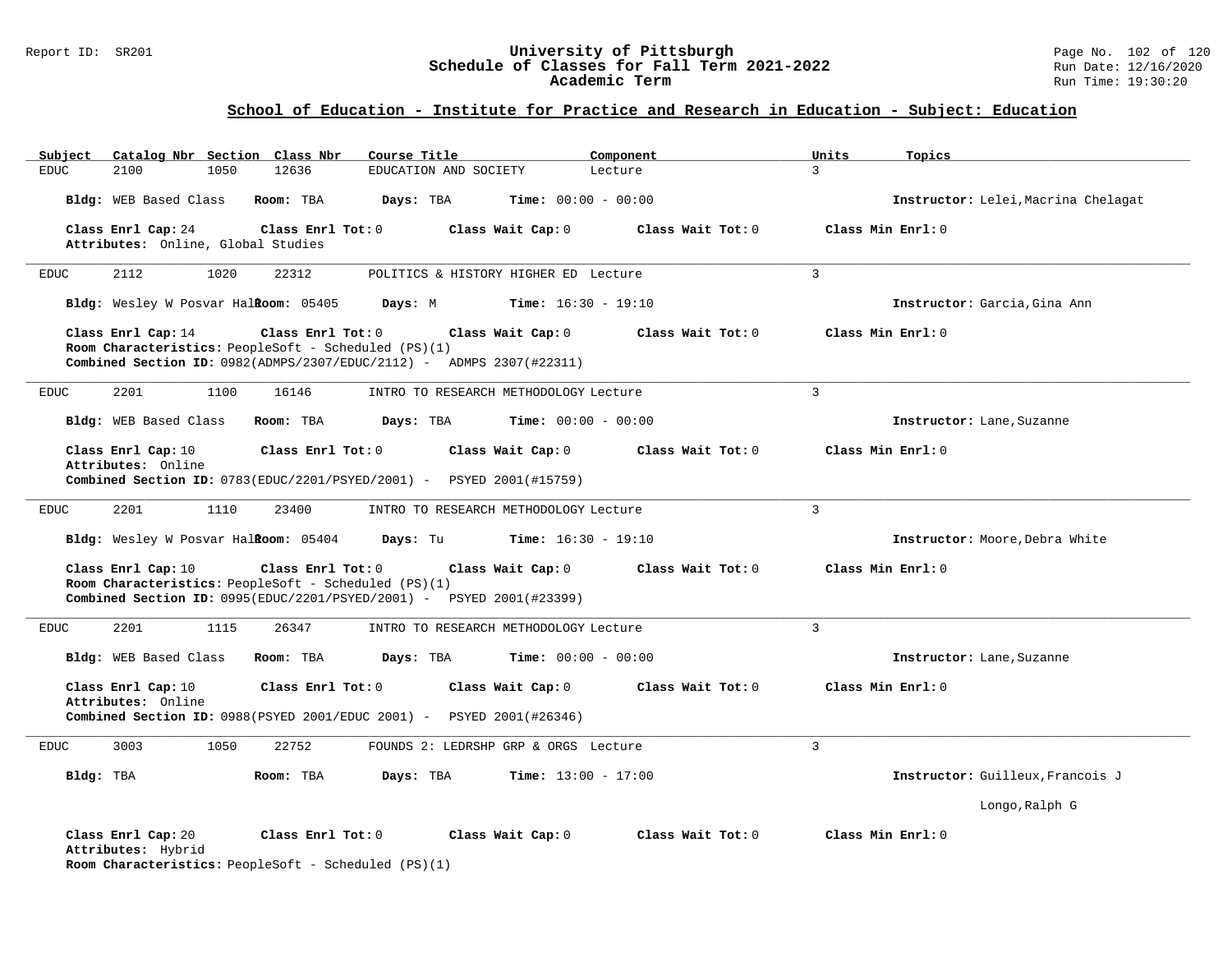## Report ID: SR201 **120 University of Pittsburgh University of Pittsburgh** Page No. 102 of 120<br>**Schedule of Classes for Fall Term 2021-2022** Run Date: 12/16/2020 **Schedule of Classes for Fall Term 2021-2022** Run Date: 12/16/2020 **Academic Term** Run Time: 19:30:20

| Catalog Nbr Section Class Nbr<br>Subject                 | Course Title                                                                                                                                                                    | Component                    | Units<br>Topics                     |
|----------------------------------------------------------|---------------------------------------------------------------------------------------------------------------------------------------------------------------------------------|------------------------------|-------------------------------------|
| <b>EDUC</b><br>2100<br>1050                              | 12636<br>EDUCATION AND SOCIETY                                                                                                                                                  | Lecture                      | $\mathbf{R}$                        |
| Bldg: WEB Based Class                                    | Room: TBA<br>Days: TBA                                                                                                                                                          | <b>Time:</b> $00:00 - 00:00$ | Instructor: Lelei, Macrina Chelagat |
| Class Enrl Cap: 24<br>Attributes: Online, Global Studies | Class Enrl Tot: 0<br>Class Wait Cap: 0                                                                                                                                          | Class Wait Tot: 0            | Class Min Enrl: 0                   |
| 2112<br>1020<br><b>EDUC</b>                              | 22312<br>POLITICS & HISTORY HIGHER ED Lecture                                                                                                                                   |                              | $\mathbf{3}$                        |
| Bldg: Wesley W Posvar HalRoom: 05405                     | Days: M                                                                                                                                                                         | <b>Time:</b> $16:30 - 19:10$ | Instructor: Garcia, Gina Ann        |
| Class Enrl Cap: 14                                       | Class Enrl Tot: 0<br>Class Wait Cap: 0<br>Room Characteristics: PeopleSoft - Scheduled (PS)(1)<br><b>Combined Section ID:</b> $0982(ADMPS/2307/EDUC/2112)$ - ADMPS 2307(#22311) | Class Wait $Tot: 0$          | Class Min Enrl: 0                   |
| 2201<br>1100<br><b>EDUC</b>                              | 16146<br>INTRO TO RESEARCH METHODOLOGY Lecture                                                                                                                                  |                              | $\overline{3}$                      |
| Bldg: WEB Based Class                                    | Room: TBA<br>Days: TBA                                                                                                                                                          | <b>Time:</b> $00:00 - 00:00$ | Instructor: Lane, Suzanne           |
| Class Enrl Cap: 10<br>Attributes: Online                 | Class Enrl Tot: 0<br>Class Wait Cap: 0<br>Combined Section ID: 0783(EDUC/2201/PSYED/2001) - PSYED 2001(#15759)                                                                  | Class Wait Tot: 0            | Class Min Enrl: 0                   |
| 2201<br>1110<br><b>EDUC</b>                              | 23400<br>INTRO TO RESEARCH METHODOLOGY Lecture                                                                                                                                  |                              | $\overline{3}$                      |
| Bldg: Wesley W Posvar Halkoom: 05404                     | Days: Tu                                                                                                                                                                        | <b>Time:</b> $16:30 - 19:10$ | Instructor: Moore, Debra White      |
| Class Enrl Cap: 10                                       | Class Enrl Tot: 0<br>Class Wait Cap: 0<br>Room Characteristics: PeopleSoft - Scheduled (PS)(1)<br><b>Combined Section ID:</b> $0995(EDUC/2201/PSYED/2001)$ - PSYED 2001(#23399) | Class Wait $Tot: 0$          | Class Min Enrl: 0                   |
| 2201<br>1115<br><b>EDUC</b>                              | 26347<br>INTRO TO RESEARCH METHODOLOGY Lecture                                                                                                                                  |                              | $\overline{3}$                      |
| Bldg: WEB Based Class                                    | Room: TBA<br>Days: TBA                                                                                                                                                          | <b>Time:</b> $00:00 - 00:00$ | Instructor: Lane, Suzanne           |
| Class Enrl Cap: 10<br>Attributes: Online                 | Class Enrl Tot: 0<br>Class Wait Cap: 0<br><b>Combined Section ID:</b> $0988$ (PSYED 2001/EDUC 2001) - PSYED 2001(#26346)                                                        | Class Wait Tot: 0            | Class Min Enrl: 0                   |
| 3003<br>1050<br><b>EDUC</b>                              | 22752<br>FOUNDS 2: LEDRSHP GRP & ORGS Lecture                                                                                                                                   |                              | $\overline{3}$                      |
| Bldg: TBA                                                | Days: TBA<br>Room: TBA                                                                                                                                                          | <b>Time:</b> $13:00 - 17:00$ | Instructor: Guilleux, Francois J    |
|                                                          |                                                                                                                                                                                 |                              | Longo, Ralph G                      |
| Class Enrl Cap: 20<br>Attributes: Hybrid                 | Class Enrl Tot: 0<br>Class Wait Cap: 0<br>Room Characteristics: PeopleSoft - Scheduled (PS)(1)                                                                                  | Class Wait Tot: 0            | Class Min Enrl: 0                   |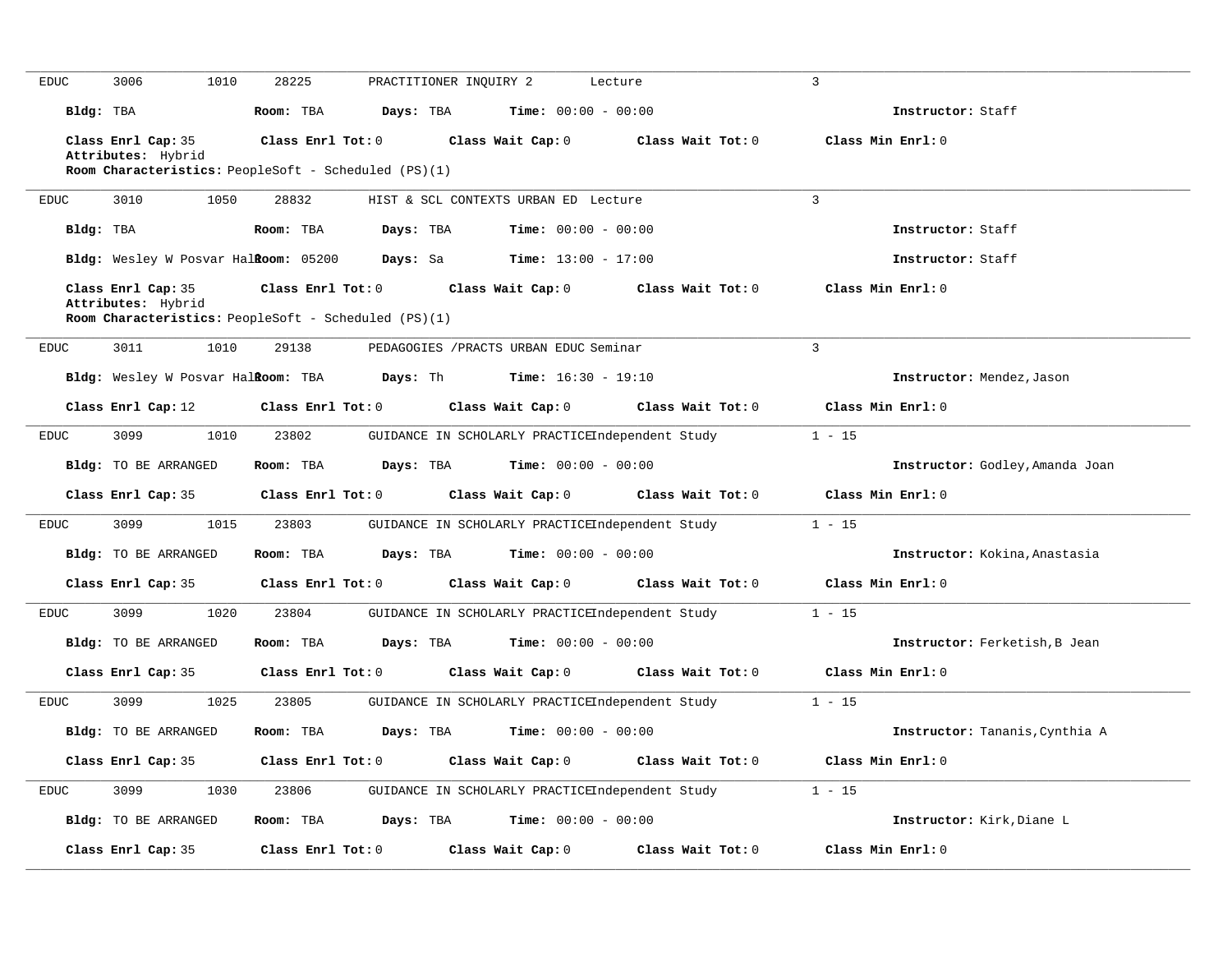| EDUC                         | 3006<br>1010                             | 28225                                                                     | PRACTITIONER INQUIRY 2                          | Lecture           | $\overline{3}$                  |
|------------------------------|------------------------------------------|---------------------------------------------------------------------------|-------------------------------------------------|-------------------|---------------------------------|
| Bldg: TBA                    |                                          | Room: TBA                                                                 | <b>Time:</b> $00:00 - 00:00$<br>Days: TBA       |                   | Instructor: Staff               |
|                              | Class Enrl Cap: 35<br>Attributes: Hybrid | Class Enrl Tot: 0<br>Room Characteristics: PeopleSoft - Scheduled (PS)(1) | Class Wait Cap: 0                               | Class Wait Tot: 0 | Class Min Enrl: 0               |
| <b>EDUC</b>                  | 3010<br>1050                             | 28832                                                                     | HIST & SCL CONTEXTS URBAN ED Lecture            |                   | $\overline{3}$                  |
| Bldg: TBA                    |                                          | Room: TBA                                                                 | Days: TBA<br><b>Time:</b> $00:00 - 00:00$       |                   | Instructor: Staff               |
|                              | Bldg: Wesley W Posvar Halkoom: 05200     | Days: Sa                                                                  | <b>Time:</b> $13:00 - 17:00$                    |                   | Instructor: Staff               |
|                              | Class Enrl Cap: 35<br>Attributes: Hybrid | Class Enrl Tot: 0<br>Room Characteristics: PeopleSoft - Scheduled (PS)(1) | Class Wait Cap: 0                               | Class Wait Tot: 0 | Class Min Enrl: 0               |
| $\mathop{\rm EDUC}\nolimits$ | 3011<br>1010                             | 29138                                                                     | PEDAGOGIES / PRACTS URBAN EDUC Seminar          |                   | $\overline{3}$                  |
|                              | Bldg: Wesley W Posvar HalRoom: TBA       | Days: Th                                                                  | <b>Time:</b> $16:30 - 19:10$                    |                   | Instructor: Mendez, Jason       |
|                              | Class Enrl Cap: 12                       | Class Enrl Tot: 0                                                         | Class Wait Cap: 0                               | Class Wait Tot: 0 | Class Min Enrl: 0               |
| <b>EDUC</b>                  | 3099<br>1010                             | 23802                                                                     | GUIDANCE IN SCHOLARLY PRACTICEIndependent Study |                   | $1 - 15$                        |
|                              | Bldg: TO BE ARRANGED                     | Room: TBA                                                                 | <b>Time:</b> $00:00 - 00:00$<br>Days: TBA       |                   | Instructor: Godley, Amanda Joan |
|                              | Class Enrl Cap: 35                       | Class Enrl Tot: 0                                                         | Class Wait Cap: 0                               | Class Wait Tot: 0 | Class Min Enrl: 0               |
| <b>EDUC</b>                  | 3099<br>1015                             | 23803                                                                     | GUIDANCE IN SCHOLARLY PRACTICEIndependent Study |                   | $1 - 15$                        |
|                              | Bldg: TO BE ARRANGED                     | Room: TBA                                                                 | <b>Time:</b> $00:00 - 00:00$<br>Days: TBA       |                   | Instructor: Kokina, Anastasia   |
|                              | Class Enrl Cap: 35                       | Class Enrl Tot: 0                                                         | Class Wait Cap: 0                               | Class Wait Tot: 0 | Class Min Enrl: 0               |
| <b>EDUC</b>                  | 3099<br>1020                             | 23804                                                                     | GUIDANCE IN SCHOLARLY PRACTICEIndependent Study |                   | $1 - 15$                        |
|                              | Bldg: TO BE ARRANGED                     | Room: TBA                                                                 | <b>Time:</b> $00:00 - 00:00$<br>Days: TBA       |                   | Instructor: Ferketish, B Jean   |
|                              | Class Enrl Cap: 35                       | Class Enrl Tot: 0                                                         | Class Wait Cap: 0                               | Class Wait Tot: 0 | Class Min Enrl: 0               |
| EDUC                         | 3099<br>1025                             | 23805                                                                     | GUIDANCE IN SCHOLARLY PRACTICEIndependent Study |                   | $1 - 15$                        |
|                              | Bldg: TO BE ARRANGED                     | Room: TBA                                                                 | Time: $00:00 - 00:00$<br>Days: TBA              |                   | Instructor: Tananis, Cynthia A  |
|                              | Class Enrl Cap: 35                       | Class Enrl Tot: 0                                                         | Class Wait Cap: 0                               | Class Wait Tot: 0 | Class Min Enrl: 0               |
| <b>EDUC</b>                  | 3099<br>1030                             | 23806                                                                     | GUIDANCE IN SCHOLARLY PRACTICEIndependent Study |                   | $1 - 15$                        |
|                              | Bldg: TO BE ARRANGED                     | Room: TBA                                                                 | Days: TBA<br><b>Time:</b> $00:00 - 00:00$       |                   | Instructor: Kirk, Diane L       |
|                              | Class Enrl Cap: 35                       | Class Enrl Tot: 0                                                         | Class Wait Cap: 0                               | Class Wait Tot: 0 | Class Min Enrl: 0               |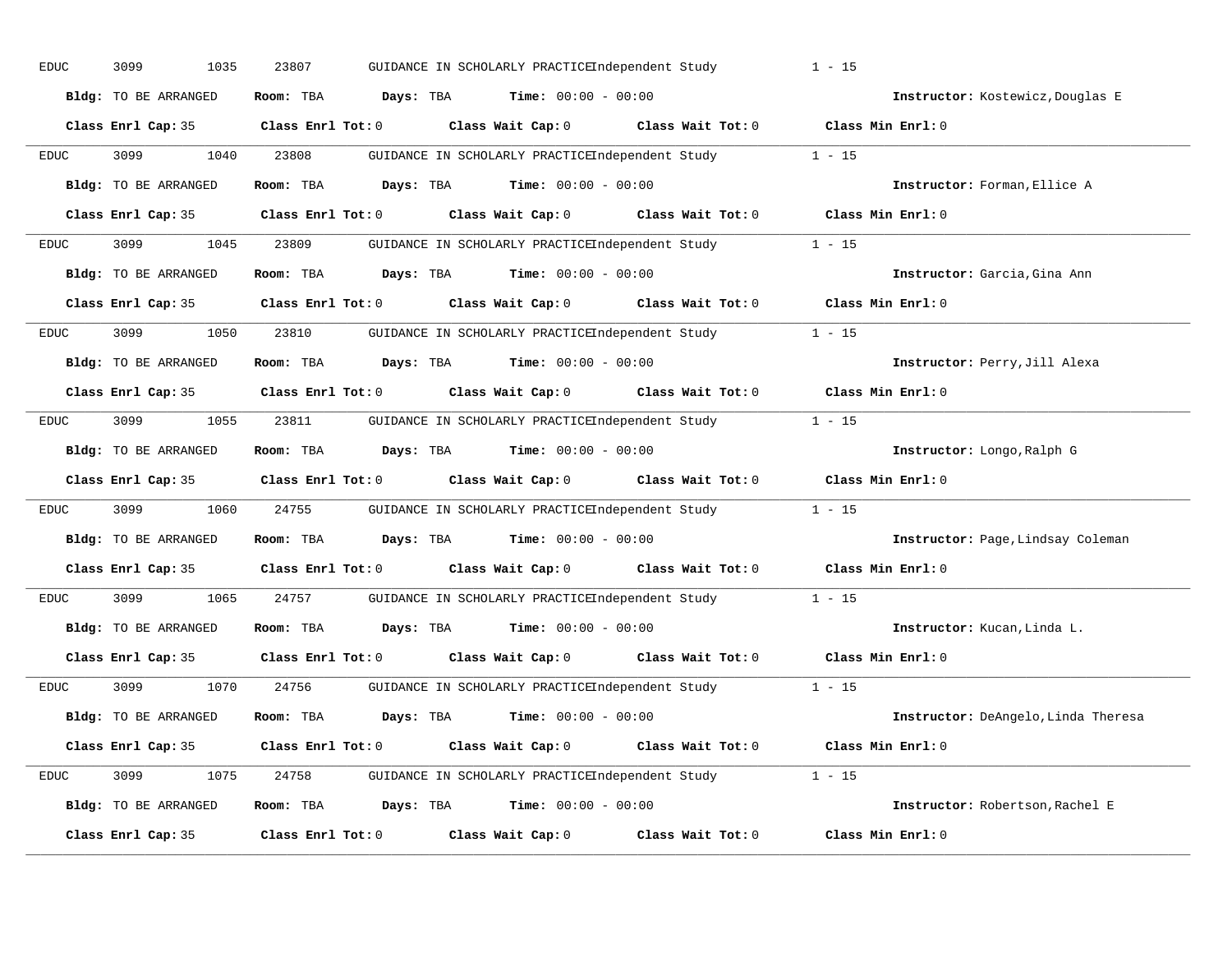| EDUC        | 3099<br>1035         | 23807<br>GUIDANCE IN SCHOLARLY PRACTICEIndependent Study        | $1 - 15$                               |
|-------------|----------------------|-----------------------------------------------------------------|----------------------------------------|
|             | Bldg: TO BE ARRANGED | Room: TBA<br>Days: TBA<br><b>Time:</b> $00:00 - 00:00$          | Instructor: Kostewicz, Douglas E       |
|             | Class Enrl Cap: 35   | Class Wait Cap: 0<br>$Class$ $Enr1$ $Tot: 0$                    | Class Min Enrl: 0<br>Class Wait Tot: 0 |
| EDUC        | 3099<br>1040         | 23808<br>GUIDANCE IN SCHOLARLY PRACTICEIndependent Study        | $1 - 15$                               |
|             | Bldg: TO BE ARRANGED | Room: TBA<br>Days: TBA<br><b>Time:</b> $00:00 - 00:00$          | Instructor: Forman, Ellice A           |
|             | Class Enrl Cap: 35   | Class Wait Cap: 0 Class Wait Tot: 0<br>$Class$ $Enr1$ $Tot: 0$  | Class Min Enrl: 0                      |
| <b>EDUC</b> | 1045<br>3099         | 23809<br>GUIDANCE IN SCHOLARLY PRACTICEIndependent Study        | $1 - 15$                               |
|             | Bldg: TO BE ARRANGED | Room: TBA<br>Days: TBA<br><b>Time:</b> $00:00 - 00:00$          | Instructor: Garcia, Gina Ann           |
|             | Class Enrl Cap: 35   | Class Wait Cap: 0 Class Wait Tot: 0<br>$Class$ $Enrl$ $Tot: 0$  | Class Min Enrl: 0                      |
| EDUC        | 3099<br>1050         | 23810<br>GUIDANCE IN SCHOLARLY PRACTICEIndependent Study        | $1 - 15$                               |
|             | Bldg: TO BE ARRANGED | Room: TBA<br>Days: TBA<br><b>Time:</b> $00:00 - 00:00$          | Instructor: Perry, Jill Alexa          |
|             | Class Enrl Cap: 35   | $Class$ $Enrl$ $Tot: 0$<br>Class Wait Cap: 0 Class Wait Tot: 0  | Class Min Enrl: 0                      |
| EDUC        | 3099<br>1055         | 23811<br>GUIDANCE IN SCHOLARLY PRACTICEIndependent Study        | $1 - 15$                               |
|             | Bldg: TO BE ARRANGED | <b>Days:</b> TBA <b>Time:</b> $00:00 - 00:00$<br>Room: TBA      | Instructor: Longo, Ralph G             |
|             | Class Enrl Cap: 35   | Class Enrl Tot: 0 Class Wait Cap: 0 Class Wait Tot: 0           | Class Min Enrl: 0                      |
| <b>EDUC</b> | 3099<br>1060         | 24755<br>GUIDANCE IN SCHOLARLY PRACTICEIndependent Study        | $1 - 15$                               |
|             | Bldg: TO BE ARRANGED | <b>Days:</b> TBA <b>Time:</b> $00:00 - 00:00$<br>Room: TBA      | Instructor: Page, Lindsay Coleman      |
|             | Class Enrl Cap: 35   | Class Enrl Tot: 0<br>Class Wait Cap: $0$ Class Wait Tot: $0$    | Class Min Enrl: 0                      |
| EDUC        | 3099<br>1065         | 24757<br>GUIDANCE IN SCHOLARLY PRACTICEIndependent Study        | $1 - 15$                               |
|             | Bldg: TO BE ARRANGED | <b>Days:</b> TBA <b>Time:</b> $00:00 - 00:00$<br>Room: TBA      | Instructor: Kucan, Linda L.            |
|             | Class Enrl Cap: 35   | Class Enrl Tot: 0<br>Class Wait Cap: 0                          | Class Wait Tot: 0<br>Class Min Enrl: 0 |
| EDUC        | 3099<br>1070         | 24756<br>GUIDANCE IN SCHOLARLY PRACTICEIndependent Study        | $1 - 15$                               |
|             | Bldg: TO BE ARRANGED | <b>Days:</b> TBA <b>Time:</b> $00:00 - 00:00$<br>Room: TBA      | Instructor: DeAngelo, Linda Theresa    |
|             | Class Enrl Cap: 35   | Class Wait Cap: 0<br>$Class$ $Enr1$ $Tot: 0$                    | Class Wait Tot: 0<br>Class Min Enrl: 0 |
|             |                      |                                                                 |                                        |
| EDUC        | 3099<br>1075         | 24758<br>GUIDANCE IN SCHOLARLY PRACTICEIndependent Study 1 - 15 |                                        |
|             | Bldg: TO BE ARRANGED | Room: TBA<br>Days: TBA<br>$Time: 00:00 - 00:00$                 | Instructor: Robertson, Rachel E        |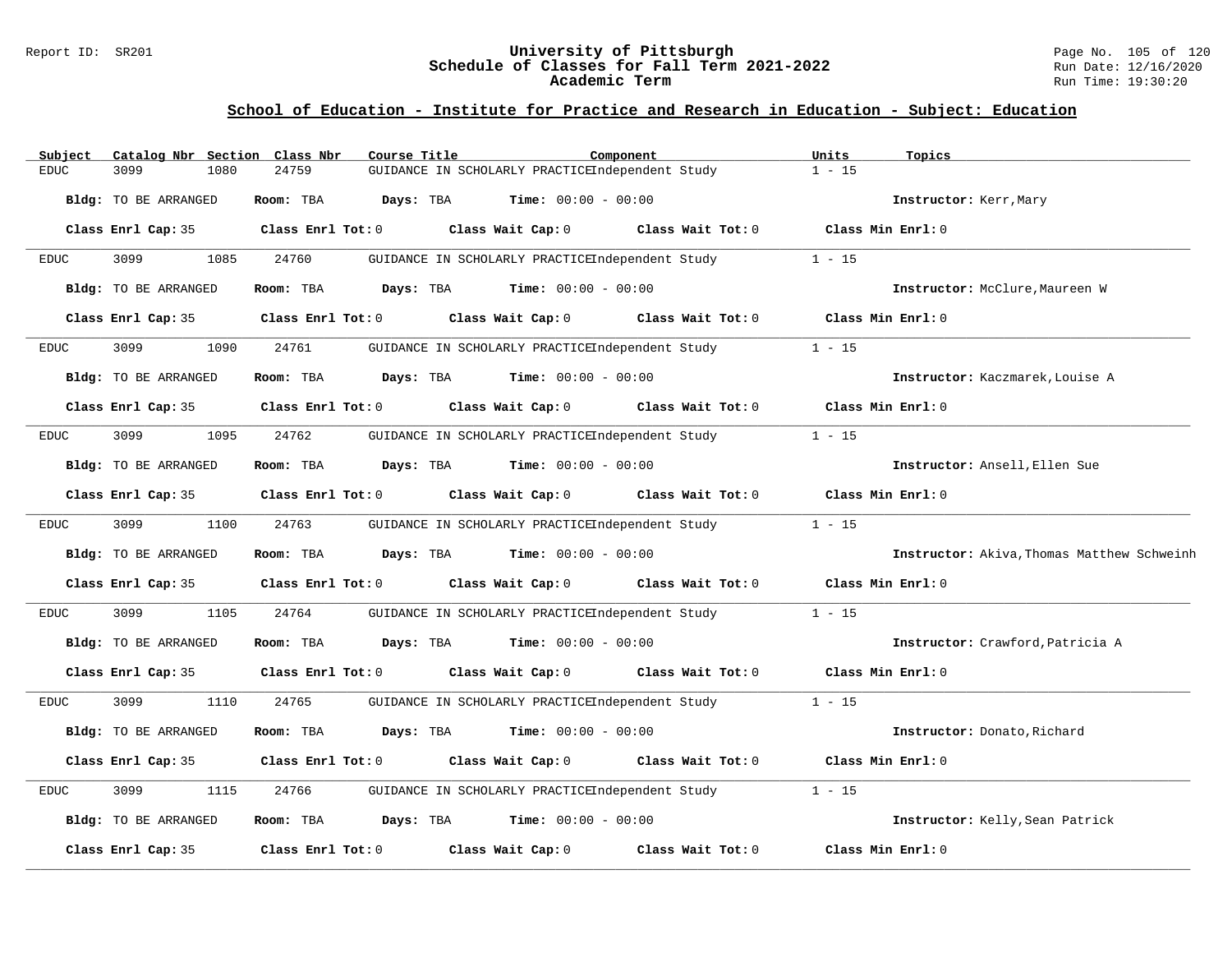### Report ID: SR201 **University of Pittsburgh** Page No. 105 of 120 **Schedule of Classes for Fall Term 2021-2022** Run Date: 12/16/2020 **Academic Term** Run Time: 19:30:20

| Subject                     |      | Catalog Nbr Section Class Nbr | Course Title                                    | Component         | Units             | Topics                                     |
|-----------------------------|------|-------------------------------|-------------------------------------------------|-------------------|-------------------|--------------------------------------------|
| 3099<br><b>EDUC</b>         | 1080 | 24759                         | GUIDANCE IN SCHOLARLY PRACTICEIndependent Study |                   | $1 - 15$          |                                            |
| Bldg: TO BE ARRANGED        |      | Room: TBA                     | Days: TBA<br><b>Time:</b> $00:00 - 00:00$       |                   |                   | Instructor: Kerr, Mary                     |
| Class Enrl Cap: 35          |      | Class Enrl Tot: 0             | Class Wait Cap: 0                               | Class Wait Tot: 0 | Class Min Enrl: 0 |                                            |
| <b>EDUC</b><br>3099         | 1085 | 24760                         | GUIDANCE IN SCHOLARLY PRACTICEIndependent Study |                   | $1 - 15$          |                                            |
| Bldg: TO BE ARRANGED        |      | Room: TBA                     | $Time: 00:00 - 00:00$<br>Days: TBA              |                   |                   | Instructor: McClure, Maureen W             |
| Class Enrl Cap: 35          |      | Class Enrl Tot: 0             | Class Wait Cap: 0                               | Class Wait Tot: 0 | Class Min Enrl: 0 |                                            |
| 3099<br><b>EDUC</b>         | 1090 | 24761                         | GUIDANCE IN SCHOLARLY PRACTICEIndependent Study |                   | $1 - 15$          |                                            |
| Bldg: TO BE ARRANGED        |      | Room: TBA                     | <b>Time:</b> $00:00 - 00:00$<br>Days: TBA       |                   |                   | Instructor: Kaczmarek, Louise A            |
| Class Enrl Cap: 35          |      | Class Enrl Tot: 0             | Class Wait Cap: 0                               | Class Wait Tot: 0 | Class Min Enrl: 0 |                                            |
| 3099<br><b>EDUC</b>         | 1095 | 24762                         | GUIDANCE IN SCHOLARLY PRACTICEIndependent Study |                   | $1 - 15$          |                                            |
| Bldg: TO BE ARRANGED        |      | Room: TBA                     | Days: TBA<br>$Time: 00:00 - 00:00$              |                   |                   | Instructor: Ansell, Ellen Sue              |
| Class Enrl Cap: 35          |      | Class Enrl Tot: 0             | Class Wait Cap: 0                               | Class Wait Tot: 0 | Class Min Enrl: 0 |                                            |
| <b>EDUC</b><br>3099         | 1100 | 24763                         | GUIDANCE IN SCHOLARLY PRACTICEIndependent Study |                   | $1 - 15$          |                                            |
| <b>Bldg:</b> TO BE ARRANGED |      | Room: TBA                     | <b>Time:</b> $00:00 - 00:00$<br>Days: TBA       |                   |                   | Instructor: Akiva, Thomas Matthew Schweinh |
| Class Enrl Cap: 35          |      | Class Enrl Tot: 0             | Class Wait Cap: 0                               | Class Wait Tot: 0 | Class Min Enrl: 0 |                                            |
| 3099<br><b>EDUC</b>         | 1105 | 24764                         | GUIDANCE IN SCHOLARLY PRACTICEIndependent Study |                   | $1 - 15$          |                                            |
| Bldg: TO BE ARRANGED        |      | Room: TBA                     | Time: $00:00 - 00:00$<br>Days: TBA              |                   |                   | Instructor: Crawford, Patricia A           |
| Class Enrl Cap: 35          |      | Class Enrl Tot: 0             | Class Wait Cap: 0                               | Class Wait Tot: 0 | Class Min Enrl: 0 |                                            |
| 3099<br><b>EDUC</b>         | 1110 | 24765                         | GUIDANCE IN SCHOLARLY PRACTICEIndependent Study |                   | $1 - 15$          |                                            |
| <b>Bldg:</b> TO BE ARRANGED |      | Room: TBA                     | Days: TBA<br><b>Time:</b> $00:00 - 00:00$       |                   |                   | Instructor: Donato, Richard                |
| Class Enrl Cap: 35          |      | Class Enrl Tot: 0             | Class Wait Cap: 0                               | Class Wait Tot: 0 | Class Min Enrl: 0 |                                            |
| 3099<br><b>EDUC</b>         | 1115 | 24766                         | GUIDANCE IN SCHOLARLY PRACTICEIndependent Study |                   | $1 - 15$          |                                            |
| Bldg: TO BE ARRANGED        |      | Room: TBA                     | <b>Time:</b> $00:00 - 00:00$<br>Days: TBA       |                   |                   | Instructor: Kelly, Sean Patrick            |
| Class Enrl Cap: 35          |      | Class Enrl Tot: 0             | Class Wait Cap: 0                               | Class Wait Tot: 0 | Class Min Enrl: 0 |                                            |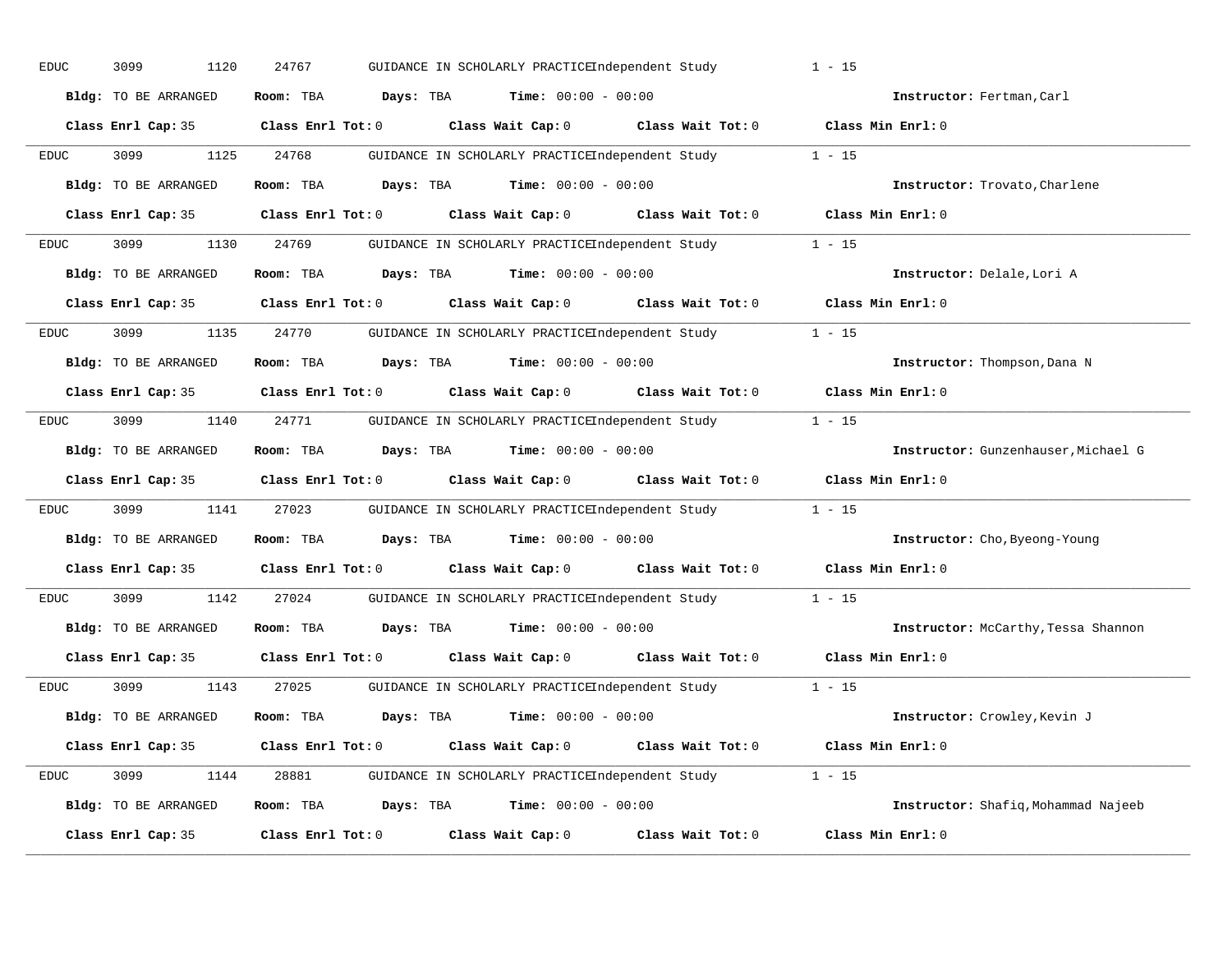| <b>EDUC</b> | 3099<br>1120         | 24767<br>GUIDANCE IN SCHOLARLY PRACTICEIndependent Study             |                   | $1 - 15$                            |
|-------------|----------------------|----------------------------------------------------------------------|-------------------|-------------------------------------|
|             | Bldg: TO BE ARRANGED | Days: TBA<br>$Time: 00:00 - 00:00$<br>Room: TBA                      |                   | Instructor: Fertman, Carl           |
|             | Class Enrl Cap: 35   | Class Wait Cap: 0 Class Wait Tot: 0<br>Class Enrl Tot: 0             |                   | Class Min Enrl: 0                   |
| <b>EDUC</b> | 3099<br>1125         | 24768<br>GUIDANCE IN SCHOLARLY PRACTICEIndependent Study             |                   | $1 - 15$                            |
|             | Bldg: TO BE ARRANGED | Room: TBA<br>Days: TBA<br>$Time: 00:00 - 00:00$                      |                   | Instructor: Trovato, Charlene       |
|             | Class Enrl Cap: 35   | Class Enrl Tot: 0 Class Wait Cap: 0 Class Wait Tot: 0                |                   | Class Min Enrl: 0                   |
| <b>EDUC</b> | 3099                 | 1130 24769<br>GUIDANCE IN SCHOLARLY PRACTICEIndependent Study 1 - 15 |                   |                                     |
|             | Bldg: TO BE ARRANGED | Room: TBA<br>Days: TBA<br>$Time: 00:00 - 00:00$                      |                   | Instructor: Delale, Lori A          |
|             | Class Enrl Cap: 35   | Class Enrl Tot: 0<br>Class Wait Cap: 0 Class Wait Tot: 0             |                   | Class Min Enrl: 0                   |
| EDUC        | 3099<br>1135         | 24770<br>GUIDANCE IN SCHOLARLY PRACTICEIndependent Study             |                   | $1 - 15$                            |
|             | Bldg: TO BE ARRANGED | Days: TBA<br><b>Time:</b> $00:00 - 00:00$<br>Room: TBA               |                   | Instructor: Thompson, Dana N        |
|             | Class Enrl Cap: 35   | Class Wait Cap: 0 Class Wait Tot: 0<br>Class Enrl Tot: 0             |                   | Class Min Enrl: 0                   |
| EDUC        | 3099<br>1140         | 24771<br>GUIDANCE IN SCHOLARLY PRACTICEIndependent Study             |                   | $1 - 15$                            |
|             | Bldg: TO BE ARRANGED | Room: TBA<br><b>Days:</b> TBA <b>Time:</b> $00:00 - 00:00$           |                   | Instructor: Gunzenhauser, Michael G |
|             | Class Enrl Cap: 35   | Class Enrl Tot: 0 Class Wait Cap: 0 Class Wait Tot: 0                |                   | Class Min Enrl: 0                   |
| EDUC        | 3099<br>1141         | 27023<br>GUIDANCE IN SCHOLARLY PRACTICEIndependent Study             |                   | $1 - 15$                            |
|             | Bldg: TO BE ARRANGED | Room: TBA<br>$\texttt{Davis:}$ TBA $\texttt{Time:}$ 00:00 - 00:00    |                   | Instructor: Cho, Byeong-Young       |
|             | Class Enrl Cap: 35   | Class Enrl Tot: 0<br>Class Wait Cap: 0 Class Wait Tot: 0             |                   | Class Min Enrl: 0                   |
| EDUC        | 3099<br>1142         | 27024<br>GUIDANCE IN SCHOLARLY PRACTICEIndependent Study             |                   | $1 - 15$                            |
|             | Bldg: TO BE ARRANGED | Room: TBA<br><b>Days:</b> TBA <b>Time:</b> $00:00 - 00:00$           |                   | Instructor: McCarthy, Tessa Shannon |
|             | Class Enrl Cap: 35   | Class Wait Cap: 0 Class Wait Tot: 0<br>$Class$ $Enr1$ $Tot: 0$       |                   | Class Min Enrl: 0                   |
| EDUC        | 3099<br>1143         | 27025<br>GUIDANCE IN SCHOLARLY PRACTICEIndependent Study             |                   | $1 - 15$                            |
|             | Bldg: TO BE ARRANGED | <b>Days:</b> TBA <b>Time:</b> $00:00 - 00:00$<br>Room: TBA           |                   | Instructor: Crowley, Kevin J        |
|             | Class Enrl Cap: 35   | $Class$ $Enr1$ $Tot: 0$<br>Class Wait Cap: 0                         | Class Wait Tot: 0 | Class Min Enrl: 0                   |
| EDUC        | 3099<br>1144         | GUIDANCE IN SCHOLARLY PRACTICEIndependent Study 1 - 15<br>28881      |                   |                                     |
|             | Bldg: TO BE ARRANGED | Room: TBA<br><b>Days:</b> TBA <b>Time:</b> $00:00 - 00:00$           |                   | Instructor: Shafiq, Mohammad Najeeb |
|             | Class Enrl Cap: 35   | Class Enrl Tot: 0<br>Class Wait Cap: 0                               | Class Wait Tot: 0 | Class Min Enrl: 0                   |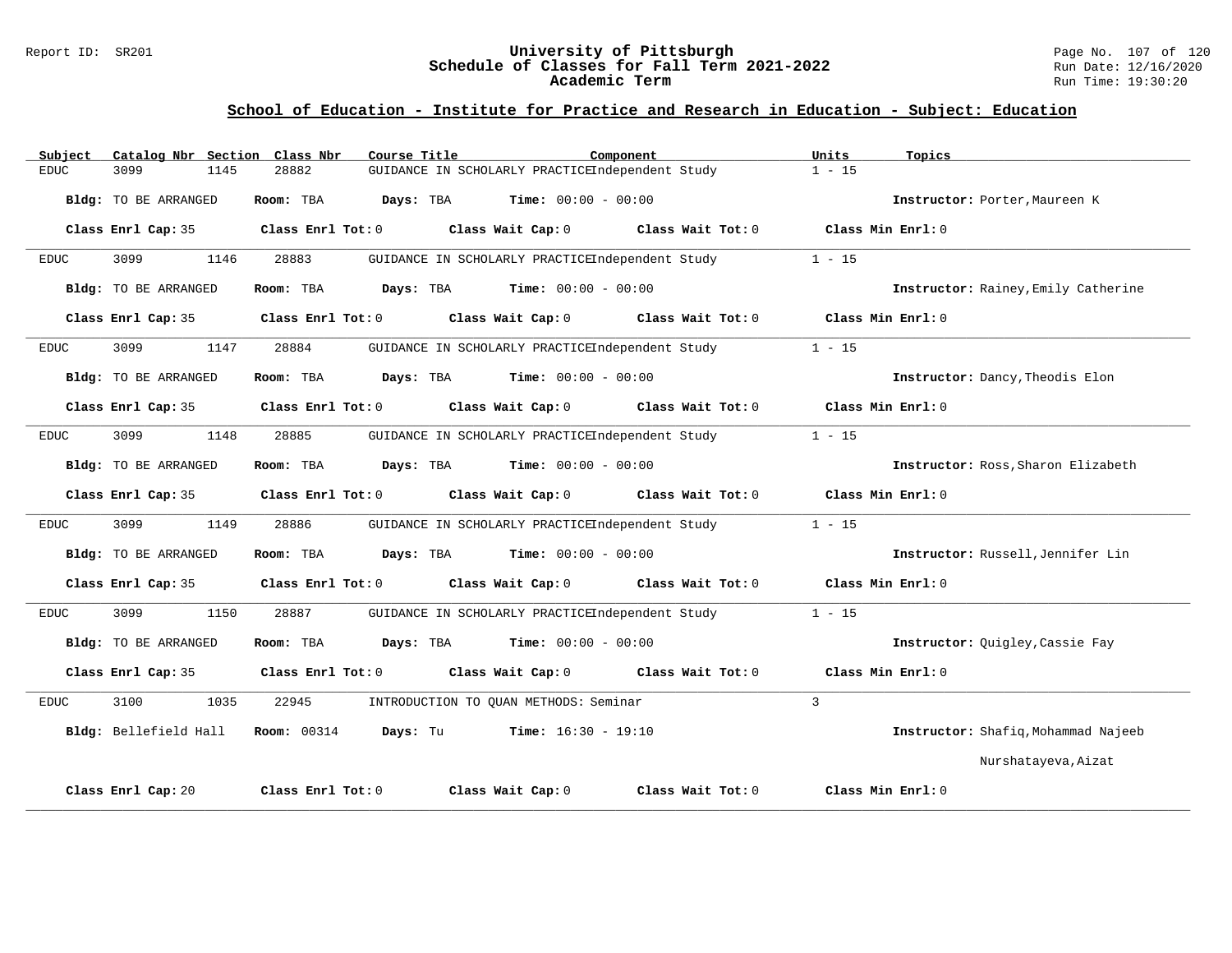## Report ID: SR201 **101 Mixersity of Pittsburgh University of Pittsburgh** Page No. 107 of 120<br>**Schedule of Classes for Fall Term 2021-2022** Run Date: 12/16/2020 **Schedule of Classes for Fall Term 2021-2022** Run Date: 12/16/2020 **Academic Term** Run Time: 19:30:20

| Catalog Nbr Section Class Nbr<br>Subject | Course Title                                             | Component           | Units<br>Topics                     |
|------------------------------------------|----------------------------------------------------------|---------------------|-------------------------------------|
| 3099<br>1145<br><b>EDUC</b>              | GUIDANCE IN SCHOLARLY PRACTICEIndependent Study<br>28882 |                     | $1 - 15$                            |
| Bldg: TO BE ARRANGED                     | <b>Time:</b> $00:00 - 00:00$<br>Room: TBA<br>Days: TBA   |                     | Instructor: Porter, Maureen K       |
| Class Enrl Cap: 35                       | Class Enrl Tot: 0<br>Class Wait Cap: 0                   | Class Wait Tot: 0   | Class Min Enrl: 0                   |
| 3099<br>1146<br><b>EDUC</b>              | 28883<br>GUIDANCE IN SCHOLARLY PRACTICEIndependent Study |                     | $1 - 15$                            |
| Bldg: TO BE ARRANGED                     | <b>Time:</b> $00:00 - 00:00$<br>Room: TBA<br>Days: TBA   |                     | Instructor: Rainey, Emily Catherine |
| Class Enrl Cap: 35                       | Class Enrl Tot: 0<br>Class Wait Cap: 0                   | Class Wait Tot: 0   | Class Min Enrl: 0                   |
| 3099<br>1147<br><b>EDUC</b>              | 28884<br>GUIDANCE IN SCHOLARLY PRACTICEIndependent Study |                     | $1 - 15$                            |
| Bldg: TO BE ARRANGED                     | <b>Time:</b> $00:00 - 00:00$<br>Room: TBA<br>Days: TBA   |                     | Instructor: Dancy, Theodis Elon     |
| Class Enrl Cap: 35                       | Class Enrl Tot: 0<br>Class Wait Cap: 0                   | Class Wait Tot: 0   | Class Min Enrl: 0                   |
| 3099<br>1148<br><b>EDUC</b>              | 28885<br>GUIDANCE IN SCHOLARLY PRACTICEIndependent Study |                     | $1 - 15$                            |
| Bldg: TO BE ARRANGED                     | Room: TBA<br>Days: TBA<br><b>Time:</b> $00:00 - 00:00$   |                     | Instructor: Ross, Sharon Elizabeth  |
| Class Enrl Cap: 35                       | Class Enrl Tot: 0<br>Class Wait Cap: 0                   | Class Wait Tot: 0   | Class Min Enrl: 0                   |
| 3099<br>1149<br><b>EDUC</b>              | 28886<br>GUIDANCE IN SCHOLARLY PRACTICEIndependent Study |                     | $1 - 15$                            |
| Bldg: TO BE ARRANGED                     | <b>Time:</b> $00:00 - 00:00$<br>Room: TBA<br>Days: TBA   |                     | Instructor: Russell, Jennifer Lin   |
| Class Enrl Cap: 35                       | Class Enrl Tot: 0<br>Class Wait Cap: 0                   | Class Wait $Tot: 0$ | Class Min Enrl: 0                   |
| 3099<br>1150<br><b>EDUC</b>              | 28887<br>GUIDANCE IN SCHOLARLY PRACTICEIndependent Study |                     | $1 - 15$                            |
| Bldg: TO BE ARRANGED                     | <b>Time:</b> $00:00 - 00:00$<br>Room: TBA<br>Days: TBA   |                     | Instructor: Quigley, Cassie Fay     |
| Class Enrl Cap: 35                       | Class Enrl Tot: 0<br>Class Wait Cap: 0                   | Class Wait Tot: 0   | Class Min Enrl: 0                   |
| 3100<br>1035<br><b>EDUC</b>              | 22945<br>INTRODUCTION TO OUAN METHODS: Seminar           |                     | $\overline{3}$                      |
| Bldg: Bellefield Hall                    | <b>Room:</b> 00314<br>Days: Tu<br>$Time: 16:30 - 19:10$  |                     | Instructor: Shafiq, Mohammad Najeeb |
|                                          |                                                          |                     | Nurshatayeva, Aizat                 |
| Class Enrl Cap: 20                       | Class Enrl Tot: 0<br>Class Wait Cap: 0                   | Class Wait Tot: 0   | Class Min Enrl: 0                   |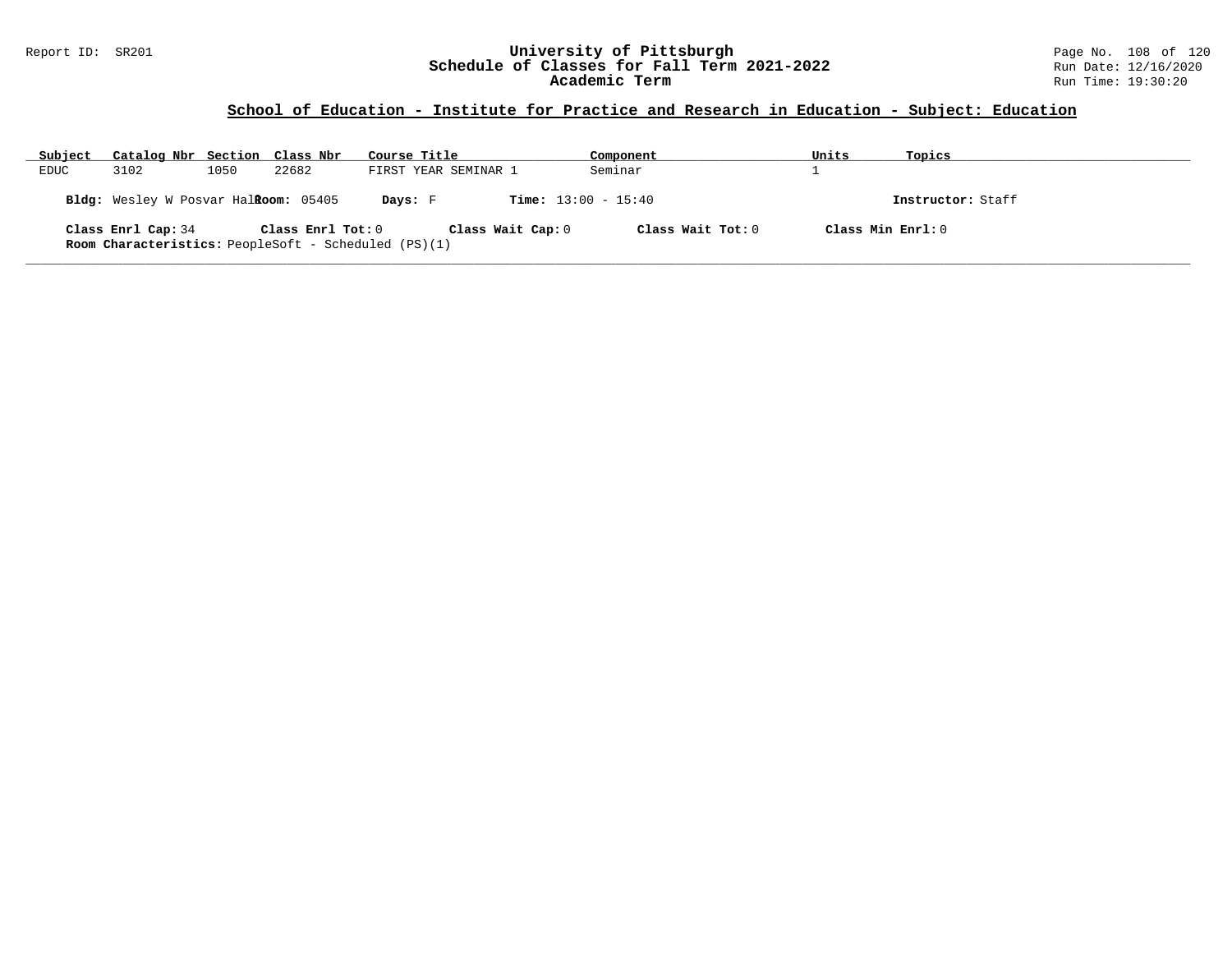## Report ID: SR201 **University of Pittsburgh** Page No. 108 of 120 **Schedule of Classes for Fall Term 2021-2022** Run Date: 12/16/2020 **Academic Term** Run Time: 19:30:20

| Subject     | Catalog Nbr Section Class Nbr        |      |                   | Course Title                                                              | Component                    | Units | Topics              |
|-------------|--------------------------------------|------|-------------------|---------------------------------------------------------------------------|------------------------------|-------|---------------------|
| <b>EDUC</b> | 3102                                 | 1050 | 22682             | FIRST YEAR SEMINAR 1                                                      | Seminar                      |       |                     |
|             | Bldg: Wesley W Posvar Halkoom: 05405 |      |                   | Days: F                                                                   | <b>Time:</b> $13:00 - 15:40$ |       | Instructor: Staff   |
|             | Class Enrl Cap: 34                   |      | Class Enrl Tot: 0 | Class Wait Cap: 0<br>Room Characteristics: PeopleSoft - Scheduled (PS)(1) | Class Wait Tot: 0            |       | Class Min $Enrl: 0$ |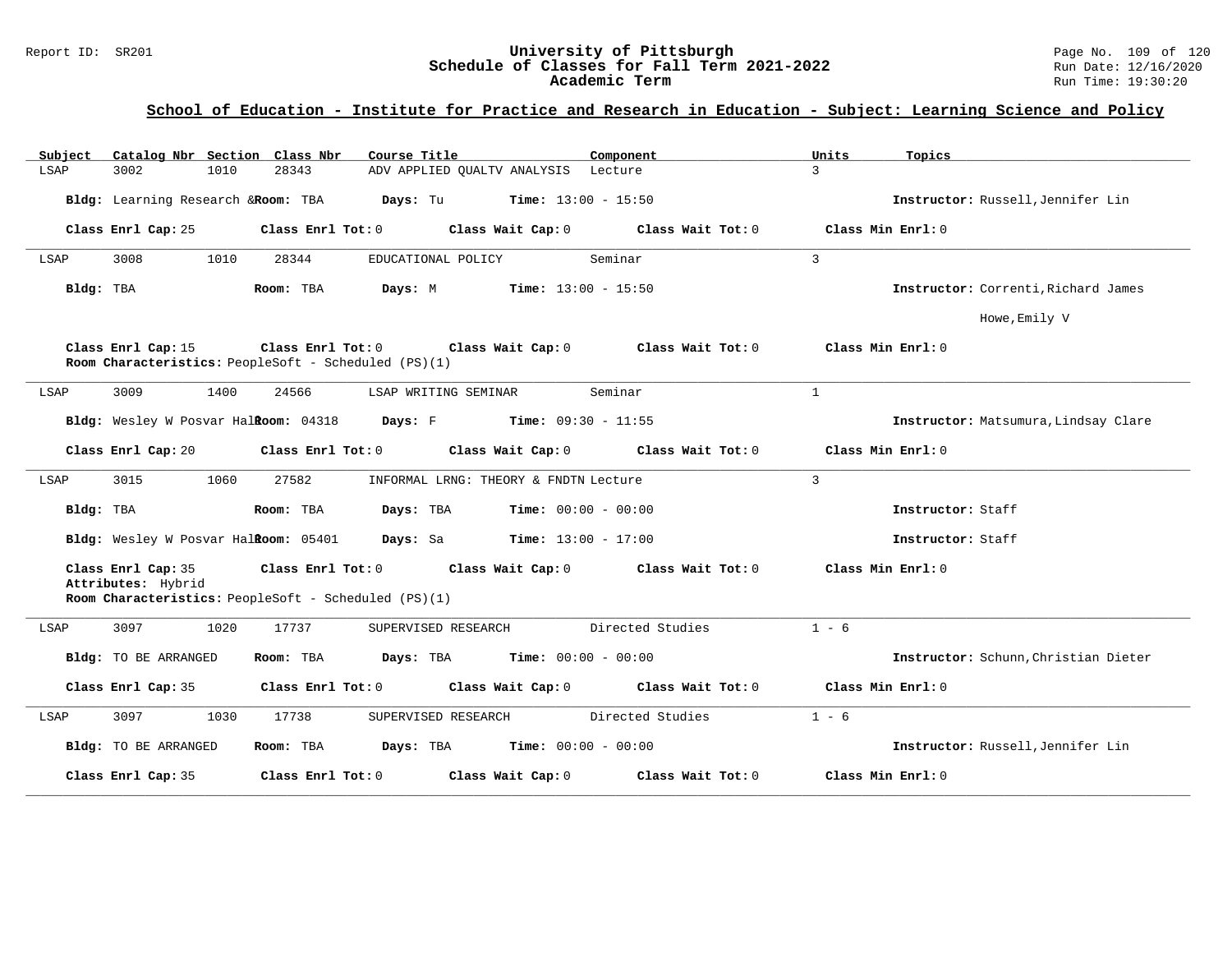# **School of Education - Institute for Practice and Research in Education - Subject: Learning Science and Policy**

| Subject<br>Catalog Nbr Section Class Nbr | Course Title                                                                                                        | Component         | Units<br>Topics                      |
|------------------------------------------|---------------------------------------------------------------------------------------------------------------------|-------------------|--------------------------------------|
| LSAP<br>3002<br>1010                     | 28343<br>ADV APPLIED QUALTV ANALYSIS Lecture                                                                        |                   | $\mathcal{L}$                        |
| Bldg: Learning Research & Room: TBA      | <b>Days:</b> Tu <b>Time:</b> $13:00 - 15:50$                                                                        |                   | Instructor: Russell, Jennifer Lin    |
| Class Enrl Cap: 25                       | Class Enrl Tot: 0<br>Class Wait Cap: 0                                                                              | Class Wait Tot:0  | Class Min Enrl: 0                    |
| 1010<br>3008<br>LSAP                     | 28344<br>EDUCATIONAL POLICY                                                                                         | Seminar           | $\mathbf{3}$                         |
| Bldg: TBA                                | Days: M<br>$Time: 13:00 - 15:50$<br>Room: TBA                                                                       |                   | Instructor: Correnti, Richard James  |
|                                          |                                                                                                                     |                   | Howe, Emily V                        |
| Class Enrl Cap: 15                       | Class Enrl Tot: $0$ Class Wait Cap: $0$ Class Wait Tot: $0$<br>Room Characteristics: PeopleSoft - Scheduled (PS)(1) |                   | Class Min Enrl: 0                    |
| 3009<br>1400<br>LSAP                     | 24566<br>LSAP WRITING SEMINAR                                                                                       | Seminar           | $\mathbf{1}$                         |
|                                          | Bldg: Wesley W Posvar Halkoom: 04318 Days: F Time: 09:30 - 11:55                                                    |                   | Instructor: Matsumura, Lindsay Clare |
| Class Enrl Cap: 20                       | Class Enrl Tot: $0$ Class Wait Cap: $0$ Class Wait Tot: $0$                                                         |                   | Class Min Enrl: 0                    |
| 1060<br>3015<br>LSAP                     | 27582<br>INFORMAL LRNG: THEORY & FNDTN Lecture                                                                      |                   | $\overline{3}$                       |
| Bldg: TBA                                | Room: TBA<br>Days: TBA<br>$Time: 00:00 - 00:00$                                                                     |                   | Instructor: Staff                    |
|                                          | <b>Bldg:</b> Wesley W Posvar Hal <b>Room:</b> $05401$ <b>Days:</b> Sa <b>Time:</b> $13:00 - 17:00$                  |                   | Instructor: Staff                    |
| Class Enrl Cap: 35                       | Class Enrl Tot: 0 Class Wait Cap: 0 Class Wait Tot: 0                                                               |                   | Class Min Enrl: 0                    |
| Attributes: Hybrid                       | Room Characteristics: PeopleSoft - Scheduled (PS)(1)                                                                |                   |                                      |
| 3097<br>1020<br>LSAP                     | 17737<br>SUPERVISED RESEARCH                                                                                        | Directed Studies  | $1 - 6$                              |
| Bldg: TO BE ARRANGED                     | <b>Days:</b> TBA <b>Time:</b> $00:00 - 00:00$<br>Room: TBA                                                          |                   | Instructor: Schunn, Christian Dieter |
| Class Enrl Cap: 35                       | Class Enrl Tot: 0<br>Class Wait Cap: 0                                                                              | Class Wait Tot: 0 | Class Min Enrl: 0                    |
| 3097<br>1030<br>LSAP                     | 17738<br>SUPERVISED RESEARCH                                                                                        | Directed Studies  | $1 - 6$                              |
| Bldg: TO BE ARRANGED                     | $\texttt{Days:}$ TBA Time: $00:00 - 00:00$<br>Room: TBA                                                             |                   | Instructor: Russell, Jennifer Lin    |
| Class Enrl Cap: 35                       | Class Enrl Tot: 0<br>Class Wait Cap: 0                                                                              | Class Wait Tot: 0 | Class Min Enrl: 0                    |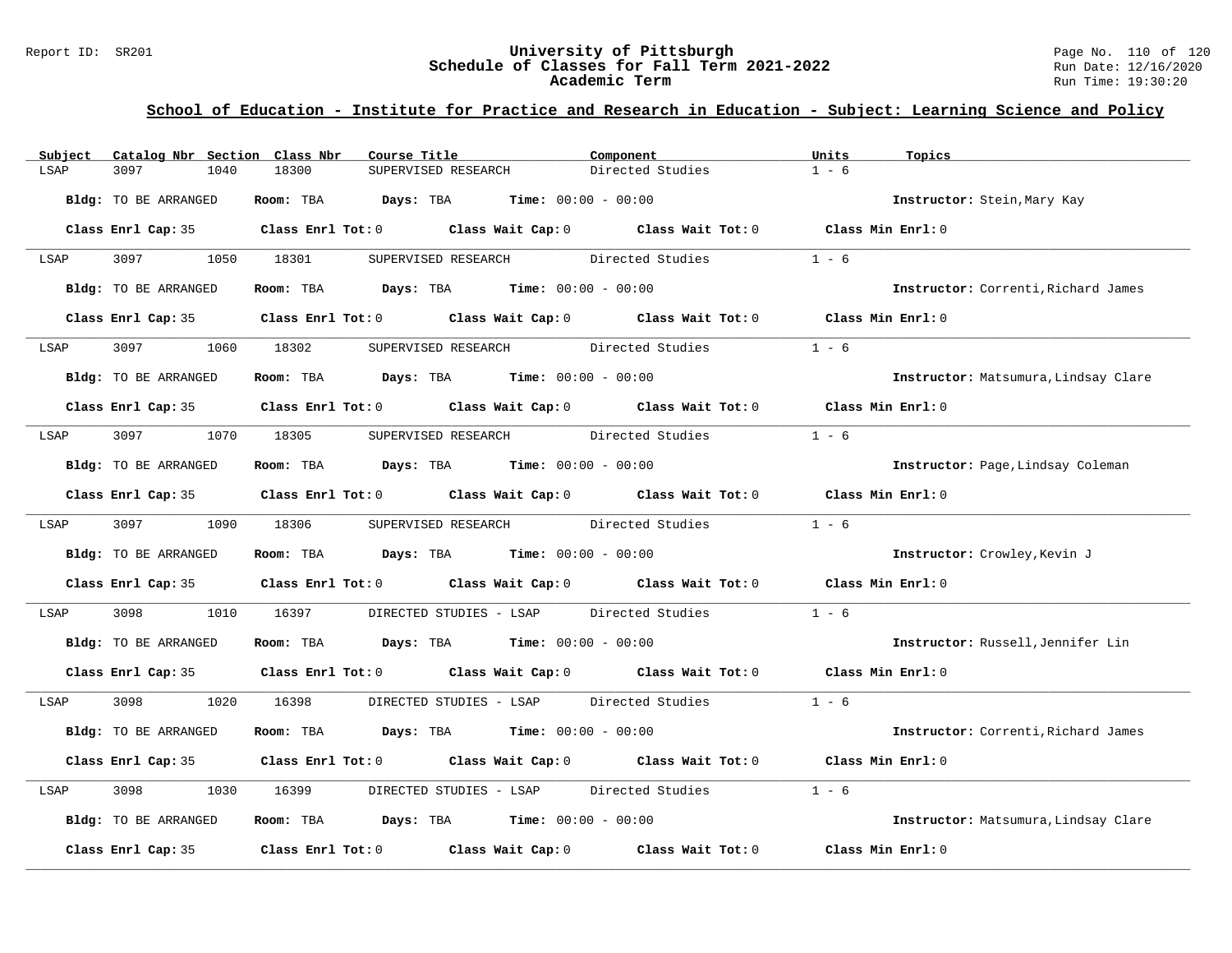# Report ID: SR201 **University of Pittsburgh University of Pittsburgh** Page No. 110 of 120<br>**Schedule of Classes for Fall Term 2021-2022** Run Date: 12/16/2020 Schedule of Classes for Fall Term 2021-2022<br>Academic Term

# **School of Education - Institute for Practice and Research in Education - Subject: Learning Science and Policy**

| Catalog Nbr Section Class Nbr<br>Subject | Course Title                                                                               | Component                                | Units<br>Topics                      |
|------------------------------------------|--------------------------------------------------------------------------------------------|------------------------------------------|--------------------------------------|
| 3097<br>1040<br>LSAP                     | 18300<br>SUPERVISED RESEARCH                                                               | Directed Studies                         | $1 - 6$                              |
| <b>Bldg:</b> TO BE ARRANGED              | <b>Days:</b> TBA <b>Time:</b> $00:00 - 00:00$<br>Room: TBA                                 |                                          | Instructor: Stein, Mary Kay          |
|                                          | Class Enrl Cap: 35 Class Enrl Tot: 0 Class Wait Cap: 0 Class Wait Tot: 0 Class Min Enrl: 0 |                                          |                                      |
| 3097 300<br>LSAP                         | 1050 18301<br>SUPERVISED RESEARCH                                                          | Directed Studies                         | $1 - 6$                              |
| Bldg: TO BE ARRANGED                     | Room: TBA $Days: TBA$ Time: $00:00 - 00:00$                                                |                                          | Instructor: Correnti, Richard James  |
| Class Enrl Cap: 35                       | Class Enrl Tot: 0 Class Wait Cap: 0 Class Wait Tot: 0                                      |                                          | Class Min Enrl: 0                    |
| 3097<br>LSAP                             | 1060 18302                                                                                 | SUPERVISED RESEARCH Directed Studies     | $1 - 6$                              |
| Bldg: TO BE ARRANGED                     | Room: TBA $Days:$ TBA $Time: 00:00 - 00:00$                                                |                                          | Instructor: Matsumura, Lindsay Clare |
|                                          | Class Enrl Cap: 35 Class Enrl Tot: 0 Class Wait Cap: 0 Class Wait Tot: 0                   |                                          | Class Min Enrl: 0                    |
| LSAP                                     | 3097 1070 18305                                                                            | SUPERVISED RESEARCH Directed Studies     | $1 - 6$                              |
| Bldg: TO BE ARRANGED                     | Room: TBA $Days:$ TBA $Time: 00:00 - 00:00$                                                |                                          | Instructor: Page, Lindsay Coleman    |
|                                          | Class Enrl Cap: 35 Class Enrl Tot: 0 Class Wait Cap: 0 Class Wait Tot: 0                   |                                          | Class Min Enrl: 0                    |
| 3097 300<br>LSAP                         | 1090 18306                                                                                 | SUPERVISED RESEARCH Directed Studies     | $1 - 6$                              |
| Bldg: TO BE ARRANGED                     | Room: TBA $Days:$ TBA $Time: 00:00 - 00:00$                                                |                                          | Instructor: Crowley, Kevin J         |
|                                          | Class Enrl Cap: 35 Class Enrl Tot: 0 Class Wait Cap: 0 Class Wait Tot: 0 Class Min Enrl: 0 |                                          |                                      |
| 3098<br>1010<br>LSAP                     | 16397                                                                                      | DIRECTED STUDIES - LSAP Directed Studies | $1 - 6$                              |
| Bldg: TO BE ARRANGED                     | Room: TBA $Days:$ TBA $Time: 00:00 - 00:00$                                                |                                          | Instructor: Russell, Jennifer Lin    |
|                                          | Class Enrl Cap: 35 Class Enrl Tot: 0 Class Wait Cap: 0 Class Wait Tot: 0 Class Min Enrl: 0 |                                          |                                      |
| 3098 300<br>1020<br>LSAP                 | 16398                                                                                      | DIRECTED STUDIES - LSAP Directed Studies | $1 - 6$                              |
| Bldg: TO BE ARRANGED                     | Room: TBA $Days:$ TBA $Time: 00:00 - 00:00$                                                |                                          | Instructor: Correnti, Richard James  |
|                                          | Class Enrl Cap: 35 Class Enrl Tot: 0 Class Wait Cap: 0 Class Wait Tot: 0                   |                                          | Class Min Enrl: 0                    |
| 3098<br>1030<br>LSAP                     | 16399                                                                                      | DIRECTED STUDIES - LSAP Directed Studies | $1 - 6$                              |
| Bldg: TO BE ARRANGED                     | Room: TBA $\rule{1em}{0.15mm}$ Days: TBA $\rule{1.15mm}]{0.15mm}$ Time: $0.000 - 0.0000$   |                                          | Instructor: Matsumura, Lindsay Clare |
| Class Enrl Cap: 35                       | Class Enrl Tot: $0$ Class Wait Cap: $0$ Class Wait Tot: $0$                                |                                          | Class Min Enrl: 0                    |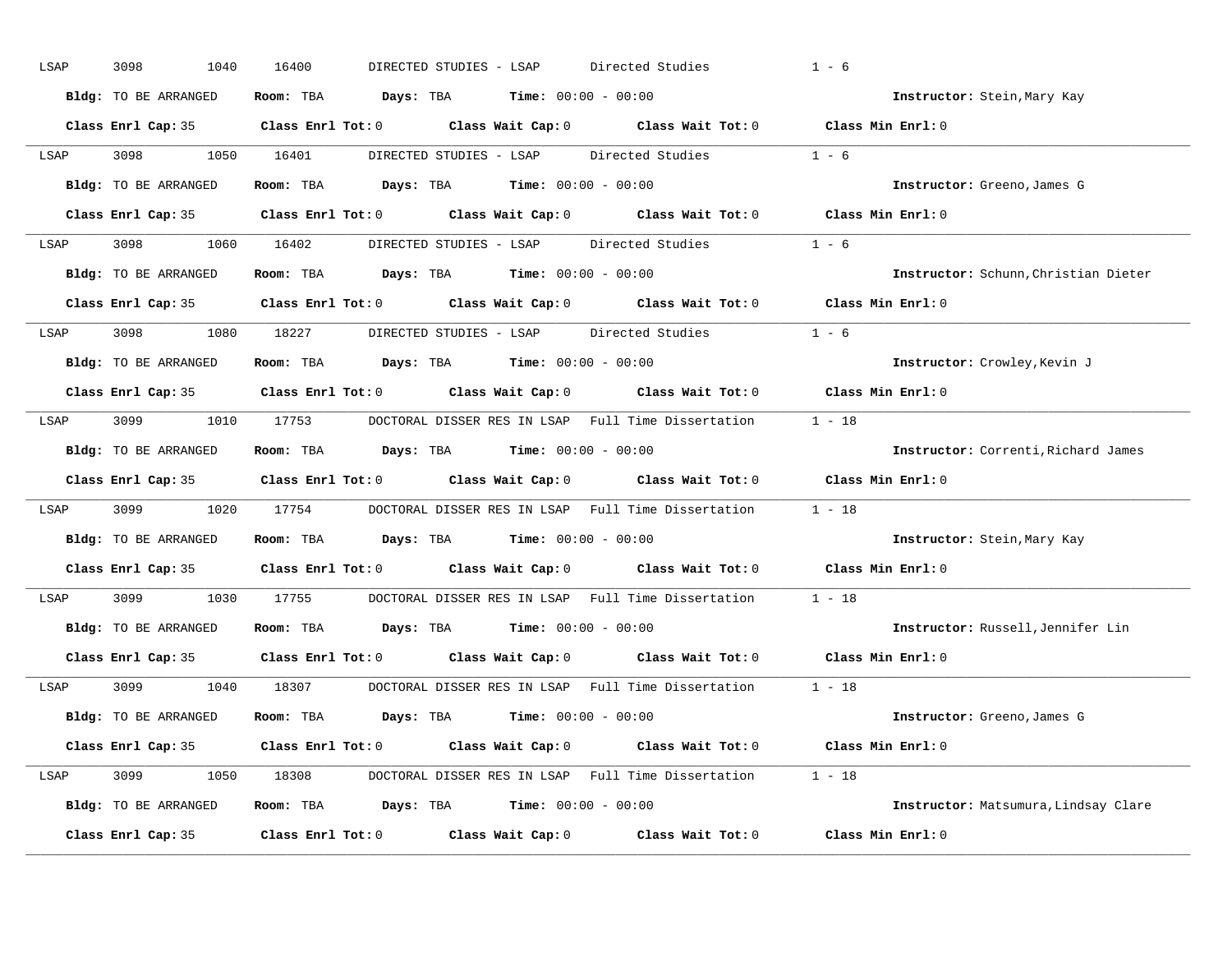| LSAP | 3098<br>1040         | 16400<br>Directed Studies<br>DIRECTED STUDIES - LSAP                                                | $1 - 6$                              |
|------|----------------------|-----------------------------------------------------------------------------------------------------|--------------------------------------|
|      | Bldg: TO BE ARRANGED | Room: TBA $\rule{1em}{0.15mm}$ Days: TBA $\rule{1.15mm}]{0.15mm}$ Time: $0.000 - 0.0000$            | Instructor: Stein, Mary Kay          |
|      |                      | Class Enrl Cap: 35 Class Enrl Tot: 0 Class Wait Cap: 0 Class Wait Tot: 0 Class Min Enrl: 0          |                                      |
| LSAP | 3098                 | 1050 16401<br>DIRECTED STUDIES - LSAP<br>Directed Studies                                           | $1 - 6$                              |
|      | Bldg: TO BE ARRANGED | Room: TBA $Days: TBA$ Time: $00:00 - 00:00$                                                         | Instructor: Greeno, James G          |
|      |                      | Class Enrl Cap: 35 Class Enrl Tot: 0 Class Wait Cap: 0 Class Wait Tot: 0 Class Min Enrl: 0          |                                      |
|      |                      | LSAP 3098 1060 16402 DIRECTED STUDIES - LSAP Directed Studies 1 - 6                                 |                                      |
|      | Bldg: TO BE ARRANGED | Room: TBA $Days:$ TBA Time: $00:00 - 00:00$                                                         | Instructor: Schunn, Christian Dieter |
|      |                      | Class Enrl Cap: 35 $\qquad$ Class Enrl Tot: 0 $\qquad$ Class Wait Cap: 0 $\qquad$ Class Wait Tot: 0 | Class Min Enrl: 0                    |
| LSAP | 3098 1080 18227      | DIRECTED STUDIES - LSAP Directed Studies                                                            | $1 - 6$                              |
|      | Bldg: TO BE ARRANGED | Room: TBA $Days:$ TBA $Time: 00:00 - 00:00$                                                         | Instructor: Crowley, Kevin J         |
|      |                      | Class Enrl Cap: 35 Class Enrl Tot: 0 Class Wait Cap: 0 Class Wait Tot: 0                            | Class Min Enrl: 0                    |
| LSAP |                      | 3099 1010 17753 DOCTORAL DISSER RES IN LSAP Full Time Dissertation 1 - 18                           |                                      |
|      | Bldg: TO BE ARRANGED | Room: TBA $Days: TBA$ Time: $00:00 - 00:00$                                                         | Instructor: Correnti, Richard James  |
|      |                      | Class Enrl Cap: 35 Class Enrl Tot: 0 Class Wait Cap: 0 Class Wait Tot: 0                            | Class Min Enrl: 0                    |
| LSAP | 3099 700             | 1020 17754 DOCTORAL DISSER RES IN LSAP Full Time Dissertation                                       | $1 - 18$                             |
|      | Bldg: TO BE ARRANGED | Room: TBA $Days: TBA$ Time: $00:00 - 00:00$                                                         | Instructor: Stein, Mary Kay          |
|      |                      | Class Enrl Cap: 35 Class Enrl Tot: 0 Class Wait Cap: 0 Class Wait Tot: 0                            | Class Min Enrl: 0                    |
| LSAP | 3099 700             | 1030 17755<br>DOCTORAL DISSER RES IN LSAP Full Time Dissertation                                    | $1 - 18$                             |
|      | Bldg: TO BE ARRANGED | Room: TBA $Days:$ TBA $Time: 00:00 - 00:00$                                                         | Instructor: Russell, Jennifer Lin    |
|      |                      | Class Enrl Cap: 35 Class Enrl Tot: 0 Class Wait Cap: 0 Class Wait Tot: 0                            | Class Min Enrl: 0                    |
| LSAP | 3099                 | 1040 18307<br>DOCTORAL DISSER RES IN LSAP Full Time Dissertation 1 - 18                             |                                      |
|      | Bldg: TO BE ARRANGED | Room: TBA $Days: TBA$ Time: $00:00 - 00:00$                                                         | Instructor: Greeno, James G          |
|      |                      | Class Enrl Cap: 35 Class Enrl Tot: 0 Class Wait Cap: 0 Class Wait Tot: 0 Class Min Enrl: 0          |                                      |
| LSAP |                      | 3099 1050 18308 DOCTORAL DISSER RES IN LSAP Full Time Dissertation 1 - 18                           |                                      |
|      | Bldg: TO BE ARRANGED | Room: TBA $Days: TBA$ Time: $00:00 - 00:00$                                                         | Instructor: Matsumura, Lindsay Clare |
|      | Class Enrl Cap: 35   | Class Enrl Tot: $0$ Class Wait Cap: $0$ Class Wait Tot: $0$                                         | Class Min Enrl: 0                    |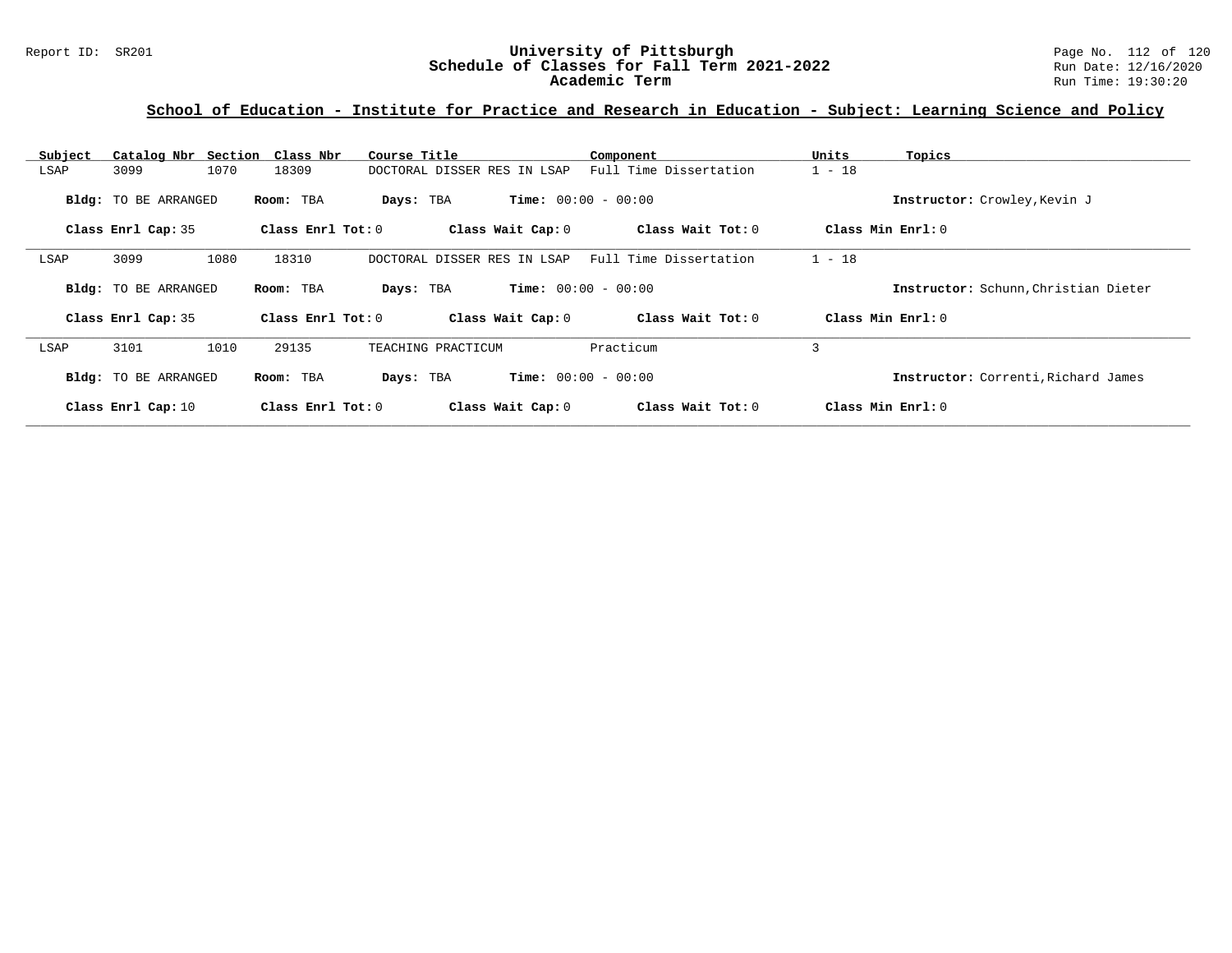# **School of Education - Institute for Practice and Research in Education - Subject: Learning Science and Policy**

| Subject | Catalog Nbr Section  | Class Nbr           | Course Title                | Component                    | Units<br>Topics                      |
|---------|----------------------|---------------------|-----------------------------|------------------------------|--------------------------------------|
| LSAP    | 3099                 | 1070<br>18309       | DOCTORAL DISSER RES IN LSAP | Full Time Dissertation       | $1 - 18$                             |
|         | Bldg: TO BE ARRANGED | Room: TBA           | Days: TBA                   | <b>Time:</b> $00:00 - 00:00$ | Instructor: Crowley, Kevin J         |
|         | Class Enrl Cap: 35   | Class Enrl Tot: $0$ | Class Wait Cap: 0           | Class Wait Tot: 0            | Class Min Enrl: 0                    |
| LSAP    | 3099                 | 1080<br>18310       | DOCTORAL DISSER RES IN LSAP | Full Time Dissertation       | $1 - 18$                             |
|         | Bldg: TO BE ARRANGED | Room: TBA           | Days: TBA                   | <b>Time:</b> $00:00 - 00:00$ | Instructor: Schunn, Christian Dieter |
|         | Class Enrl Cap: 35   | Class Enrl Tot: $0$ | Class Wait Cap: 0           | Class Wait Tot: 0            | Class Min Enrl: 0                    |
| LSAP    | 3101                 | 1010<br>29135       | TEACHING PRACTICUM          | Practicum                    | 3                                    |
|         | Bldg: TO BE ARRANGED | Room: TBA           | Days: TBA                   | <b>Time:</b> $00:00 - 00:00$ | Instructor: Correnti, Richard James  |
|         | Class Enrl Cap: 10   | Class Enrl Tot: 0   | Class Wait Cap: 0           | Class Wait Tot: 0            | Class Min Enrl: 0                    |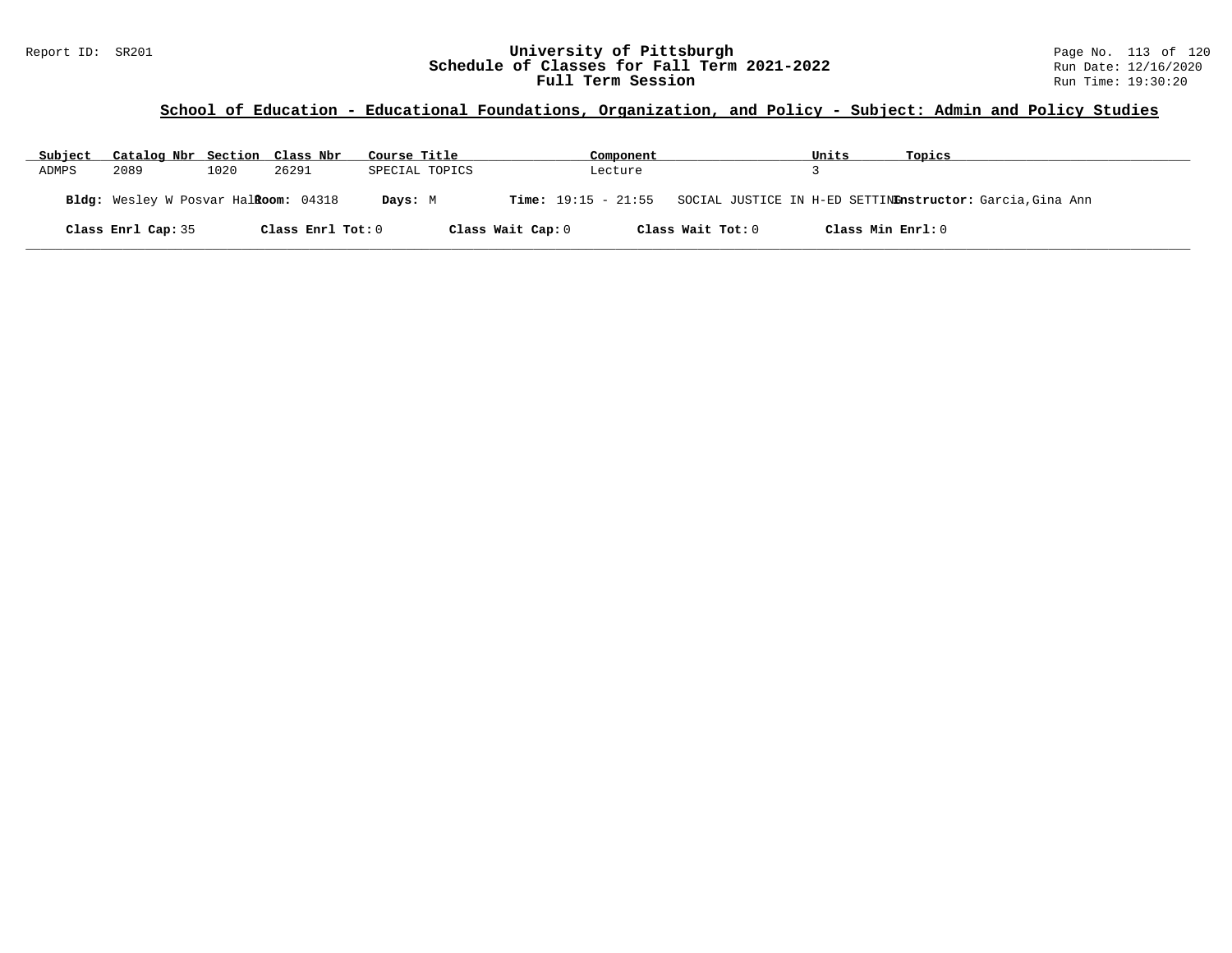## Report ID: SR201 **120 University of Pittsburgh University of Pittsburgh** Page No. 113 of 120<br>**Schedule of Classes for Fall Term 2021-2022** Run Date: 12/16/2020 **Schedule of Classes for Fall Term 2021-2022** Run Date: 12/16/2020 **Full Term Session Rundall Term Session Rundall Term Session**

## **School of Education - Educational Foundations, Organization, and Policy - Subject: Admin and Policy Studies**

| Subject | Catalog Nbr Section Class Nbr                |      |                   | Course Title |                |                   | Component |                   | Units             | Topics                                                                        |
|---------|----------------------------------------------|------|-------------------|--------------|----------------|-------------------|-----------|-------------------|-------------------|-------------------------------------------------------------------------------|
| ADMPS   | 2089                                         | 1020 | 26291             |              | SPECIAL TOPICS |                   | Lecture   |                   |                   |                                                                               |
|         | Bldg: Wesley W Posvar Hal <b>Room:</b> 04318 |      |                   | Days: M      |                |                   |           |                   |                   | Time: 19:15 - 21:55 SOCIAL JUSTICE IN H-ED SETTINEnstructor: Garcia, Gina Ann |
|         | Class Enrl Cap: 35                           |      | Class Enrl Tot: 0 |              |                | Class Wait Cap: 0 |           | Class Wait Tot: 0 | Class Min Enrl: 0 |                                                                               |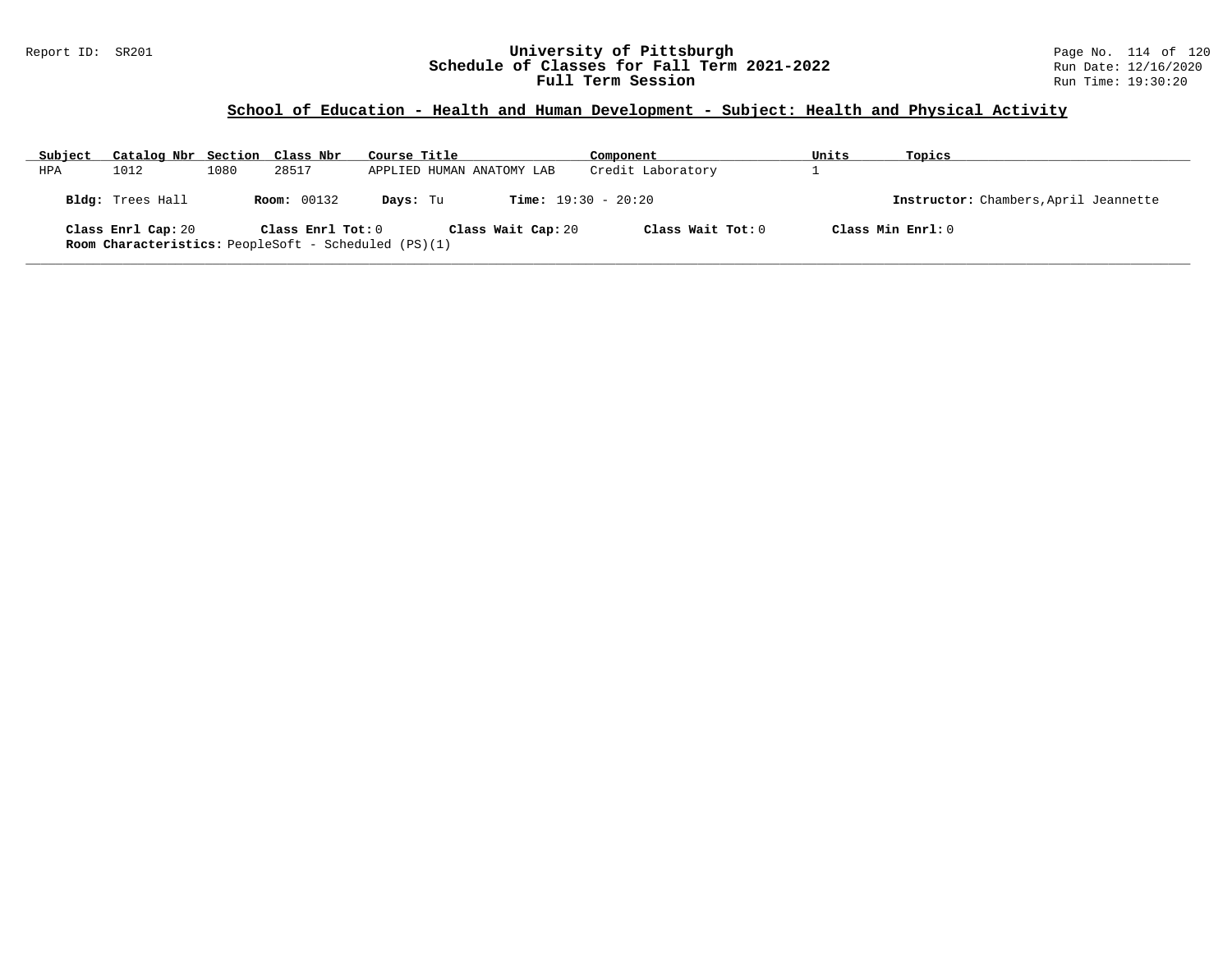### Report ID: SR201 **University of Pittsburgh** Page No. 114 of 120 **Schedule of Classes for Fall Term 2021-2022** Run Date: 12/16/2020 **Full Term Session Rundall Term Session Rundall Term Session**

# **School of Education - Health and Human Development - Subject: Health and Physical Activity**

| Subject | Catalog Nbr Section Class Nbr |      |                    | Course Title                                                                      | Component                    | Units | Topics                                |
|---------|-------------------------------|------|--------------------|-----------------------------------------------------------------------------------|------------------------------|-------|---------------------------------------|
| HPA     | 1012                          | 1080 | 28517              | APPLIED HUMAN ANATOMY LAB                                                         | Credit Laboratory            |       |                                       |
|         | Bldg: Trees Hall              |      | <b>Room:</b> 00132 | Days: Tu                                                                          | <b>Time:</b> $19:30 - 20:20$ |       | Instructor: Chambers, April Jeannette |
|         | Class Enrl Cap: 20            |      | Class Enrl Tot: 0  | Class Wait Cap: 20<br><b>Room Characteristics:</b> PeopleSoft - Scheduled (PS)(1) | Class Wait Tot: $0$          |       | Class Min Enrl: 0                     |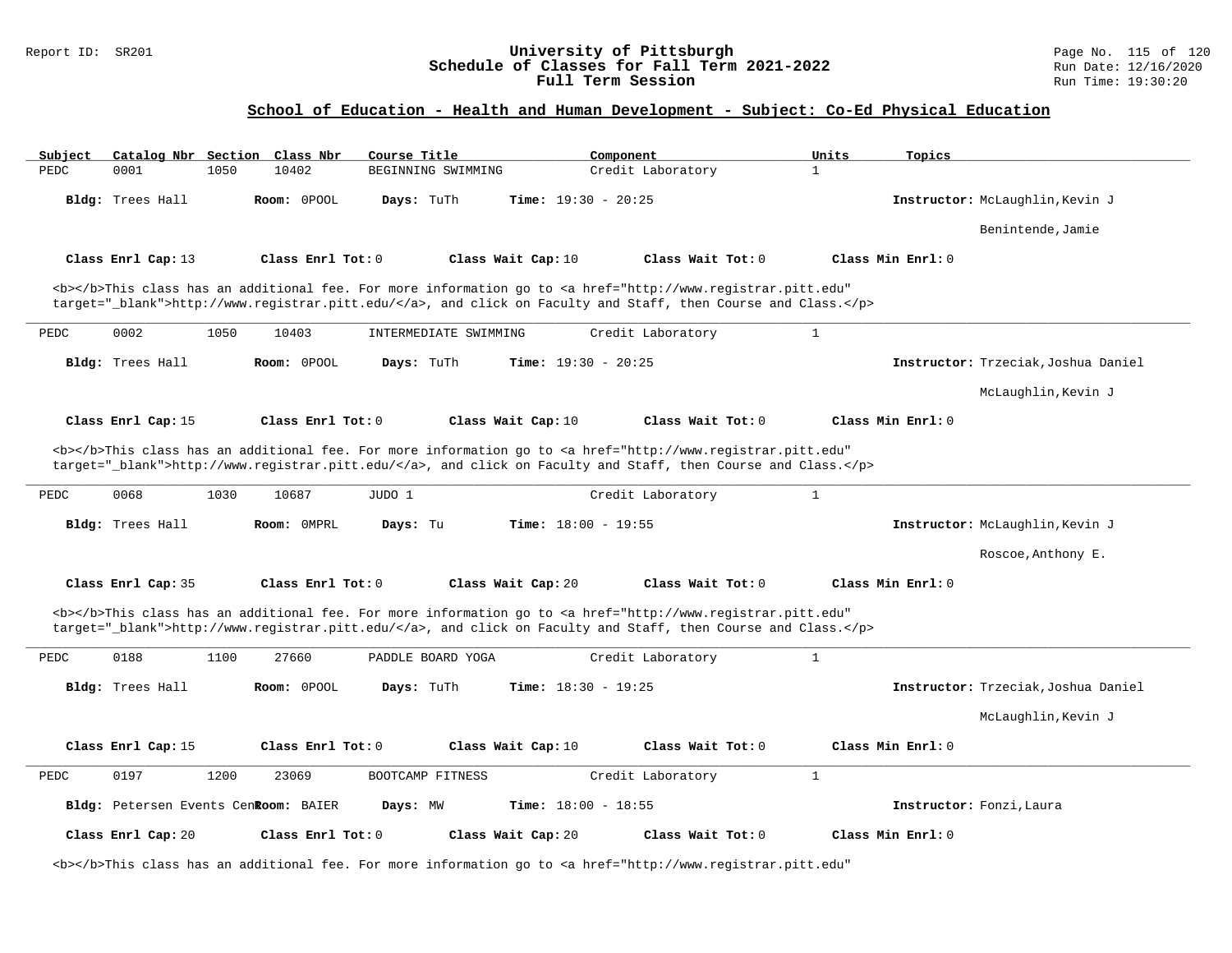## Report ID: SR201 **120 University of Pittsburgh University of Pittsburgh** Page No. 115 of 120<br>**Schedule of Classes for Fall Term 2021-2022** Run Date: 12/16/2020 **Schedule of Classes for Fall Term 2021-2022** Run Date: 12/16/2020 **Full Term Session Rundall Term Session Rundall Term Session**

## **School of Education - Health and Human Development - Subject: Co-Ed Physical Education**

| Subject |                                      |      | Catalog Nbr Section Class Nbr | Course Title          |                              | Component                                                                                                                                                                                                                          | Units        | Topics            |                                     |
|---------|--------------------------------------|------|-------------------------------|-----------------------|------------------------------|------------------------------------------------------------------------------------------------------------------------------------------------------------------------------------------------------------------------------------|--------------|-------------------|-------------------------------------|
| PEDC    | 0001                                 | 1050 | 10402                         | BEGINNING SWIMMING    |                              | Credit Laboratory                                                                                                                                                                                                                  | $\mathbf{1}$ |                   |                                     |
|         | Bldg: Trees Hall                     |      | Room: 0POOL                   | Days: TuTh            | Time: $19:30 - 20:25$        |                                                                                                                                                                                                                                    |              |                   | Instructor: McLaughlin, Kevin J     |
|         |                                      |      |                               |                       |                              |                                                                                                                                                                                                                                    |              |                   | Benintende, Jamie                   |
|         | Class Enrl Cap: 13                   |      | Class Enrl Tot: 0             |                       | Class Wait Cap: 10           | Class Wait Tot: 0                                                                                                                                                                                                                  |              | Class Min Enrl: 0 |                                     |
|         |                                      |      |                               |                       |                              | <b></b> This class has an additional fee. For more information go to <a <="" href="http://www.registrar.pitt.edu" td=""><td></td><td></td><td></td></a>                                                                            |              |                   |                                     |
|         |                                      |      |                               |                       |                              | target="_blank">http://www.registrar.pitt.edu/, and click on Faculty and Staff, then Course and Class.                                                                                                                             |              |                   |                                     |
| PEDC    | 0002                                 | 1050 | 10403                         | INTERMEDIATE SWIMMING |                              | Credit Laboratory                                                                                                                                                                                                                  | $\mathbf{1}$ |                   |                                     |
|         | Bldg: Trees Hall                     |      | Room: OPOOL                   | Days: TuTh            | Time: $19:30 - 20:25$        |                                                                                                                                                                                                                                    |              |                   | Instructor: Trzeciak, Joshua Daniel |
|         |                                      |      |                               |                       |                              |                                                                                                                                                                                                                                    |              |                   | McLaughlin, Kevin J                 |
|         | Class Enrl Cap: 15                   |      | Class Enrl Tot: 0             |                       | Class Wait Cap: 10           | Class Wait Tot: 0                                                                                                                                                                                                                  |              | Class Min Enrl: 0 |                                     |
| PEDC    | 0068                                 | 1030 | 10687                         | JUDO 1                |                              | target="_blank">http://www.registrar.pitt.edu/, and click on Faculty and Staff, then Course and Class.<br>Credit Laboratory                                                                                                        | $\mathbf{1}$ |                   |                                     |
|         | Bldg: Trees Hall                     |      | Room: OMPRL                   | Days: Tu              | Time: $18:00 - 19:55$        |                                                                                                                                                                                                                                    |              |                   | Instructor: McLaughlin, Kevin J     |
|         |                                      |      |                               |                       |                              |                                                                                                                                                                                                                                    |              |                   | Roscoe, Anthony E.                  |
|         | Class Enrl Cap: 35                   |      | Class Enrl Tot: 0             |                       | Class Wait Cap: 20           | Class Wait Tot: 0                                                                                                                                                                                                                  |              | Class Min Enrl: 0 |                                     |
|         |                                      |      |                               |                       |                              | <b></b> This class has an additional fee. For more information go to <a <br="" href="http://www.registrar.pitt.edu">target="_blank"&gt;http://www.registrar.pitt.edu/</a> , and click on Faculty and Staff, then Course and Class. |              |                   |                                     |
| PEDC    | 0188                                 | 1100 | 27660                         | PADDLE BOARD YOGA     |                              | Credit Laboratory                                                                                                                                                                                                                  | $\mathbf{1}$ |                   |                                     |
|         | Bldg: Trees Hall                     |      | Room: 0POOL                   | Days: TuTh            | <b>Time:</b> $18:30 - 19:25$ |                                                                                                                                                                                                                                    |              |                   | Instructor: Trzeciak, Joshua Daniel |
|         |                                      |      |                               |                       |                              |                                                                                                                                                                                                                                    |              |                   | McLaughlin, Kevin J                 |
|         | Class Enrl Cap: 15                   |      | Class Enrl Tot: 0             |                       | Class Wait Cap: 10           | Class Wait Tot: 0                                                                                                                                                                                                                  |              | Class Min Enrl: 0 |                                     |
| PEDC    | 0197                                 | 1200 | 23069                         | BOOTCAMP FITNESS      |                              | Credit Laboratory                                                                                                                                                                                                                  | $\mathbf{1}$ |                   |                                     |
|         | Bldg: Petersen Events CenRoom: BAIER |      |                               | Days: MW              | Time: $18:00 - 18:55$        |                                                                                                                                                                                                                                    |              |                   | Instructor: Fonzi, Laura            |
|         | Class Enrl Cap: 20                   |      | Class Enrl Tot: 0             |                       | Class Wait Cap: 20           | Class Wait Tot: 0                                                                                                                                                                                                                  |              | Class Min Enrl: 0 |                                     |
|         |                                      |      |                               |                       |                              | <b></b> This class has an additional fee. For more information go to <a <="" href="http://www.registrar.pitt.edu" td=""><td></td><td></td><td></td></a>                                                                            |              |                   |                                     |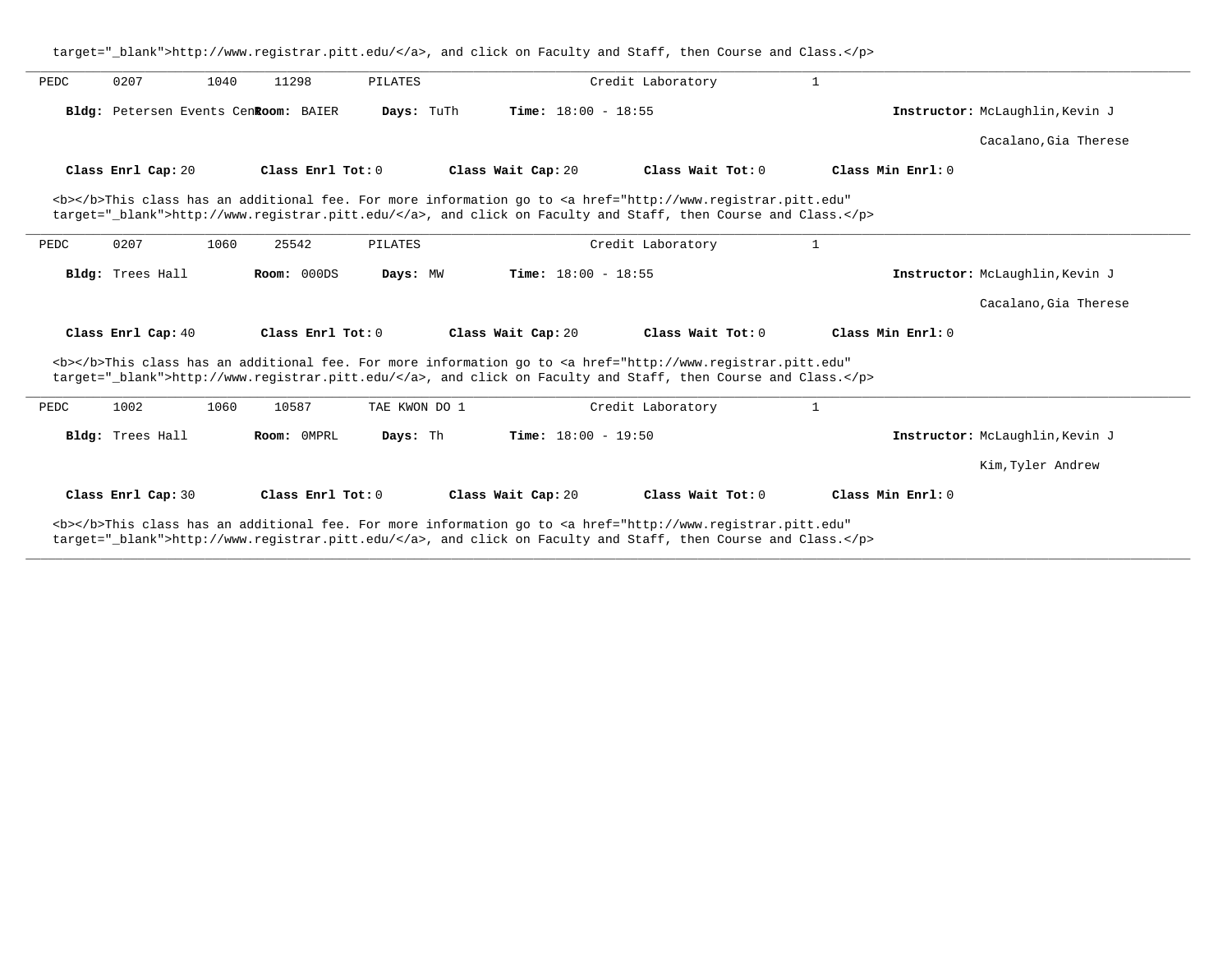|      |                    |      |                                      |               |                              | target=" blank">http://www.registrar.pitt.edu/, and click on Faculty and Staff, then Course and Class.                                                                                                                             |   |                   |                                 |
|------|--------------------|------|--------------------------------------|---------------|------------------------------|------------------------------------------------------------------------------------------------------------------------------------------------------------------------------------------------------------------------------------|---|-------------------|---------------------------------|
| PEDC | 0207               | 1040 | 11298                                | PILATES       |                              | Credit Laboratory                                                                                                                                                                                                                  | 1 |                   |                                 |
|      |                    |      | Bldg: Petersen Events CenRoom: BAIER | Days: TuTh    | <b>Time:</b> $18:00 - 18:55$ |                                                                                                                                                                                                                                    |   |                   | Instructor: McLaughlin, Kevin J |
|      |                    |      |                                      |               |                              |                                                                                                                                                                                                                                    |   |                   | Cacalano, Gia Therese           |
|      | Class Enrl Cap: 20 |      | Class Enrl Tot: 0                    |               | Class Wait Cap: 20           | Class Wait Tot: 0                                                                                                                                                                                                                  |   | Class Min Enrl: 0 |                                 |
|      |                    |      |                                      |               |                              | <b></b> This class has an additional fee. For more information go to <a <br="" href="http://www.registrar.pitt.edu">target="_blank"&gt;http://www.registrar.pitt.edu/</a> , and click on Faculty and Staff, then Course and Class. |   |                   |                                 |
| PEDC | 0207               | 1060 | 25542                                | PILATES       |                              | Credit Laboratory                                                                                                                                                                                                                  | 1 |                   |                                 |
|      | Bldg: Trees Hall   |      | Room: 000DS                          | Days: MW      | <b>Time:</b> $18:00 - 18:55$ |                                                                                                                                                                                                                                    |   |                   | Instructor: McLaughlin, Kevin J |
|      |                    |      |                                      |               |                              |                                                                                                                                                                                                                                    |   |                   | Cacalano, Gia Therese           |
|      | Class Enrl Cap: 40 |      | Class Enrl Tot: 0                    |               | Class Wait Cap: 20           | Class Wait Tot: 0                                                                                                                                                                                                                  |   | Class Min Enrl: 0 |                                 |
|      |                    |      |                                      |               |                              | <b></b> This class has an additional fee. For more information go to <a <br="" href="http://www.registrar.pitt.edu">target="_blank"&gt;http://www.registrar.pitt.edu/</a> , and click on Faculty and Staff, then Course and Class. |   |                   |                                 |
| PEDC | 1002               | 1060 | 10587                                | TAE KWON DO 1 |                              | Credit Laboratory                                                                                                                                                                                                                  | 1 |                   |                                 |
|      | Bldg: Trees Hall   |      | Room: OMPRL                          | Days: Th      | <b>Time:</b> $18:00 - 19:50$ |                                                                                                                                                                                                                                    |   |                   | Instructor: McLaughlin, Kevin J |
|      |                    |      |                                      |               |                              |                                                                                                                                                                                                                                    |   |                   | Kim, Tyler Andrew               |
|      | Class Enrl Cap: 30 |      | Class Enrl Tot: 0                    |               | Class Wait Cap: 20           | Class Wait Tot: 0                                                                                                                                                                                                                  |   | Class Min Enrl: 0 |                                 |
|      |                    |      |                                      |               |                              | <b></b> This class has an additional fee. For more information go to <a <br="" href="http://www.registrar.pitt.edu">target="_blank"&gt;http://www.registrar.pitt.edu/</a> , and click on Faculty and Staff, then Course and Class. |   |                   |                                 |

**\_\_\_\_\_\_\_\_\_\_\_\_\_\_\_\_\_\_\_\_\_\_\_\_\_\_\_\_\_\_\_\_\_\_\_\_\_\_\_\_\_\_\_\_\_\_\_\_\_\_\_\_\_\_\_\_\_\_\_\_\_\_\_\_\_\_\_\_\_\_\_\_\_\_\_\_\_\_\_\_\_\_\_\_\_\_\_\_\_\_\_\_\_\_\_\_\_\_\_\_\_\_\_\_\_\_\_\_\_\_\_\_\_\_\_\_\_\_\_\_\_\_\_\_\_\_\_\_\_\_\_\_\_\_\_\_\_\_\_\_\_\_\_\_\_\_\_\_\_\_\_\_\_\_\_\_**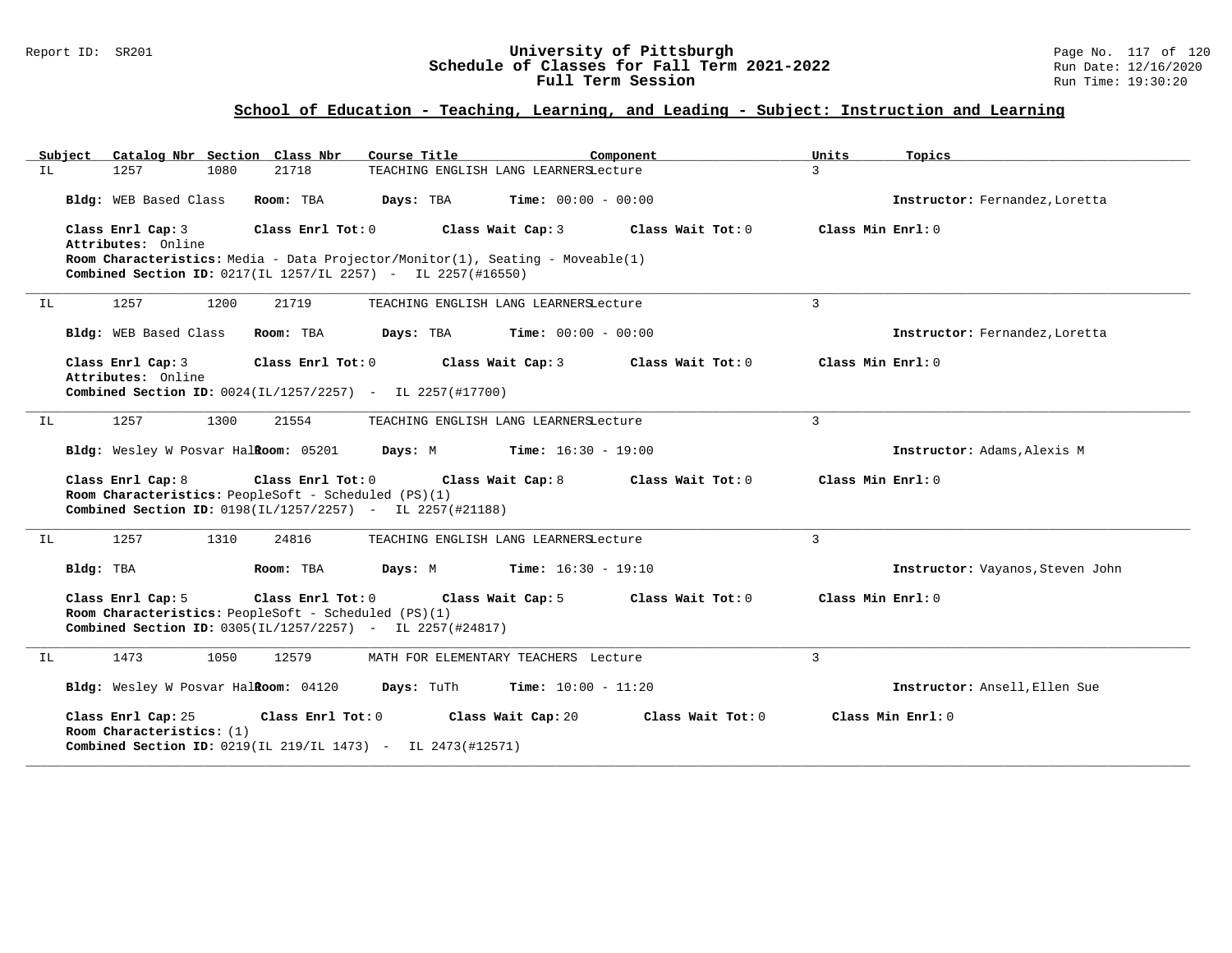#### Report ID: SR201 **University of Pittsburgh** Page No. 117 of 120 **Schedule of Classes for Fall Term 2021-2022** Run Date: 12/16/2020 **Full Term Session Rundall Term Session Rundall Term Session**

| Subiect | Catalog Nbr Section Class Nbr                                                                                                                                                                                  | Course Title                                   | Component           | Units<br>Topics                  |  |
|---------|----------------------------------------------------------------------------------------------------------------------------------------------------------------------------------------------------------------|------------------------------------------------|---------------------|----------------------------------|--|
| IL      | 1257<br>1080<br>21718                                                                                                                                                                                          | TEACHING ENGLISH LANG LEARNERSLecture          |                     | $\overline{3}$                   |  |
|         | Bldg: WEB Based Class<br>Room: TBA                                                                                                                                                                             | $Time: 00:00 - 00:00$<br>Days: TBA             |                     | Instructor: Fernandez, Loretta   |  |
|         | Class Enrl Cap: 3<br>Class Enrl Tot: 0<br>Attributes: Online<br>Room Characteristics: Media - Data Projector/Monitor(1), Seating - Moveable(1)<br>Combined Section ID: 0217(IL 1257/IL 2257) - IL 2257(#16550) | Class Wait Cap: 3                              | Class Wait Tot: $0$ | Class Min Enrl: 0                |  |
| IL      | 1257<br>1200<br>21719                                                                                                                                                                                          | TEACHING ENGLISH LANG LEARNERSLecture          |                     | 3                                |  |
|         | Bldg: WEB Based Class<br>Room: TBA                                                                                                                                                                             | Days: TBA<br>$Time: 00:00 - 00:00$             |                     | Instructor: Fernandez, Loretta   |  |
|         | Class Enrl Cap: 3<br>Class Enrl Tot: 0<br>Attributes: Online<br>Combined Section ID: 0024(IL/1257/2257) - IL 2257(#17700)                                                                                      | Class Wait Cap: 3                              | Class Wait Tot: 0   | Class Min Enrl: 0                |  |
| IL      | 1257<br>1300<br>21554                                                                                                                                                                                          | TEACHING ENGLISH LANG LEARNERSLecture          |                     | $\mathbf{3}$                     |  |
|         | Bldg: Wesley W Posvar Halkoom: 05201                                                                                                                                                                           | <b>Days:</b> M <b>Time:</b> $16:30 - 19:00$    |                     | Instructor: Adams, Alexis M      |  |
|         | Class Enrl Cap: 8<br>Room Characteristics: PeopleSoft - Scheduled (PS)(1)<br>Combined Section ID: 0198(IL/1257/2257) - IL 2257(#21188)                                                                         | Class Enrl Tot: 0 Class Wait Cap: 8            | Class Wait Tot: 0   | Class Min Enrl: 0                |  |
| IL      | 1257<br>1310<br>24816                                                                                                                                                                                          | TEACHING ENGLISH LANG LEARNERSLecture          |                     | $\mathbf{3}$                     |  |
|         | Bldg: TBA<br>Room: TBA                                                                                                                                                                                         | <b>Days:</b> M <b>Time:</b> $16:30 - 19:10$    |                     | Instructor: Vayanos, Steven John |  |
|         | Class Enrl Cap: 5<br>Room Characteristics: PeopleSoft - Scheduled (PS)(1)<br>Combined Section ID: 0305(IL/1257/2257) - IL 2257(#24817)                                                                         | Class Enrl Tot: 0 Class Wait Cap: 5            | Class Wait Tot: 0   | Class Min Enrl: 0                |  |
| IL      | 1473<br>1050<br>12579                                                                                                                                                                                          | MATH FOR ELEMENTARY TEACHERS Lecture           |                     | $\mathbf{3}$                     |  |
|         | Bldg: Wesley W Posvar HalRoom: 04120                                                                                                                                                                           | <b>Days:</b> TuTh <b>Time:</b> $10:00 - 11:20$ |                     | Instructor: Ansell, Ellen Sue    |  |
|         | Class Enrl Cap: 25<br>Class Enrl Tot: 0<br>Room Characteristics: (1)<br>Combined Section ID: 0219(IL 219/IL 1473) - IL 2473(#12571)                                                                            | Class Wait Cap: 20                             | Class Wait Tot: 0   | Class Min Enrl: 0                |  |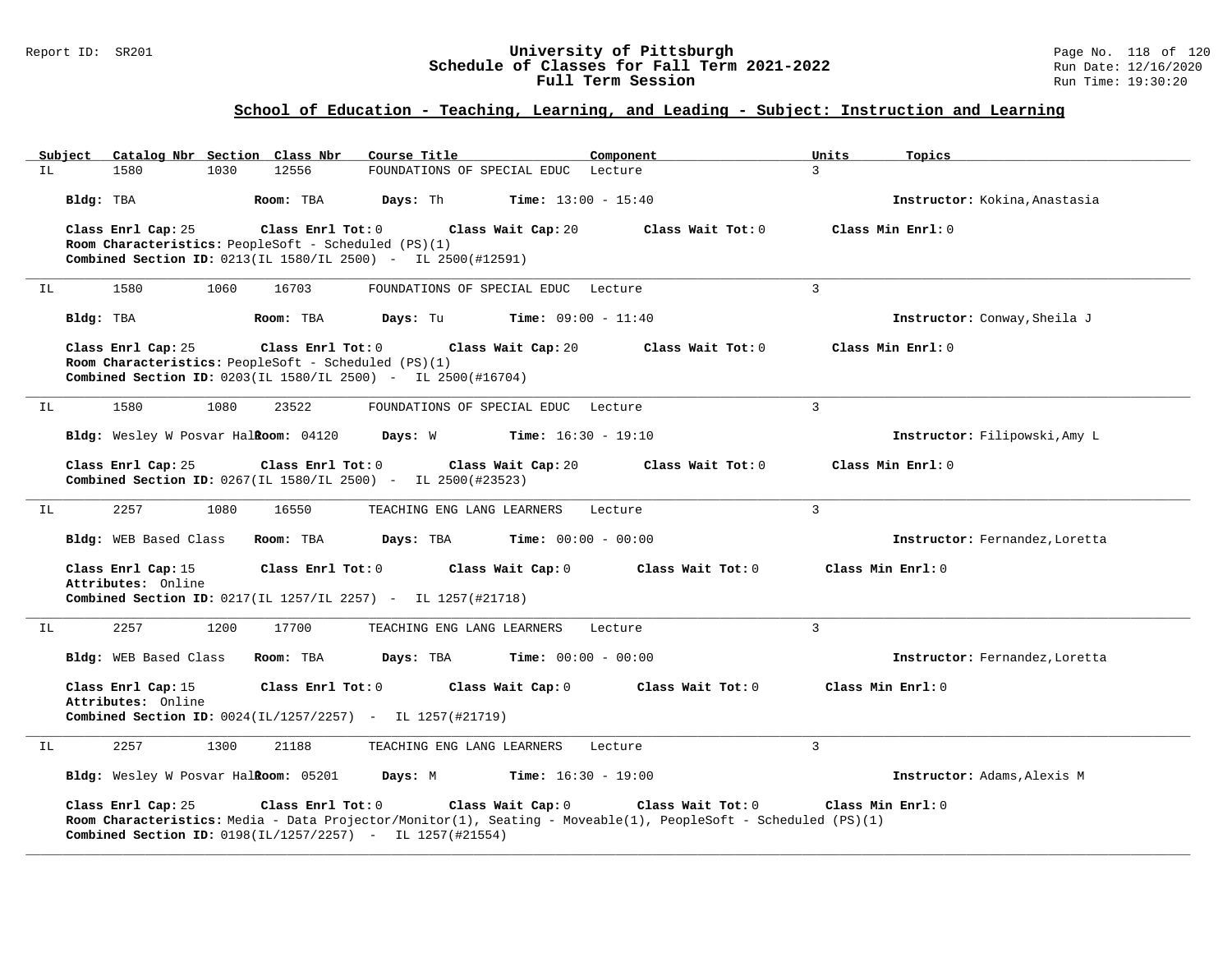#### Report ID: SR201 **University of Pittsburgh** Page No. 118 of 120 **Schedule of Classes for Fall Term 2021-2022** Run Date: 12/16/2020 **Full Term Session Rundall Term Session Rundall Term Session**

| Subject<br>IL | Catalog Nbr Section Class Nbr<br>12556<br>1580<br>1030                                                                                                                                                                 | Course Title<br>FOUNDATIONS OF SPECIAL EDUC Lecture            | Component         | Units<br>Topics<br>3                               |
|---------------|------------------------------------------------------------------------------------------------------------------------------------------------------------------------------------------------------------------------|----------------------------------------------------------------|-------------------|----------------------------------------------------|
|               | Bldg: TBA<br>Room: TBA<br>Class Enrl Cap: 25<br>Class Enrl Tot: 0<br>Room Characteristics: PeopleSoft - Scheduled (PS)(1)<br>Combined Section ID: 0213(IL 1580/IL 2500) - IL 2500(#12591)                              | Days: Th<br><b>Time:</b> $13:00 - 15:40$<br>Class Wait Cap: 20 | Class Wait Tot: 0 | Instructor: Kokina, Anastasia<br>Class Min Enrl: 0 |
| IL            | 1580<br>1060<br>16703                                                                                                                                                                                                  | FOUNDATIONS OF SPECIAL EDUC Lecture                            |                   | 3                                                  |
|               | Bldg: TBA<br>Room: TBA                                                                                                                                                                                                 | Days: Tu<br><b>Time:</b> $09:00 - 11:40$                       |                   | Instructor: Conway, Sheila J                       |
|               | Class Enrl Cap: 25<br>Class Enrl Tot: 0<br>Room Characteristics: PeopleSoft - Scheduled (PS)(1)<br>Combined Section ID: 0203(IL 1580/IL 2500) - IL 2500(#16704)                                                        | Class Wait Cap: 20                                             | Class Wait Tot: 0 | Class Min Enrl: 0                                  |
| IL            | 1580<br>1080<br>23522                                                                                                                                                                                                  | FOUNDATIONS OF SPECIAL EDUC Lecture                            |                   | $\overline{3}$                                     |
|               | Bldg: Wesley W Posvar Halkoom: 04120                                                                                                                                                                                   | <b>Time:</b> $16:30 - 19:10$<br>Days: W                        |                   | Instructor: Filipowski, Amy L                      |
|               | Class Enrl Cap: 25<br>Class Enrl Tot: 0<br>Combined Section ID: 0267(IL 1580/IL 2500) - IL 2500(#23523)                                                                                                                | Class Wait Cap: 20                                             | Class Wait Tot: 0 | Class Min Enrl: 0                                  |
| ΙL            | 1080<br>2257<br>16550                                                                                                                                                                                                  | TEACHING ENG LANG LEARNERS                                     | Lecture           | 3                                                  |
|               | Bldg: WEB Based Class<br>Room: TBA                                                                                                                                                                                     | Days: TBA<br><b>Time:</b> $00:00 - 00:00$                      |                   | Instructor: Fernandez, Loretta                     |
|               | Class Enrl Cap: 15<br>Class Enrl Tot: 0<br>Attributes: Online<br>Combined Section ID: 0217(IL 1257/IL 2257) - IL 1257(#21718)                                                                                          | Class Wait Cap: 0                                              | Class Wait Tot: 0 | Class Min Enrl: 0                                  |
| IL            | 2257<br>1200<br>17700                                                                                                                                                                                                  | TEACHING ENG LANG LEARNERS                                     | Lecture           | 3                                                  |
|               | Bldg: WEB Based Class<br>Room: TBA                                                                                                                                                                                     | Days: TBA<br><b>Time:</b> $00:00 - 00:00$                      |                   | Instructor: Fernandez, Loretta                     |
|               | Class Enrl Cap: 15<br>Class Enrl Tot: 0<br>Attributes: Online<br>Combined Section ID: 0024(IL/1257/2257) - IL 1257(#21719)                                                                                             | Class Wait Cap: 0                                              | Class Wait Tot: 0 | Class Min Enrl: 0                                  |
| IL            | 2257<br>1300<br>21188                                                                                                                                                                                                  | TEACHING ENG LANG LEARNERS                                     | Lecture           | 3                                                  |
|               | Bldg: Wesley W Posvar Halkoom: 05201                                                                                                                                                                                   | <b>Time:</b> $16:30 - 19:00$<br>Days: M                        |                   | Instructor: Adams, Alexis M                        |
|               | Class Enrl Cap: 25<br>Class Enrl Tot: 0<br>Room Characteristics: Media - Data Projector/Monitor(1), Seating - Moveable(1), PeopleSoft - Scheduled (PS)(1)<br>Combined Section ID: 0198(IL/1257/2257) - IL 1257(#21554) | Class Wait Cap: 0                                              | Class Wait Tot: 0 | Class Min Enrl: 0                                  |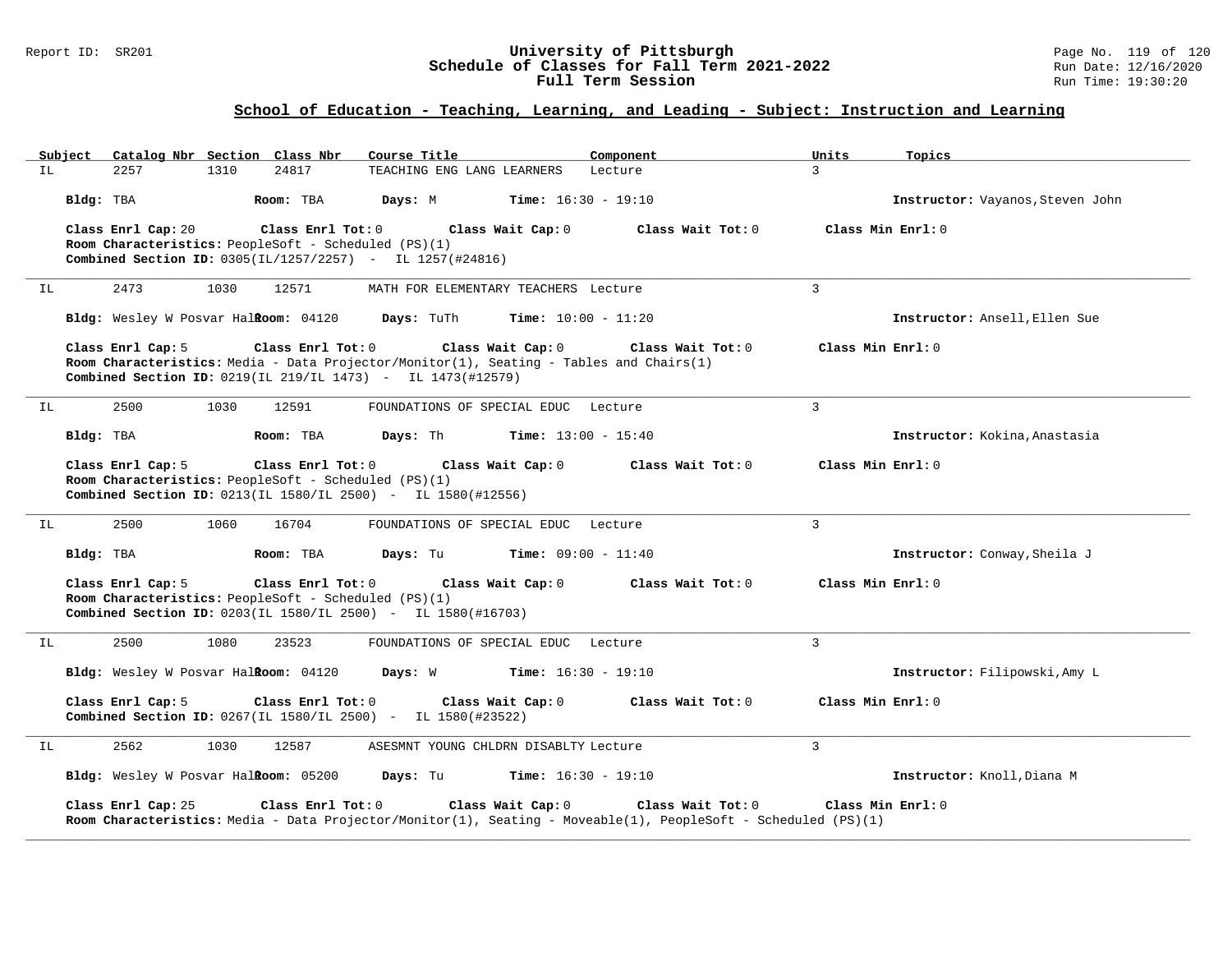#### Report ID: SR201 **University of Pittsburgh** Page No. 119 of 120 **Schedule of Classes for Fall Term 2021-2022** Run Date: 12/16/2020 **Full Term Session Rundall Term Session Rundall Term Session**

| Subject |                    | Catalog Nbr Section Class Nbr                                             | Course Title                                                                      | Component                                                                                                                           | Units             | Topics                           |
|---------|--------------------|---------------------------------------------------------------------------|-----------------------------------------------------------------------------------|-------------------------------------------------------------------------------------------------------------------------------------|-------------------|----------------------------------|
| IL      | 2257               | 24817<br>1310                                                             | TEACHING ENG LANG LEARNERS                                                        | Lecture                                                                                                                             | 3                 |                                  |
|         | Bldg: TBA          | Room: TBA                                                                 | Days: M                                                                           | <b>Time:</b> $16:30 - 19:10$                                                                                                        |                   | Instructor: Vayanos, Steven John |
|         | Class Enrl Cap: 20 | Class Enrl Tot: 0<br>Room Characteristics: PeopleSoft - Scheduled (PS)(1) | Class Wait Cap: 0<br>Combined Section ID: 0305(IL/1257/2257) - IL 1257(#24816)    | Class Wait Tot: 0                                                                                                                   |                   | Class Min Enrl: 0                |
| IL      | 2473               | 1030<br>12571                                                             | MATH FOR ELEMENTARY TEACHERS Lecture                                              |                                                                                                                                     | 3                 |                                  |
|         |                    | Bldg: Wesley W Posvar Halkoom: 04120                                      | Days: TuTh                                                                        | <b>Time:</b> $10:00 - 11:20$                                                                                                        |                   | Instructor: Ansell, Ellen Sue    |
|         | Class Enrl Cap: 5  | Class Enrl Tot: 0                                                         | Class Wait Cap: 0<br>Combined Section ID: 0219(IL 219/IL 1473) - IL 1473(#12579)  | Class Wait Tot: 0<br>Room Characteristics: Media - Data Projector/Monitor(1), Seating - Tables and Chairs(1)                        | Class Min Enrl: 0 |                                  |
| IL      | 2500               | 1030<br>12591                                                             | FOUNDATIONS OF SPECIAL EDUC Lecture                                               |                                                                                                                                     | $\mathbf{3}$      |                                  |
|         | Bldg: TBA          | Room: TBA                                                                 | Days: Th                                                                          | <b>Time:</b> $13:00 - 15:40$                                                                                                        |                   | Instructor: Kokina, Anastasia    |
|         | Class Enrl Cap: 5  | Class Enrl Tot: 0<br>Room Characteristics: PeopleSoft - Scheduled (PS)(1) | Class Wait Cap: 0<br>Combined Section ID: 0213(IL 1580/IL 2500) - IL 1580(#12556) | Class Wait Tot: 0                                                                                                                   | Class Min Enrl: 0 |                                  |
| IL.     | 2500               | 1060<br>16704                                                             | FOUNDATIONS OF SPECIAL EDUC Lecture                                               |                                                                                                                                     | 3                 |                                  |
|         | Bldg: TBA          | Room: TBA                                                                 | Days: Tu                                                                          | <b>Time:</b> $09:00 - 11:40$                                                                                                        |                   | Instructor: Conway, Sheila J     |
|         | Class Enrl Cap: 5  | Class Enrl Tot: 0<br>Room Characteristics: PeopleSoft - Scheduled (PS)(1) | Class Wait Cap: 0<br>Combined Section ID: 0203(IL 1580/IL 2500) - IL 1580(#16703) | Class Wait Tot: $0$                                                                                                                 | Class Min Enrl: 0 |                                  |
| IL      | 2500               | 1080<br>23523                                                             | FOUNDATIONS OF SPECIAL EDUC Lecture                                               |                                                                                                                                     | $\mathbf{3}$      |                                  |
|         |                    | Bldg: Wesley W Posvar HalRoom: 04120                                      | Days: W                                                                           | <b>Time:</b> $16:30 - 19:10$                                                                                                        |                   | Instructor: Filipowski, Amy L    |
|         | Class Enrl Cap: 5  | Class Enrl Tot: 0                                                         | Class Wait Cap: 0<br>Combined Section ID: 0267(IL 1580/IL 2500) - IL 1580(#23522) | Class Wait Tot: 0                                                                                                                   | Class Min Enrl: 0 |                                  |
| IL      | 2562               | 1030<br>12587                                                             | ASESMNT YOUNG CHLDRN DISABLTY Lecture                                             |                                                                                                                                     | 3                 |                                  |
|         |                    | Bldg: Wesley W Posvar Halkoom: 05200                                      | Days: Tu                                                                          | <b>Time:</b> $16:30 - 19:10$                                                                                                        |                   | Instructor: Knoll, Diana M       |
|         | Class Enrl Cap: 25 | Class Enrl Tot: 0                                                         | Class Wait Cap: 0                                                                 | Class Wait Tot: 0<br>Room Characteristics: Media - Data Projector/Monitor(1), Seating - Moveable(1), PeopleSoft - Scheduled (PS)(1) |                   | Class Min Enrl: 0                |